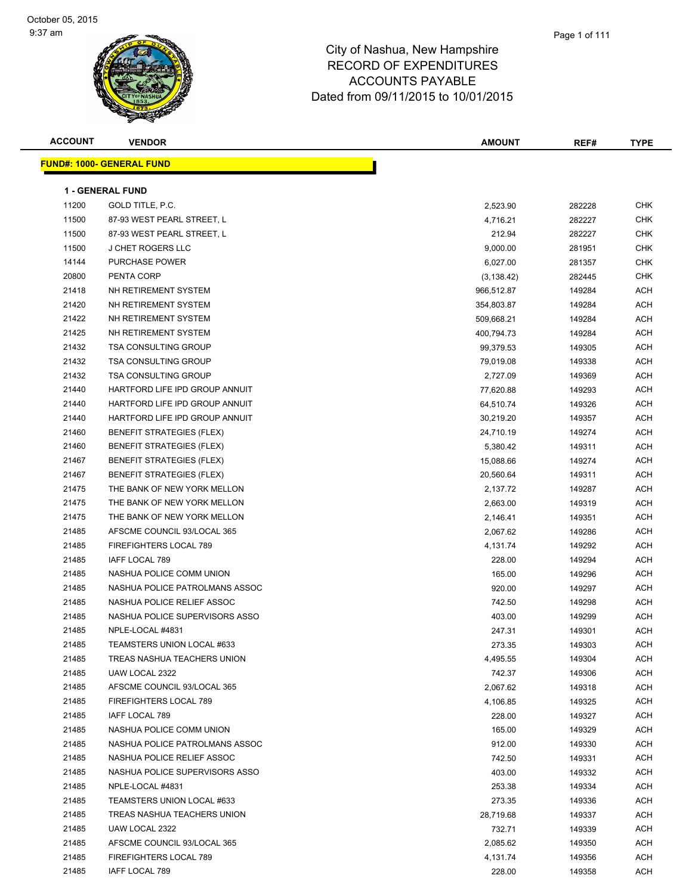| <b>ACCOUNT</b> | <b>VENDOR</b>                    | <b>AMOUNT</b> | REF#   | <b>TYPE</b> |
|----------------|----------------------------------|---------------|--------|-------------|
|                | <b>FUND#: 1000- GENERAL FUND</b> |               |        |             |
|                |                                  |               |        |             |
|                | <b>1 - GENERAL FUND</b>          |               |        |             |
| 11200          | GOLD TITLE, P.C.                 | 2,523.90      | 282228 | <b>CHK</b>  |
| 11500          | 87-93 WEST PEARL STREET, L       | 4,716.21      | 282227 | <b>CHK</b>  |
| 11500          | 87-93 WEST PEARL STREET, L       | 212.94        | 282227 | <b>CHK</b>  |
| 11500          | <b>J CHET ROGERS LLC</b>         | 9,000.00      | 281951 | <b>CHK</b>  |
| 14144          | <b>PURCHASE POWER</b>            | 6,027.00      | 281357 | CHK         |
| 20800          | PENTA CORP                       | (3, 138.42)   | 282445 | CHK         |
| 21418          | NH RETIREMENT SYSTEM             | 966,512.87    | 149284 | <b>ACH</b>  |
| 21420          | NH RETIREMENT SYSTEM             | 354,803.87    | 149284 | <b>ACH</b>  |
| 21422          | NH RETIREMENT SYSTEM             | 509,668.21    | 149284 | <b>ACH</b>  |
| 21425          | NH RETIREMENT SYSTEM             | 400,794.73    | 149284 | <b>ACH</b>  |
| 21432          | <b>TSA CONSULTING GROUP</b>      | 99,379.53     | 149305 | <b>ACH</b>  |
| 21432          | <b>TSA CONSULTING GROUP</b>      | 79,019.08     | 149338 | ACH         |
| 21432          | <b>TSA CONSULTING GROUP</b>      | 2,727.09      | 149369 | <b>ACH</b>  |
| 21440          | HARTFORD LIFE IPD GROUP ANNUIT   | 77,620.88     | 149293 | ACH         |
| 21440          | HARTFORD LIFE IPD GROUP ANNUIT   | 64,510.74     | 149326 | ACH         |
| 21440          | HARTFORD LIFE IPD GROUP ANNUIT   | 30,219.20     | 149357 | <b>ACH</b>  |
| 21460          | <b>BENEFIT STRATEGIES (FLEX)</b> | 24,710.19     | 149274 | ACH         |
| 21460          | BENEFIT STRATEGIES (FLEX)        | 5,380.42      | 149311 | <b>ACH</b>  |
| 21467          | <b>BENEFIT STRATEGIES (FLEX)</b> | 15,088.66     | 149274 | <b>ACH</b>  |
| 21467          | <b>BENEFIT STRATEGIES (FLEX)</b> | 20,560.64     | 149311 | ACH         |
| 21475          | THE BANK OF NEW YORK MELLON      | 2,137.72      | 149287 | <b>ACH</b>  |
| 21475          | THE BANK OF NEW YORK MELLON      | 2,663.00      | 149319 | <b>ACH</b>  |
| 21475          | THE BANK OF NEW YORK MELLON      | 2,146.41      | 149351 | ACH         |
| 21485          | AFSCME COUNCIL 93/LOCAL 365      | 2,067.62      | 149286 | <b>ACH</b>  |
| 21485          | FIREFIGHTERS LOCAL 789           | 4,131.74      | 149292 | <b>ACH</b>  |
| 21485          | IAFF LOCAL 789                   | 228.00        | 149294 | <b>ACH</b>  |
| 21485          | NASHUA POLICE COMM UNION         | 165.00        | 149296 | <b>ACH</b>  |
| 21485          | NASHUA POLICE PATROLMANS ASSOC   | 920.00        | 149297 | <b>ACH</b>  |
| 21485          | NASHUA POLICE RELIEF ASSOC       | 742.50        | 149298 | <b>ACH</b>  |
| 21485          | NASHUA POLICE SUPERVISORS ASSO   | 403.00        | 149299 | <b>ACH</b>  |
| 21485          | NPLE-LOCAL #4831                 | 247.31        | 149301 | ACH         |
| 21485          | TEAMSTERS UNION LOCAL #633       | 273.35        | 149303 | ACH         |
| 21485          | TREAS NASHUA TEACHERS UNION      | 4,495.55      | 149304 | ACH         |
| 21485          | UAW LOCAL 2322                   | 742.37        | 149306 | <b>ACH</b>  |
| 21485          | AFSCME COUNCIL 93/LOCAL 365      | 2,067.62      | 149318 | <b>ACH</b>  |
| 21485          | FIREFIGHTERS LOCAL 789           | 4,106.85      | 149325 | ACH         |
| 21485          | IAFF LOCAL 789                   | 228.00        | 149327 | <b>ACH</b>  |
| 21485          | NASHUA POLICE COMM UNION         | 165.00        | 149329 | <b>ACH</b>  |
| 21485          | NASHUA POLICE PATROLMANS ASSOC   | 912.00        | 149330 | <b>ACH</b>  |
| 21485          | NASHUA POLICE RELIEF ASSOC       | 742.50        | 149331 | <b>ACH</b>  |
| 21485          | NASHUA POLICE SUPERVISORS ASSO   | 403.00        | 149332 | <b>ACH</b>  |
| 21485          | NPLE-LOCAL #4831                 | 253.38        | 149334 | <b>ACH</b>  |
| 21485          | TEAMSTERS UNION LOCAL #633       | 273.35        | 149336 | <b>ACH</b>  |
| 21485          | TREAS NASHUA TEACHERS UNION      | 28,719.68     | 149337 | <b>ACH</b>  |
| 21485          | UAW LOCAL 2322                   | 732.71        | 149339 | <b>ACH</b>  |
| 21485          | AFSCME COUNCIL 93/LOCAL 365      | 2,085.62      | 149350 | <b>ACH</b>  |
| 21485          | FIREFIGHTERS LOCAL 789           | 4,131.74      | 149356 | <b>ACH</b>  |
| 21485          | IAFF LOCAL 789                   | 228.00        | 149358 | ACH         |
|                |                                  |               |        |             |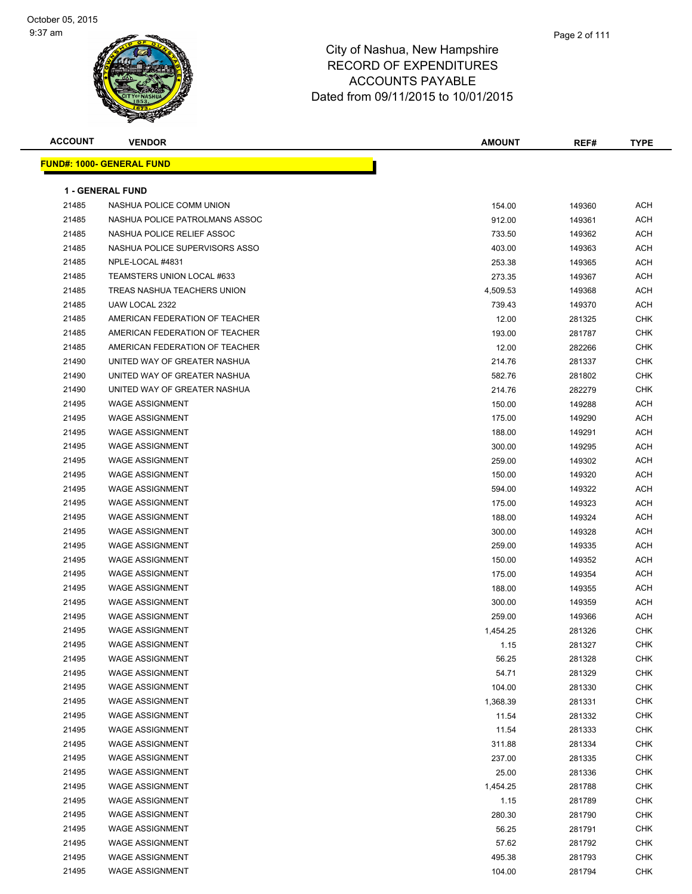| <b>ACCOUNT</b> | <b>VENDOR</b>                    | <b>AMOUNT</b> | REF#   | <b>TYPE</b> |
|----------------|----------------------------------|---------------|--------|-------------|
|                | <b>FUND#: 1000- GENERAL FUND</b> |               |        |             |
|                |                                  |               |        |             |
|                | <b>1 - GENERAL FUND</b>          |               |        |             |
| 21485          | NASHUA POLICE COMM UNION         | 154.00        | 149360 | ACH         |
| 21485          | NASHUA POLICE PATROLMANS ASSOC   | 912.00        | 149361 | <b>ACH</b>  |
| 21485          | NASHUA POLICE RELIEF ASSOC       | 733.50        | 149362 | ACH         |
| 21485          | NASHUA POLICE SUPERVISORS ASSO   | 403.00        | 149363 | ACH         |
| 21485          | NPLE-LOCAL #4831                 | 253.38        | 149365 | <b>ACH</b>  |
| 21485          | TEAMSTERS UNION LOCAL #633       | 273.35        | 149367 | <b>ACH</b>  |
| 21485          | TREAS NASHUA TEACHERS UNION      | 4,509.53      | 149368 | <b>ACH</b>  |
| 21485          | UAW LOCAL 2322                   | 739.43        | 149370 | <b>ACH</b>  |
| 21485          | AMERICAN FEDERATION OF TEACHER   | 12.00         | 281325 | <b>CHK</b>  |
| 21485          | AMERICAN FEDERATION OF TEACHER   | 193.00        | 281787 | <b>CHK</b>  |
| 21485          | AMERICAN FEDERATION OF TEACHER   | 12.00         | 282266 | <b>CHK</b>  |
| 21490          | UNITED WAY OF GREATER NASHUA     | 214.76        | 281337 | <b>CHK</b>  |
| 21490          | UNITED WAY OF GREATER NASHUA     | 582.76        | 281802 | CHK         |
| 21490          | UNITED WAY OF GREATER NASHUA     | 214.76        | 282279 | <b>CHK</b>  |
| 21495          | <b>WAGE ASSIGNMENT</b>           | 150.00        | 149288 | ACH         |
| 21495          | <b>WAGE ASSIGNMENT</b>           | 175.00        | 149290 | ACH         |
| 21495          | <b>WAGE ASSIGNMENT</b>           | 188.00        | 149291 | <b>ACH</b>  |
| 21495          | <b>WAGE ASSIGNMENT</b>           | 300.00        | 149295 | <b>ACH</b>  |
| 21495          | <b>WAGE ASSIGNMENT</b>           | 259.00        | 149302 | <b>ACH</b>  |
| 21495          | <b>WAGE ASSIGNMENT</b>           | 150.00        | 149320 | <b>ACH</b>  |
| 21495          | <b>WAGE ASSIGNMENT</b>           | 594.00        | 149322 | ACH         |
| 21495          | <b>WAGE ASSIGNMENT</b>           | 175.00        | 149323 | ACH         |
| 21495          | <b>WAGE ASSIGNMENT</b>           | 188.00        | 149324 | <b>ACH</b>  |
| 21495          | <b>WAGE ASSIGNMENT</b>           | 300.00        | 149328 | <b>ACH</b>  |
| 21495          | <b>WAGE ASSIGNMENT</b>           | 259.00        | 149335 | <b>ACH</b>  |
| 21495          | <b>WAGE ASSIGNMENT</b>           | 150.00        | 149352 | <b>ACH</b>  |
| 21495          | <b>WAGE ASSIGNMENT</b>           | 175.00        | 149354 | <b>ACH</b>  |
| 21495          | <b>WAGE ASSIGNMENT</b>           | 188.00        | 149355 | <b>ACH</b>  |
| 21495          | <b>WAGE ASSIGNMENT</b>           | 300.00        | 149359 | <b>ACH</b>  |
| 21495          | <b>WAGE ASSIGNMENT</b>           | 259.00        | 149366 | <b>ACH</b>  |
| 21495          | <b>WAGE ASSIGNMENT</b>           | 1,454.25      | 281326 | <b>CHK</b>  |
| 21495          | WAGE ASSIGNMENT                  | 1.15          | 281327 | <b>CHK</b>  |
| 21495          | <b>WAGE ASSIGNMENT</b>           | 56.25         | 281328 | <b>CHK</b>  |
| 21495          | <b>WAGE ASSIGNMENT</b>           | 54.71         | 281329 | <b>CHK</b>  |
| 21495          | <b>WAGE ASSIGNMENT</b>           | 104.00        | 281330 | <b>CHK</b>  |
| 21495          | <b>WAGE ASSIGNMENT</b>           | 1,368.39      | 281331 | <b>CHK</b>  |
| 21495          | <b>WAGE ASSIGNMENT</b>           | 11.54         | 281332 | <b>CHK</b>  |
| 21495          | <b>WAGE ASSIGNMENT</b>           | 11.54         | 281333 | <b>CHK</b>  |
| 21495          | <b>WAGE ASSIGNMENT</b>           | 311.88        | 281334 | <b>CHK</b>  |
| 21495          | <b>WAGE ASSIGNMENT</b>           | 237.00        | 281335 | <b>CHK</b>  |
| 21495          | <b>WAGE ASSIGNMENT</b>           | 25.00         | 281336 | <b>CHK</b>  |
| 21495          | <b>WAGE ASSIGNMENT</b>           | 1,454.25      | 281788 | <b>CHK</b>  |
| 21495          | <b>WAGE ASSIGNMENT</b>           | 1.15          | 281789 | <b>CHK</b>  |
| 21495          | <b>WAGE ASSIGNMENT</b>           | 280.30        | 281790 | <b>CHK</b>  |
| 21495          | <b>WAGE ASSIGNMENT</b>           | 56.25         | 281791 | <b>CHK</b>  |
| 21495          | <b>WAGE ASSIGNMENT</b>           | 57.62         | 281792 | <b>CHK</b>  |
| 21495          | <b>WAGE ASSIGNMENT</b>           | 495.38        | 281793 | <b>CHK</b>  |
| 21495          | <b>WAGE ASSIGNMENT</b>           | 104.00        | 281794 | <b>CHK</b>  |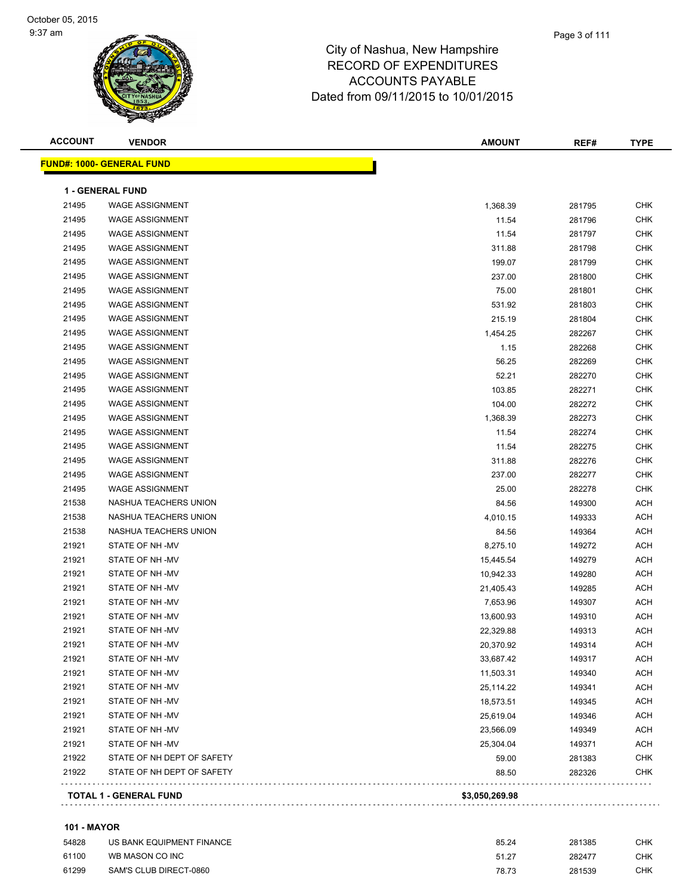## City of Nashua, New Hampshire RECORD OF EXPENDITURES ACCOUNTS PAYABLE Dated from 09/11/2015 to 10/01/2015

**ACCOUNT VENDOR AMOUNT REF# TYPE FUND#: 1000- GENERAL FUND 1 - GENERAL FUND** WAGE ASSIGNMENT 1,368.39 281795 CHK WAGE ASSIGNMENT 11.54 281796 CHK WAGE ASSIGNMENT 11.54 281797 CHK WAGE ASSIGNMENT 311.88 281798 CHK WAGE ASSIGNMENT 199.07 281799 CHK WAGE ASSIGNMENT 237.00 281800 CHK WAGE ASSIGNMENT 75.00 281801 CHK WAGE ASSIGNMENT 531.92 281803 CHK WAGE ASSIGNMENT 215.19 281804 CHK WAGE ASSIGNMENT 1,454.25 282267 CHK WAGE ASSIGNMENT 1.15 282268 CHK WAGE ASSIGNMENT 56.25 282269 CHK 21495 WAGE ASSIGNMENT NAMEL CHINA SERVERSION CHINA SERVERSION OF SALLO SERVERSION OF SALLO SERVERSION OF SALLO 21495 WAGE ASSIGNMENT CHK (282271 CHK) CHK (282271 CHK) 282271 CHK WAGE ASSIGNMENT 104.00 282272 CHK WAGE ASSIGNMENT 1,368.39 282273 CHK WAGE ASSIGNMENT 11.54 282274 CHK WAGE ASSIGNMENT 11.54 282275 CHK WAGE ASSIGNMENT 311.88 282276 CHK WAGE ASSIGNMENT 237.00 282277 CHK WAGE ASSIGNMENT 25.00 282278 CHK 21538 NASHUA TEACHERS UNION **84.56** 149300 ACH NASHUA TEACHERS UNION 4,010.15 149333 ACH NASHUA TEACHERS UNION 84.56 149364 ACH STATE OF NH -MV 8,275.10 149272 ACH STATE OF NH -MV 15,445.54 149279 ACH STATE OF NH -MV 10,942.33 149280 ACH STATE OF NH -MV 21,405.43 149285 ACH STATE OF NH -MV 7,653.96 149307 ACH STATE OF NH -MV 13,600.93 149310 ACH STATE OF NH -MV 22,329.88 149313 ACH STATE OF NH -MV 20,370.92 149314 ACH 21921 STATE OF NH -MV 33,687.42 21921 149317 ACH 21921 STATE OF NH -MV 2002 NO 2002 21:00:00 11,503.31 21:00:00 11,503.31 21:00:00 20:00 20:00 20:00 20:00 20:0 21921 STATE OF NH -MV 25,114.22 21921 149341 ACH 21921 STATE OF NH -MV 18,573.51 21921 149345 ACH STATE OF NH -MV 25,619.04 149346 ACH STATE OF NH -MV 23,566.09 149349 ACH STATE OF NH -MV 25,304.04 149371 ACH 21922 STATE OF NH DEPT OF SAFETY SARE SERVICE SERVICE SERVICE SERVICE SERVICE SERVICE SERVICE SERVICE SERVICE STATE OF NH DEPT OF SAFETY 88.50 282326 CHK **TOTAL 1 - GENERAL FUND \$3,050,269.98**

#### **101 - MAYOR**

| 54828 | US BANK EQUIPMENT FINANCE | 85.24 | 281385 | СНК |
|-------|---------------------------|-------|--------|-----|
| 61100 | WB MASON CO INC           | 51.27 | 282477 | СНК |
| 61299 | SAM'S CLUB DIRECT-0860    | 78.73 | 281539 | СНК |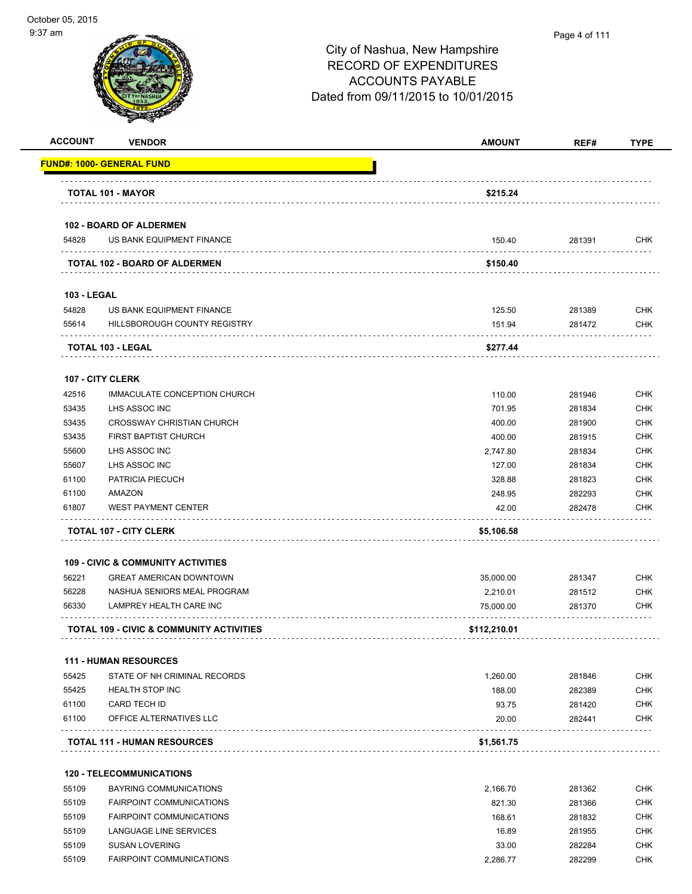| <b>ACCOUNT</b>     | <b>VENDOR</b>                                       | <b>AMOUNT</b> | REF#   | <b>TYPE</b>                                   |
|--------------------|-----------------------------------------------------|---------------|--------|-----------------------------------------------|
|                    | FUND#: 1000- GENERAL FUND                           |               |        |                                               |
|                    | <b>TOTAL 101 - MAYOR</b>                            | \$215.24      |        |                                               |
|                    | 102 - BOARD OF ALDERMEN                             |               |        |                                               |
| 54828              | US BANK EQUIPMENT FINANCE                           | 150.40        | 281391 | <b>CHK</b>                                    |
|                    | TOTAL 102 - BOARD OF ALDERMEN                       | \$150.40      |        |                                               |
|                    |                                                     |               |        |                                               |
| <b>103 - LEGAL</b> |                                                     |               |        |                                               |
| 54828              | US BANK EQUIPMENT FINANCE                           | 125.50        | 281389 | <b>CHK</b>                                    |
| 55614              | HILLSBOROUGH COUNTY REGISTRY                        | 151.94        | 281472 | <b>CHK</b>                                    |
|                    | TOTAL 103 - LEGAL                                   | \$277.44      |        |                                               |
|                    | 107 - CITY CLERK                                    |               |        |                                               |
| 42516              | IMMACULATE CONCEPTION CHURCH                        | 110.00        | 281946 | <b>CHK</b>                                    |
| 53435              | LHS ASSOC INC                                       | 701.95        | 281834 | <b>CHK</b>                                    |
| 53435              | <b>CROSSWAY CHRISTIAN CHURCH</b>                    | 400.00        | 281900 | <b>CHK</b>                                    |
| 53435              | FIRST BAPTIST CHURCH                                | 400.00        | 281915 | <b>CHK</b>                                    |
| 55600              | LHS ASSOC INC                                       | 2,747.80      | 281834 | <b>CHK</b>                                    |
| 55607              | LHS ASSOC INC                                       | 127.00        | 281834 | <b>CHK</b>                                    |
| 61100              | PATRICIA PIECUCH                                    | 328.88        | 281823 | <b>CHK</b>                                    |
| 61100              | AMAZON                                              | 248.95        | 282293 | <b>CHK</b>                                    |
| 61807              | <b>WEST PAYMENT CENTER</b>                          | 42.00         | 282478 | CHK                                           |
|                    | <b>TOTAL 107 - CITY CLERK</b>                       | \$5,106.58    |        |                                               |
|                    |                                                     |               |        |                                               |
|                    | <b>109 - CIVIC &amp; COMMUNITY ACTIVITIES</b>       |               |        |                                               |
| 56221              | <b>GREAT AMERICAN DOWNTOWN</b>                      | 35,000.00     | 281347 | <b>CHK</b>                                    |
| 56228              | NASHUA SENIORS MEAL PROGRAM                         | 2,210.01      | 281512 | <b>CHK</b>                                    |
| 56330              | LAMPREY HEALTH CARE INC                             | 75,000.00     | 281370 | <b>CHK</b>                                    |
|                    | <b>TOTAL 109 - CIVIC &amp; COMMUNITY ACTIVITIES</b> | \$112,210.01  |        |                                               |
|                    | <b>111 - HUMAN RESOURCES</b>                        |               |        |                                               |
| 55425              | STATE OF NH CRIMINAL RECORDS                        | 1,260.00      | 281846 | <b>CHK</b>                                    |
| 55425              | <b>HEALTH STOP INC</b>                              | 188.00        | 282389 | <b>CHK</b>                                    |
| 61100              | CARD TECH ID                                        | 93.75         | 281420 | <b>CHK</b>                                    |
| 61100              | OFFICE ALTERNATIVES LLC                             | 20.00         | 282441 | CHK                                           |
|                    | <b>TOTAL 111 - HUMAN RESOURCES</b>                  | \$1,561.75    |        |                                               |
|                    |                                                     |               |        |                                               |
|                    |                                                     |               |        |                                               |
|                    | <b>120 - TELECOMMUNICATIONS</b>                     |               |        |                                               |
| 55109              | <b>BAYRING COMMUNICATIONS</b>                       | 2,166.70      | 281362 |                                               |
| 55109              | <b>FAIRPOINT COMMUNICATIONS</b>                     | 821.30        | 281366 |                                               |
| 55109              | <b>FAIRPOINT COMMUNICATIONS</b>                     | 168.61        | 281832 |                                               |
| 55109              | LANGUAGE LINE SERVICES                              | 16.89         | 281955 |                                               |
| 55109              | <b>SUSAN LOVERING</b>                               | 33.00         | 282284 | <b>CHK</b><br><b>CHK</b><br>CHK<br>CHK<br>CHK |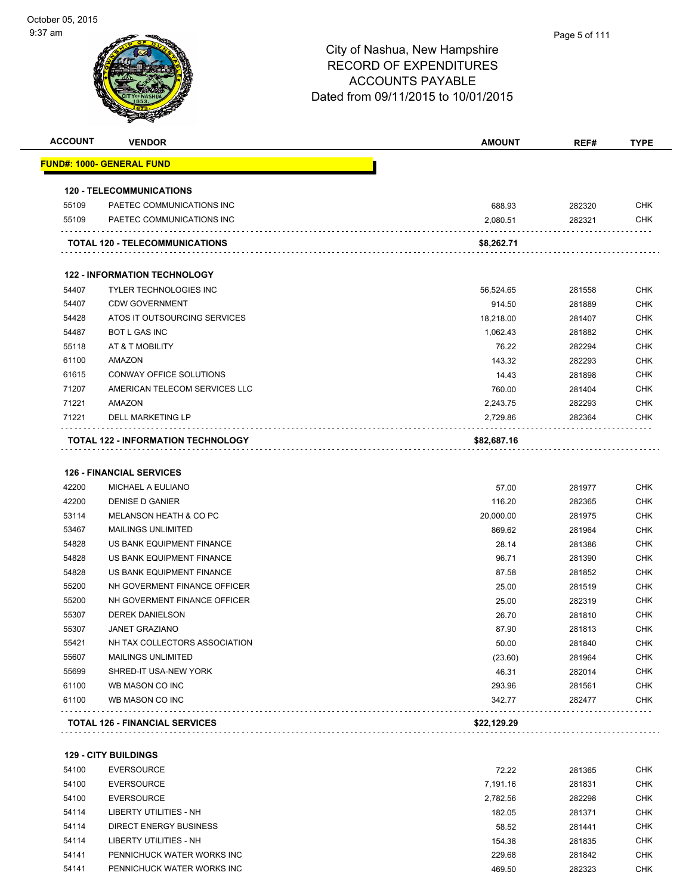| <b>ACCOUNT</b> | <b>VENDOR</b>                         | AMOUNT      | REF#   | <b>TYPE</b> |
|----------------|---------------------------------------|-------------|--------|-------------|
|                | <u> FUND#: 1000- GENERAL FUND</u>     |             |        |             |
|                | <b>120 - TELECOMMUNICATIONS</b>       |             |        |             |
| 55109          | PAETEC COMMUNICATIONS INC             | 688.93      | 282320 | <b>CHK</b>  |
| 55109          | PAETEC COMMUNICATIONS INC             | 2,080.51    | 282321 | <b>CHK</b>  |
|                |                                       |             |        |             |
|                | TOTAL 120 - TELECOMMUNICATIONS        | \$8,262.71  |        |             |
|                | <b>122 - INFORMATION TECHNOLOGY</b>   |             |        |             |
| 54407          | <b>TYLER TECHNOLOGIES INC</b>         | 56,524.65   | 281558 | <b>CHK</b>  |
| 54407          | <b>CDW GOVERNMENT</b>                 | 914.50      | 281889 | <b>CHK</b>  |
| 54428          | ATOS IT OUTSOURCING SERVICES          | 18,218.00   | 281407 | <b>CHK</b>  |
| 54487          | <b>BOT L GAS INC</b>                  | 1,062.43    | 281882 | <b>CHK</b>  |
| 55118          | AT & T MOBILITY                       | 76.22       | 282294 | <b>CHK</b>  |
| 61100          | AMAZON                                | 143.32      | 282293 | <b>CHK</b>  |
| 61615          | CONWAY OFFICE SOLUTIONS               | 14.43       | 281898 | <b>CHK</b>  |
| 71207          | AMERICAN TELECOM SERVICES LLC         | 760.00      | 281404 | <b>CHK</b>  |
| 71221          | AMAZON                                | 2,243.75    | 282293 | <b>CHK</b>  |
| 71221          | <b>DELL MARKETING LP</b>              | 2,729.86    | 282364 | <b>CHK</b>  |
|                | TOTAL 122 - INFORMATION TECHNOLOGY    | \$82,687.16 |        |             |
|                |                                       |             |        |             |
|                | <b>126 - FINANCIAL SERVICES</b>       |             |        |             |
| 42200          | MICHAEL A EULIANO                     | 57.00       | 281977 | <b>CHK</b>  |
| 42200          | DENISE D GANIER                       | 116.20      | 282365 | <b>CHK</b>  |
| 53114          | MELANSON HEATH & CO PC                | 20,000.00   | 281975 | <b>CHK</b>  |
| 53467          | <b>MAILINGS UNLIMITED</b>             | 869.62      | 281964 | <b>CHK</b>  |
| 54828          | US BANK EQUIPMENT FINANCE             | 28.14       | 281386 | <b>CHK</b>  |
| 54828          | US BANK EQUIPMENT FINANCE             | 96.71       | 281390 | <b>CHK</b>  |
| 54828          | US BANK EQUIPMENT FINANCE             | 87.58       | 281852 | <b>CHK</b>  |
| 55200          | NH GOVERMENT FINANCE OFFICER          | 25.00       | 281519 | <b>CHK</b>  |
| 55200          | NH GOVERMENT FINANCE OFFICER          | 25.00       | 282319 | <b>CHK</b>  |
| 55307          | <b>DEREK DANIELSON</b>                | 26.70       | 281810 | <b>CHK</b>  |
| 55307          | <b>JANET GRAZIANO</b>                 | 87.90       | 281813 | <b>CHK</b>  |
| 55421          | NH TAX COLLECTORS ASSOCIATION         | 50.00       | 281840 | <b>CHK</b>  |
| 55607          | <b>MAILINGS UNLIMITED</b>             | (23.60)     | 281964 | <b>CHK</b>  |
| 55699          | SHRED-IT USA-NEW YORK                 | 46.31       | 282014 | <b>CHK</b>  |
| 61100          | WB MASON CO INC                       | 293.96      | 281561 | <b>CHK</b>  |
| 61100          | WB MASON CO INC                       | 342.77      | 282477 | <b>CHK</b>  |
|                | <b>TOTAL 126 - FINANCIAL SERVICES</b> | \$22,129.29 |        |             |
|                |                                       |             |        |             |
|                | <b>129 - CITY BUILDINGS</b>           |             |        |             |
| 54100          | <b>EVERSOURCE</b>                     | 72.22       | 281365 | <b>CHK</b>  |
| 54100          | <b>EVERSOURCE</b>                     | 7,191.16    | 281831 | <b>CHK</b>  |

| 54100 | <b>EVERSOURCE</b>          | 7.191.16 | 281831 | снк        |
|-------|----------------------------|----------|--------|------------|
| 54100 | EVERSOURCE                 | 2.782.56 | 282298 | CHK        |
| 54114 | LIBERTY UTILITIES - NH     | 182.05   | 281371 | <b>CHK</b> |
| 54114 | DIRECT ENERGY BUSINESS     | 58.52    | 281441 | <b>CHK</b> |
| 54114 | LIBERTY UTILITIES - NH     | 154.38   | 281835 | <b>CHK</b> |
| 54141 | PENNICHUCK WATER WORKS INC | 229.68   | 281842 | <b>CHK</b> |
| 54141 | PENNICHUCK WATER WORKS INC | 469.50   | 282323 | CHK        |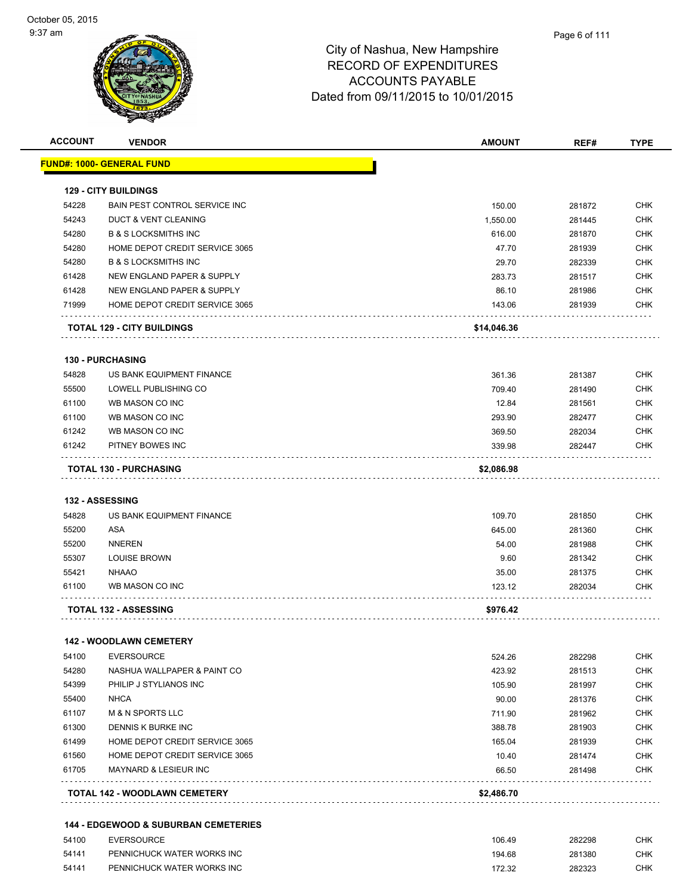| <b>ACCOUNT</b> | <b>VENDOR</b>                                   | <b>AMOUNT</b> | REF#   | <b>TYPE</b> |
|----------------|-------------------------------------------------|---------------|--------|-------------|
|                | <u> FUND#: 1000- GENERAL FUND</u>               |               |        |             |
|                |                                                 |               |        |             |
|                | <b>129 - CITY BUILDINGS</b>                     |               |        |             |
| 54228          | BAIN PEST CONTROL SERVICE INC                   | 150.00        | 281872 | CHK         |
| 54243          | <b>DUCT &amp; VENT CLEANING</b>                 | 1,550.00      | 281445 | CHK         |
| 54280          | <b>B &amp; S LOCKSMITHS INC</b>                 | 616.00        | 281870 | CHK         |
| 54280          | HOME DEPOT CREDIT SERVICE 3065                  | 47.70         | 281939 | CHK         |
| 54280          | <b>B &amp; S LOCKSMITHS INC</b>                 | 29.70         | 282339 | <b>CHK</b>  |
| 61428          | NEW ENGLAND PAPER & SUPPLY                      | 283.73        | 281517 | CHK         |
| 61428          | NEW ENGLAND PAPER & SUPPLY                      | 86.10         | 281986 | <b>CHK</b>  |
| 71999          | HOME DEPOT CREDIT SERVICE 3065                  | 143.06        | 281939 | CHK         |
|                | <b>TOTAL 129 - CITY BUILDINGS</b>               | \$14,046.36   |        |             |
|                | <b>130 - PURCHASING</b>                         |               |        |             |
| 54828          | US BANK EQUIPMENT FINANCE                       | 361.36        | 281387 | CHK         |
| 55500          | LOWELL PUBLISHING CO                            | 709.40        | 281490 | <b>CHK</b>  |
| 61100          | WB MASON CO INC                                 | 12.84         | 281561 | CHK         |
| 61100          | WB MASON CO INC                                 | 293.90        | 282477 | CHK         |
| 61242          | WB MASON CO INC                                 | 369.50        | 282034 | <b>CHK</b>  |
| 61242          | PITNEY BOWES INC                                | 339.98        | 282447 | CHK         |
|                | <b>TOTAL 130 - PURCHASING</b>                   | \$2,086.98    |        |             |
|                |                                                 |               |        |             |
|                | <b>132 - ASSESSING</b>                          |               |        |             |
| 54828          | US BANK EQUIPMENT FINANCE                       | 109.70        | 281850 | <b>CHK</b>  |
| 55200          | ASA                                             | 645.00        | 281360 | CHK         |
| 55200          | <b>NNEREN</b>                                   | 54.00         | 281988 | CHK         |
| 55307          | <b>LOUISE BROWN</b>                             | 9.60          | 281342 | CHK         |
| 55421          | <b>NHAAO</b>                                    | 35.00         | 281375 | CHK         |
| 61100          | WB MASON CO INC                                 | 123.12        | 282034 | CHK         |
|                | <b>TOTAL 132 - ASSESSING</b>                    | \$976.42      |        |             |
|                | <b>142 - WOODLAWN CEMETERY</b>                  |               |        |             |
| 54100          | <b>EVERSOURCE</b>                               | 524.26        | 282298 | <b>CHK</b>  |
| 54280          | NASHUA WALLPAPER & PAINT CO                     | 423.92        | 281513 | <b>CHK</b>  |
| 54399          | PHILIP J STYLIANOS INC                          | 105.90        | 281997 | CHK         |
| 55400          | <b>NHCA</b>                                     | 90.00         | 281376 | <b>CHK</b>  |
| 61107          | <b>M &amp; N SPORTS LLC</b>                     | 711.90        | 281962 | <b>CHK</b>  |
| 61300          | DENNIS K BURKE INC                              | 388.78        | 281903 | <b>CHK</b>  |
| 61499          | HOME DEPOT CREDIT SERVICE 3065                  | 165.04        | 281939 | <b>CHK</b>  |
| 61560          | HOME DEPOT CREDIT SERVICE 3065                  | 10.40         | 281474 | <b>CHK</b>  |
| 61705          | MAYNARD & LESIEUR INC                           | 66.50         | 281498 | CHK         |
|                | TOTAL 142 - WOODLAWN CEMETERY                   | \$2,486.70    |        |             |
|                | <b>144 - EDGEWOOD &amp; SUBURBAN CEMETERIES</b> |               |        |             |
| 54100          | <b>EVERSOURCE</b>                               | 106.49        | 282298 | <b>CHK</b>  |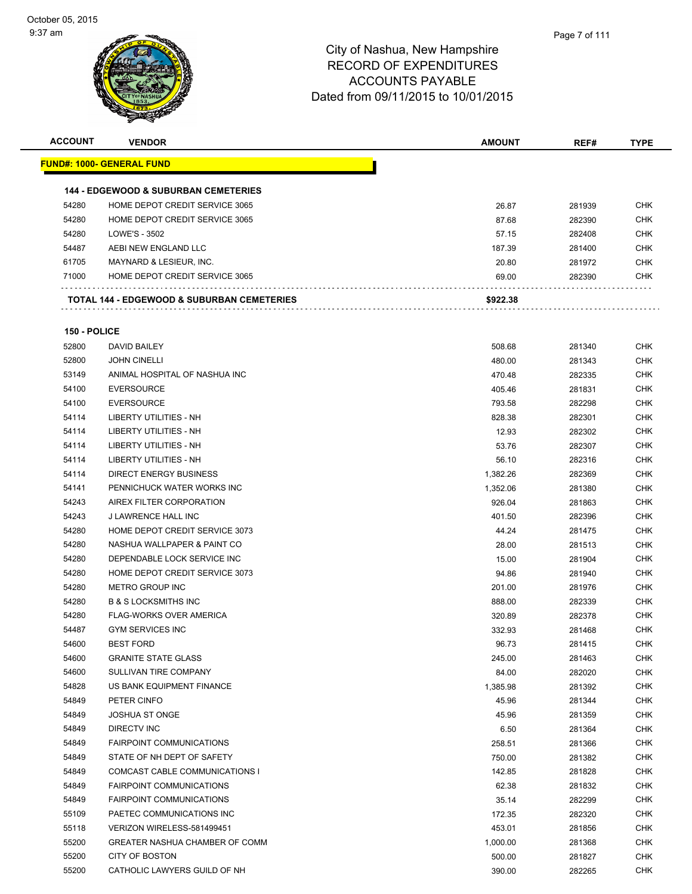

| <b>ACCOUNT</b> | <b>VENDOR</b>                                         | <b>AMOUNT</b> | REF#   | TYPE       |
|----------------|-------------------------------------------------------|---------------|--------|------------|
|                | <b>FUND#: 1000- GENERAL FUND</b>                      |               |        |            |
|                | <b>144 - EDGEWOOD &amp; SUBURBAN CEMETERIES</b>       |               |        |            |
| 54280          | HOME DEPOT CREDIT SERVICE 3065                        | 26.87         | 281939 | <b>CHK</b> |
| 54280          | HOME DEPOT CREDIT SERVICE 3065                        | 87.68         | 282390 | <b>CHK</b> |
| 54280          | LOWE'S - 3502                                         | 57.15         | 282408 | <b>CHK</b> |
| 54487          | AEBI NEW ENGLAND LLC                                  | 187.39        | 281400 | <b>CHK</b> |
| 61705          | MAYNARD & LESIEUR, INC.                               | 20.80         | 281972 | <b>CHK</b> |
| 71000          | HOME DEPOT CREDIT SERVICE 3065                        | 69.00         | 282390 | <b>CHK</b> |
|                | <b>TOTAL 144 - EDGEWOOD &amp; SUBURBAN CEMETERIES</b> | \$922.38      |        |            |
| 150 - POLICE   |                                                       |               |        |            |
|                |                                                       |               |        |            |
| 52800          | DAVID BAILEY                                          | 508.68        | 281340 | <b>CHK</b> |
| 52800          | <b>JOHN CINELLI</b>                                   | 480.00        | 281343 | <b>CHK</b> |
| 53149          | ANIMAL HOSPITAL OF NASHUA INC                         | 470.48        | 282335 | <b>CHK</b> |
| 54100          | <b>EVERSOURCE</b>                                     | 405.46        | 281831 | <b>CHK</b> |
| 54100          | <b>EVERSOURCE</b>                                     | 793.58        | 282298 | <b>CHK</b> |
| 54114          | LIBERTY UTILITIES - NH                                | 828.38        | 282301 | <b>CHK</b> |
| 54114          | LIBERTY UTILITIES - NH                                | 12.93         | 282302 | CHK        |
| 54114          | LIBERTY UTILITIES - NH                                | 53.76         | 282307 | CHK        |
| 54114          | LIBERTY UTILITIES - NH                                | 56.10         | 282316 | <b>CHK</b> |
| 54114          | DIRECT ENERGY BUSINESS                                | 1,382.26      | 282369 | <b>CHK</b> |
| 54141          | PENNICHUCK WATER WORKS INC                            | 1,352.06      | 281380 | <b>CHK</b> |
| 54243          | AIREX FILTER CORPORATION                              | 926.04        | 281863 | CHK        |
| 54243          | J LAWRENCE HALL INC                                   | 401.50        | 282396 | <b>CHK</b> |
| 54280          | HOME DEPOT CREDIT SERVICE 3073                        | 44.24         | 281475 | <b>CHK</b> |
| 54280          | NASHUA WALLPAPER & PAINT CO                           | 28.00         | 281513 | <b>CHK</b> |
| 54280          | DEPENDABLE LOCK SERVICE INC                           | 15.00         | 281904 | <b>CHK</b> |
| 54280          | HOME DEPOT CREDIT SERVICE 3073                        | 94.86         | 281940 | <b>CHK</b> |
| 54280          | <b>METRO GROUP INC</b>                                | 201.00        | 281976 | <b>CHK</b> |
| 54280          | <b>B &amp; S LOCKSMITHS INC</b>                       | 888.00        | 282339 | <b>CHK</b> |
| 54280          | <b>FLAG-WORKS OVER AMERICA</b>                        | 320.89        | 282378 | <b>CHK</b> |
| 54487          | <b>GYM SERVICES INC</b>                               | 332.93        | 281468 | <b>CHK</b> |
| 54600          | <b>BEST FORD</b>                                      | 96.73         | 281415 | <b>CHK</b> |
| 54600          | <b>GRANITE STATE GLASS</b>                            | 245.00        | 281463 | <b>CHK</b> |
| 54600          | SULLIVAN TIRE COMPANY                                 | 84.00         | 282020 | <b>CHK</b> |
| 54828          | US BANK EQUIPMENT FINANCE                             | 1,385.98      | 281392 | <b>CHK</b> |
| 54849          | PETER CINFO                                           | 45.96         | 281344 | <b>CHK</b> |
| 54849          | <b>JOSHUA ST ONGE</b>                                 | 45.96         | 281359 | <b>CHK</b> |
| 54849          | DIRECTV INC                                           | 6.50          | 281364 | <b>CHK</b> |
| 54849          | <b>FAIRPOINT COMMUNICATIONS</b>                       | 258.51        | 281366 | <b>CHK</b> |
| 54849          | STATE OF NH DEPT OF SAFETY                            | 750.00        | 281382 | <b>CHK</b> |
| 54849          | COMCAST CABLE COMMUNICATIONS I                        | 142.85        | 281828 | <b>CHK</b> |
| 54849          | <b>FAIRPOINT COMMUNICATIONS</b>                       | 62.38         | 281832 | <b>CHK</b> |
| 54849          | <b>FAIRPOINT COMMUNICATIONS</b>                       | 35.14         | 282299 | <b>CHK</b> |
| 55109          | PAETEC COMMUNICATIONS INC                             | 172.35        | 282320 | <b>CHK</b> |
| 55118          | VERIZON WIRELESS-581499451                            | 453.01        | 281856 | <b>CHK</b> |
| 55200          | GREATER NASHUA CHAMBER OF COMM                        | 1,000.00      | 281368 | <b>CHK</b> |
| 55200          | CITY OF BOSTON                                        | 500.00        | 281827 | <b>CHK</b> |
| 55200          | CATHOLIC LAWYERS GUILD OF NH                          | 390.00        | 282265 | <b>CHK</b> |
|                |                                                       |               |        |            |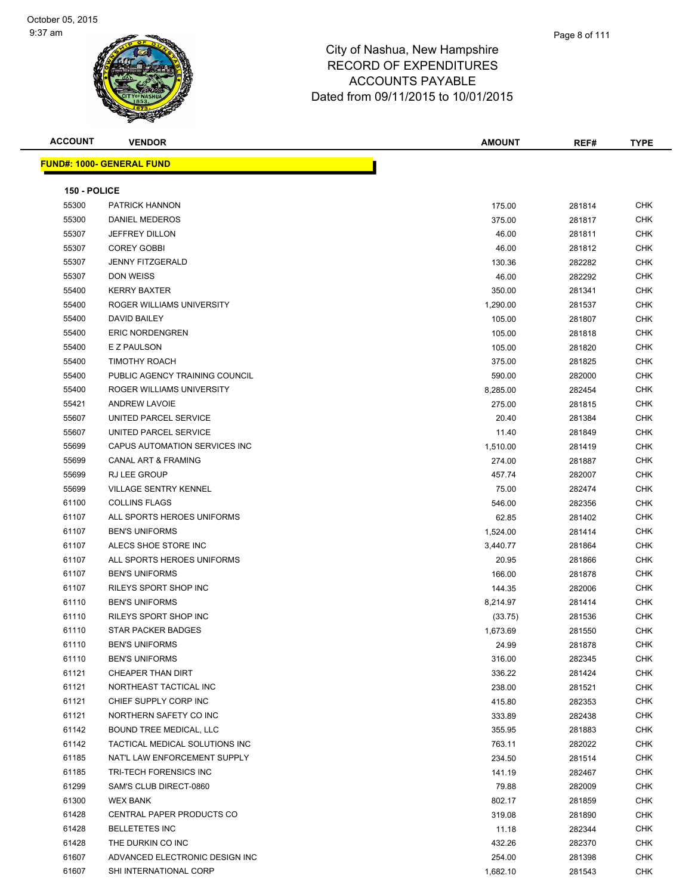#### Page 8 of 111

#### City of Nashua, New Hampshire RECORD OF EXPENDITURES ACCOUNTS PAYABLE Dated from 09/11/2015 to 10/01/2015

| <b>ACCOUNT</b> |
|----------------|
|----------------|

**FUND#: 1000- GENERAL FUND**

|              | <b>CONTROLL BOOK</b>             |               |        |             |
|--------------|----------------------------------|---------------|--------|-------------|
| ACCOUNT      | <b>VENDOR</b>                    | <b>AMOUNT</b> | REF#   | <b>TYPE</b> |
|              | <u> JND#: 1000- GENERAL FUND</u> |               |        |             |
| 150 - POLICE |                                  |               |        |             |
| 55300        | PATRICK HANNON                   | 175.00        | 281814 | <b>CHK</b>  |
| 55300        | <b>DANIEL MEDEROS</b>            | 375.00        | 281817 | <b>CHK</b>  |
| 55307        | <b>JEFFREY DILLON</b>            | 46.00         | 281811 | <b>CHK</b>  |
| 55307        | <b>COREY GOBBI</b>               | 46.00         | 281812 | <b>CHK</b>  |
| 55307        | <b>JENNY FITZGERALD</b>          | 130.36        | 282282 | <b>CHK</b>  |
| 55307        | <b>DON WEISS</b>                 | 46.00         | 282292 | <b>CHK</b>  |
| 55400        | <b>KERRY BAXTER</b>              | 350.00        | 281341 | <b>CHK</b>  |
| 55400        | ROGER WILLIAMS UNIVERSITY        | 1,290.00      | 281537 | <b>CHK</b>  |
| 55400        | <b>DAVID BAILEY</b>              | 105.00        | 281807 | <b>CHK</b>  |
| 55400        | <b>ERIC NORDENGREN</b>           | 105.00        | 281818 | <b>CHK</b>  |
| 55400        | E Z PAULSON                      | 105.00        | 281820 | <b>CHK</b>  |
| 55400        | <b>TIMOTHY ROACH</b>             | 375.00        | 281825 | <b>CHK</b>  |
| 55400        | PUBLIC AGENCY TRAINING COUNCIL   | 590.00        | 282000 | <b>CHK</b>  |
| 55400        | ROGER WILLIAMS UNIVERSITY        | 8,285.00      | 282454 | <b>CHK</b>  |
| 55421        | <b>ANDREW LAVOIE</b>             | 275.00        | 281815 | <b>CHK</b>  |
| 55607        | UNITED PARCEL SERVICE            | 20.40         | 281384 | <b>CHK</b>  |
| 55607        | UNITED PARCEL SERVICE            | 11.40         | 281849 | <b>CHK</b>  |
| 55699        | CAPUS AUTOMATION SERVICES INC    | 1,510.00      | 281419 | <b>CHK</b>  |
| 55699        | <b>CANAL ART &amp; FRAMING</b>   | 274.00        | 281887 | <b>CHK</b>  |
| 55699        | <b>RJ LEE GROUP</b>              | 457.74        | 282007 | <b>CHK</b>  |
| 55699        | <b>VILLAGE SENTRY KENNEL</b>     | 75.00         | 282474 | <b>CHK</b>  |
| 61100        | <b>COLLINS FLAGS</b>             | 546.00        | 282356 | <b>CHK</b>  |
| 61107        | ALL SPORTS HEROES UNIFORMS       | 62.85         | 281402 | <b>CHK</b>  |
| 61107        | <b>BEN'S UNIFORMS</b>            | 1,524.00      | 281414 | <b>CHK</b>  |
| 61107        | ALECS SHOE STORE INC             | 3,440.77      | 281864 | <b>CHK</b>  |
| 61107        | ALL SPORTS HEROES UNIFORMS       | 20.95         | 281866 | <b>CHK</b>  |

| 150 - POLICE |                                |          |        |            |
|--------------|--------------------------------|----------|--------|------------|
| 55300        | PATRICK HANNON                 | 175.00   | 281814 | <b>CHK</b> |
| 55300        | DANIEL MEDEROS                 | 375.00   | 281817 | <b>CHK</b> |
| 55307        | <b>JEFFREY DILLON</b>          | 46.00    | 281811 | <b>CHK</b> |
| 55307        | <b>COREY GOBBI</b>             | 46.00    | 281812 | <b>CHK</b> |
| 55307        | <b>JENNY FITZGERALD</b>        | 130.36   | 282282 | <b>CHK</b> |
| 55307        | DON WEISS                      | 46.00    | 282292 | CHK        |
| 55400        | <b>KERRY BAXTER</b>            | 350.00   | 281341 | <b>CHK</b> |
| 55400        | ROGER WILLIAMS UNIVERSITY      | 1,290.00 | 281537 | CHK        |
| 55400        | <b>DAVID BAILEY</b>            | 105.00   | 281807 | CHK        |
| 55400        | <b>ERIC NORDENGREN</b>         | 105.00   | 281818 | <b>CHK</b> |
| 55400        | E Z PAULSON                    | 105.00   | 281820 | <b>CHK</b> |
| 55400        | <b>TIMOTHY ROACH</b>           | 375.00   | 281825 | <b>CHK</b> |
| 55400        | PUBLIC AGENCY TRAINING COUNCIL | 590.00   | 282000 | <b>CHK</b> |
| 55400        | ROGER WILLIAMS UNIVERSITY      | 8,285.00 | 282454 | <b>CHK</b> |
| 55421        | <b>ANDREW LAVOIE</b>           | 275.00   | 281815 | <b>CHK</b> |
| 55607        | UNITED PARCEL SERVICE          | 20.40    | 281384 | <b>CHK</b> |
| 55607        | UNITED PARCEL SERVICE          | 11.40    | 281849 | <b>CHK</b> |
| 55699        | CAPUS AUTOMATION SERVICES INC  | 1,510.00 | 281419 | <b>CHK</b> |
| 55699        | <b>CANAL ART &amp; FRAMING</b> | 274.00   | 281887 | CHK        |
| 55699        | RJ LEE GROUP                   | 457.74   | 282007 | CHK        |
| 55699        | <b>VILLAGE SENTRY KENNEL</b>   | 75.00    | 282474 | <b>CHK</b> |
| 61100        | <b>COLLINS FLAGS</b>           | 546.00   | 282356 | <b>CHK</b> |
| 61107        | ALL SPORTS HEROES UNIFORMS     | 62.85    | 281402 | <b>CHK</b> |
| 61107        | <b>BEN'S UNIFORMS</b>          | 1,524.00 | 281414 | <b>CHK</b> |
| 61107        | ALECS SHOE STORE INC           | 3,440.77 | 281864 | CHK        |
| 61107        | ALL SPORTS HEROES UNIFORMS     | 20.95    | 281866 | <b>CHK</b> |
| 61107        | <b>BEN'S UNIFORMS</b>          | 166.00   | 281878 | <b>CHK</b> |
| 61107        | RILEYS SPORT SHOP INC          | 144.35   | 282006 | <b>CHK</b> |
| 61110        | <b>BEN'S UNIFORMS</b>          | 8,214.97 | 281414 | <b>CHK</b> |
| 61110        | RILEYS SPORT SHOP INC          | (33.75)  | 281536 | <b>CHK</b> |
| 61110        | STAR PACKER BADGES             | 1,673.69 | 281550 | CHK        |
| 61110        | <b>BEN'S UNIFORMS</b>          | 24.99    | 281878 | CHK        |
| 61110        | <b>BEN'S UNIFORMS</b>          | 316.00   | 282345 | <b>CHK</b> |

er 1121 CHEAPER THAN DIRT CHEAPER THAN DIRT CHEAPER THAN DIRT CHEAPER THAN DIRT CHEAPER THAN DIRT NORTHEAST TACTICAL INC 238.00 281521 CHK CHIEF SUPPLY CORP INC 415.80 282353 CHK er and the SAFETY CO INC 282438 CHK CO INC 333.89 282438 CHK BOUND TREE MEDICAL, LLC 355.95 281883 CHK TACTICAL MEDICAL SOLUTIONS INC 763.11 282022 CHK NAT'L LAW ENFORCEMENT SUPPLY 234.50 281514 CHK er 185 61185 TRI-TECH FORENSICS INC 16 AM CHANGER 1999 CHK 141.19 282467 CHK SAM'S CLUB DIRECT-0860 79.88 282009 CHK WEX BANK 802.17 281859 CHK CENTRAL PAPER PRODUCTS CO 319.08 281890 CHK BELLETETES INC 11.18 282344 CHK THE DURKIN CO INC 432.26 282370 CHK ADVANCED ELECTRONIC DESIGN INC 254.00 281398 CHK SHI INTERNATIONAL CORP 1,682.10 281543 CHK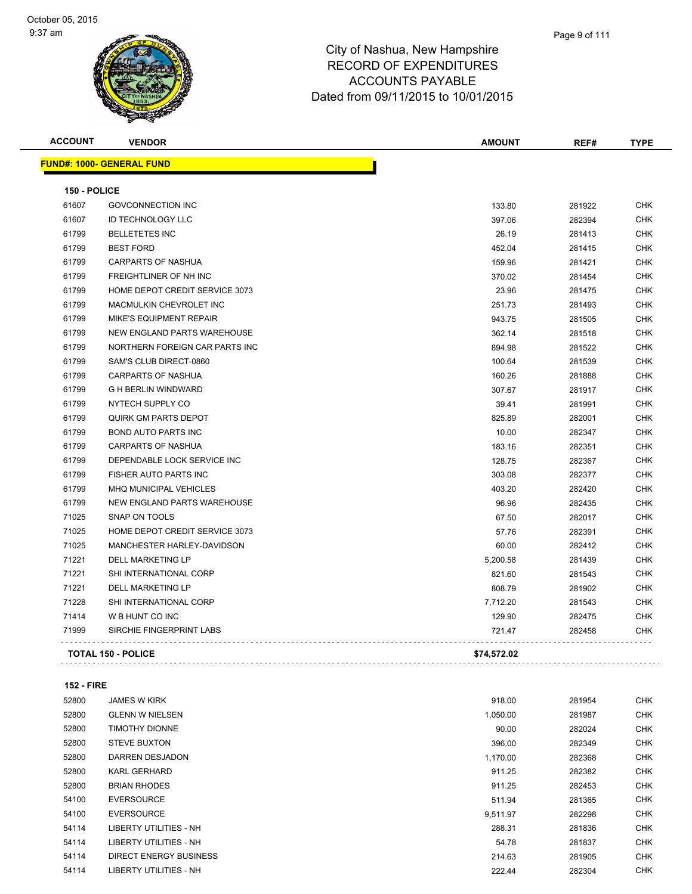| <b>ACCOUNT</b> | <b>VENDOR</b>                    | <b>AMOUNT</b> | REF#   | <b>TYPE</b> |
|----------------|----------------------------------|---------------|--------|-------------|
|                | <b>FUND#: 1000- GENERAL FUND</b> |               |        |             |
| 150 - POLICE   |                                  |               |        |             |
| 61607          | <b>GOVCONNECTION INC</b>         | 133.80        | 281922 | <b>CHK</b>  |
| 61607          | <b>ID TECHNOLOGY LLC</b>         | 397.06        | 282394 | <b>CHK</b>  |
| 61799          | <b>BELLETETES INC</b>            | 26.19         | 281413 | <b>CHK</b>  |
| 61799          | <b>BEST FORD</b>                 | 452.04        | 281415 | <b>CHK</b>  |
| 61799          | <b>CARPARTS OF NASHUA</b>        | 159.96        | 281421 | <b>CHK</b>  |
| 61799          | FREIGHTLINER OF NH INC           | 370.02        | 281454 | <b>CHK</b>  |
| 61799          | HOME DEPOT CREDIT SERVICE 3073   | 23.96         | 281475 | <b>CHK</b>  |
| 61799          | <b>MACMULKIN CHEVROLET INC</b>   | 251.73        | 281493 | <b>CHK</b>  |
| 61799          | MIKE'S EQUIPMENT REPAIR          | 943.75        | 281505 | <b>CHK</b>  |
| 61799          | NEW ENGLAND PARTS WAREHOUSE      | 362.14        | 281518 | <b>CHK</b>  |
| 61799          | NORTHERN FOREIGN CAR PARTS INC   | 894.98        | 281522 | <b>CHK</b>  |
| 61799          | SAM'S CLUB DIRECT-0860           | 100.64        | 281539 | <b>CHK</b>  |
| 61799          | <b>CARPARTS OF NASHUA</b>        | 160.26        | 281888 | <b>CHK</b>  |
| 61799          | <b>G H BERLIN WINDWARD</b>       | 307.67        | 281917 | <b>CHK</b>  |
| 61799          | NYTECH SUPPLY CO                 | 39.41         | 281991 | CHK         |
| 61799          | QUIRK GM PARTS DEPOT             | 825.89        | 282001 | <b>CHK</b>  |
| 61799          | <b>BOND AUTO PARTS INC</b>       | 10.00         | 282347 | <b>CHK</b>  |
| 61799          | <b>CARPARTS OF NASHUA</b>        | 183.16        | 282351 | CHK         |
| 61799          | DEPENDABLE LOCK SERVICE INC      | 128.75        | 282367 | <b>CHK</b>  |
| 61799          | <b>FISHER AUTO PARTS INC</b>     | 303.08        | 282377 | CHK         |
| 61799          | MHQ MUNICIPAL VEHICLES           | 403.20        | 282420 | <b>CHK</b>  |
| 61799          | NEW ENGLAND PARTS WAREHOUSE      | 96.96         | 282435 | <b>CHK</b>  |
| 71025          | SNAP ON TOOLS                    | 67.50         | 282017 | CHK         |
| 71025          | HOME DEPOT CREDIT SERVICE 3073   | 57.76         | 282391 | <b>CHK</b>  |
| 71025          | MANCHESTER HARLEY-DAVIDSON       | 60.00         | 282412 | <b>CHK</b>  |
| 71221          | <b>DELL MARKETING LP</b>         | 5,200.58      | 281439 | CHK         |
| 71221          | SHI INTERNATIONAL CORP           | 821.60        | 281543 | <b>CHK</b>  |
| 71221          | <b>DELL MARKETING LP</b>         | 808.79        | 281902 | CHK         |
| 71228          | SHI INTERNATIONAL CORP           | 7,712.20      | 281543 | <b>CHK</b>  |
| 71414          | W B HUNT CO INC                  | 129.90        | 282475 | <b>CHK</b>  |
| 71999          | SIRCHIE FINGERPRINT LABS         | 721.47        | 282458 | CHK         |
|                | <b>TOTAL 150 - POLICE</b>        | \$74,572.02   |        |             |

**152 - FIRE**

| 52800 | <b>JAMES W KIRK</b>           | 918.00   | 281954 | <b>CHK</b> |
|-------|-------------------------------|----------|--------|------------|
| 52800 | <b>GLENN W NIELSEN</b>        | 1,050.00 | 281987 | <b>CHK</b> |
| 52800 | <b>TIMOTHY DIONNE</b>         | 90.00    | 282024 | <b>CHK</b> |
| 52800 | <b>STEVE BUXTON</b>           | 396.00   | 282349 | <b>CHK</b> |
| 52800 | DARREN DESJADON               | 1,170.00 | 282368 | <b>CHK</b> |
| 52800 | <b>KARL GERHARD</b>           | 911.25   | 282382 | <b>CHK</b> |
| 52800 | <b>BRIAN RHODES</b>           | 911.25   | 282453 | <b>CHK</b> |
| 54100 | <b>EVERSOURCE</b>             | 511.94   | 281365 | <b>CHK</b> |
| 54100 | <b>EVERSOURCE</b>             | 9,511.97 | 282298 | <b>CHK</b> |
| 54114 | LIBERTY UTILITIES - NH        | 288.31   | 281836 | <b>CHK</b> |
| 54114 | LIBERTY UTILITIES - NH        | 54.78    | 281837 | <b>CHK</b> |
| 54114 | <b>DIRECT ENERGY BUSINESS</b> | 214.63   | 281905 | <b>CHK</b> |
| 54114 | <b>LIBERTY UTILITIES - NH</b> | 222.44   | 282304 | <b>CHK</b> |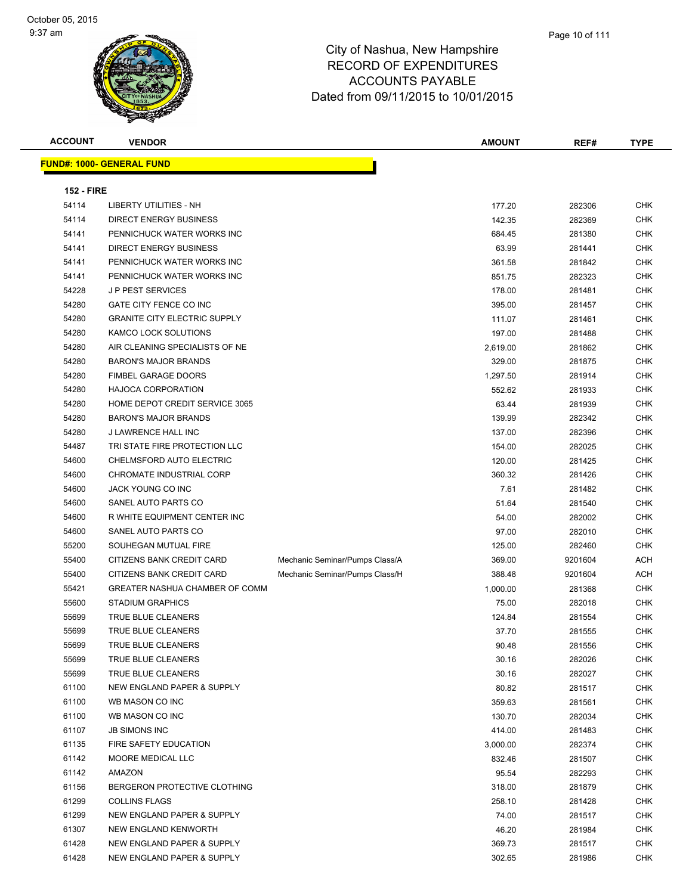| <b>ACCOUNT</b>    | <b>VENDOR</b>                       |                                | <b>AMOUNT</b> | REF#    | <b>TYPE</b> |  |  |
|-------------------|-------------------------------------|--------------------------------|---------------|---------|-------------|--|--|
|                   | <b>FUND#: 1000- GENERAL FUND</b>    |                                |               |         |             |  |  |
| <b>152 - FIRE</b> |                                     |                                |               |         |             |  |  |
| 54114             | <b>LIBERTY UTILITIES - NH</b>       |                                | 177.20        | 282306  | <b>CHK</b>  |  |  |
| 54114             | DIRECT ENERGY BUSINESS              |                                | 142.35        | 282369  | <b>CHK</b>  |  |  |
| 54141             | PENNICHUCK WATER WORKS INC          |                                | 684.45        | 281380  | <b>CHK</b>  |  |  |
| 54141             | <b>DIRECT ENERGY BUSINESS</b>       |                                | 63.99         | 281441  | <b>CHK</b>  |  |  |
| 54141             | PENNICHUCK WATER WORKS INC          |                                | 361.58        | 281842  | <b>CHK</b>  |  |  |
| 54141             | PENNICHUCK WATER WORKS INC          |                                | 851.75        | 282323  | <b>CHK</b>  |  |  |
| 54228             | J P PEST SERVICES                   |                                | 178.00        | 281481  | <b>CHK</b>  |  |  |
| 54280             | GATE CITY FENCE CO INC              |                                | 395.00        | 281457  | <b>CHK</b>  |  |  |
| 54280             | <b>GRANITE CITY ELECTRIC SUPPLY</b> |                                | 111.07        | 281461  | <b>CHK</b>  |  |  |
| 54280             | KAMCO LOCK SOLUTIONS                |                                | 197.00        | 281488  | <b>CHK</b>  |  |  |
| 54280             | AIR CLEANING SPECIALISTS OF NE      |                                | 2,619.00      | 281862  | <b>CHK</b>  |  |  |
| 54280             | <b>BARON'S MAJOR BRANDS</b>         |                                | 329.00        | 281875  | <b>CHK</b>  |  |  |
| 54280             | <b>FIMBEL GARAGE DOORS</b>          |                                | 1,297.50      | 281914  | <b>CHK</b>  |  |  |
| 54280             | <b>HAJOCA CORPORATION</b>           |                                | 552.62        | 281933  | <b>CHK</b>  |  |  |
| 54280             | HOME DEPOT CREDIT SERVICE 3065      |                                | 63.44         | 281939  | <b>CHK</b>  |  |  |
| 54280             | <b>BARON'S MAJOR BRANDS</b>         |                                | 139.99        | 282342  | <b>CHK</b>  |  |  |
| 54280             | J LAWRENCE HALL INC                 |                                | 137.00        | 282396  | <b>CHK</b>  |  |  |
| 54487             | TRI STATE FIRE PROTECTION LLC       |                                | 154.00        | 282025  | <b>CHK</b>  |  |  |
| 54600             | CHELMSFORD AUTO ELECTRIC            |                                | 120.00        | 281425  | CHK         |  |  |
| 54600             | CHROMATE INDUSTRIAL CORP            |                                | 360.32        | 281426  | <b>CHK</b>  |  |  |
| 54600             | JACK YOUNG CO INC                   |                                | 7.61          | 281482  | <b>CHK</b>  |  |  |
| 54600             | SANEL AUTO PARTS CO                 |                                | 51.64         | 281540  | <b>CHK</b>  |  |  |
| 54600             | R WHITE EQUIPMENT CENTER INC        |                                | 54.00         | 282002  | <b>CHK</b>  |  |  |
| 54600             | SANEL AUTO PARTS CO                 |                                | 97.00         | 282010  | <b>CHK</b>  |  |  |
| 55200             | SOUHEGAN MUTUAL FIRE                |                                | 125.00        | 282460  | <b>CHK</b>  |  |  |
| 55400             | CITIZENS BANK CREDIT CARD           | Mechanic Seminar/Pumps Class/A | 369.00        | 9201604 | ACH         |  |  |
| 55400             | CITIZENS BANK CREDIT CARD           | Mechanic Seminar/Pumps Class/H | 388.48        | 9201604 | <b>ACH</b>  |  |  |
| 55421             | GREATER NASHUA CHAMBER OF COMM      |                                | 1,000.00      | 281368  | <b>CHK</b>  |  |  |
| 55600             | <b>STADIUM GRAPHICS</b>             |                                | 75.00         | 282018  | <b>CHK</b>  |  |  |
| 55699             | TRUE BLUE CLEANERS                  |                                | 124.84        | 281554  | <b>CHK</b>  |  |  |
| 55699             | <b>TRUE BLUE CLEANERS</b>           |                                | 37.70         | 281555  | <b>CHK</b>  |  |  |
| 55699             | TRUE BLUE CLEANERS                  |                                | 90.48         | 281556  | <b>CHK</b>  |  |  |
| 55699             | TRUE BLUE CLEANERS                  |                                | 30.16         | 282026  | <b>CHK</b>  |  |  |
| 55699             | TRUE BLUE CLEANERS                  |                                | 30.16         | 282027  | <b>CHK</b>  |  |  |
| 61100             | NEW ENGLAND PAPER & SUPPLY          |                                | 80.82         | 281517  | <b>CHK</b>  |  |  |
| 61100             | WB MASON CO INC                     |                                | 359.63        | 281561  | <b>CHK</b>  |  |  |
| 61100             | WB MASON CO INC                     |                                | 130.70        | 282034  | <b>CHK</b>  |  |  |
| 61107             | <b>JB SIMONS INC</b>                |                                | 414.00        | 281483  | <b>CHK</b>  |  |  |
| 61135             | FIRE SAFETY EDUCATION               |                                | 3,000.00      | 282374  | <b>CHK</b>  |  |  |
| 61142             | MOORE MEDICAL LLC                   |                                | 832.46        | 281507  | <b>CHK</b>  |  |  |
| 61142             | <b>AMAZON</b>                       |                                | 95.54         | 282293  | <b>CHK</b>  |  |  |
| 61156             | BERGERON PROTECTIVE CLOTHING        |                                | 318.00        | 281879  | <b>CHK</b>  |  |  |
| 61299             | <b>COLLINS FLAGS</b>                |                                | 258.10        | 281428  | <b>CHK</b>  |  |  |
| 61299             | NEW ENGLAND PAPER & SUPPLY          |                                | 74.00         | 281517  | <b>CHK</b>  |  |  |
| 61307             | <b>NEW ENGLAND KENWORTH</b>         |                                | 46.20         | 281984  | <b>CHK</b>  |  |  |
| 61428             | NEW ENGLAND PAPER & SUPPLY          |                                | 369.73        | 281517  | <b>CHK</b>  |  |  |
| 61428             | NEW ENGLAND PAPER & SUPPLY          |                                | 302.65        | 281986  | <b>CHK</b>  |  |  |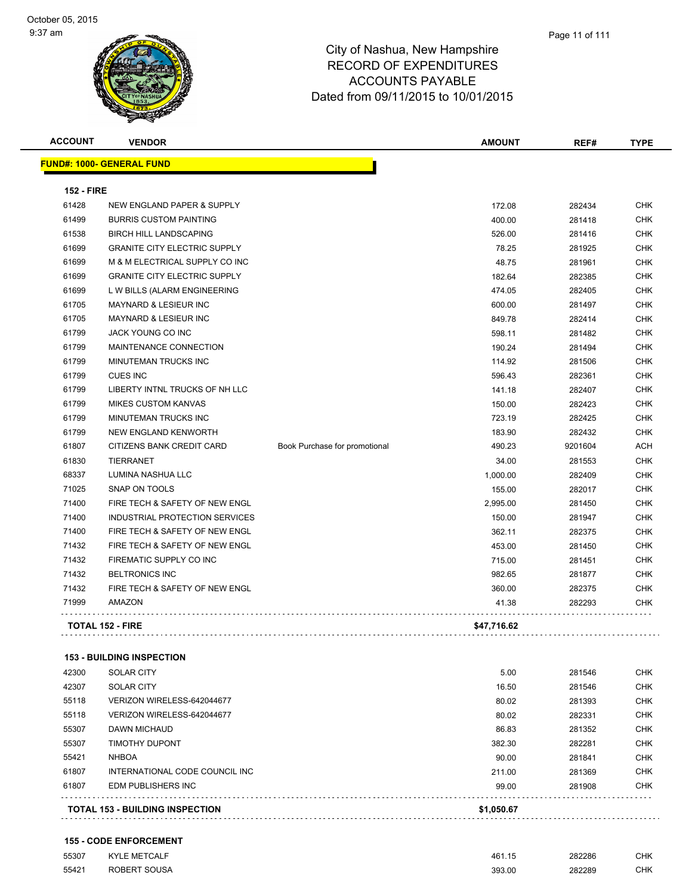| <b>ACCOUNT</b>    | <b>VENDOR</b>                       |                               | <b>AMOUNT</b> | REF#    | <b>TYPE</b> |
|-------------------|-------------------------------------|-------------------------------|---------------|---------|-------------|
|                   | <b>FUND#: 1000- GENERAL FUND</b>    |                               |               |         |             |
| <b>152 - FIRE</b> |                                     |                               |               |         |             |
| 61428             | NEW ENGLAND PAPER & SUPPLY          |                               | 172.08        | 282434  | <b>CHK</b>  |
| 61499             | <b>BURRIS CUSTOM PAINTING</b>       |                               | 400.00        | 281418  | <b>CHK</b>  |
| 61538             | <b>BIRCH HILL LANDSCAPING</b>       |                               | 526.00        | 281416  | <b>CHK</b>  |
| 61699             | <b>GRANITE CITY ELECTRIC SUPPLY</b> |                               | 78.25         | 281925  | <b>CHK</b>  |
| 61699             | M & M ELECTRICAL SUPPLY CO INC      |                               | 48.75         | 281961  | <b>CHK</b>  |
| 61699             | <b>GRANITE CITY ELECTRIC SUPPLY</b> |                               | 182.64        | 282385  | <b>CHK</b>  |
| 61699             | L W BILLS (ALARM ENGINEERING        |                               | 474.05        | 282405  | <b>CHK</b>  |
| 61705             | MAYNARD & LESIEUR INC               |                               | 600.00        | 281497  | <b>CHK</b>  |
| 61705             | <b>MAYNARD &amp; LESIEUR INC</b>    |                               | 849.78        | 282414  | <b>CHK</b>  |
| 61799             | <b>JACK YOUNG CO INC</b>            |                               | 598.11        | 281482  | <b>CHK</b>  |
| 61799             | MAINTENANCE CONNECTION              |                               | 190.24        | 281494  | <b>CHK</b>  |
| 61799             | MINUTEMAN TRUCKS INC                |                               | 114.92        | 281506  | <b>CHK</b>  |
| 61799             | <b>CUES INC</b>                     |                               | 596.43        | 282361  | <b>CHK</b>  |
| 61799             | LIBERTY INTNL TRUCKS OF NH LLC      |                               | 141.18        | 282407  | <b>CHK</b>  |
| 61799             | <b>MIKES CUSTOM KANVAS</b>          |                               | 150.00        | 282423  | <b>CHK</b>  |
| 61799             | MINUTEMAN TRUCKS INC                |                               | 723.19        | 282425  | <b>CHK</b>  |
| 61799             | NEW ENGLAND KENWORTH                |                               | 183.90        | 282432  | <b>CHK</b>  |
| 61807             | CITIZENS BANK CREDIT CARD           | Book Purchase for promotional | 490.23        | 9201604 | <b>ACH</b>  |
| 61830             | <b>TIERRANET</b>                    |                               | 34.00         | 281553  | <b>CHK</b>  |
| 68337             | LUMINA NASHUA LLC                   |                               | 1,000.00      | 282409  | <b>CHK</b>  |
| 71025             | <b>SNAP ON TOOLS</b>                |                               | 155.00        | 282017  | <b>CHK</b>  |
| 71400             | FIRE TECH & SAFETY OF NEW ENGL      |                               | 2,995.00      | 281450  | <b>CHK</b>  |
| 71400             | INDUSTRIAL PROTECTION SERVICES      |                               | 150.00        | 281947  | <b>CHK</b>  |
| 71400             | FIRE TECH & SAFETY OF NEW ENGL      |                               | 362.11        | 282375  | <b>CHK</b>  |
| 71432             | FIRE TECH & SAFETY OF NEW ENGL      |                               | 453.00        | 281450  | <b>CHK</b>  |
| 71432             | FIREMATIC SUPPLY CO INC             |                               | 715.00        | 281451  | <b>CHK</b>  |
| 71432             | <b>BELTRONICS INC</b>               |                               | 982.65        | 281877  | <b>CHK</b>  |
| 71432             | FIRE TECH & SAFETY OF NEW ENGL      |                               | 360.00        | 282375  | <b>CHK</b>  |
| 71999             | AMAZON                              |                               | 41.38         | 282293  | <b>CHK</b>  |
|                   | <b>TOTAL 152 - FIRE</b>             |                               | \$47,716.62   |         |             |

#### **153 - BUILDING INSPECTION**

|       | <b>TOTAL 153 - BUILDING INSPECTION</b> | \$1,050.67 |        |            |
|-------|----------------------------------------|------------|--------|------------|
| 61807 | EDM PUBLISHERS INC                     | 99.00      | 281908 | <b>CHK</b> |
| 61807 | INTERNATIONAL CODE COUNCIL INC         | 211.00     | 281369 | <b>CHK</b> |
| 55421 | <b>NHBOA</b>                           | 90.00      | 281841 | <b>CHK</b> |
| 55307 | TIMOTHY DUPONT                         | 382.30     | 282281 | <b>CHK</b> |
| 55307 | <b>DAWN MICHAUD</b>                    | 86.83      | 281352 | <b>CHK</b> |
| 55118 | VERIZON WIRELESS-642044677             | 80.02      | 282331 | <b>CHK</b> |
| 55118 | VERIZON WIRELESS-642044677             | 80.02      | 281393 | <b>CHK</b> |
| 42307 | <b>SOLAR CITY</b>                      | 16.50      | 281546 | <b>CHK</b> |
| 42300 | <b>SOLAR CITY</b>                      | 5.00       | 281546 | <b>CHK</b> |

**155 - CODE ENFORCEMENT**

| 55307 | <b>KYLE METCALF</b> | 461.15 | 282286 | CHK |
|-------|---------------------|--------|--------|-----|
| 55421 | ROBERT SOUSA        | 393.00 | 282289 | CHK |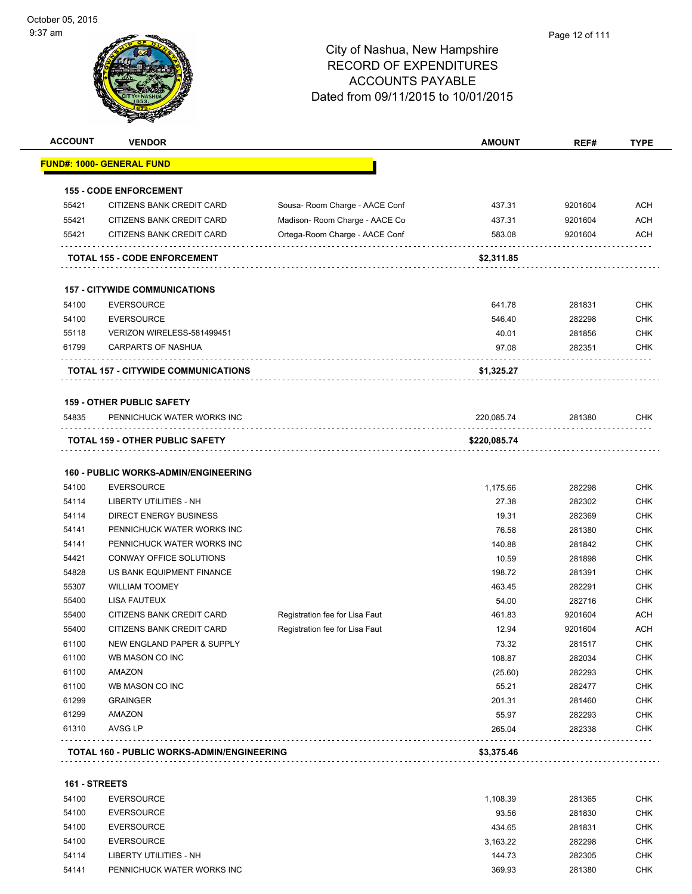

|                | <b>VENDOR</b>                               |                                | <b>AMOUNT</b> | REF#    | <b>TYPE</b>                                                                                                                                                                                                                                              |
|----------------|---------------------------------------------|--------------------------------|---------------|---------|----------------------------------------------------------------------------------------------------------------------------------------------------------------------------------------------------------------------------------------------------------|
|                | <u> FUND#: 1000- GENERAL FUND</u>           |                                |               |         |                                                                                                                                                                                                                                                          |
|                | <b>155 - CODE ENFORCEMENT</b>               |                                |               |         |                                                                                                                                                                                                                                                          |
| 55421          | CITIZENS BANK CREDIT CARD                   | Sousa-Room Charge - AACE Conf  | 437.31        | 9201604 | <b>ACH</b>                                                                                                                                                                                                                                               |
| 55421          | CITIZENS BANK CREDIT CARD                   | Madison- Room Charge - AACE Co | 437.31        | 9201604 | <b>ACH</b>                                                                                                                                                                                                                                               |
| 55421          | CITIZENS BANK CREDIT CARD                   | Ortega-Room Charge - AACE Conf | 583.08        | 9201604 | <b>ACH</b>                                                                                                                                                                                                                                               |
|                | <b>TOTAL 155 - CODE ENFORCEMENT</b>         |                                | \$2,311.85    |         |                                                                                                                                                                                                                                                          |
|                | <b>157 - CITYWIDE COMMUNICATIONS</b>        |                                |               |         |                                                                                                                                                                                                                                                          |
| 54100          | <b>EVERSOURCE</b>                           |                                | 641.78        | 281831  | <b>CHK</b>                                                                                                                                                                                                                                               |
| 54100          | <b>EVERSOURCE</b>                           |                                | 546.40        | 282298  | <b>CHK</b>                                                                                                                                                                                                                                               |
| 55118          | VERIZON WIRELESS-581499451                  |                                | 40.01         | 281856  | <b>CHK</b>                                                                                                                                                                                                                                               |
| 61799          | <b>CARPARTS OF NASHUA</b>                   |                                | 97.08         | 282351  | <b>CHK</b>                                                                                                                                                                                                                                               |
|                | TOTAL 157 - CITYWIDE COMMUNICATIONS         |                                | \$1,325.27    |         |                                                                                                                                                                                                                                                          |
|                | <b>159 - OTHER PUBLIC SAFETY</b>            |                                |               |         |                                                                                                                                                                                                                                                          |
| 54835          | PENNICHUCK WATER WORKS INC                  |                                | 220,085.74    | 281380  | <b>CHK</b>                                                                                                                                                                                                                                               |
|                | .                                           |                                |               |         |                                                                                                                                                                                                                                                          |
|                | <b>TOTAL 159 - OTHER PUBLIC SAFETY</b>      |                                | \$220,085.74  |         |                                                                                                                                                                                                                                                          |
|                |                                             |                                |               |         |                                                                                                                                                                                                                                                          |
|                | <b>160 - PUBLIC WORKS-ADMIN/ENGINEERING</b> |                                |               |         |                                                                                                                                                                                                                                                          |
| 54100          | <b>EVERSOURCE</b>                           |                                | 1,175.66      | 282298  |                                                                                                                                                                                                                                                          |
| 54114          | LIBERTY UTILITIES - NH                      |                                | 27.38         | 282302  |                                                                                                                                                                                                                                                          |
| 54114          | <b>DIRECT ENERGY BUSINESS</b>               |                                | 19.31         | 282369  |                                                                                                                                                                                                                                                          |
| 54141          | PENNICHUCK WATER WORKS INC                  |                                | 76.58         | 281380  |                                                                                                                                                                                                                                                          |
| 54141          | PENNICHUCK WATER WORKS INC                  |                                | 140.88        | 281842  |                                                                                                                                                                                                                                                          |
| 54421          | CONWAY OFFICE SOLUTIONS                     |                                | 10.59         | 281898  |                                                                                                                                                                                                                                                          |
| 54828          | US BANK EQUIPMENT FINANCE                   |                                | 198.72        | 281391  |                                                                                                                                                                                                                                                          |
| 55307          | <b>WILLIAM TOOMEY</b>                       |                                | 463.45        | 282291  |                                                                                                                                                                                                                                                          |
| 55400          | <b>LISA FAUTEUX</b>                         |                                | 54.00         | 282716  |                                                                                                                                                                                                                                                          |
| 55400          | CITIZENS BANK CREDIT CARD                   | Registration fee for Lisa Faut | 461.83        | 9201604 |                                                                                                                                                                                                                                                          |
| 55400          | CITIZENS BANK CREDIT CARD                   | Registration fee for Lisa Faut | 12.94         | 9201604 |                                                                                                                                                                                                                                                          |
| 61100          | NEW ENGLAND PAPER & SUPPLY                  |                                | 73.32         | 281517  |                                                                                                                                                                                                                                                          |
| 61100          | WB MASON CO INC                             |                                | 108.87        | 282034  |                                                                                                                                                                                                                                                          |
|                | AMAZON                                      |                                | (25.60)       | 282293  |                                                                                                                                                                                                                                                          |
| 61100<br>61100 | WB MASON CO INC                             |                                | 55.21         | 282477  |                                                                                                                                                                                                                                                          |
|                | <b>GRAINGER</b>                             |                                | 201.31        | 281460  |                                                                                                                                                                                                                                                          |
| 61299          | AMAZON                                      |                                | 55.97         | 282293  |                                                                                                                                                                                                                                                          |
| 61299<br>61310 | <b>AVSG LP</b>                              |                                | 265.04        | 282338  | <b>CHK</b><br><b>CHK</b><br><b>CHK</b><br><b>CHK</b><br><b>CHK</b><br><b>CHK</b><br><b>CHK</b><br><b>CHK</b><br><b>CHK</b><br><b>ACH</b><br><b>ACH</b><br><b>CHK</b><br><b>CHK</b><br><b>CHK</b><br><b>CHK</b><br><b>CHK</b><br><b>CHK</b><br><b>CHK</b> |

**161 - STREETS**

| 54100 | <b>EVERSOURCE</b>          | 1.108.39 | 281365 | <b>CHK</b> |
|-------|----------------------------|----------|--------|------------|
| 54100 | EVERSOURCE                 | 93.56    | 281830 | <b>CHK</b> |
| 54100 | EVERSOURCE                 | 434.65   | 281831 | <b>CHK</b> |
| 54100 | EVERSOURCE                 | 3.163.22 | 282298 | CHK        |
| 54114 | LIBERTY UTILITIES - NH     | 144.73   | 282305 | <b>CHK</b> |
| 54141 | PENNICHUCK WATER WORKS INC | 369.93   | 281380 | <b>CHK</b> |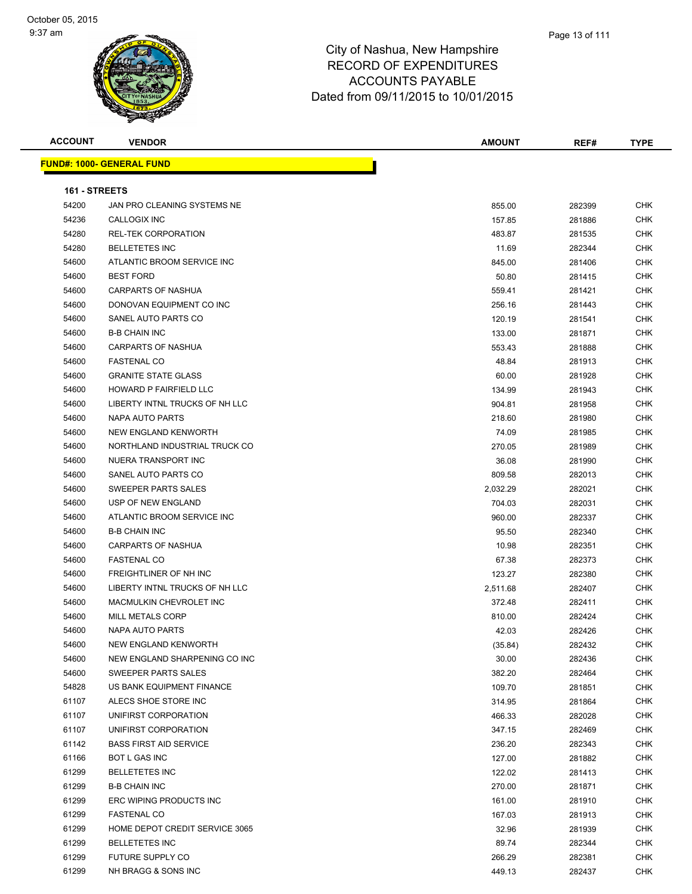| <b>ACCOUNT</b> | <b>VENDOR</b>                    | AMOUNT   | REF#   | TYPE       |
|----------------|----------------------------------|----------|--------|------------|
|                | <b>FUND#: 1000- GENERAL FUND</b> |          |        |            |
|                |                                  |          |        |            |
| 161 - STREETS  |                                  |          |        |            |
| 54200          | JAN PRO CLEANING SYSTEMS NE      | 855.00   | 282399 | CHK        |
| 54236          | CALLOGIX INC                     | 157.85   | 281886 | <b>CHK</b> |
| 54280          | <b>REL-TEK CORPORATION</b>       | 483.87   | 281535 | <b>CHK</b> |
| 54280          | <b>BELLETETES INC</b>            | 11.69    | 282344 | <b>CHK</b> |
| 54600          | ATLANTIC BROOM SERVICE INC       | 845.00   | 281406 | <b>CHK</b> |
| 54600          | <b>BEST FORD</b>                 | 50.80    | 281415 | <b>CHK</b> |
| 54600          | <b>CARPARTS OF NASHUA</b>        | 559.41   | 281421 | <b>CHK</b> |
| 54600          | DONOVAN EQUIPMENT CO INC         | 256.16   | 281443 | <b>CHK</b> |
| 54600          | SANEL AUTO PARTS CO              | 120.19   | 281541 | <b>CHK</b> |
| 54600          | <b>B-B CHAIN INC</b>             | 133.00   | 281871 | <b>CHK</b> |
| 54600          | <b>CARPARTS OF NASHUA</b>        | 553.43   | 281888 | <b>CHK</b> |
| 54600          | <b>FASTENAL CO</b>               | 48.84    | 281913 | <b>CHK</b> |
| 54600          | <b>GRANITE STATE GLASS</b>       | 60.00    | 281928 | <b>CHK</b> |
| 54600          | HOWARD P FAIRFIELD LLC           | 134.99   | 281943 | <b>CHK</b> |
| 54600          | LIBERTY INTNL TRUCKS OF NH LLC   | 904.81   | 281958 | CHK        |
| 54600          | NAPA AUTO PARTS                  | 218.60   | 281980 | <b>CHK</b> |
| 54600          | NEW ENGLAND KENWORTH             | 74.09    | 281985 | CHK        |
| 54600          | NORTHLAND INDUSTRIAL TRUCK CO    | 270.05   | 281989 | <b>CHK</b> |
| 54600          | NUERA TRANSPORT INC              | 36.08    | 281990 | <b>CHK</b> |
| 54600          | SANEL AUTO PARTS CO              | 809.58   | 282013 | <b>CHK</b> |
| 54600          | SWEEPER PARTS SALES              | 2,032.29 | 282021 | <b>CHK</b> |
| 54600          | USP OF NEW ENGLAND               | 704.03   | 282031 | <b>CHK</b> |
| 54600          | ATLANTIC BROOM SERVICE INC       | 960.00   | 282337 | <b>CHK</b> |
| 54600          | <b>B-B CHAIN INC</b>             | 95.50    | 282340 | <b>CHK</b> |
| 54600          | <b>CARPARTS OF NASHUA</b>        | 10.98    | 282351 | <b>CHK</b> |
| 54600          | <b>FASTENAL CO</b>               | 67.38    | 282373 | <b>CHK</b> |
| 54600          | FREIGHTLINER OF NH INC           | 123.27   | 282380 | <b>CHK</b> |
| 54600          | LIBERTY INTNL TRUCKS OF NH LLC   | 2,511.68 | 282407 | <b>CHK</b> |
| 54600          | MACMULKIN CHEVROLET INC          | 372.48   | 282411 | <b>CHK</b> |
| 54600          | <b>MILL METALS CORP</b>          | 810.00   | 282424 | <b>CHK</b> |
| 54600          | NAPA AUTO PARTS                  | 42.03    | 282426 | CHK        |
| 54600          | NEW ENGLAND KENWORTH             | (35.84)  | 282432 | CHK        |
| 54600          | NEW ENGLAND SHARPENING CO INC    | 30.00    | 282436 | <b>CHK</b> |
| 54600          | SWEEPER PARTS SALES              | 382.20   | 282464 | <b>CHK</b> |
| 54828          | US BANK EQUIPMENT FINANCE        | 109.70   | 281851 | <b>CHK</b> |
| 61107          | ALECS SHOE STORE INC             | 314.95   | 281864 | <b>CHK</b> |
| 61107          | UNIFIRST CORPORATION             | 466.33   | 282028 | <b>CHK</b> |
| 61107          | UNIFIRST CORPORATION             | 347.15   | 282469 | <b>CHK</b> |
| 61142          | <b>BASS FIRST AID SERVICE</b>    | 236.20   | 282343 | CHK        |
| 61166          | BOT L GAS INC                    | 127.00   | 281882 | <b>CHK</b> |
| 61299          | <b>BELLETETES INC</b>            | 122.02   | 281413 | <b>CHK</b> |
| 61299          | <b>B-B CHAIN INC</b>             | 270.00   | 281871 | <b>CHK</b> |
| 61299          | ERC WIPING PRODUCTS INC          | 161.00   | 281910 | <b>CHK</b> |
| 61299          | <b>FASTENAL CO</b>               | 167.03   | 281913 | <b>CHK</b> |
| 61299          | HOME DEPOT CREDIT SERVICE 3065   | 32.96    | 281939 | CHK        |
| 61299          | <b>BELLETETES INC</b>            | 89.74    | 282344 | <b>CHK</b> |
| 61299          | FUTURE SUPPLY CO                 | 266.29   | 282381 | CHK        |
| 61299          | NH BRAGG & SONS INC              | 449.13   | 282437 | CHK        |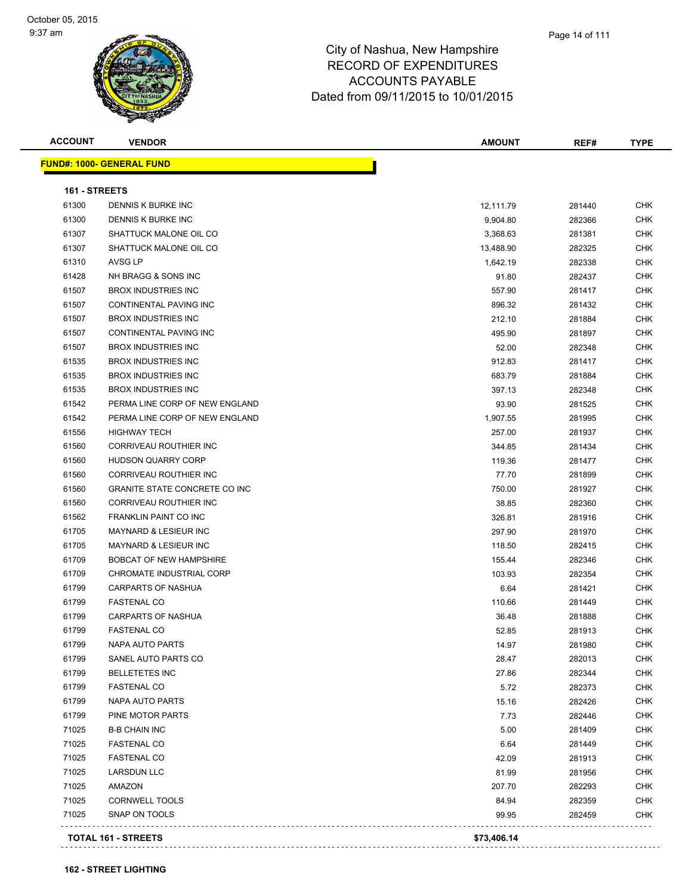| <b>ACCOUNT</b> | <b>VENDOR</b>                        | <b>AMOUNT</b> | REF#   | <b>TYPE</b> |
|----------------|--------------------------------------|---------------|--------|-------------|
|                | <b>FUND#: 1000- GENERAL FUND</b>     |               |        |             |
|                |                                      |               |        |             |
| 161 - STREETS  |                                      |               |        |             |
| 61300          | DENNIS K BURKE INC                   | 12,111.79     | 281440 | <b>CHK</b>  |
| 61300          | DENNIS K BURKE INC                   | 9,904.80      | 282366 | <b>CHK</b>  |
| 61307          | SHATTUCK MALONE OIL CO               | 3,368.63      | 281381 | <b>CHK</b>  |
| 61307          | SHATTUCK MALONE OIL CO               | 13,488.90     | 282325 | CHK         |
| 61310          | AVSG LP                              | 1,642.19      | 282338 | CHK         |
| 61428          | NH BRAGG & SONS INC                  | 91.80         | 282437 | CHK         |
| 61507          | <b>BROX INDUSTRIES INC</b>           | 557.90        | 281417 | <b>CHK</b>  |
| 61507          | CONTINENTAL PAVING INC               | 896.32        | 281432 | <b>CHK</b>  |
| 61507          | <b>BROX INDUSTRIES INC</b>           | 212.10        | 281884 | <b>CHK</b>  |
| 61507          | CONTINENTAL PAVING INC               | 495.90        | 281897 | <b>CHK</b>  |
| 61507          | <b>BROX INDUSTRIES INC</b>           | 52.00         | 282348 | <b>CHK</b>  |
| 61535          | <b>BROX INDUSTRIES INC</b>           | 912.83        | 281417 | <b>CHK</b>  |
| 61535          | <b>BROX INDUSTRIES INC</b>           | 683.79        | 281884 | <b>CHK</b>  |
| 61535          | <b>BROX INDUSTRIES INC</b>           | 397.13        | 282348 | CHK         |
| 61542          | PERMA LINE CORP OF NEW ENGLAND       | 93.90         | 281525 | CHK         |
| 61542          | PERMA LINE CORP OF NEW ENGLAND       | 1,907.55      | 281995 | CHK         |
| 61556          | <b>HIGHWAY TECH</b>                  | 257.00        | 281937 | CHK         |
| 61560          | CORRIVEAU ROUTHIER INC               | 344.85        | 281434 | CHK         |
| 61560          | <b>HUDSON QUARRY CORP</b>            | 119.36        | 281477 | <b>CHK</b>  |
| 61560          | CORRIVEAU ROUTHIER INC               | 77.70         | 281899 | CHK         |
| 61560          | <b>GRANITE STATE CONCRETE CO INC</b> | 750.00        | 281927 | <b>CHK</b>  |
| 61560          | CORRIVEAU ROUTHIER INC               | 38.85         | 282360 | <b>CHK</b>  |
| 61562          | <b>FRANKLIN PAINT CO INC</b>         | 326.81        | 281916 | <b>CHK</b>  |
| 61705          | <b>MAYNARD &amp; LESIEUR INC</b>     | 297.90        | 281970 | <b>CHK</b>  |
| 61705          | <b>MAYNARD &amp; LESIEUR INC</b>     | 118.50        | 282415 | <b>CHK</b>  |
| 61709          | <b>BOBCAT OF NEW HAMPSHIRE</b>       | 155.44        | 282346 | CHK         |
| 61709          | CHROMATE INDUSTRIAL CORP             | 103.93        | 282354 | CHK         |
| 61799          | <b>CARPARTS OF NASHUA</b>            | 6.64          | 281421 | <b>CHK</b>  |
| 61799          | <b>FASTENAL CO</b>                   | 110.66        | 281449 | <b>CHK</b>  |
| 61799          | CARPARTS OF NASHUA                   | 36.48         | 281888 | <b>CHK</b>  |
| 61799          | <b>FASTENAL CO</b>                   | 52.85         | 281913 | <b>CHK</b>  |
| 61799          | NAPA AUTO PARTS                      | 14.97         | 281980 | CHK         |
| 61799          | SANEL AUTO PARTS CO                  | 28.47         | 282013 | CHK         |
| 61799          | <b>BELLETETES INC</b>                | 27.86         | 282344 | <b>CHK</b>  |
| 61799          | <b>FASTENAL CO</b>                   | 5.72          | 282373 | <b>CHK</b>  |
| 61799          | <b>NAPA AUTO PARTS</b>               | 15.16         | 282426 | CHK         |
| 61799          | PINE MOTOR PARTS                     | 7.73          | 282446 | <b>CHK</b>  |
| 71025          | <b>B-B CHAIN INC</b>                 | 5.00          | 281409 | <b>CHK</b>  |
| 71025          | <b>FASTENAL CO</b>                   | 6.64          | 281449 | <b>CHK</b>  |
| 71025          | <b>FASTENAL CO</b>                   | 42.09         | 281913 | <b>CHK</b>  |
| 71025          | LARSDUN LLC                          | 81.99         | 281956 | CHK         |
| 71025          | AMAZON                               | 207.70        | 282293 | CHK         |
| 71025          | <b>CORNWELL TOOLS</b>                | 84.94         | 282359 | <b>CHK</b>  |
| 71025          | SNAP ON TOOLS                        | 99.95         | 282459 | CHK         |
|                |                                      |               |        |             |
|                | TOTAL 161 - STREETS                  | \$73,406.14   |        |             |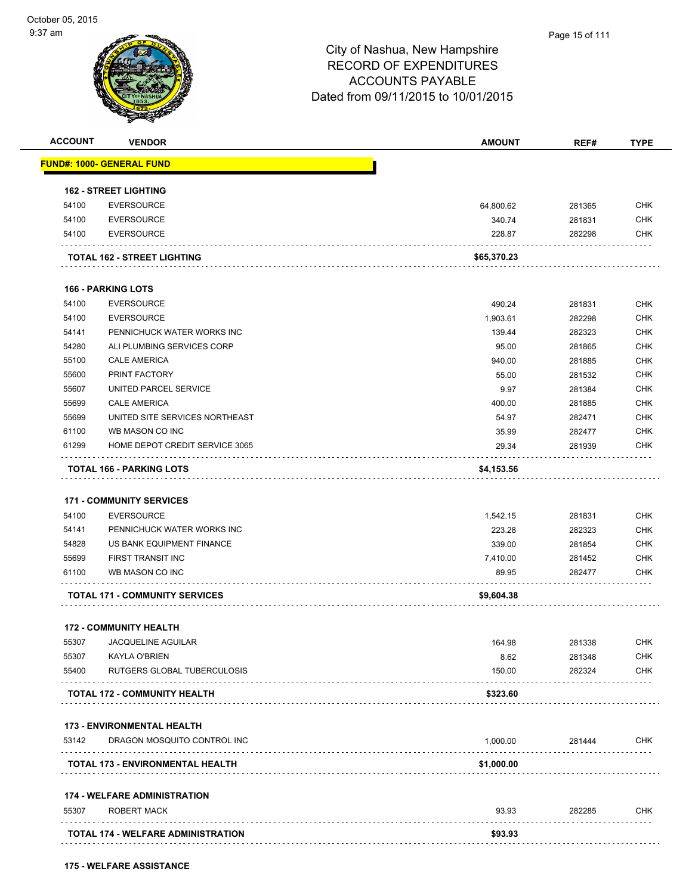| <b>ACCOUNT</b> | <b>VENDOR</b>                                                    | <b>AMOUNT</b> | REF#   | <b>TYPE</b> |
|----------------|------------------------------------------------------------------|---------------|--------|-------------|
|                | <b>FUND#: 1000- GENERAL FUND</b>                                 |               |        |             |
|                | <b>162 - STREET LIGHTING</b>                                     |               |        |             |
| 54100          | <b>EVERSOURCE</b>                                                | 64,800.62     | 281365 | <b>CHK</b>  |
| 54100          | <b>EVERSOURCE</b>                                                | 340.74        | 281831 | <b>CHK</b>  |
| 54100          | <b>EVERSOURCE</b>                                                | 228.87        | 282298 | <b>CHK</b>  |
|                | TOTAL 162 - STREET LIGHTING                                      | \$65,370.23   |        |             |
|                |                                                                  |               |        |             |
|                | <b>166 - PARKING LOTS</b>                                        |               |        |             |
| 54100          | <b>EVERSOURCE</b>                                                | 490.24        | 281831 | <b>CHK</b>  |
| 54100          | <b>EVERSOURCE</b>                                                | 1,903.61      | 282298 | <b>CHK</b>  |
| 54141          | PENNICHUCK WATER WORKS INC                                       | 139.44        | 282323 | <b>CHK</b>  |
| 54280          | ALI PLUMBING SERVICES CORP                                       | 95.00         | 281865 | <b>CHK</b>  |
| 55100          | <b>CALE AMERICA</b>                                              | 940.00        | 281885 | <b>CHK</b>  |
| 55600          | PRINT FACTORY                                                    | 55.00         | 281532 | <b>CHK</b>  |
| 55607          | UNITED PARCEL SERVICE                                            | 9.97          | 281384 | <b>CHK</b>  |
| 55699          | <b>CALE AMERICA</b>                                              | 400.00        | 281885 | <b>CHK</b>  |
| 55699          | UNITED SITE SERVICES NORTHEAST                                   | 54.97         | 282471 | <b>CHK</b>  |
| 61100          | WB MASON CO INC                                                  | 35.99         | 282477 | <b>CHK</b>  |
| 61299          | HOME DEPOT CREDIT SERVICE 3065                                   | 29.34         | 281939 | <b>CHK</b>  |
|                | <b>TOTAL 166 - PARKING LOTS</b>                                  | \$4,153.56    |        |             |
|                |                                                                  |               |        |             |
|                | <b>171 - COMMUNITY SERVICES</b>                                  |               |        |             |
| 54100          | <b>EVERSOURCE</b>                                                | 1,542.15      | 281831 | <b>CHK</b>  |
| 54141          | PENNICHUCK WATER WORKS INC                                       | 223.28        | 282323 | <b>CHK</b>  |
| 54828          | US BANK EQUIPMENT FINANCE                                        | 339.00        | 281854 | <b>CHK</b>  |
| 55699          | FIRST TRANSIT INC                                                | 7,410.00      | 281452 | <b>CHK</b>  |
| 61100          | WB MASON CO INC                                                  | 89.95         | 282477 | <b>CHK</b>  |
|                | <b>TOTAL 171 - COMMUNITY SERVICES</b>                            | \$9,604.38    |        |             |
|                |                                                                  |               |        |             |
|                | <b>172 - COMMUNITY HEALTH</b>                                    |               |        |             |
| 55307          | JACQUELINE AGUILAR                                               | 164.98        | 281338 | <b>CHK</b>  |
| 55307          | KAYLA O'BRIEN                                                    | 8.62          | 281348 | <b>CHK</b>  |
| 55400          | RUTGERS GLOBAL TUBERCULOSIS                                      | 150.00        | 282324 | <b>CHK</b>  |
|                | TOTAL 172 - COMMUNITY HEALTH                                     | \$323.60      |        |             |
|                |                                                                  |               |        |             |
| 53142          | <b>173 - ENVIRONMENTAL HEALTH</b><br>DRAGON MOSQUITO CONTROL INC | 1,000.00      | 281444 | <b>CHK</b>  |
|                | TOTAL 173 - ENVIRONMENTAL HEALTH                                 | \$1,000.00    |        |             |
|                |                                                                  |               |        |             |
|                | <b>174 - WELFARE ADMINISTRATION</b>                              |               |        |             |
| 55307          | <b>ROBERT MACK</b>                                               | 93.93         | 282285 | <b>CHK</b>  |
|                | <b>TOTAL 174 - WELFARE ADMINISTRATION</b>                        | \$93.93       |        |             |
|                |                                                                  |               |        |             |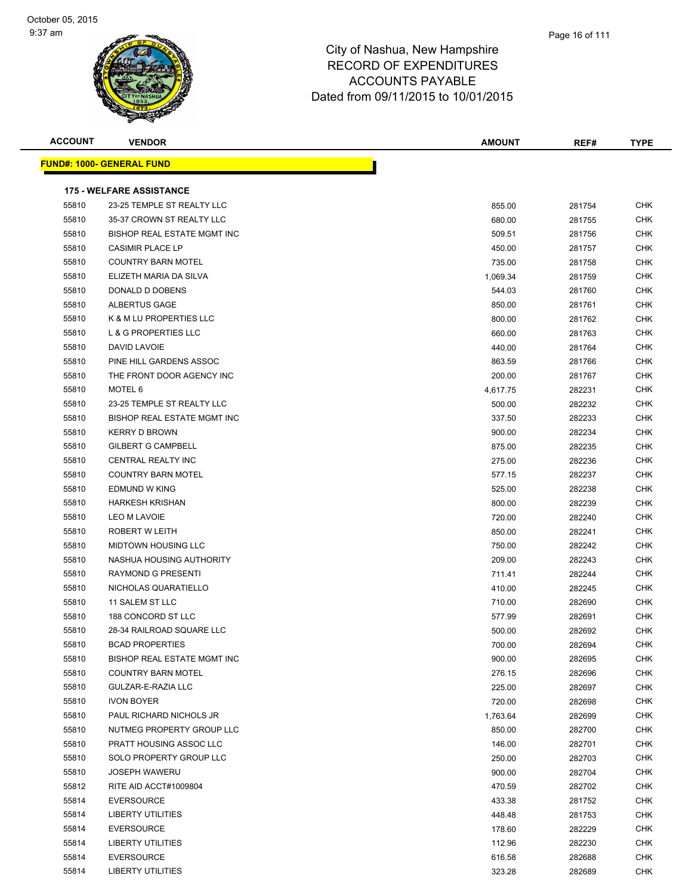| <b>ACCOUNT</b> | <b>VENDOR</b>                    | AMOUNT   | REF#   | <b>TYPE</b> |
|----------------|----------------------------------|----------|--------|-------------|
|                | <b>FUND#: 1000- GENERAL FUND</b> |          |        |             |
|                |                                  |          |        |             |
|                | <b>175 - WELFARE ASSISTANCE</b>  |          |        |             |
| 55810          | 23-25 TEMPLE ST REALTY LLC       | 855.00   | 281754 | <b>CHK</b>  |
| 55810          | 35-37 CROWN ST REALTY LLC        | 680.00   | 281755 | <b>CHK</b>  |
| 55810          | BISHOP REAL ESTATE MGMT INC      | 509.51   | 281756 | <b>CHK</b>  |
| 55810          | <b>CASIMIR PLACE LP</b>          | 450.00   | 281757 | <b>CHK</b>  |
| 55810          | <b>COUNTRY BARN MOTEL</b>        | 735.00   | 281758 | <b>CHK</b>  |
| 55810          | ELIZETH MARIA DA SILVA           | 1,069.34 | 281759 | <b>CHK</b>  |
| 55810          | DONALD D DOBENS                  | 544.03   | 281760 | <b>CHK</b>  |
| 55810          | ALBERTUS GAGE                    | 850.00   | 281761 | <b>CHK</b>  |
| 55810          | K & M LU PROPERTIES LLC          | 800.00   | 281762 | <b>CHK</b>  |
| 55810          | L & G PROPERTIES LLC             | 660.00   | 281763 | <b>CHK</b>  |
| 55810          | DAVID LAVOIE                     | 440.00   | 281764 | <b>CHK</b>  |
| 55810          | PINE HILL GARDENS ASSOC          | 863.59   | 281766 | <b>CHK</b>  |
| 55810          | THE FRONT DOOR AGENCY INC        | 200.00   | 281767 | <b>CHK</b>  |
| 55810          | MOTEL 6                          | 4,617.75 | 282231 | <b>CHK</b>  |
| 55810          | 23-25 TEMPLE ST REALTY LLC       | 500.00   | 282232 | <b>CHK</b>  |
| 55810          | BISHOP REAL ESTATE MGMT INC      | 337.50   | 282233 | <b>CHK</b>  |
| 55810          | <b>KERRY D BROWN</b>             | 900.00   | 282234 | <b>CHK</b>  |
| 55810          | <b>GILBERT G CAMPBELL</b>        | 875.00   | 282235 | <b>CHK</b>  |
| 55810          | CENTRAL REALTY INC               | 275.00   | 282236 | <b>CHK</b>  |
| 55810          | <b>COUNTRY BARN MOTEL</b>        | 577.15   | 282237 | <b>CHK</b>  |
| 55810          | EDMUND W KING                    | 525.00   | 282238 | <b>CHK</b>  |
| 55810          | <b>HARKESH KRISHAN</b>           | 800.00   | 282239 | CHK         |
| 55810          | <b>LEO M LAVOIE</b>              | 720.00   | 282240 | <b>CHK</b>  |
| 55810          | ROBERT W LEITH                   | 850.00   | 282241 | <b>CHK</b>  |
| 55810          | <b>MIDTOWN HOUSING LLC</b>       | 750.00   | 282242 | <b>CHK</b>  |
| 55810          | NASHUA HOUSING AUTHORITY         | 209.00   | 282243 | <b>CHK</b>  |
| 55810          | <b>RAYMOND G PRESENTI</b>        | 711.41   | 282244 | <b>CHK</b>  |
| 55810          | NICHOLAS QUARATIELLO             | 410.00   | 282245 | <b>CHK</b>  |
| 55810          | 11 SALEM ST LLC                  | 710.00   | 282690 | <b>CHK</b>  |
| 55810          | 188 CONCORD ST LLC               | 577.99   | 282691 | <b>CHK</b>  |
| 55810          | 28-34 RAILROAD SQUARE LLC        | 500.00   | 282692 | <b>CHK</b>  |
| 55810          | <b>BCAD PROPERTIES</b>           | 700.00   | 282694 | <b>CHK</b>  |
| 55810          | BISHOP REAL ESTATE MGMT INC      | 900.00   | 282695 | <b>CHK</b>  |
| 55810          | <b>COUNTRY BARN MOTEL</b>        | 276.15   | 282696 | <b>CHK</b>  |
| 55810          | GULZAR-E-RAZIA LLC               | 225.00   | 282697 | <b>CHK</b>  |
| 55810          | <b>IVON BOYER</b>                | 720.00   | 282698 | <b>CHK</b>  |
| 55810          | PAUL RICHARD NICHOLS JR          | 1,763.64 | 282699 | <b>CHK</b>  |
| 55810          | NUTMEG PROPERTY GROUP LLC        | 850.00   | 282700 | <b>CHK</b>  |
| 55810          | PRATT HOUSING ASSOC LLC          | 146.00   | 282701 | <b>CHK</b>  |
| 55810          | SOLO PROPERTY GROUP LLC          | 250.00   | 282703 | <b>CHK</b>  |
| 55810          | <b>JOSEPH WAWERU</b>             | 900.00   | 282704 | <b>CHK</b>  |
| 55812          | RITE AID ACCT#1009804            | 470.59   | 282702 | <b>CHK</b>  |
| 55814          | <b>EVERSOURCE</b>                | 433.38   | 281752 | <b>CHK</b>  |
| 55814          | LIBERTY UTILITIES                | 448.48   | 281753 | <b>CHK</b>  |
| 55814          | <b>EVERSOURCE</b>                | 178.60   | 282229 | <b>CHK</b>  |
| 55814          | LIBERTY UTILITIES                | 112.96   | 282230 | <b>CHK</b>  |
| 55814          | <b>EVERSOURCE</b>                | 616.58   | 282688 | <b>CHK</b>  |
| 55814          | <b>LIBERTY UTILITIES</b>         | 323.28   | 282689 | <b>CHK</b>  |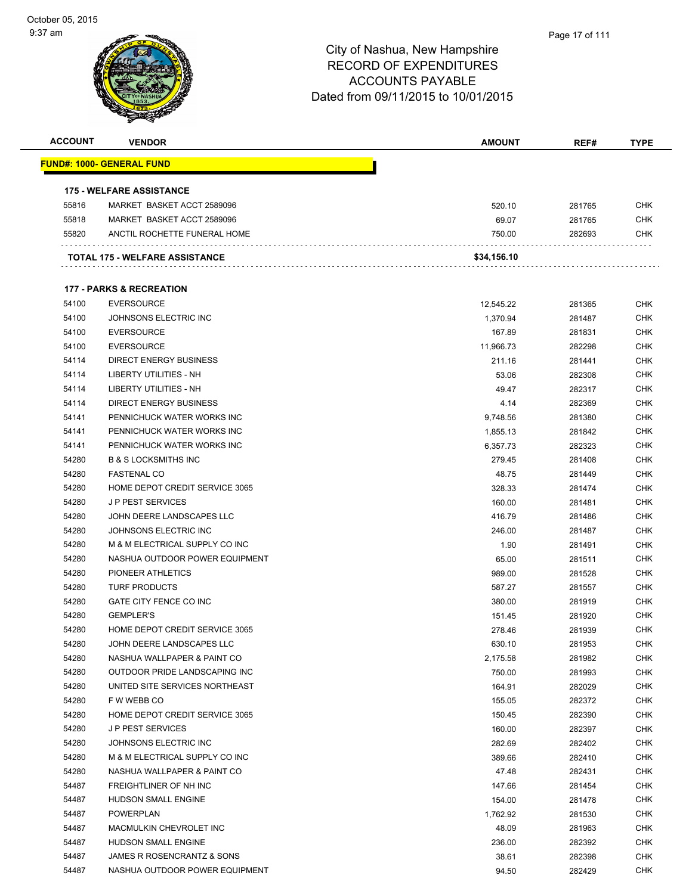

| <b>ACCOUNT</b> | <b>VENDOR</b>                       | <b>AMOUNT</b> | REF#   | <b>TYPE</b> |
|----------------|-------------------------------------|---------------|--------|-------------|
|                | <u> FUND#: 1000- GENERAL FUND</u>   |               |        |             |
|                | <b>175 - WELFARE ASSISTANCE</b>     |               |        |             |
| 55816          | MARKET BASKET ACCT 2589096          | 520.10        | 281765 | <b>CHK</b>  |
| 55818          | MARKET BASKET ACCT 2589096          | 69.07         | 281765 | <b>CHK</b>  |
| 55820          | ANCTIL ROCHETTE FUNERAL HOME        | 750.00        | 282693 | <b>CHK</b>  |
|                | TOTAL 175 - WELFARE ASSISTANCE      | \$34,156.10   |        |             |
|                |                                     |               |        |             |
|                | <b>177 - PARKS &amp; RECREATION</b> |               |        |             |
| 54100          | <b>EVERSOURCE</b>                   | 12,545.22     | 281365 | <b>CHK</b>  |
| 54100          | JOHNSONS ELECTRIC INC               | 1,370.94      | 281487 | <b>CHK</b>  |
| 54100          | <b>EVERSOURCE</b>                   | 167.89        | 281831 | <b>CHK</b>  |
| 54100          | <b>EVERSOURCE</b>                   | 11,966.73     | 282298 | <b>CHK</b>  |
| 54114          | <b>DIRECT ENERGY BUSINESS</b>       | 211.16        | 281441 | <b>CHK</b>  |
| 54114          | LIBERTY UTILITIES - NH              | 53.06         | 282308 | <b>CHK</b>  |
| 54114          | <b>LIBERTY UTILITIES - NH</b>       | 49.47         | 282317 | <b>CHK</b>  |
| 54114          | <b>DIRECT ENERGY BUSINESS</b>       | 4.14          | 282369 | <b>CHK</b>  |
| 54141          | PENNICHUCK WATER WORKS INC          | 9,748.56      | 281380 | <b>CHK</b>  |
| 54141          | PENNICHUCK WATER WORKS INC          | 1,855.13      | 281842 | <b>CHK</b>  |
| 54141          | PENNICHUCK WATER WORKS INC          | 6,357.73      | 282323 | <b>CHK</b>  |
| 54280          | <b>B &amp; S LOCKSMITHS INC</b>     | 279.45        | 281408 | <b>CHK</b>  |
| 54280          | <b>FASTENAL CO</b>                  | 48.75         | 281449 | <b>CHK</b>  |
| 54280          | HOME DEPOT CREDIT SERVICE 3065      | 328.33        | 281474 | <b>CHK</b>  |
| 54280          | <b>JP PEST SERVICES</b>             | 160.00        | 281481 | <b>CHK</b>  |
| 54280          | JOHN DEERE LANDSCAPES LLC           | 416.79        | 281486 | <b>CHK</b>  |
| 54280          | JOHNSONS ELECTRIC INC               | 246.00        | 281487 | <b>CHK</b>  |
| 54280          | M & M ELECTRICAL SUPPLY CO INC      | 1.90          | 281491 | <b>CHK</b>  |
| 54280          | NASHUA OUTDOOR POWER EQUIPMENT      | 65.00         | 281511 | <b>CHK</b>  |
| 54280          | PIONEER ATHLETICS                   | 989.00        | 281528 | <b>CHK</b>  |
| 54280          | <b>TURF PRODUCTS</b>                | 587.27        | 281557 | <b>CHK</b>  |
| 54280          | GATE CITY FENCE CO INC              | 380.00        | 281919 | <b>CHK</b>  |
| 54280          | <b>GEMPLER'S</b>                    | 151.45        | 281920 | <b>CHK</b>  |
| 54280          | HOME DEPOT CREDIT SERVICE 3065      | 278.46        | 281939 | <b>CHK</b>  |
| 54280          | JOHN DEERE LANDSCAPES LLC           | 630.10        | 281953 | <b>CHK</b>  |
| 54280          | NASHUA WALLPAPER & PAINT CO         | 2,175.58      | 281982 | <b>CHK</b>  |
| 54280          | OUTDOOR PRIDE LANDSCAPING INC       | 750.00        | 281993 | <b>CHK</b>  |
| 54280          | UNITED SITE SERVICES NORTHEAST      | 164.91        | 282029 | <b>CHK</b>  |
| 54280          | F W WEBB CO                         | 155.05        | 282372 | <b>CHK</b>  |
| 54280          | HOME DEPOT CREDIT SERVICE 3065      | 150.45        | 282390 | <b>CHK</b>  |
| 54280          | <b>JP PEST SERVICES</b>             | 160.00        | 282397 | <b>CHK</b>  |
| 54280          | JOHNSONS ELECTRIC INC               | 282.69        | 282402 | <b>CHK</b>  |
| 54280          | M & M ELECTRICAL SUPPLY CO INC      | 389.66        | 282410 | <b>CHK</b>  |
| 54280          | NASHUA WALLPAPER & PAINT CO         | 47.48         | 282431 | <b>CHK</b>  |
| 54487          | FREIGHTLINER OF NH INC              | 147.66        | 281454 | <b>CHK</b>  |
| 54487          | <b>HUDSON SMALL ENGINE</b>          | 154.00        | 281478 | <b>CHK</b>  |
| 54487          | <b>POWERPLAN</b>                    | 1,762.92      | 281530 | <b>CHK</b>  |
| 54487          | MACMULKIN CHEVROLET INC             | 48.09         | 281963 | <b>CHK</b>  |
| 54487          | HUDSON SMALL ENGINE                 | 236.00        | 282392 | <b>CHK</b>  |
| 54487          | JAMES R ROSENCRANTZ & SONS          | 38.61         | 282398 | <b>CHK</b>  |
| 54487          | NASHUA OUTDOOR POWER EQUIPMENT      |               |        | <b>CHK</b>  |
|                |                                     | 94.50         | 282429 |             |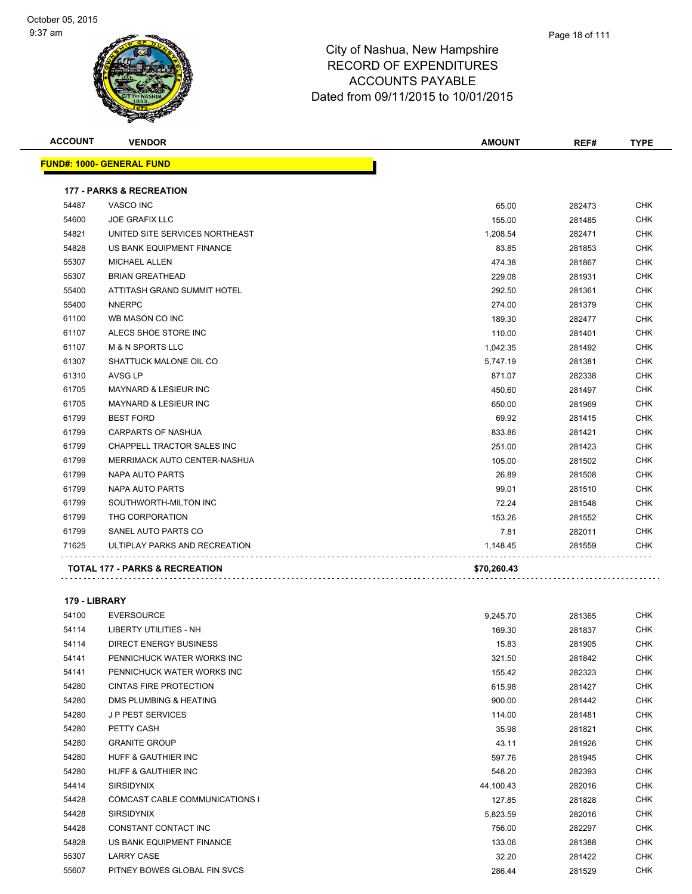| <b>ACCOUNT</b> | <b>VENDOR</b>                             | <b>AMOUNT</b> | REF#   | <b>TYPE</b> |
|----------------|-------------------------------------------|---------------|--------|-------------|
|                | <b>FUND#: 1000- GENERAL FUND</b>          |               |        |             |
|                | <b>177 - PARKS &amp; RECREATION</b>       |               |        |             |
| 54487          | VASCO INC                                 | 65.00         | 282473 | <b>CHK</b>  |
| 54600          | <b>JOE GRAFIX LLC</b>                     | 155.00        | 281485 | <b>CHK</b>  |
| 54821          | UNITED SITE SERVICES NORTHEAST            | 1,208.54      | 282471 | <b>CHK</b>  |
| 54828          | US BANK EQUIPMENT FINANCE                 | 83.85         | 281853 | <b>CHK</b>  |
| 55307          | <b>MICHAEL ALLEN</b>                      | 474.38        | 281867 | <b>CHK</b>  |
| 55307          | <b>BRIAN GREATHEAD</b>                    | 229.08        | 281931 | <b>CHK</b>  |
| 55400          | ATTITASH GRAND SUMMIT HOTEL               | 292.50        | 281361 | <b>CHK</b>  |
| 55400          | <b>NNERPC</b>                             | 274.00        | 281379 | CHK         |
| 61100          | WB MASON CO INC                           | 189.30        | 282477 | <b>CHK</b>  |
| 61107          | ALECS SHOE STORE INC                      | 110.00        | 281401 | <b>CHK</b>  |
| 61107          | <b>M &amp; N SPORTS LLC</b>               | 1,042.35      | 281492 | <b>CHK</b>  |
| 61307          | SHATTUCK MALONE OIL CO                    | 5,747.19      | 281381 | <b>CHK</b>  |
| 61310          | <b>AVSG LP</b>                            | 871.07        | 282338 | <b>CHK</b>  |
| 61705          | <b>MAYNARD &amp; LESIEUR INC</b>          | 450.60        | 281497 | <b>CHK</b>  |
| 61705          | <b>MAYNARD &amp; LESIEUR INC</b>          | 650.00        | 281969 | CHK         |
| 61799          | <b>BEST FORD</b>                          | 69.92         | 281415 | <b>CHK</b>  |
| 61799          | CARPARTS OF NASHUA                        | 833.86        | 281421 | CHK         |
| 61799          | CHAPPELL TRACTOR SALES INC                | 251.00        | 281423 | <b>CHK</b>  |
| 61799          | MERRIMACK AUTO CENTER-NASHUA              | 105.00        | 281502 | <b>CHK</b>  |
| 61799          | NAPA AUTO PARTS                           | 26.89         | 281508 | <b>CHK</b>  |
| 61799          | NAPA AUTO PARTS                           | 99.01         | 281510 | <b>CHK</b>  |
| 61799          | SOUTHWORTH-MILTON INC                     | 72.24         | 281548 | CHK         |
| 61799          | THG CORPORATION                           | 153.26        | 281552 | <b>CHK</b>  |
| 61799          | SANEL AUTO PARTS CO                       | 7.81          | 282011 | CHK         |
| 71625          | ULTIPLAY PARKS AND RECREATION             | 1,148.45      | 281559 | <b>CHK</b>  |
|                | <b>TOTAL 177 - PARKS &amp; RECREATION</b> | \$70,260.43   |        |             |

#### **179 - LIBRARY**

| 54100 | <b>EVERSOURCE</b>                     | 9,245.70  | 281365 | <b>CHK</b> |
|-------|---------------------------------------|-----------|--------|------------|
| 54114 | LIBERTY UTILITIES - NH                | 169.30    | 281837 | <b>CHK</b> |
| 54114 | <b>DIRECT ENERGY BUSINESS</b>         | 15.83     | 281905 | <b>CHK</b> |
| 54141 | PENNICHUCK WATER WORKS INC            | 321.50    | 281842 | <b>CHK</b> |
| 54141 | PENNICHUCK WATER WORKS INC            | 155.42    | 282323 | <b>CHK</b> |
| 54280 | CINTAS FIRE PROTECTION                | 615.98    | 281427 | CHK        |
| 54280 | DMS PLUMBING & HEATING                | 900.00    | 281442 | <b>CHK</b> |
| 54280 | <b>JP PEST SERVICES</b>               | 114.00    | 281481 | CHK        |
| 54280 | PETTY CASH                            | 35.98     | 281821 | <b>CHK</b> |
| 54280 | <b>GRANITE GROUP</b>                  | 43.11     | 281926 | <b>CHK</b> |
| 54280 | <b>HUFF &amp; GAUTHIER INC</b>        | 597.76    | 281945 | <b>CHK</b> |
| 54280 | <b>HUFF &amp; GAUTHIER INC</b>        | 548.20    | 282393 | CHK        |
| 54414 | <b>SIRSIDYNIX</b>                     | 44,100.43 | 282016 | <b>CHK</b> |
| 54428 | <b>COMCAST CABLE COMMUNICATIONS I</b> | 127.85    | 281828 | CHK        |
| 54428 | <b>SIRSIDYNIX</b>                     | 5,823.59  | 282016 | <b>CHK</b> |
| 54428 | CONSTANT CONTACT INC                  | 756.00    | 282297 | CHK        |
| 54828 | US BANK EQUIPMENT FINANCE             | 133.06    | 281388 | <b>CHK</b> |
| 55307 | <b>LARRY CASE</b>                     | 32.20     | 281422 | CHK        |
| 55607 | PITNEY BOWES GLOBAL FIN SVCS          | 286.44    | 281529 | <b>CHK</b> |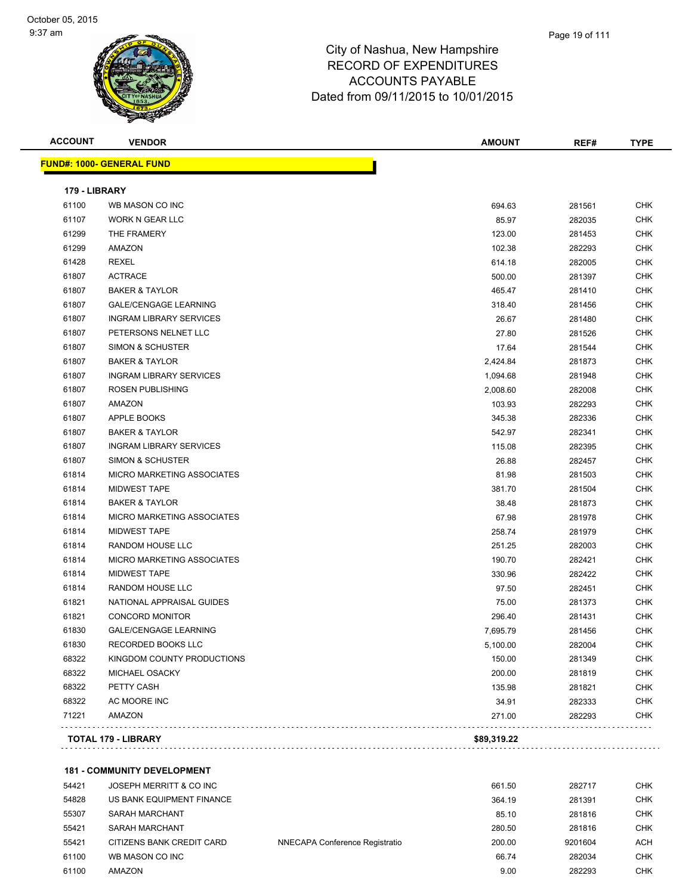| <b>ACCOUNT</b> | <b>VENDOR</b>                    | <b>AMOUNT</b> | REF#   | <b>TYPE</b> |
|----------------|----------------------------------|---------------|--------|-------------|
|                | <b>FUND#: 1000- GENERAL FUND</b> |               |        |             |
| 179 - LIBRARY  |                                  |               |        |             |
| 61100          | WB MASON CO INC                  | 694.63        | 281561 | CHK         |
| 61107          | <b>WORK N GEAR LLC</b>           | 85.97         | 282035 | <b>CHK</b>  |
| 61299          | THE FRAMERY                      | 123.00        | 281453 | CHK         |
| 61299          | AMAZON                           | 102.38        | 282293 | <b>CHK</b>  |
| 61428          | <b>REXEL</b>                     | 614.18        | 282005 | <b>CHK</b>  |
| 61807          | <b>ACTRACE</b>                   | 500.00        | 281397 | <b>CHK</b>  |
| 61807          | <b>BAKER &amp; TAYLOR</b>        | 465.47        | 281410 | <b>CHK</b>  |
| 61807          | <b>GALE/CENGAGE LEARNING</b>     | 318.40        | 281456 | CHK         |
| 61807          | <b>INGRAM LIBRARY SERVICES</b>   | 26.67         | 281480 | CHK         |
| 61807          | PETERSONS NELNET LLC             | 27.80         | 281526 | CHK         |
| 61807          | SIMON & SCHUSTER                 | 17.64         | 281544 | CHK         |
| 61807          | <b>BAKER &amp; TAYLOR</b>        | 2,424.84      | 281873 | <b>CHK</b>  |
| 61807          | <b>INGRAM LIBRARY SERVICES</b>   | 1,094.68      | 281948 | <b>CHK</b>  |
| 61807          | <b>ROSEN PUBLISHING</b>          | 2,008.60      | 282008 | CHK         |
| 61807          | AMAZON                           | 103.93        | 282293 | <b>CHK</b>  |
| 61807          | APPLE BOOKS                      | 345.38        | 282336 | CHK         |
| 61807          | <b>BAKER &amp; TAYLOR</b>        | 542.97        | 282341 | CHK         |
| 61807          | <b>INGRAM LIBRARY SERVICES</b>   | 115.08        | 282395 | <b>CHK</b>  |
| 61807          | SIMON & SCHUSTER                 | 26.88         | 282457 | CHK         |
| 61814          | MICRO MARKETING ASSOCIATES       | 81.98         | 281503 | CHK         |
| 61814          | <b>MIDWEST TAPE</b>              | 381.70        | 281504 | CHK         |
| 61814          | <b>BAKER &amp; TAYLOR</b>        | 38.48         | 281873 | CHK         |
| 61814          | MICRO MARKETING ASSOCIATES       | 67.98         | 281978 | <b>CHK</b>  |
| 61814          | <b>MIDWEST TAPE</b>              | 258.74        | 281979 | <b>CHK</b>  |
| 61814          | RANDOM HOUSE LLC                 | 251.25        | 282003 | <b>CHK</b>  |
| 61814          | MICRO MARKETING ASSOCIATES       | 190.70        | 282421 | <b>CHK</b>  |
| 61814          | <b>MIDWEST TAPE</b>              | 330.96        | 282422 | <b>CHK</b>  |
| 61814          | RANDOM HOUSE LLC                 | 97.50         | 282451 | <b>CHK</b>  |
| 61821          | NATIONAL APPRAISAL GUIDES        | 75.00         | 281373 | <b>CHK</b>  |
| 61821          | <b>CONCORD MONITOR</b>           | 296.40        | 281431 | CHK         |
| 61830          | <b>GALE/CENGAGE LEARNING</b>     | 7,695.79      | 281456 | CHK         |
| 61830          | RECORDED BOOKS LLC               | 5,100.00      | 282004 | CHK         |
| 68322          | KINGDOM COUNTY PRODUCTIONS       | 150.00        | 281349 | CHK         |
| 68322          | MICHAEL OSACKY                   | 200.00        | 281819 | <b>CHK</b>  |
| 68322          | PETTY CASH                       | 135.98        | 281821 | <b>CHK</b>  |
| 68322          | AC MOORE INC                     | 34.91         | 282333 | <b>CHK</b>  |
| 71221          | AMAZON                           | 271.00        | 282293 | <b>CHK</b>  |
|                | TOTAL 179 - LIBRARY              | \$89,319.22   |        |             |
|                |                                  |               |        |             |

**181 - COMMUNITY DEVELOPMENT**

| 54421 | JOSEPH MERRITT & CO INC   |                                | 661.50 | 282717  | CHK        |
|-------|---------------------------|--------------------------------|--------|---------|------------|
| 54828 | US BANK EQUIPMENT FINANCE |                                | 364.19 | 281391  | <b>CHK</b> |
| 55307 | SARAH MARCHANT            |                                | 85.10  | 281816  | <b>CHK</b> |
| 55421 | SARAH MARCHANT            |                                | 280.50 | 281816  | <b>CHK</b> |
| 55421 | CITIZENS BANK CREDIT CARD | NNECAPA Conference Registratio | 200.00 | 9201604 | ACH        |
| 61100 | WB MASON CO INC           |                                | 66.74  | 282034  | <b>CHK</b> |
| 61100 | <b>AMAZON</b>             |                                | 9.00   | 282293  | <b>CHK</b> |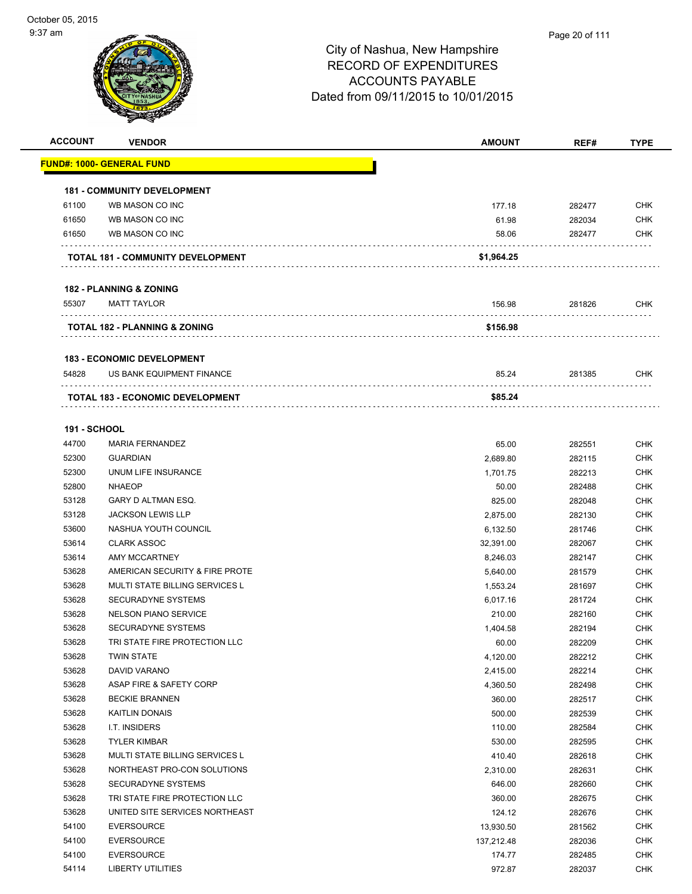

| <b>ACCOUNT</b>      | <b>VENDOR</b>                            | <b>AMOUNT</b> | REF#   | <b>TYPE</b> |
|---------------------|------------------------------------------|---------------|--------|-------------|
|                     | <u> FUND#: 1000- GENERAL FUND</u>        |               |        |             |
|                     |                                          |               |        |             |
|                     | <b>181 - COMMUNITY DEVELOPMENT</b>       |               |        |             |
| 61100               | WB MASON CO INC                          | 177.18        | 282477 | <b>CHK</b>  |
| 61650               | WB MASON CO INC                          | 61.98         | 282034 | <b>CHK</b>  |
| 61650               | WB MASON CO INC                          | 58.06         | 282477 | <b>CHK</b>  |
|                     | TOTAL 181 - COMMUNITY DEVELOPMENT        | \$1,964.25    |        |             |
|                     | <b>182 - PLANNING &amp; ZONING</b>       |               |        |             |
| 55307               | <b>MATT TAYLOR</b>                       | 156.98        | 281826 | <b>CHK</b>  |
|                     | <b>TOTAL 182 - PLANNING &amp; ZONING</b> | \$156.98      |        |             |
|                     |                                          |               |        |             |
|                     | <b>183 - ECONOMIC DEVELOPMENT</b>        |               |        |             |
| 54828               | US BANK EQUIPMENT FINANCE                | 85.24         | 281385 | <b>CHK</b>  |
|                     | TOTAL 183 - ECONOMIC DEVELOPMENT         | \$85.24       |        |             |
|                     |                                          |               |        |             |
| <b>191 - SCHOOL</b> |                                          |               |        |             |
| 44700               | <b>MARIA FERNANDEZ</b>                   | 65.00         | 282551 | <b>CHK</b>  |
| 52300               | <b>GUARDIAN</b>                          | 2,689.80      | 282115 | <b>CHK</b>  |
| 52300               | UNUM LIFE INSURANCE                      | 1,701.75      | 282213 | <b>CHK</b>  |
| 52800               | <b>NHAEOP</b>                            | 50.00         | 282488 | <b>CHK</b>  |
| 53128               | GARY D ALTMAN ESQ.                       | 825.00        | 282048 | <b>CHK</b>  |
| 53128               | <b>JACKSON LEWIS LLP</b>                 | 2,875.00      | 282130 | <b>CHK</b>  |
| 53600               | NASHUA YOUTH COUNCIL                     | 6,132.50      | 281746 | <b>CHK</b>  |
| 53614               | <b>CLARK ASSOC</b>                       | 32,391.00     | 282067 | <b>CHK</b>  |
| 53614               | <b>AMY MCCARTNEY</b>                     | 8,246.03      | 282147 | <b>CHK</b>  |
| 53628               | AMERICAN SECURITY & FIRE PROTE           | 5,640.00      | 281579 | <b>CHK</b>  |
| 53628               | <b>MULTI STATE BILLING SERVICES L</b>    | 1,553.24      | 281697 | <b>CHK</b>  |
| 53628               | <b>SECURADYNE SYSTEMS</b>                | 6,017.16      | 281724 | <b>CHK</b>  |
| 53628               | <b>NELSON PIANO SERVICE</b>              | 210.00        | 282160 | <b>CHK</b>  |
| 53628               | <b>SECURADYNE SYSTEMS</b>                | 1,404.58      | 282194 | <b>CHK</b>  |
| 53628               | TRI STATE FIRE PROTECTION LLC            | 60.00         | 282209 | <b>CHK</b>  |
| 53628               | <b>TWIN STATE</b>                        | 4,120.00      | 282212 | <b>CHK</b>  |
| 53628               | DAVID VARANO                             | 2,415.00      | 282214 | <b>CHK</b>  |
| 53628               | ASAP FIRE & SAFETY CORP                  | 4,360.50      | 282498 | <b>CHK</b>  |
| 53628               | <b>BECKIE BRANNEN</b>                    | 360.00        | 282517 | <b>CHK</b>  |
| 53628               | <b>KAITLIN DONAIS</b>                    | 500.00        | 282539 | <b>CHK</b>  |
| 53628               | I.T. INSIDERS                            | 110.00        | 282584 | <b>CHK</b>  |
| 53628               | <b>TYLER KIMBAR</b>                      | 530.00        | 282595 | <b>CHK</b>  |
| 53628               | MULTI STATE BILLING SERVICES L           | 410.40        | 282618 | <b>CHK</b>  |
| 53628               | NORTHEAST PRO-CON SOLUTIONS              | 2,310.00      | 282631 | <b>CHK</b>  |
| 53628               | SECURADYNE SYSTEMS                       | 646.00        | 282660 | <b>CHK</b>  |
| 53628               | TRI STATE FIRE PROTECTION LLC            | 360.00        | 282675 | <b>CHK</b>  |
| 53628               | UNITED SITE SERVICES NORTHEAST           | 124.12        | 282676 | <b>CHK</b>  |
| 54100               | <b>EVERSOURCE</b>                        | 13,930.50     | 281562 | <b>CHK</b>  |
| 54100               | <b>EVERSOURCE</b>                        | 137,212.48    | 282036 | <b>CHK</b>  |
| 54100               | <b>EVERSOURCE</b>                        | 174.77        | 282485 | <b>CHK</b>  |
| 54114               | <b>LIBERTY UTILITIES</b>                 | 972.87        | 282037 | <b>CHK</b>  |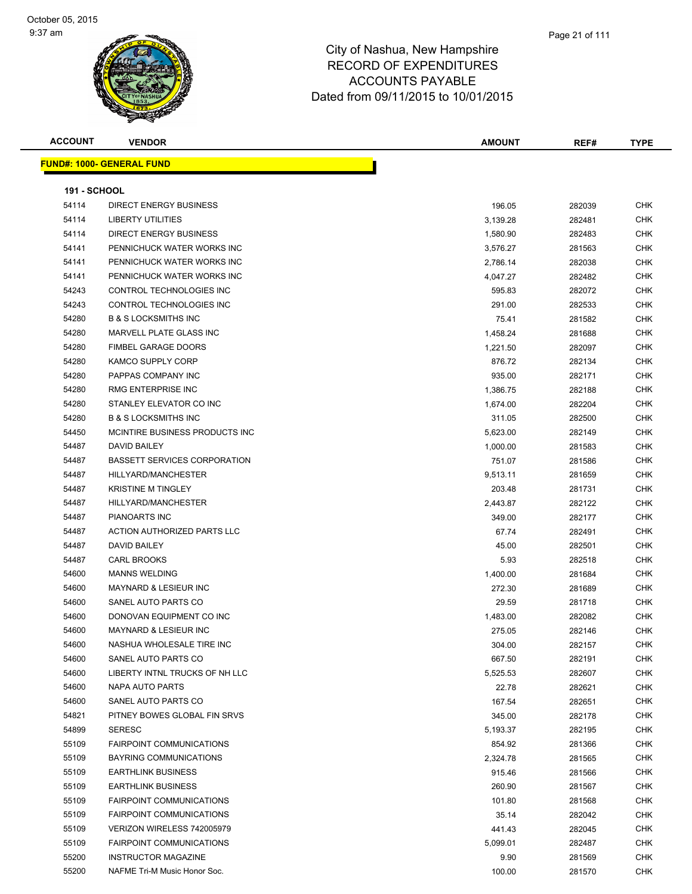#### Page 21 of 111

| <b>ACCOUNT</b>      | <b>VENDOR</b>                       | <b>AMOUNT</b> | REF#   | <b>TYPE</b> |
|---------------------|-------------------------------------|---------------|--------|-------------|
|                     | <b>FUND#: 1000- GENERAL FUND</b>    |               |        |             |
|                     |                                     |               |        |             |
| <b>191 - SCHOOL</b> |                                     |               |        |             |
| 54114               | <b>DIRECT ENERGY BUSINESS</b>       | 196.05        | 282039 | <b>CHK</b>  |
| 54114               | <b>LIBERTY UTILITIES</b>            | 3,139.28      | 282481 | <b>CHK</b>  |
| 54114               | <b>DIRECT ENERGY BUSINESS</b>       | 1,580.90      | 282483 | <b>CHK</b>  |
| 54141               | PENNICHUCK WATER WORKS INC          | 3,576.27      | 281563 | <b>CHK</b>  |
| 54141               | PENNICHUCK WATER WORKS INC          | 2,786.14      | 282038 | <b>CHK</b>  |
| 54141               | PENNICHUCK WATER WORKS INC          | 4,047.27      | 282482 | <b>CHK</b>  |
| 54243               | CONTROL TECHNOLOGIES INC            | 595.83        | 282072 | <b>CHK</b>  |
| 54243               | CONTROL TECHNOLOGIES INC            | 291.00        | 282533 | <b>CHK</b>  |
| 54280               | <b>B &amp; S LOCKSMITHS INC</b>     | 75.41         | 281582 | CHK         |
| 54280               | MARVELL PLATE GLASS INC             | 1,458.24      | 281688 | CHK         |
| 54280               | <b>FIMBEL GARAGE DOORS</b>          | 1,221.50      | 282097 | <b>CHK</b>  |
| 54280               | <b>KAMCO SUPPLY CORP</b>            | 876.72        | 282134 | CHK         |
| 54280               | PAPPAS COMPANY INC                  | 935.00        | 282171 | <b>CHK</b>  |
| 54280               | RMG ENTERPRISE INC                  | 1,386.75      | 282188 | <b>CHK</b>  |
| 54280               | STANLEY ELEVATOR CO INC             | 1,674.00      | 282204 | CHK         |
| 54280               | <b>B &amp; S LOCKSMITHS INC</b>     | 311.05        | 282500 | <b>CHK</b>  |
| 54450               | MCINTIRE BUSINESS PRODUCTS INC      | 5,623.00      | 282149 | <b>CHK</b>  |
| 54487               | DAVID BAILEY                        | 1,000.00      | 281583 | CHK         |
| 54487               | <b>BASSETT SERVICES CORPORATION</b> | 751.07        | 281586 | <b>CHK</b>  |
| 54487               | HILLYARD/MANCHESTER                 | 9,513.11      | 281659 | <b>CHK</b>  |
| 54487               | <b>KRISTINE M TINGLEY</b>           | 203.48        | 281731 | <b>CHK</b>  |
| 54487               | HILLYARD/MANCHESTER                 | 2,443.87      | 282122 | <b>CHK</b>  |
| 54487               | PIANOARTS INC                       | 349.00        | 282177 | <b>CHK</b>  |
| 54487               | ACTION AUTHORIZED PARTS LLC         | 67.74         | 282491 | <b>CHK</b>  |
| 54487               | <b>DAVID BAILEY</b>                 | 45.00         | 282501 | <b>CHK</b>  |
| 54487               | <b>CARL BROOKS</b>                  | 5.93          | 282518 | CHK         |
| 54600               | <b>MANNS WELDING</b>                | 1,400.00      | 281684 | <b>CHK</b>  |
| 54600               | MAYNARD & LESIEUR INC               | 272.30        | 281689 | <b>CHK</b>  |
| 54600               | SANEL AUTO PARTS CO                 | 29.59         | 281718 | <b>CHK</b>  |
| 54600               | DONOVAN EQUIPMENT CO INC            | 1,483.00      | 282082 | <b>CHK</b>  |
| 54600               | <b>MAYNARD &amp; LESIEUR INC</b>    | 275.05        | 282146 | <b>CHK</b>  |
| 54600               | NASHUA WHOLESALE TIRE INC           | 304.00        | 282157 | <b>CHK</b>  |
| 54600               | SANEL AUTO PARTS CO                 | 667.50        | 282191 | <b>CHK</b>  |
| 54600               | LIBERTY INTNL TRUCKS OF NH LLC      | 5,525.53      | 282607 | <b>CHK</b>  |
| 54600               | NAPA AUTO PARTS                     | 22.78         | 282621 | <b>CHK</b>  |
| 54600               | SANEL AUTO PARTS CO                 | 167.54        | 282651 | CHK         |
| 54821               | PITNEY BOWES GLOBAL FIN SRVS        | 345.00        | 282178 | <b>CHK</b>  |
| 54899               | <b>SERESC</b>                       | 5,193.37      | 282195 | <b>CHK</b>  |
| 55109               | <b>FAIRPOINT COMMUNICATIONS</b>     | 854.92        | 281366 | <b>CHK</b>  |
| 55109               | <b>BAYRING COMMUNICATIONS</b>       | 2,324.78      | 281565 | <b>CHK</b>  |
| 55109               | <b>EARTHLINK BUSINESS</b>           | 915.46        | 281566 | <b>CHK</b>  |
| 55109               | <b>EARTHLINK BUSINESS</b>           | 260.90        | 281567 | <b>CHK</b>  |
| 55109               | <b>FAIRPOINT COMMUNICATIONS</b>     | 101.80        | 281568 | <b>CHK</b>  |
| 55109               | <b>FAIRPOINT COMMUNICATIONS</b>     | 35.14         | 282042 | <b>CHK</b>  |
| 55109               | VERIZON WIRELESS 742005979          | 441.43        | 282045 | <b>CHK</b>  |
| 55109               | <b>FAIRPOINT COMMUNICATIONS</b>     | 5,099.01      | 282487 | <b>CHK</b>  |
| 55200               | <b>INSTRUCTOR MAGAZINE</b>          | 9.90          | 281569 | CHK         |
| 55200               | NAFME Tri-M Music Honor Soc.        | 100.00        | 281570 | <b>CHK</b>  |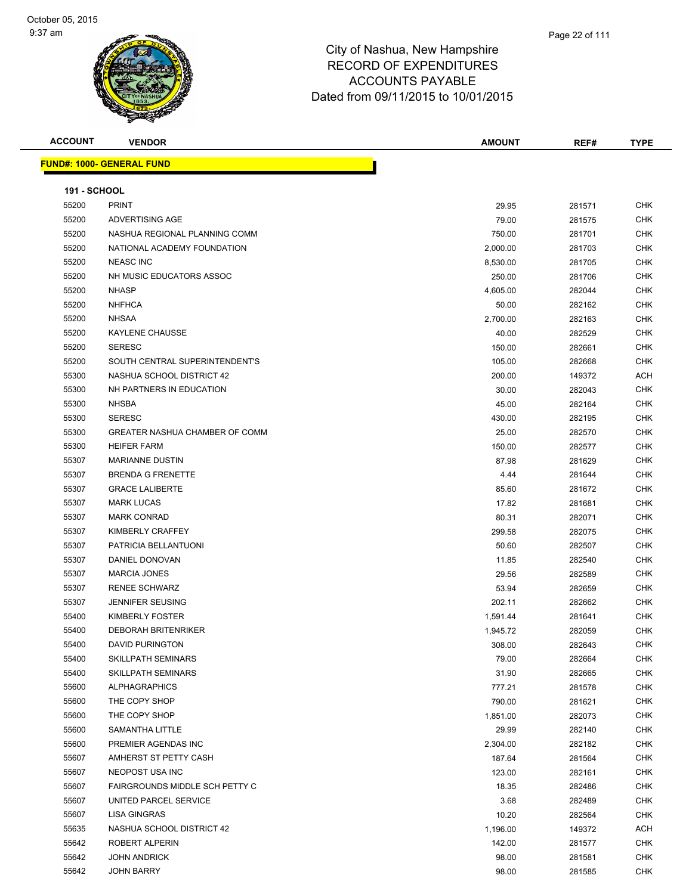| <b>ACCOUNT</b>      | <b>VENDOR</b>                    | <b>AMOUNT</b> | REF#   | <b>TYPE</b> |
|---------------------|----------------------------------|---------------|--------|-------------|
|                     | <b>FUND#: 1000- GENERAL FUND</b> |               |        |             |
|                     |                                  |               |        |             |
| <b>191 - SCHOOL</b> |                                  |               |        |             |
| 55200               | <b>PRINT</b>                     | 29.95         | 281571 | CHK         |
| 55200               | ADVERTISING AGE                  | 79.00         | 281575 | CHK         |
| 55200               | NASHUA REGIONAL PLANNING COMM    | 750.00        | 281701 | <b>CHK</b>  |
| 55200               | NATIONAL ACADEMY FOUNDATION      | 2,000.00      | 281703 | <b>CHK</b>  |
| 55200               | <b>NEASC INC</b>                 | 8,530.00      | 281705 | <b>CHK</b>  |
| 55200               | NH MUSIC EDUCATORS ASSOC         | 250.00        | 281706 | CHK         |
| 55200               | <b>NHASP</b>                     | 4,605.00      | 282044 | CHK         |
| 55200               | <b>NHFHCA</b>                    | 50.00         | 282162 | CHK         |
| 55200               | <b>NHSAA</b>                     | 2,700.00      | 282163 | CHK         |
| 55200               | <b>KAYLENE CHAUSSE</b>           | 40.00         | 282529 | CHK         |
| 55200               | <b>SERESC</b>                    | 150.00        | 282661 | CHK         |
| 55200               | SOUTH CENTRAL SUPERINTENDENT'S   | 105.00        | 282668 | CHK         |
| 55300               | NASHUA SCHOOL DISTRICT 42        | 200.00        | 149372 | ACH         |
| 55300               | NH PARTNERS IN EDUCATION         | 30.00         | 282043 | CHK         |
| 55300               | <b>NHSBA</b>                     | 45.00         | 282164 | CHK         |
| 55300               | <b>SERESC</b>                    | 430.00        | 282195 | <b>CHK</b>  |
| 55300               | GREATER NASHUA CHAMBER OF COMM   | 25.00         | 282570 | CHK         |
| 55300               | <b>HEIFER FARM</b>               | 150.00        | 282577 | <b>CHK</b>  |
| 55307               | <b>MARIANNE DUSTIN</b>           | 87.98         | 281629 | <b>CHK</b>  |
| 55307               | <b>BRENDA G FRENETTE</b>         | 4.44          | 281644 | CHK         |
| 55307               | <b>GRACE LALIBERTE</b>           | 85.60         | 281672 | CHK         |
| 55307               | <b>MARK LUCAS</b>                | 17.82         | 281681 | CHK         |
| 55307               | <b>MARK CONRAD</b>               | 80.31         | 282071 | CHK         |
| 55307               | KIMBERLY CRAFFEY                 | 299.58        | 282075 | CHK         |
| 55307               | PATRICIA BELLANTUONI             | 50.60         | 282507 | CHK         |
| 55307               | DANIEL DONOVAN                   | 11.85         | 282540 | <b>CHK</b>  |
| 55307               | <b>MARCIA JONES</b>              | 29.56         | 282589 | <b>CHK</b>  |
| 55307               | <b>RENEE SCHWARZ</b>             | 53.94         | 282659 | CHK         |
| 55307               | <b>JENNIFER SEUSING</b>          | 202.11        | 282662 | CHK         |
| 55400               | KIMBERLY FOSTER                  | 1,591.44      | 281641 | CHK         |
| 55400               | <b>DEBORAH BRITENRIKER</b>       | 1,945.72      | 282059 | CHK         |
| 55400               | <b>DAVID PURINGTON</b>           | 308.00        | 282643 | <b>CHK</b>  |
| 55400               | <b>SKILLPATH SEMINARS</b>        | 79.00         | 282664 | CHK         |
| 55400               | <b>SKILLPATH SEMINARS</b>        | 31.90         | 282665 | CHK         |
| 55600               | <b>ALPHAGRAPHICS</b>             | 777.21        | 281578 | <b>CHK</b>  |
| 55600               | THE COPY SHOP                    | 790.00        | 281621 | <b>CHK</b>  |
| 55600               | THE COPY SHOP                    | 1,851.00      | 282073 | <b>CHK</b>  |
| 55600               | SAMANTHA LITTLE                  | 29.99         | 282140 | <b>CHK</b>  |
| 55600               | PREMIER AGENDAS INC              | 2,304.00      | 282182 | CHK         |
| 55607               | AMHERST ST PETTY CASH            | 187.64        | 281564 | <b>CHK</b>  |
| 55607               | NEOPOST USA INC                  | 123.00        | 282161 | <b>CHK</b>  |
| 55607               | FAIRGROUNDS MIDDLE SCH PETTY C   | 18.35         | 282486 | CHK         |
| 55607               | UNITED PARCEL SERVICE            | 3.68          | 282489 | <b>CHK</b>  |
| 55607               | LISA GINGRAS                     | 10.20         | 282564 | CHK         |
| 55635               | NASHUA SCHOOL DISTRICT 42        | 1,196.00      | 149372 | ACH         |
| 55642               | ROBERT ALPERIN                   | 142.00        | 281577 | CHK         |
| 55642               | JOHN ANDRICK                     | 98.00         | 281581 | <b>CHK</b>  |
| 55642               | <b>JOHN BARRY</b>                | 98.00         | 281585 | <b>CHK</b>  |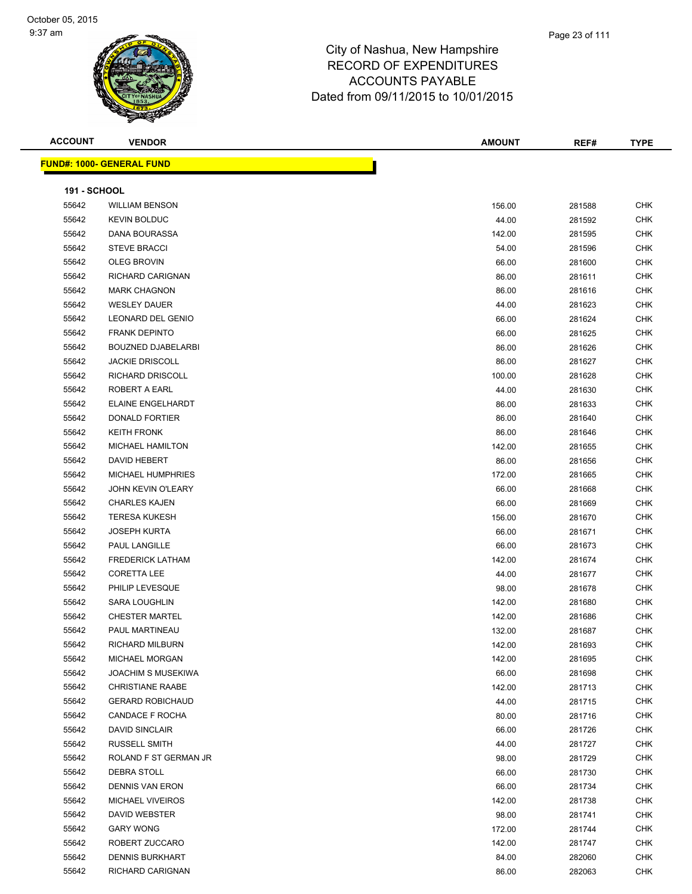#### Page 23 of 111

| <b>ACCOUNT</b>      | <b>VENDOR</b>                    | <b>AMOUNT</b> | REF#   | <b>TYPE</b> |
|---------------------|----------------------------------|---------------|--------|-------------|
|                     | <b>FUND#: 1000- GENERAL FUND</b> |               |        |             |
|                     |                                  |               |        |             |
| <b>191 - SCHOOL</b> |                                  |               |        |             |
| 55642               | <b>WILLIAM BENSON</b>            | 156.00        | 281588 | CHK         |
| 55642               | <b>KEVIN BOLDUC</b>              | 44.00         | 281592 | <b>CHK</b>  |
| 55642               | DANA BOURASSA                    | 142.00        | 281595 | <b>CHK</b>  |
| 55642               | <b>STEVE BRACCI</b>              | 54.00         | 281596 | <b>CHK</b>  |
| 55642               | <b>OLEG BROVIN</b>               | 66.00         | 281600 | <b>CHK</b>  |
| 55642               | RICHARD CARIGNAN                 | 86.00         | 281611 | <b>CHK</b>  |
| 55642               | <b>MARK CHAGNON</b>              | 86.00         | 281616 | <b>CHK</b>  |
| 55642               | <b>WESLEY DAUER</b>              | 44.00         | 281623 | <b>CHK</b>  |
| 55642               | LEONARD DEL GENIO                | 66.00         | 281624 | <b>CHK</b>  |
| 55642               | <b>FRANK DEPINTO</b>             | 66.00         | 281625 | <b>CHK</b>  |
| 55642               | <b>BOUZNED DJABELARBI</b>        | 86.00         | 281626 | <b>CHK</b>  |
| 55642               | <b>JACKIE DRISCOLL</b>           | 86.00         | 281627 | <b>CHK</b>  |
| 55642               | RICHARD DRISCOLL                 | 100.00        | 281628 | <b>CHK</b>  |
| 55642               | ROBERT A EARL                    | 44.00         | 281630 | CHK         |
| 55642               | <b>ELAINE ENGELHARDT</b>         | 86.00         | 281633 | <b>CHK</b>  |
| 55642               | DONALD FORTIER                   | 86.00         | 281640 | <b>CHK</b>  |
| 55642               | <b>KEITH FRONK</b>               | 86.00         | 281646 | <b>CHK</b>  |
| 55642               | <b>MICHAEL HAMILTON</b>          | 142.00        | 281655 | <b>CHK</b>  |
| 55642               | DAVID HEBERT                     | 86.00         | 281656 | <b>CHK</b>  |
| 55642               | <b>MICHAEL HUMPHRIES</b>         | 172.00        | 281665 | <b>CHK</b>  |
| 55642               | <b>JOHN KEVIN O'LEARY</b>        | 66.00         | 281668 | <b>CHK</b>  |
| 55642               | <b>CHARLES KAJEN</b>             | 66.00         | 281669 | <b>CHK</b>  |
| 55642               | <b>TERESA KUKESH</b>             | 156.00        | 281670 | <b>CHK</b>  |
| 55642               | <b>JOSEPH KURTA</b>              | 66.00         | 281671 | <b>CHK</b>  |
| 55642               | PAUL LANGILLE                    | 66.00         | 281673 | <b>CHK</b>  |
| 55642               | <b>FREDERICK LATHAM</b>          | 142.00        | 281674 | <b>CHK</b>  |
| 55642               | <b>CORETTA LEE</b>               | 44.00         | 281677 | <b>CHK</b>  |
| 55642               | PHILIP LEVESQUE                  | 98.00         | 281678 | <b>CHK</b>  |
| 55642               | <b>SARA LOUGHLIN</b>             | 142.00        | 281680 | <b>CHK</b>  |
| 55642               | <b>CHESTER MARTEL</b>            | 142.00        | 281686 | <b>CHK</b>  |
| 55642               | PAUL MARTINEAU                   | 132.00        | 281687 | <b>CHK</b>  |
| 55642               | RICHARD MILBURN                  | 142.00        | 281693 | CHK         |
| 55642               | MICHAEL MORGAN                   | 142.00        | 281695 | <b>CHK</b>  |
| 55642               | <b>JOACHIM S MUSEKIWA</b>        | 66.00         | 281698 | CHK         |
| 55642               | <b>CHRISTIANE RAABE</b>          | 142.00        | 281713 | <b>CHK</b>  |
| 55642               | <b>GERARD ROBICHAUD</b>          | 44.00         | 281715 | <b>CHK</b>  |
| 55642               | CANDACE F ROCHA                  | 80.00         | 281716 | <b>CHK</b>  |
| 55642               | <b>DAVID SINCLAIR</b>            | 66.00         | 281726 | <b>CHK</b>  |
| 55642               | RUSSELL SMITH                    | 44.00         | 281727 | <b>CHK</b>  |
| 55642               | ROLAND F ST GERMAN JR            | 98.00         | 281729 | CHK         |
| 55642               | DEBRA STOLL                      | 66.00         | 281730 | CHK         |
| 55642               | <b>DENNIS VAN ERON</b>           | 66.00         | 281734 | CHK         |
| 55642               | <b>MICHAEL VIVEIROS</b>          | 142.00        | 281738 | CHK         |
| 55642               | DAVID WEBSTER                    | 98.00         | 281741 | <b>CHK</b>  |
| 55642               | <b>GARY WONG</b>                 | 172.00        | 281744 | CHK         |
| 55642               | ROBERT ZUCCARO                   | 142.00        | 281747 | CHK         |
| 55642               | <b>DENNIS BURKHART</b>           | 84.00         | 282060 | <b>CHK</b>  |
| 55642               | RICHARD CARIGNAN                 | 86.00         | 282063 | <b>CHK</b>  |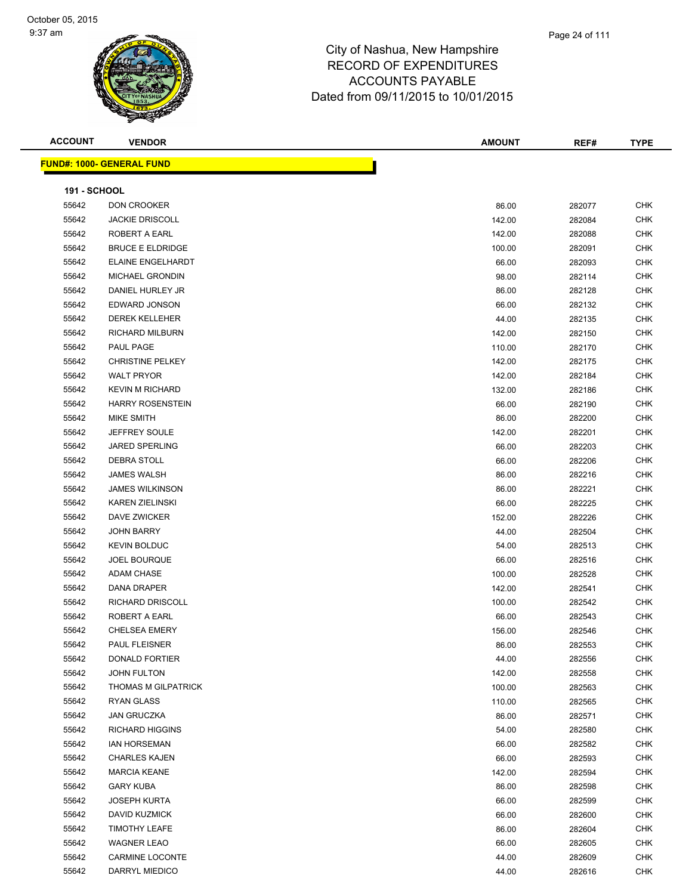

#### Page 24 of 111

| <b>ACCOUNT</b>      | <b>VENDOR</b>                         | <b>AMOUNT</b>   | REF#             | <b>TYPE</b>              |
|---------------------|---------------------------------------|-----------------|------------------|--------------------------|
|                     | <b>FUND#: 1000- GENERAL FUND</b>      |                 |                  |                          |
|                     |                                       |                 |                  |                          |
| <b>191 - SCHOOL</b> |                                       |                 |                  |                          |
| 55642               | <b>DON CROOKER</b>                    | 86.00           | 282077           | <b>CHK</b>               |
| 55642               | <b>JACKIE DRISCOLL</b>                | 142.00          | 282084           | <b>CHK</b>               |
| 55642               | ROBERT A EARL                         | 142.00          | 282088           | <b>CHK</b>               |
| 55642               | <b>BRUCE E ELDRIDGE</b>               | 100.00          | 282091           | <b>CHK</b>               |
| 55642               | <b>ELAINE ENGELHARDT</b>              | 66.00           | 282093           | <b>CHK</b>               |
| 55642               | <b>MICHAEL GRONDIN</b>                | 98.00           | 282114           | <b>CHK</b>               |
| 55642               | DANIEL HURLEY JR                      | 86.00           | 282128           | <b>CHK</b>               |
| 55642               | EDWARD JONSON                         | 66.00           | 282132           | <b>CHK</b>               |
| 55642               | <b>DEREK KELLEHER</b>                 | 44.00           | 282135           | <b>CHK</b>               |
| 55642               | RICHARD MILBURN                       | 142.00          | 282150           | CHK                      |
| 55642               | PAUL PAGE                             | 110.00          | 282170           | <b>CHK</b>               |
| 55642               | <b>CHRISTINE PELKEY</b>               | 142.00          | 282175           | <b>CHK</b>               |
| 55642               | <b>WALT PRYOR</b>                     | 142.00          | 282184           | <b>CHK</b>               |
| 55642               | <b>KEVIN M RICHARD</b>                | 132.00          | 282186           | <b>CHK</b>               |
| 55642               | <b>HARRY ROSENSTEIN</b>               | 66.00           | 282190           | <b>CHK</b>               |
| 55642               | MIKE SMITH                            | 86.00           | 282200           | <b>CHK</b>               |
| 55642               | JEFFREY SOULE                         | 142.00          | 282201           | <b>CHK</b>               |
| 55642               | <b>JARED SPERLING</b>                 | 66.00           | 282203           | <b>CHK</b>               |
| 55642               | <b>DEBRA STOLL</b>                    | 66.00           | 282206           | <b>CHK</b>               |
| 55642               | <b>JAMES WALSH</b>                    | 86.00           | 282216           | <b>CHK</b>               |
| 55642               | <b>JAMES WILKINSON</b>                | 86.00           | 282221           | CHK                      |
| 55642               | <b>KAREN ZIELINSKI</b>                | 66.00           | 282225           | <b>CHK</b>               |
| 55642               | DAVE ZWICKER                          | 152.00          | 282226           | CHK                      |
| 55642               | <b>JOHN BARRY</b>                     | 44.00           | 282504           | <b>CHK</b>               |
| 55642               | <b>KEVIN BOLDUC</b>                   |                 |                  | <b>CHK</b>               |
| 55642               | <b>JOEL BOURQUE</b>                   | 54.00           | 282513<br>282516 | <b>CHK</b>               |
| 55642               | ADAM CHASE                            | 66.00<br>100.00 | 282528           | <b>CHK</b>               |
| 55642               | <b>DANA DRAPER</b>                    |                 |                  | <b>CHK</b>               |
|                     | <b>RICHARD DRISCOLL</b>               | 142.00          | 282541<br>282542 |                          |
| 55642<br>55642      | <b>ROBERT A EARL</b>                  | 100.00          |                  | <b>CHK</b><br><b>CHK</b> |
|                     |                                       | 66.00           | 282543           |                          |
| 55642               | <b>CHELSEA EMERY</b><br>PAUL FLEISNER | 156.00          | 282546           | <b>CHK</b>               |
| 55642<br>55642      | <b>DONALD FORTIER</b>                 | 86.00           | 282553           | <b>CHK</b>               |
| 55642               | <b>JOHN FULTON</b>                    | 44.00           | 282556           | CHK<br><b>CHK</b>        |
|                     | THOMAS M GILPATRICK                   | 142.00          | 282558           |                          |
| 55642               |                                       | 100.00          | 282563           | CHK                      |
| 55642               | <b>RYAN GLASS</b>                     | 110.00          | 282565           | <b>CHK</b>               |
| 55642               | <b>JAN GRUCZKA</b>                    | 86.00           | 282571           | <b>CHK</b>               |
| 55642               | <b>RICHARD HIGGINS</b>                | 54.00           | 282580           | CHK                      |
| 55642               | <b>IAN HORSEMAN</b>                   | 66.00           | 282582           | <b>CHK</b>               |
| 55642               | <b>CHARLES KAJEN</b>                  | 66.00           | 282593           | <b>CHK</b>               |
| 55642               | <b>MARCIA KEANE</b>                   | 142.00          | 282594           | CHK                      |
| 55642               | <b>GARY KUBA</b>                      | 86.00           | 282598           | CHK                      |
| 55642               | <b>JOSEPH KURTA</b>                   | 66.00           | 282599           | CHK                      |
| 55642               | <b>DAVID KUZMICK</b>                  | 66.00           | 282600           | <b>CHK</b>               |
| 55642               | <b>TIMOTHY LEAFE</b>                  | 86.00           | 282604           | <b>CHK</b>               |
| 55642               | <b>WAGNER LEAO</b>                    | 66.00           | 282605           | CHK                      |
| 55642               | <b>CARMINE LOCONTE</b>                | 44.00           | 282609           | CHK                      |
| 55642               | DARRYL MIEDICO                        | 44.00           | 282616           | <b>CHK</b>               |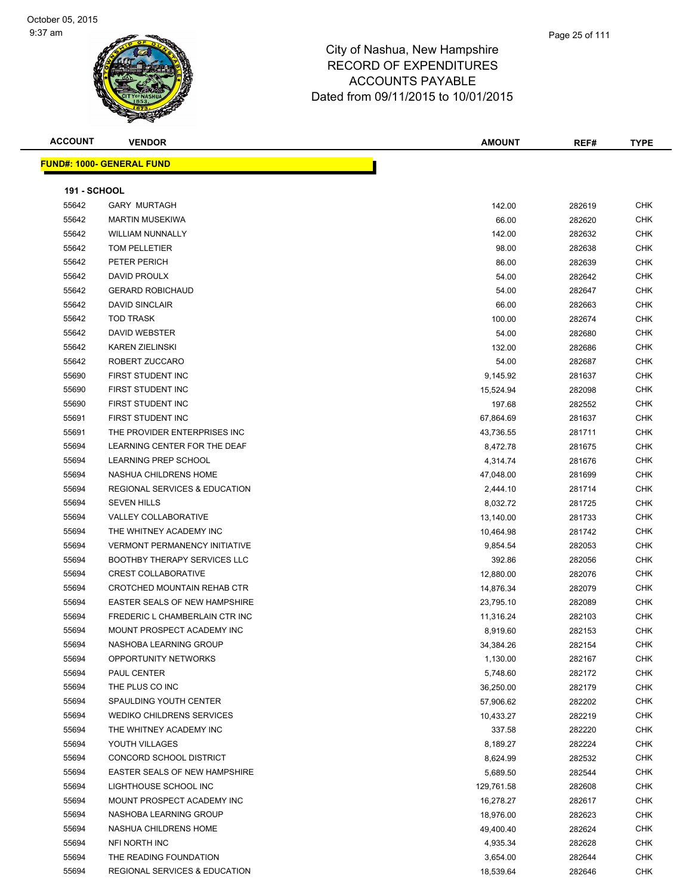**ACCOUNT VENDOR AMOUNT REF# TYPE**

**FUND** 

|                              | D#: 1000- GENERAL FUND                   |                 |
|------------------------------|------------------------------------------|-----------------|
|                              |                                          |                 |
| <b>191 - SCHOOL</b><br>55642 | <b>GARY MURTAGH</b>                      |                 |
| 55642                        | <b>MARTIN MUSEKIWA</b>                   |                 |
| 55642                        | <b>WILLIAM NUNNALLY</b>                  |                 |
| 55642                        | TOM PELLETIER                            |                 |
| 55642                        | PETER PERICH                             |                 |
| 55642                        | DAVID PROULX                             |                 |
| 55642                        | <b>GERARD ROBICHAUD</b>                  |                 |
| 55642                        | <b>DAVID SINCLAIR</b>                    |                 |
| 55642                        | <b>TOD TRASK</b>                         |                 |
| 55642                        | DAVID WEBSTER                            | 100.00          |
| 55642                        | <b>KAREN ZIELINSKI</b>                   | 54.00<br>132.00 |
| 55642                        | ROBERT ZUCCARO                           | 54.00           |
| 55690                        | FIRST STUDENT INC                        | 9,145.92        |
| 55690                        | FIRST STUDENT INC                        | 15,524.94       |
| 55690                        | FIRST STUDENT INC                        | 197.68          |
| 55691                        | FIRST STUDENT INC                        | 67,864.69       |
| 55691                        | THE PROVIDER ENTERPRISES INC             | 43,736.55       |
| 55694                        | LEARNING CENTER FOR THE DEAF             | 8,472.78        |
| 55694                        | <b>LEARNING PREP SCHOOL</b>              | 4,314.74        |
| 55694                        | NASHUA CHILDRENS HOME                    | 47,048.00       |
| 55694                        | <b>REGIONAL SERVICES &amp; EDUCATION</b> | 2,444.10        |
| 55694                        | <b>SEVEN HILLS</b>                       | 8,032.72        |
| 55694                        | <b>VALLEY COLLABORATIVE</b>              | 13,140.00       |
| 55694                        | THE WHITNEY ACADEMY INC                  | 10,464.98       |
| 55694                        | <b>VERMONT PERMANENCY INITIATIVE</b>     | 9,854.54        |
| 55694                        | <b>BOOTHBY THERAPY SERVICES LLC</b>      | 392.86          |
| 55694                        | <b>CREST COLLABORATIVE</b>               | 12,880.00       |
| 55694                        | CROTCHED MOUNTAIN REHAB CTR              | 14,876.34       |
| 55694                        | EASTER SEALS OF NEW HAMPSHIRE            | 23,795.10       |
| 55694                        | FREDERIC L CHAMBERLAIN CTR INC           | 11,316.24       |
| 55694                        | MOUNT PROSPECT ACADEMY INC               | 8,919.60        |
| 55694                        | NASHOBA LEARNING GROUP                   | 34,384.26       |
| 55694                        | OPPORTUNITY NETWORKS                     | 1,130.00        |
| 55694                        | PAUL CENTER                              | 5,748.60        |
| 55694                        | THE PLUS CO INC                          | 36,250.00       |
| 55694                        | SPAULDING YOUTH CENTER                   | 57,906.62       |
| 55694                        | <b>WEDIKO CHILDRENS SERVICES</b>         | 10,433.27       |
| 55694                        | THE WHITNEY ACADEMY INC                  | 337.58          |
| 55694                        | YOUTH VILLAGES                           | 8,189.27        |
| 55694                        | CONCORD SCHOOL DISTRICT                  | 8,624.99        |
| 55694                        | EASTER SEALS OF NEW HAMPSHIRE            | 5,689.50        |
| 55694                        | LIGHTHOUSE SCHOOL INC                    | 129,761.58      |
| 55694                        | MOUNT PROSPECT ACADEMY INC               | 16,278.27       |
| 55694                        | NASHOBA LEARNING GROUP                   | 18,976.00       |
| 55694                        | NASHUA CHILDRENS HOME                    | 49,400.40       |
| 55694                        | NFI NORTH INC                            | 4,935.34        |

 THE READING FOUNDATION 3,654.00 282644 CHK REGIONAL SERVICES & EDUCATION 18,539.64 282646 CHK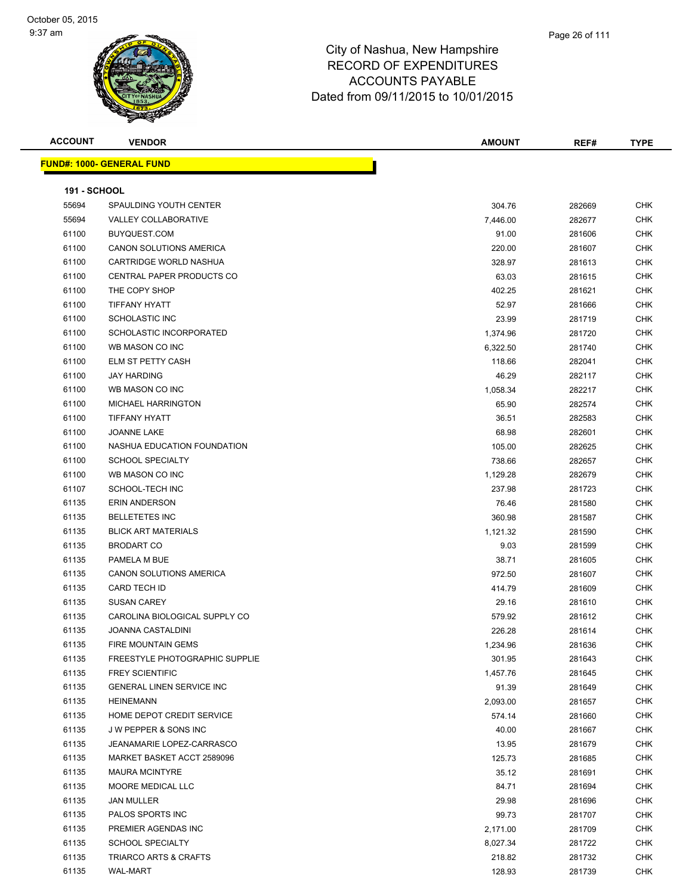

| <b>ACCOUNT</b>      | <b>VENDOR</b>                    | <b>AMOUNT</b> | REF#   | <b>TYPE</b> |
|---------------------|----------------------------------|---------------|--------|-------------|
|                     | <b>FUND#: 1000- GENERAL FUND</b> |               |        |             |
| <b>191 - SCHOOL</b> |                                  |               |        |             |
| 55694               | SPAULDING YOUTH CENTER           | 304.76        | 282669 | <b>CHK</b>  |
| 55694               | VALLEY COLLABORATIVE             | 7,446.00      | 282677 | <b>CHK</b>  |
| 61100               | BUYQUEST.COM                     | 91.00         | 281606 | <b>CHK</b>  |
| 61100               | <b>CANON SOLUTIONS AMERICA</b>   | 220.00        | 281607 | <b>CHK</b>  |
| 61100               | CARTRIDGE WORLD NASHUA           | 328.97        | 281613 | <b>CHK</b>  |
| 61100               | CENTRAL PAPER PRODUCTS CO        | 63.03         | 281615 | <b>CHK</b>  |
| 61100               | THE COPY SHOP                    | 402.25        | 281621 | <b>CHK</b>  |
| 61100               | <b>TIFFANY HYATT</b>             | 52.97         | 281666 | <b>CHK</b>  |
| 61100               | <b>SCHOLASTIC INC</b>            | 23.99         | 281719 | <b>CHK</b>  |
| 61100               | SCHOLASTIC INCORPORATED          | 1,374.96      | 281720 | <b>CHK</b>  |
| 61100               | WB MASON CO INC                  | 6,322.50      | 281740 | <b>CHK</b>  |
| 61100               | <b>ELM ST PETTY CASH</b>         | 118.66        | 282041 | <b>CHK</b>  |
| 61100               | <b>JAY HARDING</b>               | 46.29         | 282117 | <b>CHK</b>  |
| 61100               | WB MASON CO INC                  | 1,058.34      | 282217 | <b>CHK</b>  |
| 61100               | <b>MICHAEL HARRINGTON</b>        | 65.90         | 282574 | <b>CHK</b>  |
| 61100               | <b>TIFFANY HYATT</b>             | 36.51         | 282583 | <b>CHK</b>  |
| 61100               | <b>JOANNE LAKE</b>               | 68.98         | 282601 | <b>CHK</b>  |
| 61100               | NASHUA EDUCATION FOUNDATION      | 105.00        | 282625 | <b>CHK</b>  |
| 61100               | <b>SCHOOL SPECIALTY</b>          | 738.66        | 282657 | <b>CHK</b>  |
| 61100               | WB MASON CO INC                  | 1,129.28      | 282679 | <b>CHK</b>  |
| 61107               | SCHOOL-TECH INC                  | 237.98        | 281723 | <b>CHK</b>  |
| 61135               | ERIN ANDERSON                    | 76.46         | 281580 | <b>CHK</b>  |
| 61135               | <b>BELLETETES INC</b>            | 360.98        | 281587 | <b>CHK</b>  |
| 61135               | <b>BLICK ART MATERIALS</b>       | 1,121.32      | 281590 | <b>CHK</b>  |
| 61135               | <b>BRODART CO</b>                | 9.03          | 281599 | <b>CHK</b>  |
| 61135               | PAMELA M BUE                     | 38.71         | 281605 | <b>CHK</b>  |
| 61135               | <b>CANON SOLUTIONS AMERICA</b>   | 972.50        | 281607 | <b>CHK</b>  |
| 61135               | <b>CARD TECH ID</b>              | 414.79        | 281609 | <b>CHK</b>  |
| 61135               | <b>SUSAN CAREY</b>               | 29.16         | 281610 | <b>CHK</b>  |
| 61135               | CAROLINA BIOLOGICAL SUPPLY CO    | 579.92        | 281612 | <b>CHK</b>  |
| 61135               | <b>JOANNA CASTALDINI</b>         | 226.28        | 281614 | <b>CHK</b>  |
| 61135               | FIRE MOUNTAIN GEMS               | 1,234.96      | 281636 | <b>CHK</b>  |
| 61135               | FREESTYLE PHOTOGRAPHIC SUPPLIE   | 301.95        | 281643 | CHK         |
| 61135               | <b>FREY SCIENTIFIC</b>           | 1,457.76      | 281645 | <b>CHK</b>  |
| 61135               | GENERAL LINEN SERVICE INC        | 91.39         | 281649 | <b>CHK</b>  |
| 61135               | <b>HEINEMANN</b>                 | 2,093.00      | 281657 | <b>CHK</b>  |
| 61135               | HOME DEPOT CREDIT SERVICE        | 574.14        | 281660 | <b>CHK</b>  |
| 61135               | J W PEPPER & SONS INC            | 40.00         | 281667 | <b>CHK</b>  |
| 61135               | JEANAMARIE LOPEZ-CARRASCO        | 13.95         | 281679 | <b>CHK</b>  |
| 61135               | MARKET BASKET ACCT 2589096       | 125.73        | 281685 | <b>CHK</b>  |
| 61135               | <b>MAURA MCINTYRE</b>            | 35.12         | 281691 | <b>CHK</b>  |
| 61135               | MOORE MEDICAL LLC                | 84.71         | 281694 | <b>CHK</b>  |
| 61135               | JAN MULLER                       | 29.98         | 281696 | <b>CHK</b>  |
| 61135               | PALOS SPORTS INC                 | 99.73         | 281707 | <b>CHK</b>  |
| 61135               | PREMIER AGENDAS INC              | 2,171.00      | 281709 | <b>CHK</b>  |
| 61135               | <b>SCHOOL SPECIALTY</b>          | 8,027.34      | 281722 | <b>CHK</b>  |
| 61135               | TRIARCO ARTS & CRAFTS            | 218.82        | 281732 | <b>CHK</b>  |
| 61135               | WAL-MART                         | 128.93        | 281739 | <b>CHK</b>  |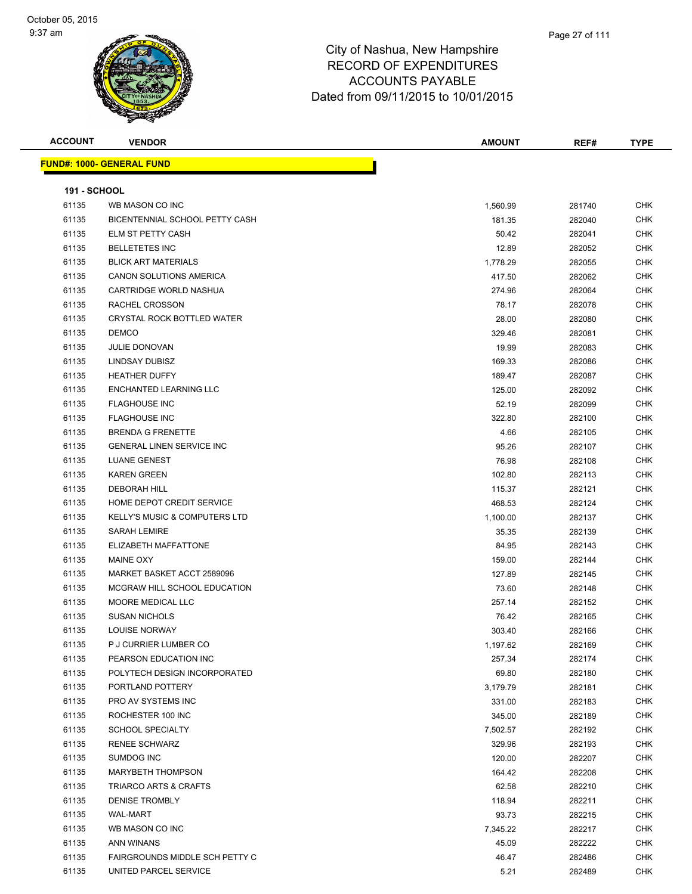| <b>ACCOUNT</b>      | <b>VENDOR</b>                            | <b>AMOUNT</b> | REF#   | <b>TYPE</b> |
|---------------------|------------------------------------------|---------------|--------|-------------|
|                     | <u> FUND#: 1000- GENERAL FUND</u>        |               |        |             |
|                     |                                          |               |        |             |
| <b>191 - SCHOOL</b> |                                          |               |        |             |
| 61135               | WB MASON CO INC                          | 1,560.99      | 281740 | <b>CHK</b>  |
| 61135               | BICENTENNIAL SCHOOL PETTY CASH           | 181.35        | 282040 | <b>CHK</b>  |
| 61135               | ELM ST PETTY CASH                        | 50.42         | 282041 | CHK         |
| 61135               | <b>BELLETETES INC</b>                    | 12.89         | 282052 | <b>CHK</b>  |
| 61135               | <b>BLICK ART MATERIALS</b>               | 1,778.29      | 282055 | CHK         |
| 61135               | CANON SOLUTIONS AMERICA                  | 417.50        | 282062 | CHK         |
| 61135               | CARTRIDGE WORLD NASHUA                   | 274.96        | 282064 | <b>CHK</b>  |
| 61135               | RACHEL CROSSON                           | 78.17         | 282078 | CHK         |
| 61135               | CRYSTAL ROCK BOTTLED WATER               | 28.00         | 282080 | <b>CHK</b>  |
| 61135               | <b>DEMCO</b>                             | 329.46        | 282081 | <b>CHK</b>  |
| 61135               | <b>JULIE DONOVAN</b>                     | 19.99         | 282083 | CHK         |
| 61135               | LINDSAY DUBISZ                           | 169.33        | 282086 | <b>CHK</b>  |
| 61135               | <b>HEATHER DUFFY</b>                     | 189.47        | 282087 | <b>CHK</b>  |
| 61135               | ENCHANTED LEARNING LLC                   | 125.00        | 282092 | CHK         |
| 61135               | <b>FLAGHOUSE INC</b>                     | 52.19         | 282099 | CHK         |
| 61135               | <b>FLAGHOUSE INC</b>                     | 322.80        | 282100 | CHK         |
| 61135               | <b>BRENDA G FRENETTE</b>                 | 4.66          | 282105 | CHK         |
| 61135               | <b>GENERAL LINEN SERVICE INC</b>         | 95.26         | 282107 | CHK         |
| 61135               | <b>LUANE GENEST</b>                      | 76.98         | 282108 | CHK         |
| 61135               | <b>KAREN GREEN</b>                       | 102.80        | 282113 | CHK         |
| 61135               | <b>DEBORAH HILL</b>                      | 115.37        | 282121 | CHK         |
| 61135               | HOME DEPOT CREDIT SERVICE                | 468.53        | 282124 | CHK         |
| 61135               | <b>KELLY'S MUSIC &amp; COMPUTERS LTD</b> | 1,100.00      | 282137 | <b>CHK</b>  |
| 61135               | <b>SARAH LEMIRE</b>                      | 35.35         | 282139 | <b>CHK</b>  |
| 61135               | ELIZABETH MAFFATTONE                     | 84.95         | 282143 | CHK         |
| 61135               | <b>MAINE OXY</b>                         | 159.00        | 282144 | CHK         |
| 61135               | MARKET BASKET ACCT 2589096               | 127.89        | 282145 | CHK         |
| 61135               | MCGRAW HILL SCHOOL EDUCATION             | 73.60         | 282148 | CHK         |
| 61135               | MOORE MEDICAL LLC                        | 257.14        | 282152 | CHK         |
| 61135               | <b>SUSAN NICHOLS</b>                     | 76.42         | 282165 | CHK         |
| 61135               | <b>LOUISE NORWAY</b>                     | 303.40        | 282166 | CHK         |
| 61135               | P J CURRIER LUMBER CO                    | 1,197.62      | 282169 | <b>CHK</b>  |
| 61135               | PEARSON EDUCATION INC                    | 257.34        | 282174 | CHK         |
| 61135               | POLYTECH DESIGN INCORPORATED             | 69.80         | 282180 | <b>CHK</b>  |
| 61135               | PORTLAND POTTERY                         | 3,179.79      | 282181 | <b>CHK</b>  |
| 61135               | PRO AV SYSTEMS INC                       | 331.00        | 282183 | CHK         |
| 61135               | ROCHESTER 100 INC                        | 345.00        | 282189 | <b>CHK</b>  |
| 61135               | <b>SCHOOL SPECIALTY</b>                  | 7,502.57      | 282192 | CHK         |
| 61135               | <b>RENEE SCHWARZ</b>                     | 329.96        | 282193 | CHK         |
| 61135               | SUMDOG INC                               | 120.00        | 282207 | <b>CHK</b>  |
| 61135               | MARYBETH THOMPSON                        | 164.42        | 282208 | <b>CHK</b>  |
| 61135               | <b>TRIARCO ARTS &amp; CRAFTS</b>         | 62.58         | 282210 | <b>CHK</b>  |
| 61135               | <b>DENISE TROMBLY</b>                    | 118.94        | 282211 | <b>CHK</b>  |
| 61135               | <b>WAL-MART</b>                          | 93.73         | 282215 | CHK         |
| 61135               | WB MASON CO INC                          | 7,345.22      | 282217 | CHK         |
| 61135               | ANN WINANS                               | 45.09         | 282222 | CHK         |
| 61135               | FAIRGROUNDS MIDDLE SCH PETTY C           | 46.47         | 282486 | CHK         |
| 61135               | UNITED PARCEL SERVICE                    | 5.21          | 282489 | <b>CHK</b>  |
|                     |                                          |               |        |             |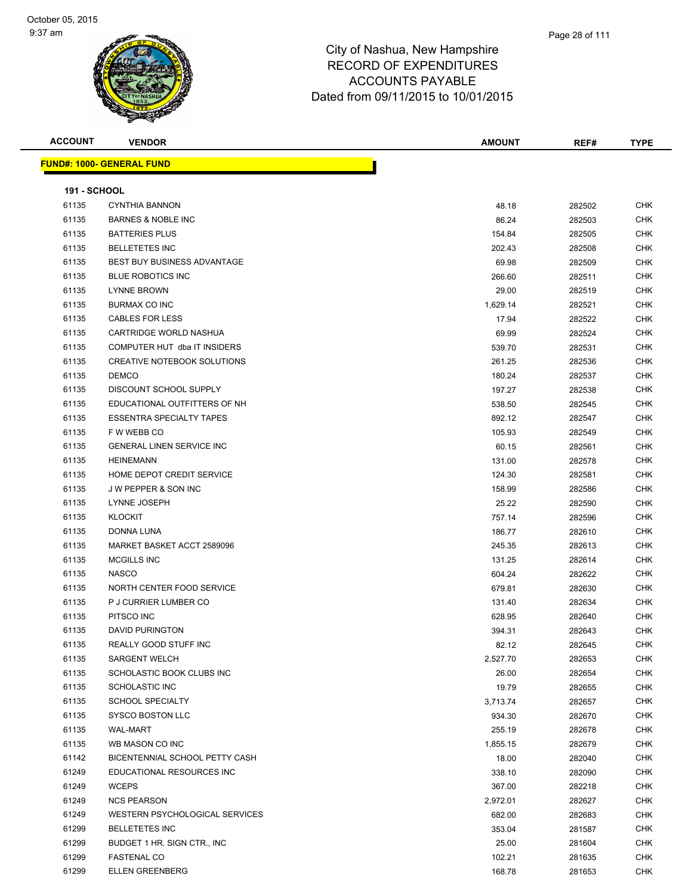| <b>ACCOUNT</b>      | <b>VENDOR</b>                      | <b>AMOUNT</b> | REF#   | <b>TYPE</b> |
|---------------------|------------------------------------|---------------|--------|-------------|
|                     | <u> FUND#: 1000- GENERAL FUND</u>  |               |        |             |
|                     |                                    |               |        |             |
| <b>191 - SCHOOL</b> |                                    |               |        |             |
| 61135               | <b>CYNTHIA BANNON</b>              | 48.18         | 282502 | CHK         |
| 61135               | <b>BARNES &amp; NOBLE INC</b>      | 86.24         | 282503 | <b>CHK</b>  |
| 61135               | <b>BATTERIES PLUS</b>              | 154.84        | 282505 | CHK         |
| 61135               | <b>BELLETETES INC</b>              | 202.43        | 282508 | CHK         |
| 61135               | <b>BEST BUY BUSINESS ADVANTAGE</b> | 69.98         | 282509 | <b>CHK</b>  |
| 61135               | <b>BLUE ROBOTICS INC</b>           | 266.60        | 282511 | CHK         |
| 61135               | <b>LYNNE BROWN</b>                 | 29.00         | 282519 | CHK         |
| 61135               | <b>BURMAX CO INC</b>               | 1,629.14      | 282521 | CHK         |
| 61135               | <b>CABLES FOR LESS</b>             | 17.94         | 282522 | CHK         |
| 61135               | CARTRIDGE WORLD NASHUA             | 69.99         | 282524 | <b>CHK</b>  |
| 61135               | COMPUTER HUT dba IT INSIDERS       | 539.70        | 282531 | <b>CHK</b>  |
| 61135               | CREATIVE NOTEBOOK SOLUTIONS        | 261.25        | 282536 | CHK         |
| 61135               | <b>DEMCO</b>                       | 180.24        | 282537 | CHK         |
| 61135               | DISCOUNT SCHOOL SUPPLY             | 197.27        | 282538 | CHK         |
| 61135               | EDUCATIONAL OUTFITTERS OF NH       | 538.50        | 282545 | CHK         |
| 61135               | <b>ESSENTRA SPECIALTY TAPES</b>    | 892.12        | 282547 | CHK         |
| 61135               | F W WEBB CO                        | 105.93        | 282549 | CHK         |
| 61135               | <b>GENERAL LINEN SERVICE INC</b>   | 60.15         | 282561 | CHK         |
| 61135               | <b>HEINEMANN</b>                   | 131.00        | 282578 | CHK         |
| 61135               | HOME DEPOT CREDIT SERVICE          | 124.30        | 282581 | CHK         |
| 61135               | <b>JW PEPPER &amp; SON INC</b>     | 158.99        | 282586 | <b>CHK</b>  |
| 61135               | LYNNE JOSEPH                       | 25.22         | 282590 | <b>CHK</b>  |
| 61135               | <b>KLOCKIT</b>                     | 757.14        | 282596 | CHK         |
| 61135               | DONNA LUNA                         | 186.77        | 282610 | <b>CHK</b>  |
| 61135               | MARKET BASKET ACCT 2589096         | 245.35        | 282613 | <b>CHK</b>  |
| 61135               | MCGILLS INC                        | 131.25        | 282614 | CHK         |
| 61135               | <b>NASCO</b>                       | 604.24        | 282622 | <b>CHK</b>  |
| 61135               | NORTH CENTER FOOD SERVICE          | 679.81        | 282630 | CHK         |
| 61135               | P J CURRIER LUMBER CO              | 131.40        | 282634 | CHK         |
| 61135               | PITSCO INC                         | 628.95        | 282640 | CHK         |
| 61135               | <b>DAVID PURINGTON</b>             | 394.31        | 282643 | CHK         |
| 61135               | REALLY GOOD STUFF INC              | 82.12         | 282645 | CHK         |
| 61135               | <b>SARGENT WELCH</b>               | 2,527.70      | 282653 | CHK         |
| 61135               | SCHOLASTIC BOOK CLUBS INC          | 26.00         | 282654 | CHK         |
| 61135               | SCHOLASTIC INC                     | 19.79         | 282655 | <b>CHK</b>  |
| 61135               | <b>SCHOOL SPECIALTY</b>            | 3,713.74      | 282657 | CHK         |
| 61135               | SYSCO BOSTON LLC                   | 934.30        | 282670 | <b>CHK</b>  |
| 61135               | <b>WAL-MART</b>                    | 255.19        | 282678 | <b>CHK</b>  |
| 61135               | WB MASON CO INC                    | 1,855.15      | 282679 | CHK         |
| 61142               | BICENTENNIAL SCHOOL PETTY CASH     | 18.00         | 282040 | CHK         |
| 61249               | EDUCATIONAL RESOURCES INC          | 338.10        | 282090 | CHK         |
| 61249               | <b>WCEPS</b>                       | 367.00        | 282218 | CHK         |
| 61249               | <b>NCS PEARSON</b>                 | 2,972.01      | 282627 | <b>CHK</b>  |
| 61249               | WESTERN PSYCHOLOGICAL SERVICES     | 682.00        | 282683 | CHK         |
| 61299               | <b>BELLETETES INC</b>              | 353.04        | 281587 | CHK         |
| 61299               | BUDGET 1 HR. SIGN CTR., INC        | 25.00         | 281604 | <b>CHK</b>  |
| 61299               | <b>FASTENAL CO</b>                 | 102.21        | 281635 | CHK         |
| 61299               | <b>ELLEN GREENBERG</b>             | 168.78        | 281653 | <b>CHK</b>  |
|                     |                                    |               |        |             |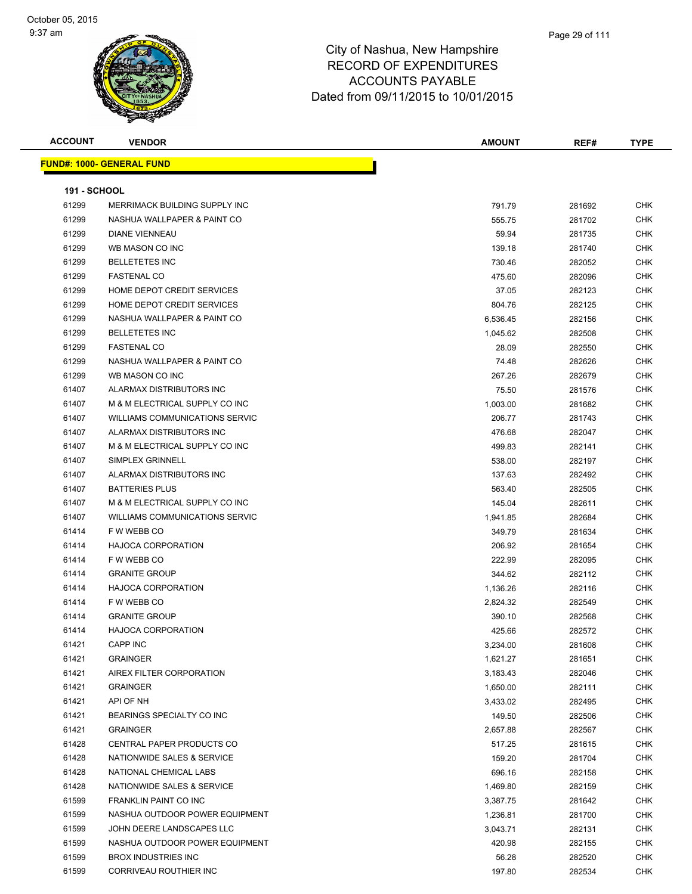| <b>FUND#: 1000- GENERAL FUND</b><br><b>191 - SCHOOL</b><br>61299<br>MERRIMACK BUILDING SUPPLY INC<br>791.79<br>281692<br>CHK<br>61299<br>NASHUA WALLPAPER & PAINT CO<br>CHK<br>555.75<br>281702<br>61299<br><b>DIANE VIENNEAU</b><br>59.94<br>CHK<br>281735<br>61299<br>WB MASON CO INC<br><b>CHK</b><br>139.18<br>281740<br>61299<br><b>BELLETETES INC</b><br>730.46<br>282052<br>CHK<br>61299<br><b>FASTENAL CO</b><br><b>CHK</b><br>475.60<br>282096<br>61299<br>HOME DEPOT CREDIT SERVICES<br>37.05<br>282123<br>CHK<br>61299<br>HOME DEPOT CREDIT SERVICES<br>CHK<br>804.76<br>282125<br>61299<br>NASHUA WALLPAPER & PAINT CO<br>6,536.45<br>282156<br>CHK<br>61299<br><b>BELLETETES INC</b><br>CHK<br>282508<br>1,045.62<br>61299<br><b>FASTENAL CO</b><br>CHK<br>28.09<br>282550<br>61299<br>NASHUA WALLPAPER & PAINT CO<br>74.48<br>CHK<br>282626<br>61299<br>CHK<br>WB MASON CO INC<br>267.26<br>282679<br>61407<br>ALARMAX DISTRIBUTORS INC<br>75.50<br>281576<br>CHK<br>61407<br>M & M ELECTRICAL SUPPLY CO INC<br>1,003.00<br>281682<br>CHK<br>61407<br><b>WILLIAMS COMMUNICATIONS SERVIC</b><br>206.77<br>281743<br>CHK<br>61407<br>ALARMAX DISTRIBUTORS INC<br>CHK<br>476.68<br>282047<br>61407<br>M & M ELECTRICAL SUPPLY CO INC<br>499.83<br>282141<br>CHK<br>61407<br><b>SIMPLEX GRINNELL</b><br>CHK<br>538.00<br>282197<br>61407<br>ALARMAX DISTRIBUTORS INC<br>137.63<br>282492<br>CHK<br>61407<br><b>BATTERIES PLUS</b><br>CHK<br>563.40<br>282505<br>M & M ELECTRICAL SUPPLY CO INC<br>61407<br>145.04<br>282611<br>CHK<br>61407<br><b>WILLIAMS COMMUNICATIONS SERVIC</b><br>CHK<br>1,941.85<br>282684<br>61414<br>F W WEBB CO<br><b>CHK</b><br>349.79<br>281634<br>61414<br><b>HAJOCA CORPORATION</b><br>CHK<br>206.92<br>281654<br>61414<br>F W WEBB CO<br><b>CHK</b><br>222.99<br>282095<br>61414<br><b>GRANITE GROUP</b><br>344.62<br>282112<br>CHK<br>61414<br><b>HAJOCA CORPORATION</b><br><b>CHK</b><br>1,136.26<br>282116<br>61414<br>F W WEBB CO<br>2,824.32<br>282549<br>CHK<br>61414<br><b>GRANITE GROUP</b><br>CHK<br>390.10<br>282568<br>61414<br><b>HAJOCA CORPORATION</b><br>425.66<br>282572<br>CHK<br><b>CAPP INC</b><br><b>CHK</b><br>61421<br>3,234.00<br>281608<br>61421<br><b>GRAINGER</b><br><b>CHK</b><br>1,621.27<br>281651<br>61421<br>AIREX FILTER CORPORATION<br>CHK<br>282046<br>3,183.43<br>61421<br><b>GRAINGER</b><br>282111<br><b>CHK</b><br>1,650.00<br>61421<br>API OF NH<br><b>CHK</b><br>282495<br>3,433.02<br>61421<br>BEARINGS SPECIALTY CO INC<br>149.50<br>282506<br><b>CHK</b><br>61421<br><b>GRAINGER</b><br><b>CHK</b><br>2,657.88<br>282567<br>61428<br>CENTRAL PAPER PRODUCTS CO<br>517.25<br>281615<br><b>CHK</b><br>61428<br>NATIONWIDE SALES & SERVICE<br><b>CHK</b><br>159.20<br>281704<br>61428<br><b>CHK</b><br>NATIONAL CHEMICAL LABS<br>696.16<br>282158<br>61428<br>NATIONWIDE SALES & SERVICE<br>1,469.80<br>282159<br>CHK<br>61599<br>FRANKLIN PAINT CO INC<br>CHK<br>281642<br>3,387.75<br>61599<br>NASHUA OUTDOOR POWER EQUIPMENT<br>281700<br>CHK<br>1,236.81<br>61599<br>JOHN DEERE LANDSCAPES LLC<br>CHK<br>3,043.71<br>282131<br>61599<br>NASHUA OUTDOOR POWER EQUIPMENT<br><b>CHK</b><br>420.98<br>282155<br>61599<br><b>BROX INDUSTRIES INC</b><br>CHK<br>56.28<br>282520<br>61599<br>CORRIVEAU ROUTHIER INC<br>197.80<br>282534<br>CHK | <b>ACCOUNT</b> | <b>VENDOR</b> | <b>AMOUNT</b> | REF# | <b>TYPE</b> |
|------------------------------------------------------------------------------------------------------------------------------------------------------------------------------------------------------------------------------------------------------------------------------------------------------------------------------------------------------------------------------------------------------------------------------------------------------------------------------------------------------------------------------------------------------------------------------------------------------------------------------------------------------------------------------------------------------------------------------------------------------------------------------------------------------------------------------------------------------------------------------------------------------------------------------------------------------------------------------------------------------------------------------------------------------------------------------------------------------------------------------------------------------------------------------------------------------------------------------------------------------------------------------------------------------------------------------------------------------------------------------------------------------------------------------------------------------------------------------------------------------------------------------------------------------------------------------------------------------------------------------------------------------------------------------------------------------------------------------------------------------------------------------------------------------------------------------------------------------------------------------------------------------------------------------------------------------------------------------------------------------------------------------------------------------------------------------------------------------------------------------------------------------------------------------------------------------------------------------------------------------------------------------------------------------------------------------------------------------------------------------------------------------------------------------------------------------------------------------------------------------------------------------------------------------------------------------------------------------------------------------------------------------------------------------------------------------------------------------------------------------------------------------------------------------------------------------------------------------------------------------------------------------------------------------------------------------------------------------------------------------------------------------------------------------------------------------------------------------------------------------------------------------------------------------------------------------------------------------------------------------------------------------------------------------------------------------|----------------|---------------|---------------|------|-------------|
|                                                                                                                                                                                                                                                                                                                                                                                                                                                                                                                                                                                                                                                                                                                                                                                                                                                                                                                                                                                                                                                                                                                                                                                                                                                                                                                                                                                                                                                                                                                                                                                                                                                                                                                                                                                                                                                                                                                                                                                                                                                                                                                                                                                                                                                                                                                                                                                                                                                                                                                                                                                                                                                                                                                                                                                                                                                                                                                                                                                                                                                                                                                                                                                                                                                                                                                              |                |               |               |      |             |
|                                                                                                                                                                                                                                                                                                                                                                                                                                                                                                                                                                                                                                                                                                                                                                                                                                                                                                                                                                                                                                                                                                                                                                                                                                                                                                                                                                                                                                                                                                                                                                                                                                                                                                                                                                                                                                                                                                                                                                                                                                                                                                                                                                                                                                                                                                                                                                                                                                                                                                                                                                                                                                                                                                                                                                                                                                                                                                                                                                                                                                                                                                                                                                                                                                                                                                                              |                |               |               |      |             |
|                                                                                                                                                                                                                                                                                                                                                                                                                                                                                                                                                                                                                                                                                                                                                                                                                                                                                                                                                                                                                                                                                                                                                                                                                                                                                                                                                                                                                                                                                                                                                                                                                                                                                                                                                                                                                                                                                                                                                                                                                                                                                                                                                                                                                                                                                                                                                                                                                                                                                                                                                                                                                                                                                                                                                                                                                                                                                                                                                                                                                                                                                                                                                                                                                                                                                                                              |                |               |               |      |             |
|                                                                                                                                                                                                                                                                                                                                                                                                                                                                                                                                                                                                                                                                                                                                                                                                                                                                                                                                                                                                                                                                                                                                                                                                                                                                                                                                                                                                                                                                                                                                                                                                                                                                                                                                                                                                                                                                                                                                                                                                                                                                                                                                                                                                                                                                                                                                                                                                                                                                                                                                                                                                                                                                                                                                                                                                                                                                                                                                                                                                                                                                                                                                                                                                                                                                                                                              |                |               |               |      |             |
|                                                                                                                                                                                                                                                                                                                                                                                                                                                                                                                                                                                                                                                                                                                                                                                                                                                                                                                                                                                                                                                                                                                                                                                                                                                                                                                                                                                                                                                                                                                                                                                                                                                                                                                                                                                                                                                                                                                                                                                                                                                                                                                                                                                                                                                                                                                                                                                                                                                                                                                                                                                                                                                                                                                                                                                                                                                                                                                                                                                                                                                                                                                                                                                                                                                                                                                              |                |               |               |      |             |
|                                                                                                                                                                                                                                                                                                                                                                                                                                                                                                                                                                                                                                                                                                                                                                                                                                                                                                                                                                                                                                                                                                                                                                                                                                                                                                                                                                                                                                                                                                                                                                                                                                                                                                                                                                                                                                                                                                                                                                                                                                                                                                                                                                                                                                                                                                                                                                                                                                                                                                                                                                                                                                                                                                                                                                                                                                                                                                                                                                                                                                                                                                                                                                                                                                                                                                                              |                |               |               |      |             |
|                                                                                                                                                                                                                                                                                                                                                                                                                                                                                                                                                                                                                                                                                                                                                                                                                                                                                                                                                                                                                                                                                                                                                                                                                                                                                                                                                                                                                                                                                                                                                                                                                                                                                                                                                                                                                                                                                                                                                                                                                                                                                                                                                                                                                                                                                                                                                                                                                                                                                                                                                                                                                                                                                                                                                                                                                                                                                                                                                                                                                                                                                                                                                                                                                                                                                                                              |                |               |               |      |             |
|                                                                                                                                                                                                                                                                                                                                                                                                                                                                                                                                                                                                                                                                                                                                                                                                                                                                                                                                                                                                                                                                                                                                                                                                                                                                                                                                                                                                                                                                                                                                                                                                                                                                                                                                                                                                                                                                                                                                                                                                                                                                                                                                                                                                                                                                                                                                                                                                                                                                                                                                                                                                                                                                                                                                                                                                                                                                                                                                                                                                                                                                                                                                                                                                                                                                                                                              |                |               |               |      |             |
|                                                                                                                                                                                                                                                                                                                                                                                                                                                                                                                                                                                                                                                                                                                                                                                                                                                                                                                                                                                                                                                                                                                                                                                                                                                                                                                                                                                                                                                                                                                                                                                                                                                                                                                                                                                                                                                                                                                                                                                                                                                                                                                                                                                                                                                                                                                                                                                                                                                                                                                                                                                                                                                                                                                                                                                                                                                                                                                                                                                                                                                                                                                                                                                                                                                                                                                              |                |               |               |      |             |
|                                                                                                                                                                                                                                                                                                                                                                                                                                                                                                                                                                                                                                                                                                                                                                                                                                                                                                                                                                                                                                                                                                                                                                                                                                                                                                                                                                                                                                                                                                                                                                                                                                                                                                                                                                                                                                                                                                                                                                                                                                                                                                                                                                                                                                                                                                                                                                                                                                                                                                                                                                                                                                                                                                                                                                                                                                                                                                                                                                                                                                                                                                                                                                                                                                                                                                                              |                |               |               |      |             |
|                                                                                                                                                                                                                                                                                                                                                                                                                                                                                                                                                                                                                                                                                                                                                                                                                                                                                                                                                                                                                                                                                                                                                                                                                                                                                                                                                                                                                                                                                                                                                                                                                                                                                                                                                                                                                                                                                                                                                                                                                                                                                                                                                                                                                                                                                                                                                                                                                                                                                                                                                                                                                                                                                                                                                                                                                                                                                                                                                                                                                                                                                                                                                                                                                                                                                                                              |                |               |               |      |             |
|                                                                                                                                                                                                                                                                                                                                                                                                                                                                                                                                                                                                                                                                                                                                                                                                                                                                                                                                                                                                                                                                                                                                                                                                                                                                                                                                                                                                                                                                                                                                                                                                                                                                                                                                                                                                                                                                                                                                                                                                                                                                                                                                                                                                                                                                                                                                                                                                                                                                                                                                                                                                                                                                                                                                                                                                                                                                                                                                                                                                                                                                                                                                                                                                                                                                                                                              |                |               |               |      |             |
|                                                                                                                                                                                                                                                                                                                                                                                                                                                                                                                                                                                                                                                                                                                                                                                                                                                                                                                                                                                                                                                                                                                                                                                                                                                                                                                                                                                                                                                                                                                                                                                                                                                                                                                                                                                                                                                                                                                                                                                                                                                                                                                                                                                                                                                                                                                                                                                                                                                                                                                                                                                                                                                                                                                                                                                                                                                                                                                                                                                                                                                                                                                                                                                                                                                                                                                              |                |               |               |      |             |
|                                                                                                                                                                                                                                                                                                                                                                                                                                                                                                                                                                                                                                                                                                                                                                                                                                                                                                                                                                                                                                                                                                                                                                                                                                                                                                                                                                                                                                                                                                                                                                                                                                                                                                                                                                                                                                                                                                                                                                                                                                                                                                                                                                                                                                                                                                                                                                                                                                                                                                                                                                                                                                                                                                                                                                                                                                                                                                                                                                                                                                                                                                                                                                                                                                                                                                                              |                |               |               |      |             |
|                                                                                                                                                                                                                                                                                                                                                                                                                                                                                                                                                                                                                                                                                                                                                                                                                                                                                                                                                                                                                                                                                                                                                                                                                                                                                                                                                                                                                                                                                                                                                                                                                                                                                                                                                                                                                                                                                                                                                                                                                                                                                                                                                                                                                                                                                                                                                                                                                                                                                                                                                                                                                                                                                                                                                                                                                                                                                                                                                                                                                                                                                                                                                                                                                                                                                                                              |                |               |               |      |             |
|                                                                                                                                                                                                                                                                                                                                                                                                                                                                                                                                                                                                                                                                                                                                                                                                                                                                                                                                                                                                                                                                                                                                                                                                                                                                                                                                                                                                                                                                                                                                                                                                                                                                                                                                                                                                                                                                                                                                                                                                                                                                                                                                                                                                                                                                                                                                                                                                                                                                                                                                                                                                                                                                                                                                                                                                                                                                                                                                                                                                                                                                                                                                                                                                                                                                                                                              |                |               |               |      |             |
|                                                                                                                                                                                                                                                                                                                                                                                                                                                                                                                                                                                                                                                                                                                                                                                                                                                                                                                                                                                                                                                                                                                                                                                                                                                                                                                                                                                                                                                                                                                                                                                                                                                                                                                                                                                                                                                                                                                                                                                                                                                                                                                                                                                                                                                                                                                                                                                                                                                                                                                                                                                                                                                                                                                                                                                                                                                                                                                                                                                                                                                                                                                                                                                                                                                                                                                              |                |               |               |      |             |
|                                                                                                                                                                                                                                                                                                                                                                                                                                                                                                                                                                                                                                                                                                                                                                                                                                                                                                                                                                                                                                                                                                                                                                                                                                                                                                                                                                                                                                                                                                                                                                                                                                                                                                                                                                                                                                                                                                                                                                                                                                                                                                                                                                                                                                                                                                                                                                                                                                                                                                                                                                                                                                                                                                                                                                                                                                                                                                                                                                                                                                                                                                                                                                                                                                                                                                                              |                |               |               |      |             |
|                                                                                                                                                                                                                                                                                                                                                                                                                                                                                                                                                                                                                                                                                                                                                                                                                                                                                                                                                                                                                                                                                                                                                                                                                                                                                                                                                                                                                                                                                                                                                                                                                                                                                                                                                                                                                                                                                                                                                                                                                                                                                                                                                                                                                                                                                                                                                                                                                                                                                                                                                                                                                                                                                                                                                                                                                                                                                                                                                                                                                                                                                                                                                                                                                                                                                                                              |                |               |               |      |             |
|                                                                                                                                                                                                                                                                                                                                                                                                                                                                                                                                                                                                                                                                                                                                                                                                                                                                                                                                                                                                                                                                                                                                                                                                                                                                                                                                                                                                                                                                                                                                                                                                                                                                                                                                                                                                                                                                                                                                                                                                                                                                                                                                                                                                                                                                                                                                                                                                                                                                                                                                                                                                                                                                                                                                                                                                                                                                                                                                                                                                                                                                                                                                                                                                                                                                                                                              |                |               |               |      |             |
|                                                                                                                                                                                                                                                                                                                                                                                                                                                                                                                                                                                                                                                                                                                                                                                                                                                                                                                                                                                                                                                                                                                                                                                                                                                                                                                                                                                                                                                                                                                                                                                                                                                                                                                                                                                                                                                                                                                                                                                                                                                                                                                                                                                                                                                                                                                                                                                                                                                                                                                                                                                                                                                                                                                                                                                                                                                                                                                                                                                                                                                                                                                                                                                                                                                                                                                              |                |               |               |      |             |
|                                                                                                                                                                                                                                                                                                                                                                                                                                                                                                                                                                                                                                                                                                                                                                                                                                                                                                                                                                                                                                                                                                                                                                                                                                                                                                                                                                                                                                                                                                                                                                                                                                                                                                                                                                                                                                                                                                                                                                                                                                                                                                                                                                                                                                                                                                                                                                                                                                                                                                                                                                                                                                                                                                                                                                                                                                                                                                                                                                                                                                                                                                                                                                                                                                                                                                                              |                |               |               |      |             |
|                                                                                                                                                                                                                                                                                                                                                                                                                                                                                                                                                                                                                                                                                                                                                                                                                                                                                                                                                                                                                                                                                                                                                                                                                                                                                                                                                                                                                                                                                                                                                                                                                                                                                                                                                                                                                                                                                                                                                                                                                                                                                                                                                                                                                                                                                                                                                                                                                                                                                                                                                                                                                                                                                                                                                                                                                                                                                                                                                                                                                                                                                                                                                                                                                                                                                                                              |                |               |               |      |             |
|                                                                                                                                                                                                                                                                                                                                                                                                                                                                                                                                                                                                                                                                                                                                                                                                                                                                                                                                                                                                                                                                                                                                                                                                                                                                                                                                                                                                                                                                                                                                                                                                                                                                                                                                                                                                                                                                                                                                                                                                                                                                                                                                                                                                                                                                                                                                                                                                                                                                                                                                                                                                                                                                                                                                                                                                                                                                                                                                                                                                                                                                                                                                                                                                                                                                                                                              |                |               |               |      |             |
|                                                                                                                                                                                                                                                                                                                                                                                                                                                                                                                                                                                                                                                                                                                                                                                                                                                                                                                                                                                                                                                                                                                                                                                                                                                                                                                                                                                                                                                                                                                                                                                                                                                                                                                                                                                                                                                                                                                                                                                                                                                                                                                                                                                                                                                                                                                                                                                                                                                                                                                                                                                                                                                                                                                                                                                                                                                                                                                                                                                                                                                                                                                                                                                                                                                                                                                              |                |               |               |      |             |
|                                                                                                                                                                                                                                                                                                                                                                                                                                                                                                                                                                                                                                                                                                                                                                                                                                                                                                                                                                                                                                                                                                                                                                                                                                                                                                                                                                                                                                                                                                                                                                                                                                                                                                                                                                                                                                                                                                                                                                                                                                                                                                                                                                                                                                                                                                                                                                                                                                                                                                                                                                                                                                                                                                                                                                                                                                                                                                                                                                                                                                                                                                                                                                                                                                                                                                                              |                |               |               |      |             |
|                                                                                                                                                                                                                                                                                                                                                                                                                                                                                                                                                                                                                                                                                                                                                                                                                                                                                                                                                                                                                                                                                                                                                                                                                                                                                                                                                                                                                                                                                                                                                                                                                                                                                                                                                                                                                                                                                                                                                                                                                                                                                                                                                                                                                                                                                                                                                                                                                                                                                                                                                                                                                                                                                                                                                                                                                                                                                                                                                                                                                                                                                                                                                                                                                                                                                                                              |                |               |               |      |             |
|                                                                                                                                                                                                                                                                                                                                                                                                                                                                                                                                                                                                                                                                                                                                                                                                                                                                                                                                                                                                                                                                                                                                                                                                                                                                                                                                                                                                                                                                                                                                                                                                                                                                                                                                                                                                                                                                                                                                                                                                                                                                                                                                                                                                                                                                                                                                                                                                                                                                                                                                                                                                                                                                                                                                                                                                                                                                                                                                                                                                                                                                                                                                                                                                                                                                                                                              |                |               |               |      |             |
|                                                                                                                                                                                                                                                                                                                                                                                                                                                                                                                                                                                                                                                                                                                                                                                                                                                                                                                                                                                                                                                                                                                                                                                                                                                                                                                                                                                                                                                                                                                                                                                                                                                                                                                                                                                                                                                                                                                                                                                                                                                                                                                                                                                                                                                                                                                                                                                                                                                                                                                                                                                                                                                                                                                                                                                                                                                                                                                                                                                                                                                                                                                                                                                                                                                                                                                              |                |               |               |      |             |
|                                                                                                                                                                                                                                                                                                                                                                                                                                                                                                                                                                                                                                                                                                                                                                                                                                                                                                                                                                                                                                                                                                                                                                                                                                                                                                                                                                                                                                                                                                                                                                                                                                                                                                                                                                                                                                                                                                                                                                                                                                                                                                                                                                                                                                                                                                                                                                                                                                                                                                                                                                                                                                                                                                                                                                                                                                                                                                                                                                                                                                                                                                                                                                                                                                                                                                                              |                |               |               |      |             |
|                                                                                                                                                                                                                                                                                                                                                                                                                                                                                                                                                                                                                                                                                                                                                                                                                                                                                                                                                                                                                                                                                                                                                                                                                                                                                                                                                                                                                                                                                                                                                                                                                                                                                                                                                                                                                                                                                                                                                                                                                                                                                                                                                                                                                                                                                                                                                                                                                                                                                                                                                                                                                                                                                                                                                                                                                                                                                                                                                                                                                                                                                                                                                                                                                                                                                                                              |                |               |               |      |             |
|                                                                                                                                                                                                                                                                                                                                                                                                                                                                                                                                                                                                                                                                                                                                                                                                                                                                                                                                                                                                                                                                                                                                                                                                                                                                                                                                                                                                                                                                                                                                                                                                                                                                                                                                                                                                                                                                                                                                                                                                                                                                                                                                                                                                                                                                                                                                                                                                                                                                                                                                                                                                                                                                                                                                                                                                                                                                                                                                                                                                                                                                                                                                                                                                                                                                                                                              |                |               |               |      |             |
|                                                                                                                                                                                                                                                                                                                                                                                                                                                                                                                                                                                                                                                                                                                                                                                                                                                                                                                                                                                                                                                                                                                                                                                                                                                                                                                                                                                                                                                                                                                                                                                                                                                                                                                                                                                                                                                                                                                                                                                                                                                                                                                                                                                                                                                                                                                                                                                                                                                                                                                                                                                                                                                                                                                                                                                                                                                                                                                                                                                                                                                                                                                                                                                                                                                                                                                              |                |               |               |      |             |
|                                                                                                                                                                                                                                                                                                                                                                                                                                                                                                                                                                                                                                                                                                                                                                                                                                                                                                                                                                                                                                                                                                                                                                                                                                                                                                                                                                                                                                                                                                                                                                                                                                                                                                                                                                                                                                                                                                                                                                                                                                                                                                                                                                                                                                                                                                                                                                                                                                                                                                                                                                                                                                                                                                                                                                                                                                                                                                                                                                                                                                                                                                                                                                                                                                                                                                                              |                |               |               |      |             |
|                                                                                                                                                                                                                                                                                                                                                                                                                                                                                                                                                                                                                                                                                                                                                                                                                                                                                                                                                                                                                                                                                                                                                                                                                                                                                                                                                                                                                                                                                                                                                                                                                                                                                                                                                                                                                                                                                                                                                                                                                                                                                                                                                                                                                                                                                                                                                                                                                                                                                                                                                                                                                                                                                                                                                                                                                                                                                                                                                                                                                                                                                                                                                                                                                                                                                                                              |                |               |               |      |             |
|                                                                                                                                                                                                                                                                                                                                                                                                                                                                                                                                                                                                                                                                                                                                                                                                                                                                                                                                                                                                                                                                                                                                                                                                                                                                                                                                                                                                                                                                                                                                                                                                                                                                                                                                                                                                                                                                                                                                                                                                                                                                                                                                                                                                                                                                                                                                                                                                                                                                                                                                                                                                                                                                                                                                                                                                                                                                                                                                                                                                                                                                                                                                                                                                                                                                                                                              |                |               |               |      |             |
|                                                                                                                                                                                                                                                                                                                                                                                                                                                                                                                                                                                                                                                                                                                                                                                                                                                                                                                                                                                                                                                                                                                                                                                                                                                                                                                                                                                                                                                                                                                                                                                                                                                                                                                                                                                                                                                                                                                                                                                                                                                                                                                                                                                                                                                                                                                                                                                                                                                                                                                                                                                                                                                                                                                                                                                                                                                                                                                                                                                                                                                                                                                                                                                                                                                                                                                              |                |               |               |      |             |
|                                                                                                                                                                                                                                                                                                                                                                                                                                                                                                                                                                                                                                                                                                                                                                                                                                                                                                                                                                                                                                                                                                                                                                                                                                                                                                                                                                                                                                                                                                                                                                                                                                                                                                                                                                                                                                                                                                                                                                                                                                                                                                                                                                                                                                                                                                                                                                                                                                                                                                                                                                                                                                                                                                                                                                                                                                                                                                                                                                                                                                                                                                                                                                                                                                                                                                                              |                |               |               |      |             |
|                                                                                                                                                                                                                                                                                                                                                                                                                                                                                                                                                                                                                                                                                                                                                                                                                                                                                                                                                                                                                                                                                                                                                                                                                                                                                                                                                                                                                                                                                                                                                                                                                                                                                                                                                                                                                                                                                                                                                                                                                                                                                                                                                                                                                                                                                                                                                                                                                                                                                                                                                                                                                                                                                                                                                                                                                                                                                                                                                                                                                                                                                                                                                                                                                                                                                                                              |                |               |               |      |             |
|                                                                                                                                                                                                                                                                                                                                                                                                                                                                                                                                                                                                                                                                                                                                                                                                                                                                                                                                                                                                                                                                                                                                                                                                                                                                                                                                                                                                                                                                                                                                                                                                                                                                                                                                                                                                                                                                                                                                                                                                                                                                                                                                                                                                                                                                                                                                                                                                                                                                                                                                                                                                                                                                                                                                                                                                                                                                                                                                                                                                                                                                                                                                                                                                                                                                                                                              |                |               |               |      |             |
|                                                                                                                                                                                                                                                                                                                                                                                                                                                                                                                                                                                                                                                                                                                                                                                                                                                                                                                                                                                                                                                                                                                                                                                                                                                                                                                                                                                                                                                                                                                                                                                                                                                                                                                                                                                                                                                                                                                                                                                                                                                                                                                                                                                                                                                                                                                                                                                                                                                                                                                                                                                                                                                                                                                                                                                                                                                                                                                                                                                                                                                                                                                                                                                                                                                                                                                              |                |               |               |      |             |
|                                                                                                                                                                                                                                                                                                                                                                                                                                                                                                                                                                                                                                                                                                                                                                                                                                                                                                                                                                                                                                                                                                                                                                                                                                                                                                                                                                                                                                                                                                                                                                                                                                                                                                                                                                                                                                                                                                                                                                                                                                                                                                                                                                                                                                                                                                                                                                                                                                                                                                                                                                                                                                                                                                                                                                                                                                                                                                                                                                                                                                                                                                                                                                                                                                                                                                                              |                |               |               |      |             |
|                                                                                                                                                                                                                                                                                                                                                                                                                                                                                                                                                                                                                                                                                                                                                                                                                                                                                                                                                                                                                                                                                                                                                                                                                                                                                                                                                                                                                                                                                                                                                                                                                                                                                                                                                                                                                                                                                                                                                                                                                                                                                                                                                                                                                                                                                                                                                                                                                                                                                                                                                                                                                                                                                                                                                                                                                                                                                                                                                                                                                                                                                                                                                                                                                                                                                                                              |                |               |               |      |             |
|                                                                                                                                                                                                                                                                                                                                                                                                                                                                                                                                                                                                                                                                                                                                                                                                                                                                                                                                                                                                                                                                                                                                                                                                                                                                                                                                                                                                                                                                                                                                                                                                                                                                                                                                                                                                                                                                                                                                                                                                                                                                                                                                                                                                                                                                                                                                                                                                                                                                                                                                                                                                                                                                                                                                                                                                                                                                                                                                                                                                                                                                                                                                                                                                                                                                                                                              |                |               |               |      |             |
|                                                                                                                                                                                                                                                                                                                                                                                                                                                                                                                                                                                                                                                                                                                                                                                                                                                                                                                                                                                                                                                                                                                                                                                                                                                                                                                                                                                                                                                                                                                                                                                                                                                                                                                                                                                                                                                                                                                                                                                                                                                                                                                                                                                                                                                                                                                                                                                                                                                                                                                                                                                                                                                                                                                                                                                                                                                                                                                                                                                                                                                                                                                                                                                                                                                                                                                              |                |               |               |      |             |
|                                                                                                                                                                                                                                                                                                                                                                                                                                                                                                                                                                                                                                                                                                                                                                                                                                                                                                                                                                                                                                                                                                                                                                                                                                                                                                                                                                                                                                                                                                                                                                                                                                                                                                                                                                                                                                                                                                                                                                                                                                                                                                                                                                                                                                                                                                                                                                                                                                                                                                                                                                                                                                                                                                                                                                                                                                                                                                                                                                                                                                                                                                                                                                                                                                                                                                                              |                |               |               |      |             |
|                                                                                                                                                                                                                                                                                                                                                                                                                                                                                                                                                                                                                                                                                                                                                                                                                                                                                                                                                                                                                                                                                                                                                                                                                                                                                                                                                                                                                                                                                                                                                                                                                                                                                                                                                                                                                                                                                                                                                                                                                                                                                                                                                                                                                                                                                                                                                                                                                                                                                                                                                                                                                                                                                                                                                                                                                                                                                                                                                                                                                                                                                                                                                                                                                                                                                                                              |                |               |               |      |             |
|                                                                                                                                                                                                                                                                                                                                                                                                                                                                                                                                                                                                                                                                                                                                                                                                                                                                                                                                                                                                                                                                                                                                                                                                                                                                                                                                                                                                                                                                                                                                                                                                                                                                                                                                                                                                                                                                                                                                                                                                                                                                                                                                                                                                                                                                                                                                                                                                                                                                                                                                                                                                                                                                                                                                                                                                                                                                                                                                                                                                                                                                                                                                                                                                                                                                                                                              |                |               |               |      |             |
|                                                                                                                                                                                                                                                                                                                                                                                                                                                                                                                                                                                                                                                                                                                                                                                                                                                                                                                                                                                                                                                                                                                                                                                                                                                                                                                                                                                                                                                                                                                                                                                                                                                                                                                                                                                                                                                                                                                                                                                                                                                                                                                                                                                                                                                                                                                                                                                                                                                                                                                                                                                                                                                                                                                                                                                                                                                                                                                                                                                                                                                                                                                                                                                                                                                                                                                              |                |               |               |      |             |
|                                                                                                                                                                                                                                                                                                                                                                                                                                                                                                                                                                                                                                                                                                                                                                                                                                                                                                                                                                                                                                                                                                                                                                                                                                                                                                                                                                                                                                                                                                                                                                                                                                                                                                                                                                                                                                                                                                                                                                                                                                                                                                                                                                                                                                                                                                                                                                                                                                                                                                                                                                                                                                                                                                                                                                                                                                                                                                                                                                                                                                                                                                                                                                                                                                                                                                                              |                |               |               |      |             |
|                                                                                                                                                                                                                                                                                                                                                                                                                                                                                                                                                                                                                                                                                                                                                                                                                                                                                                                                                                                                                                                                                                                                                                                                                                                                                                                                                                                                                                                                                                                                                                                                                                                                                                                                                                                                                                                                                                                                                                                                                                                                                                                                                                                                                                                                                                                                                                                                                                                                                                                                                                                                                                                                                                                                                                                                                                                                                                                                                                                                                                                                                                                                                                                                                                                                                                                              |                |               |               |      |             |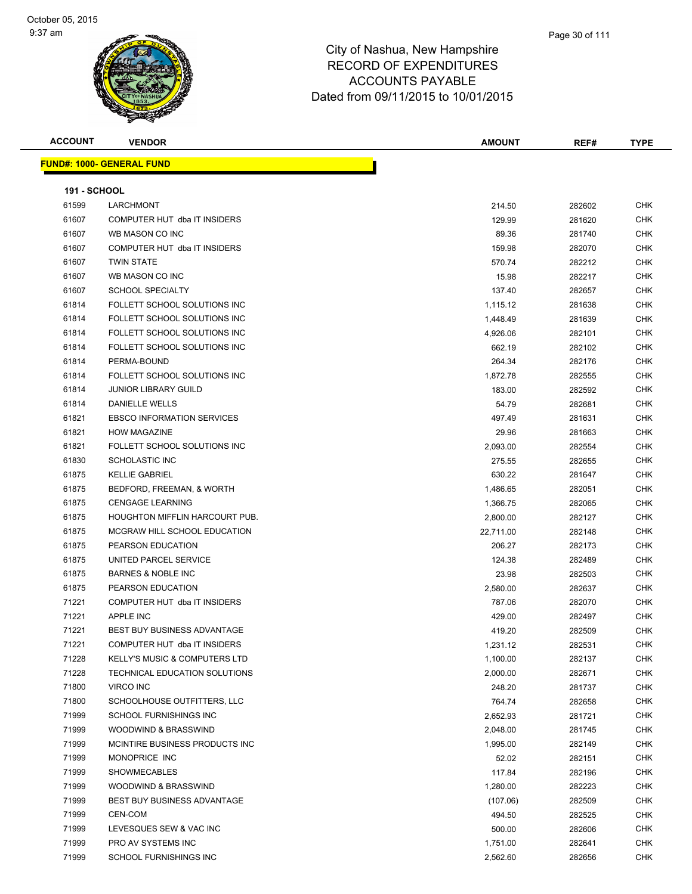| <b>ACCOUNT</b>      | <b>VENDOR</b>                                                | AMOUNT             | REF#             | <b>TYPE</b>              |
|---------------------|--------------------------------------------------------------|--------------------|------------------|--------------------------|
|                     | <b>FUND#: 1000- GENERAL FUND</b>                             |                    |                  |                          |
|                     |                                                              |                    |                  |                          |
| <b>191 - SCHOOL</b> |                                                              |                    |                  |                          |
| 61599               | LARCHMONT                                                    | 214.50             | 282602           | <b>CHK</b>               |
| 61607               | COMPUTER HUT dba IT INSIDERS                                 | 129.99             | 281620           | <b>CHK</b>               |
| 61607               | WB MASON CO INC<br>COMPUTER HUT dba IT INSIDERS              | 89.36              | 281740           | CHK                      |
| 61607               |                                                              | 159.98             | 282070           | <b>CHK</b>               |
| 61607               | <b>TWIN STATE</b>                                            | 570.74             | 282212           | <b>CHK</b>               |
| 61607               | WB MASON CO INC                                              | 15.98              | 282217           | <b>CHK</b>               |
| 61607               | <b>SCHOOL SPECIALTY</b>                                      | 137.40             | 282657           | <b>CHK</b>               |
| 61814<br>61814      | FOLLETT SCHOOL SOLUTIONS INC<br>FOLLETT SCHOOL SOLUTIONS INC | 1,115.12           | 281638           | <b>CHK</b><br><b>CHK</b> |
| 61814               | FOLLETT SCHOOL SOLUTIONS INC                                 | 1,448.49           | 281639           | <b>CHK</b>               |
| 61814               | FOLLETT SCHOOL SOLUTIONS INC                                 | 4,926.06           | 282101           | CHK                      |
| 61814               | PERMA-BOUND                                                  | 662.19             | 282102           | <b>CHK</b>               |
| 61814               | FOLLETT SCHOOL SOLUTIONS INC                                 | 264.34             | 282176           | <b>CHK</b>               |
| 61814               | <b>JUNIOR LIBRARY GUILD</b>                                  | 1,872.78<br>183.00 | 282555<br>282592 | CHK                      |
| 61814               | <b>DANIELLE WELLS</b>                                        | 54.79              |                  | <b>CHK</b>               |
| 61821               | <b>EBSCO INFORMATION SERVICES</b>                            | 497.49             | 282681           | <b>CHK</b>               |
| 61821               | <b>HOW MAGAZINE</b>                                          | 29.96              | 281631<br>281663 | <b>CHK</b>               |
| 61821               | FOLLETT SCHOOL SOLUTIONS INC                                 | 2,093.00           | 282554           | CHK                      |
| 61830               | <b>SCHOLASTIC INC</b>                                        | 275.55             | 282655           | <b>CHK</b>               |
| 61875               | <b>KELLIE GABRIEL</b>                                        | 630.22             | 281647           | <b>CHK</b>               |
| 61875               | BEDFORD, FREEMAN, & WORTH                                    | 1,486.65           | 282051           | <b>CHK</b>               |
| 61875               | <b>CENGAGE LEARNING</b>                                      | 1,366.75           | 282065           | CHK                      |
| 61875               | <b>HOUGHTON MIFFLIN HARCOURT PUB.</b>                        | 2,800.00           | 282127           | <b>CHK</b>               |
| 61875               | MCGRAW HILL SCHOOL EDUCATION                                 | 22,711.00          | 282148           | <b>CHK</b>               |
| 61875               | PEARSON EDUCATION                                            | 206.27             | 282173           | <b>CHK</b>               |
| 61875               | UNITED PARCEL SERVICE                                        | 124.38             | 282489           | <b>CHK</b>               |
| 61875               | <b>BARNES &amp; NOBLE INC</b>                                | 23.98              | 282503           | <b>CHK</b>               |
| 61875               | PEARSON EDUCATION                                            | 2,580.00           | 282637           | <b>CHK</b>               |
| 71221               | COMPUTER HUT dba IT INSIDERS                                 | 787.06             | 282070           | <b>CHK</b>               |
| 71221               | <b>APPLE INC</b>                                             | 429.00             | 282497           | <b>CHK</b>               |
| 71221               | <b>BEST BUY BUSINESS ADVANTAGE</b>                           | 419.20             | 282509           | <b>CHK</b>               |
| 71221               | COMPUTER HUT dba IT INSIDERS                                 | 1,231.12           | 282531           | <b>CHK</b>               |
| 71228               | <b>KELLY'S MUSIC &amp; COMPUTERS LTD</b>                     | 1,100.00           | 282137           | CHK                      |
| 71228               | TECHNICAL EDUCATION SOLUTIONS                                | 2,000.00           | 282671           | <b>CHK</b>               |
| 71800               | <b>VIRCO INC</b>                                             | 248.20             | 281737           | <b>CHK</b>               |
| 71800               | SCHOOLHOUSE OUTFITTERS, LLC                                  | 764.74             | 282658           | CHK                      |
| 71999               | SCHOOL FURNISHINGS INC                                       | 2,652.93           | 281721           | <b>CHK</b>               |
| 71999               | WOODWIND & BRASSWIND                                         | 2,048.00           | 281745           | CHK                      |
| 71999               | MCINTIRE BUSINESS PRODUCTS INC.                              | 1,995.00           | 282149           | CHK                      |
| 71999               | MONOPRICE INC                                                | 52.02              | 282151           | <b>CHK</b>               |
| 71999               | <b>SHOWMECABLES</b>                                          | 117.84             | 282196           | CHK                      |
| 71999               | WOODWIND & BRASSWIND                                         | 1,280.00           | 282223           | <b>CHK</b>               |
| 71999               | <b>BEST BUY BUSINESS ADVANTAGE</b>                           | (107.06)           | 282509           | <b>CHK</b>               |
| 71999               | CEN-COM                                                      | 494.50             | 282525           | CHK                      |
| 71999               | LEVESQUES SEW & VAC INC                                      | 500.00             | 282606           | <b>CHK</b>               |
| 71999               | PRO AV SYSTEMS INC                                           | 1,751.00           | 282641           | CHK                      |
| 71999               | SCHOOL FURNISHINGS INC                                       | 2,562.60           | 282656           | <b>CHK</b>               |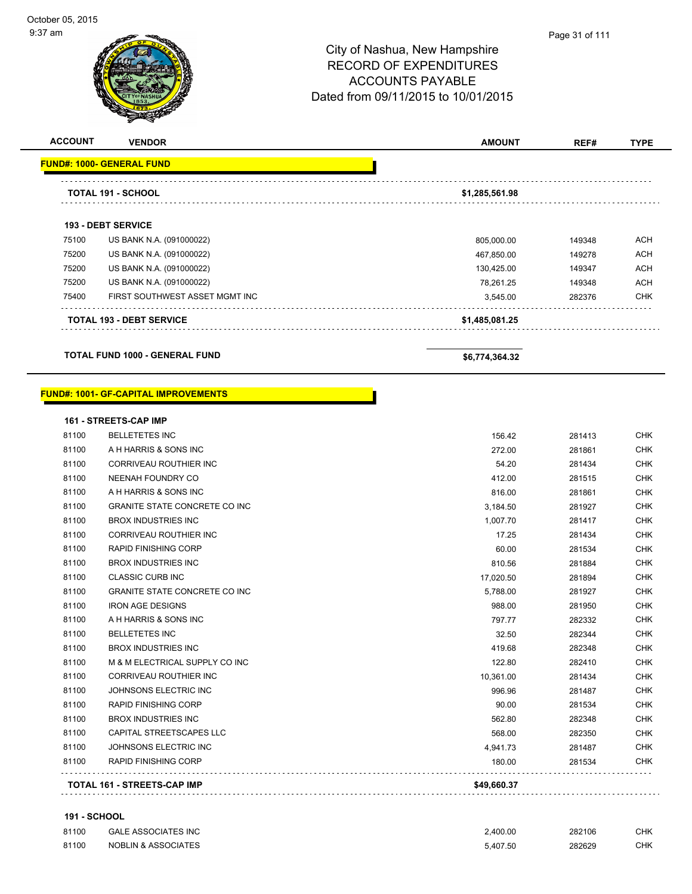| <b>ACCOUNT</b> | <b>VENDOR</b>                    | <b>AMOUNT</b>  | REF#   | <b>TYPE</b> |
|----------------|----------------------------------|----------------|--------|-------------|
|                | <b>FUND#: 1000- GENERAL FUND</b> |                |        |             |
|                | <b>TOTAL 191 - SCHOOL</b>        | \$1,285,561.98 |        |             |
|                | <b>193 - DEBT SERVICE</b>        |                |        |             |
| 75100          | US BANK N.A. (091000022)         | 805,000.00     | 149348 | ACH         |
| 75200          | US BANK N.A. (091000022)         | 467,850.00     | 149278 | ACH         |
| 75200          | US BANK N.A. (091000022)         | 130,425.00     | 149347 | <b>ACH</b>  |
| 75200          | US BANK N.A. (091000022)         | 78.261.25      | 149348 | ACH         |
| 75400          | FIRST SOUTHWEST ASSET MGMT INC   | 3,545.00       | 282376 | <b>CHK</b>  |
|                | <b>TOTAL 193 - DEBT SERVICE</b>  | \$1,485,081.25 |        |             |

**TOTAL FUND 1000 - GENERAL FUND \$6,774,364.32** 

#### **FUND#: 1001- GF-CAPITAL IMPROVEMENTS**

|       | <b>161 - STREETS-CAP IMP</b>         |             |        |            |
|-------|--------------------------------------|-------------|--------|------------|
| 81100 | <b>BELLETETES INC</b>                | 156.42      | 281413 | <b>CHK</b> |
| 81100 | A H HARRIS & SONS INC                | 272.00      | 281861 | <b>CHK</b> |
| 81100 | CORRIVEAU ROUTHIER INC               | 54.20       | 281434 | <b>CHK</b> |
| 81100 | NEENAH FOUNDRY CO                    | 412.00      | 281515 | <b>CHK</b> |
| 81100 | A H HARRIS & SONS INC                | 816.00      | 281861 | <b>CHK</b> |
| 81100 | <b>GRANITE STATE CONCRETE CO INC</b> | 3,184.50    | 281927 | <b>CHK</b> |
| 81100 | <b>BROX INDUSTRIES INC</b>           | 1,007.70    | 281417 | <b>CHK</b> |
| 81100 | <b>CORRIVEAU ROUTHIER INC</b>        | 17.25       | 281434 | <b>CHK</b> |
| 81100 | <b>RAPID FINISHING CORP</b>          | 60.00       | 281534 | <b>CHK</b> |
| 81100 | <b>BROX INDUSTRIES INC</b>           | 810.56      | 281884 | <b>CHK</b> |
| 81100 | <b>CLASSIC CURB INC</b>              | 17,020.50   | 281894 | <b>CHK</b> |
| 81100 | <b>GRANITE STATE CONCRETE CO INC</b> | 5,788.00    | 281927 | <b>CHK</b> |
| 81100 | <b>IRON AGE DESIGNS</b>              | 988.00      | 281950 | <b>CHK</b> |
| 81100 | A H HARRIS & SONS INC                | 797.77      | 282332 | <b>CHK</b> |
| 81100 | <b>BELLETETES INC</b>                | 32.50       | 282344 | <b>CHK</b> |
| 81100 | <b>BROX INDUSTRIES INC</b>           | 419.68      | 282348 | <b>CHK</b> |
| 81100 | M & M ELECTRICAL SUPPLY CO INC       | 122.80      | 282410 | <b>CHK</b> |
| 81100 | <b>CORRIVEAU ROUTHIER INC</b>        | 10,361.00   | 281434 | <b>CHK</b> |
| 81100 | JOHNSONS ELECTRIC INC                | 996.96      | 281487 | <b>CHK</b> |
| 81100 | <b>RAPID FINISHING CORP</b>          | 90.00       | 281534 | <b>CHK</b> |
| 81100 | <b>BROX INDUSTRIES INC</b>           | 562.80      | 282348 | <b>CHK</b> |
| 81100 | CAPITAL STREETSCAPES LLC             | 568.00      | 282350 | <b>CHK</b> |
| 81100 | JOHNSONS ELECTRIC INC                | 4,941.73    | 281487 | <b>CHK</b> |
| 81100 | <b>RAPID FINISHING CORP</b>          | 180.00      | 281534 | <b>CHK</b> |
|       | <b>TOTAL 161 - STREETS-CAP IMP</b>   | \$49,660.37 |        |            |

#### **191 - SCHOOL**

| 81100 | GALE ASSOCIATES INC            | 2.400.00 | 282106 | СНК |
|-------|--------------------------------|----------|--------|-----|
| 81100 | <b>NOBLIN &amp; ASSOCIATES</b> | 5.407.50 | 282629 | СНК |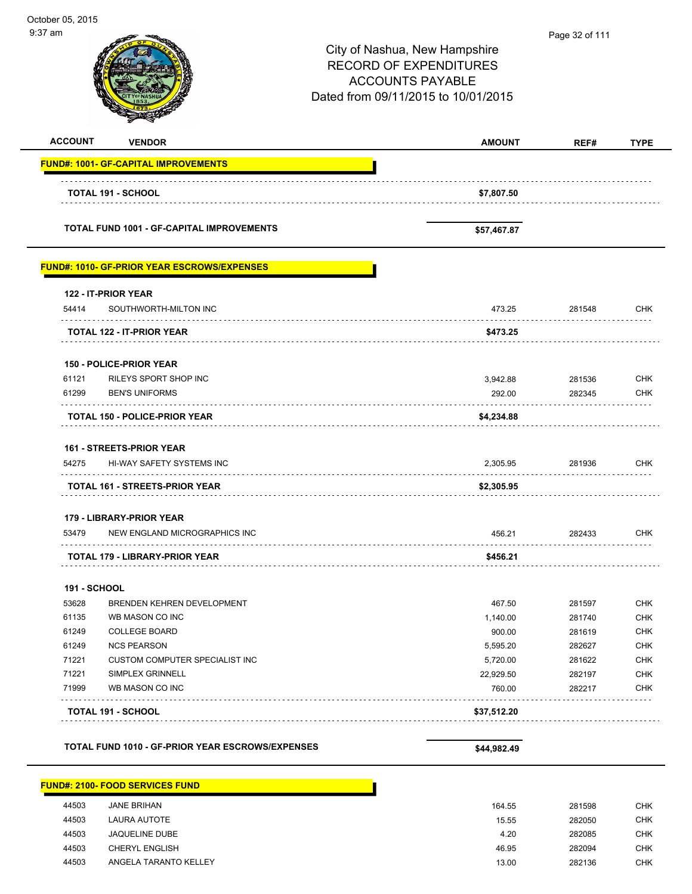| October 05, 2015<br>9:37 am |                                                             | City of Nashua, New Hampshire<br><b>RECORD OF EXPENDITURES</b><br><b>ACCOUNTS PAYABLE</b><br>Dated from 09/11/2015 to 10/01/2015 | Page 32 of 111   |                          |
|-----------------------------|-------------------------------------------------------------|----------------------------------------------------------------------------------------------------------------------------------|------------------|--------------------------|
| <b>ACCOUNT</b>              | <b>VENDOR</b>                                               | <b>AMOUNT</b>                                                                                                                    | REF#             | <b>TYPE</b>              |
|                             | <b>FUND#: 1001- GF-CAPITAL IMPROVEMENTS</b>                 |                                                                                                                                  |                  |                          |
|                             | <b>TOTAL 191 - SCHOOL</b>                                   | \$7,807.50                                                                                                                       |                  |                          |
|                             | <b>TOTAL FUND 1001 - GF-CAPITAL IMPROVEMENTS</b>            | \$57,467.87                                                                                                                      |                  |                          |
|                             | <u> FUND#: 1010- GF-PRIOR YEAR ESCROWS/EXPENSES</u>         |                                                                                                                                  |                  |                          |
| 54414                       | 122 - IT-PRIOR YEAR<br>SOUTHWORTH-MILTON INC                | 473.25                                                                                                                           | 281548           | <b>CHK</b>               |
|                             | TOTAL 122 - IT-PRIOR YEAR                                   | \$473.25                                                                                                                         |                  |                          |
|                             | <b>150 - POLICE-PRIOR YEAR</b>                              |                                                                                                                                  |                  |                          |
| 61121                       | RILEYS SPORT SHOP INC                                       | 3,942.88                                                                                                                         | 281536           | <b>CHK</b>               |
| 61299                       | <b>BEN'S UNIFORMS</b>                                       | 292.00                                                                                                                           | 282345           | <b>CHK</b>               |
|                             | <b>TOTAL 150 - POLICE-PRIOR YEAR</b>                        | \$4,234.88                                                                                                                       |                  |                          |
|                             | <b>161 - STREETS-PRIOR YEAR</b>                             |                                                                                                                                  |                  |                          |
| 54275                       | HI-WAY SAFETY SYSTEMS INC                                   | 2.305.95                                                                                                                         | 281936           | <b>CHK</b>               |
|                             | <b>TOTAL 161 - STREETS-PRIOR YEAR</b>                       | \$2,305.95                                                                                                                       |                  |                          |
|                             | 179 - LIBRARY-PRIOR YEAR                                    |                                                                                                                                  |                  |                          |
| 53479                       | NEW ENGLAND MICROGRAPHICS INC                               | 456.21                                                                                                                           | 282433           | <b>CHK</b>               |
|                             | TOTAL 179 - LIBRARY-PRIOR YEAR                              | \$456.21                                                                                                                         |                  |                          |
| <b>191 - SCHOOL</b>         |                                                             |                                                                                                                                  |                  |                          |
| 53628                       | BRENDEN KEHREN DEVELOPMENT                                  | 467.50                                                                                                                           | 281597           | <b>CHK</b>               |
| 61135                       | WB MASON CO INC                                             | 1,140.00                                                                                                                         | 281740           | <b>CHK</b>               |
| 61249                       | <b>COLLEGE BOARD</b>                                        | 900.00                                                                                                                           | 281619           | <b>CHK</b>               |
| 61249                       | <b>NCS PEARSON</b><br><b>CUSTOM COMPUTER SPECIALIST INC</b> | 5,595.20                                                                                                                         | 282627           | <b>CHK</b>               |
| 71221<br>71221              | SIMPLEX GRINNELL                                            | 5,720.00<br>22,929.50                                                                                                            | 281622<br>282197 | <b>CHK</b><br><b>CHK</b> |
| 71999                       | WB MASON CO INC                                             | 760.00                                                                                                                           | 282217           | <b>CHK</b>               |
|                             | <b>TOTAL 191 - SCHOOL</b>                                   | \$37,512.20                                                                                                                      |                  |                          |
|                             | TOTAL FUND 1010 - GF-PRIOR YEAR ESCROWS/EXPENSES            |                                                                                                                                  |                  |                          |
|                             |                                                             | \$44,982.49                                                                                                                      |                  |                          |
|                             | <u> FUND#: 2100- FOOD SERVICES FUND</u>                     |                                                                                                                                  |                  |                          |
| 44503                       | <b>JANE BRIHAN</b>                                          | 164 55                                                                                                                           | 281598           | <b>CHK</b>               |

| 44503 | <b>JANE BRIHAN</b>    | 164.55 | 281598 | CHK        |
|-------|-----------------------|--------|--------|------------|
| 44503 | LAURA AUTOTE          | 15.55  | 282050 | <b>CHK</b> |
| 44503 | <b>JAQUELINE DUBE</b> | 4.20   | 282085 | <b>CHK</b> |
| 44503 | <b>CHERYL ENGLISH</b> | 46.95  | 282094 | <b>CHK</b> |
| 44503 | ANGELA TARANTO KELLEY | 13.00  | 282136 | <b>CHK</b> |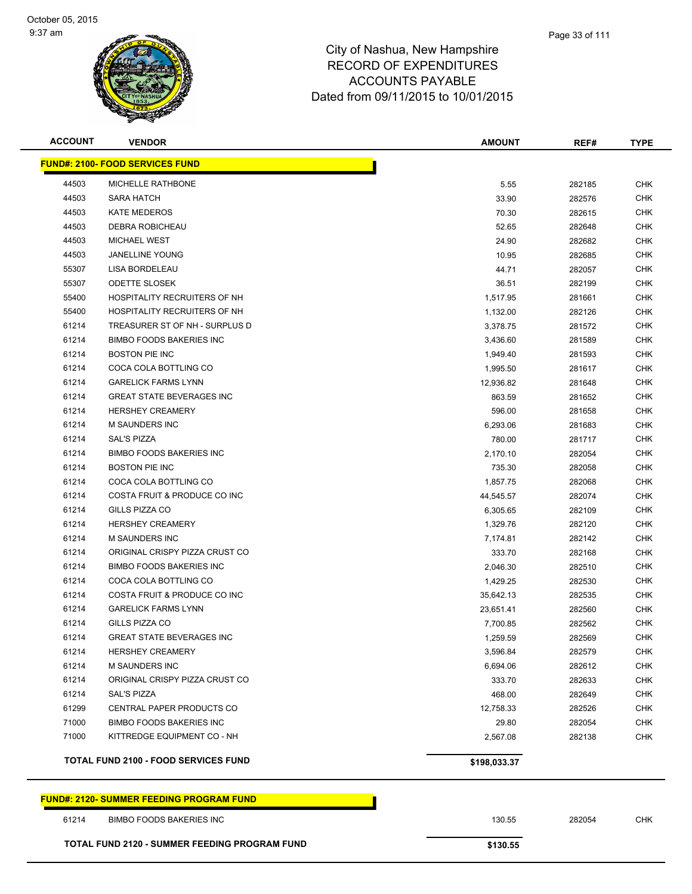

| <b>ACCOUNT</b> | <b>VENDOR</b>                               | <b>AMOUNT</b> | REF#   | <b>TYPE</b> |
|----------------|---------------------------------------------|---------------|--------|-------------|
|                | <b>FUND#: 2100- FOOD SERVICES FUND</b>      |               |        |             |
| 44503          | <b>MICHELLE RATHBONE</b>                    | 5.55          | 282185 | <b>CHK</b>  |
| 44503          | SARA HATCH                                  | 33.90         | 282576 | <b>CHK</b>  |
| 44503          | <b>KATE MEDEROS</b>                         | 70.30         | 282615 | <b>CHK</b>  |
| 44503          | DEBRA ROBICHEAU                             | 52.65         | 282648 | <b>CHK</b>  |
| 44503          | <b>MICHAEL WEST</b>                         | 24.90         | 282682 | <b>CHK</b>  |
| 44503          | <b>JANELLINE YOUNG</b>                      | 10.95         | 282685 | <b>CHK</b>  |
| 55307          | LISA BORDELEAU                              | 44.71         | 282057 | <b>CHK</b>  |
| 55307          | <b>ODETTE SLOSEK</b>                        | 36.51         | 282199 | <b>CHK</b>  |
| 55400          | HOSPITALITY RECRUITERS OF NH                | 1,517.95      | 281661 | <b>CHK</b>  |
| 55400          | HOSPITALITY RECRUITERS OF NH                | 1,132.00      | 282126 | <b>CHK</b>  |
| 61214          | TREASURER ST OF NH - SURPLUS D              | 3,378.75      | 281572 | <b>CHK</b>  |
| 61214          | <b>BIMBO FOODS BAKERIES INC</b>             | 3,436.60      | 281589 | <b>CHK</b>  |
| 61214          | <b>BOSTON PIE INC</b>                       | 1,949.40      | 281593 | <b>CHK</b>  |
| 61214          | COCA COLA BOTTLING CO                       | 1,995.50      | 281617 | <b>CHK</b>  |
| 61214          | <b>GARELICK FARMS LYNN</b>                  | 12,936.82     | 281648 | <b>CHK</b>  |
| 61214          | <b>GREAT STATE BEVERAGES INC</b>            | 863.59        | 281652 | <b>CHK</b>  |
| 61214          | <b>HERSHEY CREAMERY</b>                     | 596.00        | 281658 | <b>CHK</b>  |
| 61214          | <b>M SAUNDERS INC</b>                       | 6,293.06      | 281683 | <b>CHK</b>  |
| 61214          | <b>SAL'S PIZZA</b>                          | 780.00        | 281717 | <b>CHK</b>  |
| 61214          | <b>BIMBO FOODS BAKERIES INC</b>             | 2,170.10      | 282054 | <b>CHK</b>  |
| 61214          | <b>BOSTON PIE INC</b>                       | 735.30        | 282058 | <b>CHK</b>  |
| 61214          | COCA COLA BOTTLING CO                       | 1,857.75      | 282068 | <b>CHK</b>  |
| 61214          | COSTA FRUIT & PRODUCE CO INC                | 44,545.57     | 282074 | <b>CHK</b>  |
| 61214          | GILLS PIZZA CO                              | 6,305.65      | 282109 | <b>CHK</b>  |
| 61214          | <b>HERSHEY CREAMERY</b>                     | 1,329.76      | 282120 | <b>CHK</b>  |
| 61214          | <b>M SAUNDERS INC</b>                       | 7,174.81      | 282142 | <b>CHK</b>  |
| 61214          | ORIGINAL CRISPY PIZZA CRUST CO              | 333.70        | 282168 | <b>CHK</b>  |
| 61214          | <b>BIMBO FOODS BAKERIES INC</b>             | 2,046.30      | 282510 | <b>CHK</b>  |
| 61214          | COCA COLA BOTTLING CO                       | 1,429.25      | 282530 | <b>CHK</b>  |
| 61214          | COSTA FRUIT & PRODUCE CO INC                | 35,642.13     | 282535 | <b>CHK</b>  |
| 61214          | <b>GARELICK FARMS LYNN</b>                  | 23,651.41     | 282560 | <b>CHK</b>  |
| 61214          | GILLS PIZZA CO                              | 7,700.85      | 282562 | <b>CHK</b>  |
| 61214          | <b>GREAT STATE BEVERAGES INC</b>            | 1,259.59      | 282569 | <b>CHK</b>  |
| 61214          | <b>HERSHEY CREAMERY</b>                     | 3,596.84      | 282579 | <b>CHK</b>  |
| 61214          | <b>M SAUNDERS INC</b>                       | 6,694.06      | 282612 | <b>CHK</b>  |
| 61214          | ORIGINAL CRISPY PIZZA CRUST CO              | 333.70        | 282633 | <b>CHK</b>  |
| 61214          | <b>SAL'S PIZZA</b>                          | 468.00        | 282649 | <b>CHK</b>  |
| 61299          | CENTRAL PAPER PRODUCTS CO                   | 12,758.33     | 282526 | <b>CHK</b>  |
| 71000          | <b>BIMBO FOODS BAKERIES INC</b>             | 29.80         | 282054 | <b>CHK</b>  |
| 71000          | KITTREDGE EQUIPMENT CO - NH                 | 2,567.08      | 282138 | CHK         |
|                | <b>TOTAL FUND 2100 - FOOD SERVICES FUND</b> | \$198,033.37  |        |             |

#### **FUND#: 2120- SUMMER FEEDING PROGRAM FUND**

BIMBO FOODS BAKERIES INC 130.55 282054 CHK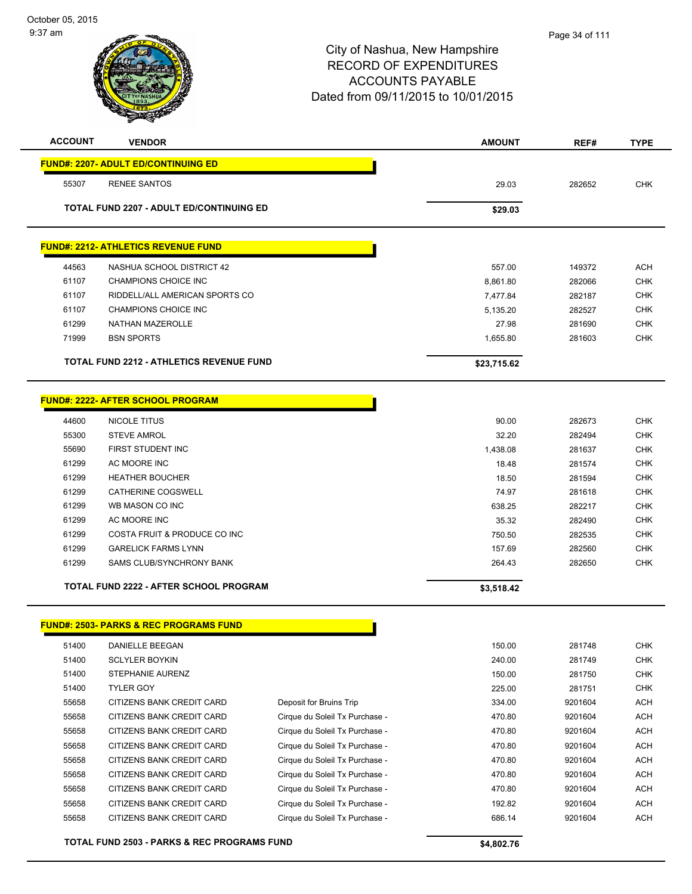| 55307 | <b>FUND#: 2207- ADULT ED/CONTINUING ED</b><br><b>RENEE SANTOS</b> |                                |             |         |            |
|-------|-------------------------------------------------------------------|--------------------------------|-------------|---------|------------|
|       |                                                                   |                                |             |         |            |
|       |                                                                   |                                | 29.03       | 282652  | CHK        |
|       |                                                                   |                                |             |         |            |
|       | <b>TOTAL FUND 2207 - ADULT ED/CONTINUING ED</b>                   |                                | \$29.03     |         |            |
|       | <b>FUND#: 2212- ATHLETICS REVENUE FUND</b>                        |                                |             |         |            |
| 44563 | NASHUA SCHOOL DISTRICT 42                                         |                                | 557.00      | 149372  | ACH        |
| 61107 | <b>CHAMPIONS CHOICE INC</b>                                       |                                | 8,861.80    | 282066  | <b>CHK</b> |
| 61107 | RIDDELL/ALL AMERICAN SPORTS CO                                    |                                | 7,477.84    | 282187  | <b>CHK</b> |
| 61107 | CHAMPIONS CHOICE INC                                              |                                | 5,135.20    | 282527  | <b>CHK</b> |
| 61299 | NATHAN MAZEROLLE                                                  |                                | 27.98       | 281690  | <b>CHK</b> |
| 71999 | <b>BSN SPORTS</b>                                                 |                                | 1,655.80    | 281603  | <b>CHK</b> |
|       | <b>TOTAL FUND 2212 - ATHLETICS REVENUE FUND</b>                   |                                | \$23,715.62 |         |            |
|       | <b>FUND#: 2222- AFTER SCHOOL PROGRAM</b>                          |                                |             |         |            |
| 44600 | NICOLE TITUS                                                      |                                | 90.00       | 282673  | <b>CHK</b> |
| 55300 | <b>STEVE AMROL</b>                                                |                                | 32.20       | 282494  | <b>CHK</b> |
| 55690 | FIRST STUDENT INC                                                 |                                | 1,438.08    | 281637  | <b>CHK</b> |
| 61299 | AC MOORE INC                                                      |                                | 18.48       | 281574  | <b>CHK</b> |
| 61299 | <b>HEATHER BOUCHER</b>                                            |                                | 18.50       | 281594  | <b>CHK</b> |
| 61299 | CATHERINE COGSWELL                                                |                                | 74.97       | 281618  | <b>CHK</b> |
| 61299 | WB MASON CO INC                                                   |                                | 638.25      | 282217  | <b>CHK</b> |
| 61299 | AC MOORE INC                                                      |                                | 35.32       | 282490  | <b>CHK</b> |
| 61299 | COSTA FRUIT & PRODUCE CO INC                                      |                                | 750.50      | 282535  | <b>CHK</b> |
| 61299 | <b>GARELICK FARMS LYNN</b>                                        |                                | 157.69      | 282560  | <b>CHK</b> |
| 61299 | SAMS CLUB/SYNCHRONY BANK                                          |                                | 264.43      | 282650  | <b>CHK</b> |
|       | <b>TOTAL FUND 2222 - AFTER SCHOOL PROGRAM</b>                     |                                | \$3,518.42  |         |            |
|       |                                                                   |                                |             |         |            |
|       | <b>FUND#: 2503- PARKS &amp; REC PROGRAMS FUND</b>                 |                                |             |         |            |
| 51400 | DANIELLE BEEGAN                                                   |                                | 150.00      | 281748  | <b>CHK</b> |
| 51400 | <b>SCLYLER BOYKIN</b>                                             |                                | 240.00      | 281749  | <b>CHK</b> |
| 51400 | STEPHANIE AURENZ                                                  |                                | 150.00      | 281750  | CHK        |
| 51400 | <b>TYLER GOY</b>                                                  |                                | 225.00      | 281751  | CHK        |
| 55658 | CITIZENS BANK CREDIT CARD                                         | Deposit for Bruins Trip        | 334.00      | 9201604 | <b>ACH</b> |
| 55658 | CITIZENS BANK CREDIT CARD                                         | Cirque du Soleil Tx Purchase - | 470.80      | 9201604 | <b>ACH</b> |
| 55658 | CITIZENS BANK CREDIT CARD                                         | Cirque du Soleil Tx Purchase - | 470.80      | 9201604 | <b>ACH</b> |
| 55658 | CITIZENS BANK CREDIT CARD                                         | Cirque du Soleil Tx Purchase - | 470.80      | 9201604 | <b>ACH</b> |
| 55658 | CITIZENS BANK CREDIT CARD                                         | Cirque du Soleil Tx Purchase - | 470.80      | 9201604 | <b>ACH</b> |
|       | CITIZENS BANK CREDIT CARD                                         | Cirque du Soleil Tx Purchase - | 470.80      | 9201604 | <b>ACH</b> |
| 55658 | CITIZENS BANK CREDIT CARD                                         | Cirque du Soleil Tx Purchase - | 470.80      | 9201604 | <b>ACH</b> |
| 55658 | CITIZENS BANK CREDIT CARD                                         | Cirque du Soleil Tx Purchase - | 192.82      | 9201604 | <b>ACH</b> |
| 55658 | CITIZENS BANK CREDIT CARD                                         | Cirque du Soleil Tx Purchase - | 686.14      | 9201604 | <b>ACH</b> |
|       | TOTAL FUND 2503 - PARKS & REC PROGRAMS FUND                       |                                | \$4,802.76  |         |            |
| 55658 |                                                                   |                                |             |         |            |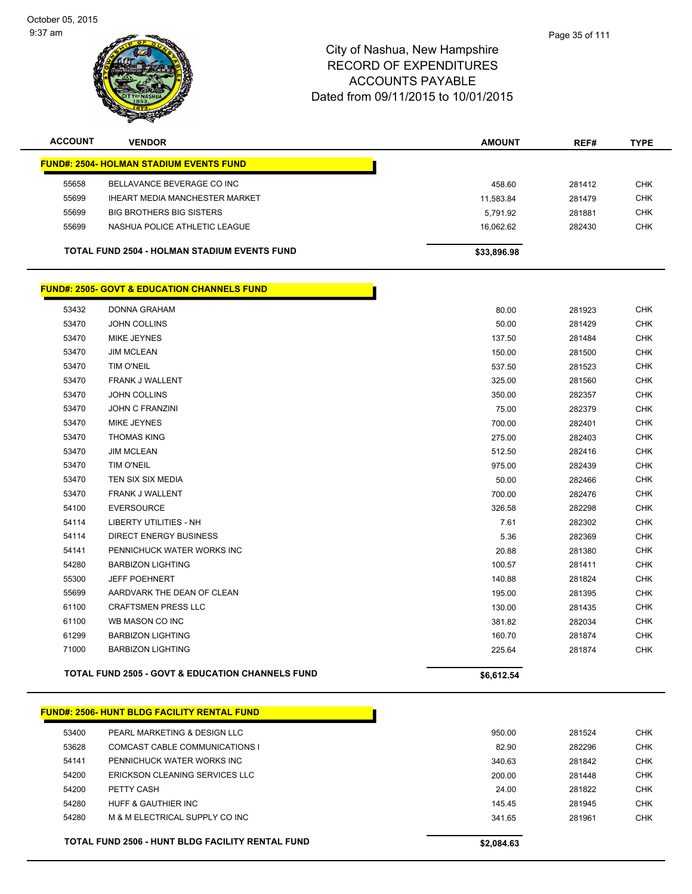October 05, 2015 9:37 am



## City of Nashua, New Hampshire RECORD OF EXPENDITURES ACCOUNTS PAYABLE Dated from 09/11/2015 to 10/01/2015

| <b>ACCOUNT</b> | <b>VENDOR</b>                                       | <b>AMOUNT</b> | REF#   | <b>TYPE</b> |
|----------------|-----------------------------------------------------|---------------|--------|-------------|
|                | <b>FUND#: 2504- HOLMAN STADIUM EVENTS FUND</b>      |               |        |             |
| 55658          | BELLAVANCE BEVERAGE CO INC                          | 458.60        | 281412 | <b>CHK</b>  |
| 55699          | <b>IHEART MEDIA MANCHESTER MARKET</b>               | 11.583.84     | 281479 | <b>CHK</b>  |
| 55699          | <b>BIG BROTHERS BIG SISTERS</b>                     | 5.791.92      | 281881 | <b>CHK</b>  |
| 55699          | NASHUA POLICE ATHLETIC LEAGUE                       | 16.062.62     | 282430 | <b>CHK</b>  |
|                | <b>TOTAL FUND 2504 - HOLMAN STADIUM EVENTS FUND</b> | \$33,896.98   |        |             |

#### **FUND#: 2505- GOVT & EDUCATION CHANNELS FUND**

|       | <b>TOTAL FUND 2505 - GOVT &amp; EDUCATION CHANNELS FUND</b> | \$6,612.54 |        |            |
|-------|-------------------------------------------------------------|------------|--------|------------|
| 71000 | <b>BARBIZON LIGHTING</b>                                    | 225.64     | 281874 | <b>CHK</b> |
| 61299 | <b>BARBIZON LIGHTING</b>                                    | 160.70     | 281874 | <b>CHK</b> |
| 61100 | WB MASON CO INC                                             | 381.82     | 282034 | <b>CHK</b> |
| 61100 | <b>CRAFTSMEN PRESS LLC</b>                                  | 130.00     | 281435 | <b>CHK</b> |
| 55699 | AARDVARK THE DEAN OF CLEAN                                  | 195.00     | 281395 | <b>CHK</b> |
| 55300 | <b>JEFF POEHNERT</b>                                        | 140.88     | 281824 | <b>CHK</b> |
| 54280 | <b>BARBIZON LIGHTING</b>                                    | 100.57     | 281411 | <b>CHK</b> |
| 54141 | PENNICHUCK WATER WORKS INC                                  | 20.88      | 281380 | <b>CHK</b> |
| 54114 | <b>DIRECT ENERGY BUSINESS</b>                               | 5.36       | 282369 | <b>CHK</b> |
| 54114 | <b>LIBERTY UTILITIES - NH</b>                               | 7.61       | 282302 | <b>CHK</b> |
| 54100 | <b>EVERSOURCE</b>                                           | 326.58     | 282298 | <b>CHK</b> |
| 53470 | <b>FRANK J WALLENT</b>                                      | 700.00     | 282476 | <b>CHK</b> |
| 53470 | TEN SIX SIX MEDIA                                           | 50.00      | 282466 | <b>CHK</b> |
| 53470 | <b>TIM O'NEIL</b>                                           | 975.00     | 282439 | <b>CHK</b> |
| 53470 | <b>JIM MCLEAN</b>                                           | 512.50     | 282416 | <b>CHK</b> |
| 53470 | <b>THOMAS KING</b>                                          | 275.00     | 282403 | <b>CHK</b> |
| 53470 | MIKE JEYNES                                                 | 700.00     | 282401 | <b>CHK</b> |
| 53470 | <b>JOHN C FRANZINI</b>                                      | 75.00      | 282379 | <b>CHK</b> |
| 53470 | <b>JOHN COLLINS</b>                                         | 350.00     | 282357 | <b>CHK</b> |
| 53470 | FRANK J WALLENT                                             | 325.00     | 281560 | <b>CHK</b> |
| 53470 | TIM O'NEIL                                                  | 537.50     | 281523 | <b>CHK</b> |
| 53470 | <b>JIM MCLEAN</b>                                           | 150.00     | 281500 | <b>CHK</b> |
| 53470 | MIKE JEYNES                                                 | 137.50     | 281484 | <b>CHK</b> |
| 53470 | <b>JOHN COLLINS</b>                                         | 50.00      | 281429 | <b>CHK</b> |
| 53432 | <b>DONNA GRAHAM</b>                                         | 80.00      | 281923 | <b>CHK</b> |

| <b>FUND#: 2506- HUNT BLDG FACILITY RENTAL FUND</b> |  |
|----------------------------------------------------|--|
|                                                    |  |
|                                                    |  |

| 53400 | <b>FUND#: 2506- HUNT BLDG FACILITY RENTAL FUND</b><br>PEARL MARKETING & DESIGN LLC | 950.00     | 281524 | <b>CHK</b> |
|-------|------------------------------------------------------------------------------------|------------|--------|------------|
| 53628 | COMCAST CABLE COMMUNICATIONS I                                                     | 82.90      | 282296 | <b>CHK</b> |
| 54141 | PENNICHUCK WATER WORKS INC                                                         | 340.63     | 281842 | <b>CHK</b> |
| 54200 | ERICKSON CLEANING SERVICES LLC                                                     | 200.00     | 281448 | <b>CHK</b> |
| 54200 | PETTY CASH                                                                         | 24.00      | 281822 | <b>CHK</b> |
| 54280 | HUFF & GAUTHIFR INC.                                                               | 145.45     | 281945 | <b>CHK</b> |
| 54280 | M & M ELECTRICAL SUPPLY CO INC                                                     | 341.65     | 281961 | <b>CHK</b> |
|       |                                                                                    |            |        |            |
|       | <b>TOTAL FUND 2506 - HUNT BLDG FACILITY RENTAL FUND</b>                            | \$2,084.63 |        |            |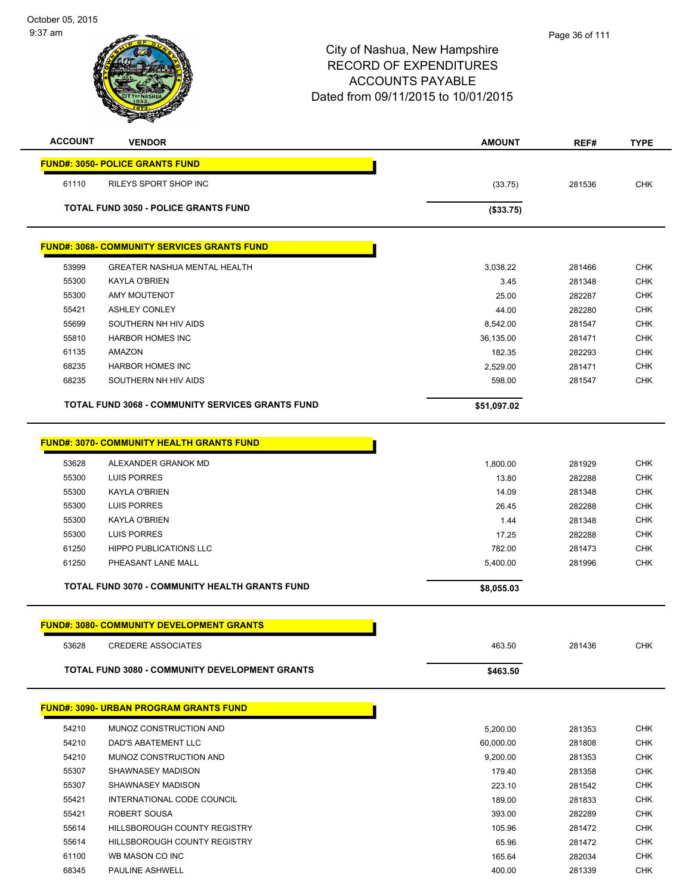| <b>ACCOUNT</b>                                 | <b>VENDOR</b>                                           | <b>AMOUNT</b> | REF#   | <b>TYPE</b> |
|------------------------------------------------|---------------------------------------------------------|---------------|--------|-------------|
|                                                | <b>FUND#: 3050- POLICE GRANTS FUND</b>                  |               |        |             |
| 61110                                          | <b>RILEYS SPORT SHOP INC</b>                            | (33.75)       | 281536 | <b>CHK</b>  |
|                                                |                                                         |               |        |             |
|                                                | <b>TOTAL FUND 3050 - POLICE GRANTS FUND</b>             | (\$33.75)     |        |             |
|                                                | <u> FUND#: 3068- COMMUNITY SERVICES GRANTS FUND</u>     |               |        |             |
| 53999                                          | <b>GREATER NASHUA MENTAL HEALTH</b>                     | 3,038.22      | 281466 | <b>CHK</b>  |
| 55300                                          | KAYLA O'BRIEN                                           | 3.45          | 281348 | <b>CHK</b>  |
| 55300                                          | <b>AMY MOUTENOT</b>                                     | 25.00         | 282287 | <b>CHK</b>  |
| 55421                                          | <b>ASHLEY CONLEY</b>                                    | 44.00         | 282280 | <b>CHK</b>  |
| 55699                                          | SOUTHERN NH HIV AIDS                                    | 8,542.00      | 281547 | <b>CHK</b>  |
| 55810                                          | <b>HARBOR HOMES INC</b>                                 | 36,135.00     | 281471 | <b>CHK</b>  |
| 61135                                          | AMAZON                                                  | 182.35        | 282293 | <b>CHK</b>  |
| 68235                                          | <b>HARBOR HOMES INC</b>                                 | 2,529.00      | 281471 | <b>CHK</b>  |
| 68235                                          | SOUTHERN NH HIV AIDS                                    | 598.00        | 281547 | <b>CHK</b>  |
|                                                | <b>TOTAL FUND 3068 - COMMUNITY SERVICES GRANTS FUND</b> | \$51,097.02   |        |             |
|                                                |                                                         |               |        |             |
|                                                | <b>FUND#: 3070- COMMUNITY HEALTH GRANTS FUND</b>        |               |        |             |
| 53628                                          | ALEXANDER GRANOK MD                                     | 1,800.00      | 281929 | <b>CHK</b>  |
| 55300                                          | LUIS PORRES                                             | 13.80         | 282288 | <b>CHK</b>  |
| 55300                                          | KAYLA O'BRIEN                                           | 14.09         | 281348 | <b>CHK</b>  |
| 55300                                          | <b>LUIS PORRES</b>                                      | 26.45         | 282288 | <b>CHK</b>  |
| 55300                                          | KAYLA O'BRIEN                                           | 1.44          | 281348 | <b>CHK</b>  |
| 55300                                          | LUIS PORRES                                             | 17.25         | 282288 | <b>CHK</b>  |
| 61250                                          | <b>HIPPO PUBLICATIONS LLC</b>                           | 782.00        | 281473 | <b>CHK</b>  |
| 61250                                          | PHEASANT LANE MALL                                      | 5,400.00      | 281996 | <b>CHK</b>  |
|                                                |                                                         |               |        |             |
| TOTAL FUND 3070 - COMMUNITY HEALTH GRANTS FUND |                                                         | \$8,055.03    |        |             |
|                                                | <b>FUND#: 3080- COMMUNITY DEVELOPMENT GRANTS</b>        |               |        |             |
| 53628                                          | <b>CREDERE ASSOCIATES</b>                               | 463.50        | 281436 | <b>CHK</b>  |
|                                                |                                                         |               |        |             |
|                                                | <b>TOTAL FUND 3080 - COMMUNITY DEVELOPMENT GRANTS</b>   | \$463.50      |        |             |
|                                                | <b>FUND#: 3090- URBAN PROGRAM GRANTS FUND</b>           |               |        |             |
| 54210                                          | MUNOZ CONSTRUCTION AND                                  | 5,200.00      | 281353 | <b>CHK</b>  |
| 54210                                          | DAD'S ABATEMENT LLC                                     | 60,000.00     | 281808 | <b>CHK</b>  |
| 54210                                          | MUNOZ CONSTRUCTION AND                                  | 9,200.00      | 281353 | <b>CHK</b>  |
| 55307                                          | SHAWNASEY MADISON                                       | 179.40        | 281358 | <b>CHK</b>  |
| 55307                                          | SHAWNASEY MADISON                                       | 223.10        | 281542 | <b>CHK</b>  |
| 55421                                          | INTERNATIONAL CODE COUNCIL                              | 189.00        | 281833 | <b>CHK</b>  |
| 55421                                          | ROBERT SOUSA                                            | 393.00        | 282289 | <b>CHK</b>  |
| 55614                                          | HILLSBOROUGH COUNTY REGISTRY                            | 105.96        | 281472 | <b>CHK</b>  |
| 55614                                          | HILLSBOROUGH COUNTY REGISTRY                            | 65.96         | 281472 | <b>CHK</b>  |
| 61100                                          | WB MASON CO INC                                         | 165.64        | 282034 | <b>CHK</b>  |
| 68345                                          | PAULINE ASHWELL                                         | 400.00        | 281339 | <b>CHK</b>  |
|                                                |                                                         |               |        |             |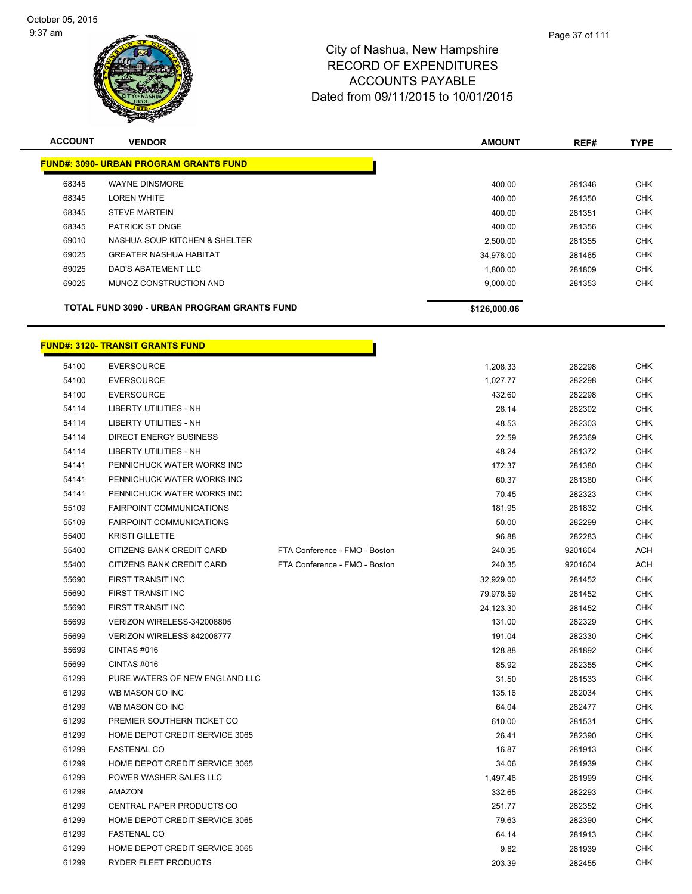

| <b>ACCOUNT</b> | <b>VENDOR</b>                                      | <b>AMOUNT</b> | REF#   | <b>TYPE</b> |
|----------------|----------------------------------------------------|---------------|--------|-------------|
|                | <b>FUND#: 3090- URBAN PROGRAM GRANTS FUND</b>      |               |        |             |
| 68345          | <b>WAYNE DINSMORE</b>                              | 400.00        | 281346 | <b>CHK</b>  |
| 68345          | <b>LOREN WHITE</b>                                 | 400.00        | 281350 | <b>CHK</b>  |
| 68345          | <b>STEVE MARTEIN</b>                               | 400.00        | 281351 | <b>CHK</b>  |
| 68345          | <b>PATRICK ST ONGE</b>                             | 400.00        | 281356 | <b>CHK</b>  |
| 69010          | NASHUA SOUP KITCHEN & SHELTER                      | 2,500.00      | 281355 | <b>CHK</b>  |
| 69025          | <b>GREATER NASHUA HABITAT</b>                      | 34,978.00     | 281465 | <b>CHK</b>  |
| 69025          | DAD'S ABATEMENT LLC                                | 1.800.00      | 281809 | <b>CHK</b>  |
| 69025          | MUNOZ CONSTRUCTION AND                             | 9,000.00      | 281353 | <b>CHK</b>  |
|                | <b>TOTAL FUND 3090 - URBAN PROGRAM GRANTS FUND</b> | \$126,000.06  |        |             |

|       | <u>FUND#: 3120- TRANSIT GRANTS FUND</u> |                               |           |         |            |
|-------|-----------------------------------------|-------------------------------|-----------|---------|------------|
| 54100 | <b>EVERSOURCE</b>                       |                               | 1,208.33  | 282298  | <b>CHK</b> |
| 54100 | <b>EVERSOURCE</b>                       |                               | 1,027.77  | 282298  | <b>CHK</b> |
| 54100 | <b>EVERSOURCE</b>                       |                               | 432.60    | 282298  | <b>CHK</b> |
| 54114 | <b>LIBERTY UTILITIES - NH</b>           |                               | 28.14     | 282302  | <b>CHK</b> |
| 54114 | LIBERTY UTILITIES - NH                  |                               | 48.53     | 282303  | <b>CHK</b> |
| 54114 | <b>DIRECT ENERGY BUSINESS</b>           |                               | 22.59     | 282369  | <b>CHK</b> |
| 54114 | LIBERTY UTILITIES - NH                  |                               | 48.24     | 281372  | <b>CHK</b> |
| 54141 | PENNICHUCK WATER WORKS INC              |                               | 172.37    | 281380  | <b>CHK</b> |
| 54141 | PENNICHUCK WATER WORKS INC              |                               | 60.37     | 281380  | <b>CHK</b> |
| 54141 | PENNICHUCK WATER WORKS INC              |                               | 70.45     | 282323  | <b>CHK</b> |
| 55109 | <b>FAIRPOINT COMMUNICATIONS</b>         |                               | 181.95    | 281832  | <b>CHK</b> |
| 55109 | <b>FAIRPOINT COMMUNICATIONS</b>         |                               | 50.00     | 282299  | <b>CHK</b> |
| 55400 | <b>KRISTI GILLETTE</b>                  |                               | 96.88     | 282283  | <b>CHK</b> |
| 55400 | CITIZENS BANK CREDIT CARD               | FTA Conference - FMO - Boston | 240.35    | 9201604 | <b>ACH</b> |
| 55400 | CITIZENS BANK CREDIT CARD               | FTA Conference - FMO - Boston | 240.35    | 9201604 | ACH        |
| 55690 | FIRST TRANSIT INC                       |                               | 32,929.00 | 281452  | CHK        |
| 55690 | <b>FIRST TRANSIT INC</b>                |                               | 79,978.59 | 281452  | <b>CHK</b> |
| 55690 | <b>FIRST TRANSIT INC</b>                |                               | 24,123.30 | 281452  | <b>CHK</b> |
| 55699 | VERIZON WIRELESS-342008805              |                               | 131.00    | 282329  | <b>CHK</b> |
| 55699 | VERIZON WIRELESS-842008777              |                               | 191.04    | 282330  | <b>CHK</b> |
| 55699 | CINTAS#016                              |                               | 128.88    | 281892  | <b>CHK</b> |
| 55699 | CINTAS#016                              |                               | 85.92     | 282355  | <b>CHK</b> |
| 61299 | PURE WATERS OF NEW ENGLAND LLC          |                               | 31.50     | 281533  | <b>CHK</b> |
| 61299 | WB MASON CO INC                         |                               | 135.16    | 282034  | <b>CHK</b> |
| 61299 | WB MASON CO INC                         |                               | 64.04     | 282477  | <b>CHK</b> |
| 61299 | PREMIER SOUTHERN TICKET CO              |                               | 610.00    | 281531  | <b>CHK</b> |
| 61299 | HOME DEPOT CREDIT SERVICE 3065          |                               | 26.41     | 282390  | <b>CHK</b> |
| 61299 | <b>FASTENAL CO</b>                      |                               | 16.87     | 281913  | <b>CHK</b> |
| 61299 | HOME DEPOT CREDIT SERVICE 3065          |                               | 34.06     | 281939  | <b>CHK</b> |
| 61299 | POWER WASHER SALES LLC                  |                               | 1,497.46  | 281999  | <b>CHK</b> |
| 61299 | AMAZON                                  |                               | 332.65    | 282293  | <b>CHK</b> |
| 61299 | CENTRAL PAPER PRODUCTS CO               |                               | 251.77    | 282352  | <b>CHK</b> |
| 61299 | HOME DEPOT CREDIT SERVICE 3065          |                               | 79.63     | 282390  | <b>CHK</b> |
| 61299 | <b>FASTENAL CO</b>                      |                               | 64.14     | 281913  | <b>CHK</b> |
| 61299 | HOME DEPOT CREDIT SERVICE 3065          |                               | 9.82      | 281939  | <b>CHK</b> |
| 61299 | <b>RYDER FLEET PRODUCTS</b>             |                               | 203.39    | 282455  | <b>CHK</b> |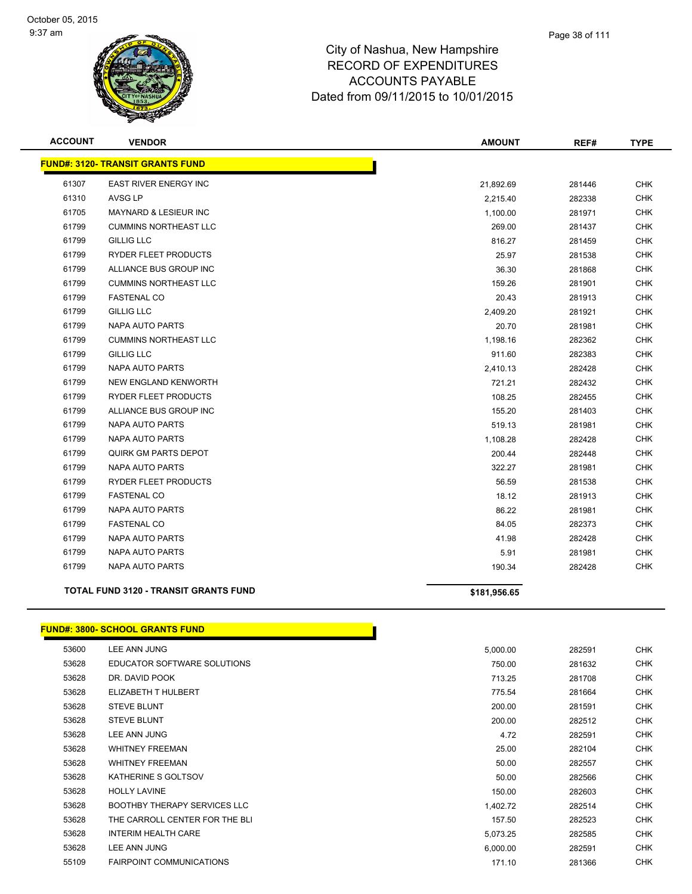

| <b>ACCOUNT</b> | <b>VENDOR</b>                                | <b>AMOUNT</b> | REF#   | <b>TYPE</b> |
|----------------|----------------------------------------------|---------------|--------|-------------|
|                | <b>FUND#: 3120- TRANSIT GRANTS FUND</b>      |               |        |             |
| 61307          | <b>EAST RIVER ENERGY INC</b>                 | 21,892.69     | 281446 | <b>CHK</b>  |
| 61310          | AVSG LP                                      | 2,215.40      | 282338 | <b>CHK</b>  |
| 61705          | <b>MAYNARD &amp; LESIEUR INC</b>             | 1,100.00      | 281971 | <b>CHK</b>  |
| 61799          | <b>CUMMINS NORTHEAST LLC</b>                 | 269.00        | 281437 | <b>CHK</b>  |
| 61799          | <b>GILLIG LLC</b>                            | 816.27        | 281459 | <b>CHK</b>  |
| 61799          | RYDER FLEET PRODUCTS                         | 25.97         | 281538 | <b>CHK</b>  |
| 61799          | ALLIANCE BUS GROUP INC                       | 36.30         | 281868 | <b>CHK</b>  |
| 61799          | <b>CUMMINS NORTHEAST LLC</b>                 | 159.26        | 281901 | <b>CHK</b>  |
| 61799          | <b>FASTENAL CO</b>                           | 20.43         | 281913 | CHK         |
| 61799          | <b>GILLIG LLC</b>                            | 2,409.20      | 281921 | <b>CHK</b>  |
| 61799          | NAPA AUTO PARTS                              | 20.70         | 281981 | <b>CHK</b>  |
| 61799          | <b>CUMMINS NORTHEAST LLC</b>                 | 1,198.16      | 282362 | <b>CHK</b>  |
| 61799          | <b>GILLIG LLC</b>                            | 911.60        | 282383 | <b>CHK</b>  |
| 61799          | <b>NAPA AUTO PARTS</b>                       | 2,410.13      | 282428 | <b>CHK</b>  |
| 61799          | NEW ENGLAND KENWORTH                         | 721.21        | 282432 | <b>CHK</b>  |
| 61799          | RYDER FLEET PRODUCTS                         | 108.25        | 282455 | <b>CHK</b>  |
| 61799          | ALLIANCE BUS GROUP INC                       | 155.20        | 281403 | <b>CHK</b>  |
| 61799          | NAPA AUTO PARTS                              | 519.13        | 281981 | <b>CHK</b>  |
| 61799          | <b>NAPA AUTO PARTS</b>                       | 1,108.28      | 282428 | <b>CHK</b>  |
| 61799          | <b>QUIRK GM PARTS DEPOT</b>                  | 200.44        | 282448 | CHK         |
| 61799          | <b>NAPA AUTO PARTS</b>                       | 322.27        | 281981 | <b>CHK</b>  |
| 61799          | RYDER FLEET PRODUCTS                         | 56.59         | 281538 | CHK         |
| 61799          | <b>FASTENAL CO</b>                           | 18.12         | 281913 | <b>CHK</b>  |
| 61799          | NAPA AUTO PARTS                              | 86.22         | 281981 | CHK         |
| 61799          | <b>FASTENAL CO</b>                           | 84.05         | 282373 | <b>CHK</b>  |
| 61799          | NAPA AUTO PARTS                              | 41.98         | 282428 | <b>CHK</b>  |
| 61799          | <b>NAPA AUTO PARTS</b>                       | 5.91          | 281981 | <b>CHK</b>  |
| 61799          | NAPA AUTO PARTS                              | 190.34        | 282428 | <b>CHK</b>  |
|                | <b>TOTAL FUND 3120 - TRANSIT GRANTS FUND</b> | \$181,956.65  |        |             |

### **FUND#: 3800- SCHOOL GRANTS FUND**

| 53600 | LEE ANN JUNG                        | 5,000.00 | 282591 | <b>CHK</b> |
|-------|-------------------------------------|----------|--------|------------|
| 53628 | EDUCATOR SOFTWARE SOLUTIONS         | 750.00   | 281632 | <b>CHK</b> |
| 53628 | DR. DAVID POOK                      | 713.25   | 281708 | <b>CHK</b> |
| 53628 | ELIZABETH T HULBERT                 | 775.54   | 281664 | <b>CHK</b> |
| 53628 | <b>STEVE BLUNT</b>                  | 200.00   | 281591 | <b>CHK</b> |
| 53628 | <b>STEVE BLUNT</b>                  | 200.00   | 282512 | <b>CHK</b> |
| 53628 | LEE ANN JUNG                        | 4.72     | 282591 | <b>CHK</b> |
| 53628 | <b>WHITNEY FREEMAN</b>              | 25.00    | 282104 | <b>CHK</b> |
| 53628 | <b>WHITNEY FREEMAN</b>              | 50.00    | 282557 | <b>CHK</b> |
| 53628 | KATHERINE S GOLTSOV                 | 50.00    | 282566 | <b>CHK</b> |
| 53628 | <b>HOLLY LAVINE</b>                 | 150.00   | 282603 | <b>CHK</b> |
| 53628 | <b>BOOTHBY THERAPY SERVICES LLC</b> | 1,402.72 | 282514 | <b>CHK</b> |
| 53628 | THE CARROLL CENTER FOR THE BLI      | 157.50   | 282523 | <b>CHK</b> |
| 53628 | <b>INTERIM HEALTH CARE</b>          | 5,073.25 | 282585 | <b>CHK</b> |
| 53628 | LEE ANN JUNG                        | 6,000.00 | 282591 | <b>CHK</b> |
| 55109 | <b>FAIRPOINT COMMUNICATIONS</b>     | 171.10   | 281366 | <b>CHK</b> |

Г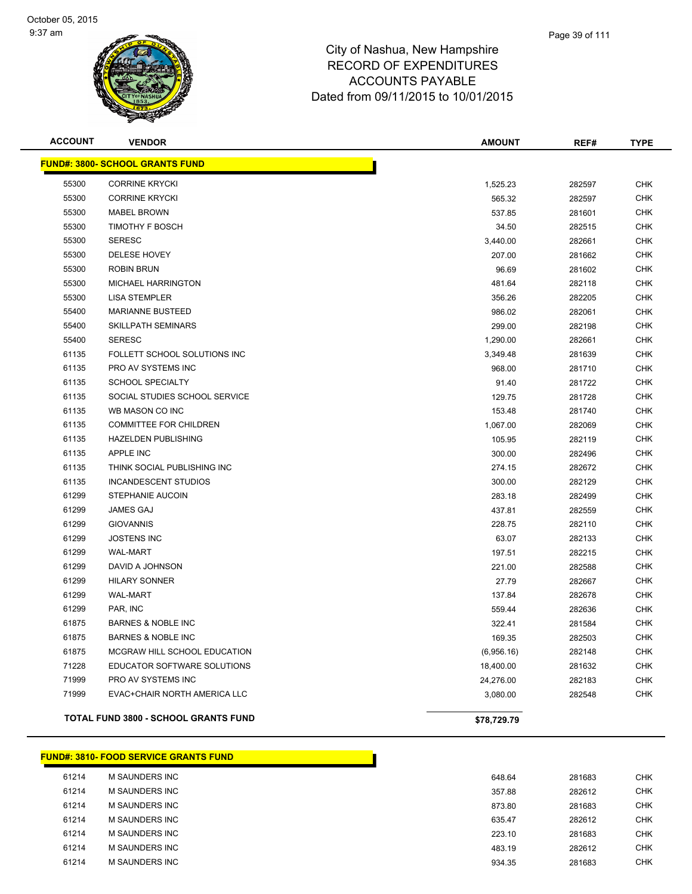

| <b>ACCOUNT</b> | <b>VENDOR</b>                          | <b>AMOUNT</b> | REF#   | <b>TYPE</b> |
|----------------|----------------------------------------|---------------|--------|-------------|
|                | <b>FUND#: 3800- SCHOOL GRANTS FUND</b> |               |        |             |
| 55300          | <b>CORRINE KRYCKI</b>                  | 1,525.23      | 282597 | <b>CHK</b>  |
| 55300          | <b>CORRINE KRYCKI</b>                  | 565.32        | 282597 | <b>CHK</b>  |
| 55300          | <b>MABEL BROWN</b>                     | 537.85        | 281601 | <b>CHK</b>  |
| 55300          | TIMOTHY F BOSCH                        | 34.50         | 282515 | <b>CHK</b>  |
| 55300          | <b>SERESC</b>                          | 3,440.00      | 282661 | <b>CHK</b>  |
| 55300          | <b>DELESE HOVEY</b>                    | 207.00        | 281662 | <b>CHK</b>  |
| 55300          | ROBIN BRUN                             | 96.69         | 281602 | <b>CHK</b>  |
| 55300          | MICHAEL HARRINGTON                     | 481.64        | 282118 | <b>CHK</b>  |
| 55300          | <b>LISA STEMPLER</b>                   | 356.26        | 282205 | <b>CHK</b>  |
| 55400          | <b>MARIANNE BUSTEED</b>                | 986.02        | 282061 | <b>CHK</b>  |
| 55400          | <b>SKILLPATH SEMINARS</b>              | 299.00        | 282198 | <b>CHK</b>  |
| 55400          | <b>SERESC</b>                          | 1,290.00      | 282661 | <b>CHK</b>  |
| 61135          | FOLLETT SCHOOL SOLUTIONS INC           | 3,349.48      | 281639 | <b>CHK</b>  |
| 61135          | PRO AV SYSTEMS INC                     | 968.00        | 281710 | <b>CHK</b>  |
| 61135          | <b>SCHOOL SPECIALTY</b>                | 91.40         | 281722 | <b>CHK</b>  |
| 61135          | SOCIAL STUDIES SCHOOL SERVICE          | 129.75        | 281728 | <b>CHK</b>  |
| 61135          | WB MASON CO INC                        | 153.48        | 281740 | <b>CHK</b>  |
| 61135          | <b>COMMITTEE FOR CHILDREN</b>          | 1,067.00      | 282069 | <b>CHK</b>  |
| 61135          | <b>HAZELDEN PUBLISHING</b>             | 105.95        | 282119 | <b>CHK</b>  |
| 61135          | <b>APPLE INC</b>                       | 300.00        | 282496 | <b>CHK</b>  |
| 61135          | THINK SOCIAL PUBLISHING INC            | 274.15        | 282672 | <b>CHK</b>  |
| 61135          | INCANDESCENT STUDIOS                   | 300.00        | 282129 | <b>CHK</b>  |
| 61299          | STEPHANIE AUCOIN                       | 283.18        | 282499 | <b>CHK</b>  |
| 61299          | JAMES GAJ                              | 437.81        | 282559 | <b>CHK</b>  |
| 61299          | <b>GIOVANNIS</b>                       | 228.75        | 282110 | <b>CHK</b>  |
| 61299          | <b>JOSTENS INC</b>                     | 63.07         | 282133 | <b>CHK</b>  |
| 61299          | <b>WAL-MART</b>                        | 197.51        | 282215 | <b>CHK</b>  |
| 61299          | DAVID A JOHNSON                        | 221.00        | 282588 | <b>CHK</b>  |
| 61299          | <b>HILARY SONNER</b>                   | 27.79         | 282667 | <b>CHK</b>  |
| 61299          | <b>WAL-MART</b>                        | 137.84        | 282678 | <b>CHK</b>  |
| 61299          | PAR, INC                               | 559.44        | 282636 | <b>CHK</b>  |
| 61875          | <b>BARNES &amp; NOBLE INC</b>          | 322.41        | 281584 | <b>CHK</b>  |
| 61875          | <b>BARNES &amp; NOBLE INC</b>          | 169.35        | 282503 | <b>CHK</b>  |
| 61875          | MCGRAW HILL SCHOOL EDUCATION           | (6,956.16)    | 282148 | <b>CHK</b>  |
| 71228          | EDUCATOR SOFTWARE SOLUTIONS            | 18,400.00     | 281632 | <b>CHK</b>  |
| 71999          | PRO AV SYSTEMS INC                     | 24,276.00     | 282183 | <b>CHK</b>  |
| 71999          | EVAC+CHAIR NORTH AMERICA LLC           | 3,080.00      | 282548 | <b>CHK</b>  |
|                | TOTAL FUND 3800 - SCHOOL GRANTS FUND   | \$78,729.79   |        |             |

|       | <b>FUND#: 3810- FOOD SERVICE GRANTS FUND</b> |  |        |        |            |
|-------|----------------------------------------------|--|--------|--------|------------|
| 61214 | M SAUNDERS INC                               |  | 648.64 | 281683 | <b>CHK</b> |
| 61214 | M SAUNDERS INC                               |  | 357.88 | 282612 | <b>CHK</b> |
| 61214 | M SAUNDERS INC                               |  | 873.80 | 281683 | <b>CHK</b> |
| 61214 | M SAUNDERS INC                               |  | 635.47 | 282612 | <b>CHK</b> |
| 61214 | M SAUNDERS INC                               |  | 223.10 | 281683 | <b>CHK</b> |
| 61214 | M SAUNDERS INC                               |  | 483.19 | 282612 | <b>CHK</b> |
| 61214 | M SAUNDERS INC                               |  | 934.35 | 281683 | <b>CHK</b> |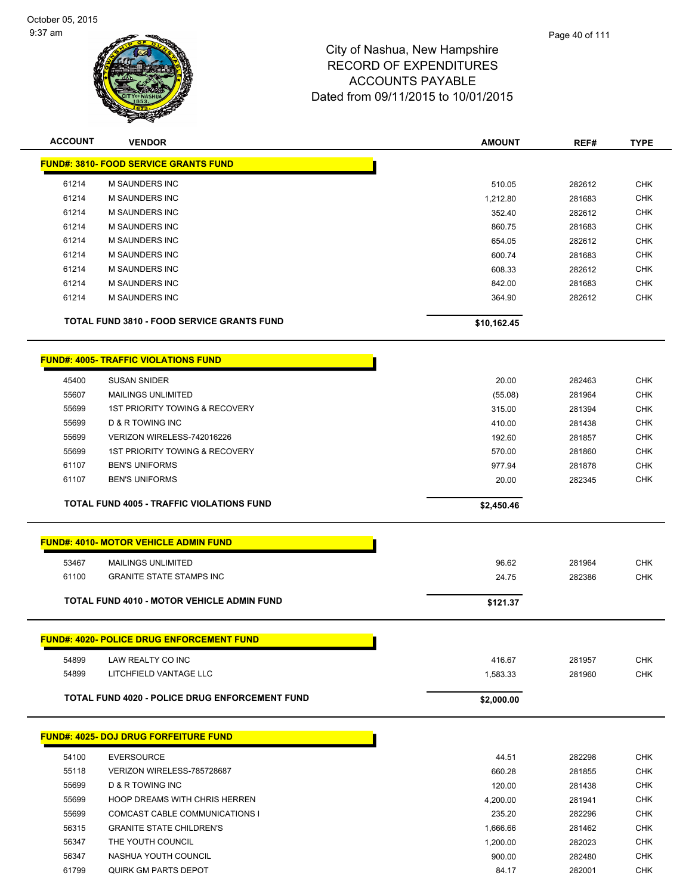

| <b>ACCOUNT</b> | <b>VENDOR</b>                                         | <b>AMOUNT</b> | REF#   | <b>TYPE</b> |
|----------------|-------------------------------------------------------|---------------|--------|-------------|
|                | <b>FUND#: 3810- FOOD SERVICE GRANTS FUND</b>          |               |        |             |
| 61214          | <b>M SAUNDERS INC</b>                                 | 510.05        | 282612 | <b>CHK</b>  |
| 61214          | <b>M SAUNDERS INC</b>                                 | 1,212.80      | 281683 | <b>CHK</b>  |
| 61214          | <b>M SAUNDERS INC</b>                                 | 352.40        | 282612 | <b>CHK</b>  |
| 61214          | <b>M SAUNDERS INC</b>                                 | 860.75        | 281683 | CHK         |
| 61214          | <b>M SAUNDERS INC</b>                                 | 654.05        | 282612 | <b>CHK</b>  |
| 61214          | <b>M SAUNDERS INC</b>                                 | 600.74        | 281683 | <b>CHK</b>  |
| 61214          | M SAUNDERS INC                                        | 608.33        | 282612 | <b>CHK</b>  |
| 61214          | M SAUNDERS INC                                        | 842.00        | 281683 | <b>CHK</b>  |
| 61214          | M SAUNDERS INC                                        | 364.90        | 282612 | <b>CHK</b>  |
|                | <b>TOTAL FUND 3810 - FOOD SERVICE GRANTS FUND</b>     | \$10,162.45   |        |             |
|                | <b>FUND#: 4005- TRAFFIC VIOLATIONS FUND</b>           |               |        |             |
| 45400          | <b>SUSAN SNIDER</b>                                   | 20.00         | 282463 | <b>CHK</b>  |
| 55607          | <b>MAILINGS UNLIMITED</b>                             | (55.08)       | 281964 | <b>CHK</b>  |
| 55699          | <b>1ST PRIORITY TOWING &amp; RECOVERY</b>             | 315.00        | 281394 | <b>CHK</b>  |
| 55699          | D & R TOWING INC                                      | 410.00        | 281438 | <b>CHK</b>  |
| 55699          | VERIZON WIRELESS-742016226                            | 192.60        | 281857 | <b>CHK</b>  |
| 55699          | 1ST PRIORITY TOWING & RECOVERY                        | 570.00        | 281860 | <b>CHK</b>  |
| 61107          | <b>BEN'S UNIFORMS</b>                                 | 977.94        | 281878 | <b>CHK</b>  |
| 61107          | <b>BEN'S UNIFORMS</b>                                 | 20.00         | 282345 | <b>CHK</b>  |
|                | <b>TOTAL FUND 4005 - TRAFFIC VIOLATIONS FUND</b>      | \$2,450.46    |        |             |
|                | <b>FUND#: 4010- MOTOR VEHICLE ADMIN FUND</b>          |               |        |             |
| 53467          | <b>MAILINGS UNLIMITED</b>                             | 96.62         | 281964 | <b>CHK</b>  |
| 61100          | <b>GRANITE STATE STAMPS INC</b>                       | 24.75         | 282386 | <b>CHK</b>  |
|                | <b>TOTAL FUND 4010 - MOTOR VEHICLE ADMIN FUND</b>     | \$121.37      |        |             |
|                |                                                       |               |        |             |
|                | FUND#: 4020- POLICE DRUG ENFORCEMENT FUND             |               |        |             |
| 54899          | LAW REALTY CO INC                                     | 416.67        | 281957 | <b>CHK</b>  |
| 54899          | LITCHFIELD VANTAGE LLC                                | 1,583.33      | 281960 | <b>CHK</b>  |
|                | <b>TOTAL FUND 4020 - POLICE DRUG ENFORCEMENT FUND</b> | \$2,000.00    |        |             |
|                | <b>FUND#: 4025- DOJ DRUG FORFEITURE FUND</b>          |               |        |             |
| 54100          | <b>EVERSOURCE</b>                                     | 44.51         | 282298 | <b>CHK</b>  |
| 55118          | VERIZON WIRELESS-785728687                            | 660.28        | 281855 | <b>CHK</b>  |
| 55699          | D & R TOWING INC                                      | 120.00        | 281438 | <b>CHK</b>  |
| 55699          | HOOP DREAMS WITH CHRIS HERREN                         | 4,200.00      | 281941 | <b>CHK</b>  |
| 55699          | COMCAST CABLE COMMUNICATIONS I                        | 235.20        | 282296 | <b>CHK</b>  |
| 56315          | <b>GRANITE STATE CHILDREN'S</b>                       | 1,666.66      | 281462 | <b>CHK</b>  |
| 56347          | THE YOUTH COUNCIL                                     | 1,200.00      | 282023 | <b>CHK</b>  |
| 56347          | NASHUA YOUTH COUNCIL                                  | 900.00        | 282480 | <b>CHK</b>  |
| 61799          | QUIRK GM PARTS DEPOT                                  | 84.17         | 282001 | <b>CHK</b>  |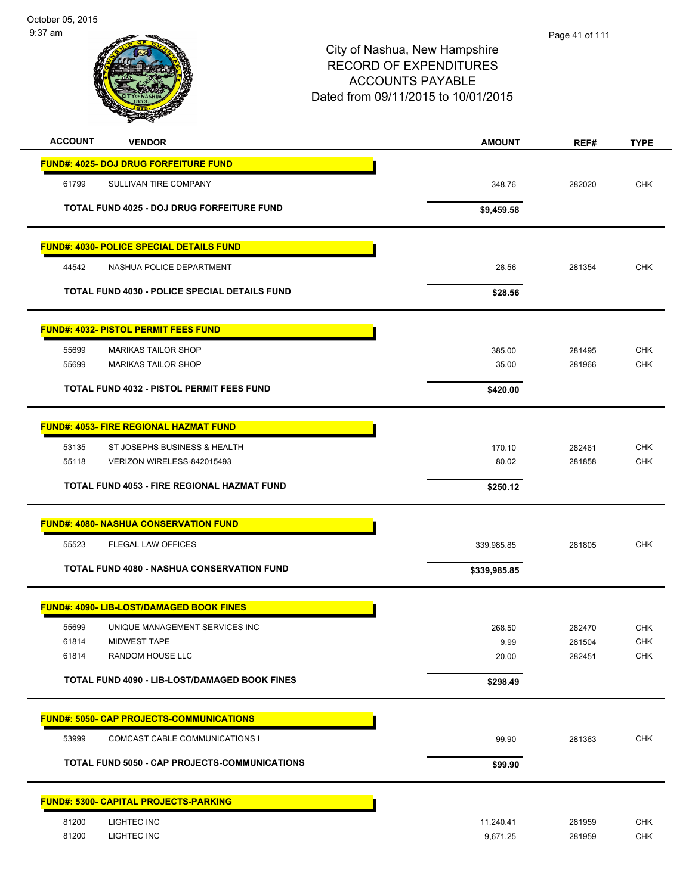| <b>ACCOUNT</b><br><b>VENDOR</b>                  |                                                      | <b>AMOUNT</b> | REF#   | <b>TYPE</b> |
|--------------------------------------------------|------------------------------------------------------|---------------|--------|-------------|
| <b>FUND#: 4025- DOJ DRUG FORFEITURE FUND</b>     |                                                      |               |        |             |
| 61799<br>SULLIVAN TIRE COMPANY                   |                                                      | 348.76        | 282020 | <b>CHK</b>  |
|                                                  | TOTAL FUND 4025 - DOJ DRUG FORFEITURE FUND           | \$9,459.58    |        |             |
| <b>FUND#: 4030- POLICE SPECIAL DETAILS FUND</b>  |                                                      |               |        |             |
| 44542<br>NASHUA POLICE DEPARTMENT                |                                                      | 28.56         | 281354 | CHK         |
|                                                  | <b>TOTAL FUND 4030 - POLICE SPECIAL DETAILS FUND</b> | \$28.56       |        |             |
| <b>FUND#: 4032- PISTOL PERMIT FEES FUND</b>      |                                                      |               |        |             |
| 55699<br><b>MARIKAS TAILOR SHOP</b>              |                                                      | 385.00        | 281495 | <b>CHK</b>  |
| 55699<br><b>MARIKAS TAILOR SHOP</b>              |                                                      | 35.00         | 281966 | <b>CHK</b>  |
| <b>TOTAL FUND 4032 - PISTOL PERMIT FEES FUND</b> |                                                      | \$420.00      |        |             |
| <b>FUND#: 4053- FIRE REGIONAL HAZMAT FUND</b>    |                                                      |               |        |             |
| 53135                                            | ST JOSEPHS BUSINESS & HEALTH                         | 170.10        | 282461 | <b>CHK</b>  |
| 55118<br>VERIZON WIRELESS-842015493              |                                                      | 80.02         | 281858 | <b>CHK</b>  |
|                                                  | TOTAL FUND 4053 - FIRE REGIONAL HAZMAT FUND          | \$250.12      |        |             |
| <b>FUND#: 4080- NASHUA CONSERVATION FUND</b>     |                                                      |               |        |             |
| 55523<br>FLEGAL LAW OFFICES                      |                                                      | 339,985.85    | 281805 | <b>CHK</b>  |
|                                                  | <b>TOTAL FUND 4080 - NASHUA CONSERVATION FUND</b>    | \$339,985.85  |        |             |
| <b>FUND#: 4090- LIB-LOST/DAMAGED BOOK FINES</b>  |                                                      |               |        |             |
| 55699                                            | UNIQUE MANAGEMENT SERVICES INC                       | 268.50        | 282470 | <b>CHK</b>  |
| 61814<br><b>MIDWEST TAPE</b>                     |                                                      | 9.99          | 281504 | <b>CHK</b>  |
| 61814<br>RANDOM HOUSE LLC                        |                                                      | 20.00         | 282451 | <b>CHK</b>  |
|                                                  | TOTAL FUND 4090 - LIB-LOST/DAMAGED BOOK FINES        | \$298.49      |        |             |
| <b>FUND#: 5050- CAP PROJECTS-COMMUNICATIONS</b>  |                                                      |               |        |             |
| 53999                                            | COMCAST CABLE COMMUNICATIONS I                       | 99.90         | 281363 | <b>CHK</b>  |
|                                                  | <b>TOTAL FUND 5050 - CAP PROJECTS-COMMUNICATIONS</b> | \$99.90       |        |             |
| <b>FUND#: 5300- CAPITAL PROJECTS-PARKING</b>     |                                                      |               |        |             |
| LIGHTEC INC<br>81200                             |                                                      | 11,240.41     | 281959 | <b>CHK</b>  |
| 81200<br>LIGHTEC INC                             |                                                      | 9,671.25      | 281959 | CHK         |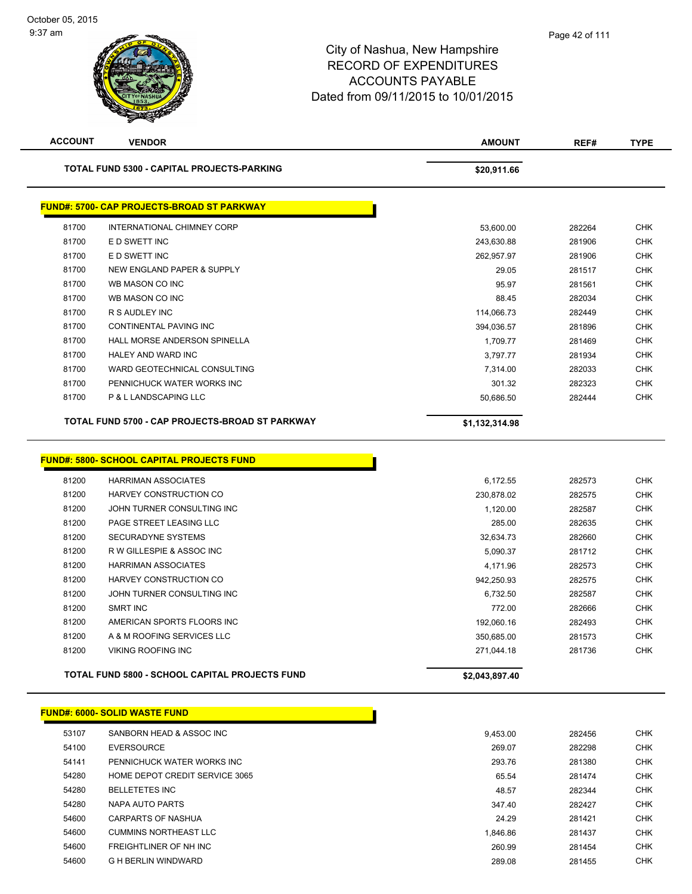| <b>ACCOUNT</b> | <b>VENDOR</b>                                     | <b>AMOUNT</b>  | REF#   | <b>TYPE</b> |
|----------------|---------------------------------------------------|----------------|--------|-------------|
|                | TOTAL FUND 5300 - CAPITAL PROJECTS-PARKING        | \$20,911.66    |        |             |
|                | <b>FUND#: 5700- CAP PROJECTS-BROAD ST PARKWAY</b> |                |        |             |
| 81700          | INTERNATIONAL CHIMNEY CORP                        | 53,600.00      | 282264 | <b>CHK</b>  |
| 81700          | E D SWETT INC                                     | 243,630.88     | 281906 | <b>CHK</b>  |
| 81700          | E D SWETT INC                                     | 262,957.97     | 281906 | <b>CHK</b>  |
| 81700          | <b>NEW ENGLAND PAPER &amp; SUPPLY</b>             | 29.05          | 281517 | <b>CHK</b>  |
| 81700          | WB MASON CO INC                                   | 95.97          | 281561 | <b>CHK</b>  |
| 81700          | WB MASON CO INC                                   | 88.45          | 282034 | <b>CHK</b>  |
| 81700          | R S AUDLEY INC                                    | 114,066.73     | 282449 | <b>CHK</b>  |
| 81700          | CONTINENTAL PAVING INC                            | 394,036.57     | 281896 | <b>CHK</b>  |
| 81700          | HALL MORSE ANDERSON SPINELLA                      | 1,709.77       | 281469 | <b>CHK</b>  |
| 81700          | <b>HALEY AND WARD INC</b>                         | 3,797.77       | 281934 | <b>CHK</b>  |
| 81700          | WARD GEOTECHNICAL CONSULTING                      | 7,314.00       | 282033 | <b>CHK</b>  |
| 81700          | PENNICHUCK WATER WORKS INC                        | 301.32         | 282323 | <b>CHK</b>  |
| 81700          | P & L LANDSCAPING LLC                             | 50,686.50      | 282444 | <b>CHK</b>  |
|                | TOTAL FUND 5700 - CAP PROJECTS-BROAD ST PARKWAY   | \$1,132,314.98 |        |             |
|                | <b>FUND#: 5800- SCHOOL CAPITAL PROJECTS FUND</b>  |                |        |             |
| 81200          | <b>HARRIMAN ASSOCIATES</b>                        | 6,172.55       | 282573 | <b>CHK</b>  |
| 81200          | HARVEY CONSTRUCTION CO                            | 230,878.02     | 282575 | <b>CHK</b>  |
| 81200          | JOHN TURNER CONSULTING INC                        | 1,120.00       | 282587 | <b>CHK</b>  |
| 81200          | PAGE STREET LEASING LLC                           | 285.00         | 282635 | <b>CHK</b>  |
| 81200          | SECURADYNE SYSTEMS                                | 32,634.73      | 282660 | <b>CHK</b>  |
| 81200          | R W GILLESPIE & ASSOC INC                         | 5,090.37       | 281712 | <b>CHK</b>  |
| 81200          | <b>HARRIMAN ASSOCIATES</b>                        | 4,171.96       | 282573 | <b>CHK</b>  |
| 81200          | HARVEY CONSTRUCTION CO                            | 942,250.93     | 282575 | <b>CHK</b>  |
| 81200          | JOHN TURNER CONSULTING INC                        | 6,732.50       | 282587 | <b>CHK</b>  |
| 81200          | <b>SMRT INC</b>                                   | 772.00         | 282666 | <b>CHK</b>  |
| 81200          | AMERICAN SPORTS FLOORS INC                        | 192,060.16     | 282493 | <b>CHK</b>  |
| 81200          | A & M ROOFING SERVICES LLC                        | 350,685.00     | 281573 | <b>CHK</b>  |
| 81200          | <b>VIKING ROOFING INC</b>                         | 271,044.18     | 281736 | <b>CHK</b>  |
|                | TOTAL FUND 5800 - SCHOOL CAPITAL PROJECTS FUND    | \$2,043,897.40 |        |             |
|                | <b>FUND#: 6000- SOLID WASTE FUND</b>              |                |        |             |
| 53107          | SANBORN HEAD & ASSOC INC                          | 9,453.00       | 282456 | <b>CHK</b>  |
| 54100          | <b>EVERSOURCE</b>                                 | 269.07         | 282298 | <b>CHK</b>  |
| 54141          | PENNICHUCK WATER WORKS INC                        | 293.76         | 281380 | <b>CHK</b>  |
| 54280          | HOME DEPOT CREDIT SERVICE 3065                    | 65.54          | 281474 | <b>CHK</b>  |
| 54280          | <b>BELLETETES INC</b>                             | 48.57          | 282344 | <b>CHK</b>  |
| 54280          | NAPA AUTO PARTS                                   | 347.40         | 282427 | CHK         |
| 54600          | CARPARTS OF NASHUA                                | 24.29          | 281421 | <b>CHK</b>  |
| 54600          | <b>CUMMINS NORTHEAST LLC</b>                      | 1,846.86       | 281437 | CHK         |
| 54600          | FREIGHTLINER OF NH INC                            | 260.99         | 281454 | <b>CHK</b>  |
| 54600          | <b>G H BERLIN WINDWARD</b>                        |                |        | <b>CHK</b>  |
|                |                                                   | 289.08         | 281455 |             |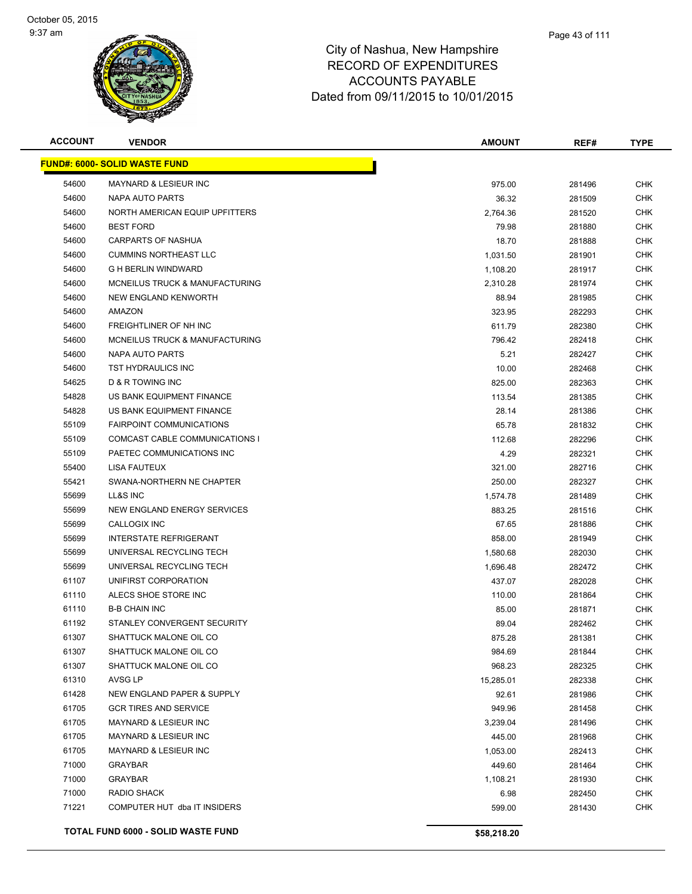

| <b>ACCOUNT</b> | <b>VENDOR</b>                             | <b>AMOUNT</b> | REF#   | <b>TYPE</b> |
|----------------|-------------------------------------------|---------------|--------|-------------|
|                | <b>FUND#: 6000- SOLID WASTE FUND</b>      |               |        |             |
| 54600          | MAYNARD & LESIEUR INC                     | 975.00        | 281496 | <b>CHK</b>  |
| 54600          | NAPA AUTO PARTS                           | 36.32         | 281509 | <b>CHK</b>  |
| 54600          | NORTH AMERICAN EQUIP UPFITTERS            | 2,764.36      | 281520 | <b>CHK</b>  |
| 54600          | <b>BEST FORD</b>                          | 79.98         | 281880 | <b>CHK</b>  |
| 54600          | CARPARTS OF NASHUA                        | 18.70         | 281888 | <b>CHK</b>  |
| 54600          | <b>CUMMINS NORTHEAST LLC</b>              | 1,031.50      | 281901 | CHK         |
| 54600          | <b>G H BERLIN WINDWARD</b>                | 1,108.20      | 281917 | <b>CHK</b>  |
| 54600          | <b>MCNEILUS TRUCK &amp; MANUFACTURING</b> | 2,310.28      | 281974 | CHK         |
| 54600          | <b>NEW ENGLAND KENWORTH</b>               | 88.94         | 281985 | CHK         |
| 54600          | AMAZON                                    | 323.95        | 282293 | CHK         |
| 54600          | FREIGHTLINER OF NH INC                    | 611.79        | 282380 | <b>CHK</b>  |
| 54600          | MCNEILUS TRUCK & MANUFACTURING            | 796.42        | 282418 | CHK         |
| 54600          | NAPA AUTO PARTS                           | 5.21          | 282427 | <b>CHK</b>  |
| 54600          | TST HYDRAULICS INC                        | 10.00         | 282468 | <b>CHK</b>  |
| 54625          | <b>D &amp; R TOWING INC</b>               | 825.00        | 282363 | <b>CHK</b>  |
| 54828          | US BANK EQUIPMENT FINANCE                 | 113.54        | 281385 | <b>CHK</b>  |
| 54828          | US BANK EQUIPMENT FINANCE                 | 28.14         | 281386 | CHK         |
| 55109          | <b>FAIRPOINT COMMUNICATIONS</b>           | 65.78         | 281832 | <b>CHK</b>  |
| 55109          | COMCAST CABLE COMMUNICATIONS I            | 112.68        | 282296 | <b>CHK</b>  |
| 55109          | PAETEC COMMUNICATIONS INC                 | 4.29          | 282321 | <b>CHK</b>  |
| 55400          | LISA FAUTEUX                              | 321.00        | 282716 | <b>CHK</b>  |
| 55421          | SWANA-NORTHERN NE CHAPTER                 | 250.00        | 282327 | <b>CHK</b>  |
| 55699          | LL&S INC                                  | 1,574.78      | 281489 | CHK         |
| 55699          | NEW ENGLAND ENERGY SERVICES               | 883.25        | 281516 | <b>CHK</b>  |
| 55699          | CALLOGIX INC                              | 67.65         | 281886 | <b>CHK</b>  |
| 55699          | <b>INTERSTATE REFRIGERANT</b>             | 858.00        | 281949 | <b>CHK</b>  |
| 55699          | UNIVERSAL RECYCLING TECH                  | 1,580.68      | 282030 | <b>CHK</b>  |
| 55699          | UNIVERSAL RECYCLING TECH                  | 1,696.48      | 282472 | CHK         |
| 61107          | UNIFIRST CORPORATION                      | 437.07        | 282028 | CHK         |
| 61110          | ALECS SHOE STORE INC                      | 110.00        | 281864 | CHK         |
| 61110          | <b>B-B CHAIN INC</b>                      | 85.00         | 281871 | CHK         |
| 61192          | STANLEY CONVERGENT SECURITY               | 89.04         | 282462 | <b>CHK</b>  |
| 61307          | SHATTUCK MALONE OIL CO                    | 875.28        | 281381 | <b>CHK</b>  |
| 61307          | SHATTUCK MALONE OIL CO                    | 984.69        | 281844 | <b>CHK</b>  |
| 61307          | SHATTUCK MALONE OIL CO                    | 968.23        | 282325 | <b>CHK</b>  |
| 61310          | AVSG LP                                   | 15,285.01     | 282338 | <b>CHK</b>  |
| 61428          | NEW ENGLAND PAPER & SUPPLY                | 92.61         | 281986 | <b>CHK</b>  |
| 61705          | <b>GCR TIRES AND SERVICE</b>              | 949.96        | 281458 | <b>CHK</b>  |
| 61705          | MAYNARD & LESIEUR INC                     | 3,239.04      | 281496 | <b>CHK</b>  |
| 61705          | MAYNARD & LESIEUR INC                     | 445.00        | 281968 | <b>CHK</b>  |
| 61705          | MAYNARD & LESIEUR INC                     | 1,053.00      | 282413 | <b>CHK</b>  |
| 71000          | <b>GRAYBAR</b>                            | 449.60        | 281464 | <b>CHK</b>  |
| 71000          | <b>GRAYBAR</b>                            | 1,108.21      | 281930 | <b>CHK</b>  |
| 71000          | RADIO SHACK                               | 6.98          | 282450 | CHK         |
| 71221          | COMPUTER HUT dba IT INSIDERS              | 599.00        | 281430 | <b>CHK</b>  |
|                | <b>TOTAL FUND 6000 - SOLID WASTE FUND</b> | \$58,218.20   |        |             |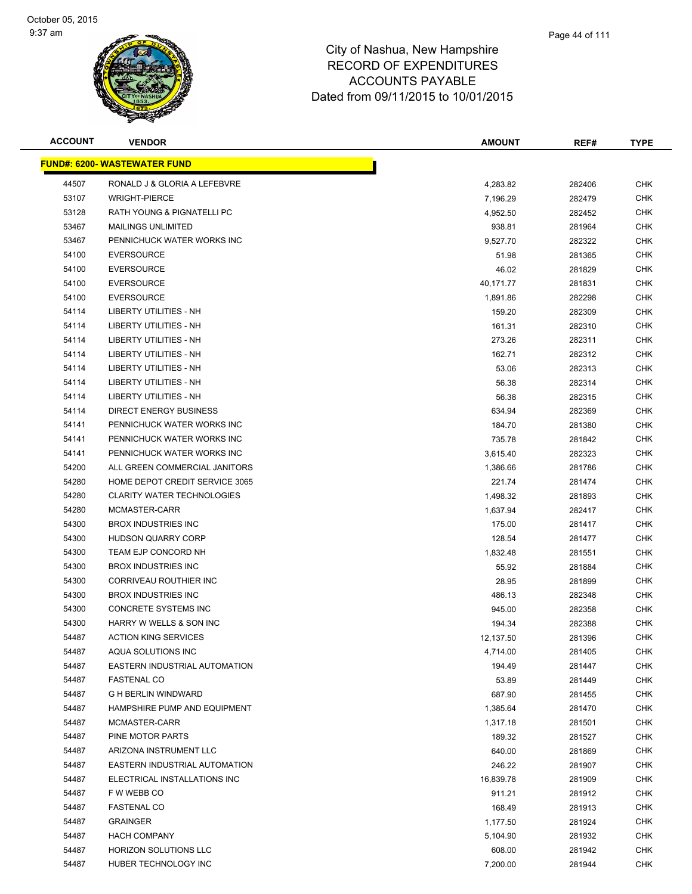

| <b>ACCOUNT</b> | <b>VENDOR</b>                        | <b>AMOUNT</b> | REF#   | <b>TYPE</b> |
|----------------|--------------------------------------|---------------|--------|-------------|
|                | <u> FUND#: 6200- WASTEWATER FUND</u> |               |        |             |
| 44507          | RONALD J & GLORIA A LEFEBVRE         | 4,283.82      | 282406 | <b>CHK</b>  |
| 53107          | <b>WRIGHT-PIERCE</b>                 | 7,196.29      | 282479 | <b>CHK</b>  |
| 53128          | RATH YOUNG & PIGNATELLI PC           | 4,952.50      | 282452 | <b>CHK</b>  |
| 53467          | <b>MAILINGS UNLIMITED</b>            | 938.81        | 281964 | <b>CHK</b>  |
| 53467          | PENNICHUCK WATER WORKS INC           | 9,527.70      | 282322 | <b>CHK</b>  |
| 54100          | <b>EVERSOURCE</b>                    | 51.98         | 281365 | <b>CHK</b>  |
| 54100          | <b>EVERSOURCE</b>                    | 46.02         | 281829 | <b>CHK</b>  |
| 54100          | <b>EVERSOURCE</b>                    | 40,171.77     | 281831 | <b>CHK</b>  |
| 54100          | <b>EVERSOURCE</b>                    | 1,891.86      | 282298 | <b>CHK</b>  |
| 54114          | LIBERTY UTILITIES - NH               | 159.20        | 282309 | <b>CHK</b>  |
| 54114          | LIBERTY UTILITIES - NH               | 161.31        | 282310 | CHK         |
| 54114          | LIBERTY UTILITIES - NH               | 273.26        | 282311 | <b>CHK</b>  |
| 54114          | LIBERTY UTILITIES - NH               | 162.71        | 282312 | <b>CHK</b>  |
| 54114          | LIBERTY UTILITIES - NH               | 53.06         | 282313 | <b>CHK</b>  |
| 54114          | LIBERTY UTILITIES - NH               | 56.38         | 282314 | <b>CHK</b>  |
| 54114          | LIBERTY UTILITIES - NH               | 56.38         | 282315 | <b>CHK</b>  |
| 54114          | <b>DIRECT ENERGY BUSINESS</b>        | 634.94        | 282369 | <b>CHK</b>  |
| 54141          | PENNICHUCK WATER WORKS INC           | 184.70        | 281380 | <b>CHK</b>  |
| 54141          | PENNICHUCK WATER WORKS INC           | 735.78        | 281842 | <b>CHK</b>  |
| 54141          | PENNICHUCK WATER WORKS INC           | 3,615.40      | 282323 | <b>CHK</b>  |
| 54200          | ALL GREEN COMMERCIAL JANITORS        | 1,386.66      | 281786 | <b>CHK</b>  |
| 54280          | HOME DEPOT CREDIT SERVICE 3065       | 221.74        | 281474 | <b>CHK</b>  |
| 54280          | <b>CLARITY WATER TECHNOLOGIES</b>    | 1,498.32      | 281893 | <b>CHK</b>  |
| 54280          | MCMASTER-CARR                        | 1,637.94      | 282417 | <b>CHK</b>  |
| 54300          | <b>BROX INDUSTRIES INC</b>           | 175.00        | 281417 | <b>CHK</b>  |
| 54300          | <b>HUDSON QUARRY CORP</b>            | 128.54        | 281477 | <b>CHK</b>  |
| 54300          | TEAM EJP CONCORD NH                  | 1,832.48      | 281551 | <b>CHK</b>  |
| 54300          | <b>BROX INDUSTRIES INC</b>           | 55.92         | 281884 | <b>CHK</b>  |
| 54300          | <b>CORRIVEAU ROUTHIER INC</b>        | 28.95         | 281899 | CHK         |
| 54300          | <b>BROX INDUSTRIES INC</b>           | 486.13        | 282348 | CHK         |
| 54300          | CONCRETE SYSTEMS INC                 | 945.00        | 282358 | <b>CHK</b>  |
| 54300          | HARRY W WELLS & SON INC              | 194.34        | 282388 | <b>CHK</b>  |
| 54487          | <b>ACTION KING SERVICES</b>          | 12,137.50     | 281396 | <b>CHK</b>  |
| 54487          | AQUA SOLUTIONS INC                   | 4,714.00      | 281405 | <b>CHK</b>  |
| 54487          | <b>EASTERN INDUSTRIAL AUTOMATION</b> | 194.49        | 281447 | <b>CHK</b>  |
| 54487          | <b>FASTENAL CO</b>                   | 53.89         | 281449 | <b>CHK</b>  |
| 54487          | <b>G H BERLIN WINDWARD</b>           | 687.90        | 281455 | <b>CHK</b>  |
| 54487          | HAMPSHIRE PUMP AND EQUIPMENT         | 1,385.64      | 281470 | <b>CHK</b>  |
| 54487          | MCMASTER-CARR                        | 1,317.18      | 281501 | <b>CHK</b>  |
| 54487          | PINE MOTOR PARTS                     | 189.32        | 281527 | <b>CHK</b>  |
| 54487          | ARIZONA INSTRUMENT LLC               | 640.00        | 281869 | <b>CHK</b>  |
| 54487          | <b>EASTERN INDUSTRIAL AUTOMATION</b> | 246.22        | 281907 | <b>CHK</b>  |
| 54487          | ELECTRICAL INSTALLATIONS INC         | 16,839.78     | 281909 | <b>CHK</b>  |
| 54487          | F W WEBB CO                          | 911.21        | 281912 | <b>CHK</b>  |
| 54487          | <b>FASTENAL CO</b>                   | 168.49        | 281913 | <b>CHK</b>  |
| 54487          | <b>GRAINGER</b>                      | 1,177.50      | 281924 | <b>CHK</b>  |
| 54487          | <b>HACH COMPANY</b>                  | 5,104.90      | 281932 | <b>CHK</b>  |
| 54487          | HORIZON SOLUTIONS LLC                | 608.00        | 281942 | <b>CHK</b>  |
| 54487          | HUBER TECHNOLOGY INC                 | 7,200.00      | 281944 | <b>CHK</b>  |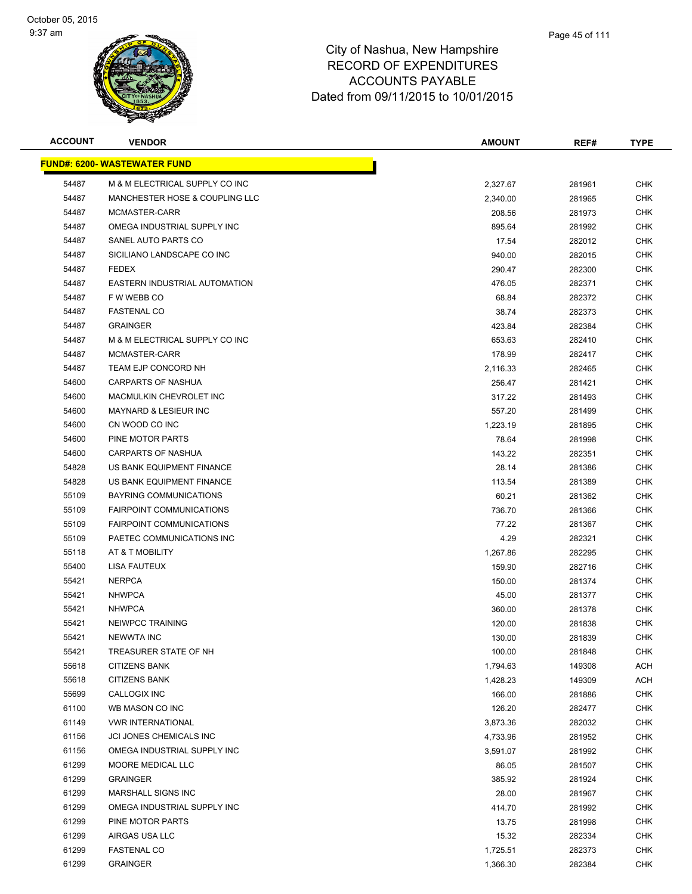

| <b>ACCOUNT</b> | <b>VENDOR</b>                        | <b>AMOUNT</b>   | REF#             | <b>TYPE</b> |
|----------------|--------------------------------------|-----------------|------------------|-------------|
|                | <u> FUND#: 6200- WASTEWATER FUND</u> |                 |                  |             |
| 54487          | M & M ELECTRICAL SUPPLY CO INC       | 2,327.67        | 281961           | <b>CHK</b>  |
| 54487          | MANCHESTER HOSE & COUPLING LLC       | 2,340.00        | 281965           | <b>CHK</b>  |
| 54487          | MCMASTER-CARR                        | 208.56          | 281973           | <b>CHK</b>  |
| 54487          | OMEGA INDUSTRIAL SUPPLY INC          | 895.64          | 281992           | CHK         |
| 54487          | SANEL AUTO PARTS CO                  | 17.54           | 282012           | <b>CHK</b>  |
| 54487          | SICILIANO LANDSCAPE CO INC           | 940.00          | 282015           | <b>CHK</b>  |
| 54487          | <b>FEDEX</b>                         | 290.47          | 282300           | <b>CHK</b>  |
| 54487          | <b>EASTERN INDUSTRIAL AUTOMATION</b> | 476.05          | 282371           | <b>CHK</b>  |
| 54487          | F W WEBB CO                          | 68.84           | 282372           | <b>CHK</b>  |
| 54487          | <b>FASTENAL CO</b>                   | 38.74           | 282373           | <b>CHK</b>  |
| 54487          | <b>GRAINGER</b>                      | 423.84          | 282384           | <b>CHK</b>  |
| 54487          | M & M ELECTRICAL SUPPLY CO INC       | 653.63          | 282410           | <b>CHK</b>  |
| 54487          | MCMASTER-CARR                        | 178.99          | 282417           | <b>CHK</b>  |
| 54487          | TEAM EJP CONCORD NH                  | 2,116.33        | 282465           | <b>CHK</b>  |
| 54600          | <b>CARPARTS OF NASHUA</b>            | 256.47          | 281421           | <b>CHK</b>  |
| 54600          | MACMULKIN CHEVROLET INC              | 317.22          | 281493           | <b>CHK</b>  |
| 54600          | <b>MAYNARD &amp; LESIEUR INC</b>     | 557.20          | 281499           | <b>CHK</b>  |
| 54600          | CN WOOD CO INC                       | 1,223.19        | 281895           | <b>CHK</b>  |
| 54600          | PINE MOTOR PARTS                     | 78.64           | 281998           | <b>CHK</b>  |
| 54600          | CARPARTS OF NASHUA                   |                 |                  | <b>CHK</b>  |
| 54828          | US BANK EQUIPMENT FINANCE            | 143.22<br>28.14 | 282351<br>281386 | <b>CHK</b>  |
| 54828          | US BANK EQUIPMENT FINANCE            |                 |                  | <b>CHK</b>  |
| 55109          | BAYRING COMMUNICATIONS               | 113.54<br>60.21 | 281389<br>281362 | <b>CHK</b>  |
| 55109          | <b>FAIRPOINT COMMUNICATIONS</b>      | 736.70          |                  | <b>CHK</b>  |
| 55109          | <b>FAIRPOINT COMMUNICATIONS</b>      | 77.22           | 281366           | <b>CHK</b>  |
| 55109          | PAETEC COMMUNICATIONS INC            | 4.29            | 281367<br>282321 | CHK         |
| 55118          | AT & T MOBILITY                      | 1,267.86        | 282295           | <b>CHK</b>  |
| 55400          | LISA FAUTEUX                         | 159.90          | 282716           | <b>CHK</b>  |
| 55421          | <b>NERPCA</b>                        | 150.00          | 281374           | <b>CHK</b>  |
| 55421          | <b>NHWPCA</b>                        | 45.00           | 281377           | <b>CHK</b>  |
| 55421          | <b>NHWPCA</b>                        | 360.00          | 281378           | <b>CHK</b>  |
| 55421          | NEIWPCC TRAINING                     | 120.00          | 281838           | <b>CHK</b>  |
| 55421          | <b>NEWWTA INC</b>                    | 130.00          | 281839           | <b>CHK</b>  |
| 55421          | TREASURER STATE OF NH                | 100.00          | 281848           | <b>CHK</b>  |
| 55618          | <b>CITIZENS BANK</b>                 | 1,794.63        | 149308           | <b>ACH</b>  |
| 55618          | <b>CITIZENS BANK</b>                 | 1,428.23        | 149309           | <b>ACH</b>  |
| 55699          | CALLOGIX INC                         | 166.00          | 281886           | CHK         |
| 61100          | WB MASON CO INC                      | 126.20          | 282477           | <b>CHK</b>  |
| 61149          | <b>VWR INTERNATIONAL</b>             | 3,873.36        | 282032           | CHK         |
| 61156          | JCI JONES CHEMICALS INC              | 4,733.96        | 281952           | CHK         |
| 61156          | OMEGA INDUSTRIAL SUPPLY INC          | 3,591.07        | 281992           | <b>CHK</b>  |
| 61299          | MOORE MEDICAL LLC                    | 86.05           | 281507           | CHK         |
| 61299          | <b>GRAINGER</b>                      | 385.92          | 281924           | CHK         |
| 61299          | MARSHALL SIGNS INC                   | 28.00           | 281967           | <b>CHK</b>  |
| 61299          | OMEGA INDUSTRIAL SUPPLY INC          | 414.70          | 281992           | CHK         |
| 61299          | PINE MOTOR PARTS                     | 13.75           | 281998           | <b>CHK</b>  |
| 61299          | AIRGAS USA LLC                       | 15.32           | 282334           | CHK         |
| 61299          | <b>FASTENAL CO</b>                   | 1,725.51        | 282373           | <b>CHK</b>  |
| 61299          | <b>GRAINGER</b>                      | 1,366.30        | 282384           | <b>CHK</b>  |
|                |                                      |                 |                  |             |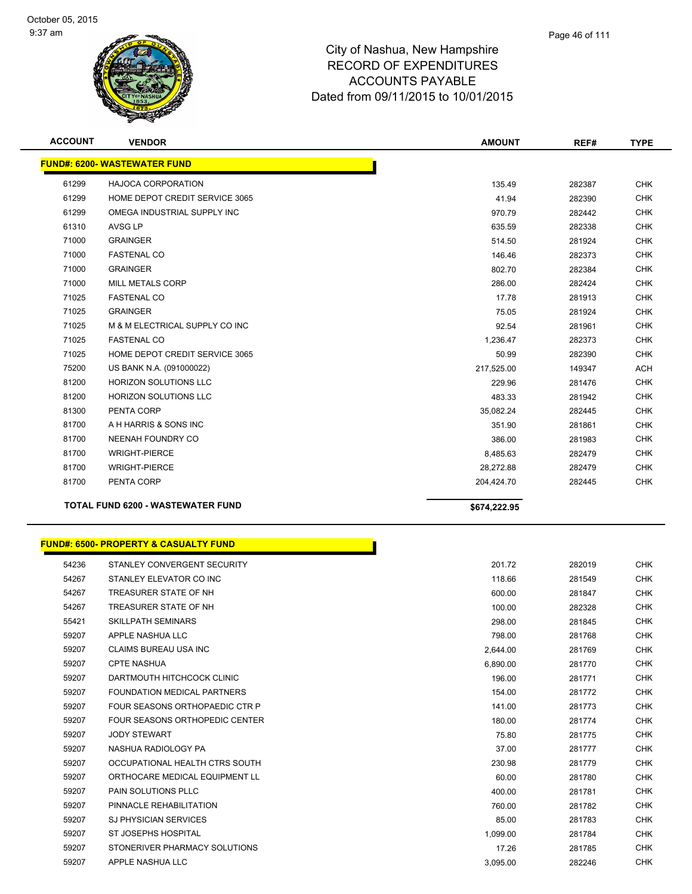

| <b>ACCOUNT</b> | <b>VENDOR</b>                            | <b>AMOUNT</b> | REF#   | <b>TYPE</b> |
|----------------|------------------------------------------|---------------|--------|-------------|
|                | <b>FUND#: 6200-WASTEWATER FUND</b>       |               |        |             |
| 61299          | <b>HAJOCA CORPORATION</b>                | 135.49        | 282387 | <b>CHK</b>  |
| 61299          | HOME DEPOT CREDIT SERVICE 3065           | 41.94         | 282390 | <b>CHK</b>  |
| 61299          | OMEGA INDUSTRIAL SUPPLY INC              | 970.79        | 282442 | <b>CHK</b>  |
| 61310          | AVSG LP                                  | 635.59        | 282338 | <b>CHK</b>  |
| 71000          | <b>GRAINGER</b>                          | 514.50        | 281924 | <b>CHK</b>  |
| 71000          | <b>FASTENAL CO</b>                       | 146.46        | 282373 | <b>CHK</b>  |
| 71000          | <b>GRAINGER</b>                          | 802.70        | 282384 | <b>CHK</b>  |
| 71000          | <b>MILL METALS CORP</b>                  | 286.00        | 282424 | <b>CHK</b>  |
| 71025          | <b>FASTENAL CO</b>                       | 17.78         | 281913 | <b>CHK</b>  |
| 71025          | <b>GRAINGER</b>                          | 75.05         | 281924 | <b>CHK</b>  |
| 71025          | M & M ELECTRICAL SUPPLY CO INC           | 92.54         | 281961 | <b>CHK</b>  |
| 71025          | <b>FASTENAL CO</b>                       | 1,236.47      | 282373 | <b>CHK</b>  |
| 71025          | HOME DEPOT CREDIT SERVICE 3065           | 50.99         | 282390 | <b>CHK</b>  |
| 75200          | US BANK N.A. (091000022)                 | 217,525.00    | 149347 | <b>ACH</b>  |
| 81200          | <b>HORIZON SOLUTIONS LLC</b>             | 229.96        | 281476 | <b>CHK</b>  |
| 81200          | <b>HORIZON SOLUTIONS LLC</b>             | 483.33        | 281942 | <b>CHK</b>  |
| 81300          | PENTA CORP                               | 35,082.24     | 282445 | <b>CHK</b>  |
| 81700          | A H HARRIS & SONS INC                    | 351.90        | 281861 | <b>CHK</b>  |
| 81700          | NEENAH FOUNDRY CO                        | 386.00        | 281983 | <b>CHK</b>  |
| 81700          | <b>WRIGHT-PIERCE</b>                     | 8,485.63      | 282479 | <b>CHK</b>  |
| 81700          | <b>WRIGHT-PIERCE</b>                     | 28,272.88     | 282479 | <b>CHK</b>  |
| 81700          | PENTA CORP                               | 204,424.70    | 282445 | <b>CHK</b>  |
|                | <b>TOTAL FUND 6200 - WASTEWATER FUND</b> | \$674,222.95  |        |             |

|       | <b>FUND#: 6500- PROPERTY &amp; CASUALTY FUND</b> |          |        |
|-------|--------------------------------------------------|----------|--------|
| 54236 | STANLEY CONVERGENT SECURITY                      | 201.72   | 282019 |
| 54267 | STANLEY ELEVATOR CO INC                          | 118.66   | 281549 |
| 54267 | TREASURER STATE OF NH                            | 600.00   | 281847 |
| 54267 | TREASURER STATE OF NH                            | 100.00   | 282328 |
| 55421 | <b>SKILLPATH SEMINARS</b>                        | 298.00   | 281845 |
| 59207 | APPLE NASHUA LLC                                 | 798.00   | 281768 |
| 59207 | <b>CLAIMS BUREAU USA INC</b>                     | 2,644.00 | 281769 |
| 59207 | <b>CPTE NASHUA</b>                               | 6,890.00 | 281770 |
| 59207 | DARTMOUTH HITCHCOCK CLINIC                       | 196.00   | 281771 |
| 59207 | <b>FOUNDATION MEDICAL PARTNERS</b>               | 154.00   | 281772 |
| 59207 | FOUR SEASONS ORTHOPAEDIC CTR P                   | 141.00   | 281773 |
| 59207 | FOUR SEASONS ORTHOPEDIC CENTER                   | 180.00   | 281774 |
| 59207 | <b>JODY STEWART</b>                              | 75.80    | 281775 |
| 59207 | NASHUA RADIOLOGY PA                              | 37.00    | 281777 |
| 59207 | OCCUPATIONAL HEALTH CTRS SOUTH                   | 230.98   | 281779 |
| 59207 | ORTHOCARE MEDICAL EQUIPMENT LL                   | 60.00    | 281780 |
| 59207 | <b>PAIN SOLUTIONS PLLC</b>                       | 400.00   | 281781 |
| 59207 | PINNACLE REHABILITATION                          | 760.00   | 281782 |
| 59207 | <b>SJ PHYSICIAN SERVICES</b>                     | 85.00    | 281783 |
| 59207 | <b>ST JOSEPHS HOSPITAL</b>                       | 1,099.00 | 281784 |
| 59207 | STONERIVER PHARMACY SOLUTIONS                    | 17.26    | 281785 |
| 59207 | APPLE NASHUA LLC                                 | 3,095.00 | 282246 |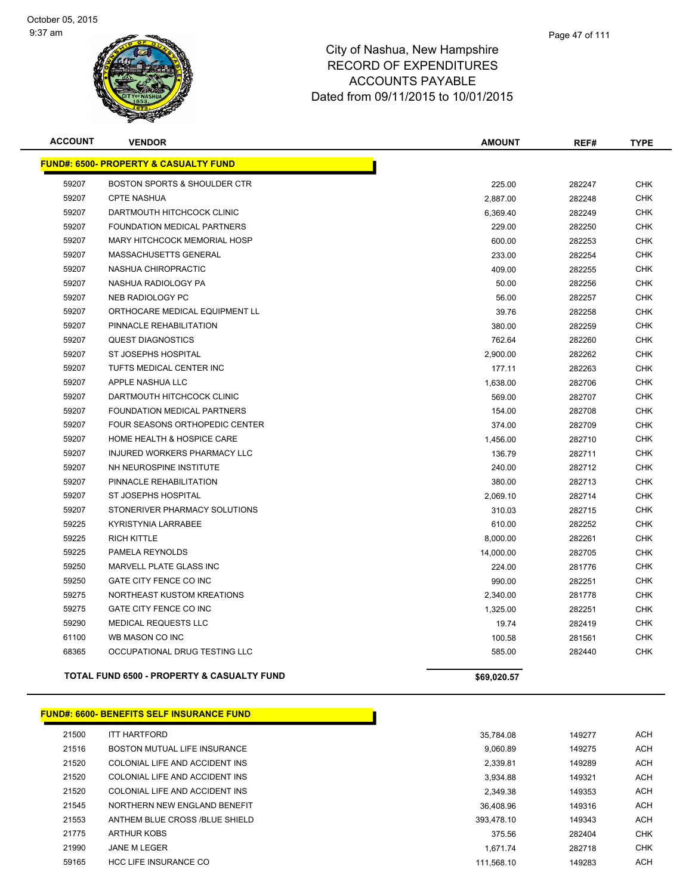

| <b>ACCOUNT</b> | <b>VENDOR</b>                                         | <b>AMOUNT</b> | REF#   | <b>TYPE</b> |
|----------------|-------------------------------------------------------|---------------|--------|-------------|
|                | <b>FUND#: 6500- PROPERTY &amp; CASUALTY FUND</b>      |               |        |             |
| 59207          | <b>BOSTON SPORTS &amp; SHOULDER CTR</b>               | 225.00        | 282247 | CHK         |
| 59207          | <b>CPTE NASHUA</b>                                    | 2,887.00      | 282248 | <b>CHK</b>  |
| 59207          | DARTMOUTH HITCHCOCK CLINIC                            | 6,369.40      | 282249 | <b>CHK</b>  |
| 59207          | FOUNDATION MEDICAL PARTNERS                           | 229.00        | 282250 | <b>CHK</b>  |
| 59207          | MARY HITCHCOCK MEMORIAL HOSP                          | 600.00        | 282253 | <b>CHK</b>  |
| 59207          | MASSACHUSETTS GENERAL                                 | 233.00        | 282254 | <b>CHK</b>  |
| 59207          | NASHUA CHIROPRACTIC                                   | 409.00        | 282255 | <b>CHK</b>  |
| 59207          | NASHUA RADIOLOGY PA                                   | 50.00         | 282256 | <b>CHK</b>  |
| 59207          | <b>NEB RADIOLOGY PC</b>                               | 56.00         | 282257 | <b>CHK</b>  |
| 59207          | ORTHOCARE MEDICAL EQUIPMENT LL                        | 39.76         | 282258 | <b>CHK</b>  |
| 59207          | PINNACLE REHABILITATION                               | 380.00        | 282259 | <b>CHK</b>  |
| 59207          | <b>QUEST DIAGNOSTICS</b>                              | 762.64        | 282260 | <b>CHK</b>  |
| 59207          | ST JOSEPHS HOSPITAL                                   | 2,900.00      | 282262 | <b>CHK</b>  |
| 59207          | TUFTS MEDICAL CENTER INC                              | 177.11        | 282263 | <b>CHK</b>  |
| 59207          | APPLE NASHUA LLC                                      | 1,638.00      | 282706 | <b>CHK</b>  |
| 59207          | DARTMOUTH HITCHCOCK CLINIC                            | 569.00        | 282707 | <b>CHK</b>  |
| 59207          | FOUNDATION MEDICAL PARTNERS                           | 154.00        | 282708 | <b>CHK</b>  |
| 59207          | FOUR SEASONS ORTHOPEDIC CENTER                        | 374.00        | 282709 | <b>CHK</b>  |
| 59207          | HOME HEALTH & HOSPICE CARE                            | 1,456.00      | 282710 | <b>CHK</b>  |
| 59207          | INJURED WORKERS PHARMACY LLC                          | 136.79        | 282711 | <b>CHK</b>  |
| 59207          | NH NEUROSPINE INSTITUTE                               | 240.00        | 282712 | <b>CHK</b>  |
| 59207          | PINNACLE REHABILITATION                               | 380.00        | 282713 | <b>CHK</b>  |
| 59207          | ST JOSEPHS HOSPITAL                                   | 2,069.10      | 282714 | <b>CHK</b>  |
| 59207          | STONERIVER PHARMACY SOLUTIONS                         | 310.03        | 282715 | <b>CHK</b>  |
| 59225          | KYRISTYNIA LARRABEE                                   | 610.00        | 282252 | <b>CHK</b>  |
| 59225          | <b>RICH KITTLE</b>                                    | 8,000.00      | 282261 | <b>CHK</b>  |
| 59225          | PAMELA REYNOLDS                                       | 14,000.00     | 282705 | <b>CHK</b>  |
| 59250          | MARVELL PLATE GLASS INC                               | 224.00        | 281776 | <b>CHK</b>  |
| 59250          | GATE CITY FENCE CO INC                                | 990.00        | 282251 | <b>CHK</b>  |
| 59275          | NORTHEAST KUSTOM KREATIONS                            | 2,340.00      | 281778 | <b>CHK</b>  |
| 59275          | GATE CITY FENCE CO INC                                | 1,325.00      | 282251 | CHK         |
| 59290          | <b>MEDICAL REQUESTS LLC</b>                           | 19.74         | 282419 | <b>CHK</b>  |
| 61100          | WB MASON CO INC                                       | 100.58        | 281561 | <b>CHK</b>  |
| 68365          | OCCUPATIONAL DRUG TESTING LLC                         | 585.00        | 282440 | CHK         |
|                | <b>TOTAL FUND 6500 - PROPERTY &amp; CASUALTY FUND</b> | \$69,020.57   |        |             |
|                | <b>FUND#: 6600- BENEFITS SELF INSURANCE FUND</b>      |               |        |             |
| 21500          | <b>ITT HARTFORD</b>                                   | 35,784.08     | 149277 | <b>ACH</b>  |
| 21516          | BOSTON MUTUAL LIFE INSURANCE                          | 9,060.89      | 149275 | <b>ACH</b>  |
|                |                                                       |               |        |             |

| 21520 | COLONIAL LIFE AND ACCIDENT INS | 2.339.81   | 149289 | <b>ACH</b> |
|-------|--------------------------------|------------|--------|------------|
| 21520 | COLONIAL LIFE AND ACCIDENT INS | 3.934.88   | 149321 | <b>ACH</b> |
| 21520 | COLONIAL LIFE AND ACCIDENT INS | 2.349.38   | 149353 | <b>ACH</b> |
| 21545 | NORTHERN NEW ENGLAND BENEFIT   | 36.408.96  | 149316 | <b>ACH</b> |
| 21553 | ANTHEM BLUE CROSS /BLUE SHIELD | 393.478.10 | 149343 | <b>ACH</b> |
| 21775 | ARTHUR KOBS                    | 375.56     | 282404 | <b>CHK</b> |
| 21990 | JANE M LEGER                   | 1.671.74   | 282718 | <b>CHK</b> |
| 59165 | <b>HCC LIFE INSURANCE CO</b>   | 111.568.10 | 149283 | <b>ACH</b> |
|       |                                |            |        |            |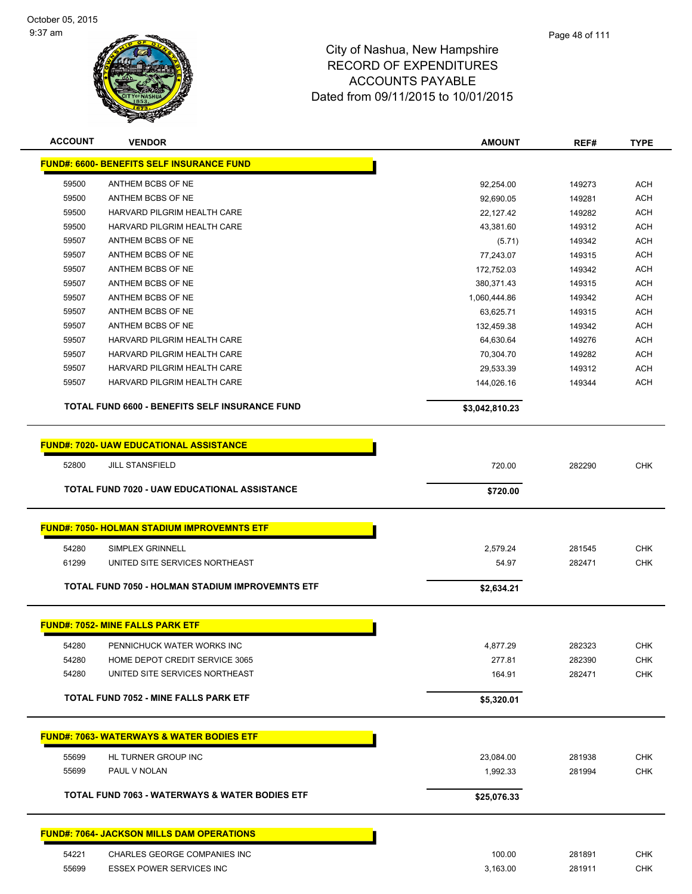

| <b>ACCOUNT</b> | <b>VENDOR</b>                                             | <b>AMOUNT</b>  | REF#   | <b>TYPE</b> |
|----------------|-----------------------------------------------------------|----------------|--------|-------------|
|                | <b>FUND#: 6600- BENEFITS SELF INSURANCE FUND</b>          |                |        |             |
| 59500          | ANTHEM BCBS OF NE                                         | 92,254.00      | 149273 | <b>ACH</b>  |
| 59500          | ANTHEM BCBS OF NE                                         | 92,690.05      | 149281 | <b>ACH</b>  |
| 59500          | HARVARD PILGRIM HEALTH CARE                               | 22,127.42      | 149282 | <b>ACH</b>  |
| 59500          | HARVARD PILGRIM HEALTH CARE                               | 43,381.60      | 149312 | <b>ACH</b>  |
| 59507          | ANTHEM BCBS OF NE                                         | (5.71)         | 149342 | <b>ACH</b>  |
| 59507          | ANTHEM BCBS OF NE                                         | 77,243.07      | 149315 | <b>ACH</b>  |
| 59507          | ANTHEM BCBS OF NE                                         | 172,752.03     | 149342 | <b>ACH</b>  |
| 59507          | ANTHEM BCBS OF NE                                         | 380,371.43     | 149315 | <b>ACH</b>  |
| 59507          | ANTHEM BCBS OF NE                                         | 1,060,444.86   | 149342 | <b>ACH</b>  |
| 59507          | ANTHEM BCBS OF NE                                         | 63,625.71      | 149315 | <b>ACH</b>  |
| 59507          | ANTHEM BCBS OF NE                                         | 132,459.38     | 149342 | <b>ACH</b>  |
| 59507          | HARVARD PILGRIM HEALTH CARE                               | 64,630.64      | 149276 | <b>ACH</b>  |
| 59507          | HARVARD PILGRIM HEALTH CARE                               | 70,304.70      | 149282 | <b>ACH</b>  |
| 59507          | HARVARD PILGRIM HEALTH CARE                               | 29,533.39      | 149312 | <b>ACH</b>  |
| 59507          | HARVARD PILGRIM HEALTH CARE                               | 144,026.16     | 149344 | <b>ACH</b>  |
|                |                                                           |                |        |             |
|                | TOTAL FUND 6600 - BENEFITS SELF INSURANCE FUND            | \$3,042,810.23 |        |             |
|                | <b>FUND#: 7020- UAW EDUCATIONAL ASSISTANCE</b>            |                |        |             |
|                |                                                           |                |        |             |
| 52800          | <b>JILL STANSFIELD</b>                                    | 720.00         | 282290 | <b>CHK</b>  |
|                | TOTAL FUND 7020 - UAW EDUCATIONAL ASSISTANCE              | \$720.00       |        |             |
|                |                                                           |                |        |             |
|                | <b>FUND#: 7050- HOLMAN STADIUM IMPROVEMNTS ETF</b>        |                |        |             |
| 54280          | SIMPLEX GRINNELL                                          | 2,579.24       | 281545 | <b>CHK</b>  |
| 61299          | UNITED SITE SERVICES NORTHEAST                            | 54.97          | 282471 | <b>CHK</b>  |
|                | TOTAL FUND 7050 - HOLMAN STADIUM IMPROVEMNTS ETF          | \$2,634.21     |        |             |
|                |                                                           |                |        |             |
|                | <b>FUND#: 7052- MINE FALLS PARK ETF</b>                   |                |        |             |
| 54280          | PENNICHUCK WATER WORKS INC                                | 4,877.29       | 282323 | <b>CHK</b>  |
| 54280          | HOME DEPOT CREDIT SERVICE 3065                            | 277.81         | 282390 | <b>CHK</b>  |
| 54280          | UNITED SITE SERVICES NORTHEAST                            | 164.91         | 282471 | <b>CHK</b>  |
|                | <b>TOTAL FUND 7052 - MINE FALLS PARK ETF</b>              | \$5,320.01     |        |             |
|                |                                                           |                |        |             |
|                | <b>FUND#: 7063- WATERWAYS &amp; WATER BODIES ETF</b>      |                |        |             |
| 55699          | HL TURNER GROUP INC                                       | 23,084.00      | 281938 | <b>CHK</b>  |
| 55699          | PAUL V NOLAN                                              | 1,992.33       | 281994 | <b>CHK</b>  |
|                |                                                           |                |        |             |
|                | <b>TOTAL FUND 7063 - WATERWAYS &amp; WATER BODIES ETF</b> | \$25,076.33    |        |             |
|                | <b>FUND#: 7064- JACKSON MILLS DAM OPERATIONS</b>          |                |        |             |
|                |                                                           |                |        |             |
| 54221          | CHARLES GEORGE COMPANIES INC                              | 100.00         | 281891 | <b>CHK</b>  |
| 55699          | ESSEX POWER SERVICES INC                                  | 3,163.00       | 281911 | <b>CHK</b>  |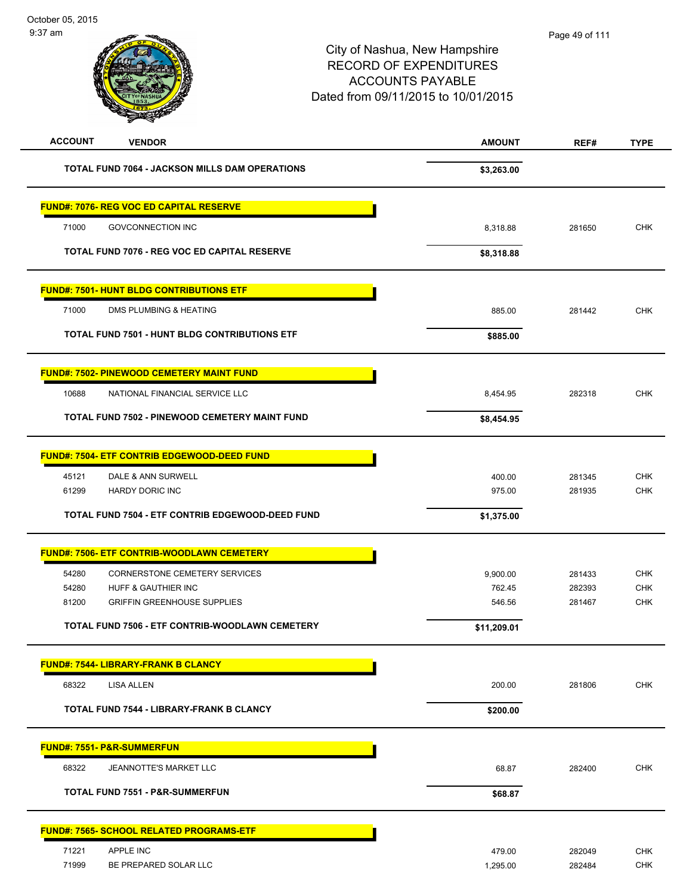| <b>ACCOUNT</b><br><b>VENDOR</b>                       | <b>AMOUNT</b> | REF#   | <b>TYPE</b> |
|-------------------------------------------------------|---------------|--------|-------------|
| <b>TOTAL FUND 7064 - JACKSON MILLS DAM OPERATIONS</b> | \$3,263.00    |        |             |
| <b>FUND#: 7076- REG VOC ED CAPITAL RESERVE</b>        |               |        |             |
| 71000<br><b>GOVCONNECTION INC</b>                     | 8,318.88      | 281650 | <b>CHK</b>  |
| <b>TOTAL FUND 7076 - REG VOC ED CAPITAL RESERVE</b>   | \$8,318.88    |        |             |
| <b>FUND#: 7501- HUNT BLDG CONTRIBUTIONS ETF</b>       |               |        |             |
| 71000<br>DMS PLUMBING & HEATING                       | 885.00        | 281442 | <b>CHK</b>  |
| <b>TOTAL FUND 7501 - HUNT BLDG CONTRIBUTIONS ETF</b>  | \$885.00      |        |             |
| <b>FUND#: 7502- PINEWOOD CEMETERY MAINT FUND</b>      |               |        |             |
| NATIONAL FINANCIAL SERVICE LLC<br>10688               | 8,454.95      | 282318 | <b>CHK</b>  |
| TOTAL FUND 7502 - PINEWOOD CEMETERY MAINT FUND        | \$8,454.95    |        |             |
| <b>FUND#: 7504- ETF CONTRIB EDGEWOOD-DEED FUND</b>    |               |        |             |
| 45121<br>DALE & ANN SURWELL                           | 400.00        | 281345 | <b>CHK</b>  |
| 61299<br><b>HARDY DORIC INC</b>                       | 975.00        | 281935 | CHK         |
| TOTAL FUND 7504 - ETF CONTRIB EDGEWOOD-DEED FUND      | \$1,375.00    |        |             |
| <b>FUND#: 7506- ETF CONTRIB-WOODLAWN CEMETERY</b>     |               |        |             |
| <b>CORNERSTONE CEMETERY SERVICES</b><br>54280         | 9,900.00      | 281433 | <b>CHK</b>  |
| 54280<br><b>HUFF &amp; GAUTHIER INC</b>               | 762.45        | 282393 | <b>CHK</b>  |
| 81200<br><b>GRIFFIN GREENHOUSE SUPPLIES</b>           | 546.56        | 281467 | <b>CHK</b>  |
| TOTAL FUND 7506 - ETF CONTRIB-WOODLAWN CEMETERY       | \$11,209.01   |        |             |
| <u> FUND#: 7544- LIBRARY-FRANK B CLANCY</u>           |               |        |             |
| 68322<br>LISA ALLEN                                   | 200.00        | 281806 | <b>CHK</b>  |
| <b>TOTAL FUND 7544 - LIBRARY-FRANK B CLANCY</b>       | \$200.00      |        |             |
| <b>FUND#: 7551- P&amp;R-SUMMERFUN</b>                 |               |        |             |
| 68322<br><b>JEANNOTTE'S MARKET LLC</b>                | 68.87         | 282400 | <b>CHK</b>  |
| <b>TOTAL FUND 7551 - P&amp;R-SUMMERFUN</b>            | \$68.87       |        |             |
| <b>FUND#: 7565- SCHOOL RELATED PROGRAMS-ETF</b>       |               |        |             |
| 71221<br>APPLE INC                                    | 479.00        | 282049 | <b>CHK</b>  |
| 71999<br>BE PREPARED SOLAR LLC                        | 1,295.00      | 282484 | <b>CHK</b>  |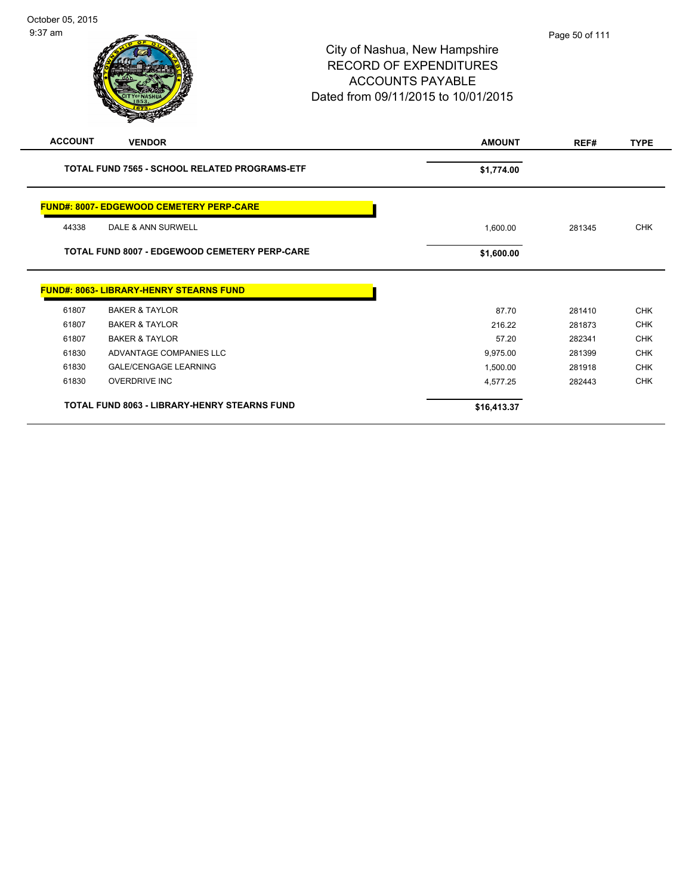| <b>ACCOUNT</b> | <b>VENDOR</b>                                        | <b>AMOUNT</b> | REF#   | <b>TYPE</b>                            |
|----------------|------------------------------------------------------|---------------|--------|----------------------------------------|
|                | TOTAL FUND 7565 - SCHOOL RELATED PROGRAMS-ETF        | \$1,774.00    |        |                                        |
|                |                                                      |               |        |                                        |
|                | <b>FUND#: 8007- EDGEWOOD CEMETERY PERP-CARE</b>      |               |        |                                        |
| 44338          | DALE & ANN SURWELL                                   | 1,600.00      | 281345 | <b>CHK</b>                             |
|                |                                                      |               |        |                                        |
|                | <b>TOTAL FUND 8007 - EDGEWOOD CEMETERY PERP-CARE</b> | \$1,600.00    |        |                                        |
|                | <b>FUND#: 8063- LIBRARY-HENRY STEARNS FUND</b>       |               |        |                                        |
| 61807          | <b>BAKER &amp; TAYLOR</b>                            | 87.70         | 281410 |                                        |
| 61807          | <b>BAKER &amp; TAYLOR</b>                            | 216.22        | 281873 |                                        |
| 61807          | <b>BAKER &amp; TAYLOR</b>                            | 57.20         | 282341 | <b>CHK</b><br><b>CHK</b><br><b>CHK</b> |
| 61830          | ADVANTAGE COMPANIES LLC                              | 9,975.00      | 281399 | <b>CHK</b>                             |
| 61830          | <b>GALE/CENGAGE LEARNING</b>                         | 1,500.00      | 281918 |                                        |
| 61830          | <b>OVERDRIVE INC</b>                                 | 4,577.25      | 282443 | <b>CHK</b><br><b>CHK</b>               |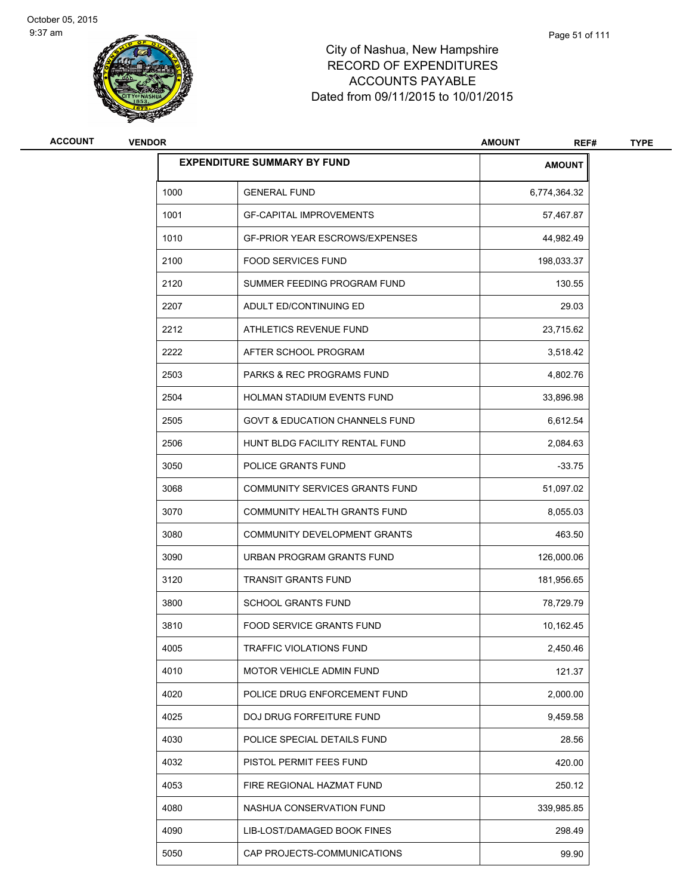

| ACCOUNT | <b>VENDOR</b> |                                           | <b>AMOUNT</b><br>REF# | <b>TYPE</b> |
|---------|---------------|-------------------------------------------|-----------------------|-------------|
|         |               | <b>EXPENDITURE SUMMARY BY FUND</b>        | <b>AMOUNT</b>         |             |
|         | 1000          | <b>GENERAL FUND</b>                       | 6,774,364.32          |             |
|         | 1001          | <b>GF-CAPITAL IMPROVEMENTS</b>            | 57,467.87             |             |
|         | 1010          | <b>GF-PRIOR YEAR ESCROWS/EXPENSES</b>     | 44,982.49             |             |
|         | 2100          | <b>FOOD SERVICES FUND</b>                 | 198,033.37            |             |
|         | 2120          | SUMMER FEEDING PROGRAM FUND               | 130.55                |             |
|         | 2207          | ADULT ED/CONTINUING ED                    | 29.03                 |             |
|         | 2212          | ATHLETICS REVENUE FUND                    | 23,715.62             |             |
|         | 2222          | AFTER SCHOOL PROGRAM                      | 3,518.42              |             |
|         | 2503          | <b>PARKS &amp; REC PROGRAMS FUND</b>      | 4,802.76              |             |
|         | 2504          | HOLMAN STADIUM EVENTS FUND                | 33,896.98             |             |
|         | 2505          | <b>GOVT &amp; EDUCATION CHANNELS FUND</b> | 6,612.54              |             |
|         | 2506          | HUNT BLDG FACILITY RENTAL FUND            | 2,084.63              |             |
|         | 3050          | POLICE GRANTS FUND                        | $-33.75$              |             |
|         | 3068          | COMMUNITY SERVICES GRANTS FUND            | 51,097.02             |             |
|         | 3070          | COMMUNITY HEALTH GRANTS FUND              | 8,055.03              |             |
|         | 3080          | COMMUNITY DEVELOPMENT GRANTS              | 463.50                |             |
|         | 3090          | URBAN PROGRAM GRANTS FUND                 | 126,000.06            |             |
|         | 3120          | <b>TRANSIT GRANTS FUND</b>                | 181,956.65            |             |
|         | 3800          | <b>SCHOOL GRANTS FUND</b>                 | 78,729.79             |             |
|         | 3810          | <b>FOOD SERVICE GRANTS FUND</b>           | 10,162.45             |             |
|         | 4005          | TRAFFIC VIOLATIONS FUND                   | 2,450.46              |             |
|         | 4010          | MOTOR VEHICLE ADMIN FUND                  | 121.37                |             |
|         | 4020          | POLICE DRUG ENFORCEMENT FUND              | 2,000.00              |             |
|         | 4025          | DOJ DRUG FORFEITURE FUND                  | 9,459.58              |             |
|         | 4030          | POLICE SPECIAL DETAILS FUND               | 28.56                 |             |
|         | 4032          | PISTOL PERMIT FEES FUND                   | 420.00                |             |
|         | 4053          | FIRE REGIONAL HAZMAT FUND                 | 250.12                |             |
|         | 4080          | NASHUA CONSERVATION FUND                  | 339,985.85            |             |
|         | 4090          | LIB-LOST/DAMAGED BOOK FINES               | 298.49                |             |
|         | 5050          | CAP PROJECTS-COMMUNICATIONS               | 99.90                 |             |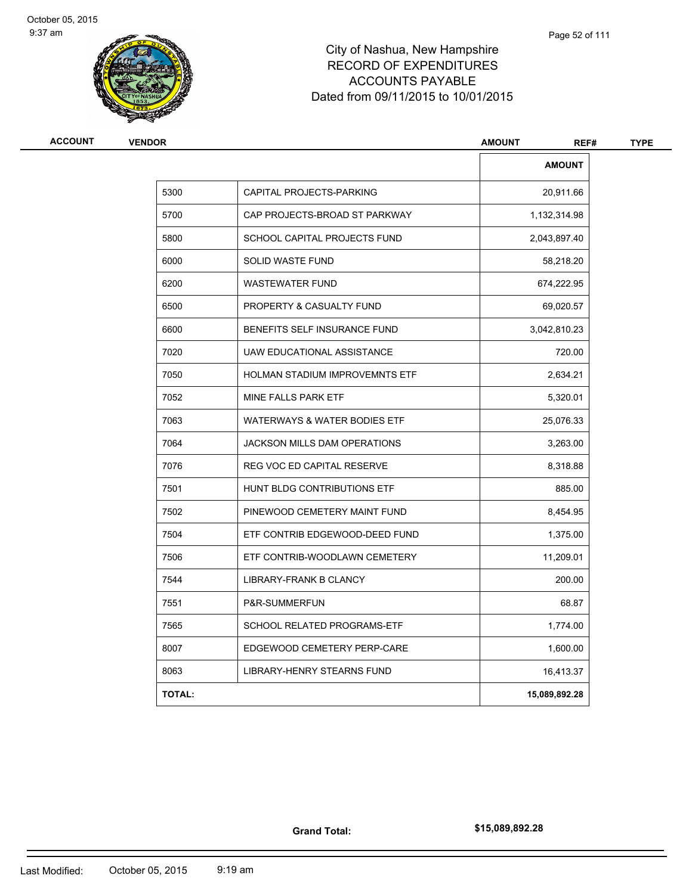

| <b>ACCOUNT</b> | <b>VENDOR</b> |                                     | <b>AMOUNT</b><br>REF# | <b>TYPE</b> |
|----------------|---------------|-------------------------------------|-----------------------|-------------|
|                |               |                                     | <b>AMOUNT</b>         |             |
|                | 5300          | CAPITAL PROJECTS-PARKING            | 20,911.66             |             |
|                | 5700          | CAP PROJECTS-BROAD ST PARKWAY       | 1,132,314.98          |             |
|                | 5800          | SCHOOL CAPITAL PROJECTS FUND        | 2,043,897.40          |             |
|                | 6000          | SOLID WASTE FUND                    | 58,218.20             |             |
|                | 6200          | <b>WASTEWATER FUND</b>              | 674,222.95            |             |
|                | 6500          | PROPERTY & CASUALTY FUND            | 69,020.57             |             |
|                | 6600          | BENEFITS SELF INSURANCE FUND        | 3,042,810.23          |             |
|                | 7020          | UAW EDUCATIONAL ASSISTANCE          | 720.00                |             |
|                | 7050          | HOLMAN STADIUM IMPROVEMNTS ETF      | 2,634.21              |             |
|                | 7052          | MINE FALLS PARK ETF                 | 5,320.01              |             |
|                | 7063          | WATERWAYS & WATER BODIES ETF        | 25,076.33             |             |
|                | 7064          | <b>JACKSON MILLS DAM OPERATIONS</b> | 3,263.00              |             |
|                | 7076          | REG VOC ED CAPITAL RESERVE          | 8,318.88              |             |
|                | 7501          | HUNT BLDG CONTRIBUTIONS ETF         | 885.00                |             |
|                | 7502          | PINEWOOD CEMETERY MAINT FUND        | 8,454.95              |             |
|                | 7504          | ETF CONTRIB EDGEWOOD-DEED FUND      | 1,375.00              |             |
|                | 7506          | ETF CONTRIB-WOODLAWN CEMETERY       | 11,209.01             |             |
|                | 7544          | LIBRARY-FRANK B CLANCY              | 200.00                |             |
|                | 7551          | P&R-SUMMERFUN                       | 68.87                 |             |
|                | 7565          | SCHOOL RELATED PROGRAMS-ETF         | 1,774.00              |             |
|                | 8007          | EDGEWOOD CEMETERY PERP-CARE         | 1,600.00              |             |
|                | 8063          | LIBRARY-HENRY STEARNS FUND          | 16,413.37             |             |
|                | <b>TOTAL:</b> |                                     | 15,089,892.28         |             |

**Grand Total:**

**\$15,089,892.28**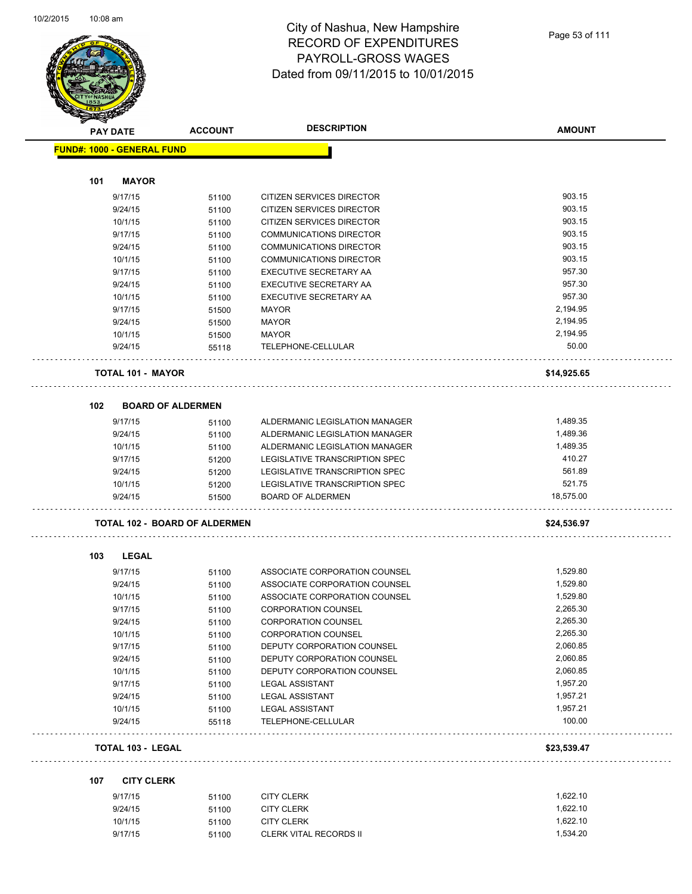

|                          | <b>ACCOUNT</b>                                                                                                                                |                                                                                                                                                                                                                                                        | <b>AMOUNT</b>                                                                                                                                                                                                                                                                                                                                                             |
|--------------------------|-----------------------------------------------------------------------------------------------------------------------------------------------|--------------------------------------------------------------------------------------------------------------------------------------------------------------------------------------------------------------------------------------------------------|---------------------------------------------------------------------------------------------------------------------------------------------------------------------------------------------------------------------------------------------------------------------------------------------------------------------------------------------------------------------------|
|                          |                                                                                                                                               |                                                                                                                                                                                                                                                        |                                                                                                                                                                                                                                                                                                                                                                           |
|                          |                                                                                                                                               |                                                                                                                                                                                                                                                        |                                                                                                                                                                                                                                                                                                                                                                           |
| <b>MAYOR</b>             |                                                                                                                                               |                                                                                                                                                                                                                                                        |                                                                                                                                                                                                                                                                                                                                                                           |
| 9/17/15                  | 51100                                                                                                                                         | <b>CITIZEN SERVICES DIRECTOR</b>                                                                                                                                                                                                                       | 903.15                                                                                                                                                                                                                                                                                                                                                                    |
| 9/24/15                  | 51100                                                                                                                                         | CITIZEN SERVICES DIRECTOR                                                                                                                                                                                                                              | 903.15                                                                                                                                                                                                                                                                                                                                                                    |
| 10/1/15                  | 51100                                                                                                                                         | CITIZEN SERVICES DIRECTOR                                                                                                                                                                                                                              | 903.15                                                                                                                                                                                                                                                                                                                                                                    |
| 9/17/15                  | 51100                                                                                                                                         | <b>COMMUNICATIONS DIRECTOR</b>                                                                                                                                                                                                                         | 903.15                                                                                                                                                                                                                                                                                                                                                                    |
| 9/24/15                  | 51100                                                                                                                                         | COMMUNICATIONS DIRECTOR                                                                                                                                                                                                                                | 903.15                                                                                                                                                                                                                                                                                                                                                                    |
| 10/1/15                  | 51100                                                                                                                                         | <b>COMMUNICATIONS DIRECTOR</b>                                                                                                                                                                                                                         | 903.15                                                                                                                                                                                                                                                                                                                                                                    |
| 9/17/15                  |                                                                                                                                               | EXECUTIVE SECRETARY AA                                                                                                                                                                                                                                 | 957.30                                                                                                                                                                                                                                                                                                                                                                    |
| 9/24/15                  | 51100                                                                                                                                         | EXECUTIVE SECRETARY AA                                                                                                                                                                                                                                 | 957.30                                                                                                                                                                                                                                                                                                                                                                    |
| 10/1/15                  | 51100                                                                                                                                         | EXECUTIVE SECRETARY AA                                                                                                                                                                                                                                 | 957.30                                                                                                                                                                                                                                                                                                                                                                    |
| 9/17/15                  |                                                                                                                                               | <b>MAYOR</b>                                                                                                                                                                                                                                           | 2,194.95                                                                                                                                                                                                                                                                                                                                                                  |
| 9/24/15                  |                                                                                                                                               | <b>MAYOR</b>                                                                                                                                                                                                                                           | 2,194.95                                                                                                                                                                                                                                                                                                                                                                  |
| 10/1/15                  |                                                                                                                                               |                                                                                                                                                                                                                                                        | 2,194.95                                                                                                                                                                                                                                                                                                                                                                  |
| 9/24/15                  | 55118                                                                                                                                         | TELEPHONE-CELLULAR                                                                                                                                                                                                                                     | 50.00                                                                                                                                                                                                                                                                                                                                                                     |
|                          |                                                                                                                                               |                                                                                                                                                                                                                                                        | \$14,925.65                                                                                                                                                                                                                                                                                                                                                               |
|                          |                                                                                                                                               |                                                                                                                                                                                                                                                        |                                                                                                                                                                                                                                                                                                                                                                           |
|                          |                                                                                                                                               |                                                                                                                                                                                                                                                        |                                                                                                                                                                                                                                                                                                                                                                           |
| 9/17/15                  | 51100                                                                                                                                         | ALDERMANIC LEGISLATION MANAGER                                                                                                                                                                                                                         | 1,489.35                                                                                                                                                                                                                                                                                                                                                                  |
| 9/24/15                  | 51100                                                                                                                                         | ALDERMANIC LEGISLATION MANAGER                                                                                                                                                                                                                         | 1,489.36                                                                                                                                                                                                                                                                                                                                                                  |
| 10/1/15                  | 51100                                                                                                                                         | ALDERMANIC LEGISLATION MANAGER                                                                                                                                                                                                                         | 1,489.35                                                                                                                                                                                                                                                                                                                                                                  |
| 9/17/15                  | 51200                                                                                                                                         | LEGISLATIVE TRANSCRIPTION SPEC                                                                                                                                                                                                                         | 410.27                                                                                                                                                                                                                                                                                                                                                                    |
| 9/24/15                  | 51200                                                                                                                                         | LEGISLATIVE TRANSCRIPTION SPEC                                                                                                                                                                                                                         | 561.89                                                                                                                                                                                                                                                                                                                                                                    |
| 10/1/15                  | 51200                                                                                                                                         | LEGISLATIVE TRANSCRIPTION SPEC                                                                                                                                                                                                                         | 521.75                                                                                                                                                                                                                                                                                                                                                                    |
| 9/24/15                  | 51500                                                                                                                                         | <b>BOARD OF ALDERMEN</b>                                                                                                                                                                                                                               | 18,575.00                                                                                                                                                                                                                                                                                                                                                                 |
|                          |                                                                                                                                               |                                                                                                                                                                                                                                                        | \$24,536.97                                                                                                                                                                                                                                                                                                                                                               |
|                          |                                                                                                                                               |                                                                                                                                                                                                                                                        |                                                                                                                                                                                                                                                                                                                                                                           |
|                          |                                                                                                                                               |                                                                                                                                                                                                                                                        |                                                                                                                                                                                                                                                                                                                                                                           |
|                          |                                                                                                                                               |                                                                                                                                                                                                                                                        | 1,529.80                                                                                                                                                                                                                                                                                                                                                                  |
|                          | 51100                                                                                                                                         |                                                                                                                                                                                                                                                        | 1,529.80                                                                                                                                                                                                                                                                                                                                                                  |
|                          |                                                                                                                                               |                                                                                                                                                                                                                                                        | 1,529.80                                                                                                                                                                                                                                                                                                                                                                  |
|                          |                                                                                                                                               |                                                                                                                                                                                                                                                        | 2,265.30                                                                                                                                                                                                                                                                                                                                                                  |
|                          |                                                                                                                                               |                                                                                                                                                                                                                                                        | 2,265.30                                                                                                                                                                                                                                                                                                                                                                  |
|                          |                                                                                                                                               |                                                                                                                                                                                                                                                        | 2,265.30                                                                                                                                                                                                                                                                                                                                                                  |
|                          |                                                                                                                                               | DEPUTY CORPORATION COUNSEL                                                                                                                                                                                                                             | 2,060.85                                                                                                                                                                                                                                                                                                                                                                  |
| 9/24/15                  | 51100                                                                                                                                         | DEPUTY CORPORATION COUNSEL                                                                                                                                                                                                                             | 2,060.85                                                                                                                                                                                                                                                                                                                                                                  |
| 10/1/15                  | 51100                                                                                                                                         | DEPUTY CORPORATION COUNSEL                                                                                                                                                                                                                             | 2,060.85                                                                                                                                                                                                                                                                                                                                                                  |
| 9/17/15                  | 51100                                                                                                                                         |                                                                                                                                                                                                                                                        | 1,957.20                                                                                                                                                                                                                                                                                                                                                                  |
| 9/24/15                  | 51100                                                                                                                                         | <b>LEGAL ASSISTANT</b>                                                                                                                                                                                                                                 | 1,957.21                                                                                                                                                                                                                                                                                                                                                                  |
| 10/1/15                  | 51100                                                                                                                                         | <b>LEGAL ASSISTANT</b>                                                                                                                                                                                                                                 | 1,957.21                                                                                                                                                                                                                                                                                                                                                                  |
| 9/24/15                  | 55118                                                                                                                                         | TELEPHONE-CELLULAR                                                                                                                                                                                                                                     | 100.00                                                                                                                                                                                                                                                                                                                                                                    |
|                          |                                                                                                                                               |                                                                                                                                                                                                                                                        | \$23,539.47                                                                                                                                                                                                                                                                                                                                                               |
|                          |                                                                                                                                               |                                                                                                                                                                                                                                                        |                                                                                                                                                                                                                                                                                                                                                                           |
|                          |                                                                                                                                               |                                                                                                                                                                                                                                                        | 1,622.10                                                                                                                                                                                                                                                                                                                                                                  |
|                          |                                                                                                                                               |                                                                                                                                                                                                                                                        | 1,622.10                                                                                                                                                                                                                                                                                                                                                                  |
| 10/1/15                  |                                                                                                                                               |                                                                                                                                                                                                                                                        | 1,622.10                                                                                                                                                                                                                                                                                                                                                                  |
|                          |                                                                                                                                               |                                                                                                                                                                                                                                                        |                                                                                                                                                                                                                                                                                                                                                                           |
| 101<br>102<br>103<br>107 | <b>STARBAN</b><br><b>PAY DATE</b><br>LEGAL<br>9/17/15<br>9/24/15<br>10/1/15<br>9/17/15<br>9/24/15<br>10/1/15<br>9/17/15<br>9/17/15<br>9/24/15 | <b>FUND#: 1000 - GENERAL FUND</b><br>51100<br>51500<br>51500<br>51500<br><b>TOTAL 101 - MAYOR</b><br><b>BOARD OF ALDERMEN</b><br>51100<br>51100<br>51100<br>51100<br>51100<br>51100<br><b>TOTAL 103 - LEGAL</b><br><b>CITY CLERK</b><br>51100<br>51100 | <b>DESCRIPTION</b><br><b>MAYOR</b><br><b>TOTAL 102 - BOARD OF ALDERMEN</b><br>ASSOCIATE CORPORATION COUNSEL<br>ASSOCIATE CORPORATION COUNSEL<br>ASSOCIATE CORPORATION COUNSEL<br><b>CORPORATION COUNSEL</b><br><b>CORPORATION COUNSEL</b><br><b>CORPORATION COUNSEL</b><br><b>LEGAL ASSISTANT</b><br><b>CITY CLERK</b><br><b>CITY CLERK</b><br>51100<br><b>CITY CLERK</b> |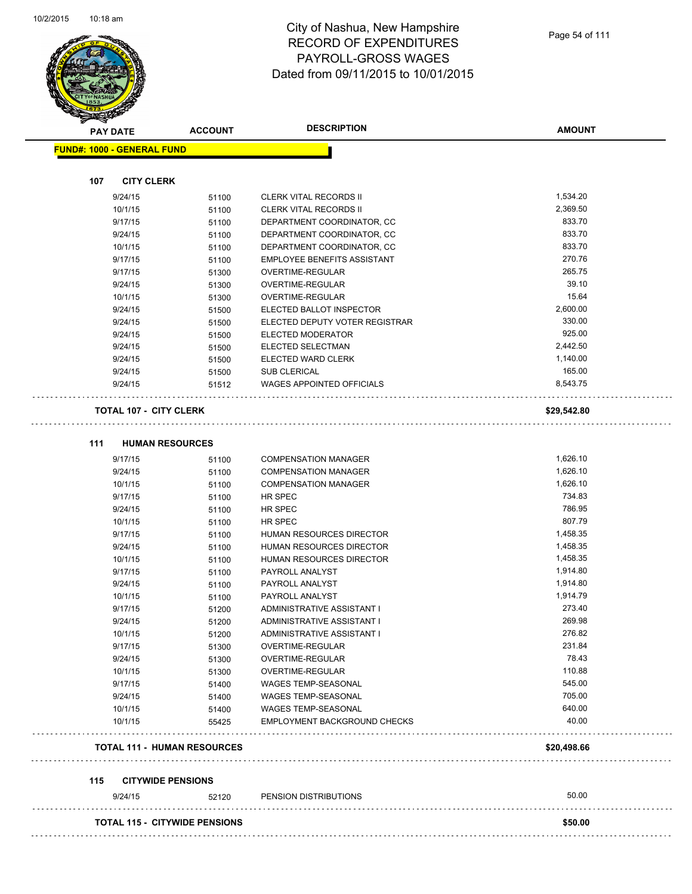

**AMOUNT**

| <b>CITY CLERK</b><br>107<br>1,534.20<br>9/24/15<br><b>CLERK VITAL RECORDS II</b><br>51100<br>10/1/15<br>2,369.50<br><b>CLERK VITAL RECORDS II</b><br>51100<br>833.70<br>9/17/15<br>DEPARTMENT COORDINATOR, CC<br>51100<br>9/24/15<br>DEPARTMENT COORDINATOR, CC<br>833.70<br>51100<br>833.70<br>10/1/15<br>51100<br>DEPARTMENT COORDINATOR, CC<br>270.76<br>9/17/15<br><b>EMPLOYEE BENEFITS ASSISTANT</b><br>51100<br>265.75<br>9/17/15<br>OVERTIME-REGULAR<br>51300<br>39.10<br>9/24/15<br>OVERTIME-REGULAR<br>51300<br>15.64<br>10/1/15<br>51300<br>OVERTIME-REGULAR<br>2,600.00<br>9/24/15<br>ELECTED BALLOT INSPECTOR<br>51500<br>330.00<br>9/24/15<br>ELECTED DEPUTY VOTER REGISTRAR<br>51500<br>925.00<br>9/24/15<br>ELECTED MODERATOR<br>51500<br>2,442.50<br>9/24/15<br>ELECTED SELECTMAN<br>51500<br>1,140.00<br>ELECTED WARD CLERK<br>9/24/15<br>51500<br>165.00<br>9/24/15<br><b>SUB CLERICAL</b><br>51500<br>8,543.75<br><b>WAGES APPOINTED OFFICIALS</b><br>9/24/15<br>51512<br><b>TOTAL 107 - CITY CLERK</b><br>\$29,542.80<br>111<br><b>HUMAN RESOURCES</b><br>9/17/15<br>1,626.10<br><b>COMPENSATION MANAGER</b><br>51100<br>1,626.10<br><b>COMPENSATION MANAGER</b><br>9/24/15<br>51100<br>1,626.10<br>10/1/15<br><b>COMPENSATION MANAGER</b><br>51100<br>734.83<br>9/17/15<br>HR SPEC<br>51100<br>786.95<br>9/24/15<br>HR SPEC<br>51100<br>807.79<br>10/1/15<br>HR SPEC<br>51100<br>1,458.35<br>9/17/15<br>HUMAN RESOURCES DIRECTOR<br>51100<br>1,458.35<br>9/24/15<br>HUMAN RESOURCES DIRECTOR<br>51100<br>10/1/15<br>HUMAN RESOURCES DIRECTOR<br>1,458.35<br>51100<br>1,914.80<br>9/17/15<br>PAYROLL ANALYST<br>51100<br>1,914.80<br>9/24/15<br>51100<br>PAYROLL ANALYST<br>1,914.79<br>10/1/15<br>PAYROLL ANALYST<br>51100<br>273.40<br>9/17/15<br>ADMINISTRATIVE ASSISTANT I<br>51200<br>269.98<br>9/24/15<br>ADMINISTRATIVE ASSISTANT I<br>51200<br>276.82<br>ADMINISTRATIVE ASSISTANT I<br>10/1/15<br>51200<br>231.84<br>9/17/15<br>51300<br>OVERTIME-REGULAR<br>78.43<br>9/24/15<br>OVERTIME-REGULAR<br>51300<br>110.88<br>10/1/15<br>OVERTIME-REGULAR<br>51300<br>545.00<br>9/17/15<br>51400<br><b>WAGES TEMP-SEASONAL</b><br>705.00<br>9/24/15<br><b>WAGES TEMP-SEASONAL</b><br>51400<br>640.00<br>10/1/15<br><b>WAGES TEMP-SEASONAL</b><br>51400<br>40.00<br>10/1/15<br>EMPLOYMENT BACKGROUND CHECKS<br>55425<br><b>TOTAL 111 - HUMAN RESOURCES</b><br>\$20,498.66<br><b>CITYWIDE PENSIONS</b><br>115<br>50.00<br>9/24/15<br>PENSION DISTRIBUTIONS<br>52120 | <b>FUND#: 1000 - GENERAL FUND</b> |  |         |
|-----------------------------------------------------------------------------------------------------------------------------------------------------------------------------------------------------------------------------------------------------------------------------------------------------------------------------------------------------------------------------------------------------------------------------------------------------------------------------------------------------------------------------------------------------------------------------------------------------------------------------------------------------------------------------------------------------------------------------------------------------------------------------------------------------------------------------------------------------------------------------------------------------------------------------------------------------------------------------------------------------------------------------------------------------------------------------------------------------------------------------------------------------------------------------------------------------------------------------------------------------------------------------------------------------------------------------------------------------------------------------------------------------------------------------------------------------------------------------------------------------------------------------------------------------------------------------------------------------------------------------------------------------------------------------------------------------------------------------------------------------------------------------------------------------------------------------------------------------------------------------------------------------------------------------------------------------------------------------------------------------------------------------------------------------------------------------------------------------------------------------------------------------------------------------------------------------------------------------------------------------------------------------------------------------------------------------------------------------------------------------------------------------------------------------------------------------------------------------------------|-----------------------------------|--|---------|
|                                                                                                                                                                                                                                                                                                                                                                                                                                                                                                                                                                                                                                                                                                                                                                                                                                                                                                                                                                                                                                                                                                                                                                                                                                                                                                                                                                                                                                                                                                                                                                                                                                                                                                                                                                                                                                                                                                                                                                                                                                                                                                                                                                                                                                                                                                                                                                                                                                                                                         |                                   |  |         |
|                                                                                                                                                                                                                                                                                                                                                                                                                                                                                                                                                                                                                                                                                                                                                                                                                                                                                                                                                                                                                                                                                                                                                                                                                                                                                                                                                                                                                                                                                                                                                                                                                                                                                                                                                                                                                                                                                                                                                                                                                                                                                                                                                                                                                                                                                                                                                                                                                                                                                         |                                   |  |         |
|                                                                                                                                                                                                                                                                                                                                                                                                                                                                                                                                                                                                                                                                                                                                                                                                                                                                                                                                                                                                                                                                                                                                                                                                                                                                                                                                                                                                                                                                                                                                                                                                                                                                                                                                                                                                                                                                                                                                                                                                                                                                                                                                                                                                                                                                                                                                                                                                                                                                                         |                                   |  |         |
|                                                                                                                                                                                                                                                                                                                                                                                                                                                                                                                                                                                                                                                                                                                                                                                                                                                                                                                                                                                                                                                                                                                                                                                                                                                                                                                                                                                                                                                                                                                                                                                                                                                                                                                                                                                                                                                                                                                                                                                                                                                                                                                                                                                                                                                                                                                                                                                                                                                                                         |                                   |  |         |
|                                                                                                                                                                                                                                                                                                                                                                                                                                                                                                                                                                                                                                                                                                                                                                                                                                                                                                                                                                                                                                                                                                                                                                                                                                                                                                                                                                                                                                                                                                                                                                                                                                                                                                                                                                                                                                                                                                                                                                                                                                                                                                                                                                                                                                                                                                                                                                                                                                                                                         |                                   |  |         |
|                                                                                                                                                                                                                                                                                                                                                                                                                                                                                                                                                                                                                                                                                                                                                                                                                                                                                                                                                                                                                                                                                                                                                                                                                                                                                                                                                                                                                                                                                                                                                                                                                                                                                                                                                                                                                                                                                                                                                                                                                                                                                                                                                                                                                                                                                                                                                                                                                                                                                         |                                   |  |         |
|                                                                                                                                                                                                                                                                                                                                                                                                                                                                                                                                                                                                                                                                                                                                                                                                                                                                                                                                                                                                                                                                                                                                                                                                                                                                                                                                                                                                                                                                                                                                                                                                                                                                                                                                                                                                                                                                                                                                                                                                                                                                                                                                                                                                                                                                                                                                                                                                                                                                                         |                                   |  |         |
|                                                                                                                                                                                                                                                                                                                                                                                                                                                                                                                                                                                                                                                                                                                                                                                                                                                                                                                                                                                                                                                                                                                                                                                                                                                                                                                                                                                                                                                                                                                                                                                                                                                                                                                                                                                                                                                                                                                                                                                                                                                                                                                                                                                                                                                                                                                                                                                                                                                                                         |                                   |  |         |
|                                                                                                                                                                                                                                                                                                                                                                                                                                                                                                                                                                                                                                                                                                                                                                                                                                                                                                                                                                                                                                                                                                                                                                                                                                                                                                                                                                                                                                                                                                                                                                                                                                                                                                                                                                                                                                                                                                                                                                                                                                                                                                                                                                                                                                                                                                                                                                                                                                                                                         |                                   |  |         |
|                                                                                                                                                                                                                                                                                                                                                                                                                                                                                                                                                                                                                                                                                                                                                                                                                                                                                                                                                                                                                                                                                                                                                                                                                                                                                                                                                                                                                                                                                                                                                                                                                                                                                                                                                                                                                                                                                                                                                                                                                                                                                                                                                                                                                                                                                                                                                                                                                                                                                         |                                   |  |         |
|                                                                                                                                                                                                                                                                                                                                                                                                                                                                                                                                                                                                                                                                                                                                                                                                                                                                                                                                                                                                                                                                                                                                                                                                                                                                                                                                                                                                                                                                                                                                                                                                                                                                                                                                                                                                                                                                                                                                                                                                                                                                                                                                                                                                                                                                                                                                                                                                                                                                                         |                                   |  |         |
|                                                                                                                                                                                                                                                                                                                                                                                                                                                                                                                                                                                                                                                                                                                                                                                                                                                                                                                                                                                                                                                                                                                                                                                                                                                                                                                                                                                                                                                                                                                                                                                                                                                                                                                                                                                                                                                                                                                                                                                                                                                                                                                                                                                                                                                                                                                                                                                                                                                                                         |                                   |  |         |
|                                                                                                                                                                                                                                                                                                                                                                                                                                                                                                                                                                                                                                                                                                                                                                                                                                                                                                                                                                                                                                                                                                                                                                                                                                                                                                                                                                                                                                                                                                                                                                                                                                                                                                                                                                                                                                                                                                                                                                                                                                                                                                                                                                                                                                                                                                                                                                                                                                                                                         |                                   |  |         |
|                                                                                                                                                                                                                                                                                                                                                                                                                                                                                                                                                                                                                                                                                                                                                                                                                                                                                                                                                                                                                                                                                                                                                                                                                                                                                                                                                                                                                                                                                                                                                                                                                                                                                                                                                                                                                                                                                                                                                                                                                                                                                                                                                                                                                                                                                                                                                                                                                                                                                         |                                   |  |         |
|                                                                                                                                                                                                                                                                                                                                                                                                                                                                                                                                                                                                                                                                                                                                                                                                                                                                                                                                                                                                                                                                                                                                                                                                                                                                                                                                                                                                                                                                                                                                                                                                                                                                                                                                                                                                                                                                                                                                                                                                                                                                                                                                                                                                                                                                                                                                                                                                                                                                                         |                                   |  |         |
|                                                                                                                                                                                                                                                                                                                                                                                                                                                                                                                                                                                                                                                                                                                                                                                                                                                                                                                                                                                                                                                                                                                                                                                                                                                                                                                                                                                                                                                                                                                                                                                                                                                                                                                                                                                                                                                                                                                                                                                                                                                                                                                                                                                                                                                                                                                                                                                                                                                                                         |                                   |  |         |
|                                                                                                                                                                                                                                                                                                                                                                                                                                                                                                                                                                                                                                                                                                                                                                                                                                                                                                                                                                                                                                                                                                                                                                                                                                                                                                                                                                                                                                                                                                                                                                                                                                                                                                                                                                                                                                                                                                                                                                                                                                                                                                                                                                                                                                                                                                                                                                                                                                                                                         |                                   |  |         |
|                                                                                                                                                                                                                                                                                                                                                                                                                                                                                                                                                                                                                                                                                                                                                                                                                                                                                                                                                                                                                                                                                                                                                                                                                                                                                                                                                                                                                                                                                                                                                                                                                                                                                                                                                                                                                                                                                                                                                                                                                                                                                                                                                                                                                                                                                                                                                                                                                                                                                         |                                   |  |         |
|                                                                                                                                                                                                                                                                                                                                                                                                                                                                                                                                                                                                                                                                                                                                                                                                                                                                                                                                                                                                                                                                                                                                                                                                                                                                                                                                                                                                                                                                                                                                                                                                                                                                                                                                                                                                                                                                                                                                                                                                                                                                                                                                                                                                                                                                                                                                                                                                                                                                                         |                                   |  |         |
|                                                                                                                                                                                                                                                                                                                                                                                                                                                                                                                                                                                                                                                                                                                                                                                                                                                                                                                                                                                                                                                                                                                                                                                                                                                                                                                                                                                                                                                                                                                                                                                                                                                                                                                                                                                                                                                                                                                                                                                                                                                                                                                                                                                                                                                                                                                                                                                                                                                                                         |                                   |  |         |
|                                                                                                                                                                                                                                                                                                                                                                                                                                                                                                                                                                                                                                                                                                                                                                                                                                                                                                                                                                                                                                                                                                                                                                                                                                                                                                                                                                                                                                                                                                                                                                                                                                                                                                                                                                                                                                                                                                                                                                                                                                                                                                                                                                                                                                                                                                                                                                                                                                                                                         |                                   |  |         |
|                                                                                                                                                                                                                                                                                                                                                                                                                                                                                                                                                                                                                                                                                                                                                                                                                                                                                                                                                                                                                                                                                                                                                                                                                                                                                                                                                                                                                                                                                                                                                                                                                                                                                                                                                                                                                                                                                                                                                                                                                                                                                                                                                                                                                                                                                                                                                                                                                                                                                         |                                   |  |         |
|                                                                                                                                                                                                                                                                                                                                                                                                                                                                                                                                                                                                                                                                                                                                                                                                                                                                                                                                                                                                                                                                                                                                                                                                                                                                                                                                                                                                                                                                                                                                                                                                                                                                                                                                                                                                                                                                                                                                                                                                                                                                                                                                                                                                                                                                                                                                                                                                                                                                                         |                                   |  |         |
|                                                                                                                                                                                                                                                                                                                                                                                                                                                                                                                                                                                                                                                                                                                                                                                                                                                                                                                                                                                                                                                                                                                                                                                                                                                                                                                                                                                                                                                                                                                                                                                                                                                                                                                                                                                                                                                                                                                                                                                                                                                                                                                                                                                                                                                                                                                                                                                                                                                                                         |                                   |  |         |
|                                                                                                                                                                                                                                                                                                                                                                                                                                                                                                                                                                                                                                                                                                                                                                                                                                                                                                                                                                                                                                                                                                                                                                                                                                                                                                                                                                                                                                                                                                                                                                                                                                                                                                                                                                                                                                                                                                                                                                                                                                                                                                                                                                                                                                                                                                                                                                                                                                                                                         |                                   |  |         |
|                                                                                                                                                                                                                                                                                                                                                                                                                                                                                                                                                                                                                                                                                                                                                                                                                                                                                                                                                                                                                                                                                                                                                                                                                                                                                                                                                                                                                                                                                                                                                                                                                                                                                                                                                                                                                                                                                                                                                                                                                                                                                                                                                                                                                                                                                                                                                                                                                                                                                         |                                   |  |         |
|                                                                                                                                                                                                                                                                                                                                                                                                                                                                                                                                                                                                                                                                                                                                                                                                                                                                                                                                                                                                                                                                                                                                                                                                                                                                                                                                                                                                                                                                                                                                                                                                                                                                                                                                                                                                                                                                                                                                                                                                                                                                                                                                                                                                                                                                                                                                                                                                                                                                                         |                                   |  |         |
|                                                                                                                                                                                                                                                                                                                                                                                                                                                                                                                                                                                                                                                                                                                                                                                                                                                                                                                                                                                                                                                                                                                                                                                                                                                                                                                                                                                                                                                                                                                                                                                                                                                                                                                                                                                                                                                                                                                                                                                                                                                                                                                                                                                                                                                                                                                                                                                                                                                                                         |                                   |  |         |
|                                                                                                                                                                                                                                                                                                                                                                                                                                                                                                                                                                                                                                                                                                                                                                                                                                                                                                                                                                                                                                                                                                                                                                                                                                                                                                                                                                                                                                                                                                                                                                                                                                                                                                                                                                                                                                                                                                                                                                                                                                                                                                                                                                                                                                                                                                                                                                                                                                                                                         |                                   |  |         |
|                                                                                                                                                                                                                                                                                                                                                                                                                                                                                                                                                                                                                                                                                                                                                                                                                                                                                                                                                                                                                                                                                                                                                                                                                                                                                                                                                                                                                                                                                                                                                                                                                                                                                                                                                                                                                                                                                                                                                                                                                                                                                                                                                                                                                                                                                                                                                                                                                                                                                         |                                   |  |         |
|                                                                                                                                                                                                                                                                                                                                                                                                                                                                                                                                                                                                                                                                                                                                                                                                                                                                                                                                                                                                                                                                                                                                                                                                                                                                                                                                                                                                                                                                                                                                                                                                                                                                                                                                                                                                                                                                                                                                                                                                                                                                                                                                                                                                                                                                                                                                                                                                                                                                                         |                                   |  |         |
|                                                                                                                                                                                                                                                                                                                                                                                                                                                                                                                                                                                                                                                                                                                                                                                                                                                                                                                                                                                                                                                                                                                                                                                                                                                                                                                                                                                                                                                                                                                                                                                                                                                                                                                                                                                                                                                                                                                                                                                                                                                                                                                                                                                                                                                                                                                                                                                                                                                                                         |                                   |  |         |
|                                                                                                                                                                                                                                                                                                                                                                                                                                                                                                                                                                                                                                                                                                                                                                                                                                                                                                                                                                                                                                                                                                                                                                                                                                                                                                                                                                                                                                                                                                                                                                                                                                                                                                                                                                                                                                                                                                                                                                                                                                                                                                                                                                                                                                                                                                                                                                                                                                                                                         |                                   |  |         |
|                                                                                                                                                                                                                                                                                                                                                                                                                                                                                                                                                                                                                                                                                                                                                                                                                                                                                                                                                                                                                                                                                                                                                                                                                                                                                                                                                                                                                                                                                                                                                                                                                                                                                                                                                                                                                                                                                                                                                                                                                                                                                                                                                                                                                                                                                                                                                                                                                                                                                         |                                   |  |         |
|                                                                                                                                                                                                                                                                                                                                                                                                                                                                                                                                                                                                                                                                                                                                                                                                                                                                                                                                                                                                                                                                                                                                                                                                                                                                                                                                                                                                                                                                                                                                                                                                                                                                                                                                                                                                                                                                                                                                                                                                                                                                                                                                                                                                                                                                                                                                                                                                                                                                                         |                                   |  |         |
|                                                                                                                                                                                                                                                                                                                                                                                                                                                                                                                                                                                                                                                                                                                                                                                                                                                                                                                                                                                                                                                                                                                                                                                                                                                                                                                                                                                                                                                                                                                                                                                                                                                                                                                                                                                                                                                                                                                                                                                                                                                                                                                                                                                                                                                                                                                                                                                                                                                                                         |                                   |  |         |
|                                                                                                                                                                                                                                                                                                                                                                                                                                                                                                                                                                                                                                                                                                                                                                                                                                                                                                                                                                                                                                                                                                                                                                                                                                                                                                                                                                                                                                                                                                                                                                                                                                                                                                                                                                                                                                                                                                                                                                                                                                                                                                                                                                                                                                                                                                                                                                                                                                                                                         |                                   |  |         |
|                                                                                                                                                                                                                                                                                                                                                                                                                                                                                                                                                                                                                                                                                                                                                                                                                                                                                                                                                                                                                                                                                                                                                                                                                                                                                                                                                                                                                                                                                                                                                                                                                                                                                                                                                                                                                                                                                                                                                                                                                                                                                                                                                                                                                                                                                                                                                                                                                                                                                         |                                   |  |         |
|                                                                                                                                                                                                                                                                                                                                                                                                                                                                                                                                                                                                                                                                                                                                                                                                                                                                                                                                                                                                                                                                                                                                                                                                                                                                                                                                                                                                                                                                                                                                                                                                                                                                                                                                                                                                                                                                                                                                                                                                                                                                                                                                                                                                                                                                                                                                                                                                                                                                                         |                                   |  |         |
|                                                                                                                                                                                                                                                                                                                                                                                                                                                                                                                                                                                                                                                                                                                                                                                                                                                                                                                                                                                                                                                                                                                                                                                                                                                                                                                                                                                                                                                                                                                                                                                                                                                                                                                                                                                                                                                                                                                                                                                                                                                                                                                                                                                                                                                                                                                                                                                                                                                                                         |                                   |  |         |
|                                                                                                                                                                                                                                                                                                                                                                                                                                                                                                                                                                                                                                                                                                                                                                                                                                                                                                                                                                                                                                                                                                                                                                                                                                                                                                                                                                                                                                                                                                                                                                                                                                                                                                                                                                                                                                                                                                                                                                                                                                                                                                                                                                                                                                                                                                                                                                                                                                                                                         |                                   |  |         |
|                                                                                                                                                                                                                                                                                                                                                                                                                                                                                                                                                                                                                                                                                                                                                                                                                                                                                                                                                                                                                                                                                                                                                                                                                                                                                                                                                                                                                                                                                                                                                                                                                                                                                                                                                                                                                                                                                                                                                                                                                                                                                                                                                                                                                                                                                                                                                                                                                                                                                         |                                   |  |         |
|                                                                                                                                                                                                                                                                                                                                                                                                                                                                                                                                                                                                                                                                                                                                                                                                                                                                                                                                                                                                                                                                                                                                                                                                                                                                                                                                                                                                                                                                                                                                                                                                                                                                                                                                                                                                                                                                                                                                                                                                                                                                                                                                                                                                                                                                                                                                                                                                                                                                                         |                                   |  |         |
|                                                                                                                                                                                                                                                                                                                                                                                                                                                                                                                                                                                                                                                                                                                                                                                                                                                                                                                                                                                                                                                                                                                                                                                                                                                                                                                                                                                                                                                                                                                                                                                                                                                                                                                                                                                                                                                                                                                                                                                                                                                                                                                                                                                                                                                                                                                                                                                                                                                                                         |                                   |  |         |
|                                                                                                                                                                                                                                                                                                                                                                                                                                                                                                                                                                                                                                                                                                                                                                                                                                                                                                                                                                                                                                                                                                                                                                                                                                                                                                                                                                                                                                                                                                                                                                                                                                                                                                                                                                                                                                                                                                                                                                                                                                                                                                                                                                                                                                                                                                                                                                                                                                                                                         |                                   |  |         |
| <b>TOTAL 115 - CITYWIDE PENSIONS</b>                                                                                                                                                                                                                                                                                                                                                                                                                                                                                                                                                                                                                                                                                                                                                                                                                                                                                                                                                                                                                                                                                                                                                                                                                                                                                                                                                                                                                                                                                                                                                                                                                                                                                                                                                                                                                                                                                                                                                                                                                                                                                                                                                                                                                                                                                                                                                                                                                                                    |                                   |  | \$50.00 |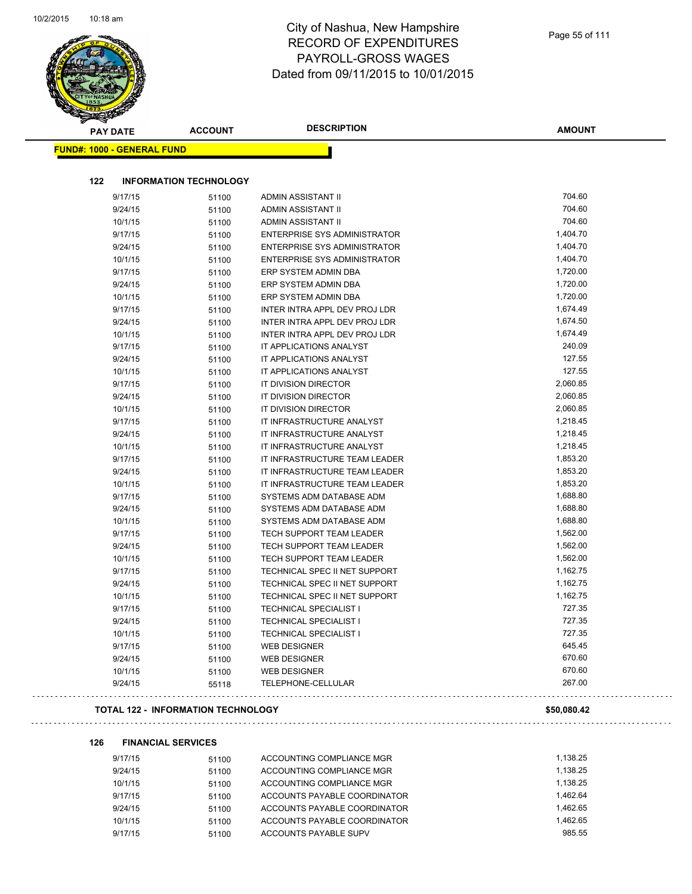$\sim$ 

| <b>PAY DATE</b>                   | <b>ACCOUNT</b>                | <b>DESCRIPTION</b>                  | <b>AMOUNT</b> |
|-----------------------------------|-------------------------------|-------------------------------------|---------------|
| <b>FUND#: 1000 - GENERAL FUND</b> |                               |                                     |               |
|                                   |                               |                                     |               |
| 122                               | <b>INFORMATION TECHNOLOGY</b> |                                     |               |
| 9/17/15                           | 51100                         | ADMIN ASSISTANT II                  | 704.60        |
| 9/24/15                           | 51100                         | ADMIN ASSISTANT II                  | 704.60        |
| 10/1/15                           | 51100                         | ADMIN ASSISTANT II                  | 704.60        |
| 9/17/15                           | 51100                         | <b>ENTERPRISE SYS ADMINISTRATOR</b> | 1,404.70      |
| 9/24/15                           | 51100                         | <b>ENTERPRISE SYS ADMINISTRATOR</b> | 1,404.70      |
| 10/1/15                           | 51100                         | <b>ENTERPRISE SYS ADMINISTRATOR</b> | 1,404.70      |
| 9/17/15                           | 51100                         | ERP SYSTEM ADMIN DBA                | 1,720.00      |
| 9/24/15                           | 51100                         | ERP SYSTEM ADMIN DBA                | 1,720.00      |
| 10/1/15                           | 51100                         | ERP SYSTEM ADMIN DBA                | 1,720.00      |
| 9/17/15                           | 51100                         | INTER INTRA APPL DEV PROJ LDR       | 1,674.49      |
| 9/24/15                           | 51100                         | INTER INTRA APPL DEV PROJ LDR       | 1,674.50      |
| 10/1/15                           | 51100                         | INTER INTRA APPL DEV PROJ LDR       | 1,674.49      |
| 9/17/15                           | 51100                         | IT APPLICATIONS ANALYST             | 240.09        |
| 9/24/15                           | 51100                         | IT APPLICATIONS ANALYST             | 127.55        |
| 10/1/15                           | 51100                         | IT APPLICATIONS ANALYST             | 127.55        |
| 9/17/15                           | 51100                         | <b>IT DIVISION DIRECTOR</b>         | 2,060.85      |
| 9/24/15                           | 51100                         | IT DIVISION DIRECTOR                | 2,060.85      |
| 10/1/15                           | 51100                         | IT DIVISION DIRECTOR                | 2,060.85      |
| 9/17/15                           | 51100                         | IT INFRASTRUCTURE ANALYST           | 1,218.45      |
| 9/24/15                           | 51100                         | IT INFRASTRUCTURE ANALYST           | 1,218.45      |
| 10/1/15                           | 51100                         | IT INFRASTRUCTURE ANALYST           | 1,218.45      |
| 9/17/15                           | 51100                         | IT INFRASTRUCTURE TEAM LEADER       | 1,853.20      |
| 9/24/15                           | 51100                         | IT INFRASTRUCTURE TEAM LEADER       | 1,853.20      |
| 10/1/15                           | 51100                         | IT INFRASTRUCTURE TEAM LEADER       | 1,853.20      |
| 9/17/15                           | 51100                         | SYSTEMS ADM DATABASE ADM            | 1,688.80      |
| 9/24/15                           | 51100                         | SYSTEMS ADM DATABASE ADM            | 1,688.80      |
| 10/1/15                           | 51100                         | SYSTEMS ADM DATABASE ADM            | 1,688.80      |
| 9/17/15                           | 51100                         | TECH SUPPORT TEAM LEADER            | 1,562.00      |
| 9/24/15                           | 51100                         | TECH SUPPORT TEAM LEADER            | 1,562.00      |
| 10/1/15                           | 51100                         | TECH SUPPORT TEAM LEADER            | 1,562.00      |
| 9/17/15                           | 51100                         | TECHNICAL SPEC II NET SUPPORT       | 1,162.75      |
| 9/24/15                           | 51100                         | TECHNICAL SPEC II NET SUPPORT       | 1,162.75      |
| 10/1/15                           | 51100                         | TECHNICAL SPEC II NET SUPPORT       | 1,162.75      |
| 9/17/15                           |                               | TECHNICAL SPECIALIST I              | 727.35        |
|                                   | 51100                         | <b>TECHNICAL SPECIALIST I</b>       | 727.35        |
| 9/24/15                           | 51100                         |                                     | 727.35        |
| 10/1/15                           | 51100                         | <b>TECHNICAL SPECIALIST I</b>       |               |
| 9/17/15                           | 51100                         | <b>WEB DESIGNER</b>                 | 645.45        |
| 9/24/15                           | 51100                         | <b>WEB DESIGNER</b>                 | 670.60        |
| 10/1/15                           | 51100                         | <b>WEB DESIGNER</b>                 | 670.60        |
| 9/24/15                           | 55118                         | TELEPHONE-CELLULAR                  | 267.00        |

## **TOTAL 122 - INFORMATION TECHNOLOGY \$50,080.42**

## **126 FINANCIAL SERVICES**

| 9/17/15 | 51100 | ACCOUNTING COMPLIANCE MGR    | 1.138.25 |
|---------|-------|------------------------------|----------|
| 9/24/15 | 51100 | ACCOUNTING COMPLIANCE MGR    | 1.138.25 |
| 10/1/15 | 51100 | ACCOUNTING COMPLIANCE MGR    | 1.138.25 |
| 9/17/15 | 51100 | ACCOUNTS PAYABLE COORDINATOR | 1.462.64 |
| 9/24/15 | 51100 | ACCOUNTS PAYABLE COORDINATOR | 1.462.65 |
| 10/1/15 | 51100 | ACCOUNTS PAYABLE COORDINATOR | 1.462.65 |
| 9/17/15 | 51100 | ACCOUNTS PAYABLE SUPV        | 985.55   |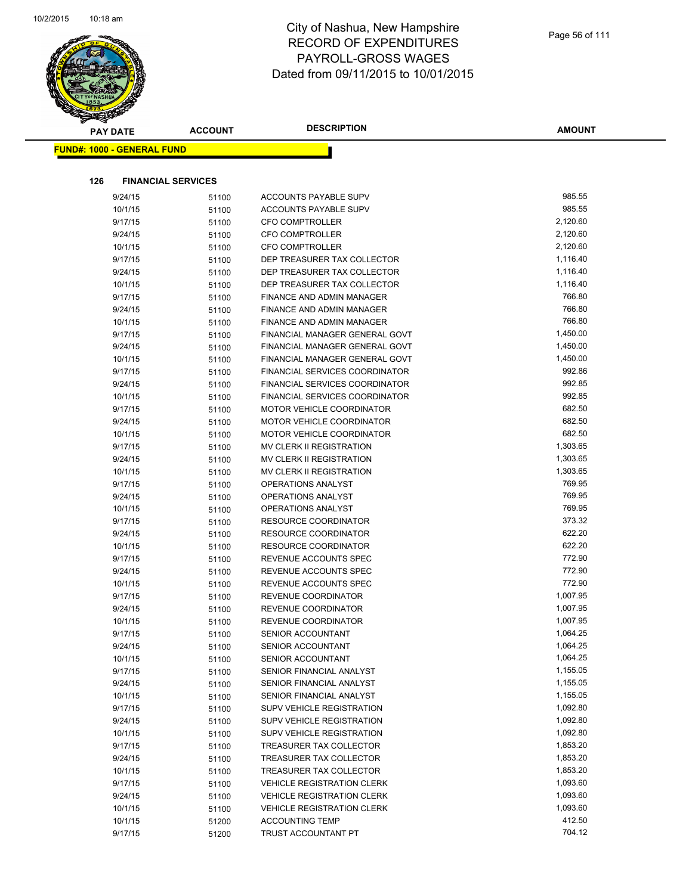

| <b>STATERS</b>                    |                |                                   |          |
|-----------------------------------|----------------|-----------------------------------|----------|
| <b>PAY DATE</b>                   | <b>ACCOUNT</b> | <b>DESCRIPTION</b>                | AMOUNT   |
| <b>FUND#: 1000 - GENERAL FUND</b> |                |                                   |          |
|                                   |                |                                   |          |
|                                   |                |                                   |          |
| 126<br><b>FINANCIAL SERVICES</b>  |                |                                   |          |
| 9/24/15                           | 51100          | ACCOUNTS PAYABLE SUPV             | 985.55   |
| 10/1/15                           | 51100          | ACCOUNTS PAYABLE SUPV             | 985.55   |
| 9/17/15                           | 51100          | <b>CFO COMPTROLLER</b>            | 2,120.60 |
| 9/24/15                           | 51100          | <b>CFO COMPTROLLER</b>            | 2,120.60 |
| 10/1/15                           | 51100          | <b>CFO COMPTROLLER</b>            | 2,120.60 |
| 9/17/15                           | 51100          | DEP TREASURER TAX COLLECTOR       | 1,116.40 |
| 9/24/15                           | 51100          | DEP TREASURER TAX COLLECTOR       | 1,116.40 |
| 10/1/15                           | 51100          | DEP TREASURER TAX COLLECTOR       | 1,116.40 |
| 9/17/15                           | 51100          | FINANCE AND ADMIN MANAGER         | 766.80   |
| 9/24/15                           | 51100          | FINANCE AND ADMIN MANAGER         | 766.80   |
| 10/1/15                           | 51100          | FINANCE AND ADMIN MANAGER         | 766.80   |
| 9/17/15                           | 51100          | FINANCIAL MANAGER GENERAL GOVT    | 1,450.00 |
| 9/24/15                           | 51100          | FINANCIAL MANAGER GENERAL GOVT    | 1,450.00 |
| 10/1/15                           | 51100          | FINANCIAL MANAGER GENERAL GOVT    | 1,450.00 |
| 9/17/15                           | 51100          | FINANCIAL SERVICES COORDINATOR    | 992.86   |
| 9/24/15                           | 51100          | FINANCIAL SERVICES COORDINATOR    | 992.85   |
| 10/1/15                           | 51100          | FINANCIAL SERVICES COORDINATOR    | 992.85   |
| 9/17/15                           | 51100          | <b>MOTOR VEHICLE COORDINATOR</b>  | 682.50   |
| 9/24/15                           | 51100          | <b>MOTOR VEHICLE COORDINATOR</b>  | 682.50   |
| 10/1/15                           | 51100          | <b>MOTOR VEHICLE COORDINATOR</b>  | 682.50   |
| 9/17/15                           | 51100          | MV CLERK II REGISTRATION          | 1,303.65 |
| 9/24/15                           | 51100          | MV CLERK II REGISTRATION          | 1,303.65 |
| 10/1/15                           | 51100          | MV CLERK II REGISTRATION          | 1,303.65 |
| 9/17/15                           | 51100          | OPERATIONS ANALYST                | 769.95   |
| 9/24/15                           | 51100          | OPERATIONS ANALYST                | 769.95   |
| 10/1/15                           | 51100          | OPERATIONS ANALYST                | 769.95   |
| 9/17/15                           | 51100          | <b>RESOURCE COORDINATOR</b>       | 373.32   |
| 9/24/15                           | 51100          | <b>RESOURCE COORDINATOR</b>       | 622.20   |
| 10/1/15                           | 51100          | <b>RESOURCE COORDINATOR</b>       | 622.20   |
| 9/17/15                           | 51100          | REVENUE ACCOUNTS SPEC             | 772.90   |
| 9/24/15                           | 51100          | REVENUE ACCOUNTS SPEC             | 772.90   |
| 10/1/15                           | 51100          | REVENUE ACCOUNTS SPEC             | 772.90   |
| 9/17/15                           | 51100          | <b>REVENUE COORDINATOR</b>        | 1,007.95 |
| 9/24/15                           | 51100          | REVENUE COORDINATOR               | 1,007.95 |
| 10/1/15                           | 51100          | REVENUE COORDINATOR               | 1,007.95 |
| 9/17/15                           | 51100          | SENIOR ACCOUNTANT                 | 1,064.25 |
| 9/24/15                           | 51100          | SENIOR ACCOUNTANT                 | 1,064.25 |
| 10/1/15                           | 51100          | SENIOR ACCOUNTANT                 | 1,064.25 |
| 9/17/15                           | 51100          | SENIOR FINANCIAL ANALYST          | 1,155.05 |
| 9/24/15                           | 51100          | SENIOR FINANCIAL ANALYST          | 1,155.05 |
| 10/1/15                           | 51100          | SENIOR FINANCIAL ANALYST          | 1,155.05 |
| 9/17/15                           | 51100          | SUPV VEHICLE REGISTRATION         | 1,092.80 |
| 9/24/15                           | 51100          | SUPV VEHICLE REGISTRATION         | 1,092.80 |
| 10/1/15                           | 51100          | SUPV VEHICLE REGISTRATION         | 1,092.80 |
| 9/17/15                           | 51100          | TREASURER TAX COLLECTOR           | 1,853.20 |
| 9/24/15                           | 51100          | TREASURER TAX COLLECTOR           | 1,853.20 |
| 10/1/15                           | 51100          | TREASURER TAX COLLECTOR           | 1,853.20 |
| 9/17/15                           | 51100          | <b>VEHICLE REGISTRATION CLERK</b> | 1,093.60 |
| 9/24/15                           | 51100          | <b>VEHICLE REGISTRATION CLERK</b> | 1,093.60 |
| 10/1/15                           | 51100          | <b>VEHICLE REGISTRATION CLERK</b> | 1,093.60 |
| 10/1/15                           | 51200          | <b>ACCOUNTING TEMP</b>            | 412.50   |
| 9/17/15                           | 51200          | TRUST ACCOUNTANT PT               | 704.12   |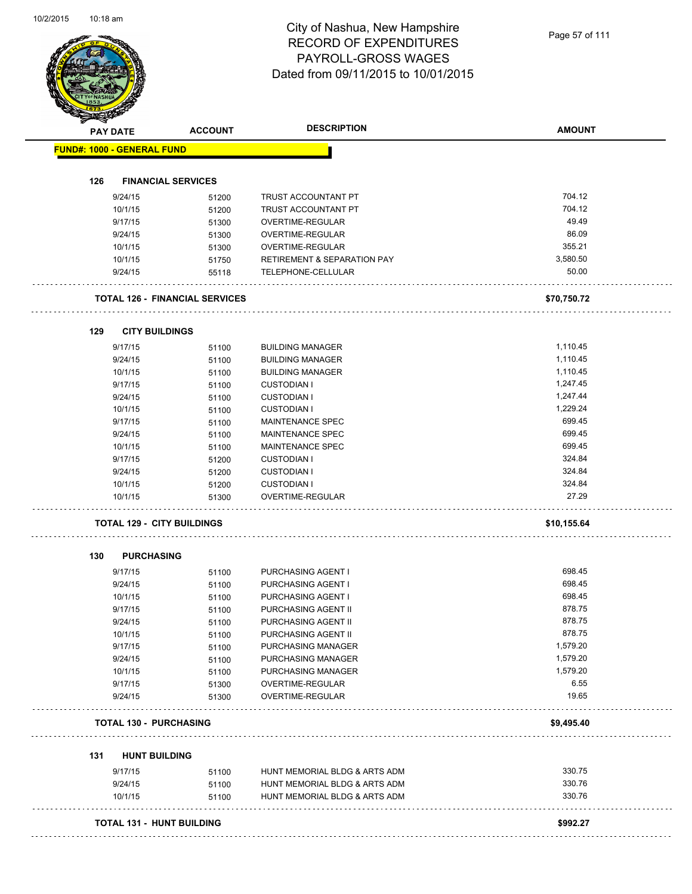| <b>FUND#: 1000 - GENERAL FUND</b><br>126<br>9/24/15<br>10/1/15<br>9/17/15<br>9/24/15<br>10/1/15<br>10/1/15 | <b>FINANCIAL SERVICES</b><br>51200    |                                             |             |
|------------------------------------------------------------------------------------------------------------|---------------------------------------|---------------------------------------------|-------------|
|                                                                                                            |                                       |                                             |             |
|                                                                                                            |                                       |                                             |             |
|                                                                                                            |                                       |                                             | 704.12      |
|                                                                                                            |                                       | TRUST ACCOUNTANT PT<br>TRUST ACCOUNTANT PT  | 704.12      |
|                                                                                                            | 51200                                 |                                             | 49.49       |
|                                                                                                            | 51300                                 | OVERTIME-REGULAR                            | 86.09       |
|                                                                                                            | 51300                                 | OVERTIME-REGULAR<br><b>OVERTIME-REGULAR</b> | 355.21      |
|                                                                                                            | 51300                                 |                                             |             |
|                                                                                                            | 51750                                 | <b>RETIREMENT &amp; SEPARATION PAY</b>      | 3,580.50    |
| 9/24/15                                                                                                    | 55118                                 | TELEPHONE-CELLULAR<br>.                     | 50.00       |
|                                                                                                            | <b>TOTAL 126 - FINANCIAL SERVICES</b> |                                             | \$70,750.72 |
| 129                                                                                                        | <b>CITY BUILDINGS</b>                 |                                             |             |
| 9/17/15                                                                                                    | 51100                                 | <b>BUILDING MANAGER</b>                     | 1,110.45    |
| 9/24/15                                                                                                    | 51100                                 | <b>BUILDING MANAGER</b>                     | 1,110.45    |
| 10/1/15                                                                                                    | 51100                                 | <b>BUILDING MANAGER</b>                     | 1,110.45    |
| 9/17/15                                                                                                    | 51100                                 | <b>CUSTODIAN I</b>                          | 1,247.45    |
| 9/24/15                                                                                                    | 51100                                 | <b>CUSTODIAN I</b>                          | 1,247.44    |
| 10/1/15                                                                                                    | 51100                                 | <b>CUSTODIAN I</b>                          | 1,229.24    |
| 9/17/15                                                                                                    | 51100                                 | <b>MAINTENANCE SPEC</b>                     | 699.45      |
| 9/24/15                                                                                                    | 51100                                 | MAINTENANCE SPEC                            | 699.45      |
| 10/1/15                                                                                                    | 51100                                 | MAINTENANCE SPEC                            | 699.45      |
| 9/17/15                                                                                                    | 51200                                 | <b>CUSTODIAN I</b>                          | 324.84      |
| 9/24/15                                                                                                    | 51200                                 | <b>CUSTODIAN I</b>                          | 324.84      |
| 10/1/15                                                                                                    | 51200                                 | <b>CUSTODIAN I</b>                          | 324.84      |
| 10/1/15                                                                                                    | 51300                                 | OVERTIME-REGULAR                            | 27.29       |
|                                                                                                            | <b>TOTAL 129 - CITY BUILDINGS</b>     |                                             | \$10,155.64 |
| 130                                                                                                        | <b>PURCHASING</b>                     |                                             |             |
| 9/17/15                                                                                                    | 51100                                 | PURCHASING AGENT I                          | 698.45      |
| 9/24/15                                                                                                    | 51100                                 | PURCHASING AGENT I                          | 698.45      |
| 10/1/15                                                                                                    | 51100                                 | PURCHASING AGENT I                          | 698.45      |
| 9/17/15                                                                                                    | 51100                                 | PURCHASING AGENT II                         | 878.75      |
| 9/24/15                                                                                                    | 51100                                 | PURCHASING AGENT II                         | 878.75      |
| 10/1/15                                                                                                    | 51100                                 | PURCHASING AGENT II                         | 878.75      |
| 9/17/15                                                                                                    | 51100                                 | PURCHASING MANAGER                          | 1,579.20    |
| 9/24/15                                                                                                    | 51100                                 | PURCHASING MANAGER                          | 1,579.20    |
| 10/1/15                                                                                                    | 51100                                 | PURCHASING MANAGER                          | 1,579.20    |
| 9/17/15                                                                                                    | 51300                                 | OVERTIME-REGULAR                            | 6.55        |
| 9/24/15                                                                                                    | 51300                                 | OVERTIME-REGULAR                            | 19.65       |
|                                                                                                            | <b>TOTAL 130 - PURCHASING</b>         |                                             | \$9,495.40  |
|                                                                                                            | <b>HUNT BUILDING</b>                  |                                             |             |
| 131<br>9/17/15                                                                                             | 51100                                 | HUNT MEMORIAL BLDG & ARTS ADM               | 330.75      |
| 9/24/15                                                                                                    | 51100                                 | HUNT MEMORIAL BLDG & ARTS ADM               | 330.76      |
| 10/1/15                                                                                                    | 51100                                 | HUNT MEMORIAL BLDG & ARTS ADM               | 330.76      |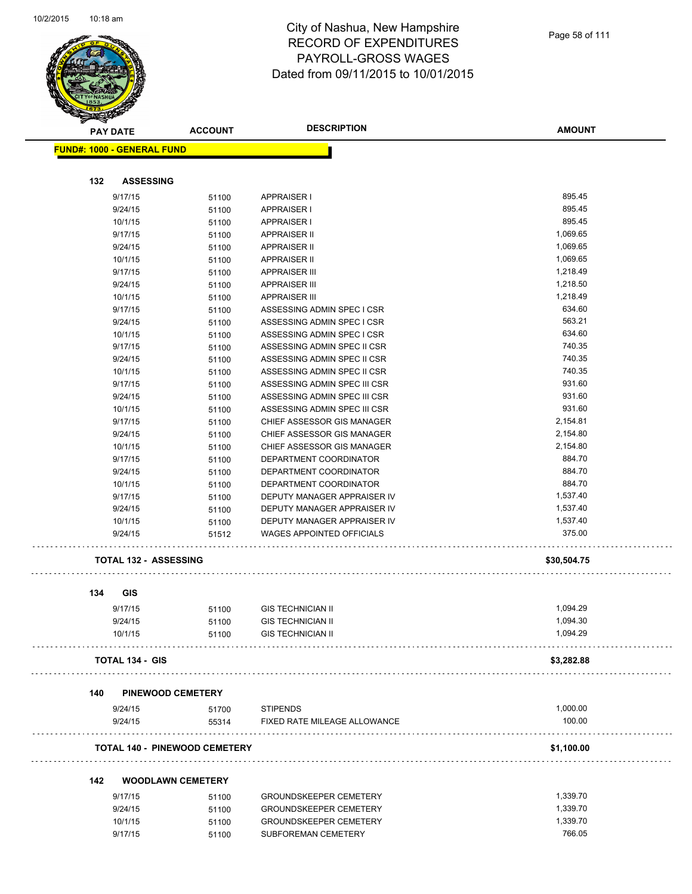

|  | Page 58 of 111 |  |
|--|----------------|--|
|  |                |  |
|  |                |  |
|  |                |  |
|  |                |  |

| <b>PAY DATE</b>                   | <b>ACCOUNT</b>                       | <b>DESCRIPTION</b>               | <b>AMOUNT</b> |
|-----------------------------------|--------------------------------------|----------------------------------|---------------|
| <b>FUND#: 1000 - GENERAL FUND</b> |                                      |                                  |               |
|                                   |                                      |                                  |               |
| 132<br><b>ASSESSING</b>           |                                      |                                  |               |
| 9/17/15                           | 51100                                | <b>APPRAISER I</b>               | 895.45        |
| 9/24/15                           | 51100                                | <b>APPRAISER I</b>               | 895.45        |
| 10/1/15                           | 51100                                | <b>APPRAISER I</b>               | 895.45        |
| 9/17/15                           | 51100                                | <b>APPRAISER II</b>              | 1,069.65      |
| 9/24/15                           | 51100                                | <b>APPRAISER II</b>              | 1,069.65      |
| 10/1/15                           | 51100                                | <b>APPRAISER II</b>              | 1,069.65      |
| 9/17/15                           | 51100                                | <b>APPRAISER III</b>             | 1,218.49      |
| 9/24/15                           | 51100                                | <b>APPRAISER III</b>             | 1,218.50      |
| 10/1/15                           | 51100                                | <b>APPRAISER III</b>             | 1,218.49      |
| 9/17/15                           | 51100                                | ASSESSING ADMIN SPEC I CSR       | 634.60        |
| 9/24/15                           | 51100                                | ASSESSING ADMIN SPEC I CSR       | 563.21        |
| 10/1/15                           | 51100                                | ASSESSING ADMIN SPEC I CSR       | 634.60        |
| 9/17/15                           | 51100                                | ASSESSING ADMIN SPEC II CSR      | 740.35        |
| 9/24/15                           | 51100                                | ASSESSING ADMIN SPEC II CSR      | 740.35        |
| 10/1/15                           | 51100                                | ASSESSING ADMIN SPEC II CSR      | 740.35        |
| 9/17/15                           | 51100                                | ASSESSING ADMIN SPEC III CSR     | 931.60        |
| 9/24/15                           | 51100                                | ASSESSING ADMIN SPEC III CSR     | 931.60        |
| 10/1/15                           | 51100                                | ASSESSING ADMIN SPEC III CSR     | 931.60        |
| 9/17/15                           | 51100                                | CHIEF ASSESSOR GIS MANAGER       | 2,154.81      |
| 9/24/15                           | 51100                                | CHIEF ASSESSOR GIS MANAGER       | 2,154.80      |
| 10/1/15                           | 51100                                | CHIEF ASSESSOR GIS MANAGER       | 2,154.80      |
| 9/17/15                           | 51100                                | DEPARTMENT COORDINATOR           | 884.70        |
| 9/24/15                           | 51100                                | DEPARTMENT COORDINATOR           | 884.70        |
| 10/1/15                           | 51100                                | DEPARTMENT COORDINATOR           | 884.70        |
| 9/17/15                           | 51100                                | DEPUTY MANAGER APPRAISER IV      | 1,537.40      |
| 9/24/15                           | 51100                                | DEPUTY MANAGER APPRAISER IV      | 1,537.40      |
| 10/1/15                           | 51100                                | DEPUTY MANAGER APPRAISER IV      | 1,537.40      |
| 9/24/15                           | 51512                                | <b>WAGES APPOINTED OFFICIALS</b> | 375.00        |
| <b>TOTAL 132 - ASSESSING</b>      |                                      |                                  | \$30,504.75   |
| 134<br>GIS                        |                                      |                                  |               |
| 9/17/15                           | 51100                                | <b>GIS TECHNICIAN II</b>         | 1,094.29      |
| 9/24/15                           | 51100                                | <b>GIS TECHNICIAN II</b>         | 1,094.30      |
| 10/1/15                           | 51100                                | <b>GIS TECHNICIAN II</b>         | 1,094.29      |
| <b>TOTAL 134 - GIS</b>            |                                      |                                  | \$3,282.88    |
| 140<br><b>PINEWOOD CEMETERY</b>   |                                      |                                  |               |
| 9/24/15                           | 51700                                | <b>STIPENDS</b>                  | 1,000.00      |
| 9/24/15                           | 55314                                | FIXED RATE MILEAGE ALLOWANCE     | 100.00        |
|                                   | <b>TOTAL 140 - PINEWOOD CEMETERY</b> |                                  | \$1,100.00    |
| 142                               | <b>WOODLAWN CEMETERY</b>             |                                  |               |
| 9/17/15                           | 51100                                | <b>GROUNDSKEEPER CEMETERY</b>    | 1,339.70      |
| 9/24/15                           | 51100                                | <b>GROUNDSKEEPER CEMETERY</b>    | 1,339.70      |
| 10/1/15                           | 51100                                | <b>GROUNDSKEEPER CEMETERY</b>    | 1,339.70      |
| 9/17/15                           | 51100                                | SUBFOREMAN CEMETERY              | 766.05        |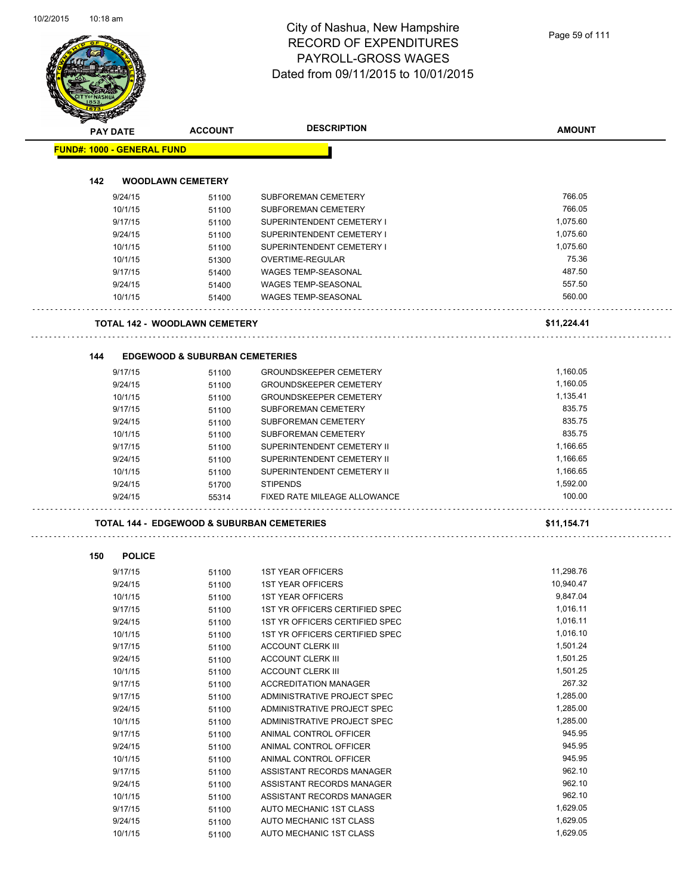|                                   | <b>ACCOUNT</b>                                        | <b>DESCRIPTION</b>                                             | <b>AMOUNT</b> |
|-----------------------------------|-------------------------------------------------------|----------------------------------------------------------------|---------------|
| <b>PAY DATE</b>                   |                                                       |                                                                |               |
| <b>FUND#: 1000 - GENERAL FUND</b> |                                                       |                                                                |               |
| 142                               | <b>WOODLAWN CEMETERY</b>                              |                                                                |               |
| 9/24/15                           | 51100                                                 | SUBFOREMAN CEMETERY                                            | 766.05        |
| 10/1/15                           | 51100                                                 | SUBFOREMAN CEMETERY                                            | 766.05        |
| 9/17/15                           | 51100                                                 | SUPERINTENDENT CEMETERY I                                      | 1,075.60      |
| 9/24/15                           | 51100                                                 | SUPERINTENDENT CEMETERY I                                      | 1,075.60      |
| 10/1/15                           | 51100                                                 | SUPERINTENDENT CEMETERY I                                      | 1,075.60      |
| 10/1/15                           | 51300                                                 | OVERTIME-REGULAR                                               | 75.36         |
| 9/17/15                           | 51400                                                 | <b>WAGES TEMP-SEASONAL</b>                                     | 487.50        |
| 9/24/15                           | 51400                                                 | <b>WAGES TEMP-SEASONAL</b>                                     | 557.50        |
| 10/1/15                           | 51400                                                 | <b>WAGES TEMP-SEASONAL</b>                                     | 560.00        |
|                                   | <b>TOTAL 142 - WOODLAWN CEMETERY</b>                  |                                                                | \$11,224.41   |
|                                   |                                                       |                                                                |               |
| 144                               | <b>EDGEWOOD &amp; SUBURBAN CEMETERIES</b>             |                                                                | 1,160.05      |
| 9/17/15<br>9/24/15                | 51100                                                 | <b>GROUNDSKEEPER CEMETERY</b><br><b>GROUNDSKEEPER CEMETERY</b> | 1,160.05      |
|                                   | 51100                                                 |                                                                | 1,135.41      |
| 10/1/15<br>9/17/15                | 51100                                                 | <b>GROUNDSKEEPER CEMETERY</b><br>SUBFOREMAN CEMETERY           | 835.75        |
| 9/24/15                           | 51100                                                 | SUBFOREMAN CEMETERY                                            | 835.75        |
| 10/1/15                           | 51100                                                 | SUBFOREMAN CEMETERY                                            | 835.75        |
| 9/17/15                           | 51100                                                 | SUPERINTENDENT CEMETERY II                                     | 1,166.65      |
| 9/24/15                           | 51100                                                 | SUPERINTENDENT CEMETERY II                                     | 1,166.65      |
| 10/1/15                           | 51100                                                 | SUPERINTENDENT CEMETERY II                                     | 1,166.65      |
| 9/24/15                           | 51100<br>51700                                        | <b>STIPENDS</b>                                                | 1,592.00      |
| 9/24/15                           | 55314                                                 | FIXED RATE MILEAGE ALLOWANCE                                   | 100.00        |
|                                   | <b>TOTAL 144 - EDGEWOOD &amp; SUBURBAN CEMETERIES</b> |                                                                | \$11,154.71   |
| 150<br><b>POLICE</b>              |                                                       |                                                                |               |
| 9/17/15                           | 51100                                                 | <b>1ST YEAR OFFICERS</b>                                       | 11,298.76     |
| 9/24/15                           | 51100                                                 | <b>1ST YEAR OFFICERS</b>                                       | 10,940.47     |
| 10/1/15                           | 51100                                                 | <b>1ST YEAR OFFICERS</b>                                       | 9,847.04      |
| 9/17/15                           | 51100                                                 | 1ST YR OFFICERS CERTIFIED SPEC                                 | 1,016.11      |
| 9/24/15                           | 51100                                                 | 1ST YR OFFICERS CERTIFIED SPEC                                 | 1,016.11      |
| 10/1/15                           | 51100                                                 | 1ST YR OFFICERS CERTIFIED SPEC                                 | 1,016.10      |
| 9/17/15                           | 51100                                                 | <b>ACCOUNT CLERK III</b>                                       | 1,501.24      |
| 9/24/15                           | 51100                                                 | <b>ACCOUNT CLERK III</b>                                       | 1,501.25      |
| 10/1/15                           | 51100                                                 | <b>ACCOUNT CLERK III</b>                                       | 1,501.25      |
| 9/17/15                           | 51100                                                 | <b>ACCREDITATION MANAGER</b>                                   | 267.32        |
| 9/17/15                           | 51100                                                 | ADMINISTRATIVE PROJECT SPEC                                    | 1,285.00      |
| 9/24/15                           | 51100                                                 | ADMINISTRATIVE PROJECT SPEC                                    | 1,285.00      |
| 10/1/15                           | 51100                                                 | ADMINISTRATIVE PROJECT SPEC                                    | 1,285.00      |
| 9/17/15                           | 51100                                                 | ANIMAL CONTROL OFFICER                                         | 945.95        |
| 9/24/15                           | 51100                                                 | ANIMAL CONTROL OFFICER                                         | 945.95        |
| 10/1/15                           | 51100                                                 | ANIMAL CONTROL OFFICER                                         | 945.95        |
|                                   | 51100                                                 | ASSISTANT RECORDS MANAGER                                      | 962.10        |
| 9/17/15                           |                                                       |                                                                |               |
| 9/24/15                           | 51100                                                 | ASSISTANT RECORDS MANAGER                                      | 962.10        |
| 10/1/15                           | 51100                                                 | ASSISTANT RECORDS MANAGER                                      | 962.10        |
| 9/17/15                           | 51100                                                 | AUTO MECHANIC 1ST CLASS                                        | 1,629.05      |
| 9/24/15                           | 51100                                                 | AUTO MECHANIC 1ST CLASS                                        | 1,629.05      |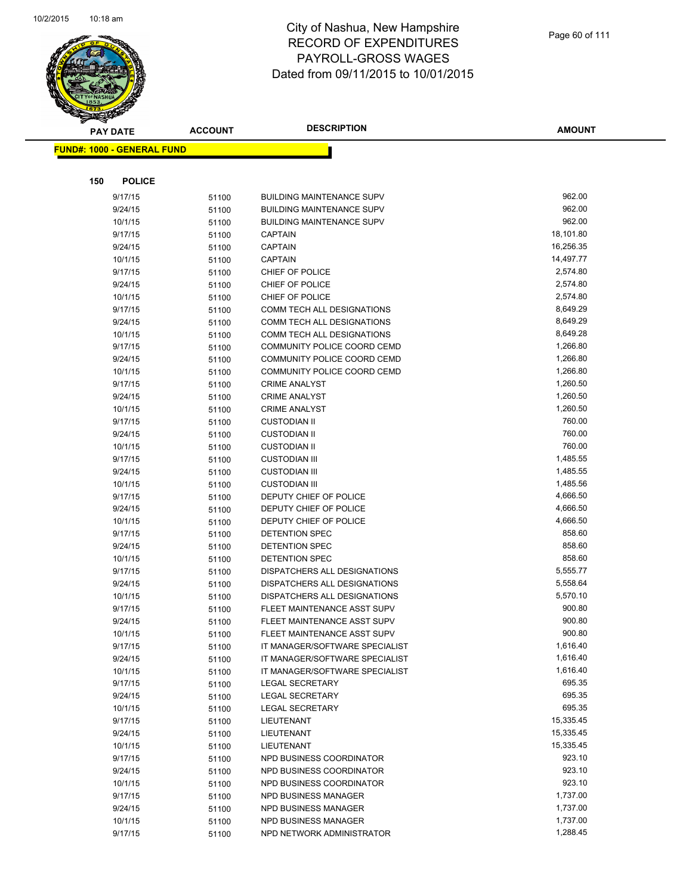

| <b>PAY DATE</b>                   | <b>ACCOUNT</b> | <b>DESCRIPTION</b>                               | <b>AMOUNT</b>        |
|-----------------------------------|----------------|--------------------------------------------------|----------------------|
| <b>FUND#: 1000 - GENERAL FUND</b> |                |                                                  |                      |
|                                   |                |                                                  |                      |
|                                   |                |                                                  |                      |
| <b>POLICE</b><br>150              |                |                                                  |                      |
| 9/17/15                           | 51100          | <b>BUILDING MAINTENANCE SUPV</b>                 | 962.00               |
| 9/24/15                           | 51100          | <b>BUILDING MAINTENANCE SUPV</b>                 | 962.00               |
| 10/1/15                           | 51100          | <b>BUILDING MAINTENANCE SUPV</b>                 | 962.00               |
| 9/17/15                           | 51100          | <b>CAPTAIN</b>                                   | 18,101.80            |
| 9/24/15                           | 51100          | <b>CAPTAIN</b>                                   | 16,256.35            |
| 10/1/15                           | 51100          | <b>CAPTAIN</b>                                   | 14,497.77            |
| 9/17/15                           | 51100          | CHIEF OF POLICE                                  | 2,574.80             |
| 9/24/15                           | 51100          | CHIEF OF POLICE                                  | 2,574.80             |
| 10/1/15                           | 51100          | CHIEF OF POLICE                                  | 2,574.80             |
| 9/17/15                           | 51100          | COMM TECH ALL DESIGNATIONS                       | 8,649.29             |
| 9/24/15                           | 51100          | COMM TECH ALL DESIGNATIONS                       | 8,649.29             |
| 10/1/15                           | 51100          | COMM TECH ALL DESIGNATIONS                       | 8,649.28             |
| 9/17/15                           | 51100          | COMMUNITY POLICE COORD CEMD                      | 1,266.80             |
| 9/24/15                           | 51100          | COMMUNITY POLICE COORD CEMD                      | 1,266.80             |
| 10/1/15                           | 51100          | COMMUNITY POLICE COORD CEMD                      | 1,266.80             |
| 9/17/15                           | 51100          | <b>CRIME ANALYST</b>                             | 1,260.50             |
| 9/24/15                           | 51100          | <b>CRIME ANALYST</b>                             | 1,260.50             |
| 10/1/15                           | 51100          | <b>CRIME ANALYST</b>                             | 1,260.50             |
| 9/17/15                           | 51100          | <b>CUSTODIAN II</b>                              | 760.00               |
| 9/24/15                           | 51100          | <b>CUSTODIAN II</b>                              | 760.00               |
| 10/1/15                           | 51100          | <b>CUSTODIAN II</b>                              | 760.00               |
| 9/17/15                           | 51100          | <b>CUSTODIAN III</b>                             | 1,485.55             |
| 9/24/15                           | 51100          | <b>CUSTODIAN III</b>                             | 1,485.55             |
| 10/1/15                           | 51100          | <b>CUSTODIAN III</b>                             | 1,485.56<br>4,666.50 |
| 9/17/15                           | 51100          | DEPUTY CHIEF OF POLICE                           | 4,666.50             |
| 9/24/15                           | 51100          | DEPUTY CHIEF OF POLICE<br>DEPUTY CHIEF OF POLICE | 4,666.50             |
| 10/1/15<br>9/17/15                | 51100          | DETENTION SPEC                                   | 858.60               |
| 9/24/15                           | 51100<br>51100 | <b>DETENTION SPEC</b>                            | 858.60               |
| 10/1/15                           | 51100          | DETENTION SPEC                                   | 858.60               |
| 9/17/15                           | 51100          | <b>DISPATCHERS ALL DESIGNATIONS</b>              | 5,555.77             |
| 9/24/15                           | 51100          | DISPATCHERS ALL DESIGNATIONS                     | 5,558.64             |
| 10/1/15                           | 51100          | DISPATCHERS ALL DESIGNATIONS                     | 5,570.10             |
| 9/17/15                           | 51100          | FLEET MAINTENANCE ASST SUPV                      | 900.80               |
| 9/24/15                           | 51100          | FLEET MAINTENANCE ASST SUPV                      | 900.80               |
| 10/1/15                           | 51100          | FLEET MAINTENANCE ASST SUPV                      | 900.80               |
| 9/17/15                           | 51100          | IT MANAGER/SOFTWARE SPECIALIST                   | 1,616.40             |
| 9/24/15                           | 51100          | IT MANAGER/SOFTWARE SPECIALIST                   | 1,616.40             |
| 10/1/15                           | 51100          | IT MANAGER/SOFTWARE SPECIALIST                   | 1,616.40             |
| 9/17/15                           | 51100          | <b>LEGAL SECRETARY</b>                           | 695.35               |
| 9/24/15                           | 51100          | <b>LEGAL SECRETARY</b>                           | 695.35               |
| 10/1/15                           | 51100          | <b>LEGAL SECRETARY</b>                           | 695.35               |
| 9/17/15                           | 51100          | LIEUTENANT                                       | 15,335.45            |
| 9/24/15                           | 51100          | LIEUTENANT                                       | 15,335.45            |
| 10/1/15                           | 51100          | LIEUTENANT                                       | 15,335.45            |
| 9/17/15                           | 51100          | NPD BUSINESS COORDINATOR                         | 923.10               |
| 9/24/15                           | 51100          | NPD BUSINESS COORDINATOR                         | 923.10               |
| 10/1/15                           | 51100          | NPD BUSINESS COORDINATOR                         | 923.10               |
| 9/17/15                           | 51100          | NPD BUSINESS MANAGER                             | 1,737.00             |
| 9/24/15                           | 51100          | NPD BUSINESS MANAGER                             | 1,737.00             |
| 10/1/15                           | 51100          | NPD BUSINESS MANAGER                             | 1,737.00             |
| 9/17/15                           | 51100          | NPD NETWORK ADMINISTRATOR                        | 1,288.45             |
|                                   |                |                                                  |                      |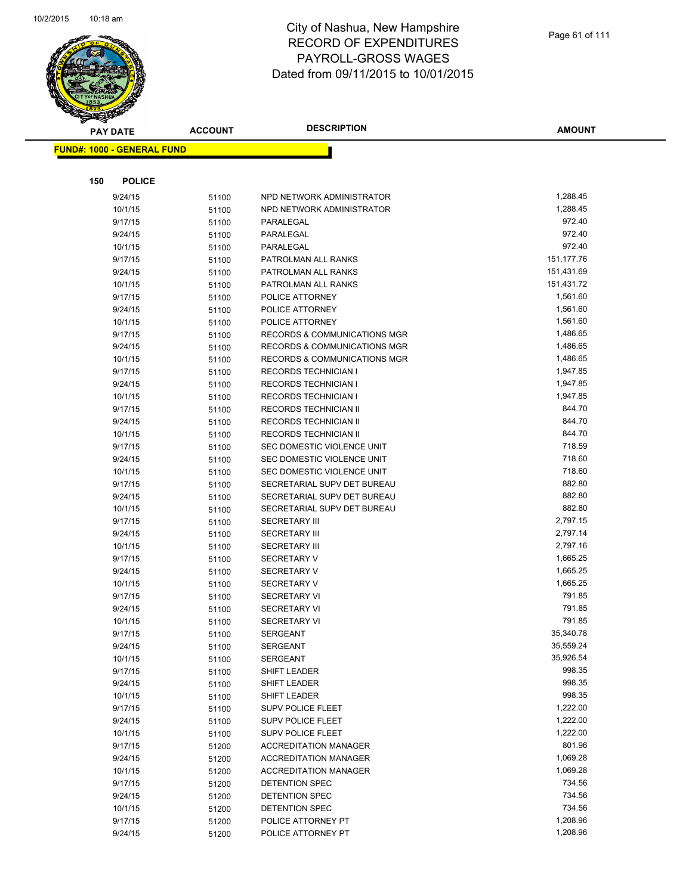

| <b>PAY DATE</b>                   | <b>ACCOUNT</b> | <b>DESCRIPTION</b>                                         | <b>AMOUNT</b>    |
|-----------------------------------|----------------|------------------------------------------------------------|------------------|
| <b>FUND#: 1000 - GENERAL FUND</b> |                |                                                            |                  |
|                                   |                |                                                            |                  |
|                                   |                |                                                            |                  |
| 150<br><b>POLICE</b>              |                |                                                            |                  |
| 9/24/15                           | 51100          | NPD NETWORK ADMINISTRATOR                                  | 1,288.45         |
| 10/1/15                           | 51100          | NPD NETWORK ADMINISTRATOR                                  | 1,288.45         |
| 9/17/15                           | 51100          | PARALEGAL                                                  | 972.40           |
| 9/24/15                           | 51100          | PARALEGAL                                                  | 972.40           |
| 10/1/15                           | 51100          | PARALEGAL                                                  | 972.40           |
| 9/17/15                           | 51100          | PATROLMAN ALL RANKS                                        | 151,177.76       |
| 9/24/15                           | 51100          | PATROLMAN ALL RANKS                                        | 151,431.69       |
| 10/1/15                           | 51100          | PATROLMAN ALL RANKS                                        | 151,431.72       |
| 9/17/15                           | 51100          | POLICE ATTORNEY                                            | 1,561.60         |
| 9/24/15                           | 51100          | POLICE ATTORNEY                                            | 1,561.60         |
| 10/1/15                           | 51100          | POLICE ATTORNEY                                            | 1,561.60         |
| 9/17/15                           | 51100          | RECORDS & COMMUNICATIONS MGR                               | 1,486.65         |
| 9/24/15                           | 51100          | RECORDS & COMMUNICATIONS MGR                               | 1,486.65         |
| 10/1/15                           | 51100          | RECORDS & COMMUNICATIONS MGR                               | 1,486.65         |
| 9/17/15                           | 51100          | <b>RECORDS TECHNICIAN I</b>                                | 1,947.85         |
| 9/24/15                           | 51100          | <b>RECORDS TECHNICIAN I</b>                                | 1,947.85         |
| 10/1/15                           | 51100          | <b>RECORDS TECHNICIAN I</b>                                | 1,947.85         |
| 9/17/15                           | 51100          | RECORDS TECHNICIAN II                                      | 844.70           |
| 9/24/15                           | 51100          | RECORDS TECHNICIAN II                                      | 844.70           |
| 10/1/15                           | 51100          | RECORDS TECHNICIAN II                                      | 844.70           |
| 9/17/15                           | 51100          | SEC DOMESTIC VIOLENCE UNIT                                 | 718.59<br>718.60 |
| 9/24/15                           | 51100          | SEC DOMESTIC VIOLENCE UNIT                                 | 718.60           |
| 10/1/15                           | 51100          | SEC DOMESTIC VIOLENCE UNIT                                 | 882.80           |
| 9/17/15                           | 51100          | SECRETARIAL SUPV DET BUREAU                                | 882.80           |
| 9/24/15<br>10/1/15                | 51100          | SECRETARIAL SUPV DET BUREAU<br>SECRETARIAL SUPV DET BUREAU | 882.80           |
| 9/17/15                           | 51100          | <b>SECRETARY III</b>                                       | 2,797.15         |
| 9/24/15                           | 51100          | <b>SECRETARY III</b>                                       | 2,797.14         |
| 10/1/15                           | 51100          | <b>SECRETARY III</b>                                       | 2,797.16         |
| 9/17/15                           | 51100          | <b>SECRETARY V</b>                                         | 1,665.25         |
| 9/24/15                           | 51100<br>51100 | <b>SECRETARY V</b>                                         | 1,665.25         |
| 10/1/15                           |                | <b>SECRETARY V</b>                                         | 1,665.25         |
| 9/17/15                           | 51100<br>51100 | <b>SECRETARY VI</b>                                        | 791.85           |
| 9/24/15                           | 51100          | <b>SECRETARY VI</b>                                        | 791.85           |
| 10/1/15                           | 51100          | <b>SECRETARY VI</b>                                        | 791.85           |
| 9/17/15                           | 51100          | <b>SERGEANT</b>                                            | 35,340.78        |
| 9/24/15                           | 51100          | <b>SERGEANT</b>                                            | 35,559.24        |
| 10/1/15                           | 51100          | <b>SERGEANT</b>                                            | 35,926.54        |
| 9/17/15                           | 51100          | SHIFT LEADER                                               | 998.35           |
| 9/24/15                           | 51100          | SHIFT LEADER                                               | 998.35           |
| 10/1/15                           | 51100          | SHIFT LEADER                                               | 998.35           |
| 9/17/15                           | 51100          | <b>SUPV POLICE FLEET</b>                                   | 1,222.00         |
| 9/24/15                           | 51100          | SUPV POLICE FLEET                                          | 1,222.00         |
| 10/1/15                           | 51100          | <b>SUPV POLICE FLEET</b>                                   | 1,222.00         |
| 9/17/15                           | 51200          | <b>ACCREDITATION MANAGER</b>                               | 801.96           |
| 9/24/15                           | 51200          | <b>ACCREDITATION MANAGER</b>                               | 1,069.28         |
| 10/1/15                           | 51200          | <b>ACCREDITATION MANAGER</b>                               | 1,069.28         |
| 9/17/15                           | 51200          | DETENTION SPEC                                             | 734.56           |
| 9/24/15                           | 51200          | DETENTION SPEC                                             | 734.56           |
| 10/1/15                           | 51200          | DETENTION SPEC                                             | 734.56           |
| 9/17/15                           | 51200          | POLICE ATTORNEY PT                                         | 1,208.96         |
| 9/24/15                           | 51200          | POLICE ATTORNEY PT                                         | 1,208.96         |
|                                   |                |                                                            |                  |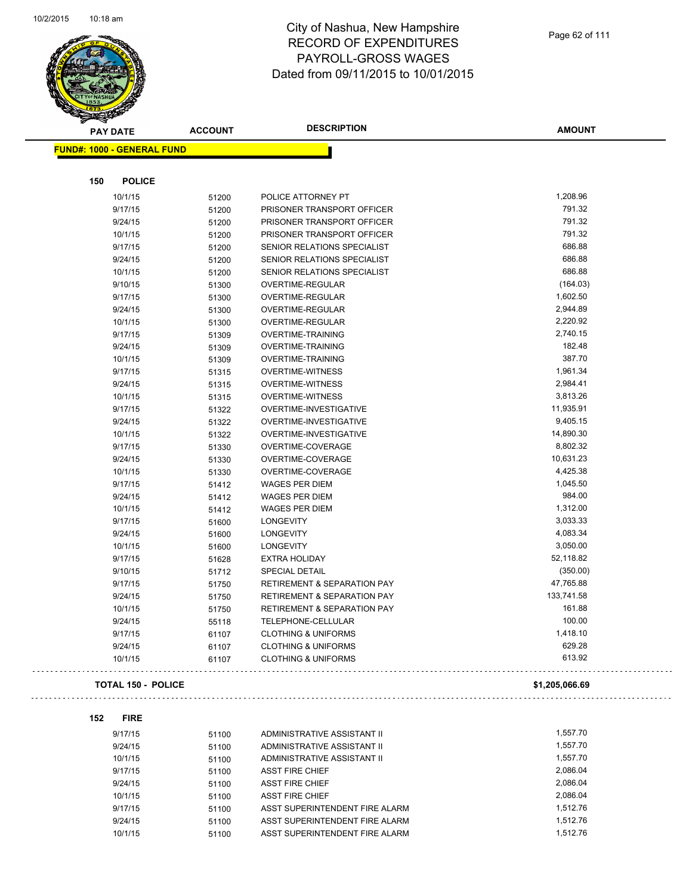

| <b>PAY DATE</b>                   | <b>ACCOUNT</b> | <b>DESCRIPTION</b>                     | <b>AMOUNT</b>  |
|-----------------------------------|----------------|----------------------------------------|----------------|
| <b>FUND#: 1000 - GENERAL FUND</b> |                |                                        |                |
|                                   |                |                                        |                |
| 150<br><b>POLICE</b>              |                |                                        |                |
| 10/1/15                           | 51200          | POLICE ATTORNEY PT                     | 1,208.96       |
| 9/17/15                           | 51200          | PRISONER TRANSPORT OFFICER             | 791.32         |
| 9/24/15                           | 51200          | PRISONER TRANSPORT OFFICER             | 791.32         |
| 10/1/15                           | 51200          | PRISONER TRANSPORT OFFICER             | 791.32         |
| 9/17/15                           | 51200          | SENIOR RELATIONS SPECIALIST            | 686.88         |
| 9/24/15                           | 51200          | SENIOR RELATIONS SPECIALIST            | 686.88         |
| 10/1/15                           | 51200          | SENIOR RELATIONS SPECIALIST            | 686.88         |
| 9/10/15                           | 51300          | OVERTIME-REGULAR                       | (164.03)       |
| 9/17/15                           | 51300          | OVERTIME-REGULAR                       | 1,602.50       |
| 9/24/15                           | 51300          | OVERTIME-REGULAR                       | 2,944.89       |
| 10/1/15                           | 51300          | OVERTIME-REGULAR                       | 2,220.92       |
| 9/17/15                           | 51309          | <b>OVERTIME-TRAINING</b>               | 2,740.15       |
| 9/24/15                           | 51309          | <b>OVERTIME-TRAINING</b>               | 182.48         |
| 10/1/15                           | 51309          | <b>OVERTIME-TRAINING</b>               | 387.70         |
| 9/17/15                           | 51315          | <b>OVERTIME-WITNESS</b>                | 1,961.34       |
| 9/24/15                           | 51315          | <b>OVERTIME-WITNESS</b>                | 2,984.41       |
| 10/1/15                           | 51315          | <b>OVERTIME-WITNESS</b>                | 3,813.26       |
| 9/17/15                           | 51322          | OVERTIME-INVESTIGATIVE                 | 11,935.91      |
| 9/24/15                           | 51322          | OVERTIME-INVESTIGATIVE                 | 9,405.15       |
| 10/1/15                           | 51322          | OVERTIME-INVESTIGATIVE                 | 14,890.30      |
| 9/17/15                           |                | OVERTIME-COVERAGE                      | 8,802.32       |
|                                   | 51330          |                                        | 10,631.23      |
| 9/24/15                           | 51330          | OVERTIME-COVERAGE                      | 4,425.38       |
| 10/1/15                           | 51330          | OVERTIME-COVERAGE                      |                |
| 9/17/15                           | 51412          | <b>WAGES PER DIEM</b>                  | 1,045.50       |
| 9/24/15                           | 51412          | <b>WAGES PER DIEM</b>                  | 984.00         |
| 10/1/15                           | 51412          | <b>WAGES PER DIEM</b>                  | 1,312.00       |
| 9/17/15                           | 51600          | LONGEVITY                              | 3,033.33       |
| 9/24/15                           | 51600          | LONGEVITY                              | 4,083.34       |
| 10/1/15                           | 51600          | <b>LONGEVITY</b>                       | 3,050.00       |
| 9/17/15                           | 51628          | <b>EXTRA HOLIDAY</b>                   | 52,118.82      |
| 9/10/15                           | 51712          | <b>SPECIAL DETAIL</b>                  | (350.00)       |
| 9/17/15                           | 51750          | RETIREMENT & SEPARATION PAY            | 47,765.88      |
| 9/24/15                           | 51750          | <b>RETIREMENT &amp; SEPARATION PAY</b> | 133,741.58     |
| 10/1/15                           | 51750          | <b>RETIREMENT &amp; SEPARATION PAY</b> | 161.88         |
| 9/24/15                           | 55118          | <b>TELEPHONE-CELLULAR</b>              | 100.00         |
| 9/17/15                           | 61107          | <b>CLOTHING &amp; UNIFORMS</b>         | 1,418.10       |
| 9/24/15                           | 61107          | <b>CLOTHING &amp; UNIFORMS</b>         | 629.28         |
| 10/1/15                           | 61107          | <b>CLOTHING &amp; UNIFORMS</b>         | 613.92         |
| <b>TOTAL 150 - POLICE</b>         |                |                                        | \$1,205,066.69 |
| 152<br><b>FIRE</b>                |                |                                        |                |
| 9/17/15                           |                | ADMINISTRATIVE ASSISTANT II            | 1,557.70       |
|                                   | 51100          |                                        | 1,557.70       |
| 9/24/15                           | 51100          | ADMINISTRATIVE ASSISTANT II            |                |
| 10/1/15                           | 51100          | ADMINISTRATIVE ASSISTANT II            | 1,557.70       |
| 9/17/15                           | 51100          | <b>ASST FIRE CHIEF</b>                 | 2,086.04       |
| 9/24/15                           | 51100          | <b>ASST FIRE CHIEF</b>                 | 2,086.04       |

| 9/24/15 | 51100 | ASST FIRE CHIEF                | 2.086.04 |
|---------|-------|--------------------------------|----------|
| 10/1/15 | 51100 | ASST FIRE CHIEF                | 2.086.04 |
| 9/17/15 | 51100 | ASST SUPERINTENDENT FIRE ALARM | 1.512.76 |
| 9/24/15 | 51100 | ASST SUPERINTENDENT FIRE ALARM | 1.512.76 |
| 10/1/15 | 51100 | ASST SUPERINTENDENT FIRE ALARM | 1.512.76 |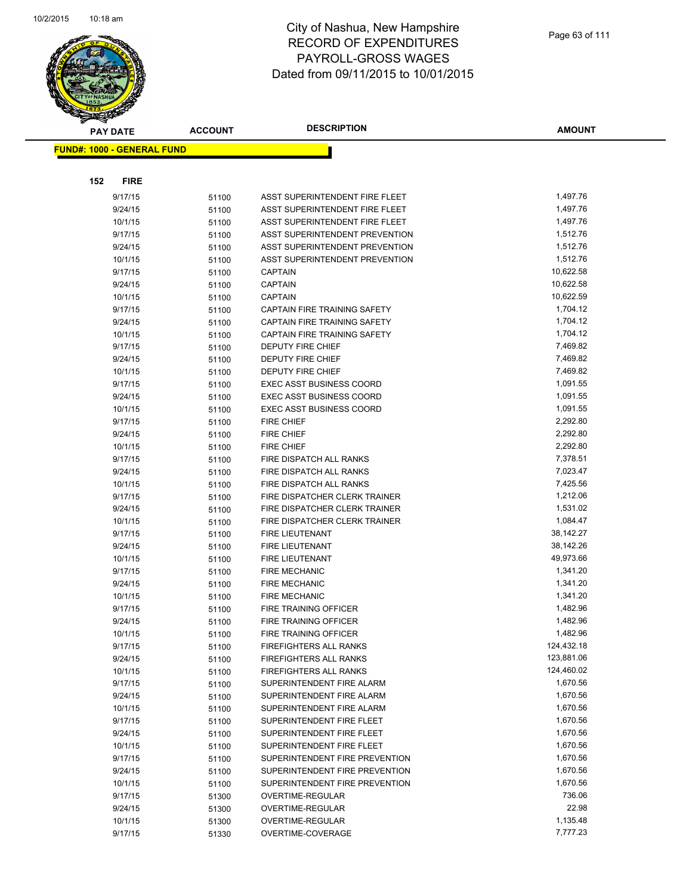

| <b>PAY DATE</b>                   |             | <b>ACCOUNT</b> | <b>DESCRIPTION</b>              | <b>AMOUNT</b> |
|-----------------------------------|-------------|----------------|---------------------------------|---------------|
| <b>FUND#: 1000 - GENERAL FUND</b> |             |                |                                 |               |
|                                   |             |                |                                 |               |
|                                   |             |                |                                 |               |
| 152                               | <b>FIRE</b> |                |                                 |               |
|                                   | 9/17/15     | 51100          | ASST SUPERINTENDENT FIRE FLEET  | 1,497.76      |
|                                   | 9/24/15     | 51100          | ASST SUPERINTENDENT FIRE FLEET  | 1,497.76      |
|                                   | 10/1/15     | 51100          | ASST SUPERINTENDENT FIRE FLEET  | 1,497.76      |
|                                   | 9/17/15     | 51100          | ASST SUPERINTENDENT PREVENTION  | 1,512.76      |
|                                   | 9/24/15     | 51100          | ASST SUPERINTENDENT PREVENTION  | 1,512.76      |
|                                   | 10/1/15     | 51100          | ASST SUPERINTENDENT PREVENTION  | 1,512.76      |
|                                   | 9/17/15     | 51100          | <b>CAPTAIN</b>                  | 10,622.58     |
|                                   | 9/24/15     | 51100          | <b>CAPTAIN</b>                  | 10,622.58     |
|                                   | 10/1/15     | 51100          | <b>CAPTAIN</b>                  | 10,622.59     |
|                                   | 9/17/15     | 51100          | CAPTAIN FIRE TRAINING SAFETY    | 1,704.12      |
|                                   | 9/24/15     | 51100          | CAPTAIN FIRE TRAINING SAFETY    | 1,704.12      |
|                                   | 10/1/15     | 51100          | CAPTAIN FIRE TRAINING SAFETY    | 1,704.12      |
|                                   | 9/17/15     | 51100          | <b>DEPUTY FIRE CHIEF</b>        | 7,469.82      |
|                                   | 9/24/15     | 51100          | <b>DEPUTY FIRE CHIEF</b>        | 7,469.82      |
|                                   | 10/1/15     | 51100          | <b>DEPUTY FIRE CHIEF</b>        | 7,469.82      |
|                                   | 9/17/15     | 51100          | <b>EXEC ASST BUSINESS COORD</b> | 1,091.55      |
|                                   | 9/24/15     | 51100          | <b>EXEC ASST BUSINESS COORD</b> | 1,091.55      |
|                                   | 10/1/15     | 51100          | <b>EXEC ASST BUSINESS COORD</b> | 1,091.55      |
|                                   | 9/17/15     | 51100          | <b>FIRE CHIEF</b>               | 2,292.80      |
|                                   | 9/24/15     | 51100          | <b>FIRE CHIEF</b>               | 2,292.80      |
|                                   | 10/1/15     | 51100          | <b>FIRE CHIEF</b>               | 2,292.80      |
|                                   | 9/17/15     | 51100          | FIRE DISPATCH ALL RANKS         | 7,378.51      |
|                                   | 9/24/15     | 51100          | FIRE DISPATCH ALL RANKS         | 7,023.47      |
|                                   | 10/1/15     | 51100          | FIRE DISPATCH ALL RANKS         | 7,425.56      |
|                                   | 9/17/15     | 51100          | FIRE DISPATCHER CLERK TRAINER   | 1,212.06      |
|                                   | 9/24/15     | 51100          | FIRE DISPATCHER CLERK TRAINER   | 1,531.02      |
|                                   | 10/1/15     | 51100          | FIRE DISPATCHER CLERK TRAINER   | 1,084.47      |
|                                   | 9/17/15     | 51100          | FIRE LIEUTENANT                 | 38,142.27     |
|                                   | 9/24/15     | 51100          | <b>FIRE LIEUTENANT</b>          | 38,142.26     |
|                                   | 10/1/15     | 51100          | <b>FIRE LIEUTENANT</b>          | 49,973.66     |
|                                   | 9/17/15     | 51100          | <b>FIRE MECHANIC</b>            | 1,341.20      |
|                                   | 9/24/15     | 51100          | <b>FIRE MECHANIC</b>            | 1,341.20      |
|                                   | 10/1/15     | 51100          | <b>FIRE MECHANIC</b>            | 1,341.20      |
|                                   | 9/17/15     | 51100          | FIRE TRAINING OFFICER           | 1,482.96      |
|                                   | 9/24/15     | 51100          | FIRE TRAINING OFFICER           | 1,482.96      |
|                                   | 10/1/15     | 51100          | FIRE TRAINING OFFICER           | 1,482.96      |
|                                   | 9/17/15     | 51100          | <b>FIREFIGHTERS ALL RANKS</b>   | 124,432.18    |
|                                   | 9/24/15     | 51100          | FIREFIGHTERS ALL RANKS          | 123,881.06    |
|                                   | 10/1/15     | 51100          | FIREFIGHTERS ALL RANKS          | 124,460.02    |
|                                   | 9/17/15     | 51100          | SUPERINTENDENT FIRE ALARM       | 1,670.56      |
|                                   | 9/24/15     | 51100          | SUPERINTENDENT FIRE ALARM       | 1,670.56      |
|                                   | 10/1/15     | 51100          | SUPERINTENDENT FIRE ALARM       | 1,670.56      |
|                                   | 9/17/15     | 51100          | SUPERINTENDENT FIRE FLEET       | 1,670.56      |
|                                   | 9/24/15     | 51100          | SUPERINTENDENT FIRE FLEET       | 1,670.56      |
|                                   | 10/1/15     | 51100          | SUPERINTENDENT FIRE FLEET       | 1,670.56      |
|                                   | 9/17/15     | 51100          | SUPERINTENDENT FIRE PREVENTION  | 1,670.56      |
|                                   | 9/24/15     | 51100          | SUPERINTENDENT FIRE PREVENTION  | 1,670.56      |
|                                   | 10/1/15     | 51100          | SUPERINTENDENT FIRE PREVENTION  | 1,670.56      |
|                                   | 9/17/15     | 51300          | OVERTIME-REGULAR                | 736.06        |
|                                   | 9/24/15     | 51300          | OVERTIME-REGULAR                | 22.98         |
|                                   | 10/1/15     | 51300          | OVERTIME-REGULAR                | 1,135.48      |
|                                   | 9/17/15     | 51330          | OVERTIME-COVERAGE               | 7,777.23      |
|                                   |             |                |                                 |               |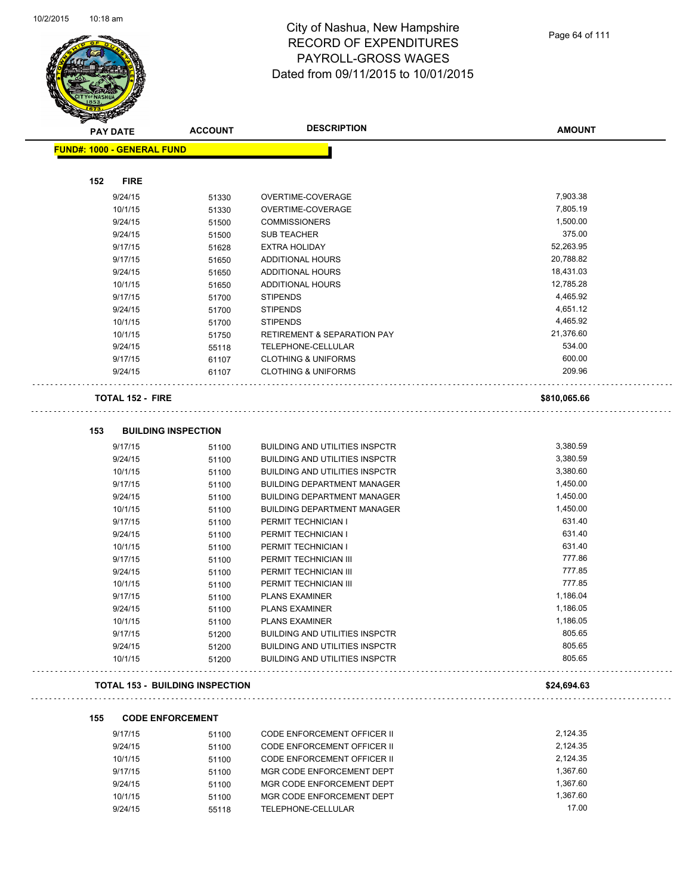

| <b>PAY DATE</b>                        | <b>ACCOUNT</b>             | <b>DESCRIPTION</b>                                                      | <b>AMOUNT</b>      |
|----------------------------------------|----------------------------|-------------------------------------------------------------------------|--------------------|
| <b>FUND#: 1000 - GENERAL FUND</b>      |                            |                                                                         |                    |
|                                        |                            |                                                                         |                    |
| 152<br><b>FIRE</b>                     |                            |                                                                         |                    |
| 9/24/15                                | 51330                      | OVERTIME-COVERAGE                                                       | 7,903.38           |
| 10/1/15                                | 51330                      | OVERTIME-COVERAGE                                                       | 7,805.19           |
| 9/24/15                                | 51500                      | <b>COMMISSIONERS</b>                                                    | 1,500.00           |
| 9/24/15                                | 51500                      | <b>SUB TEACHER</b>                                                      | 375.00             |
| 9/17/15                                | 51628                      | <b>EXTRA HOLIDAY</b>                                                    | 52,263.95          |
| 9/17/15                                | 51650                      | <b>ADDITIONAL HOURS</b>                                                 | 20,788.82          |
| 9/24/15                                | 51650                      | <b>ADDITIONAL HOURS</b>                                                 | 18,431.03          |
| 10/1/15                                | 51650                      | <b>ADDITIONAL HOURS</b>                                                 | 12,785.28          |
| 9/17/15                                | 51700                      | <b>STIPENDS</b>                                                         | 4,465.92           |
| 9/24/15                                | 51700                      | <b>STIPENDS</b>                                                         | 4,651.12           |
| 10/1/15                                | 51700                      | <b>STIPENDS</b>                                                         | 4,465.92           |
| 10/1/15                                | 51750                      | <b>RETIREMENT &amp; SEPARATION PAY</b>                                  | 21,376.60          |
| 9/24/15                                | 55118                      | TELEPHONE-CELLULAR                                                      | 534.00             |
| 9/17/15                                | 61107                      | <b>CLOTHING &amp; UNIFORMS</b>                                          | 600.00             |
| 9/24/15                                | 61107                      | <b>CLOTHING &amp; UNIFORMS</b>                                          | 209.96             |
| <b>TOTAL 152 - FIRE</b>                |                            |                                                                         | \$810,065.66       |
|                                        |                            |                                                                         |                    |
| 153                                    | <b>BUILDING INSPECTION</b> |                                                                         |                    |
| 9/17/15                                | 51100                      | <b>BUILDING AND UTILITIES INSPCTR</b>                                   | 3,380.59           |
| 9/24/15                                | 51100                      | <b>BUILDING AND UTILITIES INSPCTR</b>                                   | 3,380.59           |
| 10/1/15                                | 51100                      | <b>BUILDING AND UTILITIES INSPCTR</b>                                   | 3,380.60           |
| 9/17/15                                | 51100                      | <b>BUILDING DEPARTMENT MANAGER</b>                                      | 1,450.00           |
| 9/24/15                                | 51100                      | <b>BUILDING DEPARTMENT MANAGER</b>                                      | 1,450.00           |
| 10/1/15                                | 51100                      | <b>BUILDING DEPARTMENT MANAGER</b>                                      | 1,450.00           |
| 9/17/15                                | 51100                      | PERMIT TECHNICIAN I                                                     | 631.40             |
| 9/24/15                                | 51100                      | PERMIT TECHNICIAN I                                                     | 631.40             |
| 10/1/15                                | 51100                      | PERMIT TECHNICIAN I                                                     | 631.40             |
| 9/17/15                                | 51100                      | PERMIT TECHNICIAN III                                                   | 777.86             |
| 9/24/15                                | 51100                      | PERMIT TECHNICIAN III                                                   | 777.85             |
| 10/1/15<br>9/17/15                     | 51100                      | PERMIT TECHNICIAN III                                                   | 777.85<br>1,186.04 |
| 9/24/15                                | 51100                      | <b>PLANS EXAMINER</b><br><b>PLANS EXAMINER</b>                          | 1,186.05           |
| 10/1/15                                | 51100                      | <b>PLANS EXAMINER</b>                                                   | 1,186.05           |
|                                        | 51100                      |                                                                         | 805.65             |
| 9/17/15<br>9/24/15                     | 51200<br>51200             | BUILDING AND UTILITIES INSPCTR<br><b>BUILDING AND UTILITIES INSPCTR</b> | 805.65             |
| 10/1/15                                | 51200                      | <b>BUILDING AND UTILITIES INSPCTR</b>                                   | 805.65             |
| <b>TOTAL 153 - BUILDING INSPECTION</b> |                            |                                                                         | \$24,694.63        |
|                                        |                            |                                                                         |                    |
| 155                                    | <b>CODE ENFORCEMENT</b>    |                                                                         |                    |
| 9/17/15                                | 51100                      | <b>CODE ENFORCEMENT OFFICER II</b>                                      | 2,124.35           |
| 9/24/15                                | 51100                      | CODE ENFORCEMENT OFFICER II                                             | 2,124.35           |
| 10/1/15                                | 51100                      | CODE ENFORCEMENT OFFICER II                                             | 2,124.35           |
| 9/17/15                                | 51100                      | MGR CODE ENFORCEMENT DEPT                                               | 1,367.60           |
| 9/24/15                                | 51100                      | MGR CODE ENFORCEMENT DEPT                                               | 1,367.60           |
| 10/1/15                                | 51100                      | MGR CODE ENFORCEMENT DEPT                                               | 1,367.60           |
| 9/24/15                                | 55118                      | TELEPHONE-CELLULAR                                                      | 17.00              |
|                                        |                            |                                                                         |                    |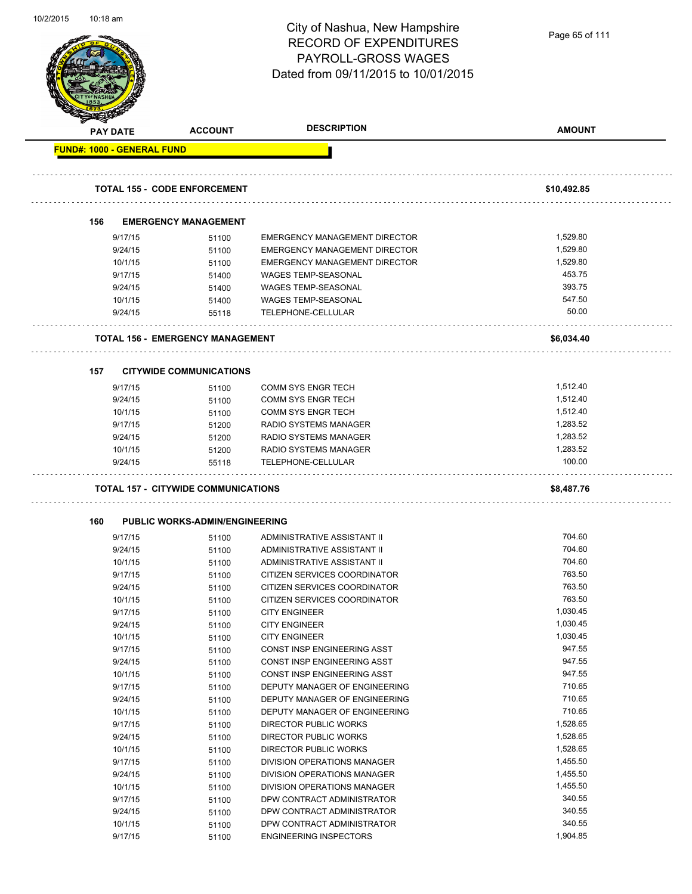| 10/2/2015 | $10:18$ am                        |                                            | City of Nashua, New Hampshire<br><b>RECORD OF EXPENDITURES</b><br>PAYROLL-GROSS WAGES<br>Dated from 09/11/2015 to 10/01/2015 | Page 65 of 111 |
|-----------|-----------------------------------|--------------------------------------------|------------------------------------------------------------------------------------------------------------------------------|----------------|
|           | PAY DATE                          | <b>ACCOUNT</b>                             | <b>DESCRIPTION</b>                                                                                                           | <b>AMOUNT</b>  |
|           | <b>FUND#: 1000 - GENERAL FUND</b> |                                            |                                                                                                                              |                |
|           |                                   |                                            |                                                                                                                              |                |
|           |                                   | <b>TOTAL 155 - CODE ENFORCEMENT</b>        |                                                                                                                              | \$10,492.85    |
|           | 156                               | <b>EMERGENCY MANAGEMENT</b>                |                                                                                                                              |                |
|           | 9/17/15                           | 51100                                      | EMERGENCY MANAGEMENT DIRECTOR                                                                                                | 1,529.80       |
|           | 9/24/15                           | 51100                                      | EMERGENCY MANAGEMENT DIRECTOR                                                                                                | 1,529.80       |
|           | 10/1/15                           | 51100                                      | EMERGENCY MANAGEMENT DIRECTOR                                                                                                | 1,529.80       |
|           | 9/17/15                           | 51400                                      | <b>WAGES TEMP-SEASONAL</b>                                                                                                   | 453.75         |
|           | 9/24/15                           | 51400                                      | <b>WAGES TEMP-SEASONAL</b>                                                                                                   | 393.75         |
|           | 10/1/15                           | 51400                                      | WAGES TEMP-SEASONAL                                                                                                          | 547.50         |
|           | 9/24/15                           | 55118                                      | TELEPHONE-CELLULAR                                                                                                           | 50.00          |
|           |                                   | <b>TOTAL 156 - EMERGENCY MANAGEMENT</b>    |                                                                                                                              | \$6,034.40     |
|           | 157                               | <b>CITYWIDE COMMUNICATIONS</b>             |                                                                                                                              |                |
|           |                                   |                                            |                                                                                                                              |                |
|           | 9/17/15                           | 51100                                      | COMM SYS ENGR TECH                                                                                                           | 1,512.40       |
|           | 9/24/15                           | 51100                                      | <b>COMM SYS ENGR TECH</b>                                                                                                    | 1,512.40       |
|           | 10/1/15                           | 51100                                      | <b>COMM SYS ENGR TECH</b>                                                                                                    | 1,512.40       |
|           | 9/17/15                           | 51200                                      | <b>RADIO SYSTEMS MANAGER</b>                                                                                                 | 1,283.52       |
|           | 9/24/15                           | 51200                                      | RADIO SYSTEMS MANAGER                                                                                                        | 1,283.52       |
|           | 10/1/15                           | 51200                                      | RADIO SYSTEMS MANAGER                                                                                                        | 1,283.52       |
|           | 9/24/15                           | 55118                                      | TELEPHONE-CELLULAR                                                                                                           | 100.00         |
|           |                                   | <b>TOTAL 157 - CITYWIDE COMMUNICATIONS</b> |                                                                                                                              | \$8,487.76     |
|           | 160                               | <b>PUBLIC WORKS-ADMIN/ENGINEERING</b>      |                                                                                                                              |                |
|           | 9/17/15                           | 51100                                      | ADMINISTRATIVE ASSISTANT II                                                                                                  | 704.60         |
|           | 9/24/15                           | 51100                                      | ADMINISTRATIVE ASSISTANT II                                                                                                  | 704.60         |
|           | 10/1/15                           | 51100                                      | ADMINISTRATIVE ASSISTANT II                                                                                                  | 704.60         |
|           | 9/17/15                           | 51100                                      | CITIZEN SERVICES COORDINATOR                                                                                                 | 763.50         |
|           | 9/24/15                           | 51100                                      | CITIZEN SERVICES COORDINATOR                                                                                                 | 763.50         |
|           | 10/1/15                           | 51100                                      | CITIZEN SERVICES COORDINATOR                                                                                                 | 763.50         |
|           | 9/17/15                           | 51100                                      | <b>CITY ENGINEER</b>                                                                                                         | 1,030.45       |
|           | 9/24/15                           | 51100                                      | <b>CITY ENGINEER</b>                                                                                                         | 1,030.45       |
|           | 10/1/15                           | 51100                                      | <b>CITY ENGINEER</b>                                                                                                         | 1,030.45       |
|           | 9/17/15                           | 51100                                      | CONST INSP ENGINEERING ASST                                                                                                  | 947.55         |
|           | 9/24/15                           | 51100                                      | CONST INSP ENGINEERING ASST                                                                                                  | 947.55         |
|           | 10/1/15                           | 51100                                      | CONST INSP ENGINEERING ASST                                                                                                  | 947.55         |
|           | 9/17/15                           | 51100                                      | DEPUTY MANAGER OF ENGINEERING                                                                                                | 710.65         |
|           | 9/24/15                           | 51100                                      | DEPUTY MANAGER OF ENGINEERING                                                                                                | 710.65         |
|           | 10/1/15                           | 51100                                      | DEPUTY MANAGER OF ENGINEERING                                                                                                | 710.65         |
|           | 9/17/15                           | 51100                                      | DIRECTOR PUBLIC WORKS                                                                                                        | 1,528.65       |
|           | 9/24/15                           | 51100                                      | DIRECTOR PUBLIC WORKS                                                                                                        | 1,528.65       |
|           | 10/1/15                           | 51100                                      | DIRECTOR PUBLIC WORKS                                                                                                        | 1,528.65       |
|           | 9/17/15                           | 51100                                      | DIVISION OPERATIONS MANAGER                                                                                                  | 1,455.50       |
|           | 9/24/15                           | 51100                                      | DIVISION OPERATIONS MANAGER                                                                                                  | 1,455.50       |
|           | 10/1/15                           | 51100                                      | DIVISION OPERATIONS MANAGER                                                                                                  | 1,455.50       |
|           | 9/17/15                           | 51100                                      | DPW CONTRACT ADMINISTRATOR                                                                                                   | 340.55         |
|           | 9/24/15                           | 51100                                      | DPW CONTRACT ADMINISTRATOR                                                                                                   | 340.55         |
|           | 10/1/15                           | 51100                                      | DPW CONTRACT ADMINISTRATOR                                                                                                   | 340.55         |
|           | 9/17/15                           | 51100                                      | <b>ENGINEERING INSPECTORS</b>                                                                                                | 1,904.85       |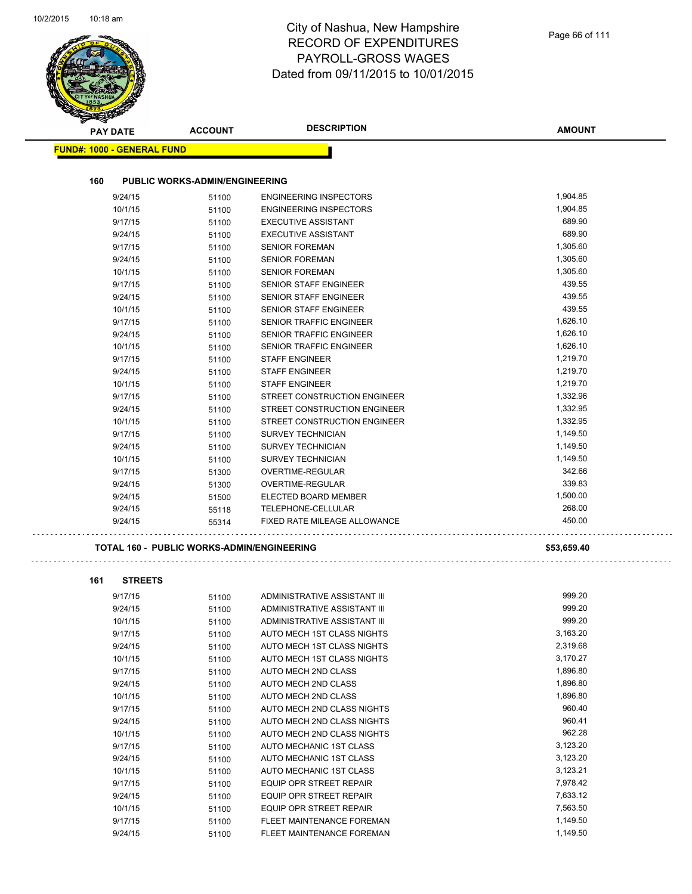|                                   |                                                   | Dated from 09/11/2015 to 10/01/2015                    |                      |
|-----------------------------------|---------------------------------------------------|--------------------------------------------------------|----------------------|
| <b>PAY DATE</b>                   | <b>ACCOUNT</b>                                    | <b>DESCRIPTION</b>                                     | <b>AMOUNT</b>        |
| <b>FUND#: 1000 - GENERAL FUND</b> |                                                   |                                                        |                      |
| 160                               | <b>PUBLIC WORKS-ADMIN/ENGINEERING</b>             |                                                        |                      |
| 9/24/15                           | 51100                                             | <b>ENGINEERING INSPECTORS</b>                          | 1,904.85             |
| 10/1/15                           | 51100                                             | <b>ENGINEERING INSPECTORS</b>                          | 1,904.85             |
| 9/17/15                           | 51100                                             | <b>EXECUTIVE ASSISTANT</b>                             | 689.90               |
| 9/24/15                           | 51100                                             | <b>EXECUTIVE ASSISTANT</b>                             | 689.90               |
| 9/17/15                           | 51100                                             | <b>SENIOR FOREMAN</b>                                  | 1,305.60             |
| 9/24/15                           | 51100                                             | <b>SENIOR FOREMAN</b>                                  | 1,305.60             |
| 10/1/15                           | 51100                                             | <b>SENIOR FOREMAN</b>                                  | 1,305.60             |
| 9/17/15                           | 51100                                             | <b>SENIOR STAFF ENGINEER</b>                           | 439.55               |
| 9/24/15                           | 51100                                             | <b>SENIOR STAFF ENGINEER</b>                           | 439.55               |
| 10/1/15                           | 51100                                             | SENIOR STAFF ENGINEER                                  | 439.55               |
| 9/17/15                           | 51100                                             | <b>SENIOR TRAFFIC ENGINEER</b>                         | 1,626.10             |
| 9/24/15                           | 51100                                             | SENIOR TRAFFIC ENGINEER                                | 1,626.10             |
| 10/1/15                           | 51100                                             | <b>SENIOR TRAFFIC ENGINEER</b>                         | 1,626.10             |
| 9/17/15                           | 51100                                             | <b>STAFF ENGINEER</b>                                  | 1,219.70             |
| 9/24/15                           | 51100                                             | <b>STAFF ENGINEER</b>                                  | 1,219.70             |
| 10/1/15                           | 51100                                             | <b>STAFF ENGINEER</b><br>STREET CONSTRUCTION ENGINEER  | 1,219.70             |
| 9/17/15<br>9/24/15                | 51100                                             | STREET CONSTRUCTION ENGINEER                           | 1,332.96<br>1,332.95 |
| 10/1/15                           | 51100                                             | STREET CONSTRUCTION ENGINEER                           | 1,332.95             |
| 9/17/15                           | 51100<br>51100                                    | <b>SURVEY TECHNICIAN</b>                               | 1,149.50             |
| 9/24/15                           | 51100                                             | <b>SURVEY TECHNICIAN</b>                               | 1,149.50             |
| 10/1/15                           | 51100                                             | <b>SURVEY TECHNICIAN</b>                               | 1,149.50             |
| 9/17/15                           | 51300                                             | OVERTIME-REGULAR                                       | 342.66               |
| 9/24/15                           | 51300                                             | OVERTIME-REGULAR                                       | 339.83               |
| 9/24/15                           | 51500                                             | ELECTED BOARD MEMBER                                   | 1,500.00             |
| 9/24/15                           | 55118                                             | TELEPHONE-CELLULAR                                     | 268.00               |
| 9/24/15                           | 55314                                             | FIXED RATE MILEAGE ALLOWANCE                           | 450.00               |
|                                   | <b>TOTAL 160 - PUBLIC WORKS-ADMIN/ENGINEERING</b> |                                                        | \$53,659.40          |
| 161<br><b>STREETS</b>             |                                                   |                                                        |                      |
| 9/17/15                           | 51100                                             | ADMINISTRATIVE ASSISTANT III                           | 999.20               |
| 9/24/15                           | 51100                                             | ADMINISTRATIVE ASSISTANT III                           | 999.20               |
| 10/1/15                           | 51100                                             | ADMINISTRATIVE ASSISTANT III                           | 999.20               |
| 9/17/15                           | 51100                                             | AUTO MECH 1ST CLASS NIGHTS                             | 3,163.20             |
| 9/24/15                           | 51100                                             | AUTO MECH 1ST CLASS NIGHTS                             | 2,319.68             |
| 10/1/15                           | 51100                                             | AUTO MECH 1ST CLASS NIGHTS                             | 3,170.27             |
| 9/17/15                           | 51100                                             | AUTO MECH 2ND CLASS                                    | 1,896.80             |
| 9/24/15                           | 51100                                             | AUTO MECH 2ND CLASS                                    | 1,896.80             |
| 10/1/15                           | 51100                                             | AUTO MECH 2ND CLASS                                    | 1,896.80             |
| 9/17/15                           | 51100                                             | AUTO MECH 2ND CLASS NIGHTS                             | 960.40               |
| 9/24/15                           | 51100                                             | AUTO MECH 2ND CLASS NIGHTS                             | 960.41               |
| 10/1/15                           | 51100                                             | AUTO MECH 2ND CLASS NIGHTS                             | 962.28               |
| 9/17/15                           | 51100                                             | AUTO MECHANIC 1ST CLASS                                | 3,123.20             |
| 9/24/15                           | 51100                                             | AUTO MECHANIC 1ST CLASS                                | 3,123.20             |
| 10/1/15                           | 51100                                             | AUTO MECHANIC 1ST CLASS                                | 3,123.21             |
| 9/17/15                           | 51100                                             | EQUIP OPR STREET REPAIR                                | 7,978.42             |
| 9/24/15                           | 51100                                             | EQUIP OPR STREET REPAIR                                | 7,633.12             |
| 10/1/15                           | 51100                                             | EQUIP OPR STREET REPAIR                                | 7,563.50<br>1,149.50 |
| 9/17/15<br>9/24/15                | 51100<br>51100                                    | FLEET MAINTENANCE FOREMAN<br>FLEET MAINTENANCE FOREMAN | 1,149.50             |
|                                   |                                                   |                                                        |                      |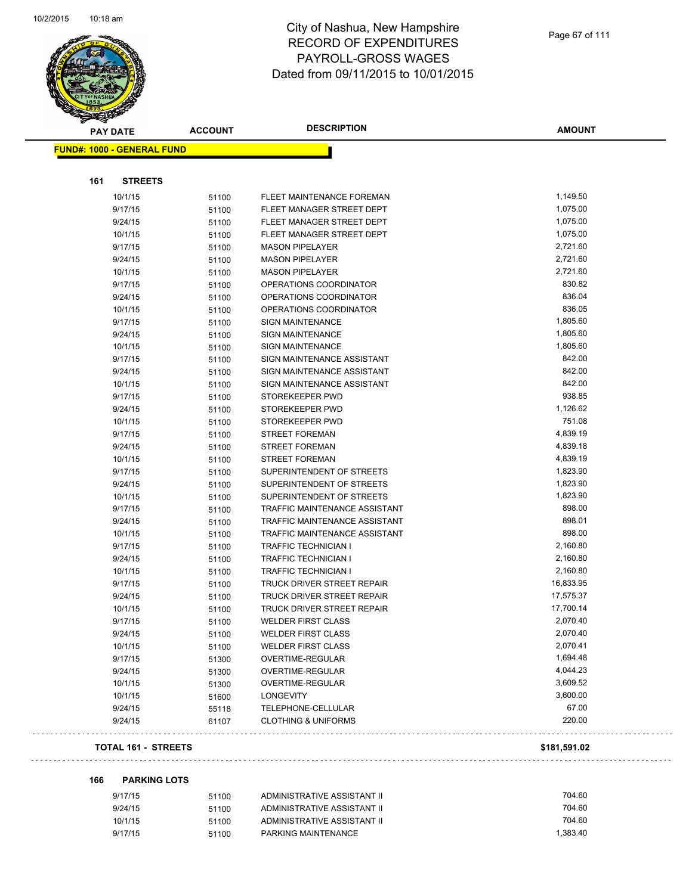

| <b>PAY DATE</b>                   | <b>ACCOUNT</b> | <b>DESCRIPTION</b>             | <b>AMOUNT</b> |
|-----------------------------------|----------------|--------------------------------|---------------|
| <b>FUND#: 1000 - GENERAL FUND</b> |                |                                |               |
|                                   |                |                                |               |
| 161<br><b>STREETS</b>             |                |                                |               |
| 10/1/15                           | 51100          | FLEET MAINTENANCE FOREMAN      | 1,149.50      |
| 9/17/15                           | 51100          | FLEET MANAGER STREET DEPT      | 1,075.00      |
| 9/24/15                           | 51100          | FLEET MANAGER STREET DEPT      | 1,075.00      |
| 10/1/15                           | 51100          | FLEET MANAGER STREET DEPT      | 1,075.00      |
| 9/17/15                           | 51100          | <b>MASON PIPELAYER</b>         | 2,721.60      |
| 9/24/15                           | 51100          | <b>MASON PIPELAYER</b>         | 2,721.60      |
| 10/1/15                           | 51100          | <b>MASON PIPELAYER</b>         | 2,721.60      |
| 9/17/15                           | 51100          | OPERATIONS COORDINATOR         | 830.82        |
| 9/24/15                           | 51100          | OPERATIONS COORDINATOR         | 836.04        |
| 10/1/15                           | 51100          | OPERATIONS COORDINATOR         | 836.05        |
| 9/17/15                           | 51100          | <b>SIGN MAINTENANCE</b>        | 1,805.60      |
| 9/24/15                           | 51100          | SIGN MAINTENANCE               | 1,805.60      |
| 10/1/15                           | 51100          | <b>SIGN MAINTENANCE</b>        | 1,805.60      |
| 9/17/15                           | 51100          | SIGN MAINTENANCE ASSISTANT     | 842.00        |
| 9/24/15                           | 51100          | SIGN MAINTENANCE ASSISTANT     | 842.00        |
| 10/1/15                           | 51100          | SIGN MAINTENANCE ASSISTANT     | 842.00        |
| 9/17/15                           | 51100          | STOREKEEPER PWD                | 938.85        |
| 9/24/15                           | 51100          | STOREKEEPER PWD                | 1,126.62      |
| 10/1/15                           | 51100          | STOREKEEPER PWD                | 751.08        |
| 9/17/15                           | 51100          | <b>STREET FOREMAN</b>          | 4,839.19      |
| 9/24/15                           | 51100          | <b>STREET FOREMAN</b>          | 4,839.18      |
| 10/1/15                           | 51100          | <b>STREET FOREMAN</b>          | 4,839.19      |
| 9/17/15                           | 51100          | SUPERINTENDENT OF STREETS      | 1,823.90      |
| 9/24/15                           | 51100          | SUPERINTENDENT OF STREETS      | 1,823.90      |
| 10/1/15                           | 51100          | SUPERINTENDENT OF STREETS      | 1,823.90      |
| 9/17/15                           | 51100          | TRAFFIC MAINTENANCE ASSISTANT  | 898.00        |
| 9/24/15                           | 51100          | TRAFFIC MAINTENANCE ASSISTANT  | 898.01        |
| 10/1/15                           | 51100          | TRAFFIC MAINTENANCE ASSISTANT  | 898.00        |
| 9/17/15                           | 51100          | <b>TRAFFIC TECHNICIAN I</b>    | 2,160.80      |
| 9/24/15                           | 51100          | <b>TRAFFIC TECHNICIAN I</b>    | 2,160.80      |
| 10/1/15                           | 51100          | <b>TRAFFIC TECHNICIAN I</b>    | 2,160.80      |
| 9/17/15                           | 51100          | TRUCK DRIVER STREET REPAIR     | 16,833.95     |
| 9/24/15                           | 51100          | TRUCK DRIVER STREET REPAIR     | 17,575.37     |
| 10/1/15                           | 51100          | TRUCK DRIVER STREET REPAIR     | 17,700.14     |
| 9/17/15                           | 51100          | <b>WELDER FIRST CLASS</b>      | 2,070.40      |
| 9/24/15                           | 51100          | <b>WELDER FIRST CLASS</b>      | 2,070.40      |
| 10/1/15                           | 51100          | <b>WELDER FIRST CLASS</b>      | 2,070.41      |
| 9/17/15                           | 51300          | OVERTIME-REGULAR               | 1,694.48      |
| 9/24/15                           | 51300          | OVERTIME-REGULAR               | 4,044.23      |
| 10/1/15                           | 51300          | OVERTIME-REGULAR               | 3,609.52      |
| 10/1/15                           | 51600          | LONGEVITY                      | 3,600.00      |
| 9/24/15                           | 55118          | TELEPHONE-CELLULAR             | 67.00         |
| 9/24/15                           | 61107          | <b>CLOTHING &amp; UNIFORMS</b> | 220.00        |
|                                   |                |                                |               |

### **TOTAL 161 - STREETS \$181,591.02**

**166 PARKING LOTS**

. . .

| 9/17/15 | 51100 | ADMINISTRATIVE ASSISTANT II | 704.60   |
|---------|-------|-----------------------------|----------|
| 9/24/15 | 51100 | ADMINISTRATIVE ASSISTANT II | 704.60   |
| 10/1/15 | 51100 | ADMINISTRATIVE ASSISTANT II | 704.60   |
| 9/17/15 | 51100 | PARKING MAINTENANCE         | 1.383.40 |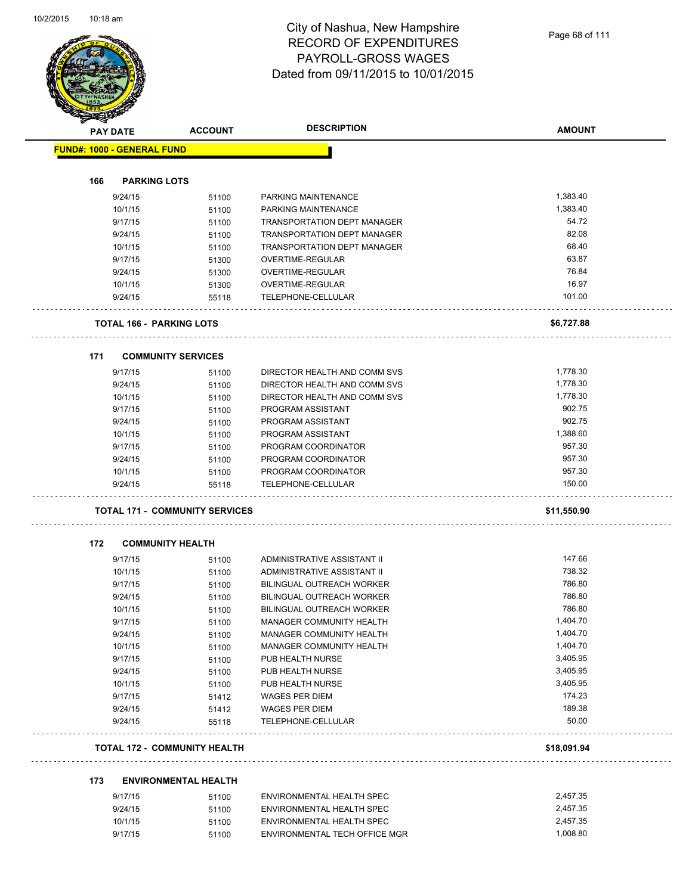|                                   | <b>PAY DATE</b>    | <b>ACCOUNT</b>                        | <b>DESCRIPTION</b>                                     | <b>AMOUNT</b> |
|-----------------------------------|--------------------|---------------------------------------|--------------------------------------------------------|---------------|
| <b>FUND#: 1000 - GENERAL FUND</b> |                    |                                       |                                                        |               |
|                                   |                    |                                       |                                                        |               |
| 166                               |                    | <b>PARKING LOTS</b>                   |                                                        |               |
|                                   | 9/24/15            | 51100                                 | PARKING MAINTENANCE                                    | 1,383.40      |
|                                   | 10/1/15            | 51100                                 | PARKING MAINTENANCE                                    | 1,383.40      |
|                                   | 9/17/15            | 51100                                 | TRANSPORTATION DEPT MANAGER                            | 54.72         |
|                                   | 9/24/15            | 51100                                 | <b>TRANSPORTATION DEPT MANAGER</b>                     | 82.08         |
|                                   | 10/1/15            | 51100                                 | <b>TRANSPORTATION DEPT MANAGER</b>                     | 68.40         |
|                                   | 9/17/15            | 51300                                 | OVERTIME-REGULAR                                       | 63.87         |
|                                   | 9/24/15            | 51300                                 | OVERTIME-REGULAR                                       | 76.84         |
|                                   | 10/1/15            | 51300                                 | OVERTIME-REGULAR                                       | 16.97         |
|                                   | 9/24/15            | 55118                                 | TELEPHONE-CELLULAR                                     | 101.00        |
|                                   |                    | <b>TOTAL 166 - PARKING LOTS</b>       |                                                        | \$6,727.88    |
| 171                               |                    | <b>COMMUNITY SERVICES</b>             |                                                        |               |
|                                   | 9/17/15            | 51100                                 | DIRECTOR HEALTH AND COMM SVS                           | 1,778.30      |
|                                   | 9/24/15            | 51100                                 | DIRECTOR HEALTH AND COMM SVS                           | 1,778.30      |
|                                   | 10/1/15            | 51100                                 | DIRECTOR HEALTH AND COMM SVS                           | 1,778.30      |
|                                   | 9/17/15            | 51100                                 | PROGRAM ASSISTANT                                      | 902.75        |
|                                   | 9/24/15            | 51100                                 | PROGRAM ASSISTANT                                      | 902.75        |
|                                   | 10/1/15            | 51100                                 | PROGRAM ASSISTANT                                      | 1,388.60      |
|                                   | 9/17/15            | 51100                                 | PROGRAM COORDINATOR                                    | 957.30        |
|                                   | 9/24/15            | 51100                                 | PROGRAM COORDINATOR                                    | 957.30        |
|                                   | 10/1/15            | 51100                                 | PROGRAM COORDINATOR                                    | 957.30        |
|                                   | 9/24/15            | 55118                                 | TELEPHONE-CELLULAR                                     | 150.00        |
|                                   |                    | <b>TOTAL 171 - COMMUNITY SERVICES</b> |                                                        | \$11,550.90   |
| 172                               |                    | <b>COMMUNITY HEALTH</b>               |                                                        |               |
|                                   | 9/17/15            | 51100                                 | ADMINISTRATIVE ASSISTANT II                            | 147.66        |
|                                   | 10/1/15            | 51100                                 | ADMINISTRATIVE ASSISTANT II                            | 738.32        |
|                                   | 9/17/15            | 51100                                 | BILINGUAL OUTREACH WORKER                              | 786.80        |
|                                   | 9/24/15            | 51100                                 | BILINGUAL OUTREACH WORKER                              | 786.80        |
|                                   | 10/1/15            | 51100                                 | BILINGUAL OUTREACH WORKER                              | 786.80        |
|                                   | 9/17/15            | 51100                                 | <b>MANAGER COMMUNITY HEALTH</b>                        | 1,404.70      |
|                                   | 9/24/15            | 51100                                 | MANAGER COMMUNITY HEALTH                               | 1,404.70      |
|                                   | 10/1/15            | 51100                                 | MANAGER COMMUNITY HEALTH                               | 1,404.70      |
|                                   | 9/17/15            | 51100                                 | PUB HEALTH NURSE                                       | 3,405.95      |
|                                   | 9/24/15            | 51100                                 | PUB HEALTH NURSE                                       | 3,405.95      |
|                                   | 10/1/15            | 51100                                 | PUB HEALTH NURSE                                       | 3,405.95      |
|                                   | 9/17/15            | 51412                                 | <b>WAGES PER DIEM</b>                                  | 174.23        |
|                                   | 9/24/15            | 51412                                 | <b>WAGES PER DIEM</b>                                  | 189.38        |
|                                   | 9/24/15            | 55118                                 | TELEPHONE-CELLULAR                                     | 50.00         |
|                                   |                    | <b>TOTAL 172 - COMMUNITY HEALTH</b>   |                                                        | \$18,091.94   |
|                                   |                    | <b>ENVIRONMENTAL HEALTH</b>           |                                                        |               |
| 173                               |                    |                                       |                                                        |               |
|                                   |                    |                                       |                                                        | 2,457.35      |
|                                   | 9/17/15            | 51100                                 | ENVIRONMENTAL HEALTH SPEC                              | 2,457.35      |
|                                   | 9/24/15<br>10/1/15 | 51100<br>51100                        | ENVIRONMENTAL HEALTH SPEC<br>ENVIRONMENTAL HEALTH SPEC | 2,457.35      |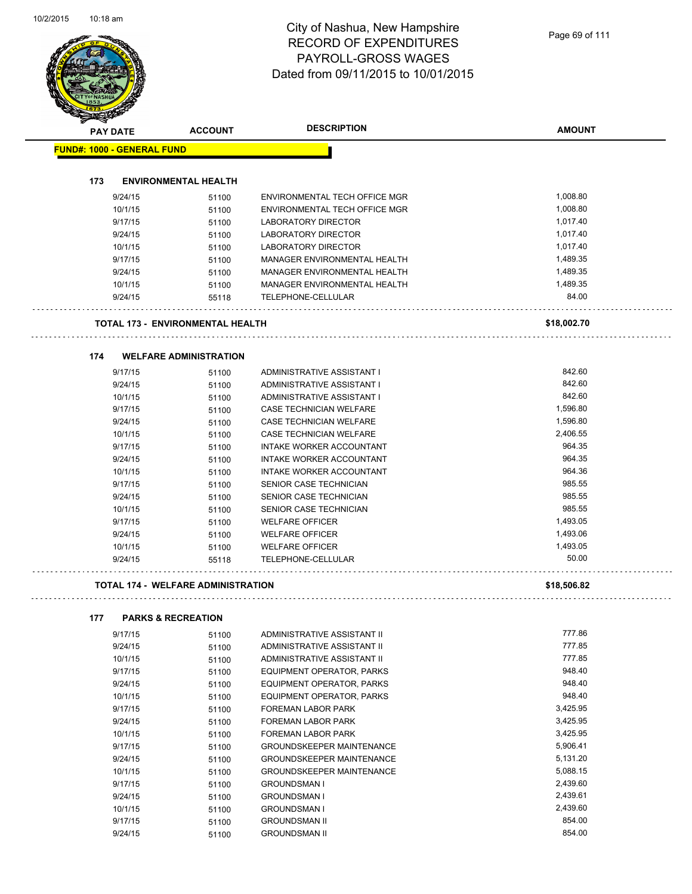|     |                                   |                                         | <b>DESCRIPTION</b>                                 |                      |
|-----|-----------------------------------|-----------------------------------------|----------------------------------------------------|----------------------|
|     | PAY DATE                          | <b>ACCOUNT</b>                          |                                                    | <b>AMOUNT</b>        |
|     | <b>FUND#: 1000 - GENERAL FUND</b> |                                         |                                                    |                      |
| 173 |                                   | <b>ENVIRONMENTAL HEALTH</b>             |                                                    |                      |
|     | 9/24/15                           |                                         | ENVIRONMENTAL TECH OFFICE MGR                      | 1,008.80             |
|     | 10/1/15                           | 51100                                   | ENVIRONMENTAL TECH OFFICE MGR                      | 1,008.80             |
|     | 9/17/15                           | 51100<br>51100                          | LABORATORY DIRECTOR                                | 1,017.40             |
|     | 9/24/15                           | 51100                                   | <b>LABORATORY DIRECTOR</b>                         | 1,017.40             |
|     | 10/1/15                           | 51100                                   | LABORATORY DIRECTOR                                | 1,017.40             |
|     | 9/17/15                           | 51100                                   | MANAGER ENVIRONMENTAL HEALTH                       | 1,489.35             |
|     | 9/24/15                           | 51100                                   | MANAGER ENVIRONMENTAL HEALTH                       | 1,489.35             |
|     | 10/1/15                           | 51100                                   | MANAGER ENVIRONMENTAL HEALTH                       | 1,489.35             |
|     | 9/24/15                           | 55118                                   | TELEPHONE-CELLULAR                                 | 84.00                |
|     |                                   |                                         |                                                    |                      |
|     |                                   | <b>TOTAL 173 - ENVIRONMENTAL HEALTH</b> |                                                    | \$18,002.70          |
| 174 |                                   | <b>WELFARE ADMINISTRATION</b>           |                                                    |                      |
|     | 9/17/15                           | 51100                                   | ADMINISTRATIVE ASSISTANT I                         | 842.60               |
|     | 9/24/15                           | 51100                                   | ADMINISTRATIVE ASSISTANT I                         | 842.60               |
|     | 10/1/15                           | 51100                                   | ADMINISTRATIVE ASSISTANT I                         | 842.60               |
|     | 9/17/15                           | 51100                                   | CASE TECHNICIAN WELFARE                            | 1,596.80             |
|     | 9/24/15                           | 51100                                   | CASE TECHNICIAN WELFARE                            | 1,596.80             |
|     | 10/1/15                           |                                         | <b>CASE TECHNICIAN WELFARE</b>                     | 2,406.55             |
|     | 9/17/15                           | 51100                                   | INTAKE WORKER ACCOUNTANT                           | 964.35               |
|     | 9/24/15                           | 51100                                   | INTAKE WORKER ACCOUNTANT                           | 964.35               |
|     |                                   | 51100                                   |                                                    | 964.36               |
|     | 10/1/15<br>9/17/15                | 51100                                   | INTAKE WORKER ACCOUNTANT<br>SENIOR CASE TECHNICIAN | 985.55               |
|     | 9/24/15                           | 51100                                   | SENIOR CASE TECHNICIAN                             | 985.55               |
|     | 10/1/15                           | 51100                                   | SENIOR CASE TECHNICIAN                             | 985.55               |
|     | 9/17/15                           | 51100<br>51100                          | <b>WELFARE OFFICER</b>                             | 1,493.05             |
|     | 9/24/15                           |                                         | <b>WELFARE OFFICER</b>                             | 1,493.06             |
|     | 10/1/15                           | 51100                                   | <b>WELFARE OFFICER</b>                             | 1,493.05             |
|     | 9/24/15                           | 51100<br>55118                          | <b>TELEPHONE-CELLULAR</b>                          | 50.00                |
|     |                                   |                                         |                                                    |                      |
|     |                                   | TOTAL 174 - WELFARE ADMINISTRATION      |                                                    | \$18,506.82          |
| 177 |                                   | <b>PARKS &amp; RECREATION</b>           |                                                    |                      |
|     | 9/17/15                           | 51100                                   | ADMINISTRATIVE ASSISTANT II                        | 777.86               |
|     | 9/24/15                           | 51100                                   | ADMINISTRATIVE ASSISTANT II                        | 777.85               |
|     | 10/1/15                           | 51100                                   | ADMINISTRATIVE ASSISTANT II                        | 777.85               |
|     | 9/17/15                           | 51100                                   | EQUIPMENT OPERATOR, PARKS                          | 948.40               |
|     | 9/24/15                           | 51100                                   | EQUIPMENT OPERATOR, PARKS                          | 948.40               |
|     | 10/1/15                           | 51100                                   | EQUIPMENT OPERATOR, PARKS                          | 948.40               |
|     | 9/17/15                           | 51100                                   | FOREMAN LABOR PARK                                 | 3,425.95             |
|     | 9/24/15                           | 51100                                   | FOREMAN LABOR PARK                                 | 3,425.95             |
|     | 10/1/15                           | 51100                                   | FOREMAN LABOR PARK                                 | 3,425.95             |
|     | 9/17/15                           | 51100                                   | <b>GROUNDSKEEPER MAINTENANCE</b>                   | 5,906.41             |
|     | 9/24/15                           | 51100                                   | <b>GROUNDSKEEPER MAINTENANCE</b>                   | 5,131.20             |
|     | 10/1/15                           | 51100                                   | <b>GROUNDSKEEPER MAINTENANCE</b>                   | 5,088.15             |
|     |                                   |                                         |                                                    |                      |
|     |                                   |                                         |                                                    |                      |
|     | 9/17/15<br>9/24/15                | 51100<br>51100                          | <b>GROUNDSMAN I</b><br><b>GROUNDSMAN I</b>         | 2,439.60<br>2,439.61 |

9/17/15 51100 GROUNDSMAN II 854.00 9/24/15 51100 GROUNDSMAN II 854.00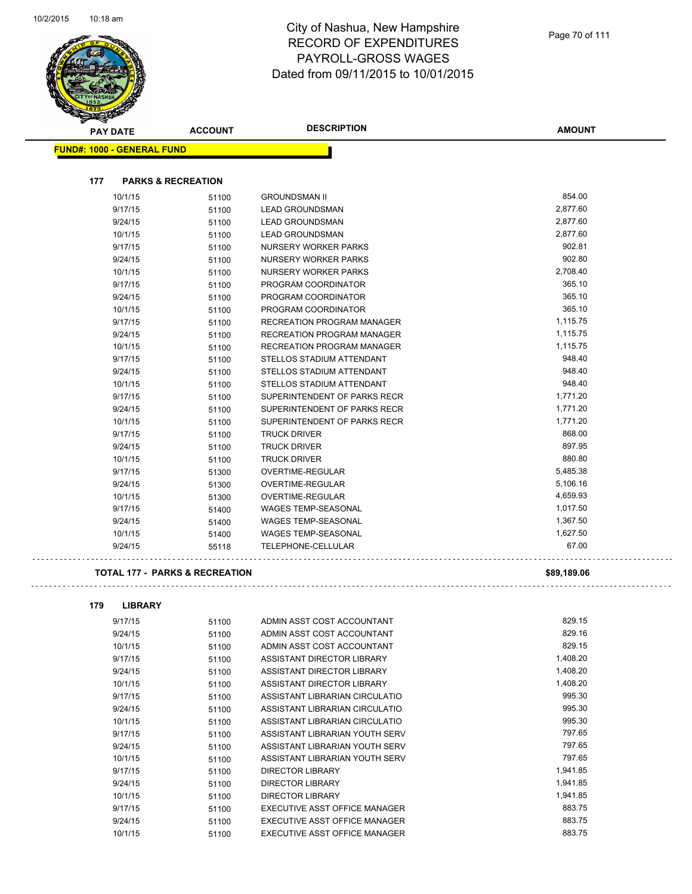

| <b>Contraction</b><br><b>PAY DATE</b> | <b>ACCOUNT</b> | <b>DESCRIPTION</b>                | <b>AMOUNT</b> |
|---------------------------------------|----------------|-----------------------------------|---------------|
| <b>FUND#: 1000 - GENERAL FUND</b>     |                |                                   |               |
|                                       |                |                                   |               |
| 177<br><b>PARKS &amp; RECREATION</b>  |                |                                   |               |
| 10/1/15                               | 51100          | <b>GROUNDSMAN II</b>              | 854.00        |
| 9/17/15                               | 51100          | <b>LEAD GROUNDSMAN</b>            | 2,877.60      |
| 9/24/15                               | 51100          | <b>LEAD GROUNDSMAN</b>            | 2,877.60      |
| 10/1/15                               | 51100          | <b>LEAD GROUNDSMAN</b>            | 2,877.60      |
| 9/17/15                               | 51100          | <b>NURSERY WORKER PARKS</b>       | 902.81        |
| 9/24/15                               | 51100          | <b>NURSERY WORKER PARKS</b>       | 902.80        |
| 10/1/15                               | 51100          | <b>NURSERY WORKER PARKS</b>       | 2,708.40      |
| 9/17/15                               | 51100          | PROGRAM COORDINATOR               | 365.10        |
| 9/24/15                               | 51100          | PROGRAM COORDINATOR               | 365.10        |
| 10/1/15                               | 51100          | PROGRAM COORDINATOR               | 365.10        |
| 9/17/15                               | 51100          | <b>RECREATION PROGRAM MANAGER</b> | 1,115.75      |
| 9/24/15                               | 51100          | <b>RECREATION PROGRAM MANAGER</b> | 1,115.75      |
| 10/1/15                               | 51100          | <b>RECREATION PROGRAM MANAGER</b> | 1,115.75      |
| 9/17/15                               | 51100          | STELLOS STADIUM ATTENDANT         | 948.40        |
| 9/24/15                               | 51100          | STELLOS STADIUM ATTENDANT         | 948.40        |
| 10/1/15                               | 51100          | STELLOS STADIUM ATTENDANT         | 948.40        |
| 9/17/15                               | 51100          | SUPERINTENDENT OF PARKS RECR      | 1,771.20      |
| 9/24/15                               | 51100          | SUPERINTENDENT OF PARKS RECR      | 1,771.20      |
| 10/1/15                               | 51100          | SUPERINTENDENT OF PARKS RECR      | 1,771.20      |
| 9/17/15                               | 51100          | <b>TRUCK DRIVER</b>               | 868.00        |
| 9/24/15                               | 51100          | <b>TRUCK DRIVER</b>               | 897.95        |
| 10/1/15                               | 51100          | <b>TRUCK DRIVER</b>               | 880.80        |
| 9/17/15                               | 51300          | OVERTIME-REGULAR                  | 5,485.38      |
| 9/24/15                               | 51300          | <b>OVERTIME-REGULAR</b>           | 5,106.16      |
| 10/1/15                               | 51300          | OVERTIME-REGULAR                  | 4,659.93      |
| 9/17/15                               | 51400          | <b>WAGES TEMP-SEASONAL</b>        | 1,017.50      |
| 9/24/15                               | 51400          | <b>WAGES TEMP-SEASONAL</b>        | 1,367.50      |
| 10/1/15                               | 51400          | <b>WAGES TEMP-SEASONAL</b>        | 1,627.50      |
| 9/24/15                               | 55118          | TELEPHONE-CELLULAR                | 67.00         |
|                                       |                |                                   |               |

### **TOTAL 177 - PARKS & RECREATION \$89,189.06**

| 179 | <b>LIBRARY</b> |       |                                |          |
|-----|----------------|-------|--------------------------------|----------|
|     | 9/17/15        | 51100 | ADMIN ASST COST ACCOUNTANT     | 829.15   |
|     | 9/24/15        | 51100 | ADMIN ASST COST ACCOUNTANT     | 829.16   |
|     | 10/1/15        | 51100 | ADMIN ASST COST ACCOUNTANT     | 829.15   |
|     | 9/17/15        | 51100 | ASSISTANT DIRECTOR LIBRARY     | 1,408.20 |
|     | 9/24/15        | 51100 | ASSISTANT DIRECTOR LIBRARY     | 1,408.20 |
|     | 10/1/15        | 51100 | ASSISTANT DIRECTOR LIBRARY     | 1,408.20 |
|     | 9/17/15        | 51100 | ASSISTANT LIBRARIAN CIRCULATIO | 995.30   |
|     | 9/24/15        | 51100 | ASSISTANT LIBRARIAN CIRCULATIO | 995.30   |
|     | 10/1/15        | 51100 | ASSISTANT LIBRARIAN CIRCULATIO | 995.30   |
|     | 9/17/15        | 51100 | ASSISTANT LIBRARIAN YOUTH SERV | 797.65   |
|     | 9/24/15        | 51100 | ASSISTANT LIBRARIAN YOUTH SERV | 797.65   |
|     | 10/1/15        | 51100 | ASSISTANT LIBRARIAN YOUTH SERV | 797.65   |
|     | 9/17/15        | 51100 | <b>DIRECTOR LIBRARY</b>        | 1,941.85 |
|     | 9/24/15        | 51100 | <b>DIRECTOR LIBRARY</b>        | 1,941.85 |
|     | 10/1/15        | 51100 | DIRECTOR LIBRARY               | 1,941.85 |
|     | 9/17/15        | 51100 | EXECUTIVE ASST OFFICE MANAGER  | 883.75   |
|     | 9/24/15        | 51100 | EXECUTIVE ASST OFFICE MANAGER  | 883.75   |
|     | 10/1/15        | 51100 | EXECUTIVE ASST OFFICE MANAGER  | 883.75   |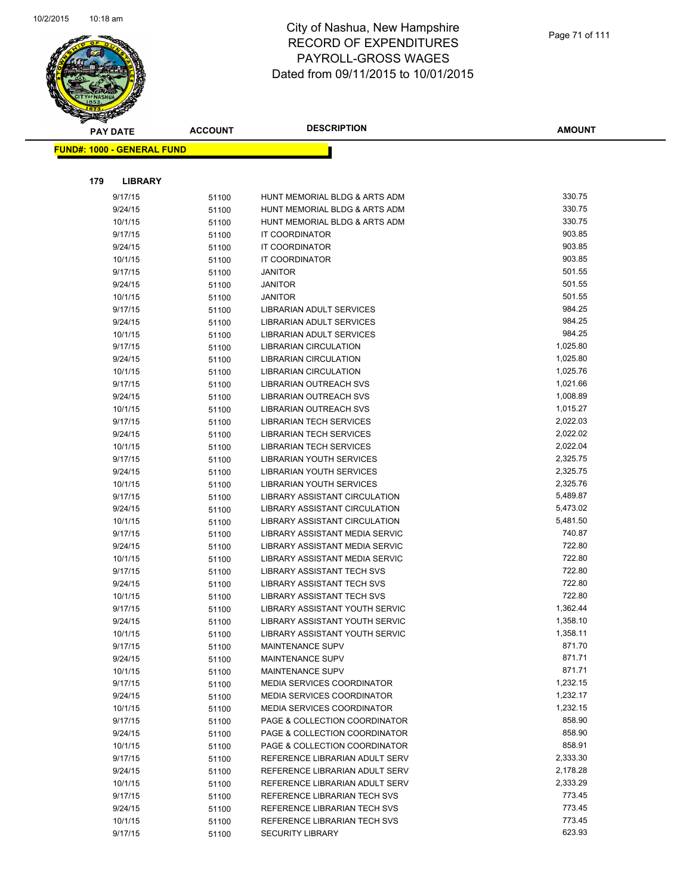

|     | <b>PAY DATE</b>                    | <b>ACCOUNT</b> | <b>DESCRIPTION</b>                                           | <b>AMOUNT</b>    |
|-----|------------------------------------|----------------|--------------------------------------------------------------|------------------|
|     | <u> FUND#: 1000 - GENERAL FUND</u> |                |                                                              |                  |
|     |                                    |                |                                                              |                  |
| 179 | <b>LIBRARY</b>                     |                |                                                              |                  |
|     | 9/17/15                            | 51100          | HUNT MEMORIAL BLDG & ARTS ADM                                | 330.75           |
|     | 9/24/15                            | 51100          | HUNT MEMORIAL BLDG & ARTS ADM                                | 330.75           |
|     | 10/1/15                            | 51100          | HUNT MEMORIAL BLDG & ARTS ADM                                | 330.75           |
|     | 9/17/15                            | 51100          | IT COORDINATOR                                               | 903.85           |
|     | 9/24/15                            | 51100          | IT COORDINATOR                                               | 903.85           |
|     | 10/1/15                            | 51100          | <b>IT COORDINATOR</b>                                        | 903.85           |
|     | 9/17/15                            | 51100          | <b>JANITOR</b>                                               | 501.55           |
|     | 9/24/15                            | 51100          | <b>JANITOR</b>                                               | 501.55           |
|     | 10/1/15                            | 51100          | <b>JANITOR</b>                                               | 501.55           |
|     | 9/17/15                            | 51100          | LIBRARIAN ADULT SERVICES                                     | 984.25           |
|     | 9/24/15                            | 51100          | LIBRARIAN ADULT SERVICES                                     | 984.25           |
|     | 10/1/15                            | 51100          | LIBRARIAN ADULT SERVICES                                     | 984.25           |
|     | 9/17/15                            | 51100          | <b>LIBRARIAN CIRCULATION</b>                                 | 1,025.80         |
|     | 9/24/15                            | 51100          | LIBRARIAN CIRCULATION                                        | 1,025.80         |
|     | 10/1/15                            | 51100          | <b>LIBRARIAN CIRCULATION</b>                                 | 1,025.76         |
|     | 9/17/15                            | 51100          | <b>LIBRARIAN OUTREACH SVS</b>                                | 1,021.66         |
|     | 9/24/15                            | 51100          | <b>LIBRARIAN OUTREACH SVS</b>                                | 1,008.89         |
|     | 10/1/15                            | 51100          | LIBRARIAN OUTREACH SVS                                       | 1,015.27         |
|     | 9/17/15                            | 51100          | <b>LIBRARIAN TECH SERVICES</b>                               | 2,022.03         |
|     | 9/24/15                            | 51100          | <b>LIBRARIAN TECH SERVICES</b>                               | 2,022.02         |
|     | 10/1/15                            | 51100          | <b>LIBRARIAN TECH SERVICES</b>                               | 2,022.04         |
|     | 9/17/15                            | 51100          | LIBRARIAN YOUTH SERVICES                                     | 2,325.75         |
|     | 9/24/15                            | 51100          | LIBRARIAN YOUTH SERVICES                                     | 2,325.75         |
|     | 10/1/15                            | 51100          | LIBRARIAN YOUTH SERVICES                                     | 2,325.76         |
|     | 9/17/15                            | 51100          | LIBRARY ASSISTANT CIRCULATION                                | 5,489.87         |
|     | 9/24/15                            | 51100          | LIBRARY ASSISTANT CIRCULATION                                | 5,473.02         |
|     | 10/1/15                            | 51100          | LIBRARY ASSISTANT CIRCULATION                                | 5,481.50         |
|     | 9/17/15                            | 51100          | LIBRARY ASSISTANT MEDIA SERVIC                               | 740.87           |
|     | 9/24/15                            | 51100          | LIBRARY ASSISTANT MEDIA SERVIC                               | 722.80           |
|     | 10/1/15                            | 51100          | LIBRARY ASSISTANT MEDIA SERVIC                               | 722.80           |
|     | 9/17/15                            | 51100          | LIBRARY ASSISTANT TECH SVS                                   | 722.80<br>722.80 |
|     | 9/24/15                            | 51100          | LIBRARY ASSISTANT TECH SVS                                   | 722.80           |
|     | 10/1/15                            | 51100          | LIBRARY ASSISTANT TECH SVS<br>LIBRARY ASSISTANT YOUTH SERVIC | 1,362.44         |
|     | 9/17/15<br>9/24/15                 | 51100          | <b>LIBRARY ASSISTANT YOUTH SERVIC</b>                        | 1,358.10         |
|     | 10/1/15                            | 51100          | LIBRARY ASSISTANT YOUTH SERVIC                               | 1,358.11         |
|     | 9/17/15                            | 51100          | MAINTENANCE SUPV                                             | 871.70           |
|     | 9/24/15                            | 51100<br>51100 | MAINTENANCE SUPV                                             | 871.71           |
|     | 10/1/15                            | 51100          | MAINTENANCE SUPV                                             | 871.71           |
|     | 9/17/15                            | 51100          | <b>MEDIA SERVICES COORDINATOR</b>                            | 1,232.15         |
|     | 9/24/15                            | 51100          | MEDIA SERVICES COORDINATOR                                   | 1,232.17         |
|     | 10/1/15                            | 51100          | <b>MEDIA SERVICES COORDINATOR</b>                            | 1,232.15         |
|     | 9/17/15                            | 51100          | PAGE & COLLECTION COORDINATOR                                | 858.90           |
|     | 9/24/15                            | 51100          | PAGE & COLLECTION COORDINATOR                                | 858.90           |
|     | 10/1/15                            | 51100          | PAGE & COLLECTION COORDINATOR                                | 858.91           |
|     | 9/17/15                            | 51100          | REFERENCE LIBRARIAN ADULT SERV                               | 2,333.30         |
|     | 9/24/15                            | 51100          | REFERENCE LIBRARIAN ADULT SERV                               | 2,178.28         |
|     | 10/1/15                            | 51100          | REFERENCE LIBRARIAN ADULT SERV                               | 2,333.29         |
|     | 9/17/15                            | 51100          | REFERENCE LIBRARIAN TECH SVS                                 | 773.45           |
|     | 9/24/15                            | 51100          | REFERENCE LIBRARIAN TECH SVS                                 | 773.45           |
|     | 10/1/15                            | 51100          | REFERENCE LIBRARIAN TECH SVS                                 | 773.45           |
|     | 9/17/15                            | 51100          | <b>SECURITY LIBRARY</b>                                      | 623.93           |
|     |                                    |                |                                                              |                  |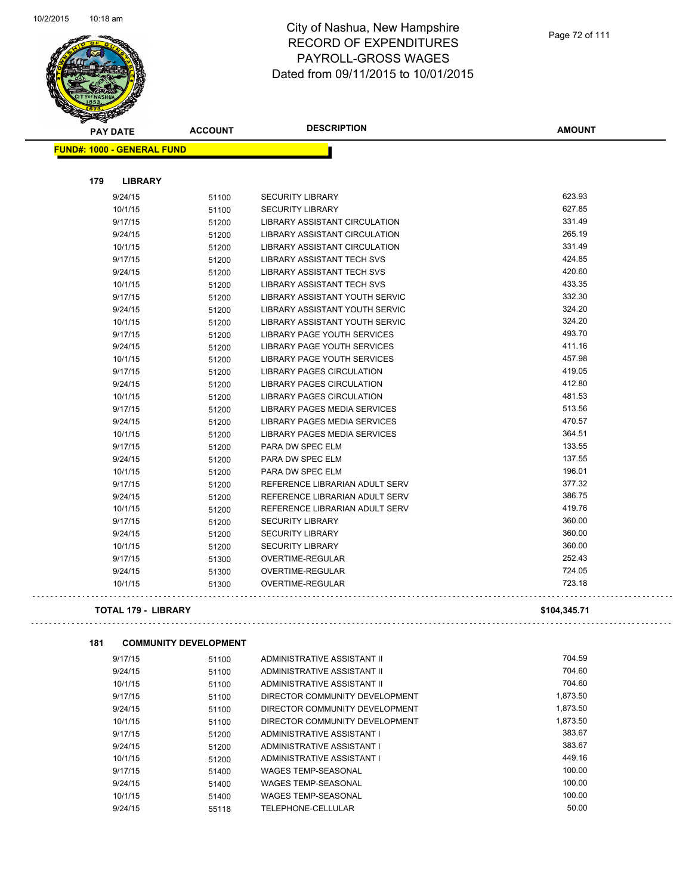

| <b>STARTING CARD</b>                |                |                                     |               |
|-------------------------------------|----------------|-------------------------------------|---------------|
| <b>PAY DATE</b>                     | <b>ACCOUNT</b> | <b>DESCRIPTION</b>                  | <b>AMOUNT</b> |
| <b>FUND#: 1000 - GENERAL FUND</b>   |                |                                     |               |
|                                     |                |                                     |               |
| 179<br><b>LIBRARY</b>               |                |                                     |               |
|                                     |                |                                     |               |
| 9/24/15                             | 51100          | <b>SECURITY LIBRARY</b>             | 623.93        |
| 10/1/15                             | 51100          | <b>SECURITY LIBRARY</b>             | 627.85        |
| 9/17/15                             | 51200          | LIBRARY ASSISTANT CIRCULATION       | 331.49        |
| 9/24/15                             | 51200          | LIBRARY ASSISTANT CIRCULATION       | 265.19        |
| 10/1/15                             | 51200          | LIBRARY ASSISTANT CIRCULATION       | 331.49        |
| 9/17/15                             | 51200          | LIBRARY ASSISTANT TECH SVS          | 424.85        |
| 9/24/15                             | 51200          | <b>LIBRARY ASSISTANT TECH SVS</b>   | 420.60        |
| 10/1/15                             | 51200          | LIBRARY ASSISTANT TECH SVS          | 433.35        |
| 9/17/15                             | 51200          | LIBRARY ASSISTANT YOUTH SERVIC      | 332.30        |
| 9/24/15                             | 51200          | LIBRARY ASSISTANT YOUTH SERVIC      | 324.20        |
| 10/1/15                             | 51200          | LIBRARY ASSISTANT YOUTH SERVIC      | 324.20        |
| 9/17/15                             | 51200          | LIBRARY PAGE YOUTH SERVICES         | 493.70        |
| 9/24/15                             | 51200          | LIBRARY PAGE YOUTH SERVICES         | 411.16        |
| 10/1/15                             | 51200          | LIBRARY PAGE YOUTH SERVICES         | 457.98        |
| 9/17/15                             | 51200          | <b>LIBRARY PAGES CIRCULATION</b>    | 419.05        |
| 9/24/15                             | 51200          | <b>LIBRARY PAGES CIRCULATION</b>    | 412.80        |
| 10/1/15                             | 51200          | <b>LIBRARY PAGES CIRCULATION</b>    | 481.53        |
| 9/17/15                             | 51200          | LIBRARY PAGES MEDIA SERVICES        | 513.56        |
| 9/24/15                             | 51200          | LIBRARY PAGES MEDIA SERVICES        | 470.57        |
| 10/1/15                             | 51200          | <b>LIBRARY PAGES MEDIA SERVICES</b> | 364.51        |
| 9/17/15                             | 51200          | PARA DW SPEC ELM                    | 133.55        |
| 9/24/15                             | 51200          | PARA DW SPEC ELM                    | 137.55        |
| 10/1/15                             | 51200          | PARA DW SPEC ELM                    | 196.01        |
| 9/17/15                             | 51200          | REFERENCE LIBRARIAN ADULT SERV      | 377.32        |
| 9/24/15                             | 51200          | REFERENCE LIBRARIAN ADULT SERV      | 386.75        |
| 10/1/15                             | 51200          | REFERENCE LIBRARIAN ADULT SERV      | 419.76        |
| 9/17/15                             | 51200          | <b>SECURITY LIBRARY</b>             | 360.00        |
| 9/24/15                             | 51200          | <b>SECURITY LIBRARY</b>             | 360.00        |
| 10/1/15                             | 51200          | <b>SECURITY LIBRARY</b>             | 360.00        |
| 9/17/15                             | 51300          | <b>OVERTIME-REGULAR</b>             | 252.43        |
| 9/24/15                             | 51300          | OVERTIME-REGULAR                    | 724.05        |
| 10/1/15                             | 51300          | OVERTIME-REGULAR                    | 723.18        |
|                                     |                |                                     |               |
| <b>TOTAL 179 - LIBRARY</b>          |                |                                     | \$104,345.71  |
|                                     |                |                                     |               |
| 181<br><b>COMMUNITY DEVELOPMENT</b> |                |                                     |               |
| 9/17/15                             | 51100          | ADMINISTRATIVE ASSISTANT II         | 704.59        |
| 9/24/15                             | 51100          | ADMINISTRATIVE ASSISTANT II         | 704.60        |
| 10/1/15                             | 51100          | ADMINISTRATIVE ASSISTANT II         | 704.60        |
| 9/17/15                             | 51100          | DIRECTOR COMMUNITY DEVELOPMENT      | 1,873.50      |
| 9/24/15                             | 51100          | DIRECTOR COMMUNITY DEVELOPMENT      | 1,873.50      |
| 10/1/15                             | 51100          | DIRECTOR COMMUNITY DEVELOPMENT      | 1,873.50      |
| 9/17/15                             | 51200          | ADMINISTRATIVE ASSISTANT I          | 383.67        |
| 9/24/15                             | 51200          | ADMINISTRATIVE ASSISTANT I          | 383.67        |
| 10/1/15                             | 51200          | ADMINISTRATIVE ASSISTANT I          | 449.16        |
| 9/17/15                             | 51400          | <b>WAGES TEMP-SEASONAL</b>          | 100.00        |
| 9/24/15                             | 51400          | <b>WAGES TEMP-SEASONAL</b>          | 100.00        |
| 10/1/15                             | 51400          | <b>WAGES TEMP-SEASONAL</b>          | 100.00        |
| 9/24/15                             | 55118          | TELEPHONE-CELLULAR                  | 50.00         |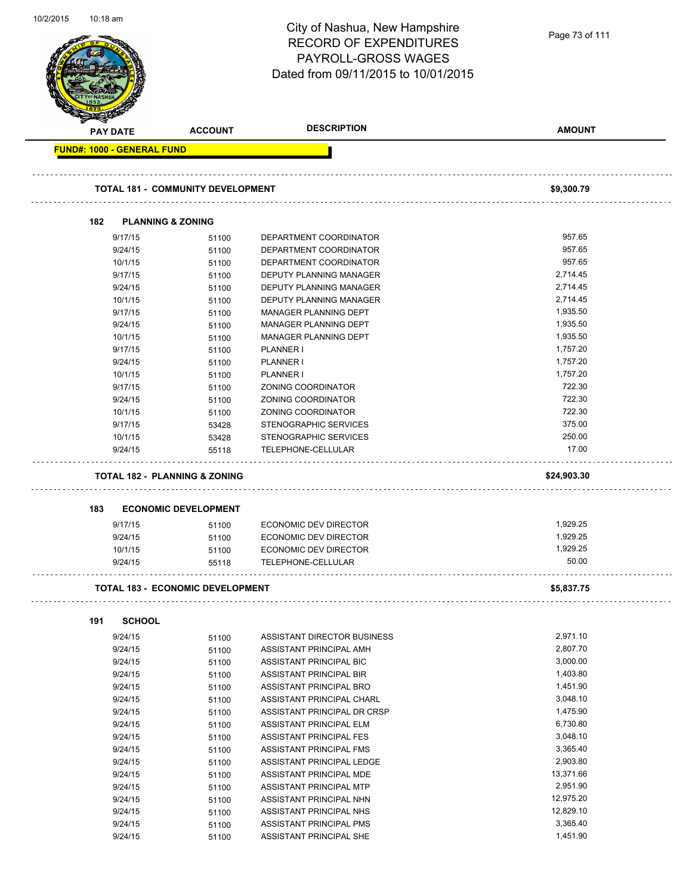| 10/2/2015 | 10:18 am |                                   |                                          | City of Nashua, New Hampshire<br><b>RECORD OF EXPENDITURES</b><br><b>PAYROLL-GROSS WAGES</b><br>Dated from 09/11/2015 to 10/01/2015 | Page 73 of 111 |
|-----------|----------|-----------------------------------|------------------------------------------|-------------------------------------------------------------------------------------------------------------------------------------|----------------|
|           |          | <b>PAY DATE</b>                   | <b>ACCOUNT</b>                           | <b>DESCRIPTION</b>                                                                                                                  | <b>AMOUNT</b>  |
|           |          | <b>FUND#: 1000 - GENERAL FUND</b> |                                          |                                                                                                                                     |                |
|           |          |                                   | <b>TOTAL 181 - COMMUNITY DEVELOPMENT</b> |                                                                                                                                     | \$9,300.79     |
|           | 182      | <b>PLANNING &amp; ZONING</b>      |                                          |                                                                                                                                     |                |
|           |          | 9/17/15                           | 51100                                    | DEPARTMENT COORDINATOR                                                                                                              | 957.65         |
|           |          | 9/24/15                           | 51100                                    | DEPARTMENT COORDINATOR                                                                                                              | 957.65         |
|           |          | 10/1/15                           | 51100                                    | DEPARTMENT COORDINATOR                                                                                                              | 957.65         |
|           |          | 9/17/15                           | 51100                                    | DEPUTY PLANNING MANAGER                                                                                                             | 2.714.45       |
|           |          | 9/24/15                           | 51100                                    | DEPUTY PLANNING MANAGER                                                                                                             | 2,714.45       |
|           |          | 10/1/15                           | 51100                                    | DEPUTY PLANNING MANAGER                                                                                                             | 2,714.45       |
|           |          | 9/17/15                           | 51100                                    | MANAGER PLANNING DEPT                                                                                                               | 1,935.50       |
|           |          | 9/24/15                           | 51100                                    | MANAGER PLANNING DEPT                                                                                                               | 1,935.50       |
|           |          | 10/1/15                           | 51100                                    | MANAGER PLANNING DEPT                                                                                                               | 1,935.50       |
|           |          | 9/17/15                           | 51100                                    | PLANNER I                                                                                                                           | 1,757.20       |
|           |          | 9/24/15                           | 51100                                    | PLANNER I                                                                                                                           | 1,757.20       |
|           |          | 10/1/15                           | 51100                                    | <b>PLANNER I</b>                                                                                                                    | 1,757.20       |
|           |          | 9/17/15                           | 51100                                    | ZONING COORDINATOR                                                                                                                  | 722.30         |
|           |          | 9/24/15                           | 51100                                    | ZONING COORDINATOR                                                                                                                  | 722.30         |
|           |          | 10/1/15                           | 51100                                    | ZONING COORDINATOR                                                                                                                  | 722.30         |
|           |          | 9/17/15                           | 53428                                    | STENOGRAPHIC SERVICES                                                                                                               | 375.00         |
|           |          | 10/1/15                           | 53428                                    | STENOGRAPHIC SERVICES                                                                                                               | 250.00         |
|           |          | 9/24/15                           | 55118                                    | TELEPHONE-CELLULAR                                                                                                                  | 17.00          |
|           |          |                                   | <b>TOTAL 182 - PLANNING &amp; ZONING</b> |                                                                                                                                     | \$24,903.30    |
|           | 183      |                                   | <b>ECONOMIC DEVELOPMENT</b>              |                                                                                                                                     |                |
|           |          |                                   |                                          |                                                                                                                                     | 1,929.25       |
|           |          | 9/17/15                           | 51100                                    | ECONOMIC DEV DIRECTOR                                                                                                               | 1,929.25       |
|           |          | 9/24/15<br>10/1/15                | 51100<br>51100                           | ECONOMIC DEV DIRECTOR<br>ECONOMIC DEV DIRECTOR                                                                                      | 1,929.25       |
|           |          | 9/24/15                           | 55118                                    | TELEPHONE-CELLULAR                                                                                                                  | 50.00          |
|           |          |                                   |                                          |                                                                                                                                     |                |
|           |          |                                   | <b>TOTAL 183 - ECONOMIC DEVELOPMENT</b>  |                                                                                                                                     | \$5,837.75     |
|           | 191      | <b>SCHOOL</b>                     |                                          |                                                                                                                                     |                |
|           |          | 9/24/15                           | 51100                                    | ASSISTANT DIRECTOR BUSINESS                                                                                                         | 2,971.10       |
|           |          | 9/24/15                           | 51100                                    | ASSISTANT PRINCIPAL AMH                                                                                                             | 2,807.70       |
|           |          | 9/24/15                           | 51100                                    | ASSISTANT PRINCIPAL BIC                                                                                                             | 3,000.00       |
|           |          | 9/24/15                           | 51100                                    | ASSISTANT PRINCIPAL BIR                                                                                                             | 1,403.80       |
|           |          | 9/24/15                           | 51100                                    | ASSISTANT PRINCIPAL BRO                                                                                                             | 1,451.90       |
|           |          | 9/24/15                           | 51100                                    | ASSISTANT PRINCIPAL CHARL                                                                                                           | 3,048.10       |
|           |          | 9/24/15                           | 51100                                    | ASSISTANT PRINCIPAL DR CRSP                                                                                                         | 1,475.90       |
|           |          | 9/24/15                           | 51100                                    | ASSISTANT PRINCIPAL ELM                                                                                                             | 6,730.80       |
|           |          | 9/24/15                           | 51100                                    | ASSISTANT PRINCIPAL FES                                                                                                             | 3,048.10       |
|           |          | 9/24/15                           | 51100                                    | ASSISTANT PRINCIPAL FMS                                                                                                             | 3,365.40       |
|           |          | 9/24/15                           | 51100                                    | ASSISTANT PRINCIPAL LEDGE                                                                                                           | 2,903.80       |
|           |          | 9/24/15                           | 51100                                    | ASSISTANT PRINCIPAL MDE                                                                                                             | 13,371.66      |
|           |          | 9/24/15                           | 51100                                    | ASSISTANT PRINCIPAL MTP                                                                                                             | 2,951.90       |
|           |          | 9/24/15                           | 51100                                    | ASSISTANT PRINCIPAL NHN                                                                                                             | 12,975.20      |
|           |          | 9/24/15                           | 51100                                    | ASSISTANT PRINCIPAL NHS                                                                                                             | 12,829.10      |
|           |          | 9/24/15                           | 51100                                    | ASSISTANT PRINCIPAL PMS                                                                                                             | 3,365.40       |
|           |          | 9/24/15                           | 51100                                    | ASSISTANT PRINCIPAL SHE                                                                                                             | 1,451.90       |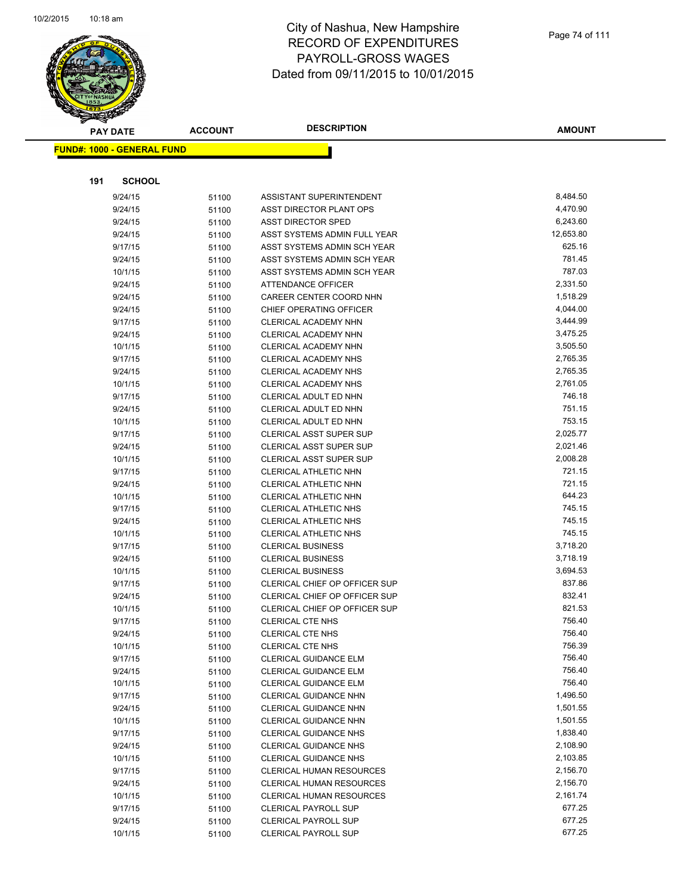

| <b>PAY DATE</b>                   | <b>ACCOUNT</b> | <b>DESCRIPTION</b>                                        | <b>AMOUNT</b>        |
|-----------------------------------|----------------|-----------------------------------------------------------|----------------------|
| <b>FUND#: 1000 - GENERAL FUND</b> |                |                                                           |                      |
|                                   |                |                                                           |                      |
|                                   |                |                                                           |                      |
| 191<br><b>SCHOOL</b>              |                |                                                           |                      |
| 9/24/15                           | 51100          | ASSISTANT SUPERINTENDENT                                  | 8,484.50             |
| 9/24/15                           | 51100          | ASST DIRECTOR PLANT OPS                                   | 4,470.90             |
| 9/24/15                           | 51100          | <b>ASST DIRECTOR SPED</b>                                 | 6,243.60             |
| 9/24/15                           | 51100          | ASST SYSTEMS ADMIN FULL YEAR                              | 12,653.80            |
| 9/17/15                           | 51100          | ASST SYSTEMS ADMIN SCH YEAR                               | 625.16               |
| 9/24/15                           | 51100          | ASST SYSTEMS ADMIN SCH YEAR                               | 781.45               |
| 10/1/15                           | 51100          | ASST SYSTEMS ADMIN SCH YEAR                               | 787.03               |
| 9/24/15                           | 51100          | ATTENDANCE OFFICER                                        | 2,331.50             |
| 9/24/15                           | 51100          | CAREER CENTER COORD NHN                                   | 1,518.29             |
| 9/24/15                           | 51100          | CHIEF OPERATING OFFICER                                   | 4,044.00             |
| 9/17/15                           | 51100          | CLERICAL ACADEMY NHN                                      | 3,444.99             |
| 9/24/15                           | 51100          | CLERICAL ACADEMY NHN                                      | 3,475.25             |
| 10/1/15                           | 51100          | CLERICAL ACADEMY NHN                                      | 3,505.50             |
| 9/17/15                           | 51100          | CLERICAL ACADEMY NHS                                      | 2,765.35             |
| 9/24/15                           | 51100          | CLERICAL ACADEMY NHS                                      | 2,765.35             |
| 10/1/15                           | 51100          | CLERICAL ACADEMY NHS                                      | 2,761.05             |
| 9/17/15                           | 51100          | CLERICAL ADULT ED NHN                                     | 746.18               |
| 9/24/15                           | 51100          | CLERICAL ADULT ED NHN                                     | 751.15               |
| 10/1/15                           | 51100          | CLERICAL ADULT ED NHN                                     | 753.15               |
| 9/17/15                           | 51100          | CLERICAL ASST SUPER SUP                                   | 2,025.77             |
| 9/24/15                           | 51100          | CLERICAL ASST SUPER SUP                                   | 2,021.46             |
| 10/1/15                           | 51100          | CLERICAL ASST SUPER SUP                                   | 2,008.28             |
| 9/17/15                           | 51100          | CLERICAL ATHLETIC NHN                                     | 721.15               |
| 9/24/15                           | 51100          | CLERICAL ATHLETIC NHN                                     | 721.15               |
| 10/1/15                           | 51100          | CLERICAL ATHLETIC NHN                                     | 644.23               |
| 9/17/15                           | 51100          | <b>CLERICAL ATHLETIC NHS</b>                              | 745.15               |
| 9/24/15                           | 51100          | CLERICAL ATHLETIC NHS                                     | 745.15               |
| 10/1/15                           | 51100          | CLERICAL ATHLETIC NHS                                     | 745.15<br>3,718.20   |
| 9/17/15                           | 51100          | <b>CLERICAL BUSINESS</b>                                  |                      |
| 9/24/15                           | 51100          | <b>CLERICAL BUSINESS</b>                                  | 3,718.19<br>3,694.53 |
| 10/1/15<br>9/17/15                | 51100          | <b>CLERICAL BUSINESS</b><br>CLERICAL CHIEF OP OFFICER SUP | 837.86               |
|                                   | 51100          | CLERICAL CHIEF OP OFFICER SUP                             | 832.41               |
| 9/24/15<br>10/1/15                | 51100          | CLERICAL CHIEF OP OFFICER SUP                             | 821.53               |
| 9/17/15                           | 51100          | CLERICAL CTE NHS                                          | 756.40               |
|                                   | 51100          | CLERICAL CTE NHS                                          | 756.40               |
| 9/24/15<br>10/1/15                | 51100          | <b>CLERICAL CTE NHS</b>                                   | 756.39               |
| 9/17/15                           | 51100          | <b>CLERICAL GUIDANCE ELM</b>                              | 756.40               |
| 9/24/15                           | 51100<br>51100 | <b>CLERICAL GUIDANCE ELM</b>                              | 756.40               |
| 10/1/15                           | 51100          | <b>CLERICAL GUIDANCE ELM</b>                              | 756.40               |
| 9/17/15                           | 51100          | <b>CLERICAL GUIDANCE NHN</b>                              | 1,496.50             |
| 9/24/15                           | 51100          | CLERICAL GUIDANCE NHN                                     | 1,501.55             |
| 10/1/15                           | 51100          | <b>CLERICAL GUIDANCE NHN</b>                              | 1,501.55             |
| 9/17/15                           | 51100          | <b>CLERICAL GUIDANCE NHS</b>                              | 1,838.40             |
| 9/24/15                           | 51100          | <b>CLERICAL GUIDANCE NHS</b>                              | 2,108.90             |
| 10/1/15                           | 51100          | <b>CLERICAL GUIDANCE NHS</b>                              | 2,103.85             |
| 9/17/15                           | 51100          | CLERICAL HUMAN RESOURCES                                  | 2,156.70             |
| 9/24/15                           | 51100          | CLERICAL HUMAN RESOURCES                                  | 2,156.70             |
| 10/1/15                           | 51100          | CLERICAL HUMAN RESOURCES                                  | 2,161.74             |
| 9/17/15                           | 51100          | <b>CLERICAL PAYROLL SUP</b>                               | 677.25               |
| 9/24/15                           | 51100          | <b>CLERICAL PAYROLL SUP</b>                               | 677.25               |
| 10/1/15                           | 51100          | <b>CLERICAL PAYROLL SUP</b>                               | 677.25               |
|                                   |                |                                                           |                      |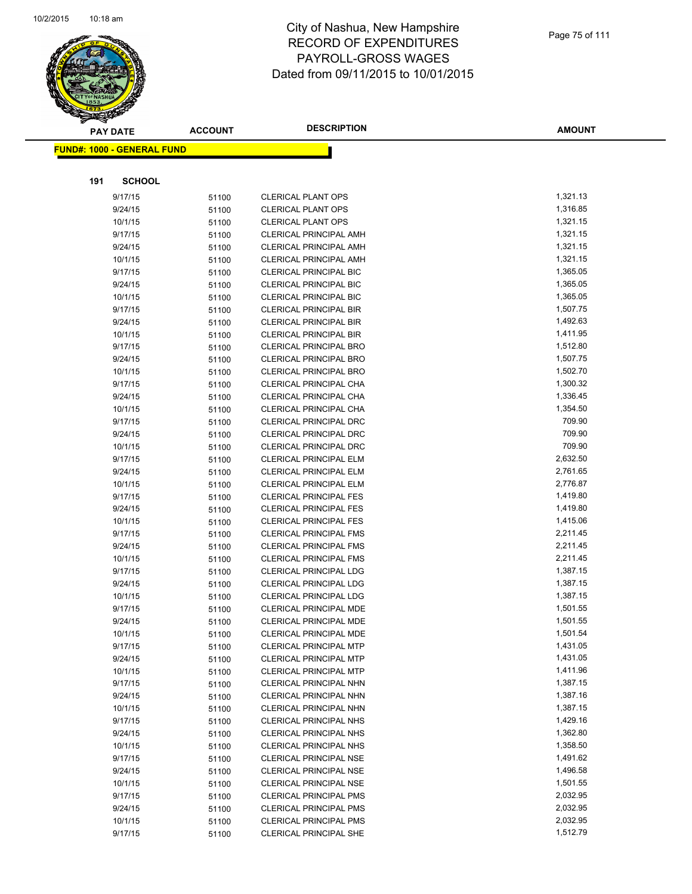

|     | <b>PAY DATE</b>                   | <b>ACCOUNT</b> | <b>DESCRIPTION</b>                                             | <b>AMOUNT</b>        |
|-----|-----------------------------------|----------------|----------------------------------------------------------------|----------------------|
|     | <b>FUND#: 1000 - GENERAL FUND</b> |                |                                                                |                      |
|     |                                   |                |                                                                |                      |
| 191 | <b>SCHOOL</b>                     |                |                                                                |                      |
|     | 9/17/15                           | 51100          | <b>CLERICAL PLANT OPS</b>                                      | 1,321.13             |
|     | 9/24/15                           | 51100          | <b>CLERICAL PLANT OPS</b>                                      | 1,316.85             |
|     | 10/1/15                           | 51100          | <b>CLERICAL PLANT OPS</b>                                      | 1,321.15             |
|     | 9/17/15                           | 51100          | <b>CLERICAL PRINCIPAL AMH</b>                                  | 1,321.15             |
|     | 9/24/15                           | 51100          | <b>CLERICAL PRINCIPAL AMH</b>                                  | 1,321.15             |
|     | 10/1/15                           | 51100          | <b>CLERICAL PRINCIPAL AMH</b>                                  | 1,321.15             |
|     | 9/17/15                           | 51100          | CLERICAL PRINCIPAL BIC                                         | 1,365.05             |
|     | 9/24/15                           | 51100          | <b>CLERICAL PRINCIPAL BIC</b>                                  | 1,365.05             |
|     | 10/1/15                           | 51100          | <b>CLERICAL PRINCIPAL BIC</b>                                  | 1,365.05             |
|     | 9/17/15                           | 51100          | <b>CLERICAL PRINCIPAL BIR</b>                                  | 1,507.75             |
|     | 9/24/15                           | 51100          | <b>CLERICAL PRINCIPAL BIR</b>                                  | 1,492.63             |
|     | 10/1/15                           | 51100          | <b>CLERICAL PRINCIPAL BIR</b>                                  | 1,411.95             |
|     | 9/17/15                           | 51100          | <b>CLERICAL PRINCIPAL BRO</b>                                  | 1,512.80             |
|     | 9/24/15                           | 51100          | <b>CLERICAL PRINCIPAL BRO</b>                                  | 1,507.75             |
|     | 10/1/15                           | 51100          | <b>CLERICAL PRINCIPAL BRO</b>                                  | 1,502.70             |
|     | 9/17/15                           | 51100          | CLERICAL PRINCIPAL CHA                                         | 1,300.32             |
|     | 9/24/15                           | 51100          | CLERICAL PRINCIPAL CHA                                         | 1,336.45             |
|     | 10/1/15                           | 51100          | CLERICAL PRINCIPAL CHA                                         | 1,354.50             |
|     | 9/17/15                           | 51100          | <b>CLERICAL PRINCIPAL DRC</b>                                  | 709.90               |
|     | 9/24/15                           | 51100          | CLERICAL PRINCIPAL DRC                                         | 709.90               |
|     | 10/1/15                           | 51100          | <b>CLERICAL PRINCIPAL DRC</b>                                  | 709.90               |
|     | 9/17/15                           | 51100          | CLERICAL PRINCIPAL ELM                                         | 2,632.50             |
|     | 9/24/15                           | 51100          | CLERICAL PRINCIPAL ELM                                         | 2,761.65             |
|     | 10/1/15                           | 51100          | CLERICAL PRINCIPAL ELM                                         | 2,776.87             |
|     | 9/17/15                           | 51100          | <b>CLERICAL PRINCIPAL FES</b>                                  | 1,419.80             |
|     | 9/24/15                           | 51100          | <b>CLERICAL PRINCIPAL FES</b>                                  | 1,419.80             |
|     | 10/1/15                           | 51100          | <b>CLERICAL PRINCIPAL FES</b>                                  | 1,415.06             |
|     | 9/17/15                           | 51100          | <b>CLERICAL PRINCIPAL FMS</b>                                  | 2,211.45             |
|     | 9/24/15                           | 51100          | <b>CLERICAL PRINCIPAL FMS</b>                                  | 2,211.45             |
|     | 10/1/15                           | 51100          | <b>CLERICAL PRINCIPAL FMS</b>                                  | 2,211.45             |
|     | 9/17/15                           | 51100          | CLERICAL PRINCIPAL LDG                                         | 1,387.15             |
|     | 9/24/15                           | 51100          | <b>CLERICAL PRINCIPAL LDG</b>                                  | 1,387.15             |
|     | 10/1/15                           | 51100          | <b>CLERICAL PRINCIPAL LDG</b>                                  | 1,387.15             |
|     | 9/17/15                           | 51100          | CLERICAL PRINCIPAL MDE                                         | 1,501.55             |
|     | 9/24/15                           | 51100          | CLERICAL PRINCIPAL MDE                                         | 1,501.55             |
|     | 10/1/15                           | 51100          | CLERICAL PRINCIPAL MDE                                         | 1,501.54             |
|     | 9/17/15                           | 51100          | <b>CLERICAL PRINCIPAL MTP</b>                                  | 1,431.05             |
|     | 9/24/15                           | 51100          | <b>CLERICAL PRINCIPAL MTP</b>                                  | 1,431.05             |
|     | 10/1/15                           | 51100          | <b>CLERICAL PRINCIPAL MTP</b>                                  | 1,411.96             |
|     | 9/17/15                           | 51100          | CLERICAL PRINCIPAL NHN                                         | 1,387.15             |
|     | 9/24/15                           | 51100          | CLERICAL PRINCIPAL NHN                                         | 1,387.16             |
|     | 10/1/15                           | 51100          | <b>CLERICAL PRINCIPAL NHN</b>                                  | 1,387.15             |
|     | 9/17/15                           | 51100          | CLERICAL PRINCIPAL NHS                                         | 1,429.16             |
|     | 9/24/15                           | 51100          | <b>CLERICAL PRINCIPAL NHS</b>                                  | 1,362.80             |
|     | 10/1/15                           | 51100          | <b>CLERICAL PRINCIPAL NHS</b>                                  | 1,358.50             |
|     | 9/17/15                           | 51100          | <b>CLERICAL PRINCIPAL NSE</b>                                  | 1,491.62<br>1,496.58 |
|     | 9/24/15                           | 51100          | <b>CLERICAL PRINCIPAL NSE</b>                                  | 1,501.55             |
|     | 10/1/15                           | 51100          | <b>CLERICAL PRINCIPAL NSE</b>                                  | 2,032.95             |
|     | 9/17/15                           | 51100          | <b>CLERICAL PRINCIPAL PMS</b>                                  | 2,032.95             |
|     | 9/24/15<br>10/1/15                | 51100          | <b>CLERICAL PRINCIPAL PMS</b><br><b>CLERICAL PRINCIPAL PMS</b> | 2,032.95             |
|     |                                   | 51100          | <b>CLERICAL PRINCIPAL SHE</b>                                  | 1,512.79             |
|     | 9/17/15                           | 51100          |                                                                |                      |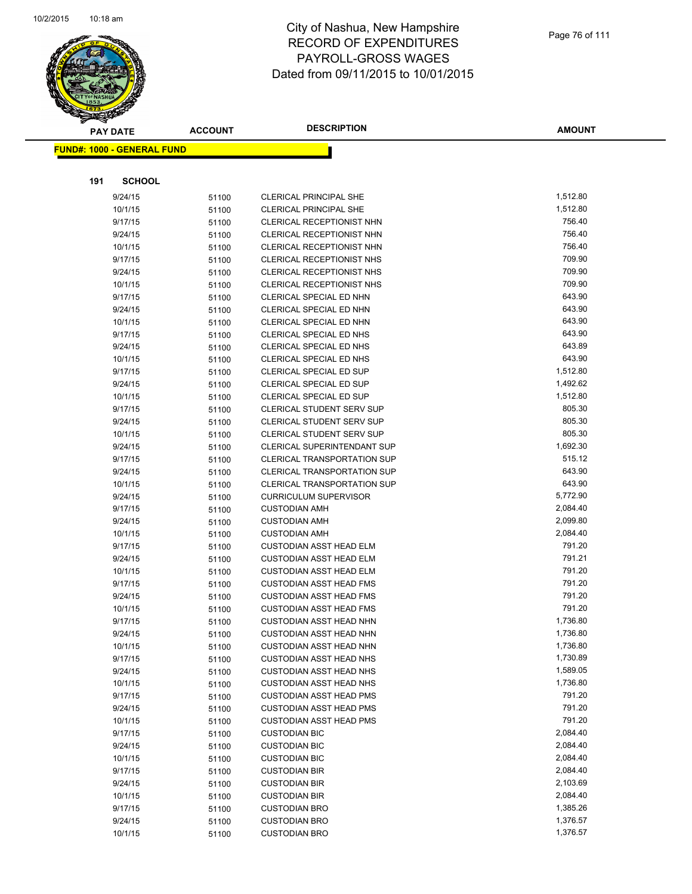

|     | <b>PAY DATE</b>                   | <b>ACCOUNT</b> | <b>DESCRIPTION</b>                                 | <b>AMOUNT</b>    |
|-----|-----------------------------------|----------------|----------------------------------------------------|------------------|
|     | <b>FUND#: 1000 - GENERAL FUND</b> |                |                                                    |                  |
|     |                                   |                |                                                    |                  |
|     |                                   |                |                                                    |                  |
| 191 | <b>SCHOOL</b>                     |                |                                                    |                  |
|     | 9/24/15                           | 51100          | <b>CLERICAL PRINCIPAL SHE</b>                      | 1,512.80         |
|     | 10/1/15                           | 51100          | <b>CLERICAL PRINCIPAL SHE</b>                      | 1,512.80         |
|     | 9/17/15                           | 51100          | <b>CLERICAL RECEPTIONIST NHN</b>                   | 756.40           |
|     | 9/24/15                           | 51100          | <b>CLERICAL RECEPTIONIST NHN</b>                   | 756.40           |
|     | 10/1/15                           | 51100          | CLERICAL RECEPTIONIST NHN                          | 756.40           |
|     | 9/17/15                           | 51100          | CLERICAL RECEPTIONIST NHS                          | 709.90           |
|     | 9/24/15                           | 51100          | <b>CLERICAL RECEPTIONIST NHS</b>                   | 709.90<br>709.90 |
|     | 10/1/15                           | 51100          | <b>CLERICAL RECEPTIONIST NHS</b>                   | 643.90           |
|     | 9/17/15<br>9/24/15                | 51100          | CLERICAL SPECIAL ED NHN<br>CLERICAL SPECIAL ED NHN | 643.90           |
|     | 10/1/15                           | 51100<br>51100 | CLERICAL SPECIAL ED NHN                            | 643.90           |
|     | 9/17/15                           | 51100          | CLERICAL SPECIAL ED NHS                            | 643.90           |
|     | 9/24/15                           | 51100          | CLERICAL SPECIAL ED NHS                            | 643.89           |
|     | 10/1/15                           | 51100          | CLERICAL SPECIAL ED NHS                            | 643.90           |
|     | 9/17/15                           | 51100          | CLERICAL SPECIAL ED SUP                            | 1,512.80         |
|     | 9/24/15                           | 51100          | CLERICAL SPECIAL ED SUP                            | 1,492.62         |
|     | 10/1/15                           | 51100          | CLERICAL SPECIAL ED SUP                            | 1,512.80         |
|     | 9/17/15                           | 51100          | <b>CLERICAL STUDENT SERV SUP</b>                   | 805.30           |
|     | 9/24/15                           | 51100          | <b>CLERICAL STUDENT SERV SUP</b>                   | 805.30           |
|     | 10/1/15                           | 51100          | CLERICAL STUDENT SERV SUP                          | 805.30           |
|     | 9/24/15                           | 51100          | CLERICAL SUPERINTENDANT SUP                        | 1,692.30         |
|     | 9/17/15                           | 51100          | <b>CLERICAL TRANSPORTATION SUP</b>                 | 515.12           |
|     | 9/24/15                           | 51100          | <b>CLERICAL TRANSPORTATION SUP</b>                 | 643.90           |
|     | 10/1/15                           | 51100          | <b>CLERICAL TRANSPORTATION SUP</b>                 | 643.90           |
|     | 9/24/15                           | 51100          | <b>CURRICULUM SUPERVISOR</b>                       | 5,772.90         |
|     | 9/17/15                           | 51100          | <b>CUSTODIAN AMH</b>                               | 2,084.40         |
|     | 9/24/15                           | 51100          | <b>CUSTODIAN AMH</b>                               | 2,099.80         |
|     | 10/1/15                           | 51100          | <b>CUSTODIAN AMH</b>                               | 2,084.40         |
|     | 9/17/15                           | 51100          | <b>CUSTODIAN ASST HEAD ELM</b>                     | 791.20           |
|     | 9/24/15                           | 51100          | <b>CUSTODIAN ASST HEAD ELM</b>                     | 791.21           |
|     | 10/1/15                           | 51100          | <b>CUSTODIAN ASST HEAD ELM</b>                     | 791.20           |
|     | 9/17/15                           | 51100          | <b>CUSTODIAN ASST HEAD FMS</b>                     | 791.20           |
|     | 9/24/15                           | 51100          | <b>CUSTODIAN ASST HEAD FMS</b>                     | 791.20           |
|     | 10/1/15                           | 51100          | <b>CUSTODIAN ASST HEAD FMS</b>                     | 791.20           |
|     | 9/17/15                           | 51100          | <b>CUSTODIAN ASST HEAD NHN</b>                     | 1,736.80         |
|     | 9/24/15                           | 51100          | <b>CUSTODIAN ASST HEAD NHN</b>                     | 1,736.80         |
|     | 10/1/15                           | 51100          | <b>CUSTODIAN ASST HEAD NHN</b>                     | 1,736.80         |
|     | 9/17/15                           | 51100          | <b>CUSTODIAN ASST HEAD NHS</b>                     | 1,730.89         |
|     | 9/24/15                           | 51100          | <b>CUSTODIAN ASST HEAD NHS</b>                     | 1,589.05         |
|     | 10/1/15                           | 51100          | <b>CUSTODIAN ASST HEAD NHS</b>                     | 1,736.80         |
|     | 9/17/15                           | 51100          | <b>CUSTODIAN ASST HEAD PMS</b>                     | 791.20           |
|     | 9/24/15                           | 51100          | <b>CUSTODIAN ASST HEAD PMS</b>                     | 791.20           |
|     | 10/1/15                           | 51100          | <b>CUSTODIAN ASST HEAD PMS</b>                     | 791.20           |
|     | 9/17/15                           | 51100          | <b>CUSTODIAN BIC</b>                               | 2,084.40         |
|     | 9/24/15                           | 51100          | <b>CUSTODIAN BIC</b>                               | 2,084.40         |
|     | 10/1/15                           | 51100          | <b>CUSTODIAN BIC</b>                               | 2,084.40         |
|     | 9/17/15                           | 51100          | <b>CUSTODIAN BIR</b>                               | 2,084.40         |
|     | 9/24/15                           | 51100          | <b>CUSTODIAN BIR</b>                               | 2,103.69         |
|     | 10/1/15                           | 51100          | <b>CUSTODIAN BIR</b>                               | 2,084.40         |
|     | 9/17/15                           | 51100          | <b>CUSTODIAN BRO</b>                               | 1,385.26         |
|     | 9/24/15                           | 51100          | <b>CUSTODIAN BRO</b>                               | 1,376.57         |
|     | 10/1/15                           | 51100          | <b>CUSTODIAN BRO</b>                               | 1,376.57         |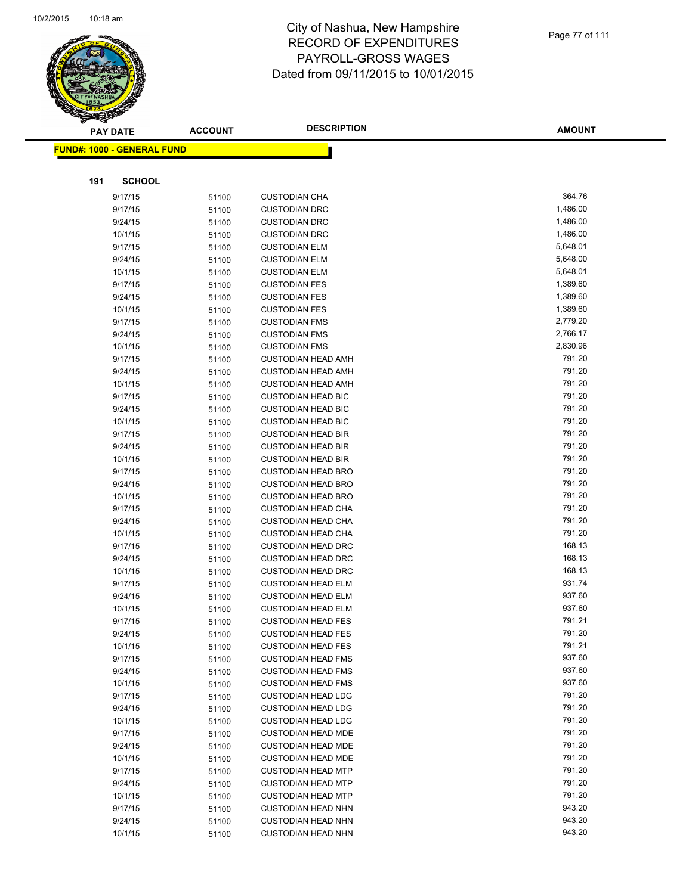

**AMOUNT**

|     | <b>FUND#: 1000 - GENERAL FUND</b> |                |                                                        |                  |
|-----|-----------------------------------|----------------|--------------------------------------------------------|------------------|
|     |                                   |                |                                                        |                  |
| 191 | <b>SCHOOL</b>                     |                |                                                        |                  |
|     | 9/17/15                           | 51100          | <b>CUSTODIAN CHA</b>                                   | 364.76           |
|     | 9/17/15                           | 51100          | <b>CUSTODIAN DRC</b>                                   | 1,486.00         |
|     | 9/24/15                           | 51100          | <b>CUSTODIAN DRC</b>                                   | 1,486.00         |
|     | 10/1/15                           | 51100          | <b>CUSTODIAN DRC</b>                                   | 1,486.00         |
|     | 9/17/15                           | 51100          | <b>CUSTODIAN ELM</b>                                   | 5,648.01         |
|     | 9/24/15                           | 51100          | <b>CUSTODIAN ELM</b>                                   | 5,648.00         |
|     | 10/1/15                           | 51100          | <b>CUSTODIAN ELM</b>                                   | 5,648.01         |
|     | 9/17/15                           | 51100          | <b>CUSTODIAN FES</b>                                   | 1,389.60         |
|     | 9/24/15                           | 51100          | <b>CUSTODIAN FES</b>                                   | 1,389.60         |
|     | 10/1/15                           | 51100          | <b>CUSTODIAN FES</b>                                   | 1,389.60         |
|     | 9/17/15                           | 51100          | <b>CUSTODIAN FMS</b>                                   | 2,779.20         |
|     | 9/24/15                           | 51100          | <b>CUSTODIAN FMS</b>                                   | 2,766.17         |
|     | 10/1/15                           | 51100          | <b>CUSTODIAN FMS</b>                                   | 2,830.96         |
|     | 9/17/15                           | 51100          | <b>CUSTODIAN HEAD AMH</b>                              | 791.20           |
|     | 9/24/15                           | 51100          | <b>CUSTODIAN HEAD AMH</b>                              | 791.20           |
|     | 10/1/15                           | 51100          | <b>CUSTODIAN HEAD AMH</b>                              | 791.20           |
|     | 9/17/15                           | 51100          | <b>CUSTODIAN HEAD BIC</b>                              | 791.20           |
|     | 9/24/15                           | 51100          | <b>CUSTODIAN HEAD BIC</b>                              | 791.20           |
|     | 10/1/15                           | 51100          | <b>CUSTODIAN HEAD BIC</b>                              | 791.20<br>791.20 |
|     | 9/17/15                           | 51100          | <b>CUSTODIAN HEAD BIR</b><br><b>CUSTODIAN HEAD BIR</b> | 791.20           |
|     | 9/24/15<br>10/1/15                | 51100          | <b>CUSTODIAN HEAD BIR</b>                              | 791.20           |
|     | 9/17/15                           | 51100<br>51100 | <b>CUSTODIAN HEAD BRO</b>                              | 791.20           |
|     | 9/24/15                           | 51100          | <b>CUSTODIAN HEAD BRO</b>                              | 791.20           |
|     | 10/1/15                           | 51100          | <b>CUSTODIAN HEAD BRO</b>                              | 791.20           |
|     | 9/17/15                           | 51100          | <b>CUSTODIAN HEAD CHA</b>                              | 791.20           |
|     | 9/24/15                           | 51100          | <b>CUSTODIAN HEAD CHA</b>                              | 791.20           |
|     | 10/1/15                           | 51100          | <b>CUSTODIAN HEAD CHA</b>                              | 791.20           |
|     | 9/17/15                           | 51100          | <b>CUSTODIAN HEAD DRC</b>                              | 168.13           |
|     | 9/24/15                           | 51100          | <b>CUSTODIAN HEAD DRC</b>                              | 168.13           |
|     | 10/1/15                           | 51100          | <b>CUSTODIAN HEAD DRC</b>                              | 168.13           |
|     | 9/17/15                           | 51100          | <b>CUSTODIAN HEAD ELM</b>                              | 931.74           |
|     | 9/24/15                           | 51100          | <b>CUSTODIAN HEAD ELM</b>                              | 937.60           |
|     | 10/1/15                           | 51100          | <b>CUSTODIAN HEAD ELM</b>                              | 937.60           |
|     | 9/17/15                           | 51100          | <b>CUSTODIAN HEAD FES</b>                              | 791.21           |
|     | 9/24/15                           | 51100          | <b>CUSTODIAN HEAD FES</b>                              | 791.20           |
|     | 10/1/15                           | 51100          | <b>CUSTODIAN HEAD FES</b>                              | 791.21           |
|     | 9/17/15                           | 51100          | <b>CUSTODIAN HEAD FMS</b>                              | 937.60           |
|     | 9/24/15                           | 51100          | <b>CUSTODIAN HEAD FMS</b>                              | 937.60           |
|     | 10/1/15                           | 51100          | <b>CUSTODIAN HEAD FMS</b>                              | 937.60           |
|     | 9/17/15                           | 51100          | <b>CUSTODIAN HEAD LDG</b>                              | 791.20           |
|     | 9/24/15                           | 51100          | <b>CUSTODIAN HEAD LDG</b>                              | 791.20           |
|     | 10/1/15                           | 51100          | <b>CUSTODIAN HEAD LDG</b>                              | 791.20           |
|     | 9/17/15                           | 51100          | <b>CUSTODIAN HEAD MDE</b>                              | 791.20           |
|     | 9/24/15                           | 51100          | <b>CUSTODIAN HEAD MDE</b>                              | 791.20           |
|     | 10/1/15                           | 51100          | <b>CUSTODIAN HEAD MDE</b>                              | 791.20<br>791.20 |
|     | 9/17/15<br>9/24/15                | 51100          | <b>CUSTODIAN HEAD MTP</b><br><b>CUSTODIAN HEAD MTP</b> | 791.20           |
|     | 10/1/15                           | 51100<br>51100 | <b>CUSTODIAN HEAD MTP</b>                              | 791.20           |
|     | 9/17/15                           | 51100          | <b>CUSTODIAN HEAD NHN</b>                              | 943.20           |
|     | 9/24/15                           | 51100          | <b>CUSTODIAN HEAD NHN</b>                              | 943.20           |
|     | 10/1/15                           | 51100          | <b>CUSTODIAN HEAD NHN</b>                              | 943.20           |
|     |                                   |                |                                                        |                  |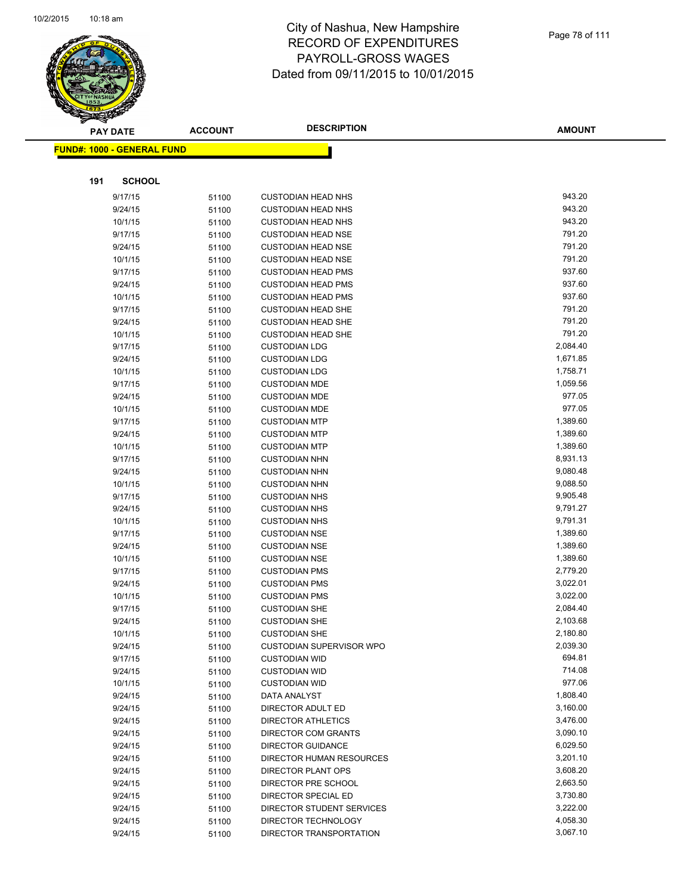

|     | <b>PAY DATE</b>                   | <b>ACCOUNT</b> | <b>DESCRIPTION</b>                                      | <b>AMOUNT</b>        |
|-----|-----------------------------------|----------------|---------------------------------------------------------|----------------------|
|     | <b>FUND#: 1000 - GENERAL FUND</b> |                |                                                         |                      |
|     |                                   |                |                                                         |                      |
| 191 | <b>SCHOOL</b>                     |                |                                                         |                      |
|     | 9/17/15                           | 51100          | <b>CUSTODIAN HEAD NHS</b>                               | 943.20               |
|     | 9/24/15                           | 51100          | <b>CUSTODIAN HEAD NHS</b>                               | 943.20               |
|     | 10/1/15                           | 51100          | <b>CUSTODIAN HEAD NHS</b>                               | 943.20               |
|     | 9/17/15                           | 51100          | <b>CUSTODIAN HEAD NSE</b>                               | 791.20               |
|     | 9/24/15                           | 51100          | <b>CUSTODIAN HEAD NSE</b>                               | 791.20               |
|     | 10/1/15                           | 51100          | <b>CUSTODIAN HEAD NSE</b>                               | 791.20               |
|     | 9/17/15                           | 51100          | <b>CUSTODIAN HEAD PMS</b>                               | 937.60               |
|     | 9/24/15                           | 51100          | <b>CUSTODIAN HEAD PMS</b>                               | 937.60               |
|     | 10/1/15                           | 51100          | <b>CUSTODIAN HEAD PMS</b>                               | 937.60               |
|     | 9/17/15                           | 51100          | <b>CUSTODIAN HEAD SHE</b>                               | 791.20               |
|     | 9/24/15                           | 51100          | <b>CUSTODIAN HEAD SHE</b>                               | 791.20               |
|     | 10/1/15                           | 51100          | <b>CUSTODIAN HEAD SHE</b>                               | 791.20               |
|     | 9/17/15                           | 51100          | <b>CUSTODIAN LDG</b>                                    | 2,084.40             |
|     | 9/24/15                           | 51100          | <b>CUSTODIAN LDG</b>                                    | 1,671.85             |
|     | 10/1/15                           | 51100          | <b>CUSTODIAN LDG</b>                                    | 1,758.71             |
|     | 9/17/15                           | 51100          | <b>CUSTODIAN MDE</b>                                    | 1,059.56             |
|     | 9/24/15                           | 51100          | <b>CUSTODIAN MDE</b>                                    | 977.05               |
|     | 10/1/15                           | 51100          | <b>CUSTODIAN MDE</b>                                    | 977.05               |
|     | 9/17/15                           | 51100          | <b>CUSTODIAN MTP</b>                                    | 1,389.60             |
|     | 9/24/15                           | 51100          | <b>CUSTODIAN MTP</b>                                    | 1,389.60             |
|     | 10/1/15                           | 51100          | <b>CUSTODIAN MTP</b>                                    | 1,389.60             |
|     | 9/17/15                           | 51100          | <b>CUSTODIAN NHN</b>                                    | 8,931.13             |
|     | 9/24/15                           | 51100          | <b>CUSTODIAN NHN</b>                                    | 9,080.48             |
|     | 10/1/15                           | 51100          | <b>CUSTODIAN NHN</b>                                    | 9,088.50             |
|     | 9/17/15                           | 51100          | <b>CUSTODIAN NHS</b>                                    | 9,905.48             |
|     | 9/24/15                           | 51100          | <b>CUSTODIAN NHS</b>                                    | 9,791.27             |
|     | 10/1/15                           | 51100          | <b>CUSTODIAN NHS</b>                                    | 9,791.31             |
|     | 9/17/15                           | 51100          | <b>CUSTODIAN NSE</b>                                    | 1,389.60             |
|     | 9/24/15                           | 51100          | <b>CUSTODIAN NSE</b>                                    | 1,389.60             |
|     | 10/1/15                           | 51100          | <b>CUSTODIAN NSE</b>                                    | 1,389.60             |
|     | 9/17/15                           | 51100          | <b>CUSTODIAN PMS</b>                                    | 2,779.20             |
|     | 9/24/15                           | 51100          | <b>CUSTODIAN PMS</b>                                    | 3,022.01             |
|     | 10/1/15                           | 51100          | <b>CUSTODIAN PMS</b>                                    | 3,022.00             |
|     | 9/17/15                           | 51100          | <b>CUSTODIAN SHE</b><br><b>CUSTODIAN SHE</b>            | 2,084.40<br>2,103.68 |
|     | 9/24/15<br>10/1/15                | 51100          |                                                         | 2,180.80             |
|     | 9/24/15                           | 51100          | <b>CUSTODIAN SHE</b><br><b>CUSTODIAN SUPERVISOR WPO</b> | 2,039.30             |
|     | 9/17/15                           | 51100          | <b>CUSTODIAN WID</b>                                    | 694.81               |
|     | 9/24/15                           | 51100<br>51100 | <b>CUSTODIAN WID</b>                                    | 714.08               |
|     | 10/1/15                           | 51100          | <b>CUSTODIAN WID</b>                                    | 977.06               |
|     | 9/24/15                           | 51100          | DATA ANALYST                                            | 1,808.40             |
|     | 9/24/15                           | 51100          | DIRECTOR ADULT ED                                       | 3,160.00             |
|     | 9/24/15                           | 51100          | <b>DIRECTOR ATHLETICS</b>                               | 3,476.00             |
|     | 9/24/15                           | 51100          | <b>DIRECTOR COM GRANTS</b>                              | 3,090.10             |
|     | 9/24/15                           | 51100          | DIRECTOR GUIDANCE                                       | 6,029.50             |
|     | 9/24/15                           | 51100          | DIRECTOR HUMAN RESOURCES                                | 3,201.10             |
|     | 9/24/15                           | 51100          | DIRECTOR PLANT OPS                                      | 3,608.20             |
|     | 9/24/15                           | 51100          | DIRECTOR PRE SCHOOL                                     | 2,663.50             |
|     | 9/24/15                           | 51100          | DIRECTOR SPECIAL ED                                     | 3,730.80             |
|     | 9/24/15                           | 51100          | DIRECTOR STUDENT SERVICES                               | 3,222.00             |
|     | 9/24/15                           | 51100          | DIRECTOR TECHNOLOGY                                     | 4,058.30             |
|     | 9/24/15                           | 51100          | DIRECTOR TRANSPORTATION                                 | 3,067.10             |
|     |                                   |                |                                                         |                      |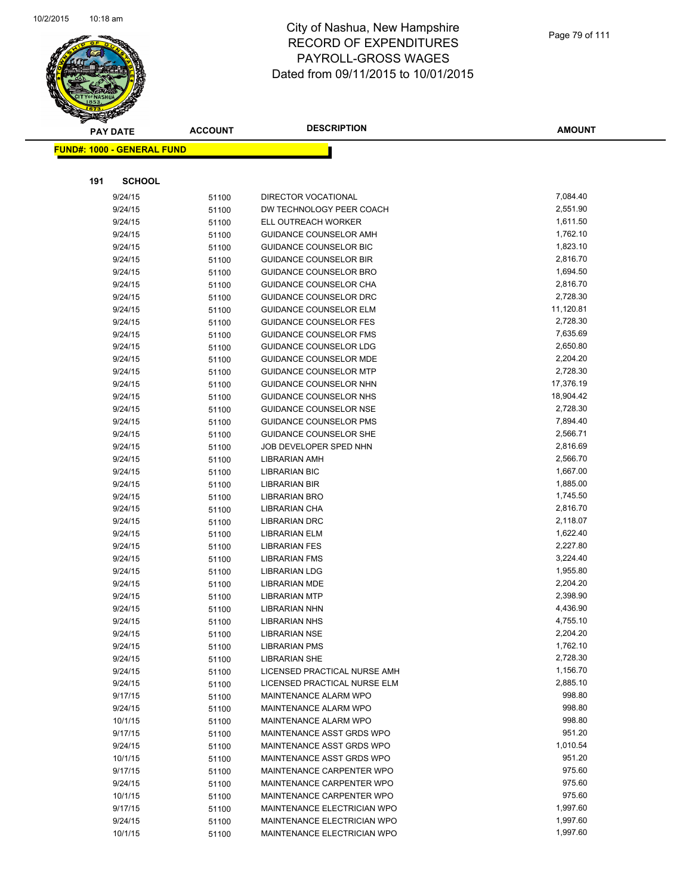

|     | <b>PAY DATE</b>                   | <b>ACCOUNT</b> | <b>DESCRIPTION</b>            | <b>AMOUNT</b> |
|-----|-----------------------------------|----------------|-------------------------------|---------------|
|     | <b>FUND#: 1000 - GENERAL FUND</b> |                |                               |               |
|     |                                   |                |                               |               |
| 191 | <b>SCHOOL</b>                     |                |                               |               |
|     | 9/24/15                           |                | <b>DIRECTOR VOCATIONAL</b>    | 7,084.40      |
|     | 9/24/15                           | 51100<br>51100 | DW TECHNOLOGY PEER COACH      | 2,551.90      |
|     | 9/24/15                           | 51100          | ELL OUTREACH WORKER           | 1,611.50      |
|     | 9/24/15                           | 51100          | GUIDANCE COUNSELOR AMH        | 1,762.10      |
|     | 9/24/15                           | 51100          | <b>GUIDANCE COUNSELOR BIC</b> | 1,823.10      |
|     | 9/24/15                           | 51100          | <b>GUIDANCE COUNSELOR BIR</b> | 2,816.70      |
|     | 9/24/15                           | 51100          | <b>GUIDANCE COUNSELOR BRO</b> | 1,694.50      |
|     | 9/24/15                           | 51100          | GUIDANCE COUNSELOR CHA        | 2,816.70      |
|     | 9/24/15                           | 51100          | GUIDANCE COUNSELOR DRC        | 2,728.30      |
|     | 9/24/15                           | 51100          | <b>GUIDANCE COUNSELOR ELM</b> | 11,120.81     |
|     | 9/24/15                           | 51100          | <b>GUIDANCE COUNSELOR FES</b> | 2,728.30      |
|     | 9/24/15                           | 51100          | <b>GUIDANCE COUNSELOR FMS</b> | 7,635.69      |
|     | 9/24/15                           | 51100          | <b>GUIDANCE COUNSELOR LDG</b> | 2,650.80      |
|     | 9/24/15                           | 51100          | <b>GUIDANCE COUNSELOR MDE</b> | 2,204.20      |
|     | 9/24/15                           | 51100          | <b>GUIDANCE COUNSELOR MTP</b> | 2,728.30      |
|     | 9/24/15                           | 51100          | <b>GUIDANCE COUNSELOR NHN</b> | 17,376.19     |
|     | 9/24/15                           | 51100          | <b>GUIDANCE COUNSELOR NHS</b> | 18,904.42     |
|     | 9/24/15                           | 51100          | <b>GUIDANCE COUNSELOR NSE</b> | 2,728.30      |
|     | 9/24/15                           | 51100          | <b>GUIDANCE COUNSELOR PMS</b> | 7,894.40      |
|     | 9/24/15                           | 51100          | <b>GUIDANCE COUNSELOR SHE</b> | 2,566.71      |
|     | 9/24/15                           | 51100          | JOB DEVELOPER SPED NHN        | 2,816.69      |
|     | 9/24/15                           | 51100          | <b>LIBRARIAN AMH</b>          | 2,566.70      |
|     | 9/24/15                           | 51100          | <b>LIBRARIAN BIC</b>          | 1,667.00      |
|     | 9/24/15                           | 51100          | <b>LIBRARIAN BIR</b>          | 1,885.00      |
|     | 9/24/15                           | 51100          | <b>LIBRARIAN BRO</b>          | 1,745.50      |
|     | 9/24/15                           | 51100          | LIBRARIAN CHA                 | 2,816.70      |
|     | 9/24/15                           | 51100          | <b>LIBRARIAN DRC</b>          | 2,118.07      |
|     | 9/24/15                           | 51100          | <b>LIBRARIAN ELM</b>          | 1,622.40      |
|     | 9/24/15                           | 51100          | <b>LIBRARIAN FES</b>          | 2,227.80      |
|     | 9/24/15                           | 51100          | <b>LIBRARIAN FMS</b>          | 3,224.40      |
|     | 9/24/15                           | 51100          | <b>LIBRARIAN LDG</b>          | 1,955.80      |
|     | 9/24/15                           | 51100          | <b>LIBRARIAN MDE</b>          | 2,204.20      |
|     | 9/24/15                           | 51100          | <b>LIBRARIAN MTP</b>          | 2,398.90      |
|     | 9/24/15                           | 51100          | <b>LIBRARIAN NHN</b>          | 4,436.90      |
|     | 9/24/15                           | 51100          | <b>LIBRARIAN NHS</b>          | 4,755.10      |
|     | 9/24/15                           | 51100          | <b>LIBRARIAN NSE</b>          | 2,204.20      |
|     | 9/24/15                           | 51100          | <b>LIBRARIAN PMS</b>          | 1,762.10      |
|     | 9/24/15                           | 51100          | <b>LIBRARIAN SHE</b>          | 2,728.30      |
|     | 9/24/15                           | 51100          | LICENSED PRACTICAL NURSE AMH  | 1,156.70      |
|     | 9/24/15                           | 51100          | LICENSED PRACTICAL NURSE ELM  | 2,885.10      |
|     | 9/17/15                           | 51100          | MAINTENANCE ALARM WPO         | 998.80        |
|     | 9/24/15                           | 51100          | MAINTENANCE ALARM WPO         | 998.80        |
|     | 10/1/15                           | 51100          | MAINTENANCE ALARM WPO         | 998.80        |
|     | 9/17/15                           | 51100          | MAINTENANCE ASST GRDS WPO     | 951.20        |
|     | 9/24/15                           | 51100          | MAINTENANCE ASST GRDS WPO     | 1,010.54      |
|     | 10/1/15                           | 51100          | MAINTENANCE ASST GRDS WPO     | 951.20        |
|     | 9/17/15                           | 51100          | MAINTENANCE CARPENTER WPO     | 975.60        |
|     | 9/24/15                           | 51100          | MAINTENANCE CARPENTER WPO     | 975.60        |
|     | 10/1/15                           | 51100          | MAINTENANCE CARPENTER WPO     | 975.60        |
|     | 9/17/15                           | 51100          | MAINTENANCE ELECTRICIAN WPO   | 1,997.60      |
|     | 9/24/15                           | 51100          | MAINTENANCE ELECTRICIAN WPO   | 1,997.60      |
|     | 10/1/15                           | 51100          | MAINTENANCE ELECTRICIAN WPO   | 1,997.60      |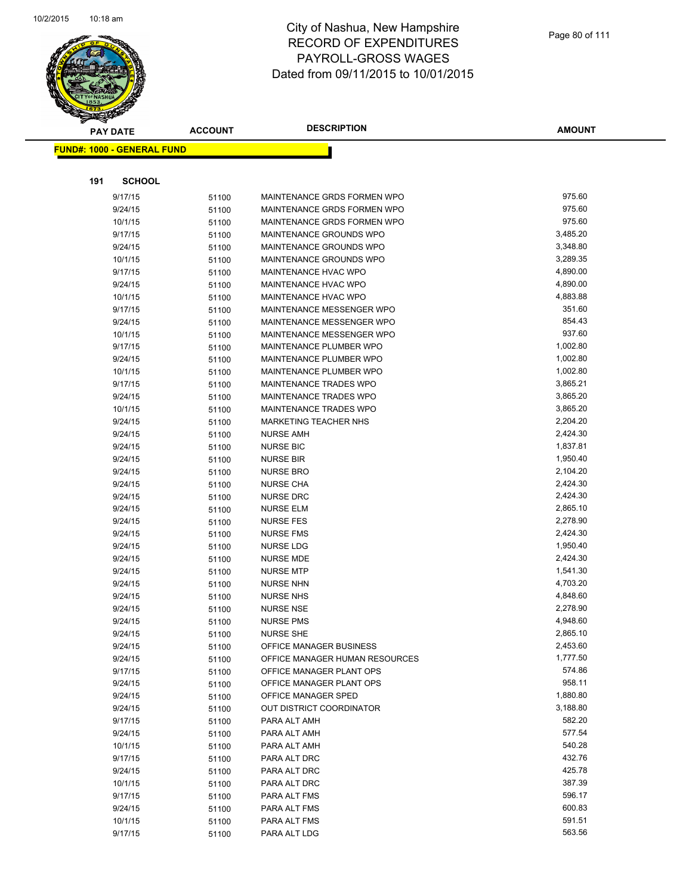

**AMOUNT**

|     | <b>FUND#: 1000 - GENERAL FUND</b> |                |                                          |                    |
|-----|-----------------------------------|----------------|------------------------------------------|--------------------|
|     |                                   |                |                                          |                    |
| 191 | <b>SCHOOL</b>                     |                |                                          |                    |
|     | 9/17/15                           | 51100          | MAINTENANCE GRDS FORMEN WPO              | 975.60             |
|     | 9/24/15                           | 51100          | MAINTENANCE GRDS FORMEN WPO              | 975.60             |
|     | 10/1/15                           | 51100          | MAINTENANCE GRDS FORMEN WPO              | 975.60             |
|     | 9/17/15                           | 51100          | MAINTENANCE GROUNDS WPO                  | 3,485.20           |
|     | 9/24/15                           | 51100          | MAINTENANCE GROUNDS WPO                  | 3,348.80           |
|     | 10/1/15                           | 51100          | MAINTENANCE GROUNDS WPO                  | 3,289.35           |
|     | 9/17/15                           | 51100          | MAINTENANCE HVAC WPO                     | 4,890.00           |
|     | 9/24/15                           | 51100          | MAINTENANCE HVAC WPO                     | 4,890.00           |
|     | 10/1/15                           | 51100          | MAINTENANCE HVAC WPO                     | 4,883.88           |
|     | 9/17/15                           | 51100          | MAINTENANCE MESSENGER WPO                | 351.60             |
|     | 9/24/15                           | 51100          | MAINTENANCE MESSENGER WPO                | 854.43             |
|     | 10/1/15                           | 51100          | MAINTENANCE MESSENGER WPO                | 937.60             |
|     | 9/17/15                           | 51100          | MAINTENANCE PLUMBER WPO                  | 1,002.80           |
|     | 9/24/15                           | 51100          | MAINTENANCE PLUMBER WPO                  | 1,002.80           |
|     | 10/1/15                           | 51100          | MAINTENANCE PLUMBER WPO                  | 1,002.80           |
|     | 9/17/15                           | 51100          | MAINTENANCE TRADES WPO                   | 3,865.21           |
|     | 9/24/15                           | 51100          | <b>MAINTENANCE TRADES WPO</b>            | 3,865.20           |
|     | 10/1/15                           | 51100          | MAINTENANCE TRADES WPO                   | 3,865.20           |
|     | 9/24/15                           | 51100          | <b>MARKETING TEACHER NHS</b>             | 2,204.20           |
|     | 9/24/15                           | 51100          | <b>NURSE AMH</b>                         | 2,424.30           |
|     | 9/24/15                           | 51100          | <b>NURSE BIC</b>                         | 1,837.81           |
|     | 9/24/15                           | 51100          | <b>NURSE BIR</b>                         | 1,950.40           |
|     | 9/24/15                           | 51100          | <b>NURSE BRO</b>                         | 2,104.20           |
|     | 9/24/15                           | 51100          | <b>NURSE CHA</b>                         | 2,424.30           |
|     | 9/24/15                           | 51100          | <b>NURSE DRC</b>                         | 2,424.30           |
|     | 9/24/15                           | 51100          | <b>NURSE ELM</b>                         | 2,865.10           |
|     | 9/24/15                           | 51100          | <b>NURSE FES</b>                         | 2,278.90           |
|     | 9/24/15                           | 51100          | <b>NURSE FMS</b>                         | 2,424.30           |
|     | 9/24/15                           | 51100          | <b>NURSE LDG</b>                         | 1,950.40           |
|     | 9/24/15                           | 51100          | <b>NURSE MDE</b>                         | 2,424.30           |
|     | 9/24/15                           | 51100          | <b>NURSE MTP</b>                         | 1,541.30           |
|     | 9/24/15                           | 51100          | <b>NURSE NHN</b>                         | 4,703.20           |
|     | 9/24/15                           | 51100          | <b>NURSE NHS</b>                         | 4,848.60           |
|     | 9/24/15                           | 51100          | <b>NURSE NSE</b>                         | 2,278.90           |
|     | 9/24/15                           | 51100          | <b>NURSE PMS</b>                         | 4,948.60           |
|     | 9/24/15                           | 51100          | <b>NURSE SHE</b>                         | 2,865.10           |
|     | 9/24/15                           | 51100          | OFFICE MANAGER BUSINESS                  | 2,453.60           |
|     | 9/24/15                           | 51100          | OFFICE MANAGER HUMAN RESOURCES           | 1,777.50<br>574.86 |
|     | 9/17/15                           | 51100          | OFFICE MANAGER PLANT OPS                 | 958.11             |
|     | 9/24/15                           | 51100          | OFFICE MANAGER PLANT OPS                 | 1,880.80           |
|     | 9/24/15                           | 51100          | OFFICE MANAGER SPED                      | 3,188.80           |
|     | 9/24/15<br>9/17/15                | 51100          | OUT DISTRICT COORDINATOR<br>PARA ALT AMH | 582.20             |
|     | 9/24/15                           | 51100          |                                          | 577.54             |
|     | 10/1/15                           | 51100<br>51100 | PARA ALT AMH<br>PARA ALT AMH             | 540.28             |
|     | 9/17/15                           | 51100          | PARA ALT DRC                             | 432.76             |
|     | 9/24/15                           | 51100          | PARA ALT DRC                             | 425.78             |
|     | 10/1/15                           | 51100          | PARA ALT DRC                             | 387.39             |
|     | 9/17/15                           | 51100          | PARA ALT FMS                             | 596.17             |
|     | 9/24/15                           | 51100          | PARA ALT FMS                             | 600.83             |
|     | 10/1/15                           | 51100          | PARA ALT FMS                             | 591.51             |
|     | 9/17/15                           | 51100          | PARA ALT LDG                             | 563.56             |
|     |                                   |                |                                          |                    |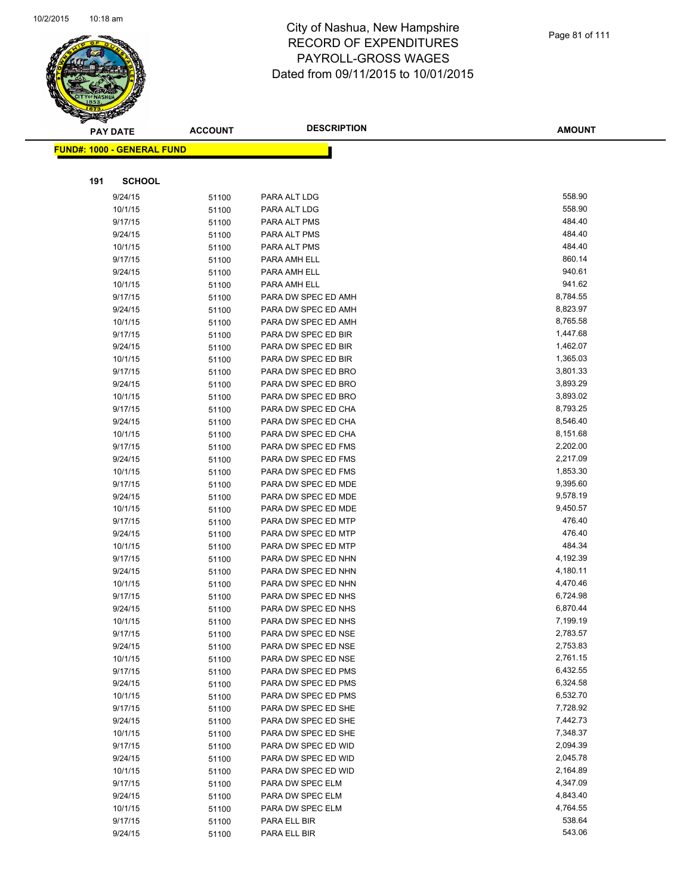

| $\tilde{\phantom{a}}$ | <b>PAY DATE</b>                    | <b>ACCOUNT</b> | <b>DESCRIPTION</b>                         | <b>AMOUNT</b>        |
|-----------------------|------------------------------------|----------------|--------------------------------------------|----------------------|
|                       | <u> FUND#: 1000 - GENERAL FUND</u> |                |                                            |                      |
|                       |                                    |                |                                            |                      |
| 191                   | <b>SCHOOL</b>                      |                |                                            |                      |
|                       | 9/24/15                            | 51100          | PARA ALT LDG                               | 558.90               |
|                       | 10/1/15                            | 51100          | PARA ALT LDG                               | 558.90               |
|                       | 9/17/15                            | 51100          | PARA ALT PMS                               | 484.40               |
|                       | 9/24/15                            | 51100          | PARA ALT PMS                               | 484.40               |
|                       | 10/1/15                            | 51100          | PARA ALT PMS                               | 484.40               |
|                       | 9/17/15                            | 51100          | PARA AMH ELL                               | 860.14               |
|                       | 9/24/15                            | 51100          | PARA AMH ELL                               | 940.61               |
|                       | 10/1/15                            | 51100          | PARA AMH ELL                               | 941.62               |
|                       | 9/17/15                            | 51100          | PARA DW SPEC ED AMH                        | 8,784.55             |
|                       | 9/24/15                            | 51100          | PARA DW SPEC ED AMH                        | 8,823.97             |
|                       | 10/1/15                            | 51100          | PARA DW SPEC ED AMH                        | 8,765.58             |
|                       | 9/17/15                            | 51100          | PARA DW SPEC ED BIR                        | 1,447.68             |
|                       | 9/24/15                            | 51100          | PARA DW SPEC ED BIR                        | 1,462.07             |
|                       | 10/1/15                            | 51100          | PARA DW SPEC ED BIR                        | 1,365.03             |
|                       | 9/17/15                            | 51100          | PARA DW SPEC ED BRO                        | 3,801.33             |
|                       | 9/24/15                            | 51100          | PARA DW SPEC ED BRO                        | 3,893.29             |
|                       | 10/1/15                            | 51100          | PARA DW SPEC ED BRO                        | 3,893.02             |
|                       | 9/17/15                            | 51100          | PARA DW SPEC ED CHA                        | 8,793.25             |
|                       | 9/24/15                            | 51100          | PARA DW SPEC ED CHA                        | 8,546.40             |
|                       | 10/1/15                            | 51100          | PARA DW SPEC ED CHA                        | 8,151.68             |
|                       | 9/17/15                            | 51100          | PARA DW SPEC ED FMS                        | 2,202.00             |
|                       | 9/24/15                            | 51100          | PARA DW SPEC ED FMS                        | 2,217.09             |
|                       | 10/1/15                            | 51100          | PARA DW SPEC ED FMS                        | 1,853.30             |
|                       | 9/17/15                            | 51100          | PARA DW SPEC ED MDE                        | 9,395.60             |
|                       | 9/24/15                            | 51100          | PARA DW SPEC ED MDE                        | 9,578.19             |
|                       | 10/1/15                            | 51100          | PARA DW SPEC ED MDE                        | 9,450.57             |
|                       | 9/17/15                            | 51100          | PARA DW SPEC ED MTP                        | 476.40               |
|                       | 9/24/15                            | 51100          | PARA DW SPEC ED MTP                        | 476.40               |
|                       | 10/1/15                            | 51100          | PARA DW SPEC ED MTP                        | 484.34               |
|                       | 9/17/15                            | 51100          | PARA DW SPEC ED NHN                        | 4,192.39             |
|                       | 9/24/15                            | 51100          | PARA DW SPEC ED NHN                        | 4,180.11             |
|                       | 10/1/15                            | 51100          | PARA DW SPEC ED NHN                        | 4,470.46             |
|                       | 9/17/15                            | 51100          | PARA DW SPEC ED NHS                        | 6,724.98             |
|                       | 9/24/15                            | 51100          | PARA DW SPEC ED NHS                        | 6,870.44             |
|                       | 10/1/15                            | 51100          | PARA DW SPEC ED NHS                        | 7,199.19             |
|                       | 9/17/15                            | 51100          | PARA DW SPEC ED NSE                        | 2,783.57             |
|                       | 9/24/15                            | 51100          | PARA DW SPEC ED NSE                        | 2,753.83             |
|                       | 10/1/15                            | 51100          | PARA DW SPEC ED NSE                        | 2,761.15             |
|                       | 9/17/15                            | 51100          | PARA DW SPEC ED PMS                        | 6,432.55             |
|                       | 9/24/15                            | 51100          | PARA DW SPEC ED PMS                        | 6,324.58             |
|                       | 10/1/15                            | 51100          | PARA DW SPEC ED PMS                        | 6,532.70             |
|                       | 9/17/15                            | 51100          | PARA DW SPEC ED SHE                        | 7,728.92             |
|                       | 9/24/15                            | 51100          | PARA DW SPEC ED SHE                        | 7,442.73             |
|                       | 10/1/15<br>9/17/15                 | 51100          | PARA DW SPEC ED SHE<br>PARA DW SPEC ED WID | 7,348.37<br>2,094.39 |
|                       |                                    | 51100          |                                            | 2,045.78             |
|                       | 9/24/15<br>10/1/15                 | 51100          | PARA DW SPEC ED WID                        | 2,164.89             |
|                       |                                    | 51100          | PARA DW SPEC ED WID                        | 4,347.09             |
|                       | 9/17/15                            | 51100          | PARA DW SPEC ELM<br>PARA DW SPEC ELM       | 4,843.40             |
|                       | 9/24/15<br>10/1/15                 | 51100          | PARA DW SPEC ELM                           | 4,764.55             |
|                       | 9/17/15                            | 51100<br>51100 | PARA ELL BIR                               | 538.64               |
|                       | 9/24/15                            |                | PARA ELL BIR                               | 543.06               |
|                       |                                    | 51100          |                                            |                      |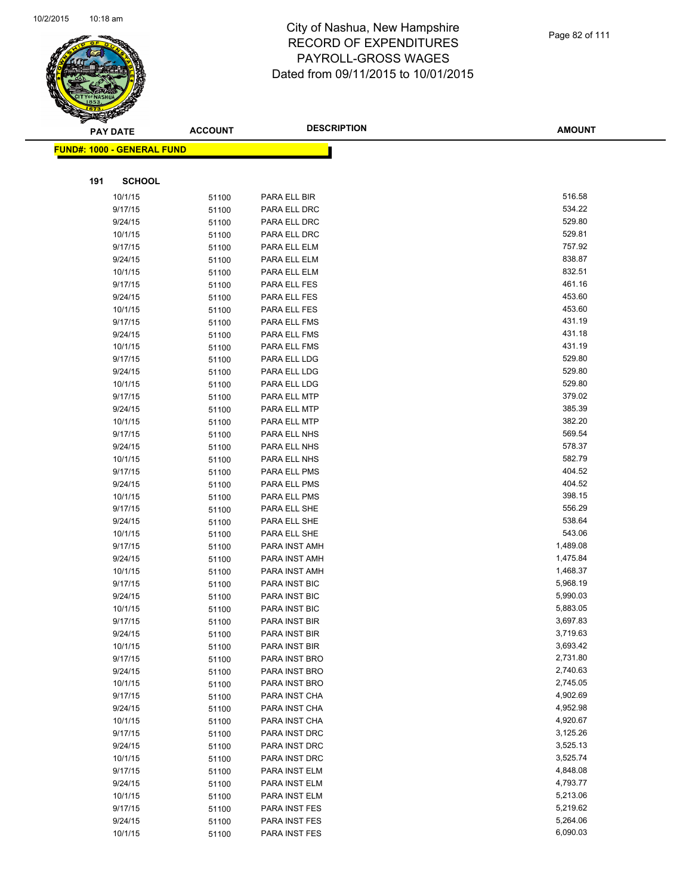

|     | <b>PAY DATE</b>            | <b>ACCOUNT</b> | <b>DESCRIPTION</b>           | <b>AMOUNT</b>    |
|-----|----------------------------|----------------|------------------------------|------------------|
|     | FUND#: 1000 - GENERAL FUND |                |                              |                  |
|     |                            |                |                              |                  |
|     |                            |                |                              |                  |
| 191 | <b>SCHOOL</b>              |                |                              |                  |
|     | 10/1/15                    | 51100          | PARA ELL BIR                 | 516.58           |
|     | 9/17/15                    | 51100          | PARA ELL DRC                 | 534.22           |
|     | 9/24/15                    | 51100          | PARA ELL DRC                 | 529.80           |
|     | 10/1/15                    | 51100          | PARA ELL DRC                 | 529.81           |
|     | 9/17/15                    | 51100          | PARA ELL ELM                 | 757.92           |
|     | 9/24/15                    | 51100          | PARA ELL ELM                 | 838.87           |
|     | 10/1/15                    | 51100          | PARA ELL ELM                 | 832.51           |
|     | 9/17/15                    | 51100          | PARA ELL FES                 | 461.16           |
|     | 9/24/15                    | 51100          | PARA ELL FES                 | 453.60           |
|     | 10/1/15                    | 51100          | PARA ELL FES                 | 453.60           |
|     | 9/17/15                    | 51100          | PARA ELL FMS                 | 431.19           |
|     | 9/24/15                    | 51100          | PARA ELL FMS                 | 431.18           |
|     | 10/1/15                    | 51100          | PARA ELL FMS                 | 431.19<br>529.80 |
|     | 9/17/15                    | 51100          | PARA ELL LDG                 | 529.80           |
|     | 9/24/15                    | 51100          | PARA ELL LDG                 | 529.80           |
|     | 10/1/15                    | 51100          | PARA ELL LDG                 | 379.02           |
|     | 9/17/15                    | 51100          | PARA ELL MTP                 | 385.39           |
|     | 9/24/15<br>10/1/15         | 51100          | PARA ELL MTP<br>PARA ELL MTP | 382.20           |
|     | 9/17/15                    | 51100          | PARA ELL NHS                 | 569.54           |
|     | 9/24/15                    | 51100          | PARA ELL NHS                 | 578.37           |
|     | 10/1/15                    | 51100<br>51100 | PARA ELL NHS                 | 582.79           |
|     | 9/17/15                    | 51100          | PARA ELL PMS                 | 404.52           |
|     | 9/24/15                    | 51100          | PARA ELL PMS                 | 404.52           |
|     | 10/1/15                    | 51100          | PARA ELL PMS                 | 398.15           |
|     | 9/17/15                    | 51100          | PARA ELL SHE                 | 556.29           |
|     | 9/24/15                    | 51100          | PARA ELL SHE                 | 538.64           |
|     | 10/1/15                    | 51100          | PARA ELL SHE                 | 543.06           |
|     | 9/17/15                    | 51100          | PARA INST AMH                | 1,489.08         |
|     | 9/24/15                    | 51100          | PARA INST AMH                | 1,475.84         |
|     | 10/1/15                    | 51100          | PARA INST AMH                | 1,468.37         |
|     | 9/17/15                    | 51100          | PARA INST BIC                | 5,968.19         |
|     | 9/24/15                    | 51100          | PARA INST BIC                | 5,990.03         |
|     | 10/1/15                    | 51100          | PARA INST BIC                | 5,883.05         |
|     | 9/17/15                    | 51100          | PARA INST BIR                | 3,697.83         |
|     | 9/24/15                    | 51100          | PARA INST BIR                | 3,719.63         |
|     | 10/1/15                    | 51100          | PARA INST BIR                | 3,693.42         |
|     | 9/17/15                    | 51100          | PARA INST BRO                | 2,731.80         |
|     | 9/24/15                    | 51100          | PARA INST BRO                | 2,740.63         |
|     | 10/1/15                    | 51100          | PARA INST BRO                | 2,745.05         |
|     | 9/17/15                    | 51100          | PARA INST CHA                | 4,902.69         |
|     | 9/24/15                    | 51100          | PARA INST CHA                | 4,952.98         |
|     | 10/1/15                    | 51100          | PARA INST CHA                | 4,920.67         |
|     | 9/17/15                    | 51100          | PARA INST DRC                | 3,125.26         |
|     | 9/24/15                    | 51100          | PARA INST DRC                | 3,525.13         |
|     | 10/1/15                    | 51100          | PARA INST DRC                | 3,525.74         |
|     | 9/17/15                    | 51100          | PARA INST ELM                | 4,848.08         |
|     | 9/24/15                    | 51100          | PARA INST ELM                | 4,793.77         |
|     | 10/1/15                    | 51100          | PARA INST ELM                | 5,213.06         |
|     | 9/17/15                    | 51100          | PARA INST FES                | 5,219.62         |
|     | 9/24/15                    | 51100          | PARA INST FES                | 5,264.06         |
|     | 10/1/15                    | 51100          | PARA INST FES                | 6,090.03         |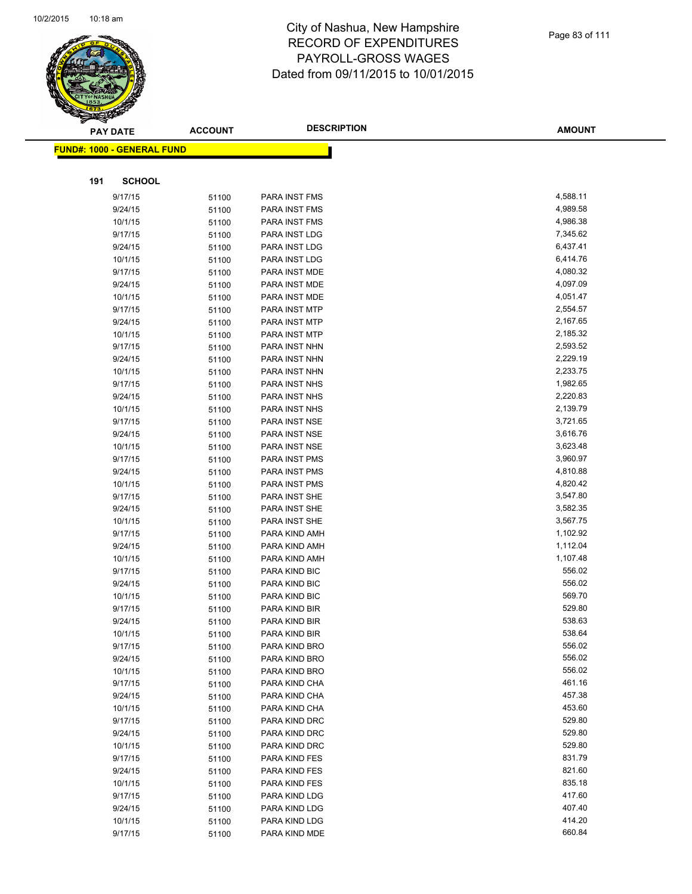

|     | <b>PAY DATE</b>                    | <b>ACCOUNT</b> | <b>DESCRIPTION</b>             | <b>AMOUNT</b>        |
|-----|------------------------------------|----------------|--------------------------------|----------------------|
|     | <u> FUND#: 1000 - GENERAL FUND</u> |                |                                |                      |
|     |                                    |                |                                |                      |
|     |                                    |                |                                |                      |
| 191 | <b>SCHOOL</b>                      |                |                                |                      |
|     | 9/17/15                            | 51100          | PARA INST FMS                  | 4,588.11             |
|     | 9/24/15                            | 51100          | PARA INST FMS                  | 4,989.58             |
|     | 10/1/15                            | 51100          | <b>PARA INST FMS</b>           | 4,986.38             |
|     | 9/17/15                            | 51100          | PARA INST LDG                  | 7,345.62             |
|     | 9/24/15                            | 51100          | PARA INST LDG                  | 6,437.41             |
|     | 10/1/15                            | 51100          | PARA INST LDG                  | 6,414.76             |
|     | 9/17/15                            | 51100          | PARA INST MDE                  | 4,080.32             |
|     | 9/24/15                            | 51100          | PARA INST MDE                  | 4,097.09             |
|     | 10/1/15                            | 51100          | PARA INST MDE                  | 4,051.47             |
|     | 9/17/15                            | 51100          | PARA INST MTP                  | 2,554.57             |
|     | 9/24/15                            | 51100          | PARA INST MTP                  | 2,167.65             |
|     | 10/1/15                            | 51100          | PARA INST MTP                  | 2,185.32             |
|     | 9/17/15                            | 51100          | PARA INST NHN                  | 2,593.52             |
|     | 9/24/15                            | 51100          | PARA INST NHN                  | 2,229.19<br>2,233.75 |
|     | 10/1/15                            | 51100          | PARA INST NHN                  |                      |
|     | 9/17/15                            | 51100          | PARA INST NHS                  | 1,982.65             |
|     | 9/24/15                            | 51100          | PARA INST NHS<br>PARA INST NHS | 2,220.83<br>2,139.79 |
|     | 10/1/15<br>9/17/15                 | 51100          | PARA INST NSE                  | 3,721.65             |
|     | 9/24/15                            | 51100          | PARA INST NSE                  | 3,616.76             |
|     | 10/1/15                            | 51100<br>51100 | PARA INST NSE                  | 3,623.48             |
|     | 9/17/15                            | 51100          | PARA INST PMS                  | 3,960.97             |
|     | 9/24/15                            | 51100          | PARA INST PMS                  | 4,810.88             |
|     | 10/1/15                            | 51100          | PARA INST PMS                  | 4,820.42             |
|     | 9/17/15                            | 51100          | PARA INST SHE                  | 3,547.80             |
|     | 9/24/15                            | 51100          | PARA INST SHE                  | 3,582.35             |
|     | 10/1/15                            | 51100          | PARA INST SHE                  | 3,567.75             |
|     | 9/17/15                            | 51100          | PARA KIND AMH                  | 1,102.92             |
|     | 9/24/15                            | 51100          | PARA KIND AMH                  | 1,112.04             |
|     | 10/1/15                            | 51100          | PARA KIND AMH                  | 1,107.48             |
|     | 9/17/15                            | 51100          | PARA KIND BIC                  | 556.02               |
|     | 9/24/15                            | 51100          | PARA KIND BIC                  | 556.02               |
|     | 10/1/15                            | 51100          | PARA KIND BIC                  | 569.70               |
|     | 9/17/15                            | 51100          | PARA KIND BIR                  | 529.80               |
|     | 9/24/15                            | 51100          | PARA KIND BIR                  | 538.63               |
|     | 10/1/15                            | 51100          | PARA KIND BIR                  | 538.64               |
|     | 9/17/15                            | 51100          | PARA KIND BRO                  | 556.02               |
|     | 9/24/15                            | 51100          | PARA KIND BRO                  | 556.02               |
|     | 10/1/15                            | 51100          | PARA KIND BRO                  | 556.02               |
|     | 9/17/15                            | 51100          | PARA KIND CHA                  | 461.16               |
|     | 9/24/15                            | 51100          | PARA KIND CHA                  | 457.38               |
|     | 10/1/15                            | 51100          | PARA KIND CHA                  | 453.60               |
|     | 9/17/15                            | 51100          | PARA KIND DRC                  | 529.80               |
|     | 9/24/15                            | 51100          | PARA KIND DRC                  | 529.80               |
|     | 10/1/15                            | 51100          | PARA KIND DRC                  | 529.80               |
|     | 9/17/15                            | 51100          | PARA KIND FES                  | 831.79               |
|     | 9/24/15                            | 51100          | PARA KIND FES                  | 821.60               |
|     | 10/1/15                            | 51100          | PARA KIND FES                  | 835.18               |
|     | 9/17/15                            | 51100          | PARA KIND LDG                  | 417.60               |
|     | 9/24/15                            | 51100          | PARA KIND LDG                  | 407.40               |
|     | 10/1/15                            | 51100          | PARA KIND LDG                  | 414.20               |
|     | 9/17/15                            | 51100          | PARA KIND MDE                  | 660.84               |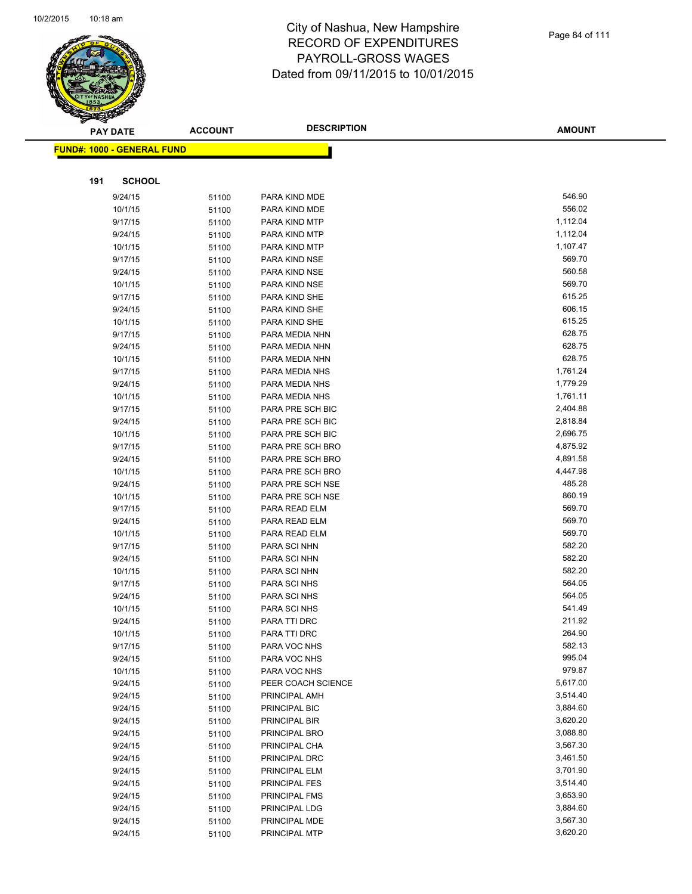

|     | <b>PAY DATE</b>                    | <b>ACCOUNT</b> | <b>DESCRIPTION</b>             | <b>AMOUNT</b>        |
|-----|------------------------------------|----------------|--------------------------------|----------------------|
|     | <u> FUND#: 1000 - GENERAL FUND</u> |                |                                |                      |
|     |                                    |                |                                |                      |
|     |                                    |                |                                |                      |
| 191 | <b>SCHOOL</b>                      |                |                                |                      |
|     | 9/24/15                            | 51100          | PARA KIND MDE                  | 546.90               |
|     | 10/1/15                            | 51100          | PARA KIND MDE                  | 556.02               |
|     | 9/17/15                            | 51100          | PARA KIND MTP                  | 1,112.04             |
|     | 9/24/15                            | 51100          | PARA KIND MTP                  | 1,112.04             |
|     | 10/1/15                            | 51100          | PARA KIND MTP                  | 1,107.47             |
|     | 9/17/15                            | 51100          | PARA KIND NSE                  | 569.70               |
|     | 9/24/15                            | 51100          | PARA KIND NSE                  | 560.58               |
|     | 10/1/15                            | 51100          | PARA KIND NSE                  | 569.70               |
|     | 9/17/15                            | 51100          | PARA KIND SHE                  | 615.25               |
|     | 9/24/15                            | 51100          | PARA KIND SHE                  | 606.15               |
|     | 10/1/15                            | 51100          | PARA KIND SHE                  | 615.25               |
|     | 9/17/15                            | 51100          | PARA MEDIA NHN                 | 628.75               |
|     | 9/24/15                            | 51100          | PARA MEDIA NHN                 | 628.75               |
|     | 10/1/15                            | 51100          | PARA MEDIA NHN                 | 628.75               |
|     | 9/17/15                            | 51100          | PARA MEDIA NHS                 | 1,761.24             |
|     | 9/24/15                            | 51100          | PARA MEDIA NHS                 | 1,779.29             |
|     | 10/1/15                            | 51100          | PARA MEDIA NHS                 | 1,761.11             |
|     | 9/17/15                            | 51100          | PARA PRE SCH BIC               | 2,404.88             |
|     | 9/24/15                            | 51100          | PARA PRE SCH BIC               | 2,818.84             |
|     | 10/1/15                            | 51100          | PARA PRE SCH BIC               | 2,696.75             |
|     | 9/17/15                            | 51100          | PARA PRE SCH BRO               | 4,875.92             |
|     | 9/24/15                            | 51100          | PARA PRE SCH BRO               | 4,891.58             |
|     | 10/1/15                            | 51100          | PARA PRE SCH BRO               | 4,447.98             |
|     | 9/24/15                            | 51100          | PARA PRE SCH NSE               | 485.28               |
|     | 10/1/15                            | 51100          | PARA PRE SCH NSE               | 860.19               |
|     | 9/17/15                            | 51100          | PARA READ ELM                  | 569.70               |
|     | 9/24/15                            | 51100          | PARA READ ELM                  | 569.70               |
|     | 10/1/15                            | 51100          | PARA READ ELM                  | 569.70               |
|     | 9/17/15                            | 51100          | PARA SCI NHN                   | 582.20               |
|     | 9/24/15                            | 51100          | PARA SCI NHN                   | 582.20               |
|     | 10/1/15                            | 51100          | PARA SCI NHN                   | 582.20               |
|     | 9/17/15                            | 51100          | PARA SCI NHS                   | 564.05               |
|     | 9/24/15                            | 51100          | PARA SCI NHS                   | 564.05               |
|     | 10/1/15                            | 51100          | PARA SCI NHS                   | 541.49               |
|     | 9/24/15                            | 51100          | PARA TTI DRC                   | 211.92               |
|     | 10/1/15                            | 51100          | PARA TTI DRC                   | 264.90               |
|     | 9/17/15                            | 51100          | PARA VOC NHS                   | 582.13<br>995.04     |
|     | 9/24/15                            | 51100          | PARA VOC NHS                   |                      |
|     | 10/1/15                            | 51100          | PARA VOC NHS                   | 979.87               |
|     | 9/24/15                            | 51100          | PEER COACH SCIENCE             | 5,617.00             |
|     | 9/24/15                            | 51100          | PRINCIPAL AMH                  | 3,514.40             |
|     | 9/24/15                            | 51100          | PRINCIPAL BIC<br>PRINCIPAL BIR | 3,884.60             |
|     | 9/24/15                            | 51100          |                                | 3,620.20             |
|     | 9/24/15<br>9/24/15                 | 51100          | PRINCIPAL BRO<br>PRINCIPAL CHA | 3,088.80<br>3,567.30 |
|     |                                    | 51100          | PRINCIPAL DRC                  | 3,461.50             |
|     | 9/24/15<br>9/24/15                 | 51100          |                                | 3,701.90             |
|     | 9/24/15                            | 51100          | PRINCIPAL ELM<br>PRINCIPAL FES | 3,514.40             |
|     | 9/24/15                            | 51100          | PRINCIPAL FMS                  | 3,653.90             |
|     | 9/24/15                            | 51100          | PRINCIPAL LDG                  | 3,884.60             |
|     | 9/24/15                            | 51100          | PRINCIPAL MDE                  | 3,567.30             |
|     | 9/24/15                            | 51100          | PRINCIPAL MTP                  | 3,620.20             |
|     |                                    | 51100          |                                |                      |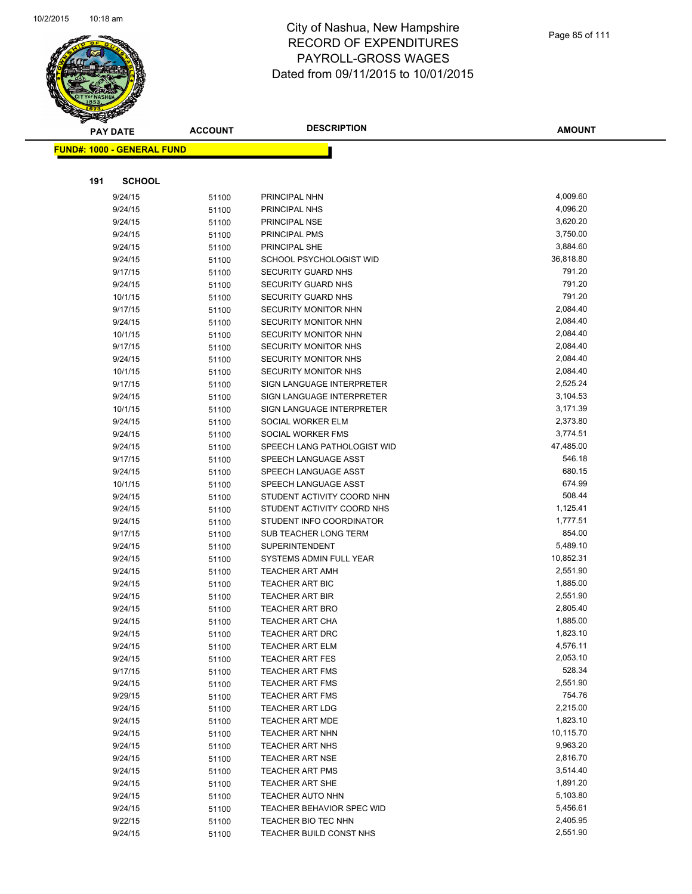

| <b>PAY DATE</b>                   | <b>ACCOUNT</b> | <b>DESCRIPTION</b>                                | <b>AMOUNT</b>        |
|-----------------------------------|----------------|---------------------------------------------------|----------------------|
| <b>FUND#: 1000 - GENERAL FUND</b> |                |                                                   |                      |
|                                   |                |                                                   |                      |
|                                   |                |                                                   |                      |
| 191<br><b>SCHOOL</b>              |                |                                                   |                      |
| 9/24/15                           | 51100          | PRINCIPAL NHN                                     | 4,009.60             |
| 9/24/15                           | 51100          | PRINCIPAL NHS                                     | 4,096.20             |
| 9/24/15                           | 51100          | PRINCIPAL NSE                                     | 3,620.20             |
| 9/24/15                           | 51100          | PRINCIPAL PMS                                     | 3,750.00             |
| 9/24/15                           | 51100          | PRINCIPAL SHE                                     | 3,884.60             |
| 9/24/15                           | 51100          | SCHOOL PSYCHOLOGIST WID                           | 36,818.80            |
| 9/17/15                           | 51100          | <b>SECURITY GUARD NHS</b>                         | 791.20               |
| 9/24/15                           | 51100          | SECURITY GUARD NHS                                | 791.20               |
| 10/1/15                           | 51100          | SECURITY GUARD NHS                                | 791.20               |
| 9/17/15                           | 51100          | SECURITY MONITOR NHN                              | 2,084.40             |
| 9/24/15                           | 51100          | SECURITY MONITOR NHN                              | 2,084.40             |
| 10/1/15                           | 51100          | SECURITY MONITOR NHN                              | 2,084.40             |
| 9/17/15                           | 51100          | SECURITY MONITOR NHS                              | 2,084.40             |
| 9/24/15                           | 51100          | SECURITY MONITOR NHS                              | 2,084.40             |
| 10/1/15                           | 51100          | SECURITY MONITOR NHS                              | 2,084.40             |
| 9/17/15                           | 51100          | SIGN LANGUAGE INTERPRETER                         | 2,525.24             |
| 9/24/15                           | 51100          | SIGN LANGUAGE INTERPRETER                         | 3,104.53             |
| 10/1/15                           | 51100          | SIGN LANGUAGE INTERPRETER                         | 3,171.39             |
| 9/24/15                           | 51100          | SOCIAL WORKER ELM                                 | 2,373.80             |
| 9/24/15                           | 51100          | SOCIAL WORKER FMS                                 | 3,774.51             |
| 9/24/15                           | 51100          | SPEECH LANG PATHOLOGIST WID                       | 47,485.00            |
| 9/17/15                           | 51100          | SPEECH LANGUAGE ASST                              | 546.18               |
| 9/24/15                           | 51100          | SPEECH LANGUAGE ASST                              | 680.15               |
| 10/1/15                           | 51100          | SPEECH LANGUAGE ASST                              | 674.99               |
| 9/24/15                           | 51100          | STUDENT ACTIVITY COORD NHN                        | 508.44               |
| 9/24/15                           | 51100          | STUDENT ACTIVITY COORD NHS                        | 1,125.41<br>1,777.51 |
| 9/24/15<br>9/17/15                | 51100          | STUDENT INFO COORDINATOR<br>SUB TEACHER LONG TERM | 854.00               |
| 9/24/15                           | 51100<br>51100 | <b>SUPERINTENDENT</b>                             | 5,489.10             |
| 9/24/15                           | 51100          | SYSTEMS ADMIN FULL YEAR                           | 10,852.31            |
| 9/24/15                           | 51100          | <b>TEACHER ART AMH</b>                            | 2,551.90             |
| 9/24/15                           | 51100          | TEACHER ART BIC                                   | 1,885.00             |
| 9/24/15                           | 51100          | <b>TEACHER ART BIR</b>                            | 2,551.90             |
| 9/24/15                           | 51100          | <b>TEACHER ART BRO</b>                            | 2,805.40             |
| 9/24/15                           | 51100          | <b>TEACHER ART CHA</b>                            | 1,885.00             |
| 9/24/15                           | 51100          | TEACHER ART DRC                                   | 1,823.10             |
| 9/24/15                           | 51100          | <b>TEACHER ART ELM</b>                            | 4,576.11             |
| 9/24/15                           | 51100          | <b>TEACHER ART FES</b>                            | 2,053.10             |
| 9/17/15                           | 51100          | <b>TEACHER ART FMS</b>                            | 528.34               |
| 9/24/15                           | 51100          | <b>TEACHER ART FMS</b>                            | 2,551.90             |
| 9/29/15                           | 51100          | <b>TEACHER ART FMS</b>                            | 754.76               |
| 9/24/15                           | 51100          | <b>TEACHER ART LDG</b>                            | 2,215.00             |
| 9/24/15                           | 51100          | <b>TEACHER ART MDE</b>                            | 1,823.10             |
| 9/24/15                           | 51100          | <b>TEACHER ART NHN</b>                            | 10,115.70            |
| 9/24/15                           | 51100          | <b>TEACHER ART NHS</b>                            | 9,963.20             |
| 9/24/15                           | 51100          | <b>TEACHER ART NSE</b>                            | 2,816.70             |
| 9/24/15                           | 51100          | <b>TEACHER ART PMS</b>                            | 3,514.40             |
| 9/24/15                           | 51100          | <b>TEACHER ART SHE</b>                            | 1,891.20             |
| 9/24/15                           | 51100          | <b>TEACHER AUTO NHN</b>                           | 5,103.80             |
| 9/24/15                           | 51100          | <b>TEACHER BEHAVIOR SPEC WID</b>                  | 5,456.61             |
| 9/22/15                           | 51100          | TEACHER BIO TEC NHN                               | 2,405.95             |
| 9/24/15                           | 51100          | TEACHER BUILD CONST NHS                           | 2,551.90             |
|                                   |                |                                                   |                      |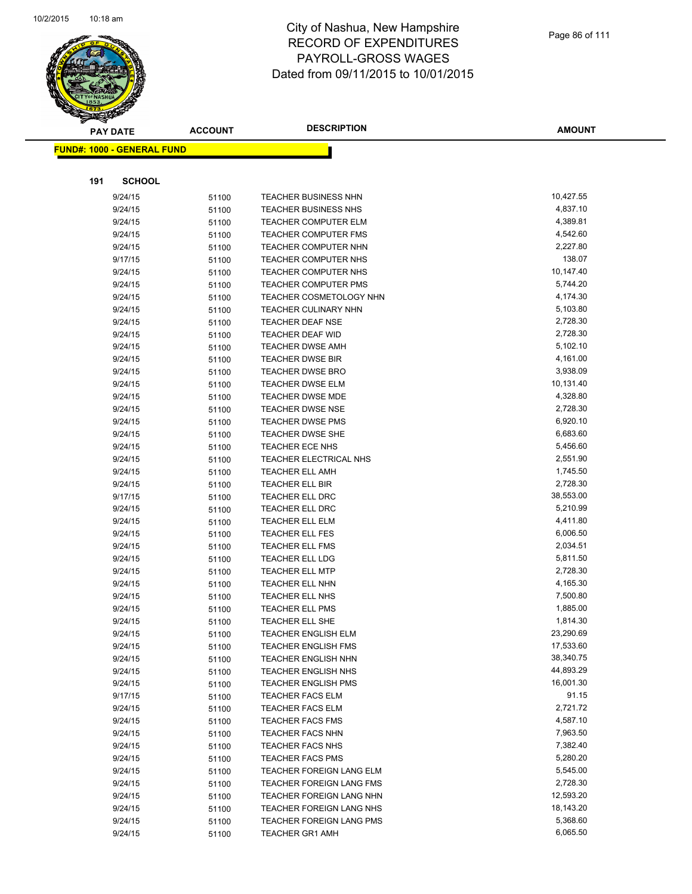

|     | <b>PAY DATE</b>                   | <b>ACCOUNT</b> | <b>DESCRIPTION</b>                                 | <b>AMOUNT</b>         |
|-----|-----------------------------------|----------------|----------------------------------------------------|-----------------------|
|     | <b>FUND#: 1000 - GENERAL FUND</b> |                |                                                    |                       |
|     |                                   |                |                                                    |                       |
|     |                                   |                |                                                    |                       |
| 191 | <b>SCHOOL</b>                     |                |                                                    |                       |
|     | 9/24/15                           | 51100          | TEACHER BUSINESS NHN                               | 10,427.55             |
|     | 9/24/15                           | 51100          | <b>TEACHER BUSINESS NHS</b>                        | 4,837.10              |
|     | 9/24/15                           | 51100          | <b>TEACHER COMPUTER ELM</b>                        | 4,389.81              |
|     | 9/24/15                           | 51100          | <b>TEACHER COMPUTER FMS</b>                        | 4,542.60              |
|     | 9/24/15                           | 51100          | TEACHER COMPUTER NHN                               | 2,227.80              |
|     | 9/17/15                           | 51100          | TEACHER COMPUTER NHS                               | 138.07                |
|     | 9/24/15                           | 51100          | TEACHER COMPUTER NHS                               | 10,147.40             |
|     | 9/24/15                           | 51100          | <b>TEACHER COMPUTER PMS</b>                        | 5,744.20              |
|     | 9/24/15                           | 51100          | TEACHER COSMETOLOGY NHN                            | 4,174.30              |
|     | 9/24/15                           | 51100          | TEACHER CULINARY NHN                               | 5,103.80              |
|     | 9/24/15                           | 51100          | <b>TEACHER DEAF NSE</b>                            | 2,728.30              |
|     | 9/24/15                           | 51100          | <b>TEACHER DEAF WID</b>                            | 2,728.30              |
|     | 9/24/15                           | 51100          | <b>TEACHER DWSE AMH</b>                            | 5,102.10              |
|     | 9/24/15                           | 51100          | <b>TEACHER DWSE BIR</b>                            | 4,161.00              |
|     | 9/24/15                           | 51100          | <b>TEACHER DWSE BRO</b>                            | 3,938.09<br>10,131.40 |
|     | 9/24/15<br>9/24/15                | 51100          | <b>TEACHER DWSE ELM</b>                            | 4,328.80              |
|     |                                   | 51100          | <b>TEACHER DWSE MDE</b>                            | 2,728.30              |
|     | 9/24/15<br>9/24/15                | 51100          | <b>TEACHER DWSE NSE</b><br><b>TEACHER DWSE PMS</b> | 6,920.10              |
|     | 9/24/15                           | 51100          | TEACHER DWSE SHE                                   | 6,683.60              |
|     | 9/24/15                           | 51100          | TEACHER ECE NHS                                    | 5,456.60              |
|     | 9/24/15                           | 51100<br>51100 | TEACHER ELECTRICAL NHS                             | 2,551.90              |
|     | 9/24/15                           | 51100          | <b>TEACHER ELL AMH</b>                             | 1,745.50              |
|     | 9/24/15                           | 51100          | <b>TEACHER ELL BIR</b>                             | 2,728.30              |
|     | 9/17/15                           | 51100          | <b>TEACHER ELL DRC</b>                             | 38,553.00             |
|     | 9/24/15                           | 51100          | <b>TEACHER ELL DRC</b>                             | 5,210.99              |
|     | 9/24/15                           | 51100          | <b>TEACHER ELL ELM</b>                             | 4,411.80              |
|     | 9/24/15                           | 51100          | <b>TEACHER ELL FES</b>                             | 6,006.50              |
|     | 9/24/15                           | 51100          | <b>TEACHER ELL FMS</b>                             | 2,034.51              |
|     | 9/24/15                           | 51100          | <b>TEACHER ELL LDG</b>                             | 5,811.50              |
|     | 9/24/15                           | 51100          | <b>TEACHER ELL MTP</b>                             | 2,728.30              |
|     | 9/24/15                           | 51100          | <b>TEACHER ELL NHN</b>                             | 4,165.30              |
|     | 9/24/15                           | 51100          | TEACHER ELL NHS                                    | 7,500.80              |
|     | 9/24/15                           | 51100          | <b>TEACHER ELL PMS</b>                             | 1,885.00              |
|     | 9/24/15                           | 51100          | <b>TEACHER ELL SHE</b>                             | 1,814.30              |
|     | 9/24/15                           | 51100          | <b>TEACHER ENGLISH ELM</b>                         | 23,290.69             |
|     | 9/24/15                           | 51100          | <b>TEACHER ENGLISH FMS</b>                         | 17,533.60             |
|     | 9/24/15                           | 51100          | <b>TEACHER ENGLISH NHN</b>                         | 38,340.75             |
|     | 9/24/15                           | 51100          | TEACHER ENGLISH NHS                                | 44,893.29             |
|     | 9/24/15                           | 51100          | <b>TEACHER ENGLISH PMS</b>                         | 16,001.30             |
|     | 9/17/15                           | 51100          | <b>TEACHER FACS ELM</b>                            | 91.15                 |
|     | 9/24/15                           | 51100          | <b>TEACHER FACS ELM</b>                            | 2,721.72              |
|     | 9/24/15                           | 51100          | <b>TEACHER FACS FMS</b>                            | 4,587.10              |
|     | 9/24/15                           | 51100          | <b>TEACHER FACS NHN</b>                            | 7,963.50              |
|     | 9/24/15                           | 51100          | TEACHER FACS NHS                                   | 7,382.40              |
|     | 9/24/15                           | 51100          | <b>TEACHER FACS PMS</b>                            | 5,280.20              |
|     | 9/24/15                           | 51100          | TEACHER FOREIGN LANG ELM                           | 5,545.00              |
|     | 9/24/15                           | 51100          | <b>TEACHER FOREIGN LANG FMS</b>                    | 2,728.30              |
|     | 9/24/15                           | 51100          | TEACHER FOREIGN LANG NHN                           | 12,593.20             |
|     | 9/24/15                           | 51100          | <b>TEACHER FOREIGN LANG NHS</b>                    | 18,143.20             |
|     | 9/24/15                           | 51100          | TEACHER FOREIGN LANG PMS                           | 5,368.60              |
|     | 9/24/15                           | 51100          | <b>TEACHER GR1 AMH</b>                             | 6,065.50              |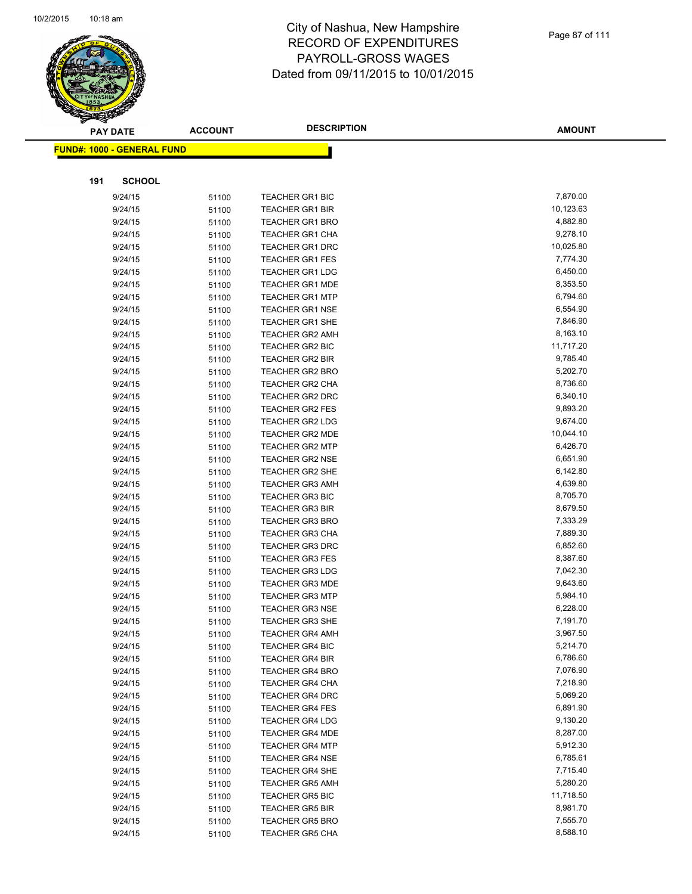

| $\tilde{\phantom{a}}$ | <b>PAY DATE</b>                   | <b>ACCOUNT</b> | <b>DESCRIPTION</b>                               | AMOUNT    |
|-----------------------|-----------------------------------|----------------|--------------------------------------------------|-----------|
|                       | <b>FUND#: 1000 - GENERAL FUND</b> |                |                                                  |           |
|                       |                                   |                |                                                  |           |
| 191                   | <b>SCHOOL</b>                     |                |                                                  |           |
|                       |                                   |                |                                                  | 7,870.00  |
|                       | 9/24/15                           | 51100          | <b>TEACHER GR1 BIC</b><br><b>TEACHER GR1 BIR</b> | 10,123.63 |
|                       | 9/24/15                           | 51100          |                                                  | 4,882.80  |
|                       | 9/24/15<br>9/24/15                | 51100          | <b>TEACHER GR1 BRO</b><br><b>TEACHER GR1 CHA</b> | 9,278.10  |
|                       | 9/24/15                           | 51100          | <b>TEACHER GR1 DRC</b>                           | 10,025.80 |
|                       | 9/24/15                           | 51100          | <b>TEACHER GR1 FES</b>                           | 7,774.30  |
|                       | 9/24/15                           | 51100<br>51100 | <b>TEACHER GR1 LDG</b>                           | 6,450.00  |
|                       | 9/24/15                           | 51100          | <b>TEACHER GR1 MDE</b>                           | 8,353.50  |
|                       | 9/24/15                           | 51100          | <b>TEACHER GR1 MTP</b>                           | 6,794.60  |
|                       | 9/24/15                           | 51100          | <b>TEACHER GR1 NSE</b>                           | 6,554.90  |
|                       | 9/24/15                           | 51100          | <b>TEACHER GR1 SHE</b>                           | 7,846.90  |
|                       | 9/24/15                           | 51100          | <b>TEACHER GR2 AMH</b>                           | 8,163.10  |
|                       | 9/24/15                           | 51100          | <b>TEACHER GR2 BIC</b>                           | 11,717.20 |
|                       | 9/24/15                           | 51100          | <b>TEACHER GR2 BIR</b>                           | 9,785.40  |
|                       | 9/24/15                           |                | <b>TEACHER GR2 BRO</b>                           | 5,202.70  |
|                       | 9/24/15                           | 51100<br>51100 | <b>TEACHER GR2 CHA</b>                           | 8,736.60  |
|                       | 9/24/15                           | 51100          | <b>TEACHER GR2 DRC</b>                           | 6,340.10  |
|                       | 9/24/15                           | 51100          | <b>TEACHER GR2 FES</b>                           | 9,893.20  |
|                       | 9/24/15                           |                | <b>TEACHER GR2 LDG</b>                           | 9,674.00  |
|                       | 9/24/15                           | 51100<br>51100 | TEACHER GR2 MDE                                  | 10,044.10 |
|                       | 9/24/15                           | 51100          | <b>TEACHER GR2 MTP</b>                           | 6,426.70  |
|                       | 9/24/15                           |                | <b>TEACHER GR2 NSE</b>                           | 6,651.90  |
|                       | 9/24/15                           | 51100          | <b>TEACHER GR2 SHE</b>                           | 6,142.80  |
|                       |                                   | 51100          |                                                  | 4,639.80  |
|                       | 9/24/15                           | 51100          | <b>TEACHER GR3 AMH</b>                           | 8,705.70  |
|                       | 9/24/15<br>9/24/15                | 51100          | <b>TEACHER GR3 BIC</b><br><b>TEACHER GR3 BIR</b> | 8,679.50  |
|                       | 9/24/15                           | 51100          | <b>TEACHER GR3 BRO</b>                           | 7,333.29  |
|                       | 9/24/15                           | 51100          | <b>TEACHER GR3 CHA</b>                           | 7,889.30  |
|                       | 9/24/15                           | 51100          | <b>TEACHER GR3 DRC</b>                           | 6,852.60  |
|                       | 9/24/15                           | 51100          | <b>TEACHER GR3 FES</b>                           | 8,387.60  |
|                       | 9/24/15                           | 51100          | <b>TEACHER GR3 LDG</b>                           | 7,042.30  |
|                       | 9/24/15                           | 51100<br>51100 | <b>TEACHER GR3 MDE</b>                           | 9,643.60  |
|                       | 9/24/15                           |                | <b>TEACHER GR3 MTP</b>                           | 5,984.10  |
|                       | 9/24/15                           | 51100<br>51100 | <b>TEACHER GR3 NSE</b>                           | 6,228.00  |
|                       | 9/24/15                           | 51100          | <b>TEACHER GR3 SHE</b>                           | 7,191.70  |
|                       | 9/24/15                           |                | <b>TEACHER GR4 AMH</b>                           | 3,967.50  |
|                       | 9/24/15                           | 51100          | <b>TEACHER GR4 BIC</b>                           | 5,214.70  |
|                       | 9/24/15                           | 51100          | <b>TEACHER GR4 BIR</b>                           | 6,786.60  |
|                       | 9/24/15                           | 51100          | <b>TEACHER GR4 BRO</b>                           | 7,076.90  |
|                       | 9/24/15                           | 51100<br>51100 | <b>TEACHER GR4 CHA</b>                           | 7,218.90  |
|                       | 9/24/15                           | 51100          | <b>TEACHER GR4 DRC</b>                           | 5,069.20  |
|                       | 9/24/15                           |                | <b>TEACHER GR4 FES</b>                           | 6,891.90  |
|                       | 9/24/15                           | 51100<br>51100 | <b>TEACHER GR4 LDG</b>                           | 9,130.20  |
|                       | 9/24/15                           | 51100          | <b>TEACHER GR4 MDE</b>                           | 8,287.00  |
|                       | 9/24/15                           | 51100          | <b>TEACHER GR4 MTP</b>                           | 5,912.30  |
|                       | 9/24/15                           | 51100          | <b>TEACHER GR4 NSE</b>                           | 6,785.61  |
|                       | 9/24/15                           |                | <b>TEACHER GR4 SHE</b>                           | 7,715.40  |
|                       | 9/24/15                           | 51100<br>51100 | <b>TEACHER GR5 AMH</b>                           | 5,280.20  |
|                       | 9/24/15                           |                | <b>TEACHER GR5 BIC</b>                           | 11,718.50 |
|                       | 9/24/15                           | 51100          | <b>TEACHER GR5 BIR</b>                           | 8,981.70  |
|                       | 9/24/15                           | 51100          | <b>TEACHER GR5 BRO</b>                           | 7,555.70  |
|                       | 9/24/15                           | 51100          | TEACHER GR5 CHA                                  | 8,588.10  |
|                       |                                   | 51100          |                                                  |           |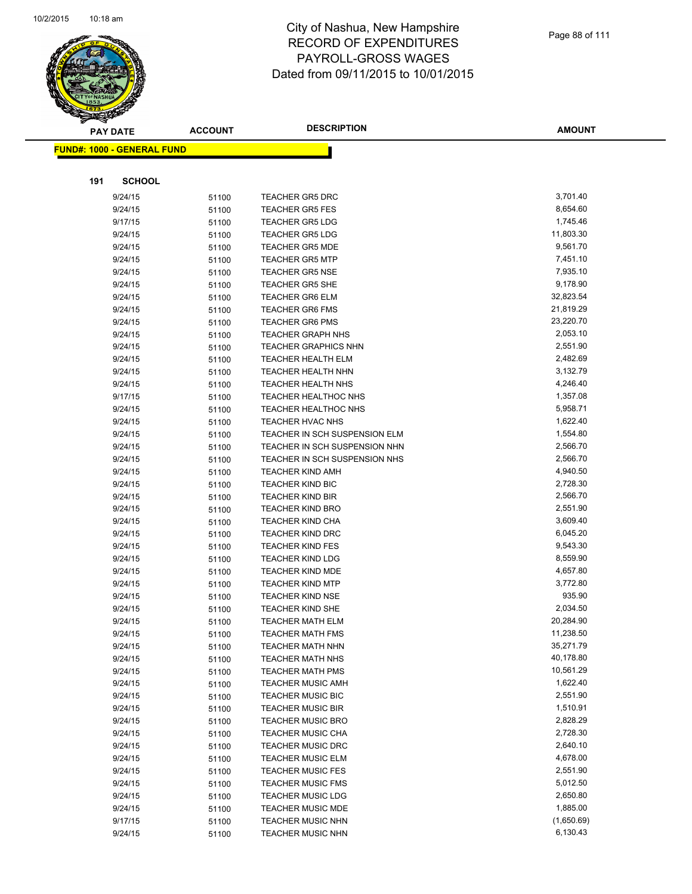

| <b>PAY DATE</b>                   | <b>ACCOUNT</b> | <b>DESCRIPTION</b>                                 | <b>AMOUNT</b>        |
|-----------------------------------|----------------|----------------------------------------------------|----------------------|
| <b>FUND#: 1000 - GENERAL FUND</b> |                |                                                    |                      |
|                                   |                |                                                    |                      |
|                                   |                |                                                    |                      |
| 191<br><b>SCHOOL</b>              |                |                                                    |                      |
| 9/24/15                           | 51100          | <b>TEACHER GR5 DRC</b>                             | 3,701.40             |
| 9/24/15                           | 51100          | <b>TEACHER GR5 FES</b>                             | 8,654.60             |
| 9/17/15                           | 51100          | <b>TEACHER GR5 LDG</b>                             | 1,745.46             |
| 9/24/15                           | 51100          | <b>TEACHER GR5 LDG</b>                             | 11,803.30            |
| 9/24/15                           | 51100          | <b>TEACHER GR5 MDE</b>                             | 9,561.70             |
| 9/24/15                           | 51100          | <b>TEACHER GR5 MTP</b>                             | 7,451.10             |
| 9/24/15                           | 51100          | <b>TEACHER GR5 NSE</b>                             | 7,935.10             |
| 9/24/15                           | 51100          | <b>TEACHER GR5 SHE</b>                             | 9,178.90             |
| 9/24/15                           | 51100          | <b>TEACHER GR6 ELM</b>                             | 32,823.54            |
| 9/24/15                           | 51100          | <b>TEACHER GR6 FMS</b>                             | 21,819.29            |
| 9/24/15                           | 51100          | <b>TEACHER GR6 PMS</b>                             | 23,220.70            |
| 9/24/15                           | 51100          | <b>TEACHER GRAPH NHS</b>                           | 2,053.10             |
| 9/24/15                           | 51100          | <b>TEACHER GRAPHICS NHN</b>                        | 2,551.90             |
| 9/24/15                           | 51100          | <b>TEACHER HEALTH ELM</b>                          | 2,482.69             |
| 9/24/15                           | 51100          | <b>TEACHER HEALTH NHN</b>                          | 3,132.79             |
| 9/24/15                           | 51100          | <b>TEACHER HEALTH NHS</b>                          | 4,246.40             |
| 9/17/15                           | 51100          | TEACHER HEALTHOC NHS                               | 1,357.08             |
| 9/24/15                           | 51100          | TEACHER HEALTHOC NHS                               | 5,958.71             |
| 9/24/15                           | 51100          | <b>TEACHER HVAC NHS</b>                            | 1,622.40             |
| 9/24/15                           | 51100          | TEACHER IN SCH SUSPENSION ELM                      | 1,554.80             |
| 9/24/15                           | 51100          | TEACHER IN SCH SUSPENSION NHN                      | 2,566.70             |
| 9/24/15                           | 51100          | TEACHER IN SCH SUSPENSION NHS                      | 2,566.70<br>4,940.50 |
| 9/24/15                           | 51100          | <b>TEACHER KIND AMH</b>                            | 2,728.30             |
| 9/24/15<br>9/24/15                | 51100          | <b>TEACHER KIND BIC</b><br><b>TEACHER KIND BIR</b> | 2,566.70             |
| 9/24/15                           | 51100          | <b>TEACHER KIND BRO</b>                            | 2,551.90             |
| 9/24/15                           | 51100          | <b>TEACHER KIND CHA</b>                            | 3,609.40             |
| 9/24/15                           | 51100<br>51100 | <b>TEACHER KIND DRC</b>                            | 6,045.20             |
| 9/24/15                           | 51100          | <b>TEACHER KIND FES</b>                            | 9,543.30             |
| 9/24/15                           | 51100          | <b>TEACHER KIND LDG</b>                            | 8,559.90             |
| 9/24/15                           | 51100          | TEACHER KIND MDE                                   | 4,657.80             |
| 9/24/15                           | 51100          | <b>TEACHER KIND MTP</b>                            | 3,772.80             |
| 9/24/15                           | 51100          | <b>TEACHER KIND NSE</b>                            | 935.90               |
| 9/24/15                           | 51100          | <b>TEACHER KIND SHE</b>                            | 2,034.50             |
| 9/24/15                           | 51100          | <b>TEACHER MATH ELM</b>                            | 20,284.90            |
| 9/24/15                           | 51100          | <b>TEACHER MATH FMS</b>                            | 11,238.50            |
| 9/24/15                           | 51100          | <b>TEACHER MATH NHN</b>                            | 35,271.79            |
| 9/24/15                           | 51100          | <b>TEACHER MATH NHS</b>                            | 40,178.80            |
| 9/24/15                           | 51100          | <b>TEACHER MATH PMS</b>                            | 10,561.29            |
| 9/24/15                           | 51100          | <b>TEACHER MUSIC AMH</b>                           | 1,622.40             |
| 9/24/15                           | 51100          | <b>TEACHER MUSIC BIC</b>                           | 2,551.90             |
| 9/24/15                           | 51100          | <b>TEACHER MUSIC BIR</b>                           | 1,510.91             |
| 9/24/15                           | 51100          | <b>TEACHER MUSIC BRO</b>                           | 2,828.29             |
| 9/24/15                           | 51100          | <b>TEACHER MUSIC CHA</b>                           | 2,728.30             |
| 9/24/15                           | 51100          | <b>TEACHER MUSIC DRC</b>                           | 2,640.10             |
| 9/24/15                           | 51100          | <b>TEACHER MUSIC ELM</b>                           | 4,678.00             |
| 9/24/15                           | 51100          | <b>TEACHER MUSIC FES</b>                           | 2,551.90             |
| 9/24/15                           | 51100          | <b>TEACHER MUSIC FMS</b>                           | 5,012.50             |
| 9/24/15                           | 51100          | <b>TEACHER MUSIC LDG</b>                           | 2,650.80             |
| 9/24/15                           | 51100          | TEACHER MUSIC MDE                                  | 1,885.00             |
| 9/17/15                           | 51100          | <b>TEACHER MUSIC NHN</b>                           | (1,650.69)           |
| 9/24/15                           | 51100          | <b>TEACHER MUSIC NHN</b>                           | 6,130.43             |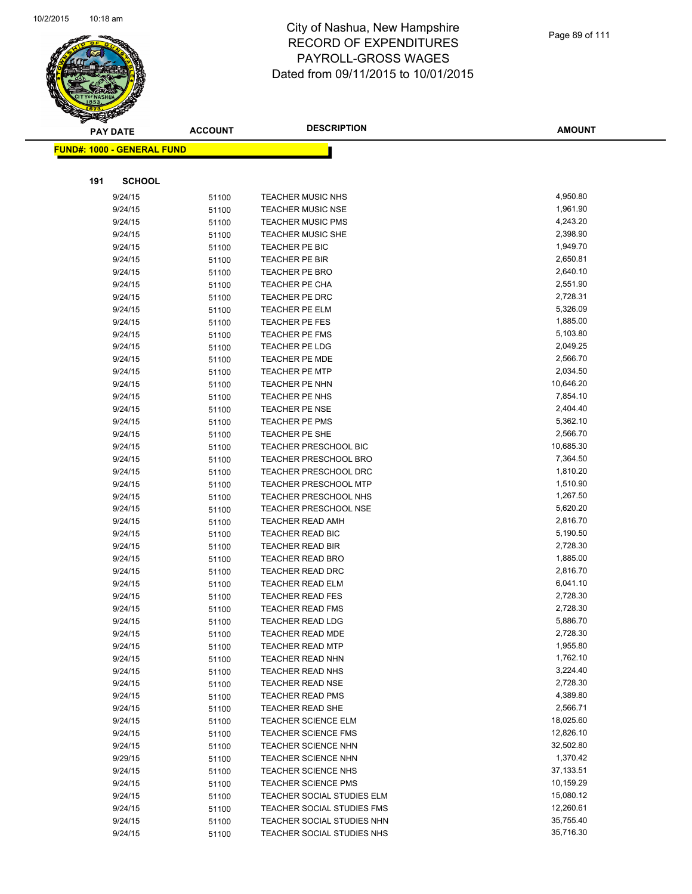

|     | <b>PAY DATE</b>                    | <b>ACCOUNT</b> | <b>DESCRIPTION</b>                                 | <b>AMOUNT</b>        |
|-----|------------------------------------|----------------|----------------------------------------------------|----------------------|
|     | <u> FUND#: 1000 - GENERAL FUND</u> |                |                                                    |                      |
|     |                                    |                |                                                    |                      |
|     |                                    |                |                                                    |                      |
| 191 | <b>SCHOOL</b>                      |                |                                                    |                      |
|     | 9/24/15                            | 51100          | <b>TEACHER MUSIC NHS</b>                           | 4,950.80             |
|     | 9/24/15                            | 51100          | <b>TEACHER MUSIC NSE</b>                           | 1,961.90             |
|     | 9/24/15                            | 51100          | <b>TEACHER MUSIC PMS</b>                           | 4,243.20             |
|     | 9/24/15                            | 51100          | <b>TEACHER MUSIC SHE</b>                           | 2,398.90             |
|     | 9/24/15                            | 51100          | TEACHER PE BIC                                     | 1,949.70             |
|     | 9/24/15                            | 51100          | TEACHER PE BIR                                     | 2,650.81             |
|     | 9/24/15                            | 51100          | <b>TEACHER PE BRO</b>                              | 2,640.10             |
|     | 9/24/15                            | 51100          | TEACHER PE CHA                                     | 2,551.90             |
|     | 9/24/15                            | 51100          | TEACHER PE DRC                                     | 2,728.31             |
|     | 9/24/15                            | 51100          | TEACHER PE ELM                                     | 5,326.09             |
|     | 9/24/15                            | 51100          | TEACHER PE FES                                     | 1,885.00             |
|     | 9/24/15                            | 51100          | <b>TEACHER PE FMS</b>                              | 5,103.80             |
|     | 9/24/15                            | 51100          | TEACHER PE LDG                                     | 2,049.25             |
|     | 9/24/15                            | 51100          | <b>TEACHER PE MDE</b>                              | 2,566.70             |
|     | 9/24/15                            | 51100          | <b>TEACHER PE MTP</b>                              | 2,034.50             |
|     | 9/24/15                            | 51100          | <b>TEACHER PE NHN</b>                              | 10,646.20            |
|     | 9/24/15                            | 51100          | TEACHER PE NHS                                     | 7,854.10             |
|     | 9/24/15                            | 51100          | <b>TEACHER PE NSE</b>                              | 2,404.40             |
|     | 9/24/15                            | 51100          | <b>TEACHER PE PMS</b>                              | 5,362.10             |
|     | 9/24/15                            | 51100          | TEACHER PE SHE                                     | 2,566.70             |
|     | 9/24/15                            | 51100          | <b>TEACHER PRESCHOOL BIC</b>                       | 10,685.30            |
|     | 9/24/15                            | 51100          | <b>TEACHER PRESCHOOL BRO</b>                       | 7,364.50             |
|     | 9/24/15                            | 51100          | TEACHER PRESCHOOL DRC                              | 1,810.20             |
|     | 9/24/15                            | 51100          | <b>TEACHER PRESCHOOL MTP</b>                       | 1,510.90             |
|     | 9/24/15                            | 51100          | TEACHER PRESCHOOL NHS                              | 1,267.50             |
|     | 9/24/15                            | 51100          | <b>TEACHER PRESCHOOL NSE</b>                       | 5,620.20             |
|     | 9/24/15                            | 51100          | <b>TEACHER READ AMH</b>                            | 2,816.70             |
|     | 9/24/15                            | 51100          | <b>TEACHER READ BIC</b>                            | 5,190.50             |
|     | 9/24/15                            | 51100          | <b>TEACHER READ BIR</b>                            | 2,728.30             |
|     | 9/24/15                            | 51100          | <b>TEACHER READ BRO</b>                            | 1,885.00             |
|     | 9/24/15                            | 51100          | <b>TEACHER READ DRC</b>                            | 2,816.70             |
|     | 9/24/15                            | 51100          | <b>TEACHER READ ELM</b>                            | 6,041.10             |
|     | 9/24/15                            | 51100          | <b>TEACHER READ FES</b>                            | 2,728.30             |
|     | 9/24/15                            | 51100          | <b>TEACHER READ FMS</b>                            | 2,728.30             |
|     | 9/24/15                            | 51100          | <b>TEACHER READ LDG</b><br><b>TEACHER READ MDE</b> | 5,886.70             |
|     | 9/24/15<br>9/24/15                 | 51100          |                                                    | 2,728.30<br>1,955.80 |
|     | 9/24/15                            | 51100          | <b>TEACHER READ MTP</b><br><b>TEACHER READ NHN</b> | 1,762.10             |
|     | 9/24/15                            | 51100<br>51100 | <b>TEACHER READ NHS</b>                            | 3,224.40             |
|     | 9/24/15                            |                | <b>TEACHER READ NSE</b>                            | 2,728.30             |
|     | 9/24/15                            | 51100<br>51100 | <b>TEACHER READ PMS</b>                            | 4,389.80             |
|     | 9/24/15                            | 51100          | TEACHER READ SHE                                   | 2,566.71             |
|     | 9/24/15                            | 51100          | <b>TEACHER SCIENCE ELM</b>                         | 18,025.60            |
|     | 9/24/15                            | 51100          | <b>TEACHER SCIENCE FMS</b>                         | 12,826.10            |
|     | 9/24/15                            | 51100          | <b>TEACHER SCIENCE NHN</b>                         | 32,502.80            |
|     | 9/29/15                            | 51100          | <b>TEACHER SCIENCE NHN</b>                         | 1,370.42             |
|     | 9/24/15                            | 51100          | <b>TEACHER SCIENCE NHS</b>                         | 37,133.51            |
|     | 9/24/15                            | 51100          | <b>TEACHER SCIENCE PMS</b>                         | 10,159.29            |
|     | 9/24/15                            | 51100          | TEACHER SOCIAL STUDIES ELM                         | 15,080.12            |
|     | 9/24/15                            | 51100          | TEACHER SOCIAL STUDIES FMS                         | 12,260.61            |
|     | 9/24/15                            | 51100          | TEACHER SOCIAL STUDIES NHN                         | 35,755.40            |
|     | 9/24/15                            | 51100          | TEACHER SOCIAL STUDIES NHS                         | 35,716.30            |
|     |                                    |                |                                                    |                      |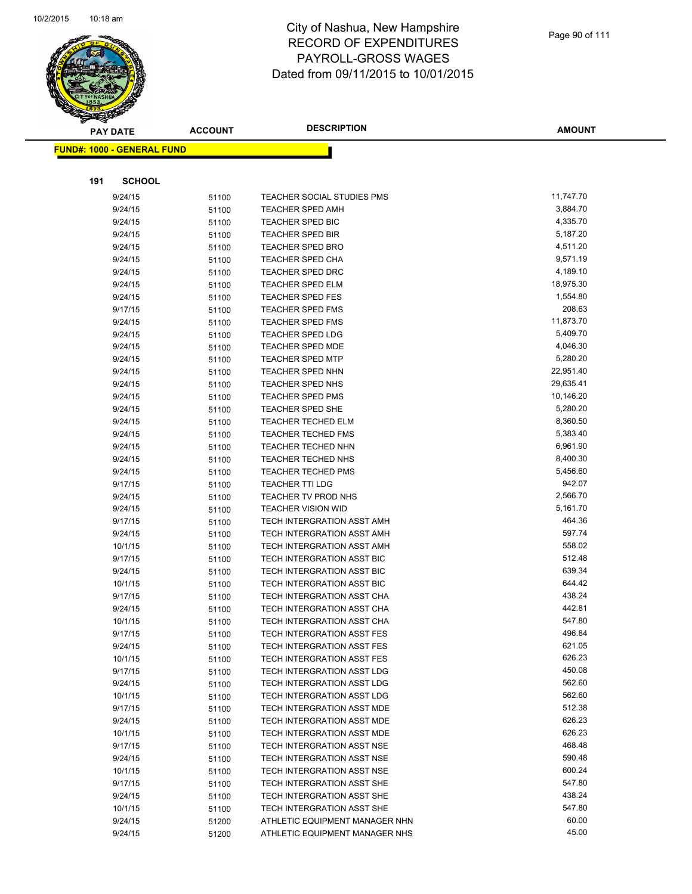

|     | <b>PAY DATE</b>                   | <b>ACCOUNT</b> | <b>DESCRIPTION</b>                                 | <b>AMOUNT</b>        |
|-----|-----------------------------------|----------------|----------------------------------------------------|----------------------|
|     | <b>FUND#: 1000 - GENERAL FUND</b> |                |                                                    |                      |
|     |                                   |                |                                                    |                      |
| 191 | <b>SCHOOL</b>                     |                |                                                    |                      |
|     |                                   |                |                                                    |                      |
|     | 9/24/15                           | 51100          | <b>TEACHER SOCIAL STUDIES PMS</b>                  | 11,747.70            |
|     | 9/24/15                           | 51100          | <b>TEACHER SPED AMH</b>                            | 3,884.70<br>4,335.70 |
|     | 9/24/15<br>9/24/15                | 51100          | <b>TEACHER SPED BIC</b><br><b>TEACHER SPED BIR</b> | 5,187.20             |
|     | 9/24/15                           | 51100          | <b>TEACHER SPED BRO</b>                            | 4,511.20             |
|     | 9/24/15                           | 51100          | <b>TEACHER SPED CHA</b>                            | 9,571.19             |
|     | 9/24/15                           | 51100<br>51100 | <b>TEACHER SPED DRC</b>                            | 4,189.10             |
|     | 9/24/15                           | 51100          | <b>TEACHER SPED ELM</b>                            | 18,975.30            |
|     | 9/24/15                           | 51100          | <b>TEACHER SPED FES</b>                            | 1,554.80             |
|     | 9/17/15                           | 51100          | <b>TEACHER SPED FMS</b>                            | 208.63               |
|     | 9/24/15                           | 51100          | <b>TEACHER SPED FMS</b>                            | 11,873.70            |
|     | 9/24/15                           | 51100          | <b>TEACHER SPED LDG</b>                            | 5,409.70             |
|     | 9/24/15                           | 51100          | <b>TEACHER SPED MDE</b>                            | 4,046.30             |
|     | 9/24/15                           | 51100          | <b>TEACHER SPED MTP</b>                            | 5,280.20             |
|     | 9/24/15                           | 51100          | <b>TEACHER SPED NHN</b>                            | 22,951.40            |
|     | 9/24/15                           | 51100          | <b>TEACHER SPED NHS</b>                            | 29,635.41            |
|     | 9/24/15                           | 51100          | <b>TEACHER SPED PMS</b>                            | 10,146.20            |
|     | 9/24/15                           | 51100          | TEACHER SPED SHE                                   | 5,280.20             |
|     | 9/24/15                           | 51100          | <b>TEACHER TECHED ELM</b>                          | 8,360.50             |
|     | 9/24/15                           | 51100          | <b>TEACHER TECHED FMS</b>                          | 5,383.40             |
|     | 9/24/15                           | 51100          | <b>TEACHER TECHED NHN</b>                          | 6,961.90             |
|     | 9/24/15                           | 51100          | TEACHER TECHED NHS                                 | 8,400.30             |
|     | 9/24/15                           | 51100          | <b>TEACHER TECHED PMS</b>                          | 5,456.60             |
|     | 9/17/15                           | 51100          | <b>TEACHER TTI LDG</b>                             | 942.07               |
|     | 9/24/15                           | 51100          | TEACHER TV PROD NHS                                | 2,566.70             |
|     | 9/24/15                           | 51100          | <b>TEACHER VISION WID</b>                          | 5,161.70             |
|     | 9/17/15                           | 51100          | TECH INTERGRATION ASST AMH                         | 464.36               |
|     | 9/24/15                           | 51100          | TECH INTERGRATION ASST AMH                         | 597.74               |
|     | 10/1/15                           | 51100          | TECH INTERGRATION ASST AMH                         | 558.02               |
|     | 9/17/15                           | 51100          | TECH INTERGRATION ASST BIC                         | 512.48               |
|     | 9/24/15                           | 51100          | TECH INTERGRATION ASST BIC                         | 639.34               |
|     | 10/1/15                           | 51100          | TECH INTERGRATION ASST BIC                         | 644.42               |
|     | 9/17/15                           | 51100          | TECH INTERGRATION ASST CHA                         | 438.24               |
|     | 9/24/15                           | 51100          | TECH INTERGRATION ASST CHA                         | 442.81               |
|     | 10/1/15                           | 51100          | TECH INTERGRATION ASST CHA                         | 547.80               |
|     | 9/17/15                           | 51100          | TECH INTERGRATION ASST FES                         | 496.84               |
|     | 9/24/15                           | 51100          | <b>TECH INTERGRATION ASST FES</b>                  | 621.05               |
|     | 10/1/15                           | 51100          | TECH INTERGRATION ASST FES                         | 626.23               |
|     | 9/17/15                           | 51100          | TECH INTERGRATION ASST LDG                         | 450.08               |
|     | 9/24/15                           | 51100          | TECH INTERGRATION ASST LDG                         | 562.60               |
|     | 10/1/15                           | 51100          | TECH INTERGRATION ASST LDG                         | 562.60               |
|     | 9/17/15                           | 51100          | TECH INTERGRATION ASST MDE                         | 512.38               |
|     | 9/24/15                           | 51100          | TECH INTERGRATION ASST MDE                         | 626.23               |
|     | 10/1/15                           | 51100          | TECH INTERGRATION ASST MDE                         | 626.23               |
|     | 9/17/15                           | 51100          | TECH INTERGRATION ASST NSE                         | 468.48               |
|     | 9/24/15                           | 51100          | TECH INTERGRATION ASST NSE                         | 590.48               |
|     | 10/1/15                           | 51100          | TECH INTERGRATION ASST NSE                         | 600.24               |
|     | 9/17/15                           | 51100          | TECH INTERGRATION ASST SHE                         | 547.80               |
|     | 9/24/15                           | 51100          | TECH INTERGRATION ASST SHE                         | 438.24               |
|     | 10/1/15                           | 51100          | TECH INTERGRATION ASST SHE                         | 547.80               |
|     | 9/24/15                           | 51200          | ATHLETIC EQUIPMENT MANAGER NHN                     | 60.00                |
|     | 9/24/15                           | 51200          | ATHLETIC EQUIPMENT MANAGER NHS                     | 45.00                |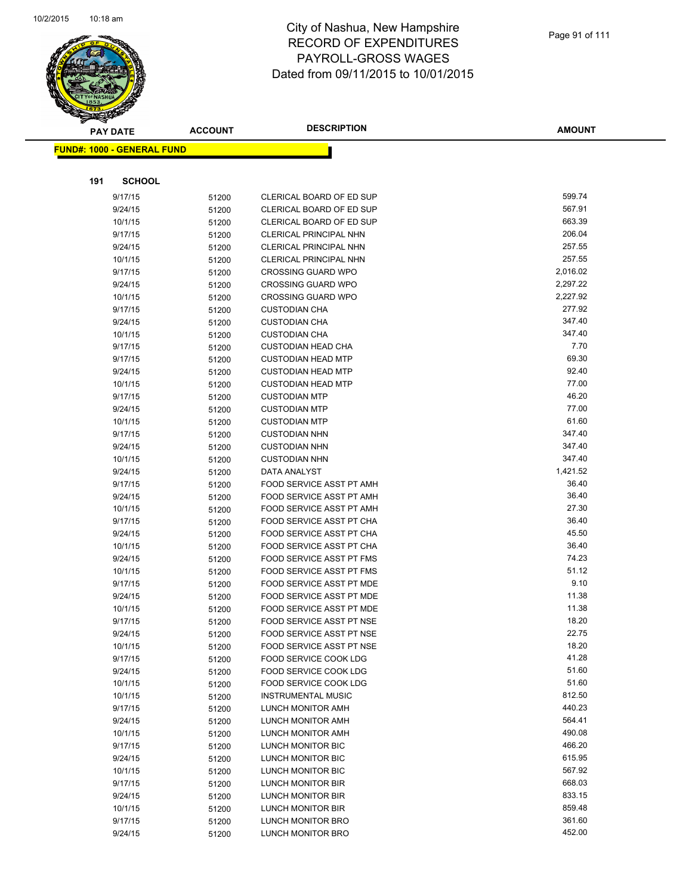

|     | <b>PAY DATE</b>                   | <b>ACCOUNT</b> | <b>DESCRIPTION</b>                                 | <b>AMOUNT</b> |
|-----|-----------------------------------|----------------|----------------------------------------------------|---------------|
|     | <b>FUND#: 1000 - GENERAL FUND</b> |                |                                                    |               |
|     |                                   |                |                                                    |               |
| 191 | <b>SCHOOL</b>                     |                |                                                    |               |
|     |                                   |                |                                                    | 599.74        |
|     | 9/17/15                           | 51200          | CLERICAL BOARD OF ED SUP                           | 567.91        |
|     | 9/24/15                           | 51200          | CLERICAL BOARD OF ED SUP                           | 663.39        |
|     | 10/1/15<br>9/17/15                | 51200          | CLERICAL BOARD OF ED SUP<br>CLERICAL PRINCIPAL NHN | 206.04        |
|     | 9/24/15                           | 51200          |                                                    | 257.55        |
|     | 10/1/15                           | 51200          | CLERICAL PRINCIPAL NHN<br>CLERICAL PRINCIPAL NHN   | 257.55        |
|     | 9/17/15                           | 51200<br>51200 | <b>CROSSING GUARD WPO</b>                          | 2,016.02      |
|     | 9/24/15                           | 51200          | <b>CROSSING GUARD WPO</b>                          | 2,297.22      |
|     | 10/1/15                           | 51200          | <b>CROSSING GUARD WPO</b>                          | 2,227.92      |
|     | 9/17/15                           | 51200          | <b>CUSTODIAN CHA</b>                               | 277.92        |
|     | 9/24/15                           | 51200          | <b>CUSTODIAN CHA</b>                               | 347.40        |
|     | 10/1/15                           | 51200          | <b>CUSTODIAN CHA</b>                               | 347.40        |
|     | 9/17/15                           | 51200          | <b>CUSTODIAN HEAD CHA</b>                          | 7.70          |
|     | 9/17/15                           | 51200          | <b>CUSTODIAN HEAD MTP</b>                          | 69.30         |
|     | 9/24/15                           | 51200          | <b>CUSTODIAN HEAD MTP</b>                          | 92.40         |
|     | 10/1/15                           | 51200          | <b>CUSTODIAN HEAD MTP</b>                          | 77.00         |
|     | 9/17/15                           | 51200          | <b>CUSTODIAN MTP</b>                               | 46.20         |
|     | 9/24/15                           | 51200          | <b>CUSTODIAN MTP</b>                               | 77.00         |
|     | 10/1/15                           | 51200          | <b>CUSTODIAN MTP</b>                               | 61.60         |
|     | 9/17/15                           | 51200          | <b>CUSTODIAN NHN</b>                               | 347.40        |
|     | 9/24/15                           | 51200          | <b>CUSTODIAN NHN</b>                               | 347.40        |
|     | 10/1/15                           | 51200          | <b>CUSTODIAN NHN</b>                               | 347.40        |
|     | 9/24/15                           | 51200          | DATA ANALYST                                       | 1,421.52      |
|     | 9/17/15                           | 51200          | FOOD SERVICE ASST PT AMH                           | 36.40         |
|     | 9/24/15                           | 51200          | FOOD SERVICE ASST PT AMH                           | 36.40         |
|     | 10/1/15                           | 51200          | FOOD SERVICE ASST PT AMH                           | 27.30         |
|     | 9/17/15                           | 51200          | FOOD SERVICE ASST PT CHA                           | 36.40         |
|     | 9/24/15                           | 51200          | FOOD SERVICE ASST PT CHA                           | 45.50         |
|     | 10/1/15                           | 51200          | FOOD SERVICE ASST PT CHA                           | 36.40         |
|     | 9/24/15                           | 51200          | FOOD SERVICE ASST PT FMS                           | 74.23         |
|     | 10/1/15                           | 51200          | FOOD SERVICE ASST PT FMS                           | 51.12         |
|     | 9/17/15                           | 51200          | FOOD SERVICE ASST PT MDE                           | 9.10          |
|     | 9/24/15                           | 51200          | FOOD SERVICE ASST PT MDE                           | 11.38         |
|     | 10/1/15                           | 51200          | FOOD SERVICE ASST PT MDE                           | 11.38         |
|     | 9/17/15                           | 51200          | FOOD SERVICE ASST PT NSE                           | 18.20         |
|     | 9/24/15                           | 51200          | FOOD SERVICE ASST PT NSE                           | 22.75         |
|     | 10/1/15                           | 51200          | FOOD SERVICE ASST PT NSE                           | 18.20         |
|     | 9/17/15                           | 51200          | FOOD SERVICE COOK LDG                              | 41.28         |
|     | 9/24/15                           | 51200          | FOOD SERVICE COOK LDG                              | 51.60         |
|     | 10/1/15                           | 51200          | FOOD SERVICE COOK LDG                              | 51.60         |
|     | 10/1/15                           | 51200          | <b>INSTRUMENTAL MUSIC</b>                          | 812.50        |
|     | 9/17/15                           | 51200          | LUNCH MONITOR AMH                                  | 440.23        |
|     | 9/24/15                           | 51200          | LUNCH MONITOR AMH                                  | 564.41        |
|     | 10/1/15                           | 51200          | LUNCH MONITOR AMH                                  | 490.08        |
|     | 9/17/15                           | 51200          | LUNCH MONITOR BIC                                  | 466.20        |
|     | 9/24/15                           | 51200          | LUNCH MONITOR BIC                                  | 615.95        |
|     | 10/1/15                           | 51200          | LUNCH MONITOR BIC                                  | 567.92        |
|     | 9/17/15                           | 51200          | LUNCH MONITOR BIR                                  | 668.03        |
|     | 9/24/15                           | 51200          | LUNCH MONITOR BIR                                  | 833.15        |
|     | 10/1/15                           | 51200          | LUNCH MONITOR BIR                                  | 859.48        |
|     | 9/17/15                           | 51200          | LUNCH MONITOR BRO                                  | 361.60        |
|     | 9/24/15                           | 51200          | LUNCH MONITOR BRO                                  | 452.00        |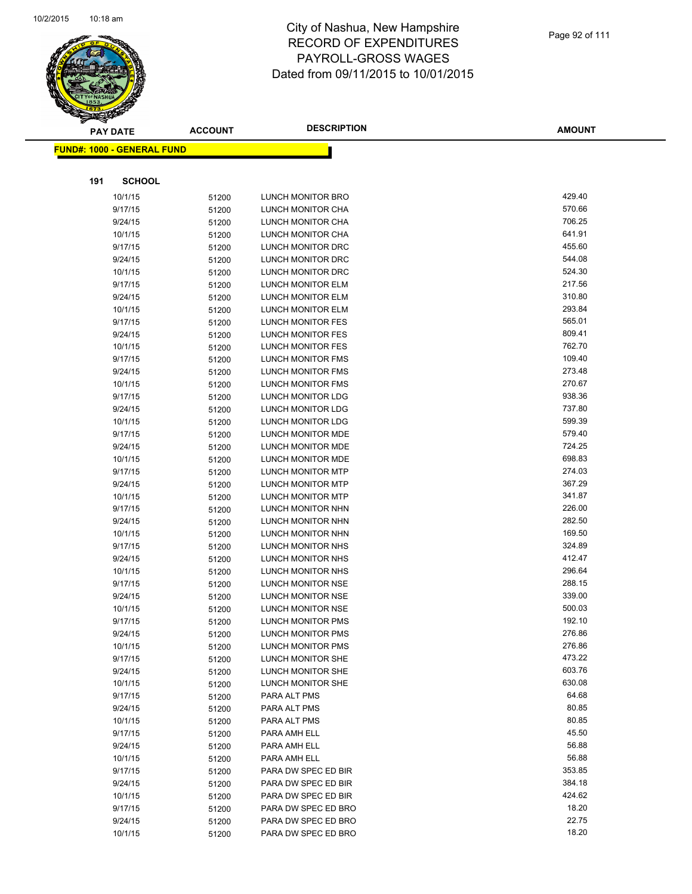

|     | <b>PAY DATE</b>                    | <b>ACCOUNT</b> | <b>DESCRIPTION</b>                     | <b>AMOUNT</b>    |
|-----|------------------------------------|----------------|----------------------------------------|------------------|
|     | <u> FUND#: 1000 - GENERAL FUND</u> |                |                                        |                  |
|     |                                    |                |                                        |                  |
|     |                                    |                |                                        |                  |
| 191 | <b>SCHOOL</b>                      |                |                                        |                  |
|     | 10/1/15                            | 51200          | LUNCH MONITOR BRO                      | 429.40           |
|     | 9/17/15                            | 51200          | LUNCH MONITOR CHA                      | 570.66           |
|     | 9/24/15                            | 51200          | LUNCH MONITOR CHA                      | 706.25           |
|     | 10/1/15                            | 51200          | LUNCH MONITOR CHA                      | 641.91           |
|     | 9/17/15                            | 51200          | LUNCH MONITOR DRC                      | 455.60           |
|     | 9/24/15                            | 51200          | LUNCH MONITOR DRC                      | 544.08           |
|     | 10/1/15                            | 51200          | LUNCH MONITOR DRC                      | 524.30<br>217.56 |
|     | 9/17/15                            | 51200          | LUNCH MONITOR ELM                      | 310.80           |
|     | 9/24/15                            | 51200          | LUNCH MONITOR ELM                      | 293.84           |
|     | 10/1/15                            | 51200          | LUNCH MONITOR ELM                      | 565.01           |
|     | 9/17/15                            | 51200          | LUNCH MONITOR FES                      | 809.41           |
|     | 9/24/15<br>10/1/15                 | 51200          | LUNCH MONITOR FES<br>LUNCH MONITOR FES | 762.70           |
|     | 9/17/15                            | 51200<br>51200 | LUNCH MONITOR FMS                      | 109.40           |
|     | 9/24/15                            | 51200          | <b>LUNCH MONITOR FMS</b>               | 273.48           |
|     | 10/1/15                            | 51200          | LUNCH MONITOR FMS                      | 270.67           |
|     | 9/17/15                            | 51200          | LUNCH MONITOR LDG                      | 938.36           |
|     | 9/24/15                            | 51200          | LUNCH MONITOR LDG                      | 737.80           |
|     | 10/1/15                            | 51200          | LUNCH MONITOR LDG                      | 599.39           |
|     | 9/17/15                            | 51200          | LUNCH MONITOR MDE                      | 579.40           |
|     | 9/24/15                            | 51200          | LUNCH MONITOR MDE                      | 724.25           |
|     | 10/1/15                            | 51200          | LUNCH MONITOR MDE                      | 698.83           |
|     | 9/17/15                            | 51200          | LUNCH MONITOR MTP                      | 274.03           |
|     | 9/24/15                            | 51200          | LUNCH MONITOR MTP                      | 367.29           |
|     | 10/1/15                            | 51200          | LUNCH MONITOR MTP                      | 341.87           |
|     | 9/17/15                            | 51200          | LUNCH MONITOR NHN                      | 226.00           |
|     | 9/24/15                            | 51200          | LUNCH MONITOR NHN                      | 282.50           |
|     | 10/1/15                            | 51200          | LUNCH MONITOR NHN                      | 169.50           |
|     | 9/17/15                            | 51200          | LUNCH MONITOR NHS                      | 324.89           |
|     | 9/24/15                            | 51200          | LUNCH MONITOR NHS                      | 412.47           |
|     | 10/1/15                            | 51200          | LUNCH MONITOR NHS                      | 296.64           |
|     | 9/17/15                            | 51200          | LUNCH MONITOR NSE                      | 288.15           |
|     | 9/24/15                            | 51200          | LUNCH MONITOR NSE                      | 339.00           |
|     | 10/1/15                            | 51200          | LUNCH MONITOR NSE                      | 500.03           |
|     | 9/17/15                            | 51200          | LUNCH MONITOR PMS                      | 192.10           |
|     | 9/24/15                            | 51200          | LUNCH MONITOR PMS                      | 276.86           |
|     | 10/1/15                            | 51200          | LUNCH MONITOR PMS                      | 276.86           |
|     | 9/17/15                            | 51200          | LUNCH MONITOR SHE                      | 473.22           |
|     | 9/24/15                            | 51200          | LUNCH MONITOR SHE                      | 603.76           |
|     | 10/1/15                            | 51200          | LUNCH MONITOR SHE                      | 630.08           |
|     | 9/17/15                            | 51200          | PARA ALT PMS                           | 64.68            |
|     | 9/24/15                            | 51200          | PARA ALT PMS                           | 80.85            |
|     | 10/1/15                            | 51200          | PARA ALT PMS                           | 80.85            |
|     | 9/17/15                            | 51200          | PARA AMH ELL                           | 45.50            |
|     | 9/24/15                            | 51200          | PARA AMH ELL                           | 56.88            |
|     | 10/1/15                            | 51200          | PARA AMH ELL                           | 56.88            |
|     | 9/17/15                            | 51200          | PARA DW SPEC ED BIR                    | 353.85           |
|     | 9/24/15                            | 51200          | PARA DW SPEC ED BIR                    | 384.18           |
|     | 10/1/15                            | 51200          | PARA DW SPEC ED BIR                    | 424.62           |
|     | 9/17/15                            | 51200          | PARA DW SPEC ED BRO                    | 18.20            |
|     | 9/24/15                            | 51200          | PARA DW SPEC ED BRO                    | 22.75            |
|     | 10/1/15                            | 51200          | PARA DW SPEC ED BRO                    | 18.20            |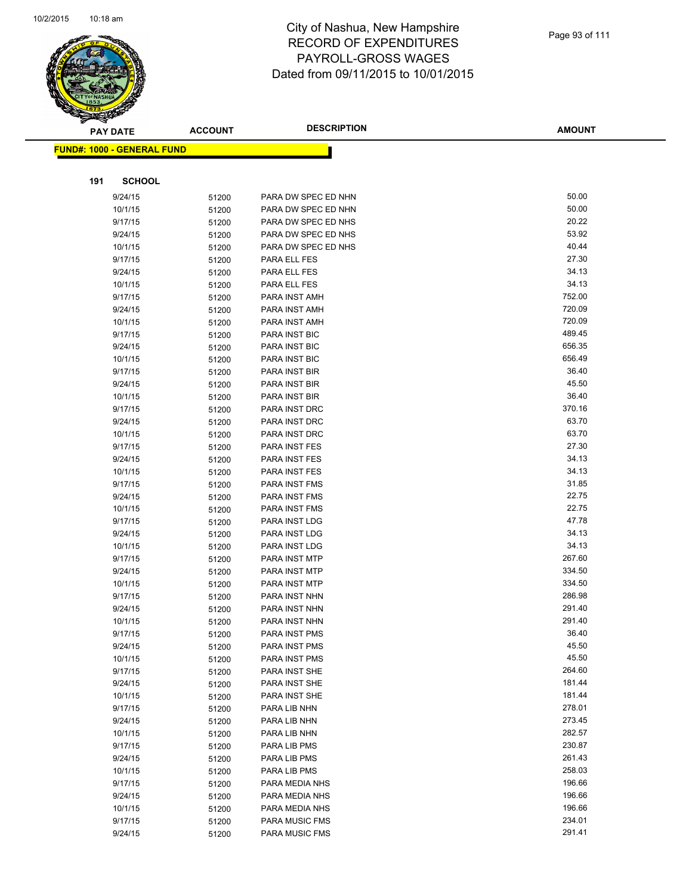

| <b>PAY DATE</b>                    |                    | <b>ACCOUNT</b> | <b>DESCRIPTION</b>             | <b>AMOUNT</b>  |
|------------------------------------|--------------------|----------------|--------------------------------|----------------|
| <u> FUND#: 1000 - GENERAL FUND</u> |                    |                |                                |                |
|                                    |                    |                |                                |                |
|                                    |                    |                |                                |                |
| 191                                | <b>SCHOOL</b>      |                |                                |                |
|                                    | 9/24/15            | 51200          | PARA DW SPEC ED NHN            | 50.00          |
|                                    | 10/1/15            | 51200          | PARA DW SPEC ED NHN            | 50.00          |
|                                    | 9/17/15            | 51200          | PARA DW SPEC ED NHS            | 20.22          |
|                                    | 9/24/15            | 51200          | PARA DW SPEC ED NHS            | 53.92          |
|                                    | 10/1/15            | 51200          | PARA DW SPEC ED NHS            | 40.44          |
|                                    | 9/17/15            | 51200          | PARA ELL FES                   | 27.30          |
|                                    | 9/24/15            | 51200          | PARA ELL FES                   | 34.13          |
|                                    | 10/1/15            | 51200          | PARA ELL FES                   | 34.13          |
|                                    | 9/17/15            | 51200          | PARA INST AMH                  | 752.00         |
|                                    | 9/24/15            | 51200          | PARA INST AMH                  | 720.09         |
|                                    | 10/1/15            | 51200          | PARA INST AMH                  | 720.09         |
|                                    | 9/17/15            | 51200          | PARA INST BIC                  | 489.45         |
|                                    | 9/24/15            | 51200          | PARA INST BIC                  | 656.35         |
|                                    | 10/1/15            | 51200          | PARA INST BIC                  | 656.49         |
|                                    | 9/17/15            | 51200          | PARA INST BIR                  | 36.40          |
|                                    | 9/24/15            | 51200          | PARA INST BIR                  | 45.50          |
|                                    | 10/1/15            | 51200          | PARA INST BIR                  | 36.40          |
|                                    | 9/17/15            | 51200          | PARA INST DRC                  | 370.16         |
|                                    | 9/24/15            | 51200          | PARA INST DRC                  | 63.70          |
|                                    | 10/1/15            | 51200          | PARA INST DRC                  | 63.70          |
|                                    | 9/17/15            | 51200          | PARA INST FES                  | 27.30          |
|                                    | 9/24/15            | 51200          | PARA INST FES                  | 34.13          |
|                                    | 10/1/15            | 51200          | PARA INST FES                  | 34.13          |
|                                    | 9/17/15            | 51200          | PARA INST FMS                  | 31.85          |
|                                    | 9/24/15            | 51200          | PARA INST FMS                  | 22.75          |
|                                    | 10/1/15            | 51200          | PARA INST FMS                  | 22.75<br>47.78 |
|                                    | 9/17/15            | 51200          | PARA INST LDG                  | 34.13          |
|                                    | 9/24/15<br>10/1/15 | 51200          | PARA INST LDG<br>PARA INST LDG | 34.13          |
|                                    | 9/17/15            | 51200          | PARA INST MTP                  | 267.60         |
|                                    | 9/24/15            | 51200<br>51200 | PARA INST MTP                  | 334.50         |
|                                    | 10/1/15            | 51200          | PARA INST MTP                  | 334.50         |
|                                    | 9/17/15            | 51200          | PARA INST NHN                  | 286.98         |
|                                    | 9/24/15            | 51200          | PARA INST NHN                  | 291.40         |
|                                    | 10/1/15            | 51200          | PARA INST NHN                  | 291.40         |
|                                    | 9/17/15            | 51200          | PARA INST PMS                  | 36.40          |
|                                    | 9/24/15            | 51200          | PARA INST PMS                  | 45.50          |
|                                    | 10/1/15            | 51200          | PARA INST PMS                  | 45.50          |
|                                    | 9/17/15            | 51200          | PARA INST SHE                  | 264.60         |
|                                    | 9/24/15            | 51200          | PARA INST SHE                  | 181.44         |
|                                    | 10/1/15            | 51200          | PARA INST SHE                  | 181.44         |
|                                    | 9/17/15            | 51200          | PARA LIB NHN                   | 278.01         |
|                                    | 9/24/15            | 51200          | PARA LIB NHN                   | 273.45         |
|                                    | 10/1/15            | 51200          | PARA LIB NHN                   | 282.57         |
|                                    | 9/17/15            | 51200          | PARA LIB PMS                   | 230.87         |
|                                    | 9/24/15            | 51200          | PARA LIB PMS                   | 261.43         |
|                                    | 10/1/15            | 51200          | PARA LIB PMS                   | 258.03         |
|                                    | 9/17/15            | 51200          | PARA MEDIA NHS                 | 196.66         |
|                                    | 9/24/15            | 51200          | PARA MEDIA NHS                 | 196.66         |
|                                    | 10/1/15            | 51200          | PARA MEDIA NHS                 | 196.66         |
|                                    | 9/17/15            | 51200          | PARA MUSIC FMS                 | 234.01         |
|                                    | 9/24/15            | 51200          | PARA MUSIC FMS                 | 291.41         |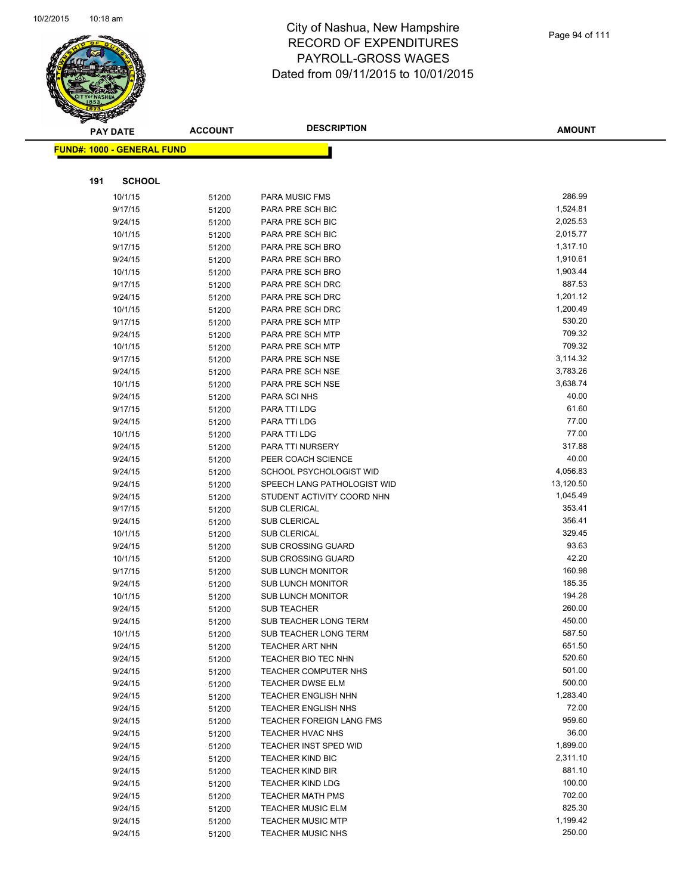

| T   | <b>PAY DATE</b>                   | <b>ACCOUNT</b> | <b>DESCRIPTION</b>                       | <b>AMOUNT</b>    |
|-----|-----------------------------------|----------------|------------------------------------------|------------------|
|     | <b>FUND#: 1000 - GENERAL FUND</b> |                |                                          |                  |
|     |                                   |                |                                          |                  |
|     |                                   |                |                                          |                  |
| 191 | <b>SCHOOL</b>                     |                |                                          |                  |
|     | 10/1/15                           | 51200          | <b>PARA MUSIC FMS</b>                    | 286.99           |
|     | 9/17/15                           | 51200          | PARA PRE SCH BIC                         | 1,524.81         |
|     | 9/24/15                           | 51200          | PARA PRE SCH BIC                         | 2,025.53         |
|     | 10/1/15                           | 51200          | PARA PRE SCH BIC                         | 2,015.77         |
|     | 9/17/15                           | 51200          | PARA PRE SCH BRO                         | 1,317.10         |
|     | 9/24/15                           | 51200          | PARA PRE SCH BRO                         | 1,910.61         |
|     | 10/1/15                           | 51200          | PARA PRE SCH BRO                         | 1,903.44         |
|     | 9/17/15                           | 51200          | PARA PRE SCH DRC                         | 887.53           |
|     | 9/24/15                           | 51200          | PARA PRE SCH DRC                         | 1,201.12         |
|     | 10/1/15                           | 51200          | PARA PRE SCH DRC                         | 1,200.49         |
|     | 9/17/15                           | 51200          | PARA PRE SCH MTP                         | 530.20           |
|     | 9/24/15                           | 51200          | PARA PRE SCH MTP                         | 709.32           |
|     | 10/1/15                           | 51200          | PARA PRE SCH MTP                         | 709.32           |
|     | 9/17/15                           | 51200          | PARA PRE SCH NSE                         | 3,114.32         |
|     | 9/24/15                           | 51200          | PARA PRE SCH NSE                         | 3,783.26         |
|     | 10/1/15                           | 51200          | PARA PRE SCH NSE                         | 3,638.74         |
|     | 9/24/15                           | 51200          | <b>PARA SCI NHS</b>                      | 40.00            |
|     | 9/17/15                           | 51200          | PARA TTI LDG                             | 61.60            |
|     | 9/24/15                           | 51200          | PARA TTI LDG                             | 77.00            |
|     | 10/1/15                           | 51200          | PARA TTI LDG                             | 77.00            |
|     | 9/24/15                           | 51200          | PARA TTI NURSERY                         | 317.88           |
|     | 9/24/15                           | 51200          | PEER COACH SCIENCE                       | 40.00            |
|     | 9/24/15                           | 51200          | SCHOOL PSYCHOLOGIST WID                  | 4,056.83         |
|     | 9/24/15                           | 51200          | SPEECH LANG PATHOLOGIST WID              | 13,120.50        |
|     | 9/24/15                           | 51200          | STUDENT ACTIVITY COORD NHN               | 1,045.49         |
|     | 9/17/15                           | 51200          | <b>SUB CLERICAL</b>                      | 353.41           |
|     | 9/24/15                           | 51200          | <b>SUB CLERICAL</b>                      | 356.41           |
|     | 10/1/15                           | 51200          | <b>SUB CLERICAL</b>                      | 329.45           |
|     | 9/24/15                           | 51200          | <b>SUB CROSSING GUARD</b>                | 93.63            |
|     | 10/1/15                           | 51200          | <b>SUB CROSSING GUARD</b>                | 42.20            |
|     | 9/17/15                           | 51200          | <b>SUB LUNCH MONITOR</b>                 | 160.98           |
|     | 9/24/15                           | 51200          | <b>SUB LUNCH MONITOR</b>                 | 185.35           |
|     | 10/1/15                           | 51200          | <b>SUB LUNCH MONITOR</b>                 | 194.28           |
|     | 9/24/15                           | 51200          | <b>SUB TEACHER</b>                       | 260.00           |
|     | 9/24/15                           | 51200          | <b>SUB TEACHER LONG TERM</b>             | 450.00           |
|     | 10/1/15                           | 51200          | SUB TEACHER LONG TERM                    | 587.50<br>651.50 |
|     | 9/24/15                           | 51200          | <b>TEACHER ART NHN</b>                   | 520.60           |
|     | 9/24/15                           | 51200          | TEACHER BIO TEC NHN                      | 501.00           |
|     | 9/24/15                           | 51200          | TEACHER COMPUTER NHS<br>TEACHER DWSE ELM | 500.00           |
|     | 9/24/15                           | 51200          | <b>TEACHER ENGLISH NHN</b>               | 1,283.40         |
|     | 9/24/15<br>9/24/15                | 51200          | <b>TEACHER ENGLISH NHS</b>               | 72.00            |
|     | 9/24/15                           | 51200          | <b>TEACHER FOREIGN LANG FMS</b>          | 959.60           |
|     | 9/24/15                           | 51200          | TEACHER HVAC NHS                         | 36.00            |
|     | 9/24/15                           | 51200          | <b>TEACHER INST SPED WID</b>             | 1,899.00         |
|     | 9/24/15                           | 51200<br>51200 | <b>TEACHER KIND BIC</b>                  | 2,311.10         |
|     | 9/24/15                           | 51200          | <b>TEACHER KIND BIR</b>                  | 881.10           |
|     | 9/24/15                           | 51200          | <b>TEACHER KIND LDG</b>                  | 100.00           |
|     | 9/24/15                           | 51200          | <b>TEACHER MATH PMS</b>                  | 702.00           |
|     | 9/24/15                           | 51200          | <b>TEACHER MUSIC ELM</b>                 | 825.30           |
|     | 9/24/15                           | 51200          | <b>TEACHER MUSIC MTP</b>                 | 1,199.42         |
|     | 9/24/15                           | 51200          | <b>TEACHER MUSIC NHS</b>                 | 250.00           |
|     |                                   |                |                                          |                  |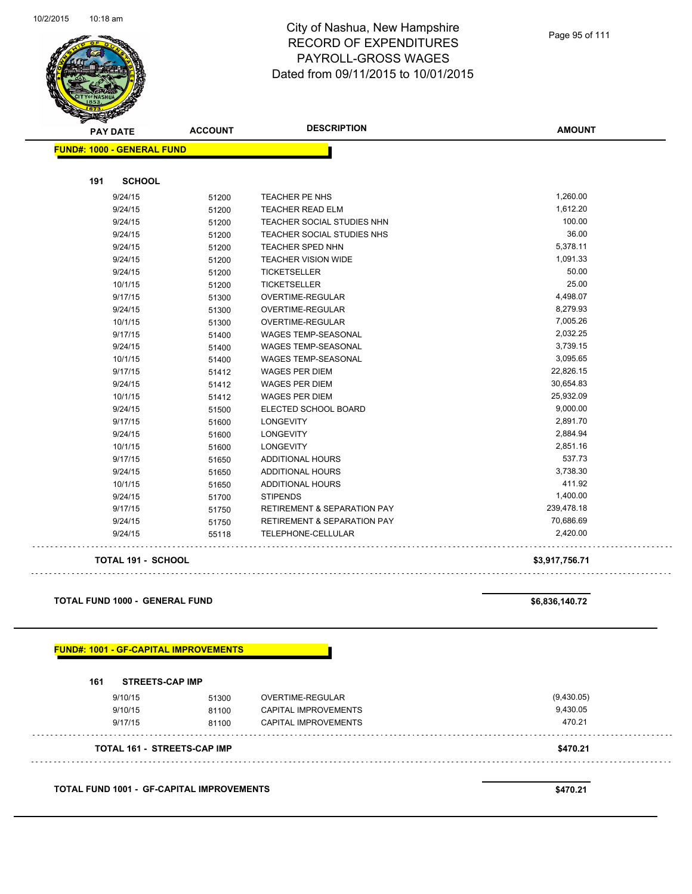

Page 95 of 111

| <b>PAY DATE</b>                       | <b>ACCOUNT</b> | <b>DESCRIPTION</b>                     | <b>AMOUNT</b>  |
|---------------------------------------|----------------|----------------------------------------|----------------|
| <b>FUND#: 1000 - GENERAL FUND</b>     |                |                                        |                |
| <b>SCHOOL</b><br>191                  |                |                                        |                |
| 9/24/15                               | 51200          | TEACHER PE NHS                         | 1,260.00       |
| 9/24/15                               | 51200          | <b>TEACHER READ ELM</b>                | 1,612.20       |
| 9/24/15                               | 51200          | TEACHER SOCIAL STUDIES NHN             | 100.00         |
| 9/24/15                               | 51200          | TEACHER SOCIAL STUDIES NHS             | 36.00          |
| 9/24/15                               | 51200          | <b>TEACHER SPED NHN</b>                | 5,378.11       |
| 9/24/15                               | 51200          | <b>TEACHER VISION WIDE</b>             | 1,091.33       |
| 9/24/15                               | 51200          | <b>TICKETSELLER</b>                    | 50.00          |
| 10/1/15                               | 51200          | <b>TICKETSELLER</b>                    | 25.00          |
| 9/17/15                               | 51300          | OVERTIME-REGULAR                       | 4,498.07       |
| 9/24/15                               | 51300          | OVERTIME-REGULAR                       | 8,279.93       |
| 10/1/15                               | 51300          | OVERTIME-REGULAR                       | 7,005.26       |
| 9/17/15                               | 51400          | WAGES TEMP-SEASONAL                    | 2,032.25       |
| 9/24/15                               | 51400          | WAGES TEMP-SEASONAL                    | 3,739.15       |
| 10/1/15                               | 51400          | <b>WAGES TEMP-SEASONAL</b>             | 3,095.65       |
| 9/17/15                               | 51412          | <b>WAGES PER DIEM</b>                  | 22,826.15      |
| 9/24/15                               | 51412          | <b>WAGES PER DIEM</b>                  | 30,654.83      |
| 10/1/15                               | 51412          | WAGES PER DIEM                         | 25,932.09      |
| 9/24/15                               | 51500          | ELECTED SCHOOL BOARD                   | 9,000.00       |
| 9/17/15                               | 51600          | <b>LONGEVITY</b>                       | 2,891.70       |
| 9/24/15                               | 51600          | <b>LONGEVITY</b>                       | 2,884.94       |
| 10/1/15                               | 51600          | <b>LONGEVITY</b>                       | 2,851.16       |
| 9/17/15                               | 51650          | <b>ADDITIONAL HOURS</b>                | 537.73         |
| 9/24/15                               | 51650          | <b>ADDITIONAL HOURS</b>                | 3,738.30       |
| 10/1/15                               | 51650          | <b>ADDITIONAL HOURS</b>                | 411.92         |
| 9/24/15                               | 51700          | <b>STIPENDS</b>                        | 1,400.00       |
| 9/17/15                               | 51750          | <b>RETIREMENT &amp; SEPARATION PAY</b> | 239,478.18     |
| 9/24/15                               | 51750          | <b>RETIREMENT &amp; SEPARATION PAY</b> | 70,686.69      |
| 9/24/15                               | 55118          | TELEPHONE-CELLULAR                     | 2,420.00       |
| TOTAL 191 - SCHOOL                    |                |                                        | \$3,917,756.71 |
|                                       |                |                                        |                |
| <b>TOTAL FUND 1000 - GENERAL FUND</b> |                |                                        | \$6,836,140.72 |
|                                       |                |                                        |                |

| 161 | <b>STREETS-CAP IMP</b> |  |
|-----|------------------------|--|
|     |                        |  |

 $\ddotsc$ 

 $\sim$   $\sim$ 

| <b>TOTAL 161 - STREETS-CAP IMP</b> |       |                      | \$470.21   |
|------------------------------------|-------|----------------------|------------|
| 9/17/15                            | 81100 | CAPITAL IMPROVEMENTS | 470.21     |
| 9/10/15                            | 81100 | CAPITAL IMPROVEMENTS | 9,430.05   |
| 9/10/15                            | 51300 | OVERTIME-REGULAR     | (9,430.05) |
|                                    |       |                      |            |

**TOTAL FUND 1001 - GF-CAPITAL IMPROVEMENTS \$470.21**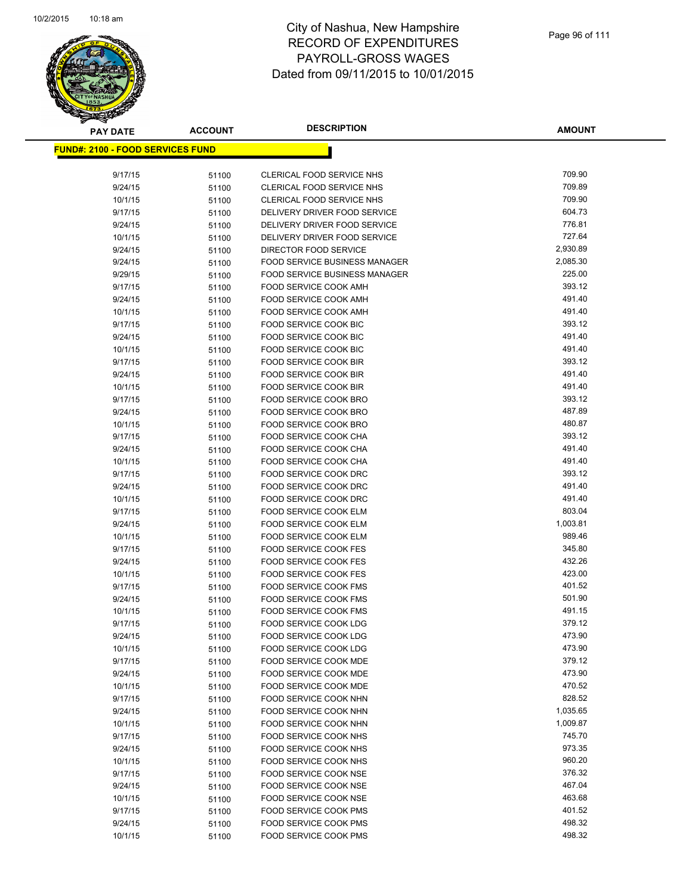

| <b>PAY DATE</b>                          | <b>ACCOUNT</b> | <b>DESCRIPTION</b>                                    | <b>AMOUNT</b>    |
|------------------------------------------|----------------|-------------------------------------------------------|------------------|
| <u> FUND#: 2100 - FOOD SERVICES FUND</u> |                |                                                       |                  |
|                                          |                |                                                       |                  |
| 9/17/15                                  | 51100          | CLERICAL FOOD SERVICE NHS                             | 709.90           |
| 9/24/15                                  | 51100          | <b>CLERICAL FOOD SERVICE NHS</b>                      | 709.89           |
| 10/1/15                                  | 51100          | <b>CLERICAL FOOD SERVICE NHS</b>                      | 709.90           |
| 9/17/15                                  | 51100          | DELIVERY DRIVER FOOD SERVICE                          | 604.73           |
| 9/24/15                                  | 51100          | DELIVERY DRIVER FOOD SERVICE                          | 776.81           |
| 10/1/15                                  | 51100          | DELIVERY DRIVER FOOD SERVICE                          | 727.64           |
| 9/24/15                                  | 51100          | DIRECTOR FOOD SERVICE                                 | 2,930.89         |
| 9/24/15                                  | 51100          | <b>FOOD SERVICE BUSINESS MANAGER</b>                  | 2,085.30         |
| 9/29/15                                  | 51100          | <b>FOOD SERVICE BUSINESS MANAGER</b>                  | 225.00           |
| 9/17/15                                  | 51100          | FOOD SERVICE COOK AMH                                 | 393.12           |
| 9/24/15                                  | 51100          | FOOD SERVICE COOK AMH                                 | 491.40           |
| 10/1/15                                  | 51100          | FOOD SERVICE COOK AMH                                 | 491.40           |
| 9/17/15                                  | 51100          | FOOD SERVICE COOK BIC                                 | 393.12           |
| 9/24/15                                  | 51100          | FOOD SERVICE COOK BIC<br><b>FOOD SERVICE COOK BIC</b> | 491.40<br>491.40 |
| 10/1/15<br>9/17/15                       | 51100          | FOOD SERVICE COOK BIR                                 | 393.12           |
| 9/24/15                                  | 51100          | <b>FOOD SERVICE COOK BIR</b>                          | 491.40           |
| 10/1/15                                  | 51100          | FOOD SERVICE COOK BIR                                 | 491.40           |
| 9/17/15                                  | 51100<br>51100 | FOOD SERVICE COOK BRO                                 | 393.12           |
| 9/24/15                                  | 51100          | FOOD SERVICE COOK BRO                                 | 487.89           |
| 10/1/15                                  | 51100          | FOOD SERVICE COOK BRO                                 | 480.87           |
| 9/17/15                                  | 51100          | FOOD SERVICE COOK CHA                                 | 393.12           |
| 9/24/15                                  | 51100          | FOOD SERVICE COOK CHA                                 | 491.40           |
| 10/1/15                                  | 51100          | FOOD SERVICE COOK CHA                                 | 491.40           |
| 9/17/15                                  | 51100          | FOOD SERVICE COOK DRC                                 | 393.12           |
| 9/24/15                                  | 51100          | FOOD SERVICE COOK DRC                                 | 491.40           |
| 10/1/15                                  | 51100          | FOOD SERVICE COOK DRC                                 | 491.40           |
| 9/17/15                                  | 51100          | FOOD SERVICE COOK ELM                                 | 803.04           |
| 9/24/15                                  | 51100          | FOOD SERVICE COOK ELM                                 | 1,003.81         |
| 10/1/15                                  | 51100          | FOOD SERVICE COOK ELM                                 | 989.46           |
| 9/17/15                                  | 51100          | <b>FOOD SERVICE COOK FES</b>                          | 345.80           |
| 9/24/15                                  | 51100          | <b>FOOD SERVICE COOK FES</b>                          | 432.26           |
| 10/1/15                                  | 51100          | <b>FOOD SERVICE COOK FES</b>                          | 423.00           |
| 9/17/15                                  | 51100          | FOOD SERVICE COOK FMS                                 | 401.52           |
| 9/24/15                                  | 51100          | FOOD SERVICE COOK FMS                                 | 501.90           |
| 10/1/15                                  | 51100          | <b>FOOD SERVICE COOK FMS</b>                          | 491.15           |
| 9/17/15                                  | 51100          | <b>FOOD SERVICE COOK LDG</b>                          | 379.12           |
| 9/24/15                                  | 51100          | FOOD SERVICE COOK LDG                                 | 473.90<br>473.90 |
| 10/1/15                                  | 51100          | FOOD SERVICE COOK LDG<br>FOOD SERVICE COOK MDE        | 379.12           |
| 9/17/15                                  | 51100          | FOOD SERVICE COOK MDE                                 | 473.90           |
| 9/24/15<br>10/1/15                       | 51100          | FOOD SERVICE COOK MDE                                 | 470.52           |
| 9/17/15                                  | 51100<br>51100 | FOOD SERVICE COOK NHN                                 | 828.52           |
| 9/24/15                                  | 51100          | FOOD SERVICE COOK NHN                                 | 1,035.65         |
| 10/1/15                                  | 51100          | FOOD SERVICE COOK NHN                                 | 1,009.87         |
| 9/17/15                                  | 51100          | FOOD SERVICE COOK NHS                                 | 745.70           |
| 9/24/15                                  | 51100          | <b>FOOD SERVICE COOK NHS</b>                          | 973.35           |
| 10/1/15                                  | 51100          | FOOD SERVICE COOK NHS                                 | 960.20           |
| 9/17/15                                  | 51100          | FOOD SERVICE COOK NSE                                 | 376.32           |
| 9/24/15                                  | 51100          | FOOD SERVICE COOK NSE                                 | 467.04           |
| 10/1/15                                  | 51100          | FOOD SERVICE COOK NSE                                 | 463.68           |
| 9/17/15                                  | 51100          | <b>FOOD SERVICE COOK PMS</b>                          | 401.52           |
| 9/24/15                                  | 51100          | <b>FOOD SERVICE COOK PMS</b>                          | 498.32           |
| 10/1/15                                  | 51100          | <b>FOOD SERVICE COOK PMS</b>                          | 498.32           |
|                                          |                |                                                       |                  |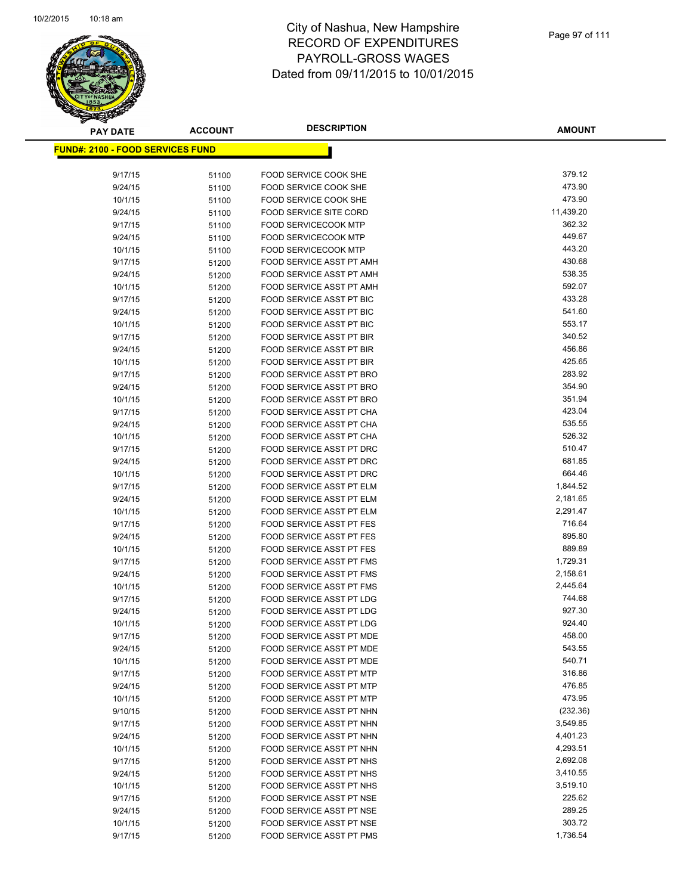

| <b>PAY DATE</b>                          | <b>ACCOUNT</b> | <b>DESCRIPTION</b>                                                 | <b>AMOUNT</b>    |
|------------------------------------------|----------------|--------------------------------------------------------------------|------------------|
| <u> FUND#: 2100 - FOOD SERVICES FUND</u> |                |                                                                    |                  |
|                                          |                |                                                                    |                  |
| 9/17/15                                  | 51100          | FOOD SERVICE COOK SHE                                              | 379.12           |
| 9/24/15                                  | 51100          | FOOD SERVICE COOK SHE                                              | 473.90           |
| 10/1/15                                  | 51100          | <b>FOOD SERVICE COOK SHE</b>                                       | 473.90           |
| 9/24/15                                  | 51100          | <b>FOOD SERVICE SITE CORD</b>                                      | 11,439.20        |
| 9/17/15                                  | 51100          | <b>FOOD SERVICECOOK MTP</b>                                        | 362.32           |
| 9/24/15                                  | 51100          | <b>FOOD SERVICECOOK MTP</b>                                        | 449.67           |
| 10/1/15                                  | 51100          | <b>FOOD SERVICECOOK MTP</b>                                        | 443.20           |
| 9/17/15                                  | 51200          | <b>FOOD SERVICE ASST PT AMH</b>                                    | 430.68           |
| 9/24/15                                  | 51200          | FOOD SERVICE ASST PT AMH                                           | 538.35           |
| 10/1/15                                  | 51200          | <b>FOOD SERVICE ASST PT AMH</b>                                    | 592.07           |
| 9/17/15                                  | 51200          | FOOD SERVICE ASST PT BIC                                           | 433.28           |
| 9/24/15                                  | 51200          | FOOD SERVICE ASST PT BIC                                           | 541.60           |
| 10/1/15                                  | 51200          | FOOD SERVICE ASST PT BIC                                           | 553.17           |
| 9/17/15                                  | 51200          | FOOD SERVICE ASST PT BIR                                           | 340.52           |
| 9/24/15                                  | 51200          | FOOD SERVICE ASST PT BIR                                           | 456.86           |
| 10/1/15                                  | 51200          | <b>FOOD SERVICE ASST PT BIR</b>                                    | 425.65           |
| 9/17/15                                  | 51200          | FOOD SERVICE ASST PT BRO                                           | 283.92           |
| 9/24/15                                  | 51200          | FOOD SERVICE ASST PT BRO                                           | 354.90           |
| 10/1/15                                  | 51200          | FOOD SERVICE ASST PT BRO                                           | 351.94           |
| 9/17/15                                  | 51200          | FOOD SERVICE ASST PT CHA                                           | 423.04           |
| 9/24/15                                  | 51200          | FOOD SERVICE ASST PT CHA                                           | 535.55           |
| 10/1/15                                  | 51200          | FOOD SERVICE ASST PT CHA                                           | 526.32           |
| 9/17/15                                  | 51200          | <b>FOOD SERVICE ASST PT DRC</b>                                    | 510.47           |
| 9/24/15                                  | 51200          | FOOD SERVICE ASST PT DRC                                           | 681.85           |
| 10/1/15                                  | 51200          | FOOD SERVICE ASST PT DRC                                           | 664.46           |
| 9/17/15                                  | 51200          | FOOD SERVICE ASST PT ELM                                           | 1,844.52         |
| 9/24/15                                  | 51200          | FOOD SERVICE ASST PT ELM                                           | 2,181.65         |
| 10/1/15                                  | 51200          | FOOD SERVICE ASST PT ELM                                           | 2,291.47         |
| 9/17/15                                  | 51200          | <b>FOOD SERVICE ASST PT FES</b>                                    | 716.64<br>895.80 |
| 9/24/15<br>10/1/15                       | 51200          | <b>FOOD SERVICE ASST PT FES</b><br><b>FOOD SERVICE ASST PT FES</b> | 889.89           |
| 9/17/15                                  | 51200<br>51200 | FOOD SERVICE ASST PT FMS                                           | 1,729.31         |
| 9/24/15                                  | 51200          | FOOD SERVICE ASST PT FMS                                           | 2,158.61         |
| 10/1/15                                  | 51200          | FOOD SERVICE ASST PT FMS                                           | 2,445.64         |
| 9/17/15                                  | 51200          | FOOD SERVICE ASST PT LDG                                           | 744.68           |
| 9/24/15                                  | 51200          | FOOD SERVICE ASST PT LDG                                           | 927.30           |
| 10/1/15                                  | 51200          | <b>FOOD SERVICE ASST PT LDG</b>                                    | 924.40           |
| 9/17/15                                  | 51200          | FOOD SERVICE ASST PT MDE                                           | 458.00           |
| 9/24/15                                  | 51200          | FOOD SERVICE ASST PT MDE                                           | 543.55           |
| 10/1/15                                  | 51200          | FOOD SERVICE ASST PT MDE                                           | 540.71           |
| 9/17/15                                  | 51200          | <b>FOOD SERVICE ASST PT MTP</b>                                    | 316.86           |
| 9/24/15                                  | 51200          | FOOD SERVICE ASST PT MTP                                           | 476.85           |
| 10/1/15                                  | 51200          | FOOD SERVICE ASST PT MTP                                           | 473.95           |
| 9/10/15                                  | 51200          | FOOD SERVICE ASST PT NHN                                           | (232.36)         |
| 9/17/15                                  | 51200          | FOOD SERVICE ASST PT NHN                                           | 3,549.85         |
| 9/24/15                                  | 51200          | FOOD SERVICE ASST PT NHN                                           | 4,401.23         |
| 10/1/15                                  | 51200          | FOOD SERVICE ASST PT NHN                                           | 4,293.51         |
| 9/17/15                                  | 51200          | FOOD SERVICE ASST PT NHS                                           | 2,692.08         |
| 9/24/15                                  | 51200          | FOOD SERVICE ASST PT NHS                                           | 3,410.55         |
| 10/1/15                                  | 51200          | FOOD SERVICE ASST PT NHS                                           | 3,519.10         |
| 9/17/15                                  | 51200          | FOOD SERVICE ASST PT NSE                                           | 225.62           |
| 9/24/15                                  | 51200          | FOOD SERVICE ASST PT NSE                                           | 289.25           |
| 10/1/15                                  | 51200          | FOOD SERVICE ASST PT NSE                                           | 303.72           |
| 9/17/15                                  | 51200          | FOOD SERVICE ASST PT PMS                                           | 1,736.54         |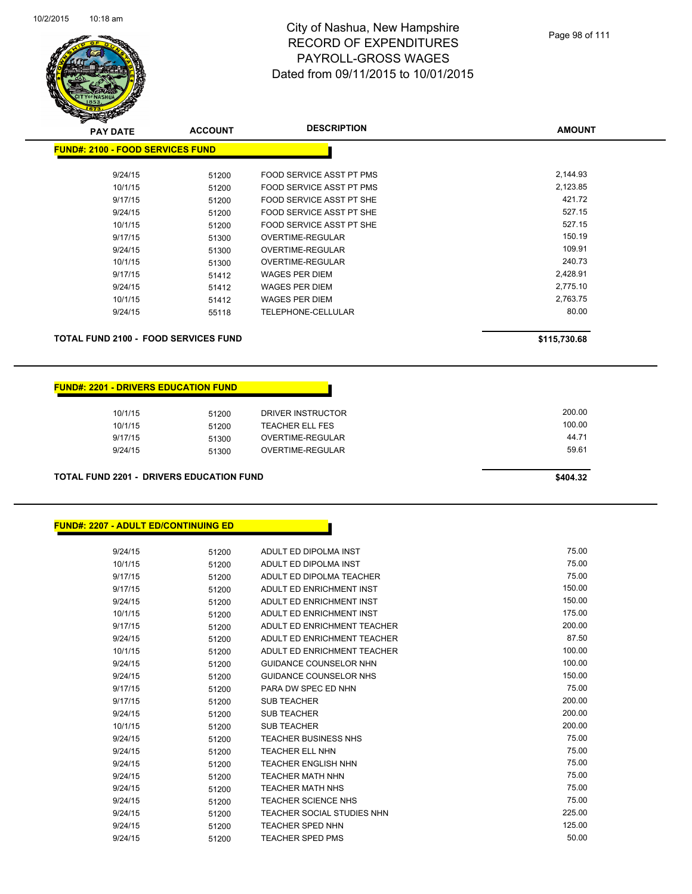

| <b>PAY DATE</b>                         | <b>ACCOUNT</b> | <b>DESCRIPTION</b>       | <b>AMOUNT</b> |
|-----------------------------------------|----------------|--------------------------|---------------|
| <b>FUND#: 2100 - FOOD SERVICES FUND</b> |                |                          |               |
|                                         |                |                          |               |
| 9/24/15                                 | 51200          | FOOD SERVICE ASST PT PMS | 2,144.93      |
| 10/1/15                                 | 51200          | FOOD SERVICE ASST PT PMS | 2,123.85      |
| 9/17/15                                 | 51200          | FOOD SERVICE ASST PT SHE | 421.72        |
| 9/24/15                                 | 51200          | FOOD SERVICE ASST PT SHE | 527.15        |
| 10/1/15                                 | 51200          | FOOD SERVICE ASST PT SHE | 527.15        |
| 9/17/15                                 | 51300          | OVERTIME-REGULAR         | 150.19        |
| 9/24/15                                 | 51300          | OVERTIME-REGULAR         | 109.91        |
| 10/1/15                                 | 51300          | OVERTIME-REGULAR         | 240.73        |
| 9/17/15                                 | 51412          | WAGES PER DIEM           | 2,428.91      |
| 9/24/15                                 | 51412          | WAGES PER DIEM           | 2,775.10      |
| 10/1/15                                 | 51412          | WAGES PER DIEM           | 2,763.75      |
| 9/24/15                                 | 55118          | TELEPHONE-CELLULAR       | 80.00         |
|                                         |                |                          |               |

**TOTAL FUND 2100 - FOOD SERVICES FUND \$115,730.68** 

#### **FUND#: 2201 - DRIVERS EDUCATION FUND**

| 10/1/15 | 51200 | DRIVER INSTRUCTOR | 200.00 |
|---------|-------|-------------------|--------|
| 10/1/15 | 51200 | TEACHER ELL FES   | 100.00 |
| 9/17/15 | 51300 | OVERTIME-REGULAR  | 44.71  |
| 9/24/15 | 51300 | OVERTIME-REGULAR  | 59.61  |
|         |       |                   |        |

**TOTAL FUND 2201 - DRIVERS EDUCATION FUND \$404.32** 

#### **FUND#: 2207 - ADULT ED/CONTINUING ED**

| 9/24/15 | 51200 | ADULT ED DIPOLMA INST         | 75.00  |
|---------|-------|-------------------------------|--------|
| 10/1/15 | 51200 | ADULT ED DIPOLMA INST         | 75.00  |
| 9/17/15 | 51200 | ADULT ED DIPOLMA TEACHER      | 75.00  |
| 9/17/15 | 51200 | ADULT ED ENRICHMENT INST      | 150.00 |
| 9/24/15 | 51200 | ADULT ED ENRICHMENT INST      | 150.00 |
| 10/1/15 | 51200 | ADULT ED ENRICHMENT INST      | 175.00 |
| 9/17/15 | 51200 | ADULT ED ENRICHMENT TEACHER   | 200.00 |
| 9/24/15 | 51200 | ADULT ED ENRICHMENT TEACHER   | 87.50  |
| 10/1/15 | 51200 | ADULT ED ENRICHMENT TEACHER   | 100.00 |
| 9/24/15 | 51200 | <b>GUIDANCE COUNSELOR NHN</b> | 100.00 |
| 9/24/15 | 51200 | <b>GUIDANCE COUNSELOR NHS</b> | 150.00 |
| 9/17/15 | 51200 | PARA DW SPEC ED NHN           | 75.00  |
| 9/17/15 | 51200 | <b>SUB TEACHER</b>            | 200.00 |
| 9/24/15 | 51200 | <b>SUB TEACHER</b>            | 200.00 |
| 10/1/15 | 51200 | <b>SUB TEACHER</b>            | 200.00 |
| 9/24/15 | 51200 | <b>TEACHER BUSINESS NHS</b>   | 75.00  |
| 9/24/15 | 51200 | <b>TEACHER ELL NHN</b>        | 75.00  |
| 9/24/15 | 51200 | <b>TEACHER ENGLISH NHN</b>    | 75.00  |
| 9/24/15 | 51200 | <b>TEACHER MATH NHN</b>       | 75.00  |
| 9/24/15 | 51200 | <b>TEACHER MATH NHS</b>       | 75.00  |
| 9/24/15 | 51200 | <b>TEACHER SCIENCE NHS</b>    | 75.00  |
| 9/24/15 | 51200 | TEACHER SOCIAL STUDIES NHN    | 225.00 |
| 9/24/15 | 51200 | <b>TEACHER SPED NHN</b>       | 125.00 |
| 9/24/15 | 51200 | <b>TEACHER SPED PMS</b>       | 50.00  |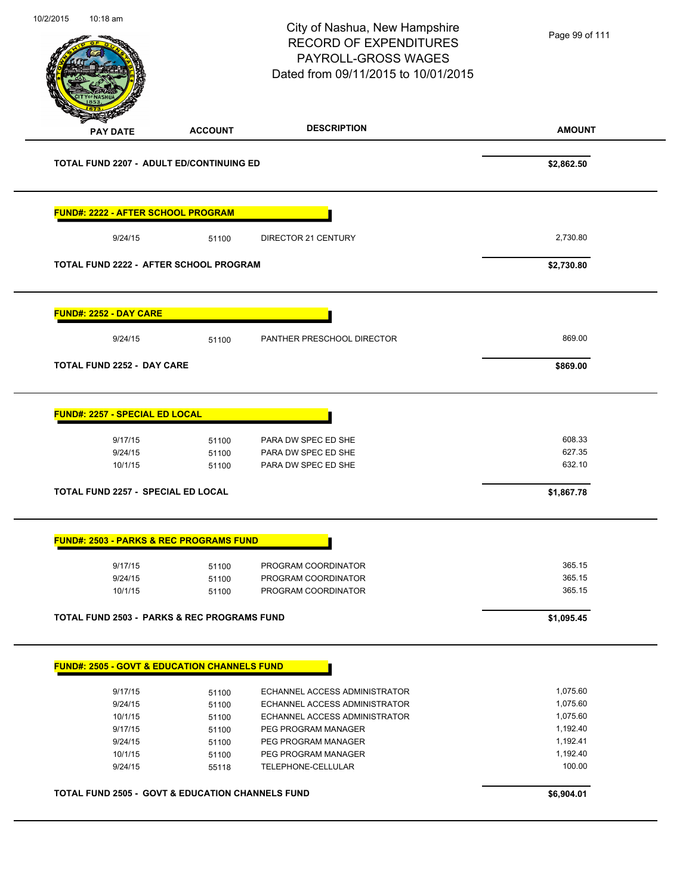**AMOUNT** City of Nashua, New Hampshire RECORD OF EXPENDITURES PAYROLL-GROSS WAGES Dated from 09/11/2015 to 10/01/2015 **PAY DATE ACCOUNT DESCRIPTION** 10/2/2015 10:18 am **TOTAL FUND 2207 - ADULT ED/CONTINUING ED \$2,862.50 FUND#: 2222 - AFTER SCHOOL PROGRAM** 9/24/15 51100 DIRECTOR 21 CENTURY 2,730.80 **TOTAL FUND 2222 - AFTER SCHOOL PROGRAM \$2,730.80 FUND#: 2252 - DAY CARE** 9/24/15 51100 PANTHER PRESCHOOL DIRECTOR 869.00 **TOTAL FUND 2252 - DAY CARE \$869.00 FUND#: 2257 - SPECIAL ED LOCAL** 9/17/15 51100 PARA DW SPEC ED SHE 608.33 9/24/15 51100 PARA DW SPEC ED SHE 627.35 10/1/15 51100 PARA DW SPEC ED SHE 632.10 **TOTAL FUND 2257 - SPECIAL ED LOCAL \$1,867.78 FUND#: 2503 - PARKS & REC PROGRAMS FUND** 9/17/15 51100 PROGRAM COORDINATOR 365.15 9/24/15 51100 PROGRAM COORDINATOR 365.15 10/1/15 51100 PROGRAM COORDINATOR 365.15 **TOTAL FUND 2503 - PARKS & REC PROGRAMS FUND \$1,095.45 FUND#: 2505 - GOVT & EDUCATION CHANNELS FUND** 9/17/15 51100 ECHANNEL ACCESS ADMINISTRATOR 1,075.60 9/24/15 51100 ECHANNEL ACCESS ADMINISTRATOR 1,075.60 10/1/15 51100 ECHANNEL ACCESS ADMINISTRATOR 1,075.60 9/17/15 51100 PEG PROGRAM MANAGER 1,192.40 9/24/15 51100 PEG PROGRAM MANAGER 1,192.41 10/1/15 51100 PEG PROGRAM MANAGER 1,192.40 9/24/15 55118 TELEPHONE-CELLULAR 100.00 **TOTAL FUND 2505 - GOVT & EDUCATION CHANNELS FUND \$6,904.01**  Page 99 of 111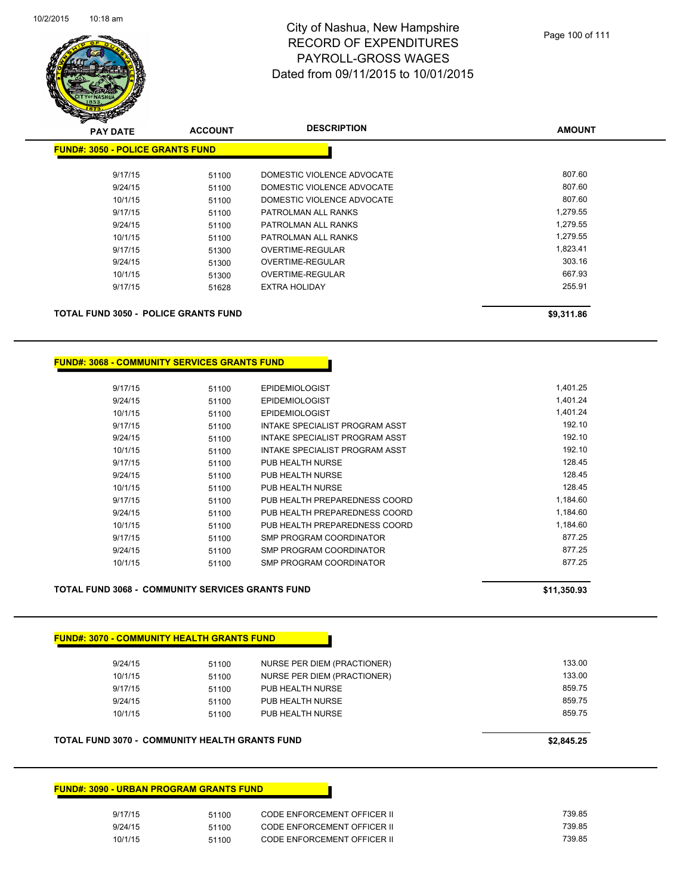

| <b>PAY DATE</b>                             | <b>ACCOUNT</b> | <b>DESCRIPTION</b>         | <b>AMOUNT</b> |
|---------------------------------------------|----------------|----------------------------|---------------|
| <b>FUND#: 3050 - POLICE GRANTS FUND</b>     |                |                            |               |
| 9/17/15                                     | 51100          | DOMESTIC VIOLENCE ADVOCATE | 807.60        |
| 9/24/15                                     | 51100          | DOMESTIC VIOLENCE ADVOCATE | 807.60        |
| 10/1/15                                     | 51100          | DOMESTIC VIOLENCE ADVOCATE | 807.60        |
| 9/17/15                                     | 51100          | PATROLMAN ALL RANKS        | 1,279.55      |
| 9/24/15                                     | 51100          | PATROLMAN ALL RANKS        | 1,279.55      |
| 10/1/15                                     | 51100          | PATROLMAN ALL RANKS        | 1,279.55      |
| 9/17/15                                     | 51300          | OVERTIME-REGULAR           | 1,823.41      |
| 9/24/15                                     | 51300          | OVERTIME-REGULAR           | 303.16        |
| 10/1/15                                     | 51300          | OVERTIME-REGULAR           | 667.93        |
| 9/17/15                                     | 51628          | <b>EXTRA HOLIDAY</b>       | 255.91        |
| <b>TOTAL FUND 3050 - POLICE GRANTS FUND</b> |                |                            | \$9,311.86    |

#### **FUND#: 3068 - COMMUNITY SERVICES GRANTS FUND**

| 9/17/15 | 51100 | <b>EPIDEMIOLOGIST</b>          | 1,401.25 |
|---------|-------|--------------------------------|----------|
| 9/24/15 | 51100 | <b>EPIDEMIOLOGIST</b>          | 1.401.24 |
| 10/1/15 | 51100 | <b>EPIDEMIOLOGIST</b>          | 1,401.24 |
| 9/17/15 | 51100 | INTAKE SPECIALIST PROGRAM ASST | 192.10   |
| 9/24/15 | 51100 | INTAKE SPECIALIST PROGRAM ASST | 192.10   |
| 10/1/15 | 51100 | INTAKE SPECIALIST PROGRAM ASST | 192.10   |
| 9/17/15 | 51100 | PUB HEALTH NURSE               | 128.45   |
| 9/24/15 | 51100 | PUB HEALTH NURSE               | 128.45   |
| 10/1/15 | 51100 | PUB HEALTH NURSE               | 128.45   |
| 9/17/15 | 51100 | PUB HEALTH PREPAREDNESS COORD  | 1,184.60 |
| 9/24/15 | 51100 | PUB HEALTH PREPAREDNESS COORD  | 1,184.60 |
| 10/1/15 | 51100 | PUB HEALTH PREPAREDNESS COORD  | 1,184.60 |
| 9/17/15 | 51100 | SMP PROGRAM COORDINATOR        | 877.25   |
| 9/24/15 | 51100 | SMP PROGRAM COORDINATOR        | 877.25   |
| 10/1/15 | 51100 | SMP PROGRAM COORDINATOR        | 877.25   |
|         |       |                                |          |

#### **TOTAL FUND 3068 - COMMUNITY SERVICES GRANTS FUND \$11,350.93**

| 9/24/15 | 51100 | NURSE PER DIEM (PRACTIONER) | 133.00 |
|---------|-------|-----------------------------|--------|
| 10/1/15 | 51100 | NURSE PER DIEM (PRACTIONER) | 133.00 |
| 9/17/15 | 51100 | PUB HEALTH NURSE            | 859.75 |
| 9/24/15 | 51100 | PUB HEALTH NURSE            | 859.75 |
| 10/1/15 | 51100 | PUB HEALTH NURSE            | 859.75 |

| <b>FUND#: 3090 - URBAN PROGRAM GRANTS FUND</b> |       |                             |        |  |  |  |
|------------------------------------------------|-------|-----------------------------|--------|--|--|--|
| 9/17/15                                        | 51100 | CODE ENFORCEMENT OFFICER II | 739.85 |  |  |  |
| 9/24/15                                        | 51100 | CODE ENFORCEMENT OFFICER II | 739.85 |  |  |  |
| 10/1/15                                        | 51100 | CODE ENFORCEMENT OFFICER II | 739.85 |  |  |  |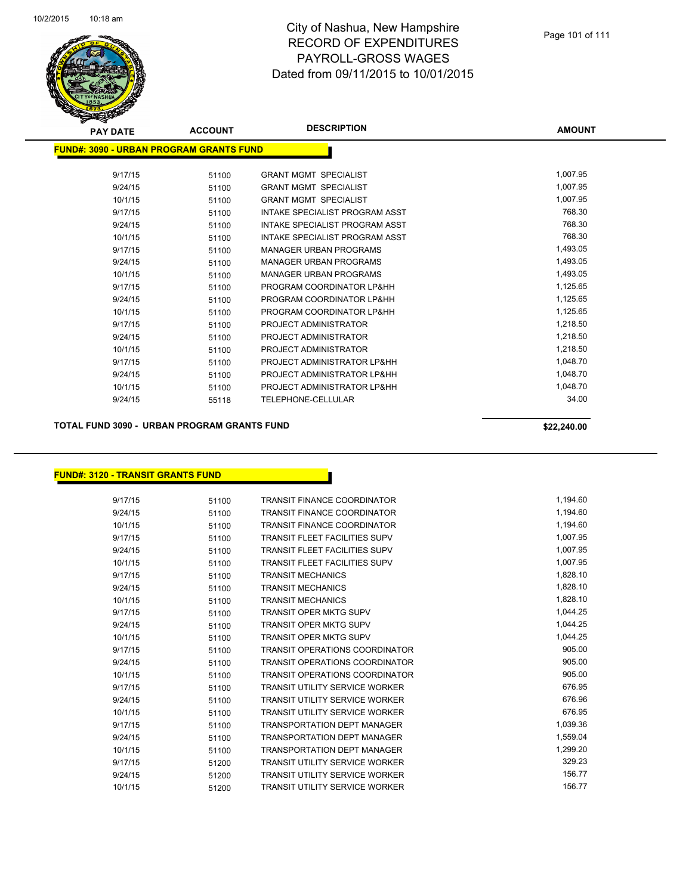

| <b>PAY DATE</b>                                 | <b>ACCOUNT</b> | <b>DESCRIPTION</b>             | <b>AMOUNT</b> |
|-------------------------------------------------|----------------|--------------------------------|---------------|
| <u> FUND#: 3090 - URBAN PROGRAM GRANTS FUND</u> |                |                                |               |
| 9/17/15                                         | 51100          | <b>GRANT MGMT SPECIALIST</b>   | 1,007.95      |
| 9/24/15                                         | 51100          | <b>GRANT MGMT SPECIALIST</b>   | 1,007.95      |
| 10/1/15                                         | 51100          | <b>GRANT MGMT SPECIALIST</b>   | 1,007.95      |
| 9/17/15                                         | 51100          | INTAKE SPECIALIST PROGRAM ASST | 768.30        |
| 9/24/15                                         | 51100          | INTAKE SPECIALIST PROGRAM ASST | 768.30        |
| 10/1/15                                         | 51100          | INTAKE SPECIALIST PROGRAM ASST | 768.30        |
| 9/17/15                                         | 51100          | <b>MANAGER URBAN PROGRAMS</b>  | 1,493.05      |
| 9/24/15                                         | 51100          | <b>MANAGER URBAN PROGRAMS</b>  | 1,493.05      |
| 10/1/15                                         | 51100          | <b>MANAGER URBAN PROGRAMS</b>  | 1,493.05      |
| 9/17/15                                         | 51100          | PROGRAM COORDINATOR LP&HH      | 1,125.65      |
| 9/24/15                                         | 51100          | PROGRAM COORDINATOR LP&HH      | 1,125.65      |
| 10/1/15                                         | 51100          | PROGRAM COORDINATOR LP&HH      | 1,125.65      |
| 9/17/15                                         | 51100          | PROJECT ADMINISTRATOR          | 1,218.50      |
| 9/24/15                                         | 51100          | PROJECT ADMINISTRATOR          | 1,218.50      |
| 10/1/15                                         | 51100          | PROJECT ADMINISTRATOR          | 1,218.50      |
| 9/17/15                                         | 51100          | PROJECT ADMINISTRATOR LP&HH    | 1,048.70      |
| 9/24/15                                         | 51100          | PROJECT ADMINISTRATOR LP&HH    | 1,048.70      |
| 10/1/15                                         | 51100          | PROJECT ADMINISTRATOR LP&HH    | 1,048.70      |
| 9/24/15                                         | 55118          | TELEPHONE-CELLULAR             | 34.00         |
|                                                 |                |                                |               |

#### **TOTAL FUND 3090 - URBAN PROGRAM GRANTS FUND \$22,240.00**

#### **FUND#: 3120 - TRANSIT GRANTS FUND**

| 9/17/15 | 51100 | <b>TRANSIT FINANCE COORDINATOR</b>    | 1,194.60 |
|---------|-------|---------------------------------------|----------|
| 9/24/15 | 51100 | <b>TRANSIT FINANCE COORDINATOR</b>    | 1,194.60 |
| 10/1/15 | 51100 | <b>TRANSIT FINANCE COORDINATOR</b>    | 1,194.60 |
| 9/17/15 | 51100 | <b>TRANSIT FLEET FACILITIES SUPV</b>  | 1,007.95 |
| 9/24/15 | 51100 | <b>TRANSIT FLEET FACILITIES SUPV</b>  | 1,007.95 |
| 10/1/15 | 51100 | <b>TRANSIT FLEET FACILITIES SUPV</b>  | 1,007.95 |
| 9/17/15 | 51100 | <b>TRANSIT MECHANICS</b>              | 1,828.10 |
| 9/24/15 | 51100 | <b>TRANSIT MECHANICS</b>              | 1,828.10 |
| 10/1/15 | 51100 | <b>TRANSIT MECHANICS</b>              | 1,828.10 |
| 9/17/15 | 51100 | <b>TRANSIT OPER MKTG SUPV</b>         | 1,044.25 |
| 9/24/15 | 51100 | <b>TRANSIT OPER MKTG SUPV</b>         | 1,044.25 |
| 10/1/15 | 51100 | <b>TRANSIT OPER MKTG SUPV</b>         | 1,044.25 |
| 9/17/15 | 51100 | <b>TRANSIT OPERATIONS COORDINATOR</b> | 905.00   |
| 9/24/15 | 51100 | <b>TRANSIT OPERATIONS COORDINATOR</b> | 905.00   |
| 10/1/15 | 51100 | <b>TRANSIT OPERATIONS COORDINATOR</b> | 905.00   |
| 9/17/15 | 51100 | <b>TRANSIT UTILITY SERVICE WORKER</b> | 676.95   |
| 9/24/15 | 51100 | <b>TRANSIT UTILITY SERVICE WORKER</b> | 676.96   |
| 10/1/15 | 51100 | <b>TRANSIT UTILITY SERVICE WORKER</b> | 676.95   |
| 9/17/15 | 51100 | <b>TRANSPORTATION DEPT MANAGER</b>    | 1,039.36 |
| 9/24/15 | 51100 | <b>TRANSPORTATION DEPT MANAGER</b>    | 1,559.04 |
| 10/1/15 | 51100 | <b>TRANSPORTATION DEPT MANAGER</b>    | 1,299.20 |
| 9/17/15 | 51200 | <b>TRANSIT UTILITY SERVICE WORKER</b> | 329.23   |
| 9/24/15 | 51200 | <b>TRANSIT UTILITY SERVICE WORKER</b> | 156.77   |
| 10/1/15 | 51200 | <b>TRANSIT UTILITY SERVICE WORKER</b> | 156.77   |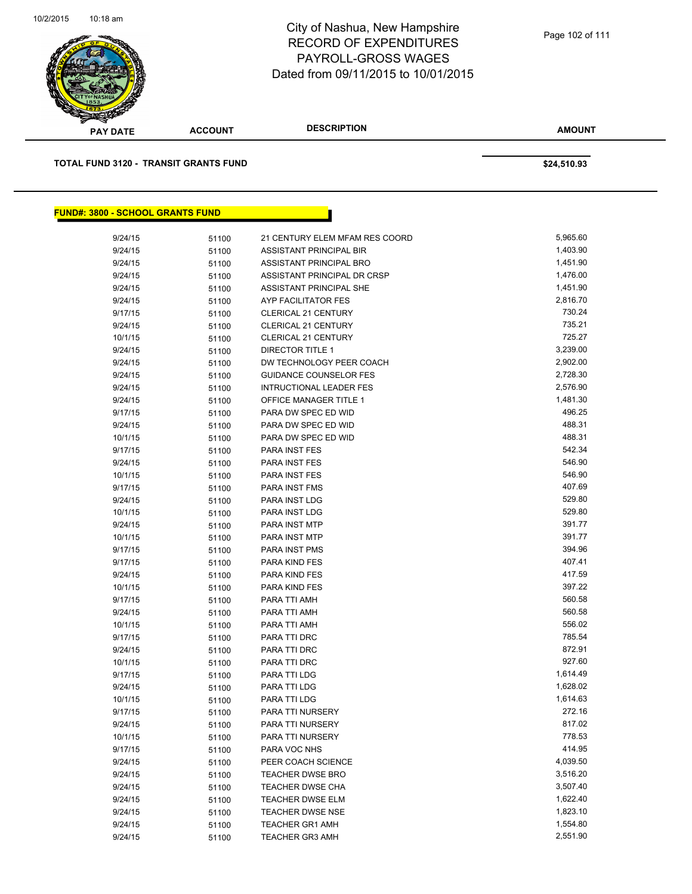

**AMOUNT PAY DATE ACCOUNT DESCRIPTION TOTAL FUND 3120 - TRANSIT GRANTS FUND \$24,510.93 FUND#: 3800 - SCHOOL GRANTS FUND** 9/24/15 51100 21 CENTURY ELEM MFAM RES COORD 5,965.60 9/24/15 51100 ASSISTANT PRINCIPAL BIR 1,403.90 9/24/15 51100 ASSISTANT PRINCIPAL BRO 1,451.90 1,451.90 9/24/15 51100 ASSISTANT PRINCIPAL DR CRSP 1,476.00

| 9/24/15 | 51100 | ASSISTANT PRINCIPAL DR CRSP    | 1,476.00 |
|---------|-------|--------------------------------|----------|
| 9/24/15 | 51100 | ASSISTANT PRINCIPAL SHE        | 1,451.90 |
| 9/24/15 | 51100 | AYP FACILITATOR FES            | 2,816.70 |
| 9/17/15 | 51100 | CLERICAL 21 CENTURY            | 730.24   |
| 9/24/15 | 51100 | <b>CLERICAL 21 CENTURY</b>     | 735.21   |
| 10/1/15 | 51100 | CLERICAL 21 CENTURY            | 725.27   |
| 9/24/15 | 51100 | <b>DIRECTOR TITLE 1</b>        | 3,239.00 |
| 9/24/15 | 51100 | DW TECHNOLOGY PEER COACH       | 2,902.00 |
| 9/24/15 | 51100 | <b>GUIDANCE COUNSELOR FES</b>  | 2,728.30 |
| 9/24/15 | 51100 | <b>INTRUCTIONAL LEADER FES</b> | 2,576.90 |
| 9/24/15 | 51100 | OFFICE MANAGER TITLE 1         | 1,481.30 |
| 9/17/15 | 51100 | PARA DW SPEC ED WID            | 496.25   |
| 9/24/15 | 51100 | PARA DW SPEC ED WID            | 488.31   |
| 10/1/15 | 51100 | PARA DW SPEC ED WID            | 488.31   |
| 9/17/15 | 51100 | PARA INST FES                  | 542.34   |
| 9/24/15 | 51100 | PARA INST FES                  | 546.90   |
| 10/1/15 | 51100 | PARA INST FES                  | 546.90   |
| 9/17/15 | 51100 | PARA INST FMS                  | 407.69   |
| 9/24/15 | 51100 | PARA INST LDG                  | 529.80   |
| 10/1/15 | 51100 | PARA INST LDG                  | 529.80   |
| 9/24/15 | 51100 | PARA INST MTP                  | 391.77   |
| 10/1/15 | 51100 | PARA INST MTP                  | 391.77   |
| 9/17/15 | 51100 | <b>PARA INST PMS</b>           | 394.96   |
| 9/17/15 | 51100 | PARA KIND FES                  | 407.41   |
| 9/24/15 | 51100 | PARA KIND FES                  | 417.59   |
| 10/1/15 | 51100 | PARA KIND FES                  | 397.22   |
| 9/17/15 | 51100 | PARA TTI AMH                   | 560.58   |
| 9/24/15 | 51100 | PARA TTI AMH                   | 560.58   |
| 10/1/15 | 51100 | PARA TTI AMH                   | 556.02   |
| 9/17/15 | 51100 | PARA TTI DRC                   | 785.54   |
| 9/24/15 | 51100 | PARA TTI DRC                   | 872.91   |
| 10/1/15 | 51100 | PARA TTI DRC                   | 927.60   |
| 9/17/15 | 51100 | PARA TTI LDG                   | 1,614.49 |
| 9/24/15 | 51100 | PARA TTI LDG                   | 1,628.02 |
| 10/1/15 | 51100 | PARA TTI LDG                   | 1,614.63 |
| 9/17/15 | 51100 | PARA TTI NURSERY               | 272.16   |
| 9/24/15 | 51100 | PARA TTI NURSERY               | 817.02   |
| 10/1/15 | 51100 | PARA TTI NURSERY               | 778.53   |
| 9/17/15 | 51100 | PARA VOC NHS                   | 414.95   |
| 9/24/15 | 51100 | PEER COACH SCIENCE             | 4,039.50 |
| 9/24/15 | 51100 | <b>TEACHER DWSE BRO</b>        | 3,516.20 |
| 9/24/15 | 51100 | TEACHER DWSE CHA               | 3,507.40 |
| 9/24/15 | 51100 | <b>TEACHER DWSE ELM</b>        | 1,622.40 |
| 9/24/15 | 51100 | <b>TEACHER DWSE NSE</b>        | 1,823.10 |
| 9/24/15 | 51100 | <b>TEACHER GR1 AMH</b>         | 1,554.80 |
| 9/24/15 | 51100 | <b>TEACHER GR3 AMH</b>         | 2,551.90 |
|         |       |                                |          |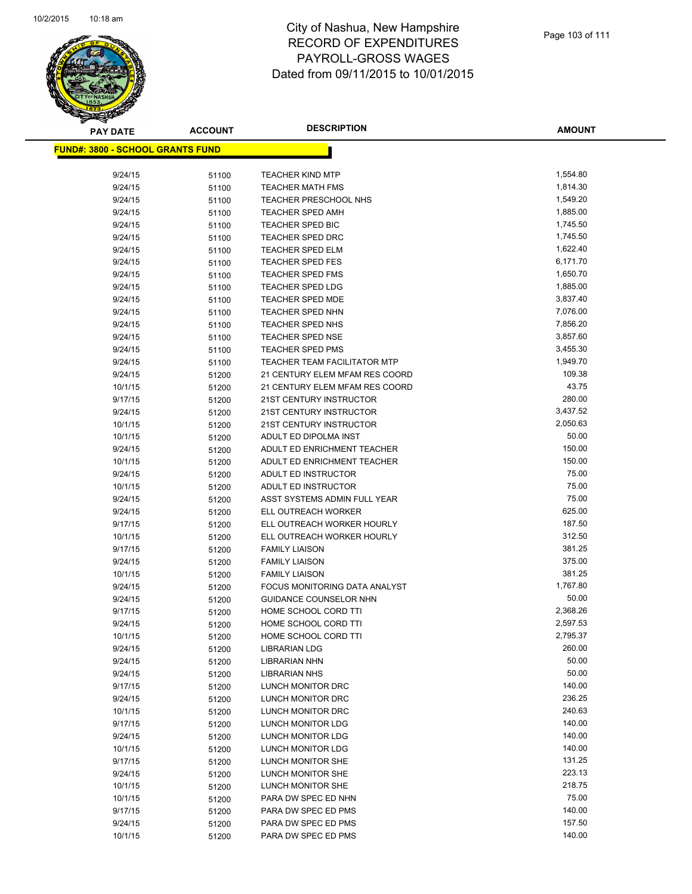

**AMOUNT**

| <u> FUND#: 3800 - SCHOOL GRANTS FUND</u> |       |                                     |          |
|------------------------------------------|-------|-------------------------------------|----------|
| 9/24/15                                  | 51100 | <b>TEACHER KIND MTP</b>             | 1,554.80 |
| 9/24/15                                  | 51100 | <b>TEACHER MATH FMS</b>             | 1,814.30 |
| 9/24/15                                  | 51100 | <b>TEACHER PRESCHOOL NHS</b>        | 1,549.20 |
| 9/24/15                                  | 51100 | <b>TEACHER SPED AMH</b>             | 1,885.00 |
| 9/24/15                                  | 51100 | TEACHER SPED BIC                    | 1,745.50 |
| 9/24/15                                  | 51100 | <b>TEACHER SPED DRC</b>             | 1,745.50 |
| 9/24/15                                  | 51100 | <b>TEACHER SPED ELM</b>             | 1,622.40 |
| 9/24/15                                  | 51100 | TEACHER SPED FES                    | 6,171.70 |
| 9/24/15                                  | 51100 | <b>TEACHER SPED FMS</b>             | 1,650.70 |
| 9/24/15                                  | 51100 | <b>TEACHER SPED LDG</b>             | 1,885.00 |
| 9/24/15                                  | 51100 | <b>TEACHER SPED MDE</b>             | 3,837.40 |
| 9/24/15                                  | 51100 | <b>TEACHER SPED NHN</b>             | 7,076.00 |
| 9/24/15                                  | 51100 | TEACHER SPED NHS                    | 7,856.20 |
| 9/24/15                                  | 51100 | <b>TEACHER SPED NSE</b>             | 3,857.60 |
| 9/24/15                                  | 51100 | <b>TEACHER SPED PMS</b>             | 3,455.30 |
| 9/24/15                                  | 51100 | <b>TEACHER TEAM FACILITATOR MTP</b> | 1,949.70 |
| 9/24/15                                  | 51200 | 21 CENTURY ELEM MFAM RES COORD      | 109.38   |
| 10/1/15                                  | 51200 | 21 CENTURY ELEM MFAM RES COORD      | 43.75    |
| 9/17/15                                  | 51200 | 21ST CENTURY INSTRUCTOR             | 280.00   |
| 9/24/15                                  | 51200 | 21ST CENTURY INSTRUCTOR             | 3,437.52 |
| 10/1/15                                  | 51200 | 21ST CENTURY INSTRUCTOR             | 2,050.63 |
| 10/1/15                                  | 51200 | ADULT ED DIPOLMA INST               | 50.00    |
| 9/24/15                                  | 51200 | ADULT ED ENRICHMENT TEACHER         | 150.00   |
| 10/1/15                                  | 51200 | ADULT ED ENRICHMENT TEACHER         | 150.00   |
| 9/24/15                                  | 51200 | ADULT ED INSTRUCTOR                 | 75.00    |
| 10/1/15                                  | 51200 | ADULT ED INSTRUCTOR                 | 75.00    |
| 9/24/15                                  | 51200 | ASST SYSTEMS ADMIN FULL YEAR        | 75.00    |
| 9/24/15                                  | 51200 | ELL OUTREACH WORKER                 | 625.00   |
| 9/17/15                                  | 51200 | ELL OUTREACH WORKER HOURLY          | 187.50   |
| 10/1/15                                  | 51200 | ELL OUTREACH WORKER HOURLY          | 312.50   |
| 9/17/15                                  | 51200 | <b>FAMILY LIAISON</b>               | 381.25   |
| 9/24/15                                  | 51200 | <b>FAMILY LIAISON</b>               | 375.00   |
| 10/1/15                                  | 51200 | <b>FAMILY LIAISON</b>               | 381.25   |
| 9/24/15                                  | 51200 | FOCUS MONITORING DATA ANALYST       | 1,767.80 |
| 9/24/15                                  | 51200 | <b>GUIDANCE COUNSELOR NHN</b>       | 50.00    |
| 9/17/15                                  | 51200 | HOME SCHOOL CORD TTI                | 2,368.26 |
| 9/24/15                                  | 51200 | HOME SCHOOL CORD TTI                | 2,597.53 |
| 10/1/15                                  | 51200 | HOME SCHOOL CORD TTI                | 2,795.37 |
| 9/24/15                                  | 51200 | <b>LIBRARIAN LDG</b>                | 260.00   |
| 9/24/15                                  | 51200 | LIBRARIAN NHN                       | 50.00    |
| 9/24/15                                  | 51200 | <b>LIBRARIAN NHS</b>                | 50.00    |
| 9/17/15                                  | 51200 | LUNCH MONITOR DRC                   | 140.00   |
| 9/24/15                                  | 51200 | LUNCH MONITOR DRC                   | 236.25   |
| 10/1/15                                  | 51200 | LUNCH MONITOR DRC                   | 240.63   |
| 9/17/15                                  | 51200 | LUNCH MONITOR LDG                   | 140.00   |
| 9/24/15                                  | 51200 | LUNCH MONITOR LDG                   | 140.00   |
| 10/1/15                                  | 51200 | <b>LUNCH MONITOR LDG</b>            | 140.00   |
| 9/17/15                                  | 51200 | LUNCH MONITOR SHE                   | 131.25   |
| 9/24/15                                  | 51200 | LUNCH MONITOR SHE                   | 223.13   |
| 10/1/15                                  | 51200 | LUNCH MONITOR SHE                   | 218.75   |
| 10/1/15                                  | 51200 | PARA DW SPEC ED NHN                 | 75.00    |
| 9/17/15                                  | 51200 | PARA DW SPEC ED PMS                 | 140.00   |
| 9/24/15                                  | 51200 | PARA DW SPEC ED PMS                 | 157.50   |
| 10/1/15                                  | 51200 | PARA DW SPEC ED PMS                 | 140.00   |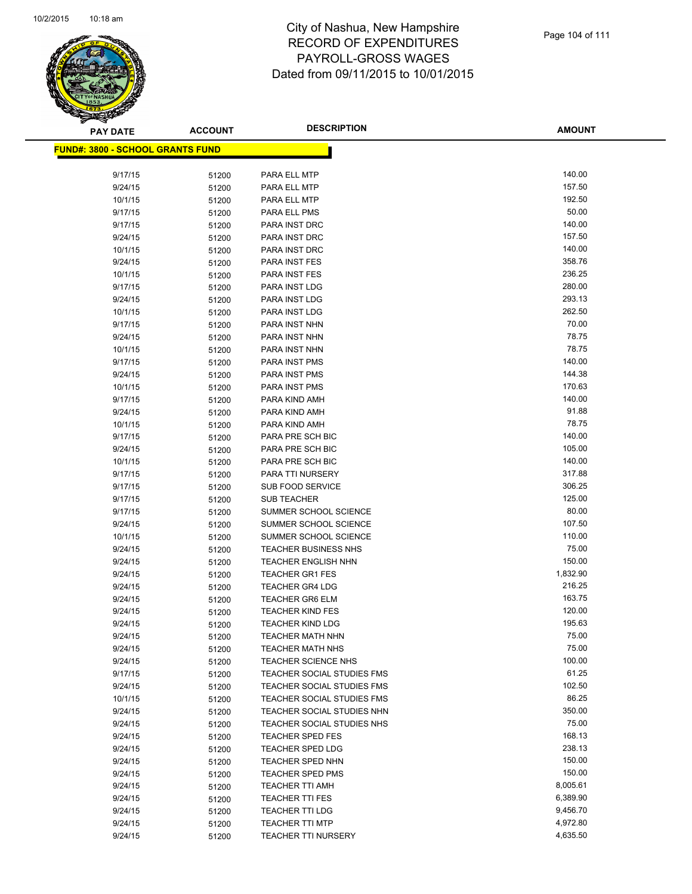

**AMOUNT**

| <u> FUND#: 3800 - SCHOOL GRANTS FUND</u> |                |                                                |                 |
|------------------------------------------|----------------|------------------------------------------------|-----------------|
|                                          |                |                                                |                 |
| 9/17/15                                  | 51200          | PARA ELL MTP                                   | 140.00          |
| 9/24/15                                  | 51200          | PARA ELL MTP                                   | 157.50          |
| 10/1/15                                  | 51200          | PARA ELL MTP                                   | 192.50          |
| 9/17/15                                  | 51200          | PARA ELL PMS                                   | 50.00           |
| 9/17/15                                  | 51200          | PARA INST DRC                                  | 140.00          |
| 9/24/15                                  | 51200          | PARA INST DRC                                  | 157.50          |
| 10/1/15                                  | 51200          | PARA INST DRC                                  | 140.00          |
| 9/24/15                                  | 51200          | PARA INST FES                                  | 358.76          |
| 10/1/15                                  | 51200          | PARA INST FES                                  | 236.25          |
| 9/17/15                                  | 51200          | PARA INST LDG                                  | 280.00          |
| 9/24/15                                  | 51200          | PARA INST LDG                                  | 293.13          |
| 10/1/15                                  | 51200          | PARA INST LDG                                  | 262.50          |
| 9/17/15                                  | 51200          | PARA INST NHN                                  | 70.00           |
| 9/24/15                                  | 51200          | PARA INST NHN                                  | 78.75           |
| 10/1/15                                  | 51200          | PARA INST NHN                                  | 78.75           |
| 9/17/15                                  | 51200          | PARA INST PMS                                  | 140.00          |
| 9/24/15                                  | 51200          | PARA INST PMS                                  | 144.38          |
| 10/1/15                                  | 51200          | PARA INST PMS                                  | 170.63          |
| 9/17/15                                  | 51200          | PARA KIND AMH                                  | 140.00          |
| 9/24/15                                  | 51200          | PARA KIND AMH                                  | 91.88           |
| 10/1/15                                  | 51200          | PARA KIND AMH                                  | 78.75           |
| 9/17/15                                  | 51200          | PARA PRE SCH BIC                               | 140.00          |
| 9/24/15                                  | 51200          | PARA PRE SCH BIC                               | 105.00          |
| 10/1/15                                  | 51200          | PARA PRE SCH BIC                               | 140.00          |
| 9/17/15                                  | 51200          | PARA TTI NURSERY                               | 317.88          |
| 9/17/15                                  | 51200          | <b>SUB FOOD SERVICE</b>                        | 306.25          |
| 9/17/15                                  | 51200          | <b>SUB TEACHER</b>                             | 125.00<br>80.00 |
| 9/17/15<br>9/24/15                       | 51200          | SUMMER SCHOOL SCIENCE<br>SUMMER SCHOOL SCIENCE | 107.50          |
| 10/1/15                                  | 51200          | SUMMER SCHOOL SCIENCE                          | 110.00          |
| 9/24/15                                  | 51200<br>51200 | <b>TEACHER BUSINESS NHS</b>                    | 75.00           |
| 9/24/15                                  | 51200          | <b>TEACHER ENGLISH NHN</b>                     | 150.00          |
| 9/24/15                                  | 51200          | <b>TEACHER GR1 FES</b>                         | 1,832.90        |
| 9/24/15                                  | 51200          | <b>TEACHER GR4 LDG</b>                         | 216.25          |
| 9/24/15                                  | 51200          | <b>TEACHER GR6 ELM</b>                         | 163.75          |
| 9/24/15                                  | 51200          | <b>TEACHER KIND FES</b>                        | 120.00          |
| 9/24/15                                  | 51200          | <b>TEACHER KIND LDG</b>                        | 195.63          |
| 9/24/15                                  | 51200          | <b>TEACHER MATH NHN</b>                        | 75.00           |
| 9/24/15                                  | 51200          | <b>TEACHER MATH NHS</b>                        | 75.00           |
| 9/24/15                                  | 51200          | <b>TEACHER SCIENCE NHS</b>                     | 100.00          |
| 9/17/15                                  | 51200          | TEACHER SOCIAL STUDIES FMS                     | 61.25           |
| 9/24/15                                  | 51200          | TEACHER SOCIAL STUDIES FMS                     | 102.50          |
| 10/1/15                                  | 51200          | TEACHER SOCIAL STUDIES FMS                     | 86.25           |
| 9/24/15                                  | 51200          | TEACHER SOCIAL STUDIES NHN                     | 350.00          |
| 9/24/15                                  | 51200          | TEACHER SOCIAL STUDIES NHS                     | 75.00           |
| 9/24/15                                  | 51200          | <b>TEACHER SPED FES</b>                        | 168.13          |
| 9/24/15                                  | 51200          | <b>TEACHER SPED LDG</b>                        | 238.13          |
| 9/24/15                                  | 51200          | TEACHER SPED NHN                               | 150.00          |
| 9/24/15                                  | 51200          | <b>TEACHER SPED PMS</b>                        | 150.00          |
| 9/24/15                                  | 51200          | <b>TEACHER TTI AMH</b>                         | 8,005.61        |
| 9/24/15                                  | 51200          | <b>TEACHER TTI FES</b>                         | 6,389.90        |
| 9/24/15                                  | 51200          | <b>TEACHER TTI LDG</b>                         | 9,456.70        |
| 9/24/15                                  | 51200          | <b>TEACHER TTI MTP</b>                         | 4,972.80        |
| 9/24/15                                  | 51200          | TEACHER TTI NURSERY                            | 4,635.50        |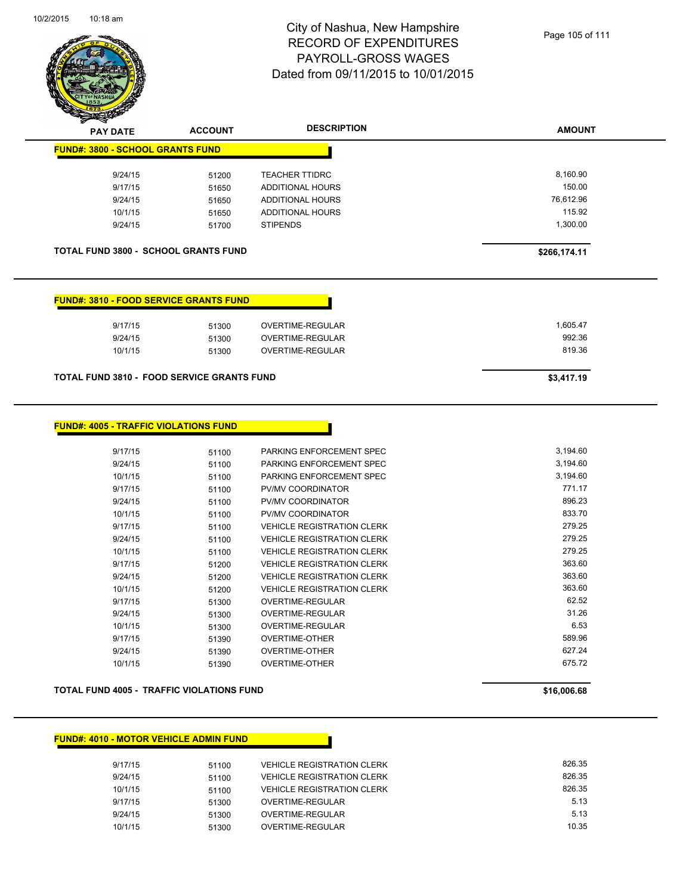

| <b>PAY DATE</b>                                   | <b>ACCOUNT</b> | <b>DESCRIPTION</b>      | <b>AMOUNT</b> |
|---------------------------------------------------|----------------|-------------------------|---------------|
| <b>FUND#: 3800 - SCHOOL GRANTS FUND</b>           |                |                         |               |
| 9/24/15                                           | 51200          | <b>TEACHER TTIDRC</b>   | 8,160.90      |
| 9/17/15                                           | 51650          | <b>ADDITIONAL HOURS</b> | 150.00        |
| 9/24/15                                           | 51650          | ADDITIONAL HOURS        | 76,612.96     |
| 10/1/15                                           | 51650          | <b>ADDITIONAL HOURS</b> | 115.92        |
| 9/24/15                                           | 51700          | <b>STIPENDS</b>         | 1,300.00      |
|                                                   |                |                         |               |
| <b>TOTAL FUND 3800 - SCHOOL GRANTS FUND</b>       |                |                         | \$266,174.11  |
|                                                   |                |                         |               |
|                                                   |                |                         |               |
|                                                   |                |                         |               |
| <b>FUND#: 3810 - FOOD SERVICE GRANTS FUND</b>     |                |                         |               |
|                                                   |                |                         |               |
| 9/17/15                                           | 51300          | <b>OVERTIME-REGULAR</b> | 1,605.47      |
| 9/24/15                                           | 51300          | <b>OVERTIME-REGULAR</b> | 992.36        |
| 10/1/15                                           | 51300          | <b>OVERTIME-REGULAR</b> | 819.36        |
|                                                   |                |                         |               |
| <b>TOTAL FUND 3810 - FOOD SERVICE GRANTS FUND</b> |                |                         | \$3,417.19    |
|                                                   |                |                         |               |
|                                                   |                |                         |               |

| 9/17/15 | 51100 | PARKING ENFORCEMENT SPEC          | 3,194.60 |
|---------|-------|-----------------------------------|----------|
| 9/24/15 | 51100 | PARKING ENFORCEMENT SPEC          | 3,194.60 |
| 10/1/15 | 51100 | PARKING ENFORCEMENT SPEC          | 3,194.60 |
| 9/17/15 | 51100 | PV/MV COORDINATOR                 | 771.17   |
| 9/24/15 | 51100 | PV/MV COORDINATOR                 | 896.23   |
| 10/1/15 | 51100 | <b>PV/MV COORDINATOR</b>          | 833.70   |
| 9/17/15 | 51100 | <b>VEHICLE REGISTRATION CLERK</b> | 279.25   |
| 9/24/15 | 51100 | <b>VEHICLE REGISTRATION CLERK</b> | 279.25   |
| 10/1/15 | 51100 | <b>VEHICLE REGISTRATION CLERK</b> | 279.25   |
| 9/17/15 | 51200 | <b>VEHICLE REGISTRATION CLERK</b> | 363.60   |
| 9/24/15 | 51200 | <b>VEHICLE REGISTRATION CLERK</b> | 363.60   |
| 10/1/15 | 51200 | <b>VEHICLE REGISTRATION CLERK</b> | 363.60   |
| 9/17/15 | 51300 | <b>OVERTIME-REGULAR</b>           | 62.52    |
| 9/24/15 | 51300 | OVERTIME-REGULAR                  | 31.26    |
| 10/1/15 | 51300 | OVERTIME-REGULAR                  | 6.53     |
| 9/17/15 | 51390 | <b>OVERTIME-OTHER</b>             | 589.96   |
| 9/24/15 | 51390 | OVERTIME-OTHER                    | 627.24   |
| 10/1/15 | 51390 | <b>OVERTIME-OTHER</b>             | 675.72   |
|         |       |                                   |          |

**TOTAL FUND 4005 - TRAFFIC VIOLATIONS FUND \$16,006.68** 

**FUND#: 4005 - TRAFFIC VIOLATIONS FUND**

#### **FUND#: 4010 - MOTOR VEHICLE ADMIN FUND**

| 9/17/15 | 51100 | <b>VEHICLE REGISTRATION CLERK</b> | 826.35 |
|---------|-------|-----------------------------------|--------|
| 9/24/15 | 51100 | <b>VEHICLE REGISTRATION CLERK</b> | 826.35 |
| 10/1/15 | 51100 | <b>VEHICLE REGISTRATION CLERK</b> | 826.35 |
| 9/17/15 | 51300 | OVERTIME-REGULAR                  | 5.13   |
| 9/24/15 | 51300 | OVERTIME-REGULAR                  | 5.13   |
| 10/1/15 | 51300 | OVERTIME-REGULAR                  | 10.35  |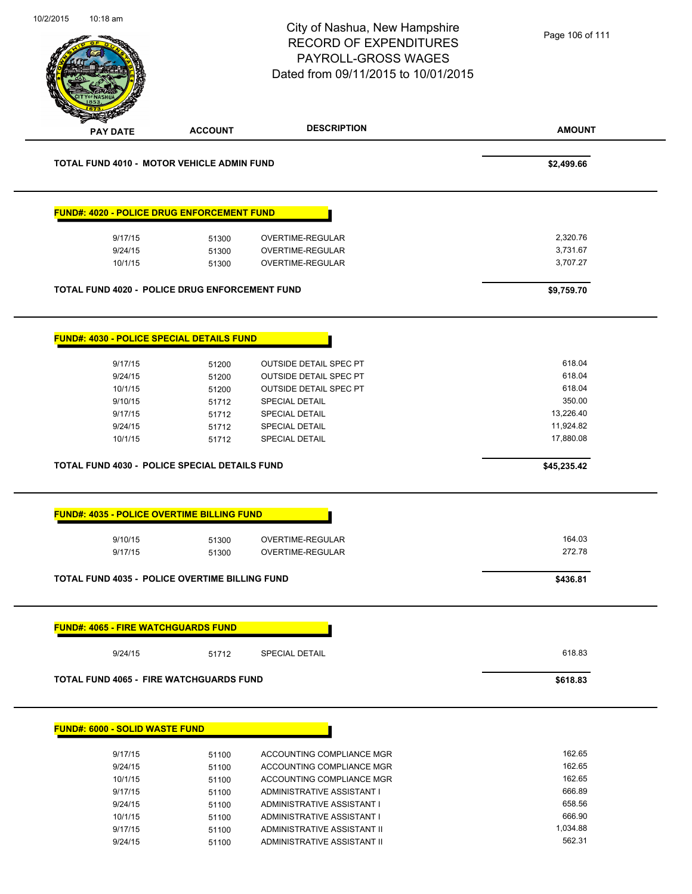| 10/2/2015<br>10:18 am                                 |                | City of Nashua, New Hampshire<br><b>RECORD OF EXPENDITURES</b><br>PAYROLL-GROSS WAGES<br>Dated from 09/11/2015 to 10/01/2015 | Page 106 of 111  |
|-------------------------------------------------------|----------------|------------------------------------------------------------------------------------------------------------------------------|------------------|
|                                                       |                |                                                                                                                              |                  |
| <b>PAY DATE</b>                                       | <b>ACCOUNT</b> | <b>DESCRIPTION</b>                                                                                                           | <b>AMOUNT</b>    |
| <b>TOTAL FUND 4010 - MOTOR VEHICLE ADMIN FUND</b>     |                |                                                                                                                              | \$2,499.66       |
| <b>FUND#: 4020 - POLICE DRUG ENFORCEMENT FUND</b>     |                |                                                                                                                              |                  |
| 9/17/15                                               | 51300          | OVERTIME-REGULAR                                                                                                             | 2,320.76         |
| 9/24/15                                               | 51300          | OVERTIME-REGULAR                                                                                                             | 3,731.67         |
| 10/1/15                                               | 51300          | OVERTIME-REGULAR                                                                                                             | 3,707.27         |
| <b>TOTAL FUND 4020 - POLICE DRUG ENFORCEMENT FUND</b> |                |                                                                                                                              | \$9,759.70       |
| <b>FUND#: 4030 - POLICE SPECIAL DETAILS FUND</b>      |                |                                                                                                                              |                  |
| 9/17/15                                               |                | <b>OUTSIDE DETAIL SPEC PT</b>                                                                                                | 618.04           |
| 9/24/15                                               | 51200<br>51200 | <b>OUTSIDE DETAIL SPEC PT</b>                                                                                                | 618.04           |
| 10/1/15                                               | 51200          | <b>OUTSIDE DETAIL SPEC PT</b>                                                                                                | 618.04           |
| 9/10/15                                               | 51712          | SPECIAL DETAIL                                                                                                               | 350.00           |
| 9/17/15                                               | 51712          | <b>SPECIAL DETAIL</b>                                                                                                        | 13,226.40        |
| 9/24/15                                               | 51712          | <b>SPECIAL DETAIL</b>                                                                                                        | 11,924.82        |
| 10/1/15                                               | 51712          | <b>SPECIAL DETAIL</b>                                                                                                        | 17,880.08        |
| TOTAL FUND 4030 - POLICE SPECIAL DETAILS FUND         |                |                                                                                                                              | \$45,235.42      |
| <b>FUND#: 4035 - POLICE OVERTIME BILLING FUND</b>     |                |                                                                                                                              |                  |
| 9/10/15                                               |                | OVERTIME-REGULAR                                                                                                             | 164.03           |
| 9/17/15                                               | 51300<br>51300 | OVERTIME-REGULAR                                                                                                             | 272.78           |
|                                                       |                |                                                                                                                              |                  |
| <b>TOTAL FUND 4035 - POLICE OVERTIME BILLING FUND</b> |                |                                                                                                                              | \$436.81         |
| <b>FUND#: 4065 - FIRE WATCHGUARDS FUND</b>            |                |                                                                                                                              |                  |
| 9/24/15                                               | 51712          | <b>SPECIAL DETAIL</b>                                                                                                        | 618.83           |
| <b>TOTAL FUND 4065 - FIRE WATCHGUARDS FUND</b>        |                |                                                                                                                              | \$618.83         |
| <b>FUND#: 6000 - SOLID WASTE FUND</b>                 |                |                                                                                                                              |                  |
|                                                       |                |                                                                                                                              |                  |
| 9/17/15                                               | 51100          | ACCOUNTING COMPLIANCE MGR                                                                                                    | 162.65           |
| 9/24/15                                               | 51100          | ACCOUNTING COMPLIANCE MGR                                                                                                    | 162.65           |
| 10/1/15<br>9/17/15                                    | 51100          | ACCOUNTING COMPLIANCE MGR<br>ADMINISTRATIVE ASSISTANT I                                                                      | 162.65<br>666.89 |
| 9/24/15                                               | 51100<br>51100 | ADMINISTRATIVE ASSISTANT I                                                                                                   | 658.56           |
| 10/1/15                                               | 51100          | ADMINISTRATIVE ASSISTANT I                                                                                                   | 666.90           |
| 9/17/15                                               | 51100          | ADMINISTRATIVE ASSISTANT II                                                                                                  | 1,034.88         |
| 9/24/15                                               | 51100          | ADMINISTRATIVE ASSISTANT II                                                                                                  | 562.31           |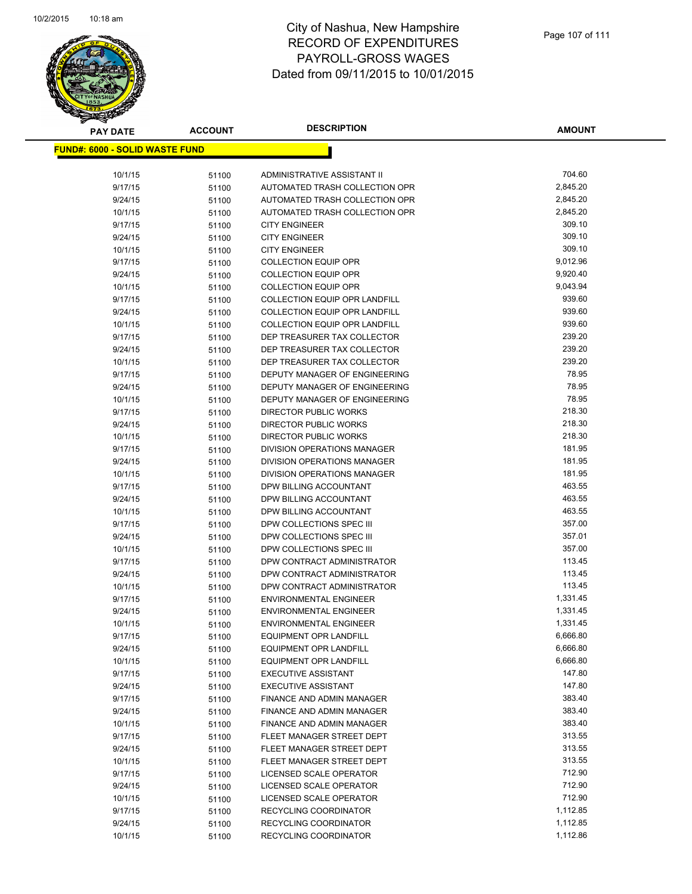

**AMOUNT**

| <u> FUND#: 6000 - SOLID WASTE FUND</u> |       |                                      |          |
|----------------------------------------|-------|--------------------------------------|----------|
|                                        |       |                                      |          |
| 10/1/15                                | 51100 | ADMINISTRATIVE ASSISTANT II          | 704.60   |
| 9/17/15                                | 51100 | AUTOMATED TRASH COLLECTION OPR       | 2,845.20 |
| 9/24/15                                | 51100 | AUTOMATED TRASH COLLECTION OPR       | 2,845.20 |
| 10/1/15                                | 51100 | AUTOMATED TRASH COLLECTION OPR       | 2,845.20 |
| 9/17/15                                | 51100 | <b>CITY ENGINEER</b>                 | 309.10   |
| 9/24/15                                | 51100 | <b>CITY ENGINEER</b>                 | 309.10   |
| 10/1/15                                | 51100 | <b>CITY ENGINEER</b>                 | 309.10   |
| 9/17/15                                | 51100 | <b>COLLECTION EQUIP OPR</b>          | 9,012.96 |
| 9/24/15                                | 51100 | <b>COLLECTION EQUIP OPR</b>          | 9,920.40 |
| 10/1/15                                | 51100 | <b>COLLECTION EQUIP OPR</b>          | 9,043.94 |
| 9/17/15                                | 51100 | <b>COLLECTION EQUIP OPR LANDFILL</b> | 939.60   |
| 9/24/15                                | 51100 | <b>COLLECTION EQUIP OPR LANDFILL</b> | 939.60   |
| 10/1/15                                | 51100 | <b>COLLECTION EQUIP OPR LANDFILL</b> | 939.60   |
| 9/17/15                                | 51100 | DEP TREASURER TAX COLLECTOR          | 239.20   |
| 9/24/15                                | 51100 | DEP TREASURER TAX COLLECTOR          | 239.20   |
| 10/1/15                                | 51100 | DEP TREASURER TAX COLLECTOR          | 239.20   |
| 9/17/15                                | 51100 | DEPUTY MANAGER OF ENGINEERING        | 78.95    |
| 9/24/15                                | 51100 | DEPUTY MANAGER OF ENGINEERING        | 78.95    |
| 10/1/15                                | 51100 | DEPUTY MANAGER OF ENGINEERING        | 78.95    |
| 9/17/15                                | 51100 | DIRECTOR PUBLIC WORKS                | 218.30   |
| 9/24/15                                | 51100 | <b>DIRECTOR PUBLIC WORKS</b>         | 218.30   |
| 10/1/15                                | 51100 | DIRECTOR PUBLIC WORKS                | 218.30   |
| 9/17/15                                | 51100 | DIVISION OPERATIONS MANAGER          | 181.95   |
| 9/24/15                                | 51100 | DIVISION OPERATIONS MANAGER          | 181.95   |
| 10/1/15                                | 51100 | DIVISION OPERATIONS MANAGER          | 181.95   |
| 9/17/15                                | 51100 | DPW BILLING ACCOUNTANT               | 463.55   |
| 9/24/15                                | 51100 | DPW BILLING ACCOUNTANT               | 463.55   |
| 10/1/15                                | 51100 | DPW BILLING ACCOUNTANT               | 463.55   |
| 9/17/15                                | 51100 | DPW COLLECTIONS SPEC III             | 357.00   |
| 9/24/15                                | 51100 | DPW COLLECTIONS SPEC III             | 357.01   |
| 10/1/15                                | 51100 | DPW COLLECTIONS SPEC III             | 357.00   |
| 9/17/15                                | 51100 | DPW CONTRACT ADMINISTRATOR           | 113.45   |
| 9/24/15                                | 51100 | DPW CONTRACT ADMINISTRATOR           | 113.45   |
| 10/1/15                                | 51100 | DPW CONTRACT ADMINISTRATOR           | 113.45   |
| 9/17/15                                | 51100 | <b>ENVIRONMENTAL ENGINEER</b>        | 1,331.45 |
| 9/24/15                                | 51100 | <b>ENVIRONMENTAL ENGINEER</b>        | 1,331.45 |
| 10/1/15                                | 51100 | <b>ENVIRONMENTAL ENGINEER</b>        | 1,331.45 |
| 9/17/15                                | 51100 | <b>EQUIPMENT OPR LANDFILL</b>        | 6,666.80 |
| 9/24/15                                | 51100 | <b>EQUIPMENT OPR LANDFILL</b>        | 6,666.80 |
| 10/1/15                                | 51100 | <b>EQUIPMENT OPR LANDFILL</b>        | 6,666.80 |
| 9/17/15                                | 51100 | <b>EXECUTIVE ASSISTANT</b>           | 147.80   |
| 9/24/15                                | 51100 | <b>EXECUTIVE ASSISTANT</b>           | 147.80   |
| 9/17/15                                | 51100 | <b>FINANCE AND ADMIN MANAGER</b>     | 383.40   |
| 9/24/15                                | 51100 | FINANCE AND ADMIN MANAGER            | 383.40   |
| 10/1/15                                | 51100 | FINANCE AND ADMIN MANAGER            | 383.40   |
| 9/17/15                                | 51100 | FLEET MANAGER STREET DEPT            | 313.55   |
| 9/24/15                                | 51100 | FLEET MANAGER STREET DEPT            | 313.55   |
| 10/1/15                                | 51100 | FLEET MANAGER STREET DEPT            | 313.55   |
| 9/17/15                                | 51100 | LICENSED SCALE OPERATOR              | 712.90   |
| 9/24/15                                | 51100 | LICENSED SCALE OPERATOR              | 712.90   |
| 10/1/15                                | 51100 | LICENSED SCALE OPERATOR              | 712.90   |
| 9/17/15                                | 51100 | RECYCLING COORDINATOR                | 1,112.85 |
| 9/24/15                                | 51100 | RECYCLING COORDINATOR                | 1,112.85 |
| 10/1/15                                | 51100 | RECYCLING COORDINATOR                | 1,112.86 |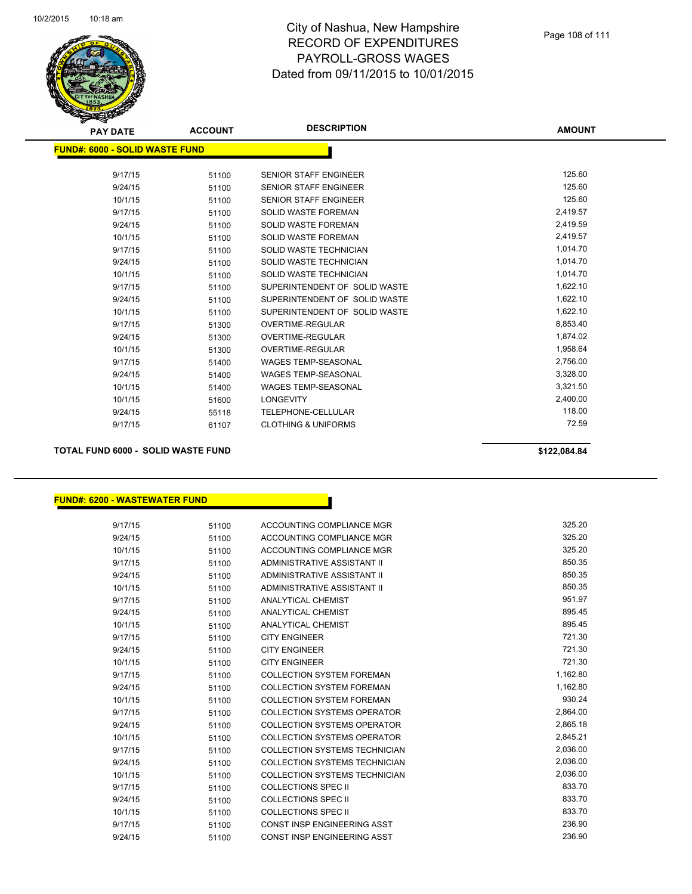

| <b>PAY DATE</b>                       | <b>ACCOUNT</b> | <b>DESCRIPTION</b>             | <b>AMOUNT</b> |
|---------------------------------------|----------------|--------------------------------|---------------|
| <b>FUND#: 6000 - SOLID WASTE FUND</b> |                |                                |               |
|                                       |                |                                |               |
| 9/17/15                               | 51100          | <b>SENIOR STAFF ENGINEER</b>   | 125.60        |
| 9/24/15                               | 51100          | <b>SENIOR STAFF ENGINEER</b>   | 125.60        |
| 10/1/15                               | 51100          | <b>SENIOR STAFF ENGINEER</b>   | 125.60        |
| 9/17/15                               | 51100          | <b>SOLID WASTE FOREMAN</b>     | 2,419.57      |
| 9/24/15                               | 51100          | <b>SOLID WASTE FOREMAN</b>     | 2,419.59      |
| 10/1/15                               | 51100          | <b>SOLID WASTE FOREMAN</b>     | 2,419.57      |
| 9/17/15                               | 51100          | SOLID WASTE TECHNICIAN         | 1,014.70      |
| 9/24/15                               | 51100          | SOLID WASTE TECHNICIAN         | 1,014.70      |
| 10/1/15                               | 51100          | SOLID WASTE TECHNICIAN         | 1,014.70      |
| 9/17/15                               | 51100          | SUPERINTENDENT OF SOLID WASTE  | 1,622.10      |
| 9/24/15                               | 51100          | SUPERINTENDENT OF SOLID WASTE  | 1,622.10      |
| 10/1/15                               | 51100          | SUPERINTENDENT OF SOLID WASTE  | 1,622.10      |
| 9/17/15                               | 51300          | <b>OVERTIME-REGULAR</b>        | 8,853.40      |
| 9/24/15                               | 51300          | <b>OVERTIME-REGULAR</b>        | 1,874.02      |
| 10/1/15                               | 51300          | <b>OVERTIME-REGULAR</b>        | 1,958.64      |
| 9/17/15                               | 51400          | <b>WAGES TEMP-SEASONAL</b>     | 2,756.00      |
| 9/24/15                               | 51400          | <b>WAGES TEMP-SEASONAL</b>     | 3,328.00      |
| 10/1/15                               | 51400          | <b>WAGES TEMP-SEASONAL</b>     | 3,321.50      |
| 10/1/15                               | 51600          | <b>LONGEVITY</b>               | 2,400.00      |
| 9/24/15                               | 55118          | TELEPHONE-CELLULAR             | 118.00        |
| 9/17/15                               | 61107          | <b>CLOTHING &amp; UNIFORMS</b> | 72.59         |
|                                       |                |                                |               |

**TOTAL FUND 6000 - SOLID WASTE FUND \$122,084.84** 

#### **FUND#: 6200 - WASTEWATER FUND**

| 9/17/15 | 51100 | ACCOUNTING COMPLIANCE MGR          | 325.20   |
|---------|-------|------------------------------------|----------|
| 9/24/15 | 51100 | ACCOUNTING COMPLIANCE MGR          | 325.20   |
| 10/1/15 | 51100 | ACCOUNTING COMPLIANCE MGR          | 325.20   |
| 9/17/15 | 51100 | ADMINISTRATIVE ASSISTANT II        | 850.35   |
| 9/24/15 | 51100 | ADMINISTRATIVE ASSISTANT II        | 850.35   |
| 10/1/15 | 51100 | ADMINISTRATIVE ASSISTANT II        | 850.35   |
| 9/17/15 | 51100 | <b>ANALYTICAL CHEMIST</b>          | 951.97   |
| 9/24/15 | 51100 | ANALYTICAL CHEMIST                 | 895.45   |
| 10/1/15 | 51100 | ANALYTICAL CHEMIST                 | 895.45   |
| 9/17/15 | 51100 | <b>CITY ENGINEER</b>               | 721.30   |
| 9/24/15 | 51100 | <b>CITY ENGINEER</b>               | 721.30   |
| 10/1/15 | 51100 | <b>CITY ENGINEER</b>               | 721.30   |
| 9/17/15 | 51100 | <b>COLLECTION SYSTEM FOREMAN</b>   | 1,162.80 |
| 9/24/15 | 51100 | <b>COLLECTION SYSTEM FOREMAN</b>   | 1,162.80 |
| 10/1/15 | 51100 | <b>COLLECTION SYSTEM FOREMAN</b>   | 930.24   |
| 9/17/15 | 51100 | <b>COLLECTION SYSTEMS OPERATOR</b> | 2.864.00 |
| 9/24/15 | 51100 | <b>COLLECTION SYSTEMS OPERATOR</b> | 2,865.18 |
| 10/1/15 | 51100 | <b>COLLECTION SYSTEMS OPERATOR</b> | 2,845.21 |
| 9/17/15 | 51100 | COLLECTION SYSTEMS TECHNICIAN      | 2,036.00 |
| 9/24/15 | 51100 | COLLECTION SYSTEMS TECHNICIAN      | 2,036.00 |
| 10/1/15 | 51100 | COLLECTION SYSTEMS TECHNICIAN      | 2.036.00 |
| 9/17/15 | 51100 | <b>COLLECTIONS SPEC II</b>         | 833.70   |
| 9/24/15 | 51100 | COLLECTIONS SPEC II                | 833.70   |
| 10/1/15 | 51100 | COLLECTIONS SPEC II                | 833.70   |
| 9/17/15 | 51100 | CONST INSP ENGINEERING ASST        | 236.90   |
| 9/24/15 | 51100 | CONST INSP ENGINEERING ASST        | 236.90   |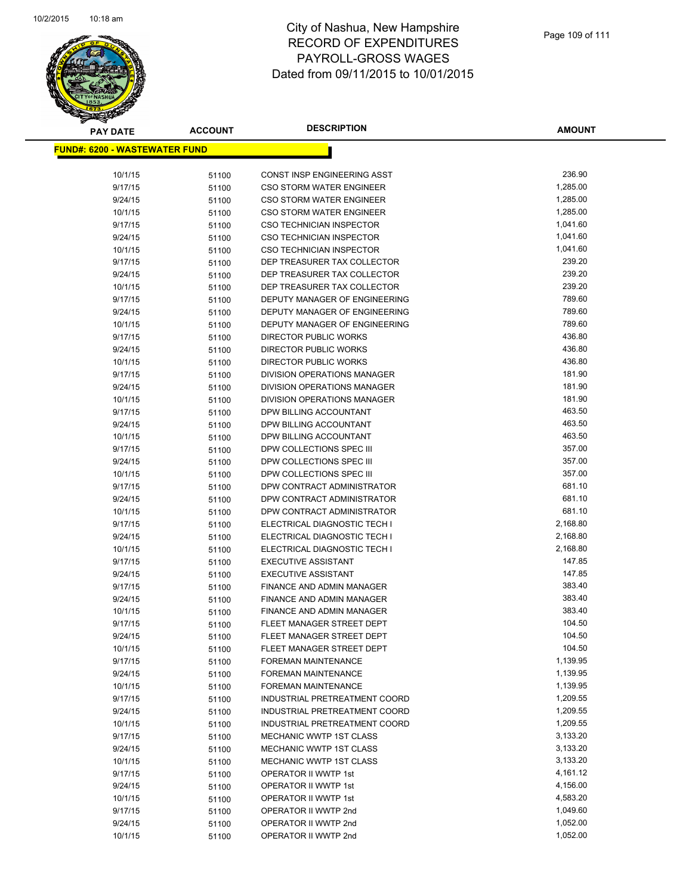

# City of Nashua, New Hampshire RECORD OF EXPENDITURES PAYROLL-GROSS WAGES Dated from 09/11/2015 to 10/01/2015

| <b>PAY DATE</b>                       | <b>ACCOUNT</b> | <b>DESCRIPTION</b>                                   | <b>AMOUNT</b>    |
|---------------------------------------|----------------|------------------------------------------------------|------------------|
| <u> FUND#: 6200 - WASTEWATER FUND</u> |                |                                                      |                  |
|                                       |                |                                                      |                  |
| 10/1/15                               | 51100          | CONST INSP ENGINEERING ASST                          | 236.90           |
| 9/17/15                               | 51100          | <b>CSO STORM WATER ENGINEER</b>                      | 1,285.00         |
| 9/24/15                               | 51100          | <b>CSO STORM WATER ENGINEER</b>                      | 1,285.00         |
| 10/1/15                               | 51100          | <b>CSO STORM WATER ENGINEER</b>                      | 1,285.00         |
| 9/17/15                               | 51100          | <b>CSO TECHNICIAN INSPECTOR</b>                      | 1,041.60         |
| 9/24/15                               | 51100          | <b>CSO TECHNICIAN INSPECTOR</b>                      | 1,041.60         |
| 10/1/15                               | 51100          | <b>CSO TECHNICIAN INSPECTOR</b>                      | 1,041.60         |
| 9/17/15                               | 51100          | DEP TREASURER TAX COLLECTOR                          | 239.20           |
| 9/24/15                               | 51100          | DEP TREASURER TAX COLLECTOR                          | 239.20           |
| 10/1/15                               | 51100          | DEP TREASURER TAX COLLECTOR                          | 239.20           |
| 9/17/15                               | 51100          | DEPUTY MANAGER OF ENGINEERING                        | 789.60           |
| 9/24/15                               | 51100          | DEPUTY MANAGER OF ENGINEERING                        | 789.60           |
| 10/1/15                               | 51100          | DEPUTY MANAGER OF ENGINEERING                        | 789.60           |
| 9/17/15                               | 51100          | DIRECTOR PUBLIC WORKS                                | 436.80           |
| 9/24/15                               | 51100          | DIRECTOR PUBLIC WORKS                                | 436.80           |
| 10/1/15                               | 51100          | <b>DIRECTOR PUBLIC WORKS</b>                         | 436.80           |
| 9/17/15                               | 51100          | DIVISION OPERATIONS MANAGER                          | 181.90           |
| 9/24/15                               | 51100          | DIVISION OPERATIONS MANAGER                          | 181.90           |
| 10/1/15                               | 51100          | DIVISION OPERATIONS MANAGER                          | 181.90           |
| 9/17/15                               | 51100          | DPW BILLING ACCOUNTANT                               | 463.50           |
| 9/24/15                               | 51100          | DPW BILLING ACCOUNTANT                               | 463.50           |
| 10/1/15                               | 51100          | DPW BILLING ACCOUNTANT                               | 463.50           |
| 9/17/15                               | 51100          | DPW COLLECTIONS SPEC III                             | 357.00<br>357.00 |
| 9/24/15                               | 51100          | DPW COLLECTIONS SPEC III<br>DPW COLLECTIONS SPEC III | 357.00           |
| 10/1/15<br>9/17/15                    | 51100          | DPW CONTRACT ADMINISTRATOR                           | 681.10           |
| 9/24/15                               | 51100          | DPW CONTRACT ADMINISTRATOR                           | 681.10           |
| 10/1/15                               | 51100<br>51100 | DPW CONTRACT ADMINISTRATOR                           | 681.10           |
| 9/17/15                               | 51100          | ELECTRICAL DIAGNOSTIC TECH I                         | 2,168.80         |
| 9/24/15                               | 51100          | ELECTRICAL DIAGNOSTIC TECH I                         | 2,168.80         |
| 10/1/15                               | 51100          | ELECTRICAL DIAGNOSTIC TECH I                         | 2,168.80         |
| 9/17/15                               | 51100          | <b>EXECUTIVE ASSISTANT</b>                           | 147.85           |
| 9/24/15                               | 51100          | <b>EXECUTIVE ASSISTANT</b>                           | 147.85           |
| 9/17/15                               | 51100          | FINANCE AND ADMIN MANAGER                            | 383.40           |
| 9/24/15                               | 51100          | FINANCE AND ADMIN MANAGER                            | 383.40           |
| 10/1/15                               | 51100          | FINANCE AND ADMIN MANAGER                            | 383.40           |
| 9/17/15                               | 51100          | FLEET MANAGER STREET DEPT                            | 104.50           |
| 9/24/15                               | 51100          | FLEET MANAGER STREET DEPT                            | 104.50           |
| 10/1/15                               | 51100          | FLEET MANAGER STREET DEPT                            | 104.50           |
| 9/17/15                               | 51100          | <b>FOREMAN MAINTENANCE</b>                           | 1,139.95         |
| 9/24/15                               | 51100          | <b>FOREMAN MAINTENANCE</b>                           | 1,139.95         |
| 10/1/15                               | 51100          | FOREMAN MAINTENANCE                                  | 1,139.95         |
| 9/17/15                               | 51100          | INDUSTRIAL PRETREATMENT COORD                        | 1,209.55         |
| 9/24/15                               | 51100          | INDUSTRIAL PRETREATMENT COORD                        | 1,209.55         |
| 10/1/15                               | 51100          | INDUSTRIAL PRETREATMENT COORD                        | 1,209.55         |
| 9/17/15                               | 51100          | MECHANIC WWTP 1ST CLASS                              | 3,133.20         |
| 9/24/15                               | 51100          | <b>MECHANIC WWTP 1ST CLASS</b>                       | 3,133.20         |
| 10/1/15                               | 51100          | <b>MECHANIC WWTP 1ST CLASS</b>                       | 3,133.20         |
| 9/17/15                               | 51100          | OPERATOR II WWTP 1st                                 | 4,161.12         |
| 9/24/15                               | 51100          | OPERATOR II WWTP 1st                                 | 4,156.00         |
| 10/1/15                               | 51100          | OPERATOR II WWTP 1st                                 | 4,583.20         |
| 9/17/15                               | 51100          | OPERATOR II WWTP 2nd                                 | 1,049.60         |
| 9/24/15                               | 51100          | OPERATOR II WWTP 2nd                                 | 1,052.00         |
| 10/1/15                               | 51100          | OPERATOR II WWTP 2nd                                 | 1,052.00         |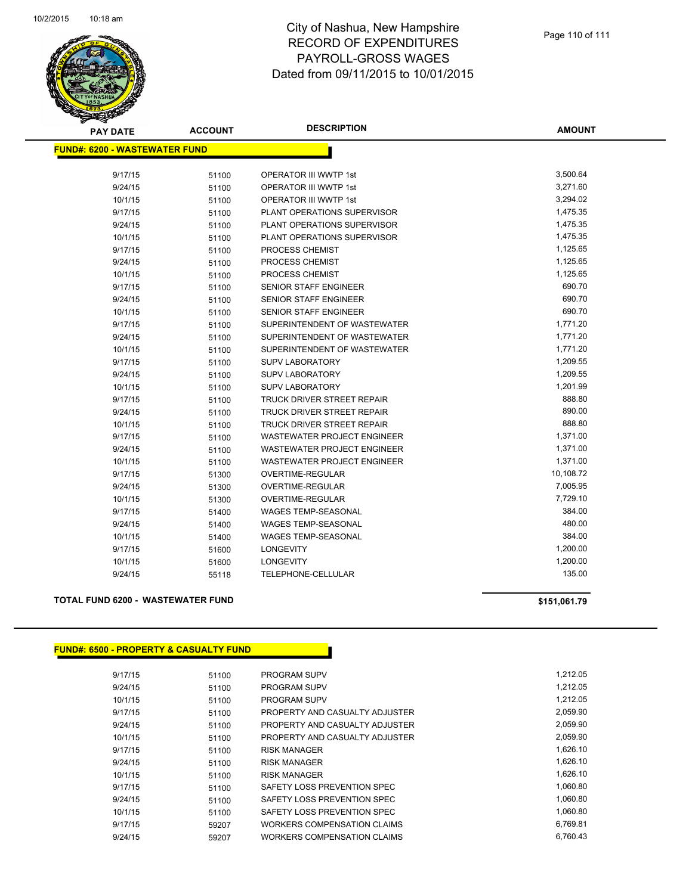

# City of Nashua, New Hampshire RECORD OF EXPENDITURES PAYROLL-GROSS WAGES Dated from 09/11/2015 to 10/01/2015

| <b>PAY DATE</b>                      | <b>ACCOUNT</b> | <b>DESCRIPTION</b>                 | <b>AMOUNT</b> |
|--------------------------------------|----------------|------------------------------------|---------------|
| <b>FUND#: 6200 - WASTEWATER FUND</b> |                |                                    |               |
| 9/17/15                              |                | OPERATOR III WWTP 1st              | 3,500.64      |
| 9/24/15                              | 51100<br>51100 | <b>OPERATOR III WWTP 1st</b>       | 3,271.60      |
| 10/1/15                              |                | <b>OPERATOR III WWTP 1st</b>       | 3,294.02      |
| 9/17/15                              | 51100<br>51100 | PLANT OPERATIONS SUPERVISOR        | 1,475.35      |
| 9/24/15                              | 51100          | PLANT OPERATIONS SUPERVISOR        | 1,475.35      |
| 10/1/15                              |                | PLANT OPERATIONS SUPERVISOR        | 1,475.35      |
| 9/17/15                              | 51100<br>51100 | PROCESS CHEMIST                    | 1,125.65      |
| 9/24/15                              |                | PROCESS CHEMIST                    | 1,125.65      |
| 10/1/15                              | 51100          | PROCESS CHEMIST                    | 1,125.65      |
| 9/17/15                              | 51100<br>51100 | SENIOR STAFF ENGINEER              | 690.70        |
| 9/24/15                              | 51100          | <b>SENIOR STAFF ENGINEER</b>       | 690.70        |
| 10/1/15                              |                | <b>SENIOR STAFF ENGINEER</b>       | 690.70        |
| 9/17/15                              | 51100<br>51100 | SUPERINTENDENT OF WASTEWATER       | 1,771.20      |
| 9/24/15                              | 51100          | SUPERINTENDENT OF WASTEWATER       | 1,771.20      |
| 10/1/15                              | 51100          | SUPERINTENDENT OF WASTEWATER       | 1,771.20      |
| 9/17/15                              | 51100          | <b>SUPV LABORATORY</b>             | 1,209.55      |
| 9/24/15                              | 51100          | <b>SUPV LABORATORY</b>             | 1,209.55      |
| 10/1/15                              | 51100          | <b>SUPV LABORATORY</b>             | 1,201.99      |
| 9/17/15                              | 51100          | <b>TRUCK DRIVER STREET REPAIR</b>  | 888.80        |
| 9/24/15                              | 51100          | <b>TRUCK DRIVER STREET REPAIR</b>  | 890.00        |
| 10/1/15                              | 51100          | TRUCK DRIVER STREET REPAIR         | 888.80        |
| 9/17/15                              | 51100          | WASTEWATER PROJECT ENGINEER        | 1,371.00      |
| 9/24/15                              | 51100          | <b>WASTEWATER PROJECT ENGINEER</b> | 1,371.00      |
| 10/1/15                              | 51100          | <b>WASTEWATER PROJECT ENGINEER</b> | 1,371.00      |
| 9/17/15                              | 51300          | OVERTIME-REGULAR                   | 10,108.72     |
| 9/24/15                              | 51300          | OVERTIME-REGULAR                   | 7,005.95      |
| 10/1/15                              | 51300          | OVERTIME-REGULAR                   | 7,729.10      |
| 9/17/15                              | 51400          | WAGES TEMP-SEASONAL                | 384.00        |
| 9/24/15                              | 51400          | WAGES TEMP-SEASONAL                | 480.00        |
| 10/1/15                              | 51400          | <b>WAGES TEMP-SEASONAL</b>         | 384.00        |
| 9/17/15                              | 51600          | <b>LONGEVITY</b>                   | 1,200.00      |
| 10/1/15                              | 51600          | <b>LONGEVITY</b>                   | 1,200.00      |
| 9/24/15                              | 55118          | TELEPHONE-CELLULAR                 | 135.00        |

## **TOTAL FUND 6200 - WASTEWATER FUND \$151,061.79**

| <b>FUND#: 6500 - PROPERTY &amp; CASUALTY FUND</b> |       |                                    |          |
|---------------------------------------------------|-------|------------------------------------|----------|
| 9/17/15                                           | 51100 | <b>PROGRAM SUPV</b>                | 1,212.05 |
| 9/24/15                                           | 51100 | <b>PROGRAM SUPV</b>                | 1,212.05 |
| 10/1/15                                           | 51100 | <b>PROGRAM SUPV</b>                | 1,212.05 |
| 9/17/15                                           | 51100 | PROPERTY AND CASUALTY ADJUSTER     | 2,059.90 |
| 9/24/15                                           | 51100 | PROPERTY AND CASUALTY ADJUSTER     | 2,059.90 |
| 10/1/15                                           | 51100 | PROPERTY AND CASUALTY ADJUSTER     | 2,059.90 |
| 9/17/15                                           | 51100 | <b>RISK MANAGER</b>                | 1,626.10 |
| 9/24/15                                           | 51100 | <b>RISK MANAGER</b>                | 1,626.10 |
| 10/1/15                                           | 51100 | <b>RISK MANAGER</b>                | 1,626.10 |
| 9/17/15                                           | 51100 | SAFETY LOSS PREVENTION SPEC        | 1,060.80 |
| 9/24/15                                           | 51100 | SAFETY LOSS PREVENTION SPEC        | 1,060.80 |
| 10/1/15                                           | 51100 | SAFETY LOSS PREVENTION SPEC        | 1,060.80 |
| 9/17/15                                           | 59207 | <b>WORKERS COMPENSATION CLAIMS</b> | 6,769.81 |
| 9/24/15                                           | 59207 | <b>WORKERS COMPENSATION CLAIMS</b> | 6,760.43 |